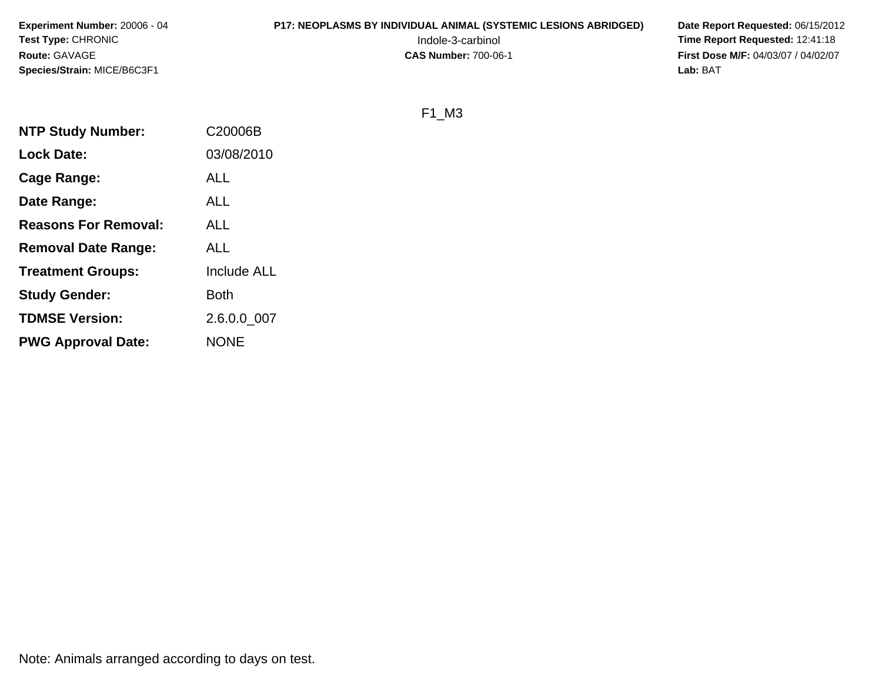# **P17: NEOPLASMS BY INDIVIDUAL ANIMAL (SYSTEMIC LESIONS ABRIDGED)** Date Report Requested: 06/15/2012<br>Indole-3-carbinol **Time Report Requested:** 12:41:18

 Indole-3-carbinol **Time Report Requested:** 12:41:18 **First Dose M/F:** 04/03/07 / 04/02/07<br>Lab: BAT **Lab:** BAT

F1\_M3

| <b>NTP Study Number:</b>    | C20006B            |
|-----------------------------|--------------------|
| Lock Date:                  | 03/08/2010         |
| Cage Range:                 | <b>ALL</b>         |
| Date Range:                 | <b>ALL</b>         |
| <b>Reasons For Removal:</b> | ALL                |
| <b>Removal Date Range:</b>  | <b>ALL</b>         |
| <b>Treatment Groups:</b>    | <b>Include ALL</b> |
| <b>Study Gender:</b>        | Both               |
| <b>TDMSE Version:</b>       | 2.6.0.0 007        |
| <b>PWG Approval Date:</b>   | <b>NONE</b>        |
|                             |                    |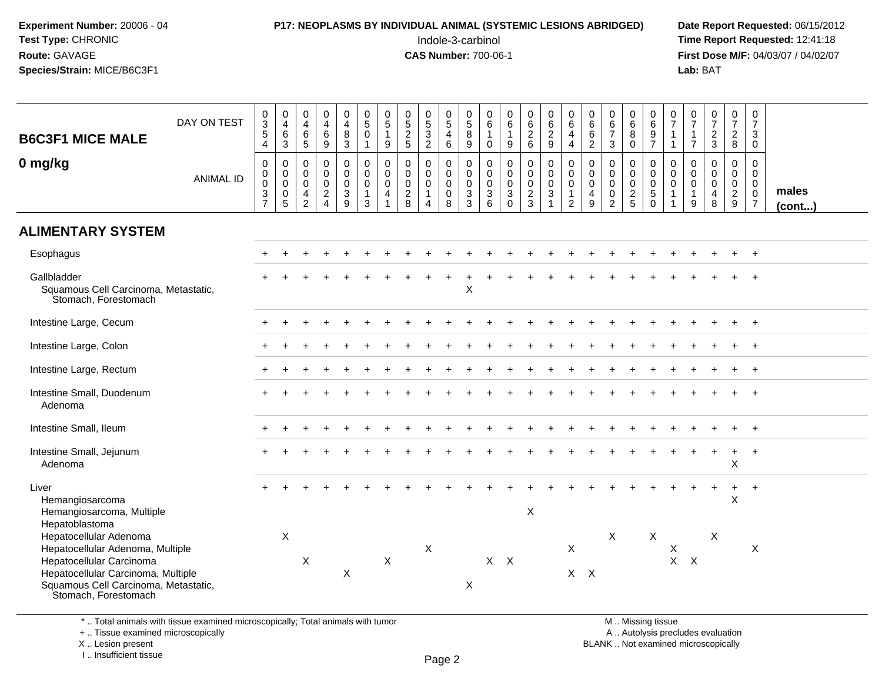## **P17: NEOPLASMS BY INDIVIDUAL ANIMAL (SYSTEMIC LESIONS ABRIDGED)** Date Report Requested: 06/15/2012<br>Indole-3-carbinol **Time Report Requested:** 12:41:18

 Indole-3-carbinol **Time Report Requested:** 12:41:18 **First Dose M/F:** 04/03/07 / 04/02/07<br>Lab: BAT **Lab:** BAT

| <b>B6C3F1 MICE MALE</b><br>0 mg/kg                                                                                                                                                           | DAY ON TEST<br><b>ANIMAL ID</b> | $_{3}^{\rm 0}$<br>$\overline{5}$<br>$\overline{4}$<br>$\mathbf 0$<br>$\mathbf 0$<br>$\pmb{0}$<br>$\frac{3}{7}$ | $\mathbf 0$<br>$\overline{4}$<br>$\,6\,$<br>3<br>$\mathbf 0$<br>$\mathbf 0$<br>$\mathbf 0$<br>$\mathbf 0$ | $_4^{\rm 0}$<br>$\,6\,$<br>$5\phantom{.0}$<br>$\mathbf 0$<br>$\mathbf 0$<br>$\pmb{0}$<br>$\frac{4}{2}$ | $\pmb{0}$<br>$\tilde{4}$<br>$\,6\,$<br>9<br>$\mathbf 0$<br>$\mathbf 0$<br>$\mathsf 0$<br>$\frac{2}{4}$ | 0<br>$\overline{4}$<br>$\bf 8$<br>3<br>$\mathbf 0$<br>$\mathbf 0$<br>$\mathbf 0$<br>3 | $\begin{array}{c} 0 \\ 5 \end{array}$<br>$\overline{0}$<br>$\overline{1}$<br>$\mathbf 0$<br>$\mathbf 0$<br>$\mathsf{O}\xspace$<br>$\mathbf{1}$ | $\pmb{0}$<br>$\overline{5}$<br>$\mathbf{1}$<br>9<br>$\mathbf 0$<br>$\mathbf 0$<br>$\mathbf 0$<br>$\overline{4}$ | $\begin{array}{c} 0 \\ 5 \end{array}$<br>$\overline{2}$<br>$5\phantom{.0}$<br>$\mathbf 0$<br>$\mathbf 0$<br>$\mathbf 0$<br>$\frac{2}{8}$ | $\begin{array}{c} 0 \\ 5 \end{array}$<br>$\overline{3}$<br>$\overline{2}$<br>$\mathbf 0$<br>$\mathbf 0$<br>$\mathbf 0$<br>$\mathbf{1}$ | $\begin{array}{c} 0 \\ 5 \end{array}$<br>4<br>$6\phantom{1}$<br>$\mathbf 0$<br>0<br>$\mathbf 0$<br>0 | $\begin{array}{c} 0 \\ 5 \end{array}$<br>$\overline{8}$<br>$9\,$<br>$\mathbf 0$<br>$\mathbf 0$<br>$\mathsf 0$<br>$_3^3$ | 0<br>$\,6\,$<br>$\mathbf{1}$<br>$\mathbf 0$<br>$\mathbf 0$<br>$\mathbf 0$<br>$\mathbf 0$<br>$\frac{3}{6}$ | 0<br>$\overline{6}$<br>$\mathbf{1}$<br>9<br>$\mathbf 0$<br>$\mathbf 0$<br>0<br>3 | 0<br>$\overline{6}$<br>$\overline{c}$<br>$\,6\,$<br>$\mathbf 0$<br>$\mathbf 0$<br>$\mathbf 0$<br>$\frac{2}{3}$ | $_{6}^{\rm 0}$<br>$\frac{2}{9}$<br>0<br>$\mathsf{O}\xspace$<br>$\mathbf 0$<br>3 | $\pmb{0}$<br>$\overline{6}$<br>4<br>$\overline{4}$<br>$\mathbf 0$<br>$\mathbf 0$<br>$\mathbf 0$<br>$\mathbf{1}$ | 0<br>6<br>6<br>$\overline{2}$<br>$\mathbf 0$<br>$\mathbf 0$<br>0<br>4 | $\begin{array}{c} 0 \\ 6 \end{array}$<br>$\overline{7}$<br>3<br>$\mathbf 0$<br>$\mathbf 0$<br>$\mathbf 0$<br>$\mathbf 0$ | 0<br>$\overline{6}$<br>8<br>$\mathbf 0$<br>0<br>$\mathbf{0}$<br>$\mathbf 0$<br>$\frac{2}{5}$ | 0<br>$\overline{6}$<br>$\frac{9}{7}$<br>$\mathbf 0$<br>$\mathbf 0$<br>$\mathbf 0$<br>$\sqrt{5}$ | 0<br>$\overline{7}$<br>1<br>$\mathbf{1}$<br>$\mathbf 0$<br>$\mathbf 0$<br>$\mathbf 0$<br>$\mathbf{1}$ | $\frac{0}{7}$<br>$\mathbf{1}$<br>$\overline{7}$<br>$\Omega$<br>$\mathbf 0$<br>0<br>$\mathbf{1}$ | $\frac{0}{7}$<br>$\frac{2}{3}$<br>$\mathbf 0$<br>0<br>0<br>$^{\,4}_{\,8}$ | $\mathbf 0$<br>$\overline{7}$<br>$\frac{2}{8}$<br>$\mathbf 0$<br>$\mathbf{0}$<br>$\overline{0}$<br>$\frac{2}{9}$ | 0<br>$\overline{7}$<br>$\mathbf{3}$<br>$\mathbf 0$<br>$\Omega$<br>$\mathbf{0}$<br>$\mathbf 0$<br>$\mathbf 0$ | males        |
|----------------------------------------------------------------------------------------------------------------------------------------------------------------------------------------------|---------------------------------|----------------------------------------------------------------------------------------------------------------|-----------------------------------------------------------------------------------------------------------|--------------------------------------------------------------------------------------------------------|--------------------------------------------------------------------------------------------------------|---------------------------------------------------------------------------------------|------------------------------------------------------------------------------------------------------------------------------------------------|-----------------------------------------------------------------------------------------------------------------|------------------------------------------------------------------------------------------------------------------------------------------|----------------------------------------------------------------------------------------------------------------------------------------|------------------------------------------------------------------------------------------------------|-------------------------------------------------------------------------------------------------------------------------|-----------------------------------------------------------------------------------------------------------|----------------------------------------------------------------------------------|----------------------------------------------------------------------------------------------------------------|---------------------------------------------------------------------------------|-----------------------------------------------------------------------------------------------------------------|-----------------------------------------------------------------------|--------------------------------------------------------------------------------------------------------------------------|----------------------------------------------------------------------------------------------|-------------------------------------------------------------------------------------------------|-------------------------------------------------------------------------------------------------------|-------------------------------------------------------------------------------------------------|---------------------------------------------------------------------------|------------------------------------------------------------------------------------------------------------------|--------------------------------------------------------------------------------------------------------------|--------------|
|                                                                                                                                                                                              |                                 |                                                                                                                | 5                                                                                                         |                                                                                                        |                                                                                                        | $9\,$                                                                                 | $\overline{3}$                                                                                                                                 | $\overline{ }$                                                                                                  |                                                                                                                                          | $\overline{\mathbf{A}}$                                                                                                                | 8                                                                                                    |                                                                                                                         |                                                                                                           | $\Omega$                                                                         |                                                                                                                | $\mathbf{1}$                                                                    | $\overline{2}$                                                                                                  | $\overline{9}$                                                        | $\overline{2}$                                                                                                           |                                                                                              | $\mathbf 0$                                                                                     |                                                                                                       | $9\,$                                                                                           |                                                                           |                                                                                                                  | $\overline{7}$                                                                                               | $($ cont $)$ |
| <b>ALIMENTARY SYSTEM</b>                                                                                                                                                                     |                                 |                                                                                                                |                                                                                                           |                                                                                                        |                                                                                                        |                                                                                       |                                                                                                                                                |                                                                                                                 |                                                                                                                                          |                                                                                                                                        |                                                                                                      |                                                                                                                         |                                                                                                           |                                                                                  |                                                                                                                |                                                                                 |                                                                                                                 |                                                                       |                                                                                                                          |                                                                                              |                                                                                                 |                                                                                                       |                                                                                                 |                                                                           |                                                                                                                  |                                                                                                              |              |
| Esophagus                                                                                                                                                                                    |                                 |                                                                                                                |                                                                                                           |                                                                                                        |                                                                                                        |                                                                                       |                                                                                                                                                |                                                                                                                 |                                                                                                                                          |                                                                                                                                        |                                                                                                      |                                                                                                                         |                                                                                                           |                                                                                  |                                                                                                                |                                                                                 |                                                                                                                 |                                                                       |                                                                                                                          |                                                                                              |                                                                                                 |                                                                                                       |                                                                                                 |                                                                           |                                                                                                                  |                                                                                                              |              |
| Gallbladder<br>Squamous Cell Carcinoma, Metastatic,<br>Stomach, Forestomach                                                                                                                  |                                 |                                                                                                                |                                                                                                           |                                                                                                        |                                                                                                        |                                                                                       |                                                                                                                                                |                                                                                                                 |                                                                                                                                          |                                                                                                                                        | $\pm$                                                                                                | $\ddot{}$<br>$\mathsf X$                                                                                                |                                                                                                           |                                                                                  |                                                                                                                |                                                                                 |                                                                                                                 |                                                                       |                                                                                                                          |                                                                                              |                                                                                                 |                                                                                                       |                                                                                                 |                                                                           |                                                                                                                  |                                                                                                              |              |
| Intestine Large, Cecum                                                                                                                                                                       |                                 |                                                                                                                |                                                                                                           |                                                                                                        |                                                                                                        |                                                                                       |                                                                                                                                                |                                                                                                                 |                                                                                                                                          |                                                                                                                                        |                                                                                                      |                                                                                                                         |                                                                                                           |                                                                                  |                                                                                                                |                                                                                 |                                                                                                                 |                                                                       |                                                                                                                          |                                                                                              |                                                                                                 |                                                                                                       |                                                                                                 |                                                                           |                                                                                                                  |                                                                                                              |              |
| Intestine Large, Colon                                                                                                                                                                       |                                 |                                                                                                                |                                                                                                           |                                                                                                        |                                                                                                        |                                                                                       |                                                                                                                                                |                                                                                                                 |                                                                                                                                          |                                                                                                                                        |                                                                                                      |                                                                                                                         |                                                                                                           |                                                                                  |                                                                                                                |                                                                                 |                                                                                                                 |                                                                       |                                                                                                                          |                                                                                              |                                                                                                 |                                                                                                       |                                                                                                 |                                                                           |                                                                                                                  |                                                                                                              |              |
| Intestine Large, Rectum                                                                                                                                                                      |                                 |                                                                                                                |                                                                                                           |                                                                                                        |                                                                                                        |                                                                                       |                                                                                                                                                |                                                                                                                 |                                                                                                                                          |                                                                                                                                        |                                                                                                      |                                                                                                                         |                                                                                                           |                                                                                  |                                                                                                                |                                                                                 |                                                                                                                 |                                                                       |                                                                                                                          |                                                                                              |                                                                                                 |                                                                                                       |                                                                                                 |                                                                           |                                                                                                                  |                                                                                                              |              |
| Intestine Small, Duodenum<br>Adenoma                                                                                                                                                         |                                 |                                                                                                                |                                                                                                           |                                                                                                        |                                                                                                        |                                                                                       |                                                                                                                                                |                                                                                                                 |                                                                                                                                          |                                                                                                                                        |                                                                                                      |                                                                                                                         |                                                                                                           |                                                                                  |                                                                                                                |                                                                                 |                                                                                                                 |                                                                       |                                                                                                                          |                                                                                              |                                                                                                 |                                                                                                       |                                                                                                 |                                                                           |                                                                                                                  |                                                                                                              |              |
| Intestine Small, Ileum                                                                                                                                                                       |                                 |                                                                                                                |                                                                                                           |                                                                                                        |                                                                                                        |                                                                                       |                                                                                                                                                |                                                                                                                 |                                                                                                                                          |                                                                                                                                        |                                                                                                      |                                                                                                                         |                                                                                                           |                                                                                  |                                                                                                                |                                                                                 |                                                                                                                 |                                                                       |                                                                                                                          |                                                                                              |                                                                                                 |                                                                                                       |                                                                                                 |                                                                           |                                                                                                                  |                                                                                                              |              |
| Intestine Small, Jejunum<br>Adenoma                                                                                                                                                          |                                 |                                                                                                                |                                                                                                           |                                                                                                        |                                                                                                        |                                                                                       |                                                                                                                                                |                                                                                                                 |                                                                                                                                          |                                                                                                                                        |                                                                                                      |                                                                                                                         |                                                                                                           |                                                                                  |                                                                                                                |                                                                                 |                                                                                                                 |                                                                       |                                                                                                                          |                                                                                              |                                                                                                 |                                                                                                       |                                                                                                 | $\ddot{}$                                                                 | $\ddot{}$<br>X                                                                                                   | $+$                                                                                                          |              |
| Liver<br>Hemangiosarcoma<br>Hemangiosarcoma, Multiple<br>Hepatoblastoma                                                                                                                      |                                 |                                                                                                                |                                                                                                           |                                                                                                        |                                                                                                        |                                                                                       |                                                                                                                                                |                                                                                                                 |                                                                                                                                          |                                                                                                                                        |                                                                                                      |                                                                                                                         |                                                                                                           |                                                                                  | X                                                                                                              |                                                                                 |                                                                                                                 |                                                                       |                                                                                                                          |                                                                                              |                                                                                                 |                                                                                                       |                                                                                                 |                                                                           | $\pmb{\times}$                                                                                                   | $\ddot{}$                                                                                                    |              |
| Hepatocellular Adenoma<br>Hepatocellular Adenoma, Multiple<br>Hepatocellular Carcinoma<br>Hepatocellular Carcinoma, Multiple<br>Squamous Cell Carcinoma, Metastatic,<br>Stomach, Forestomach |                                 |                                                                                                                | $\mathsf X$                                                                                               | $\boldsymbol{\mathsf{X}}$                                                                              |                                                                                                        | $\mathsf X$                                                                           |                                                                                                                                                | $\mathsf X$                                                                                                     |                                                                                                                                          | $\pmb{\times}$                                                                                                                         |                                                                                                      | X                                                                                                                       | $X$ $X$                                                                                                   |                                                                                  |                                                                                                                |                                                                                 | X<br>$X$ $X$                                                                                                    |                                                                       | X                                                                                                                        |                                                                                              | $\boldsymbol{\mathsf{X}}$                                                                       | $\mathsf X$<br>X                                                                                      | $\mathsf{X}$                                                                                    | X                                                                         |                                                                                                                  | X                                                                                                            |              |

\* .. Total animals with tissue examined microscopically; Total animals with tumor

+ .. Tissue examined microscopically

 Lesion present BLANK .. Not examined microscopicallyX .. Lesion present

I .. Insufficient tissue

 M .. Missing tissuey the contract of the contract of the contract of the contract of the contract of  $\mathsf A$  . Autolysis precludes evaluation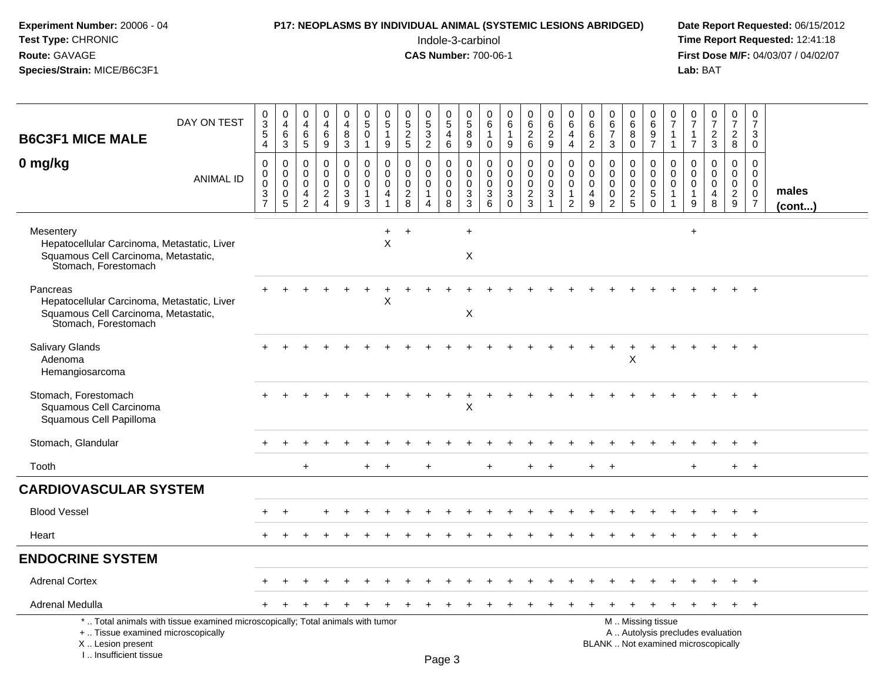# **P17: NEOPLASMS BY INDIVIDUAL ANIMAL (SYSTEMIC LESIONS ABRIDGED)** Date Report Requested: 06/15/2012<br>Indole-3-carbinol **Time Report Requested:** 12:41:18

| <b>B6C3F1 MICE MALE</b>                                                                                                  | DAY ON TEST                                                                     | 0<br>$\sqrt{3}$<br>5<br>$\overline{4}$                           | $\mathbf 0$<br>$\overline{4}$<br>6<br>3                       | 0<br>$\overline{4}$<br>$\,6\,$<br>$5\phantom{.0}$             | $\pmb{0}$<br>$\overline{4}$<br>6<br>9                            | 0<br>$\overline{4}$<br>8<br>3             | $\mathbf 0$<br>5<br>$\mathbf 0$<br>$\overline{1}$                | $\mathbf 0$<br>$\sqrt{5}$<br>$\overline{1}$<br>9                  | $\mathbf 0$<br>$\sqrt{5}$<br>$\overline{2}$<br>$\overline{5}$    | $\begin{array}{c} 0 \\ 5 \end{array}$<br>3<br>$\overline{2}$ | $\begin{array}{c} 0 \\ 5 \end{array}$<br>$\overline{4}$<br>6        | $\mathsf 0$<br>$\overline{5}$<br>$\,8\,$<br>9        | 0<br>6<br>$\overline{1}$<br>0                        | $\mathbf 0$<br>6<br>$\overline{1}$<br>9                         | 0<br>$\overline{6}$<br>$\overline{2}$<br>6             | 0<br>$\overline{6}$<br>$\overline{2}$<br>9                                  | $\mathbf 0$<br>$\,6\,$<br>$\overline{4}$<br>$\overline{4}$                  | $\mathbf 0$<br>6<br>$\,6\,$<br>$\overline{2}$                     | 0<br>$\,6\,$<br>$\overline{7}$<br>3                                      | 0<br>6<br>8<br>$\mathbf 0$                          | $\pmb{0}$<br>$\,6\,$<br>$\boldsymbol{9}$<br>$\overline{7}$              | 0<br>$\overline{7}$<br>$\mathbf{1}$<br>$\mathbf{1}$                    | 0<br>$\overline{7}$<br>$\overline{7}$                             | $\begin{array}{c} 0 \\ 7 \end{array}$<br>$\frac{2}{3}$                   | $\frac{0}{7}$<br>$\overline{2}$<br>8                           | $\mathbf 0$<br>$\overline{7}$<br>3<br>0                                 |                       |
|--------------------------------------------------------------------------------------------------------------------------|---------------------------------------------------------------------------------|------------------------------------------------------------------|---------------------------------------------------------------|---------------------------------------------------------------|------------------------------------------------------------------|-------------------------------------------|------------------------------------------------------------------|-------------------------------------------------------------------|------------------------------------------------------------------|--------------------------------------------------------------|---------------------------------------------------------------------|------------------------------------------------------|------------------------------------------------------|-----------------------------------------------------------------|--------------------------------------------------------|-----------------------------------------------------------------------------|-----------------------------------------------------------------------------|-------------------------------------------------------------------|--------------------------------------------------------------------------|-----------------------------------------------------|-------------------------------------------------------------------------|------------------------------------------------------------------------|-------------------------------------------------------------------|--------------------------------------------------------------------------|----------------------------------------------------------------|-------------------------------------------------------------------------|-----------------------|
| 0 mg/kg                                                                                                                  | <b>ANIMAL ID</b>                                                                | $\mathbf 0$<br>$\mathbf 0$<br>$\mathbf 0$<br>3<br>$\overline{7}$ | $\mathbf 0$<br>$\mathbf 0$<br>$\mathbf 0$<br>$\mathbf 0$<br>5 | $\Omega$<br>$\mathbf 0$<br>$\mathbf 0$<br>4<br>$\overline{2}$ | $\Omega$<br>0<br>$\mathbf 0$<br>$\overline{c}$<br>$\overline{4}$ | 0<br>$\mathbf 0$<br>$\mathbf 0$<br>3<br>9 | $\mathbf 0$<br>$\mathbf 0$<br>$\mathbf 0$<br>$\overline{1}$<br>3 | $\mathbf{0}$<br>$\mathbf 0$<br>$\mathbf 0$<br>$\overline{4}$<br>1 | $\mathbf 0$<br>$\mathbf 0$<br>$\mathbf 0$<br>$\overline{2}$<br>8 | $\Omega$<br>$\mathbf 0$<br>$\mathbf 0$<br>1<br>4             | $\mathbf 0$<br>$\mathsf{O}\xspace$<br>$\mathbf 0$<br>$\pmb{0}$<br>8 | $\mathbf 0$<br>0<br>$\mathbf 0$<br>$\mathbf{3}$<br>3 | $\mathbf{0}$<br>$\mathbf 0$<br>$\mathbf 0$<br>3<br>6 | $\Omega$<br>$\mathbf 0$<br>$\Omega$<br>$\mathbf{3}$<br>$\Omega$ | $\mathbf 0$<br>0<br>$\mathbf 0$<br>$\overline{2}$<br>3 | $\mathbf 0$<br>$\mathbf 0$<br>$\mathbf 0$<br>$\mathbf{3}$<br>$\overline{1}$ | $\mathbf 0$<br>$\mathbf 0$<br>$\mathbf 0$<br>$\mathbf{1}$<br>$\overline{2}$ | $\mathbf{0}$<br>$\mathbf 0$<br>$\mathbf 0$<br>$\overline{4}$<br>9 | $\Omega$<br>$\mathbf 0$<br>$\mathbf{0}$<br>$\mathbf 0$<br>$\overline{2}$ | $\Omega$<br>0<br>$\mathbf 0$<br>$\overline{c}$<br>5 | $\mathbf 0$<br>$\mathbf 0$<br>$\mathbf 0$<br>$\,$ 5 $\,$<br>$\mathbf 0$ | $\Omega$<br>$\mathbf 0$<br>$\mathbf 0$<br>$\mathbf{1}$<br>$\mathbf{1}$ | $\mathbf{0}$<br>$\mathbf{0}$<br>$\mathbf{0}$<br>$\mathbf{1}$<br>9 | $\Omega$<br>$\mathbf 0$<br>$\mathbf 0$<br>4<br>8                         | $\Omega$<br>$\mathbf 0$<br>$\mathbf{0}$<br>$\overline{2}$<br>9 | $\Omega$<br>$\mathbf 0$<br>$\mathbf 0$<br>$\mathbf 0$<br>$\overline{7}$ | males<br>$($ cont $)$ |
| Mesentery<br>Hepatocellular Carcinoma, Metastatic, Liver<br>Squamous Cell Carcinoma, Metastatic,<br>Stomach, Forestomach |                                                                                 |                                                                  |                                                               |                                                               |                                                                  |                                           |                                                                  | $\ddot{}$<br>X                                                    | $\ddot{}$                                                        |                                                              |                                                                     | $\ddot{}$<br>X                                       |                                                      |                                                                 |                                                        |                                                                             |                                                                             |                                                                   |                                                                          |                                                     |                                                                         |                                                                        | $\ddot{}$                                                         |                                                                          |                                                                |                                                                         |                       |
| Pancreas<br>Hepatocellular Carcinoma, Metastatic, Liver<br>Squamous Cell Carcinoma, Metastatic,<br>Stomach, Forestomach  |                                                                                 |                                                                  |                                                               |                                                               |                                                                  |                                           |                                                                  | Χ                                                                 |                                                                  |                                                              |                                                                     | X                                                    |                                                      |                                                                 |                                                        |                                                                             |                                                                             |                                                                   |                                                                          |                                                     |                                                                         |                                                                        |                                                                   |                                                                          |                                                                |                                                                         |                       |
| <b>Salivary Glands</b><br>Adenoma<br>Hemangiosarcoma                                                                     |                                                                                 |                                                                  |                                                               |                                                               |                                                                  |                                           |                                                                  |                                                                   |                                                                  |                                                              |                                                                     |                                                      |                                                      |                                                                 |                                                        |                                                                             |                                                                             |                                                                   |                                                                          | X                                                   |                                                                         |                                                                        |                                                                   |                                                                          | $\ddot{}$                                                      | $+$                                                                     |                       |
| Stomach, Forestomach<br>Squamous Cell Carcinoma<br>Squamous Cell Papilloma                                               |                                                                                 |                                                                  |                                                               |                                                               |                                                                  |                                           |                                                                  |                                                                   |                                                                  |                                                              |                                                                     | X                                                    |                                                      |                                                                 |                                                        |                                                                             |                                                                             |                                                                   |                                                                          |                                                     |                                                                         |                                                                        |                                                                   |                                                                          |                                                                |                                                                         |                       |
| Stomach, Glandular                                                                                                       |                                                                                 |                                                                  |                                                               |                                                               |                                                                  |                                           |                                                                  |                                                                   |                                                                  |                                                              |                                                                     |                                                      |                                                      |                                                                 |                                                        |                                                                             |                                                                             |                                                                   |                                                                          |                                                     |                                                                         |                                                                        |                                                                   |                                                                          |                                                                | $\ddot{}$                                                               |                       |
| Tooth                                                                                                                    |                                                                                 |                                                                  |                                                               | $+$                                                           |                                                                  |                                           | $+$                                                              | $+$                                                               |                                                                  | $\ddot{}$                                                    |                                                                     |                                                      | $\ddot{}$                                            |                                                                 | $+$                                                    | $+$                                                                         |                                                                             | $+$                                                               | $+$                                                                      |                                                     |                                                                         |                                                                        | $+$                                                               |                                                                          | $+$                                                            | $+$                                                                     |                       |
| <b>CARDIOVASCULAR SYSTEM</b>                                                                                             |                                                                                 |                                                                  |                                                               |                                                               |                                                                  |                                           |                                                                  |                                                                   |                                                                  |                                                              |                                                                     |                                                      |                                                      |                                                                 |                                                        |                                                                             |                                                                             |                                                                   |                                                                          |                                                     |                                                                         |                                                                        |                                                                   |                                                                          |                                                                |                                                                         |                       |
| <b>Blood Vessel</b>                                                                                                      |                                                                                 |                                                                  |                                                               |                                                               |                                                                  |                                           |                                                                  |                                                                   |                                                                  |                                                              |                                                                     |                                                      |                                                      |                                                                 |                                                        |                                                                             |                                                                             |                                                                   |                                                                          |                                                     |                                                                         |                                                                        |                                                                   |                                                                          |                                                                |                                                                         |                       |
| Heart                                                                                                                    |                                                                                 |                                                                  |                                                               |                                                               |                                                                  |                                           |                                                                  |                                                                   |                                                                  |                                                              |                                                                     |                                                      |                                                      |                                                                 |                                                        |                                                                             |                                                                             |                                                                   |                                                                          |                                                     |                                                                         |                                                                        |                                                                   |                                                                          |                                                                | $+$                                                                     |                       |
| <b>ENDOCRINE SYSTEM</b>                                                                                                  |                                                                                 |                                                                  |                                                               |                                                               |                                                                  |                                           |                                                                  |                                                                   |                                                                  |                                                              |                                                                     |                                                      |                                                      |                                                                 |                                                        |                                                                             |                                                                             |                                                                   |                                                                          |                                                     |                                                                         |                                                                        |                                                                   |                                                                          |                                                                |                                                                         |                       |
| <b>Adrenal Cortex</b>                                                                                                    |                                                                                 |                                                                  |                                                               |                                                               |                                                                  |                                           |                                                                  |                                                                   |                                                                  |                                                              |                                                                     |                                                      |                                                      |                                                                 |                                                        |                                                                             |                                                                             |                                                                   |                                                                          |                                                     |                                                                         |                                                                        |                                                                   |                                                                          |                                                                |                                                                         |                       |
| Adrenal Medulla                                                                                                          |                                                                                 |                                                                  |                                                               |                                                               |                                                                  |                                           |                                                                  |                                                                   |                                                                  |                                                              |                                                                     |                                                      |                                                      |                                                                 |                                                        |                                                                             |                                                                             |                                                                   |                                                                          | $\ddot{}$                                           |                                                                         | $\ddot{}$                                                              | $\ddot{}$                                                         | $\overline{+}$                                                           | $+$                                                            | $+$                                                                     |                       |
| +  Tissue examined microscopically<br>X  Lesion present<br>I Insufficient tissue                                         | *  Total animals with tissue examined microscopically; Total animals with tumor |                                                                  |                                                               |                                                               |                                                                  |                                           |                                                                  |                                                                   |                                                                  |                                                              | $D_{200}$ 2                                                         |                                                      |                                                      |                                                                 |                                                        |                                                                             |                                                                             |                                                                   |                                                                          |                                                     | M  Missing tissue                                                       |                                                                        |                                                                   | A  Autolysis precludes evaluation<br>BLANK  Not examined microscopically |                                                                |                                                                         |                       |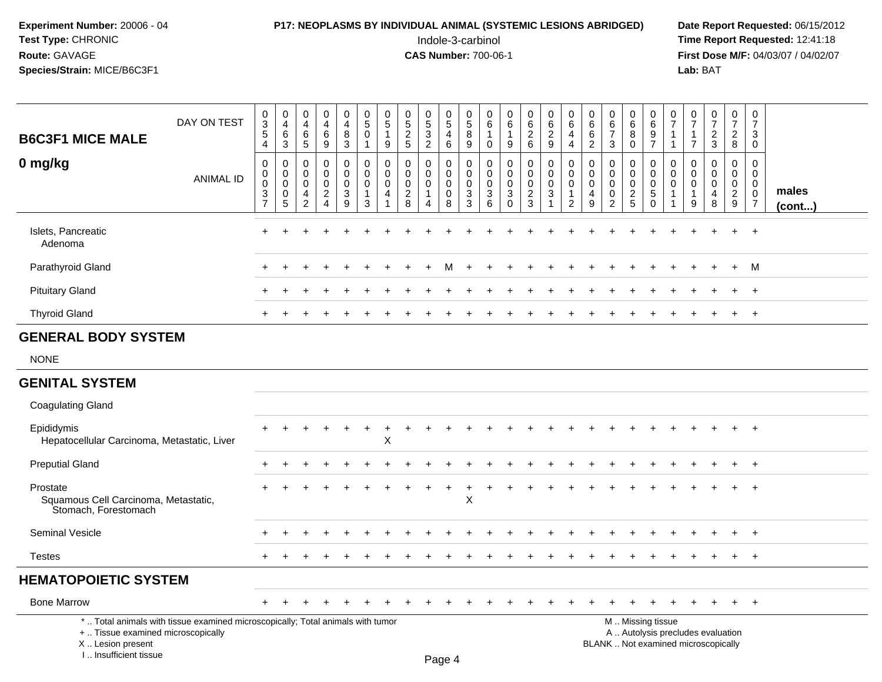# **P17: NEOPLASMS BY INDIVIDUAL ANIMAL (SYSTEMIC LESIONS ABRIDGED)** Date Report Requested: 06/15/2012<br>Indole-3-carbinol **Time Report Requested:** 12:41:18

|                                                                                                                                                                     | DAY ON TEST      | 0<br>$\frac{3}{5}$                               | $\,0\,$<br>$\overline{4}$<br>$\,6\,$                                     | 0<br>4<br>6                                            | $\pmb{0}$<br>$\overline{4}$<br>$6\phantom{1}6$                                  | $\pmb{0}$<br>$\overline{4}$<br>$\,8\,$                                                 | 0<br>5<br>$\mathbf 0$                                           | $\pmb{0}$<br>$\overline{5}$<br>$\mathbf{1}$        | 0<br>$\frac{5}{2}$                           | $\begin{smallmatrix}0\5\3\end{smallmatrix}$                           | $\pmb{0}$<br>$\overline{5}$<br>$\overline{4}$                 | $\pmb{0}$<br>$\sqrt{5}$<br>$\,8\,$                                                     | 0<br>6<br>1                     | 0<br>6<br>$\mathbf{1}$                                                                   | $\pmb{0}$<br>$\frac{6}{2}$           | 0<br>$\,6\,$<br>$\overline{2}$            | $\pmb{0}$<br>$\,6\,$<br>$\overline{4}$                                       | 0<br>$\,6\,$<br>6                                       | 0<br>$\,6\,$<br>$\overline{7}$                                          | 0<br>$\,6$<br>$\overline{8}$                     | $\,0\,$<br>$\,6\,$<br>$\boldsymbol{9}$             | $\,0\,$<br>$\overline{7}$<br>1                            | 0<br>$\overline{7}$<br>$\mathbf{1}$                           | $\pmb{0}$<br>$\overline{7}$<br>$\sqrt{2}$           | $\pmb{0}$<br>$\overline{7}$<br>$\sqrt{2}$                                     | 0<br>$\overline{7}$<br>3                                                 |                       |
|---------------------------------------------------------------------------------------------------------------------------------------------------------------------|------------------|--------------------------------------------------|--------------------------------------------------------------------------|--------------------------------------------------------|---------------------------------------------------------------------------------|----------------------------------------------------------------------------------------|-----------------------------------------------------------------|----------------------------------------------------|----------------------------------------------|-----------------------------------------------------------------------|---------------------------------------------------------------|----------------------------------------------------------------------------------------|---------------------------------|------------------------------------------------------------------------------------------|--------------------------------------|-------------------------------------------|------------------------------------------------------------------------------|---------------------------------------------------------|-------------------------------------------------------------------------|--------------------------------------------------|----------------------------------------------------|-----------------------------------------------------------|---------------------------------------------------------------|-----------------------------------------------------|-------------------------------------------------------------------------------|--------------------------------------------------------------------------|-----------------------|
| <b>B6C3F1 MICE MALE</b>                                                                                                                                             |                  | $\overline{4}$                                   | $\mathbf{3}$                                                             | $\sqrt{5}$                                             | 9                                                                               | $\mathbf{3}$                                                                           | $\mathbf{1}$                                                    | $\boldsymbol{9}$                                   | $\sqrt{5}$                                   | $\overline{2}$                                                        | 6                                                             | 9                                                                                      | $\mathbf 0$                     | 9                                                                                        | 6                                    | 9                                         | $\overline{4}$                                                               | $\sqrt{2}$                                              | $\mathbf{3}$                                                            | $\mathbf 0$                                      | $\overline{7}$                                     | $\mathbf{1}$                                              | $\overline{7}$                                                | $\mathbf{3}$                                        | 8                                                                             | $\overline{0}$                                                           |                       |
| 0 mg/kg                                                                                                                                                             | <b>ANIMAL ID</b> | $\mathbf 0$<br>0<br>$\mathbf 0$<br>$\frac{3}{7}$ | $\mathbf 0$<br>$\mathsf{O}\xspace$<br>$\boldsymbol{0}$<br>$\pmb{0}$<br>5 | $\mathbf 0$<br>0<br>$\mathbf 0$<br>4<br>$\overline{2}$ | $\mathbf 0$<br>$\mathbf 0$<br>$\mathbf 0$<br>$\boldsymbol{2}$<br>$\overline{A}$ | 0<br>$\mathsf{O}\xspace$<br>$\mathbf 0$<br>$\ensuremath{\mathsf{3}}$<br>$\overline{9}$ | 0<br>$\mathbf 0$<br>$\mathbf 0$<br>$\mathbf{1}$<br>$\mathbf{3}$ | 0<br>$\pmb{0}$<br>$\mathbf 0$<br>4<br>$\mathbf{1}$ | 0<br>0<br>$\mathbf 0$<br>$\overline{2}$<br>8 | $\mathbf 0$<br>$\mathbf 0$<br>$\mathbf 0$<br>$\mathbf{1}$<br>$\Delta$ | $\mathbf 0$<br>$\mathbf 0$<br>$\mathbf 0$<br>$\mathbf 0$<br>8 | 0<br>$\mathsf{O}\xspace$<br>$\mathbf 0$<br>$\ensuremath{\mathsf{3}}$<br>$\overline{3}$ | 0<br>0<br>$\mathbf 0$<br>3<br>6 | $\mathbf 0$<br>$\mathbf 0$<br>$\mathbf 0$<br>$\ensuremath{\mathsf{3}}$<br>$\overline{0}$ | 0<br>$\pmb{0}$<br>0<br>$\frac{2}{3}$ | 0<br>$\mathbf 0$<br>$\mathbf 0$<br>3<br>1 | $\pmb{0}$<br>$\overline{0}$<br>$\mathbf 0$<br>$\mathbf{1}$<br>$\overline{2}$ | $\mathbf 0$<br>$\mathbf 0$<br>$\mathbf 0$<br>4<br>$9\,$ | $\mathbf 0$<br>$\mathbf 0$<br>$\Omega$<br>$\mathbf 0$<br>$\overline{2}$ | $\mathbf 0$<br>$\mathbf 0$<br>0<br>$\frac{2}{5}$ | 0<br>$\mathbf 0$<br>0<br>$\sqrt{5}$<br>$\mathbf 0$ | $\mathbf 0$<br>$\mathbf 0$<br>$\mathbf 0$<br>$\mathbf{1}$ | $\mathbf 0$<br>$\mathbf 0$<br>$\mathbf 0$<br>$\mathbf 1$<br>9 | $\mathbf 0$<br>$\mathbf 0$<br>$\mathbf 0$<br>4<br>8 | $\mathbf 0$<br>$\pmb{0}$<br>$\mathbf 0$<br>$\overline{c}$<br>$\boldsymbol{9}$ | 0<br>$\mathsf{O}\xspace$<br>$\mathbf 0$<br>$\mathbf 0$<br>$\overline{7}$ | males<br>$($ cont $)$ |
| Islets, Pancreatic<br>Adenoma                                                                                                                                       |                  | $\pm$                                            |                                                                          |                                                        |                                                                                 |                                                                                        |                                                                 |                                                    |                                              |                                                                       |                                                               |                                                                                        |                                 |                                                                                          |                                      |                                           |                                                                              |                                                         |                                                                         |                                                  |                                                    |                                                           |                                                               |                                                     | $+$                                                                           | $+$                                                                      |                       |
| Parathyroid Gland                                                                                                                                                   |                  |                                                  | $\div$                                                                   |                                                        |                                                                                 |                                                                                        |                                                                 |                                                    |                                              |                                                                       | м                                                             |                                                                                        |                                 |                                                                                          |                                      | $\div$                                    |                                                                              |                                                         |                                                                         |                                                  |                                                    |                                                           |                                                               |                                                     | $+$                                                                           | M                                                                        |                       |
| <b>Pituitary Gland</b>                                                                                                                                              |                  |                                                  |                                                                          |                                                        |                                                                                 |                                                                                        |                                                                 |                                                    |                                              |                                                                       |                                                               |                                                                                        |                                 |                                                                                          |                                      |                                           |                                                                              |                                                         |                                                                         |                                                  |                                                    |                                                           |                                                               |                                                     | $\ddot{}$                                                                     | $^{+}$                                                                   |                       |
| <b>Thyroid Gland</b>                                                                                                                                                |                  |                                                  |                                                                          |                                                        |                                                                                 |                                                                                        |                                                                 |                                                    |                                              |                                                                       |                                                               |                                                                                        |                                 |                                                                                          |                                      |                                           |                                                                              |                                                         |                                                                         |                                                  |                                                    |                                                           |                                                               |                                                     | $\ddot{}$                                                                     | $^{+}$                                                                   |                       |
| <b>GENERAL BODY SYSTEM</b>                                                                                                                                          |                  |                                                  |                                                                          |                                                        |                                                                                 |                                                                                        |                                                                 |                                                    |                                              |                                                                       |                                                               |                                                                                        |                                 |                                                                                          |                                      |                                           |                                                                              |                                                         |                                                                         |                                                  |                                                    |                                                           |                                                               |                                                     |                                                                               |                                                                          |                       |
| <b>NONE</b>                                                                                                                                                         |                  |                                                  |                                                                          |                                                        |                                                                                 |                                                                                        |                                                                 |                                                    |                                              |                                                                       |                                                               |                                                                                        |                                 |                                                                                          |                                      |                                           |                                                                              |                                                         |                                                                         |                                                  |                                                    |                                                           |                                                               |                                                     |                                                                               |                                                                          |                       |
| <b>GENITAL SYSTEM</b>                                                                                                                                               |                  |                                                  |                                                                          |                                                        |                                                                                 |                                                                                        |                                                                 |                                                    |                                              |                                                                       |                                                               |                                                                                        |                                 |                                                                                          |                                      |                                           |                                                                              |                                                         |                                                                         |                                                  |                                                    |                                                           |                                                               |                                                     |                                                                               |                                                                          |                       |
| <b>Coagulating Gland</b>                                                                                                                                            |                  |                                                  |                                                                          |                                                        |                                                                                 |                                                                                        |                                                                 |                                                    |                                              |                                                                       |                                                               |                                                                                        |                                 |                                                                                          |                                      |                                           |                                                                              |                                                         |                                                                         |                                                  |                                                    |                                                           |                                                               |                                                     |                                                                               |                                                                          |                       |
| Epididymis<br>Hepatocellular Carcinoma, Metastatic, Liver                                                                                                           |                  |                                                  |                                                                          |                                                        |                                                                                 |                                                                                        |                                                                 | $\ddot{}$<br>X                                     |                                              |                                                                       |                                                               |                                                                                        |                                 |                                                                                          |                                      |                                           |                                                                              |                                                         |                                                                         |                                                  |                                                    |                                                           |                                                               |                                                     |                                                                               | $\overline{1}$                                                           |                       |
| <b>Preputial Gland</b>                                                                                                                                              |                  |                                                  |                                                                          |                                                        |                                                                                 |                                                                                        |                                                                 |                                                    |                                              |                                                                       |                                                               |                                                                                        |                                 |                                                                                          |                                      |                                           |                                                                              |                                                         |                                                                         |                                                  |                                                    |                                                           |                                                               |                                                     |                                                                               | $\overline{ }$                                                           |                       |
| Prostate<br>Squamous Cell Carcinoma, Metastatic,<br>Stomach, Forestomach                                                                                            |                  |                                                  |                                                                          |                                                        |                                                                                 |                                                                                        |                                                                 |                                                    |                                              |                                                                       |                                                               | $\times$                                                                               |                                 |                                                                                          |                                      |                                           |                                                                              |                                                         |                                                                         |                                                  |                                                    |                                                           |                                                               |                                                     |                                                                               | $\overline{1}$                                                           |                       |
| <b>Seminal Vesicle</b>                                                                                                                                              |                  |                                                  |                                                                          |                                                        |                                                                                 |                                                                                        |                                                                 |                                                    |                                              |                                                                       |                                                               |                                                                                        |                                 |                                                                                          |                                      |                                           |                                                                              |                                                         |                                                                         |                                                  |                                                    |                                                           |                                                               |                                                     |                                                                               | $^{+}$                                                                   |                       |
| <b>Testes</b>                                                                                                                                                       |                  |                                                  |                                                                          |                                                        |                                                                                 |                                                                                        |                                                                 |                                                    |                                              |                                                                       |                                                               |                                                                                        |                                 |                                                                                          |                                      |                                           |                                                                              |                                                         |                                                                         |                                                  |                                                    |                                                           |                                                               |                                                     |                                                                               | $\overline{+}$                                                           |                       |
| <b>HEMATOPOIETIC SYSTEM</b>                                                                                                                                         |                  |                                                  |                                                                          |                                                        |                                                                                 |                                                                                        |                                                                 |                                                    |                                              |                                                                       |                                                               |                                                                                        |                                 |                                                                                          |                                      |                                           |                                                                              |                                                         |                                                                         |                                                  |                                                    |                                                           |                                                               |                                                     |                                                                               |                                                                          |                       |
| <b>Bone Marrow</b>                                                                                                                                                  |                  | $+$                                              |                                                                          |                                                        |                                                                                 |                                                                                        |                                                                 |                                                    |                                              |                                                                       |                                                               |                                                                                        |                                 |                                                                                          |                                      |                                           |                                                                              |                                                         |                                                                         | $\mathbf +$                                      | $\pm$                                              | $\div$                                                    |                                                               |                                                     | $\ddot{}$                                                                     | $+$                                                                      |                       |
| *  Total animals with tissue examined microscopically; Total animals with tumor<br>+  Tissue examined microscopically<br>X  Lesion present<br>I Insufficient tissue |                  |                                                  |                                                                          |                                                        |                                                                                 |                                                                                        |                                                                 |                                                    |                                              |                                                                       | Page 4                                                        |                                                                                        |                                 |                                                                                          |                                      |                                           |                                                                              |                                                         | BLANK  Not examined microscopically                                     |                                                  | M  Missing tissue                                  |                                                           |                                                               | A  Autolysis precludes evaluation                   |                                                                               |                                                                          |                       |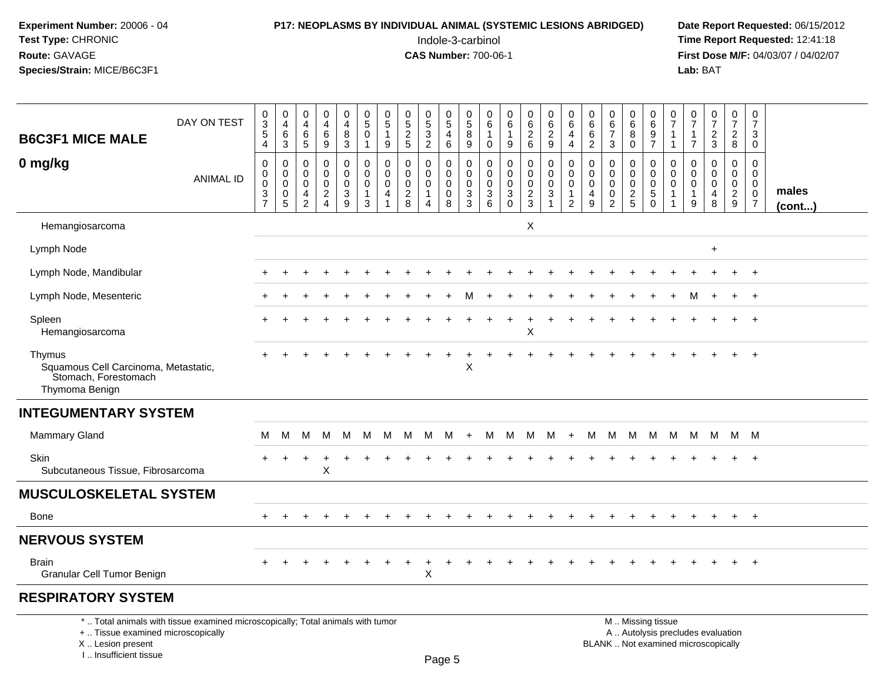# **P17: NEOPLASMS BY INDIVIDUAL ANIMAL (SYSTEMIC LESIONS ABRIDGED)** Date Report Requested: 06/15/2012<br>Indole-3-carbinol **Time Report Requested:** 12:41:18

| DAY ON TEST<br><b>B6C3F1 MICE MALE</b>                                                                                                                             | 0<br>3<br>5                                                     | 0<br>$\overline{4}$<br>6                     | $\mathbf 0$<br>4<br>6                             | $\pmb{0}$<br>$\overline{\mathbf{4}}$<br>$\,6\,$                              | $\pmb{0}$<br>$\overline{4}$<br>$\,8\,$                                             | $\mathbf 0$<br>$\sqrt{5}$<br>0                                                  | 0<br>5<br>$\mathbf{1}$                    | 0<br>$\sqrt{5}$<br>$\overline{2}$                                    | $\begin{array}{c} 0 \\ 5 \\ 3 \end{array}$                              | $\pmb{0}$<br>$\sqrt{5}$<br>4       | 0<br>$\overline{5}$<br>8                                          | 0<br>6<br>$\mathbf 1$                                     | 0<br>6<br>$\mathbf{1}$                                                   | 0<br>6<br>$\boldsymbol{2}$                | 0<br>$6\phantom{a}$<br>$\overline{2}$                      | 0<br>$\,6\,$<br>$\overline{4}$                                           | 0<br>$\,6\,$<br>$\,6$                             | 0<br>$\,6\,$<br>$\overline{7}$                                                  | 0<br>$\,6$<br>8                                     | 0<br>6<br>9                                                                            | 0<br>$\overline{7}$<br>1                         | 0<br>$\overline{7}$<br>$\mathbf{1}$               | $\pmb{0}$<br>$\overline{7}$<br>$\overline{2}$                            | $\mathbf 0$<br>$\overline{7}$<br>$\overline{2}$  | $\mathbf 0$<br>$\overline{7}$<br>3                                                        |                       |
|--------------------------------------------------------------------------------------------------------------------------------------------------------------------|-----------------------------------------------------------------|----------------------------------------------|---------------------------------------------------|------------------------------------------------------------------------------|------------------------------------------------------------------------------------|---------------------------------------------------------------------------------|-------------------------------------------|----------------------------------------------------------------------|-------------------------------------------------------------------------|------------------------------------|-------------------------------------------------------------------|-----------------------------------------------------------|--------------------------------------------------------------------------|-------------------------------------------|------------------------------------------------------------|--------------------------------------------------------------------------|---------------------------------------------------|---------------------------------------------------------------------------------|-----------------------------------------------------|----------------------------------------------------------------------------------------|--------------------------------------------------|---------------------------------------------------|--------------------------------------------------------------------------|--------------------------------------------------|-------------------------------------------------------------------------------------------|-----------------------|
| 0 mg/kg<br><b>ANIMAL ID</b>                                                                                                                                        | 4<br>0<br>0<br>0<br>$\ensuremath{\mathsf{3}}$<br>$\overline{7}$ | 3<br>$\mathbf 0$<br>0<br>$\pmb{0}$<br>0<br>5 | 5<br>$\mathbf 0$<br>0<br>0<br>4<br>$\overline{2}$ | 9<br>$\mathbf 0$<br>$\mathbf 0$<br>$\pmb{0}$<br>$\sqrt{2}$<br>$\overline{4}$ | 3<br>$\mathbf 0$<br>$\mathbf 0$<br>$\pmb{0}$<br>$\ensuremath{\mathsf{3}}$<br>$9\,$ | $\mathbf{1}$<br>$\mathbf 0$<br>$\mathbf 0$<br>0<br>$\mathbf{1}$<br>$\mathbf{3}$ | 9<br>0<br>$\mathbf 0$<br>$\mathbf 0$<br>4 | $\sqrt{5}$<br>$\mathbf 0$<br>0<br>$\pmb{0}$<br>$\boldsymbol{2}$<br>8 | $\overline{2}$<br>0<br>0<br>$\pmb{0}$<br>$\mathbf{1}$<br>$\overline{4}$ | 6<br>0<br>0<br>0<br>$\pmb{0}$<br>8 | $9\,$<br>$\mathbf 0$<br>$\mathbf 0$<br>$\pmb{0}$<br>$\frac{3}{3}$ | $\mathbf 0$<br>0<br>0<br>$\mathbf 0$<br>$\mathbf{3}$<br>6 | 9<br>$\mathbf 0$<br>$\mathbf 0$<br>$\mathbf 0$<br>$\sqrt{3}$<br>$\Omega$ | 6<br>0<br>0<br>$\pmb{0}$<br>$\frac{2}{3}$ | 9<br>0<br>$\mathbf 0$<br>0<br>$\sqrt{3}$<br>$\overline{1}$ | $\overline{4}$<br>$\mathbf 0$<br>$\mathbf 0$<br>0<br>1<br>$\overline{2}$ | $\overline{2}$<br>$\mathbf 0$<br>0<br>0<br>4<br>9 | 3<br>$\mathbf 0$<br>$\mathbf 0$<br>$\mathbf 0$<br>$\mathbf 0$<br>$\overline{2}$ | $\mathbf 0$<br>0<br>0<br>$\pmb{0}$<br>$\frac{2}{5}$ | $\overline{7}$<br>0<br>$\mathbf 0$<br>$\mathsf{O}\xspace$<br>$\sqrt{5}$<br>$\mathbf 0$ | $\mathbf{1}$<br>0<br>0<br>0<br>1<br>$\mathbf{1}$ | $\overline{7}$<br>0<br>0<br>$\mathbf 0$<br>1<br>9 | 3<br>$\mathbf 0$<br>$\mathbf 0$<br>$\mathsf 0$<br>4<br>8                 | 8<br>0<br>0<br>$\overline{0}$<br>$\sqrt{2}$<br>9 | $\mathbf 0$<br>$\mathbf 0$<br>$\mathbf 0$<br>$\mathbf 0$<br>$\mathbf 0$<br>$\overline{7}$ | males<br>$($ cont $)$ |
| Hemangiosarcoma                                                                                                                                                    |                                                                 |                                              |                                                   |                                                                              |                                                                                    |                                                                                 |                                           |                                                                      |                                                                         |                                    |                                                                   |                                                           |                                                                          | X                                         |                                                            |                                                                          |                                                   |                                                                                 |                                                     |                                                                                        |                                                  |                                                   |                                                                          |                                                  |                                                                                           |                       |
| Lymph Node                                                                                                                                                         |                                                                 |                                              |                                                   |                                                                              |                                                                                    |                                                                                 |                                           |                                                                      |                                                                         |                                    |                                                                   |                                                           |                                                                          |                                           |                                                            |                                                                          |                                                   |                                                                                 |                                                     |                                                                                        |                                                  |                                                   | $\ddot{}$                                                                |                                                  |                                                                                           |                       |
| Lymph Node, Mandibular                                                                                                                                             |                                                                 |                                              |                                                   |                                                                              |                                                                                    |                                                                                 |                                           |                                                                      |                                                                         |                                    |                                                                   |                                                           |                                                                          |                                           |                                                            |                                                                          |                                                   |                                                                                 |                                                     |                                                                                        |                                                  |                                                   | $\overline{ }$                                                           | $\ddot{}$                                        | $+$                                                                                       |                       |
| Lymph Node, Mesenteric                                                                                                                                             |                                                                 |                                              |                                                   |                                                                              |                                                                                    |                                                                                 |                                           |                                                                      |                                                                         |                                    | м                                                                 |                                                           |                                                                          |                                           |                                                            |                                                                          |                                                   |                                                                                 |                                                     |                                                                                        |                                                  |                                                   |                                                                          | $\ddot{}$                                        | $+$                                                                                       |                       |
| Spleen<br>Hemangiosarcoma                                                                                                                                          |                                                                 |                                              |                                                   |                                                                              |                                                                                    |                                                                                 |                                           |                                                                      |                                                                         |                                    |                                                                   |                                                           |                                                                          | Χ                                         |                                                            |                                                                          |                                                   |                                                                                 |                                                     |                                                                                        |                                                  |                                                   |                                                                          |                                                  | $\overline{+}$                                                                            |                       |
| Thymus<br>Squamous Cell Carcinoma, Metastatic,<br>Stomach, Forestomach<br>Thymoma Benign                                                                           |                                                                 |                                              |                                                   |                                                                              |                                                                                    |                                                                                 |                                           |                                                                      |                                                                         | $\ddot{}$                          | X                                                                 |                                                           |                                                                          |                                           |                                                            |                                                                          |                                                   |                                                                                 |                                                     |                                                                                        |                                                  |                                                   |                                                                          |                                                  | $+$                                                                                       |                       |
| <b>INTEGUMENTARY SYSTEM</b>                                                                                                                                        |                                                                 |                                              |                                                   |                                                                              |                                                                                    |                                                                                 |                                           |                                                                      |                                                                         |                                    |                                                                   |                                                           |                                                                          |                                           |                                                            |                                                                          |                                                   |                                                                                 |                                                     |                                                                                        |                                                  |                                                   |                                                                          |                                                  |                                                                                           |                       |
| Mammary Gland                                                                                                                                                      | M                                                               | M                                            | M                                                 | M                                                                            | M                                                                                  | М                                                                               | M                                         | M                                                                    | M                                                                       | M                                  | $+$                                                               | M                                                         | M                                                                        | M                                         | M                                                          | $\ddot{}$                                                                | м                                                 | М                                                                               | M                                                   | M                                                                                      | M                                                |                                                   | M M M M                                                                  |                                                  |                                                                                           |                       |
| <b>Skin</b><br>Subcutaneous Tissue, Fibrosarcoma                                                                                                                   |                                                                 |                                              |                                                   | $\div$<br>X                                                                  |                                                                                    |                                                                                 |                                           |                                                                      |                                                                         |                                    |                                                                   |                                                           |                                                                          |                                           |                                                            |                                                                          |                                                   |                                                                                 |                                                     |                                                                                        |                                                  |                                                   |                                                                          |                                                  | $\overline{ }$                                                                            |                       |
| <b>MUSCULOSKELETAL SYSTEM</b>                                                                                                                                      |                                                                 |                                              |                                                   |                                                                              |                                                                                    |                                                                                 |                                           |                                                                      |                                                                         |                                    |                                                                   |                                                           |                                                                          |                                           |                                                            |                                                                          |                                                   |                                                                                 |                                                     |                                                                                        |                                                  |                                                   |                                                                          |                                                  |                                                                                           |                       |
| Bone                                                                                                                                                               | $+$                                                             | $\ddot{}$                                    |                                                   |                                                                              | $\pm$                                                                              |                                                                                 |                                           |                                                                      |                                                                         | $\ddot{}$                          |                                                                   |                                                           |                                                                          | $\div$                                    | $\ddot{}$                                                  | $\ddot{}$                                                                |                                                   |                                                                                 | ÷                                                   |                                                                                        | $\ddot{}$                                        | $+$                                               | $^{+}$                                                                   | $+$                                              | $+$                                                                                       |                       |
| <b>NERVOUS SYSTEM</b>                                                                                                                                              |                                                                 |                                              |                                                   |                                                                              |                                                                                    |                                                                                 |                                           |                                                                      |                                                                         |                                    |                                                                   |                                                           |                                                                          |                                           |                                                            |                                                                          |                                                   |                                                                                 |                                                     |                                                                                        |                                                  |                                                   |                                                                          |                                                  |                                                                                           |                       |
| <b>Brain</b><br>Granular Cell Tumor Benign                                                                                                                         |                                                                 |                                              |                                                   |                                                                              |                                                                                    |                                                                                 |                                           |                                                                      | $\overline{ }$<br>X                                                     |                                    |                                                                   |                                                           |                                                                          |                                           |                                                            |                                                                          |                                                   |                                                                                 |                                                     |                                                                                        |                                                  |                                                   |                                                                          | $\pm$                                            | $+$                                                                                       |                       |
| <b>RESPIRATORY SYSTEM</b>                                                                                                                                          |                                                                 |                                              |                                                   |                                                                              |                                                                                    |                                                                                 |                                           |                                                                      |                                                                         |                                    |                                                                   |                                                           |                                                                          |                                           |                                                            |                                                                          |                                                   |                                                                                 |                                                     |                                                                                        |                                                  |                                                   |                                                                          |                                                  |                                                                                           |                       |
| *  Total animals with tissue examined microscopically; Total animals with tumor<br>+  Tissue examined microscopically<br>X Lesion present<br>I Insufficient tissue |                                                                 |                                              |                                                   |                                                                              |                                                                                    |                                                                                 |                                           |                                                                      |                                                                         | DaoE                               |                                                                   |                                                           |                                                                          |                                           |                                                            |                                                                          |                                                   |                                                                                 |                                                     | M  Missing tissue                                                                      |                                                  |                                                   | A  Autolysis precludes evaluation<br>BLANK  Not examined microscopically |                                                  |                                                                                           |                       |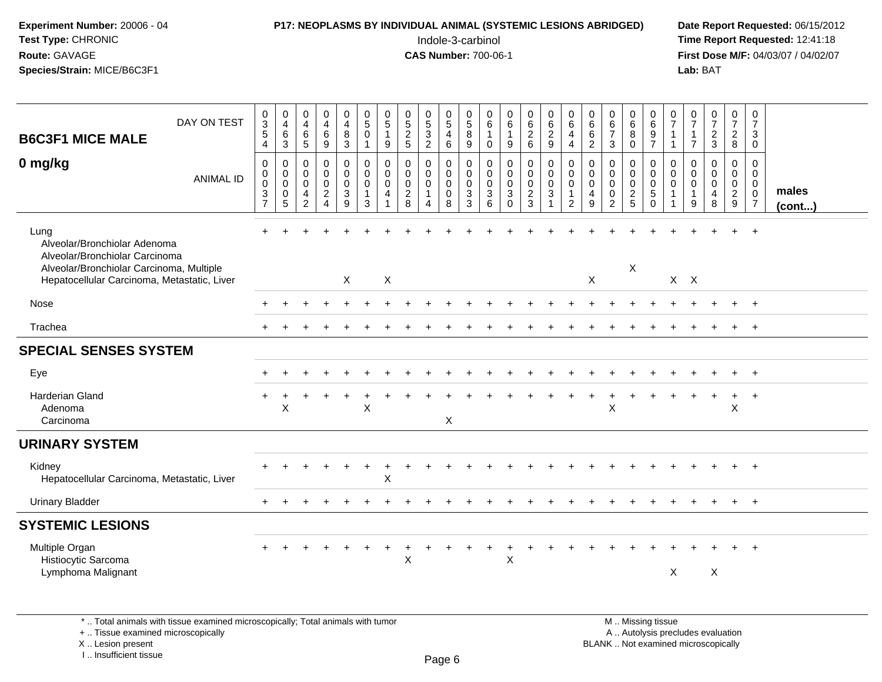## **P17: NEOPLASMS BY INDIVIDUAL ANIMAL (SYSTEMIC LESIONS ABRIDGED)** Date Report Requested: 06/15/2012<br>Indole-3-carbinol **Time Report Requested:** 12:41:18

 Indole-3-carbinol **Time Report Requested:** 12:41:18 **First Dose M/F:** 04/03/07 / 04/02/07<br>Lab: BAT **Lab:** BAT

| <b>B6C3F1 MICE MALE</b>                                                                                                                                           | DAY ON TEST                                                                     | $\frac{0}{3}$<br>$\sqrt{5}$<br>$\overline{4}$            | $\mathbf 0$<br>$\overline{4}$<br>6<br>$\mathbf{3}$           | 0<br>$\overline{\mathbf{4}}$<br>6<br>5                     | 0<br>$\overline{4}$<br>6<br>9                                       | 0<br>$\overline{4}$<br>8<br>$\mathbf{3}$                     | $\begin{array}{c} 0 \\ 5 \end{array}$<br>$\mathbf 0$<br>1 | $\begin{array}{c} 0 \\ 5 \end{array}$<br>$\mathbf{1}$<br>9        | $\begin{array}{c} 0 \\ 5 \end{array}$<br>$rac{2}{5}$             | $\begin{matrix} 0 \\ 5 \end{matrix}$<br>3<br>$\overline{2}$ | $\begin{matrix} 0 \\ 5 \end{matrix}$<br>4<br>6    | $\begin{array}{c} 0 \\ 5 \end{array}$<br>$\bf 8$<br>9            | 0<br>6<br>0                                                       | 0<br>$6\phantom{a}$<br>$\mathbf{1}$<br>$9\,$                           | $\pmb{0}$<br>$\,6\,$<br>$\begin{array}{c} 2 \\ 6 \end{array}$ | 0<br>6<br>$\frac{2}{9}$                                                       | 0<br>6<br>4<br>4                                        | 0<br>$\,6\,$<br>$\,6\,$<br>$\overline{2}$              | $\begin{array}{c} 0 \\ 6 \end{array}$<br>$\overline{7}$<br>$\mathbf{3}$ | 0<br>$6\phantom{a}$<br>8<br>$\mathbf 0$          | 0<br>$\,6\,$<br>$\frac{9}{7}$                                                 | 0<br>$\overline{7}$<br>$\mathbf{1}$                         | 0<br>$\overline{7}$<br>$\mathbf{1}$<br>$\overline{7}$ | $\frac{0}{7}$<br>$\frac{2}{3}$         | $\frac{0}{7}$<br>$\frac{2}{8}$                   | $\mathbf 0$<br>$\overline{7}$<br>3<br>$\mathbf 0$                               |                       |
|-------------------------------------------------------------------------------------------------------------------------------------------------------------------|---------------------------------------------------------------------------------|----------------------------------------------------------|--------------------------------------------------------------|------------------------------------------------------------|---------------------------------------------------------------------|--------------------------------------------------------------|-----------------------------------------------------------|-------------------------------------------------------------------|------------------------------------------------------------------|-------------------------------------------------------------|---------------------------------------------------|------------------------------------------------------------------|-------------------------------------------------------------------|------------------------------------------------------------------------|---------------------------------------------------------------|-------------------------------------------------------------------------------|---------------------------------------------------------|--------------------------------------------------------|-------------------------------------------------------------------------|--------------------------------------------------|-------------------------------------------------------------------------------|-------------------------------------------------------------|-------------------------------------------------------|----------------------------------------|--------------------------------------------------|---------------------------------------------------------------------------------|-----------------------|
| 0 mg/kg                                                                                                                                                           | <b>ANIMAL ID</b>                                                                | $\pmb{0}$<br>$\mathbf 0$<br>$\mathbf 0$<br>$\frac{3}{7}$ | $\mathbf 0$<br>$\mathbf 0$<br>$\mathbf 0$<br>0<br>$\sqrt{5}$ | $\Omega$<br>$\mathbf 0$<br>$\Omega$<br>4<br>$\overline{2}$ | 0<br>$\mathbf 0$<br>$\mathbf 0$<br>$\overline{a}$<br>$\overline{4}$ | $\mathbf 0$<br>$\mathbf 0$<br>$\mathbf 0$<br>$\sqrt{3}$<br>9 | 0<br>$\mathbf 0$<br>$\mathbf 0$<br>$\mathbf{1}$<br>3      | $\mathbf 0$<br>$\mathbf 0$<br>$\mathbf 0$<br>$\overline{4}$<br>-1 | $\mathbf 0$<br>$\mathbf 0$<br>$\mathbf 0$<br>$\overline{2}$<br>8 | 0<br>$\mathbf 0$<br>$\mathbf 0$<br>$\mathbf{1}$<br>4        | 0<br>$\mathbf 0$<br>$\mathbf 0$<br>$\pmb{0}$<br>8 | $\mathbf 0$<br>$\mathbf 0$<br>$\mathbf 0$<br>$\overline{3}$<br>3 | $\mathbf 0$<br>$\mathbf 0$<br>0<br>$\mathbf{3}$<br>$6\phantom{1}$ | $\mathbf 0$<br>$\mathbf 0$<br>$\mathbf 0$<br>$\sqrt{3}$<br>$\mathbf 0$ | 0<br>$\mathbf 0$<br>$\mathbf 0$<br>$\frac{2}{3}$              | $\boldsymbol{0}$<br>$\mathbf 0$<br>$\mathbf 0$<br>$\mathsf 3$<br>$\mathbf{1}$ | $\mathbf 0$<br>0<br>0<br>$\mathbf{1}$<br>$\overline{a}$ | $\mathbf 0$<br>$\mathbf 0$<br>0<br>4<br>$\overline{9}$ | 0<br>$\mathbf 0$<br>$\mathbf 0$<br>$\mathbf 0$<br>$\overline{2}$        | 0<br>$\mathbf 0$<br>$\mathbf 0$<br>$\frac{2}{5}$ | $\mathbf 0$<br>$\mathbf 0$<br>$\mathbf 0$<br>$\overline{5}$<br>$\overline{0}$ | $\mathbf 0$<br>$\Omega$<br>$\mathbf 0$<br>$\mathbf{1}$<br>1 | 0<br>$\mathbf{0}$<br>$\mathbf 0$<br>$\mathbf{1}$<br>9 | 0<br>$\Omega$<br>$\mathbf 0$<br>4<br>8 | 0<br>$\mathbf 0$<br>$\mathbf 0$<br>$\frac{2}{9}$ | $\mathbf 0$<br>$\mathbf{0}$<br>$\mathbf{0}$<br>$\overline{0}$<br>$\overline{7}$ | males<br>$($ cont $)$ |
| Lung<br>Alveolar/Bronchiolar Adenoma<br>Alveolar/Bronchiolar Carcinoma<br>Alveolar/Bronchiolar Carcinoma, Multiple<br>Hepatocellular Carcinoma, Metastatic, Liver |                                                                                 | $\ddot{}$                                                | ÷                                                            |                                                            |                                                                     | $\sf X$                                                      |                                                           | X                                                                 |                                                                  |                                                             |                                                   |                                                                  |                                                                   |                                                                        |                                                               |                                                                               |                                                         | X                                                      |                                                                         | X                                                |                                                                               |                                                             | $X$ $X$                                               | $\ddot{}$                              | $+$                                              | $+$                                                                             |                       |
| Nose                                                                                                                                                              |                                                                                 |                                                          |                                                              |                                                            |                                                                     |                                                              |                                                           |                                                                   |                                                                  |                                                             |                                                   |                                                                  |                                                                   |                                                                        |                                                               |                                                                               |                                                         |                                                        |                                                                         |                                                  |                                                                               |                                                             |                                                       |                                        |                                                  | $+$                                                                             |                       |
| Trachea                                                                                                                                                           |                                                                                 |                                                          |                                                              |                                                            |                                                                     |                                                              |                                                           |                                                                   |                                                                  |                                                             |                                                   |                                                                  |                                                                   |                                                                        |                                                               |                                                                               |                                                         |                                                        |                                                                         |                                                  |                                                                               |                                                             |                                                       |                                        |                                                  | $+$                                                                             |                       |
| <b>SPECIAL SENSES SYSTEM</b>                                                                                                                                      |                                                                                 |                                                          |                                                              |                                                            |                                                                     |                                                              |                                                           |                                                                   |                                                                  |                                                             |                                                   |                                                                  |                                                                   |                                                                        |                                                               |                                                                               |                                                         |                                                        |                                                                         |                                                  |                                                                               |                                                             |                                                       |                                        |                                                  |                                                                                 |                       |
| Eye                                                                                                                                                               |                                                                                 |                                                          |                                                              |                                                            |                                                                     |                                                              |                                                           |                                                                   |                                                                  |                                                             |                                                   |                                                                  |                                                                   |                                                                        |                                                               |                                                                               |                                                         |                                                        |                                                                         |                                                  |                                                                               |                                                             |                                                       |                                        | $+$                                              | $+$                                                                             |                       |
| Harderian Gland<br>Adenoma<br>Carcinoma                                                                                                                           |                                                                                 |                                                          | $\mathsf X$                                                  |                                                            |                                                                     |                                                              | $\boldsymbol{\mathsf{X}}$                                 |                                                                   |                                                                  |                                                             | X                                                 |                                                                  |                                                                   |                                                                        |                                                               |                                                                               |                                                         |                                                        | $\pmb{\times}$                                                          |                                                  |                                                                               |                                                             |                                                       |                                        | $\ddot{}$<br>$\mathsf X$                         | $\ddot{}$                                                                       |                       |
| <b>URINARY SYSTEM</b>                                                                                                                                             |                                                                                 |                                                          |                                                              |                                                            |                                                                     |                                                              |                                                           |                                                                   |                                                                  |                                                             |                                                   |                                                                  |                                                                   |                                                                        |                                                               |                                                                               |                                                         |                                                        |                                                                         |                                                  |                                                                               |                                                             |                                                       |                                        |                                                  |                                                                                 |                       |
| Kidney<br>Hepatocellular Carcinoma, Metastatic, Liver                                                                                                             |                                                                                 |                                                          |                                                              |                                                            |                                                                     |                                                              |                                                           | X                                                                 |                                                                  |                                                             |                                                   |                                                                  |                                                                   |                                                                        |                                                               |                                                                               |                                                         |                                                        |                                                                         |                                                  |                                                                               |                                                             |                                                       |                                        |                                                  | $\overline{+}$                                                                  |                       |
| <b>Urinary Bladder</b>                                                                                                                                            |                                                                                 |                                                          |                                                              |                                                            |                                                                     |                                                              |                                                           |                                                                   |                                                                  |                                                             |                                                   |                                                                  |                                                                   |                                                                        |                                                               |                                                                               |                                                         |                                                        |                                                                         |                                                  |                                                                               |                                                             |                                                       |                                        |                                                  | $+$                                                                             |                       |
| <b>SYSTEMIC LESIONS</b>                                                                                                                                           |                                                                                 |                                                          |                                                              |                                                            |                                                                     |                                                              |                                                           |                                                                   |                                                                  |                                                             |                                                   |                                                                  |                                                                   |                                                                        |                                                               |                                                                               |                                                         |                                                        |                                                                         |                                                  |                                                                               |                                                             |                                                       |                                        |                                                  |                                                                                 |                       |
| Multiple Organ<br>Histiocytic Sarcoma<br>Lymphoma Malignant                                                                                                       |                                                                                 |                                                          |                                                              |                                                            |                                                                     |                                                              |                                                           | $\ddot{}$                                                         | $\ddot{}$<br>X                                                   |                                                             |                                                   | $\ddot{}$                                                        | $\div$                                                            | $\ddot{}$<br>X                                                         |                                                               |                                                                               |                                                         |                                                        |                                                                         |                                                  |                                                                               | X                                                           |                                                       | X                                      | $+$                                              | $+$                                                                             |                       |
|                                                                                                                                                                   | *  Total animals with tissue examined microscopically; Total animals with tumor |                                                          |                                                              |                                                            |                                                                     |                                                              |                                                           |                                                                   |                                                                  |                                                             |                                                   |                                                                  |                                                                   |                                                                        |                                                               |                                                                               |                                                         |                                                        |                                                                         |                                                  | M  Missing tissue                                                             |                                                             |                                                       |                                        |                                                  |                                                                                 |                       |

+ .. Tissue examined microscopically

X .. Lesion present

I .. Insufficient tissue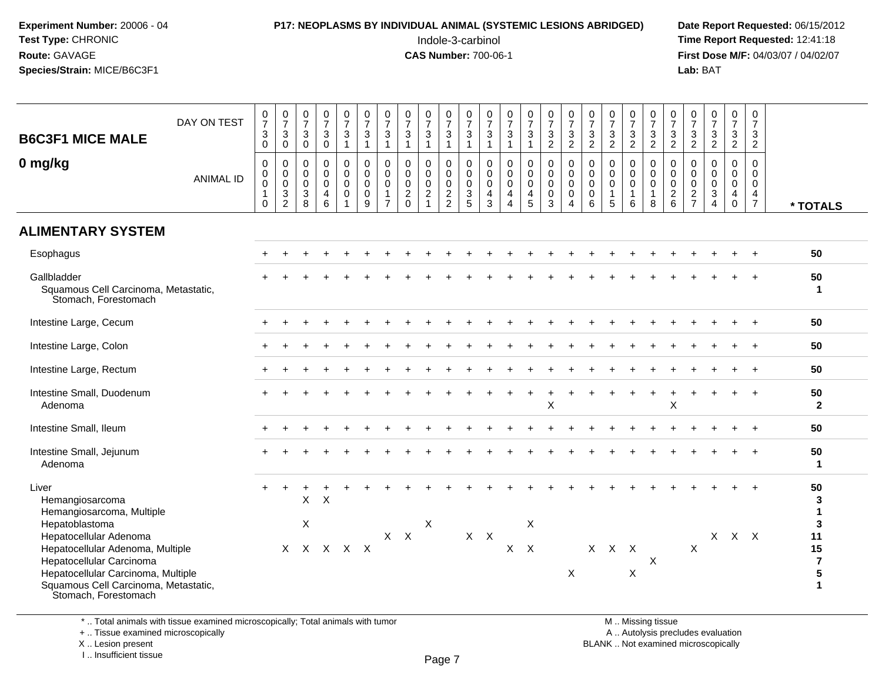## **P17: NEOPLASMS BY INDIVIDUAL ANIMAL (SYSTEMIC LESIONS ABRIDGED)** Date Report Requested: 06/15/2012<br>Indole-3-carbinol **Time Report Requested:** 12:41:18

 Indole-3-carbinol **Time Report Requested:** 12:41:18 **First Dose M/F:** 04/03/07 / 04/02/07<br>Lab: BAT **Lab:** BAT

| <b>B6C3F1 MICE MALE</b><br>0 mg/kg                                                                                                                                                                                                                                      | DAY ON TEST<br><b>ANIMAL ID</b> | $\frac{0}{7}$<br>$\ensuremath{\mathsf{3}}$<br>0<br>$\,0\,$<br>$_{\rm 0}^{\rm 0}$<br>$\mathbf{1}$<br>$\Omega$ | $\begin{array}{c} 0 \\ 7 \end{array}$<br>$\mathbf{3}$<br>$\mathbf 0$<br>$\pmb{0}$<br>$\mathbf 0$<br>$\mathsf{O}\xspace$<br>$\ensuremath{\mathsf{3}}$<br>$\overline{c}$ | 0<br>$\overline{7}$<br>$\mathsf 3$<br>$\mathbf 0$<br>$\mathbf 0$<br>$\mathbf 0$<br>$\mathbf 0$<br>$\ensuremath{\mathsf{3}}$<br>8 | $\begin{array}{c} 0 \\ 7 \end{array}$<br>$\sqrt{3}$<br>$\mathbf 0$<br>$\mathsf{O}\xspace$<br>$\pmb{0}$<br>$\mathsf{O}\xspace$<br>$\overline{4}$<br>6 | $\frac{0}{7}$<br>$\mathsf 3$<br>$\mathbf{1}$<br>0<br>$\mathbf 0$<br>$\mathbf 0$<br>$\mathbf 0$<br>$\mathbf{1}$ | 0<br>$\overline{7}$<br>$\ensuremath{\mathsf{3}}$<br>$\mathbf{1}$<br>$\mathsf 0$<br>$\pmb{0}$<br>$\mathbf 0$<br>$\mathbf 0$<br>9 | $\frac{0}{7}$<br>3<br>$\mathbf{1}$<br>0<br>$\mathbf 0$<br>0<br>$\mathbf{1}$<br>$\overline{7}$ | 0<br>$\overline{7}$<br>$\ensuremath{\mathsf{3}}$<br>$\mathbf{1}$<br>$\mathbf 0$<br>$\pmb{0}$<br>$\pmb{0}$<br>$\boldsymbol{2}$<br>$\Omega$ | $\frac{0}{7}$<br>$\ensuremath{\mathsf{3}}$<br>$\mathbf{1}$<br>$\mathbf 0$<br>$\pmb{0}$<br>$\pmb{0}$<br>$\sqrt{2}$<br>$\overline{1}$ | 0<br>$\overline{7}$<br>$\ensuremath{\mathsf{3}}$<br>$\overline{1}$<br>$\mathbf 0$<br>$\pmb{0}$<br>$\mathsf 0$<br>$\sqrt{2}$<br>2 | $\frac{0}{7}$<br>$\sqrt{3}$<br>$\overline{1}$<br>$\mathbf 0$<br>$\mathbf 0$<br>$\mathbf 0$<br>$\sqrt{3}$<br>5 | 0<br>$\overline{7}$<br>$\mathbf{3}$<br>$\mathbf{1}$<br>$\mathbf 0$<br>$\pmb{0}$<br>$\mathbf 0$<br>4<br>3 | $\frac{0}{7}$<br>$\ensuremath{\mathsf{3}}$<br>$\mathbf{1}$<br>0<br>$\pmb{0}$<br>0<br>$\overline{4}$<br>$\Delta$ | $\frac{0}{7}$<br>$\mathbf{3}$<br>$\mathbf{1}$<br>$\mathbf 0$<br>$\pmb{0}$<br>$\pmb{0}$<br>$\overline{4}$<br>5 | $\frac{0}{7}$<br>$\frac{3}{2}$<br>$\mathbf 0$<br>$\pmb{0}$<br>$\pmb{0}$<br>$\pmb{0}$<br>3 | $\frac{0}{7}$<br>$\sqrt{3}$<br>$\overline{2}$<br>$\mathsf 0$<br>$\mathbf 0$<br>$\mathbf 0$<br>$\mathbf 0$<br>$\overline{4}$ | $\frac{0}{7}$<br>$\sqrt{3}$<br>$\overline{2}$<br>$\mathbf 0$<br>0<br>$\mathbf 0$<br>$\mathbf 0$<br>6 | $\frac{0}{7}$<br>$\mathbf{3}$<br>$\overline{2}$<br>0<br>$\mathsf{O}\xspace$<br>$\mathsf{O}\xspace$<br>$\mathbf{1}$<br>5 | $\begin{array}{c} 0 \\ 7 \end{array}$<br>$\ensuremath{\mathsf{3}}$<br>$\overline{2}$<br>$\mathbf 0$<br>$\pmb{0}$<br>$\mathsf{O}\xspace$<br>$\mathbf{1}$<br>6 | 0<br>$\overline{7}$<br>$\sqrt{3}$<br>$\overline{2}$<br>$\mathbf 0$<br>$\mathsf{O}\xspace$<br>$\mathbf 0$<br>$\mathbf{1}$<br>8 | $\frac{0}{7}$<br>$\frac{3}{2}$<br>$\mathbf 0$<br>$\pmb{0}$<br>$\pmb{0}$<br>$\sqrt{2}$<br>$6\phantom{1}6$ | $\pmb{0}$<br>$\overline{7}$<br>$\sqrt{3}$<br>$\overline{2}$<br>$\mathbf 0$<br>$\mathbf 0$<br>$\mathbf 0$<br>$\frac{2}{7}$ | $\frac{0}{7}$<br>$\ensuremath{\mathsf{3}}$<br>$\overline{2}$<br>$\mathbf 0$<br>$\pmb{0}$<br>$\mathbf 0$<br>$\ensuremath{\mathsf{3}}$<br>$\overline{4}$ | $\frac{0}{7}$<br>3<br>$\overline{2}$<br>$\mathbf 0$<br>$\mathsf{O}$<br>$\mathbf 0$<br>4<br>$\mathbf 0$ | 0<br>$\overline{7}$<br>$\mathbf{3}$<br>$\overline{2}$<br>$\mathbf 0$<br>$\mathbf 0$<br>$\mathbf 0$<br>$\overline{4}$<br>$\overline{7}$ | * TOTALS                                                                                |
|-------------------------------------------------------------------------------------------------------------------------------------------------------------------------------------------------------------------------------------------------------------------------|---------------------------------|--------------------------------------------------------------------------------------------------------------|------------------------------------------------------------------------------------------------------------------------------------------------------------------------|----------------------------------------------------------------------------------------------------------------------------------|------------------------------------------------------------------------------------------------------------------------------------------------------|----------------------------------------------------------------------------------------------------------------|---------------------------------------------------------------------------------------------------------------------------------|-----------------------------------------------------------------------------------------------|-------------------------------------------------------------------------------------------------------------------------------------------|-------------------------------------------------------------------------------------------------------------------------------------|----------------------------------------------------------------------------------------------------------------------------------|---------------------------------------------------------------------------------------------------------------|----------------------------------------------------------------------------------------------------------|-----------------------------------------------------------------------------------------------------------------|---------------------------------------------------------------------------------------------------------------|-------------------------------------------------------------------------------------------|-----------------------------------------------------------------------------------------------------------------------------|------------------------------------------------------------------------------------------------------|-------------------------------------------------------------------------------------------------------------------------|--------------------------------------------------------------------------------------------------------------------------------------------------------------|-------------------------------------------------------------------------------------------------------------------------------|----------------------------------------------------------------------------------------------------------|---------------------------------------------------------------------------------------------------------------------------|--------------------------------------------------------------------------------------------------------------------------------------------------------|--------------------------------------------------------------------------------------------------------|----------------------------------------------------------------------------------------------------------------------------------------|-----------------------------------------------------------------------------------------|
| <b>ALIMENTARY SYSTEM</b>                                                                                                                                                                                                                                                |                                 |                                                                                                              |                                                                                                                                                                        |                                                                                                                                  |                                                                                                                                                      |                                                                                                                |                                                                                                                                 |                                                                                               |                                                                                                                                           |                                                                                                                                     |                                                                                                                                  |                                                                                                               |                                                                                                          |                                                                                                                 |                                                                                                               |                                                                                           |                                                                                                                             |                                                                                                      |                                                                                                                         |                                                                                                                                                              |                                                                                                                               |                                                                                                          |                                                                                                                           |                                                                                                                                                        |                                                                                                        |                                                                                                                                        |                                                                                         |
| Esophagus                                                                                                                                                                                                                                                               |                                 |                                                                                                              |                                                                                                                                                                        |                                                                                                                                  |                                                                                                                                                      |                                                                                                                |                                                                                                                                 |                                                                                               |                                                                                                                                           |                                                                                                                                     |                                                                                                                                  |                                                                                                               |                                                                                                          |                                                                                                                 |                                                                                                               |                                                                                           |                                                                                                                             |                                                                                                      |                                                                                                                         |                                                                                                                                                              |                                                                                                                               |                                                                                                          |                                                                                                                           |                                                                                                                                                        |                                                                                                        | $\overline{+}$                                                                                                                         | 50                                                                                      |
| Gallbladder<br>Squamous Cell Carcinoma, Metastatic,<br>Stomach, Forestomach                                                                                                                                                                                             |                                 |                                                                                                              |                                                                                                                                                                        |                                                                                                                                  |                                                                                                                                                      |                                                                                                                |                                                                                                                                 |                                                                                               |                                                                                                                                           |                                                                                                                                     |                                                                                                                                  |                                                                                                               |                                                                                                          |                                                                                                                 |                                                                                                               |                                                                                           |                                                                                                                             |                                                                                                      |                                                                                                                         |                                                                                                                                                              |                                                                                                                               |                                                                                                          |                                                                                                                           |                                                                                                                                                        |                                                                                                        |                                                                                                                                        | 50<br>$\mathbf{1}$                                                                      |
| Intestine Large, Cecum                                                                                                                                                                                                                                                  |                                 |                                                                                                              |                                                                                                                                                                        |                                                                                                                                  |                                                                                                                                                      |                                                                                                                |                                                                                                                                 |                                                                                               |                                                                                                                                           |                                                                                                                                     |                                                                                                                                  |                                                                                                               |                                                                                                          |                                                                                                                 |                                                                                                               |                                                                                           |                                                                                                                             |                                                                                                      |                                                                                                                         |                                                                                                                                                              |                                                                                                                               |                                                                                                          |                                                                                                                           |                                                                                                                                                        |                                                                                                        | $\ddot{}$                                                                                                                              | 50                                                                                      |
| Intestine Large, Colon                                                                                                                                                                                                                                                  |                                 |                                                                                                              |                                                                                                                                                                        |                                                                                                                                  |                                                                                                                                                      |                                                                                                                |                                                                                                                                 |                                                                                               |                                                                                                                                           |                                                                                                                                     |                                                                                                                                  |                                                                                                               |                                                                                                          |                                                                                                                 |                                                                                                               |                                                                                           |                                                                                                                             |                                                                                                      |                                                                                                                         |                                                                                                                                                              |                                                                                                                               |                                                                                                          |                                                                                                                           |                                                                                                                                                        |                                                                                                        |                                                                                                                                        | 50                                                                                      |
| Intestine Large, Rectum                                                                                                                                                                                                                                                 |                                 |                                                                                                              |                                                                                                                                                                        |                                                                                                                                  |                                                                                                                                                      |                                                                                                                |                                                                                                                                 |                                                                                               |                                                                                                                                           |                                                                                                                                     |                                                                                                                                  |                                                                                                               |                                                                                                          |                                                                                                                 |                                                                                                               |                                                                                           |                                                                                                                             |                                                                                                      |                                                                                                                         |                                                                                                                                                              |                                                                                                                               |                                                                                                          |                                                                                                                           |                                                                                                                                                        |                                                                                                        |                                                                                                                                        | 50                                                                                      |
| Intestine Small, Duodenum<br>Adenoma                                                                                                                                                                                                                                    |                                 |                                                                                                              |                                                                                                                                                                        |                                                                                                                                  |                                                                                                                                                      |                                                                                                                |                                                                                                                                 |                                                                                               |                                                                                                                                           |                                                                                                                                     |                                                                                                                                  |                                                                                                               |                                                                                                          |                                                                                                                 |                                                                                                               | X                                                                                         |                                                                                                                             |                                                                                                      |                                                                                                                         |                                                                                                                                                              |                                                                                                                               | $\sf X$                                                                                                  |                                                                                                                           |                                                                                                                                                        |                                                                                                        |                                                                                                                                        | 50<br>$\mathbf{2}$                                                                      |
| Intestine Small, Ileum                                                                                                                                                                                                                                                  |                                 |                                                                                                              |                                                                                                                                                                        |                                                                                                                                  |                                                                                                                                                      |                                                                                                                |                                                                                                                                 |                                                                                               |                                                                                                                                           |                                                                                                                                     |                                                                                                                                  |                                                                                                               |                                                                                                          |                                                                                                                 |                                                                                                               |                                                                                           |                                                                                                                             |                                                                                                      |                                                                                                                         |                                                                                                                                                              |                                                                                                                               |                                                                                                          |                                                                                                                           |                                                                                                                                                        |                                                                                                        | $\ddot{}$                                                                                                                              | 50                                                                                      |
| Intestine Small, Jejunum<br>Adenoma                                                                                                                                                                                                                                     |                                 |                                                                                                              |                                                                                                                                                                        |                                                                                                                                  |                                                                                                                                                      |                                                                                                                |                                                                                                                                 |                                                                                               |                                                                                                                                           |                                                                                                                                     |                                                                                                                                  |                                                                                                               |                                                                                                          |                                                                                                                 |                                                                                                               |                                                                                           |                                                                                                                             |                                                                                                      |                                                                                                                         |                                                                                                                                                              |                                                                                                                               |                                                                                                          |                                                                                                                           |                                                                                                                                                        |                                                                                                        |                                                                                                                                        | 50<br>$\mathbf{1}$                                                                      |
| Liver<br>Hemangiosarcoma<br>Hemangiosarcoma, Multiple<br>Hepatoblastoma<br>Hepatocellular Adenoma<br>Hepatocellular Adenoma, Multiple<br>Hepatocellular Carcinoma<br>Hepatocellular Carcinoma, Multiple<br>Squamous Cell Carcinoma, Metastatic,<br>Stomach, Forestomach |                                 |                                                                                                              | $\times$                                                                                                                                                               | X<br>X                                                                                                                           | $\times$                                                                                                                                             | X X X X                                                                                                        |                                                                                                                                 | $X$ $X$                                                                                       |                                                                                                                                           | $\times$                                                                                                                            |                                                                                                                                  | $X$ $X$                                                                                                       |                                                                                                          | X                                                                                                               | X<br>X                                                                                                        |                                                                                           | X                                                                                                                           | $\times$                                                                                             | $\boldsymbol{\mathsf{X}}$                                                                                               | X<br>$\mathsf X$                                                                                                                                             | X                                                                                                                             |                                                                                                          | $\times$                                                                                                                  |                                                                                                                                                        | $X$ $X$ $X$                                                                                            |                                                                                                                                        | 50<br>3<br>$\mathbf 1$<br>3<br>11<br>15<br>$\overline{\mathbf{r}}$<br>5<br>$\mathbf{1}$ |

\* .. Total animals with tissue examined microscopically; Total animals with tumor

+ .. Tissue examined microscopically

X .. Lesion present

I .. Insufficient tissue

 M .. Missing tissuey the contract of the contract of the contract of the contract of the contract of  $\mathsf A$  . Autolysis precludes evaluation

Lesion present BLANK .. Not examined microscopically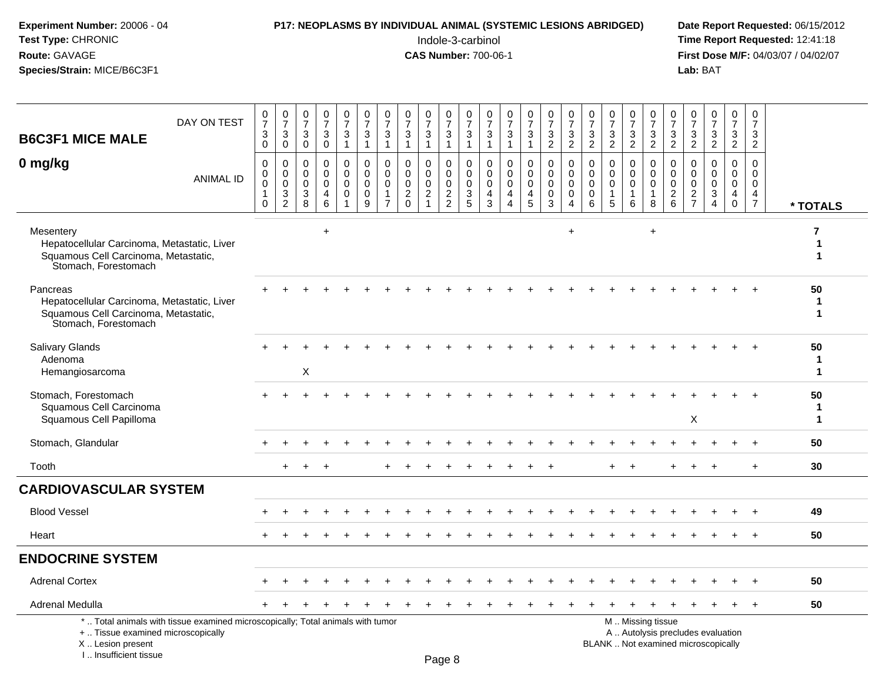# **P17: NEOPLASMS BY INDIVIDUAL ANIMAL (SYSTEMIC LESIONS ABRIDGED)** Date Report Requested: 06/15/2012<br>Indole-3-carbinol **Time Report Requested:** 12:41:18

|                                                                                                                          | DAY ON TEST                                                                     | $\pmb{0}$<br>$\overline{7}$                      | $\frac{0}{7}$                                           | $\begin{array}{c} 0 \\ 7 \end{array}$  | $\begin{array}{c} 0 \\ 7 \end{array}$  | $\begin{array}{c} 0 \\ 7 \end{array}$                                               | $\frac{0}{7}$                                                 | 0<br>$\overline{7}$                                               | $\begin{array}{c} 0 \\ 7 \end{array}$                                   | $\frac{0}{7}$                                  | $\frac{0}{7}$                                             | $\frac{0}{7}$                                                  | 0<br>$\overline{7}$                               | $\frac{0}{7}$                                 | 0<br>$\overline{7}$                       | $\frac{0}{7}$                             | $\begin{array}{c} 0 \\ 7 \end{array}$                       | $\frac{0}{7}$                                                 | $\frac{0}{7}$                                                  | 0<br>$\overline{7}$                       | 0<br>$\overline{7}$                                            | 0<br>$\overline{7}$                                                     | 0<br>$\overline{7}$                           | $\begin{array}{c} 0 \\ 7 \end{array}$                                     | 0<br>$\overline{7}$                                                 | $\pmb{0}$<br>$\overline{7}$                                                   |                                 |
|--------------------------------------------------------------------------------------------------------------------------|---------------------------------------------------------------------------------|--------------------------------------------------|---------------------------------------------------------|----------------------------------------|----------------------------------------|-------------------------------------------------------------------------------------|---------------------------------------------------------------|-------------------------------------------------------------------|-------------------------------------------------------------------------|------------------------------------------------|-----------------------------------------------------------|----------------------------------------------------------------|---------------------------------------------------|-----------------------------------------------|-------------------------------------------|-------------------------------------------|-------------------------------------------------------------|---------------------------------------------------------------|----------------------------------------------------------------|-------------------------------------------|----------------------------------------------------------------|-------------------------------------------------------------------------|-----------------------------------------------|---------------------------------------------------------------------------|---------------------------------------------------------------------|-------------------------------------------------------------------------------|---------------------------------|
| <b>B6C3F1 MICE MALE</b>                                                                                                  |                                                                                 | 3<br>$\mathbf 0$                                 | $\mathbf{3}$<br>$\mathbf 0$                             | 3<br>$\mathbf 0$                       | 3<br>$\mathbf 0$                       | $\ensuremath{\mathsf{3}}$<br>$\mathbf{1}$                                           | $\sqrt{3}$<br>$\mathbf{1}$                                    | 3<br>$\mathbf{1}$                                                 | $\sqrt{3}$<br>$\mathbf{1}$                                              | 3<br>$\mathbf{1}$                              | $\mathbf{3}$<br>$\mathbf{1}$                              | $\sqrt{3}$<br>$\overline{1}$                                   | 3<br>$\mathbf{1}$                                 | 3<br>$\overline{1}$                           | 3<br>$\mathbf{1}$                         | $\mathfrak{Z}$<br>$\overline{2}$          | $\sqrt{3}$<br>$\overline{2}$                                | $\ensuremath{\mathsf{3}}$<br>$\overline{2}$                   | $\mathbf{3}$<br>$\overline{2}$                                 | $\mathbf{3}$<br>$\overline{2}$            | $\sqrt{3}$<br>$\overline{2}$                                   | 3<br>$\overline{2}$                                                     | $\mathbf{3}$<br>$\overline{2}$                | $\ensuremath{\mathsf{3}}$<br>$\overline{2}$                               | 3<br>$\overline{2}$                                                 | 3<br>$\overline{2}$                                                           |                                 |
| 0 mg/kg                                                                                                                  | <b>ANIMAL ID</b>                                                                | $\mathbf 0$<br>0<br>$\mathbf 0$<br>1<br>$\Omega$ | 0<br>$\mathbf 0$<br>0<br>$\mathbf{3}$<br>$\overline{2}$ | 0<br>$\Omega$<br>$\mathbf 0$<br>3<br>8 | $\mathbf 0$<br>$\Omega$<br>0<br>4<br>6 | $\mathbf 0$<br>$\mathbf 0$<br>$\mathbf 0$<br>$\mathbf 0$<br>$\overline{\mathbf{1}}$ | $\mathbf 0$<br>$\mathbf 0$<br>$\mathbf 0$<br>$\mathbf 0$<br>9 | $\Omega$<br>$\Omega$<br>$\Omega$<br>$\mathbf 1$<br>$\overline{7}$ | $\mathbf 0$<br>$\mathbf 0$<br>$\mathbf 0$<br>$\overline{c}$<br>$\Omega$ | 0<br>$\Omega$<br>$\mathbf 0$<br>$\overline{2}$ | 0<br>$\mathbf 0$<br>0<br>$\overline{c}$<br>$\overline{2}$ | $\mathbf 0$<br>$\mathbf 0$<br>$\mathbf 0$<br>$\mathbf{3}$<br>5 | $\Omega$<br>$\mathbf{0}$<br>$\mathbf 0$<br>4<br>3 | $\mathbf 0$<br>$\Omega$<br>$\Omega$<br>4<br>4 | $\mathbf 0$<br>$\mathbf 0$<br>0<br>4<br>5 | 0<br>$\mathbf 0$<br>$\mathbf 0$<br>0<br>3 | $\mathbf 0$<br>$\mathbf 0$<br>$\mathbf 0$<br>$\pmb{0}$<br>4 | $\mathbf 0$<br>$\mathbf 0$<br>$\mathbf 0$<br>$\mathbf 0$<br>6 | $\Omega$<br>$\mathbf{0}$<br>$\mathbf 0$<br>$\overline{1}$<br>5 | 0<br>$\mathbf 0$<br>$\mathbf 0$<br>1<br>6 | $\mathbf 0$<br>$\mathbf 0$<br>$\mathbf 0$<br>$\mathbf{1}$<br>8 | $\Omega$<br>$\Omega$<br>$\mathbf 0$<br>$\overline{2}$<br>$6\phantom{a}$ | 0<br>$\Omega$<br>$\mathbf 0$<br>$\frac{2}{7}$ | $\mathbf 0$<br>$\mathbf 0$<br>0<br>$\mathbf{3}$<br>$\boldsymbol{\Lambda}$ | 0<br>$\mathbf 0$<br>$\mathbf 0$<br>$\overline{4}$<br>$\overline{0}$ | $\mathbf 0$<br>$\mathbf 0$<br>$\mathbf 0$<br>$\overline{4}$<br>$\overline{7}$ | * TOTALS                        |
| Mesentery<br>Hepatocellular Carcinoma, Metastatic, Liver<br>Squamous Cell Carcinoma, Metastatic,<br>Stomach, Forestomach |                                                                                 |                                                  |                                                         |                                        | $\ddot{}$                              |                                                                                     |                                                               |                                                                   |                                                                         |                                                |                                                           |                                                                |                                                   |                                               |                                           |                                           | $+$                                                         |                                                               |                                                                |                                           | $\ddot{}$                                                      |                                                                         |                                               |                                                                           |                                                                     |                                                                               | 7<br>1<br>$\blacktriangleleft$  |
| Pancreas<br>Hepatocellular Carcinoma, Metastatic, Liver<br>Squamous Cell Carcinoma, Metastatic,<br>Stomach, Forestomach  |                                                                                 |                                                  |                                                         |                                        |                                        |                                                                                     |                                                               |                                                                   |                                                                         |                                                |                                                           |                                                                |                                                   |                                               |                                           |                                           |                                                             |                                                               |                                                                |                                           |                                                                |                                                                         |                                               |                                                                           |                                                                     |                                                                               | 50<br>1<br>$\mathbf 1$          |
| <b>Salivary Glands</b><br>Adenoma<br>Hemangiosarcoma                                                                     |                                                                                 |                                                  |                                                         | X                                      |                                        |                                                                                     |                                                               |                                                                   |                                                                         |                                                |                                                           |                                                                |                                                   |                                               |                                           |                                           |                                                             |                                                               |                                                                |                                           |                                                                |                                                                         |                                               |                                                                           |                                                                     |                                                                               | 50<br>1<br>$\blacktriangleleft$ |
| Stomach, Forestomach<br>Squamous Cell Carcinoma<br>Squamous Cell Papilloma                                               |                                                                                 |                                                  |                                                         |                                        |                                        |                                                                                     |                                                               |                                                                   |                                                                         |                                                |                                                           |                                                                |                                                   |                                               |                                           |                                           |                                                             |                                                               |                                                                |                                           |                                                                |                                                                         | X                                             |                                                                           |                                                                     |                                                                               | 50<br>1<br>$\mathbf 1$          |
| Stomach, Glandular                                                                                                       |                                                                                 |                                                  |                                                         |                                        |                                        |                                                                                     |                                                               |                                                                   |                                                                         |                                                |                                                           |                                                                |                                                   |                                               |                                           |                                           |                                                             |                                                               |                                                                |                                           |                                                                |                                                                         |                                               |                                                                           |                                                                     | $\ddot{}$                                                                     | 50                              |
| Tooth                                                                                                                    |                                                                                 |                                                  | $\div$                                                  | $\div$                                 | <b>+</b>                               |                                                                                     |                                                               |                                                                   |                                                                         |                                                |                                                           |                                                                |                                                   |                                               |                                           |                                           |                                                             |                                                               |                                                                | $\overline{+}$                            |                                                                | ÷                                                                       | $+$                                           |                                                                           |                                                                     | $+$                                                                           | 30                              |
| <b>CARDIOVASCULAR SYSTEM</b>                                                                                             |                                                                                 |                                                  |                                                         |                                        |                                        |                                                                                     |                                                               |                                                                   |                                                                         |                                                |                                                           |                                                                |                                                   |                                               |                                           |                                           |                                                             |                                                               |                                                                |                                           |                                                                |                                                                         |                                               |                                                                           |                                                                     |                                                                               |                                 |
| <b>Blood Vessel</b>                                                                                                      |                                                                                 |                                                  |                                                         |                                        |                                        |                                                                                     |                                                               |                                                                   |                                                                         |                                                |                                                           |                                                                |                                                   |                                               |                                           |                                           |                                                             |                                                               |                                                                |                                           |                                                                |                                                                         |                                               |                                                                           |                                                                     |                                                                               | 49                              |
| Heart                                                                                                                    |                                                                                 |                                                  |                                                         |                                        |                                        |                                                                                     |                                                               |                                                                   |                                                                         |                                                |                                                           |                                                                |                                                   |                                               |                                           |                                           |                                                             |                                                               |                                                                |                                           |                                                                |                                                                         |                                               |                                                                           |                                                                     | $+$                                                                           | 50                              |
| <b>ENDOCRINE SYSTEM</b>                                                                                                  |                                                                                 |                                                  |                                                         |                                        |                                        |                                                                                     |                                                               |                                                                   |                                                                         |                                                |                                                           |                                                                |                                                   |                                               |                                           |                                           |                                                             |                                                               |                                                                |                                           |                                                                |                                                                         |                                               |                                                                           |                                                                     |                                                                               |                                 |
| <b>Adrenal Cortex</b>                                                                                                    |                                                                                 |                                                  |                                                         |                                        |                                        |                                                                                     |                                                               |                                                                   |                                                                         |                                                |                                                           |                                                                |                                                   |                                               |                                           |                                           |                                                             |                                                               |                                                                |                                           |                                                                |                                                                         |                                               |                                                                           |                                                                     |                                                                               | 50                              |
| Adrenal Medulla                                                                                                          |                                                                                 |                                                  |                                                         |                                        |                                        |                                                                                     |                                                               |                                                                   |                                                                         |                                                |                                                           |                                                                |                                                   |                                               |                                           |                                           |                                                             |                                                               |                                                                |                                           |                                                                | $\div$                                                                  |                                               | $\div$                                                                    | $+$                                                                 | $+$                                                                           | 50                              |
| +  Tissue examined microscopically<br>X  Lesion present<br>I Insufficient tissue                                         | *  Total animals with tissue examined microscopically; Total animals with tumor |                                                  |                                                         |                                        |                                        |                                                                                     |                                                               |                                                                   |                                                                         |                                                | $D_{200}$ $\Omega$                                        |                                                                |                                                   |                                               |                                           |                                           |                                                             |                                                               |                                                                |                                           | M  Missing tissue                                              |                                                                         |                                               | A  Autolysis precludes evaluation<br>BLANK  Not examined microscopically  |                                                                     |                                                                               |                                 |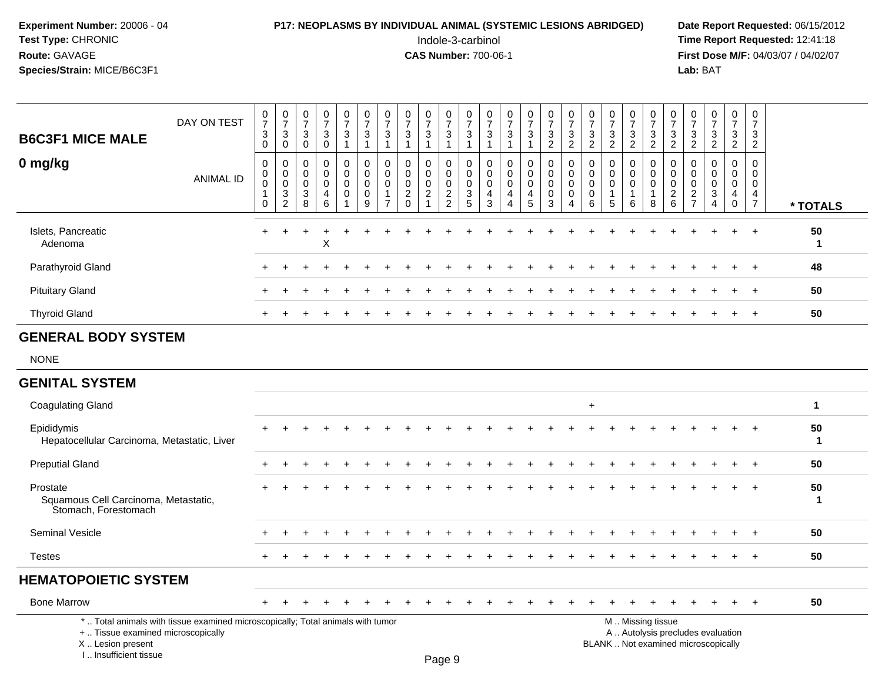# **P17: NEOPLASMS BY INDIVIDUAL ANIMAL (SYSTEMIC LESIONS ABRIDGED)** Date Report Requested: 06/15/2012<br>Indole-3-carbinol **Time Report Requested:** 12:41:18

 Indole-3-carbinol **Time Report Requested:** 12:41:18 **First Dose M/F:** 04/03/07 / 04/02/07<br>Lab: BAT **Lab:** BAT

| <b>B6C3F1 MICE MALE</b>       | DAY ON TEST      | $\frac{0}{7}$<br>$\ensuremath{\mathsf{3}}$<br>$\mathbf 0$ | $\frac{0}{7}$<br>$\sqrt{3}$<br>$\pmb{0}$                      | $\frac{0}{7}$<br>$\sqrt{3}$<br>$\mathsf 0$ | 0<br>$\overline{\phantom{0}}$<br>3<br>$\overline{0}$              | $\mathbf 0$<br>$\rightarrow$<br>3 | $\frac{0}{7}$<br>$\sqrt{3}$           | $\frac{0}{7}$<br>$\sqrt{3}$            | $\frac{0}{7}$<br>$\ensuremath{\mathsf{3}}$                                 | $\frac{0}{7}$<br>$\sqrt{3}$<br>$\overline{A}$       | 0<br>$\overline{ }$<br>$\ensuremath{\mathsf{3}}$        | $\frac{0}{7}$<br>3       | $\frac{0}{7}$<br>$\ensuremath{\mathsf{3}}$                                       | $\frac{0}{7}$<br>3                                            | $\frac{0}{7}$<br>$\sqrt{3}$                        | $\frac{0}{7}$<br>$\ensuremath{\mathsf{3}}$<br>$\overline{2}$ | 0<br>$\overline{ }$<br>3<br>$\overline{a}$ | $\frac{0}{7}$<br>3<br>$\overline{c}$ | $\frac{0}{7}$<br>$\mathsf 3$<br>$\overline{c}$ | $\overline{0}$<br>$\rightarrow$<br>$\mathsf 3$<br>$\overline{c}$ | $\frac{0}{7}$<br>$\frac{3}{2}$                                 | $\frac{0}{7}$<br>$\frac{3}{2}$                               | 0<br>$\rightarrow$<br>3<br>$\overline{c}$                        | $\overline{ }$<br>$\mathbf{3}$<br>$\overline{c}$ | $\frac{0}{7}$<br>$\ensuremath{\mathsf{3}}$<br>$\overline{c}$ | 0<br>$\rightarrow$<br>$\mathbf{3}$<br>$\overline{2}$ |                   |
|-------------------------------|------------------|-----------------------------------------------------------|---------------------------------------------------------------|--------------------------------------------|-------------------------------------------------------------------|-----------------------------------|---------------------------------------|----------------------------------------|----------------------------------------------------------------------------|-----------------------------------------------------|---------------------------------------------------------|--------------------------|----------------------------------------------------------------------------------|---------------------------------------------------------------|----------------------------------------------------|--------------------------------------------------------------|--------------------------------------------|--------------------------------------|------------------------------------------------|------------------------------------------------------------------|----------------------------------------------------------------|--------------------------------------------------------------|------------------------------------------------------------------|--------------------------------------------------|--------------------------------------------------------------|------------------------------------------------------|-------------------|
| 0 mg/kg                       | <b>ANIMAL ID</b> | 0<br>$\mathbf 0$<br>$\pmb{0}$<br>0                        | 0<br>$\pmb{0}$<br>$\pmb{0}$<br>$\mathbf{3}$<br>$\overline{2}$ | $_{\rm 0}^{\rm 0}$<br>0<br>$\sqrt{3}$<br>8 | $\boldsymbol{0}$<br>$\pmb{0}$<br>$\pmb{0}$<br>$\overline{4}$<br>6 | 0<br>0<br>0<br>0                  | 0<br>0<br>$\pmb{0}$<br>$\pmb{0}$<br>9 | $_0^0$<br>$\mathbf 0$<br>$\rightarrow$ | $\begin{smallmatrix} 0\\0 \end{smallmatrix}$<br>$\pmb{0}$<br>$\frac{2}{0}$ | 0<br>$\pmb{0}$<br>0<br>$\sqrt{2}$<br>$\overline{A}$ | 0<br>$\pmb{0}$<br>0<br>$\overline{c}$<br>$\overline{2}$ | $\pmb{0}$<br>0<br>3<br>5 | $\mathbf{0}$<br>$\ddot{\mathbf{0}}$<br>$\pmb{0}$<br>$\overline{\mathbf{4}}$<br>3 | 0<br>$\pmb{0}$<br>$\mathbf 0$<br>$\overline{\mathbf{4}}$<br>4 | 0<br>$\pmb{0}$<br>$\pmb{0}$<br>$\overline{4}$<br>5 | 0<br>0<br>0<br>0<br>3                                        | $\pmb{0}$<br>0<br>0<br>4                   | 0<br>0<br>0<br>0<br>6                | $\mathbf 0$<br>$\mathbf 0$<br>5                | 0<br>$\mathbf 0$<br>$\pmb{0}$<br>6                               | $\begin{smallmatrix} 0\\0 \end{smallmatrix}$<br>$\pmb{0}$<br>8 | $_{\rm 0}^{\rm 0}$<br>$\pmb{0}$<br>$\boldsymbol{2}$<br>$\,6$ | 0<br>$\boldsymbol{0}$<br>0<br><sup>o</sup><br>∠<br>$\rightarrow$ | $\pmb{0}$<br>0<br>3                              | $\mathbf{0}$<br>$\mathbf 0$<br>0<br>4<br>$\mathbf 0$         | 0<br>$\mathbf 0$<br>0<br>4<br>$\overline{ }$         | * TOTALS          |
| Islets, Pancreatic<br>Adenoma |                  | $+$                                                       |                                                               |                                            | X                                                                 |                                   |                                       |                                        |                                                                            |                                                     |                                                         |                          |                                                                                  |                                                               |                                                    |                                                              |                                            |                                      |                                                |                                                                  |                                                                |                                                              |                                                                  |                                                  | $+$                                                          | $\overline{+}$                                       | 50<br>$\mathbf 1$ |
| Parathyroid Gland             |                  |                                                           |                                                               |                                            |                                                                   |                                   |                                       |                                        |                                                                            |                                                     |                                                         |                          |                                                                                  |                                                               |                                                    |                                                              |                                            |                                      |                                                |                                                                  |                                                                |                                                              |                                                                  |                                                  | $+$                                                          | $+$                                                  | 48                |
| <b>Pituitary Gland</b>        |                  |                                                           |                                                               |                                            |                                                                   |                                   |                                       |                                        |                                                                            |                                                     |                                                         |                          |                                                                                  |                                                               |                                                    |                                                              |                                            |                                      |                                                |                                                                  |                                                                |                                                              |                                                                  |                                                  | $+$                                                          | $+$                                                  | 50                |
| <b>Thyroid Gland</b>          |                  | $+$                                                       |                                                               |                                            |                                                                   |                                   |                                       |                                        |                                                                            |                                                     |                                                         |                          |                                                                                  |                                                               |                                                    |                                                              |                                            |                                      |                                                |                                                                  |                                                                |                                                              |                                                                  |                                                  | $+$                                                          | $+$                                                  | 50                |
| AFUED AL BABY OVATEM          |                  |                                                           |                                                               |                                            |                                                                   |                                   |                                       |                                        |                                                                            |                                                     |                                                         |                          |                                                                                  |                                                               |                                                    |                                                              |                                            |                                      |                                                |                                                                  |                                                                |                                                              |                                                                  |                                                  |                                                              |                                                      |                   |

#### **GENERAL BODY SYSTEM**

NONE

#### **GENITAL SYSTEM**

| . <i>. .</i>                                                                                                                                                        |       |  |  |  |  |              |  |  |  |           |  |                   |  |                                                                          |     |     |      |    |  |
|---------------------------------------------------------------------------------------------------------------------------------------------------------------------|-------|--|--|--|--|--------------|--|--|--|-----------|--|-------------------|--|--------------------------------------------------------------------------|-----|-----|------|----|--|
| <b>Coagulating Gland</b>                                                                                                                                            |       |  |  |  |  |              |  |  |  | $\ddot{}$ |  |                   |  |                                                                          |     |     |      |    |  |
| Epididymis<br>Hepatocellular Carcinoma, Metastatic, Liver                                                                                                           | $+$   |  |  |  |  |              |  |  |  |           |  |                   |  |                                                                          |     | $+$ |      | 50 |  |
| <b>Preputial Gland</b>                                                                                                                                              |       |  |  |  |  |              |  |  |  |           |  |                   |  |                                                                          |     | $+$ |      | 50 |  |
| Prostate<br>Squamous Cell Carcinoma, Metastatic,<br>Stomach, Forestomach                                                                                            | $+$   |  |  |  |  |              |  |  |  |           |  |                   |  | $\pm$                                                                    | $+$ | $+$ |      | 50 |  |
| <b>Seminal Vesicle</b>                                                                                                                                              | $\pm$ |  |  |  |  |              |  |  |  |           |  |                   |  |                                                                          |     |     | $^+$ | 50 |  |
| <b>Testes</b>                                                                                                                                                       | $+$   |  |  |  |  |              |  |  |  |           |  |                   |  |                                                                          |     |     | $+$  | 50 |  |
| <b>HEMATOPOIETIC SYSTEM</b>                                                                                                                                         |       |  |  |  |  |              |  |  |  |           |  |                   |  |                                                                          |     |     |      |    |  |
| <b>Bone Marrow</b>                                                                                                                                                  |       |  |  |  |  |              |  |  |  |           |  |                   |  |                                                                          |     |     |      | 50 |  |
| *  Total animals with tissue examined microscopically; Total animals with tumor<br>+  Tissue examined microscopically<br>X  Lesion present<br>I Insufficient tissue |       |  |  |  |  | $Dao \Omega$ |  |  |  |           |  | M  Missing tissue |  | A  Autolysis precludes evaluation<br>BLANK  Not examined microscopically |     |     |      |    |  |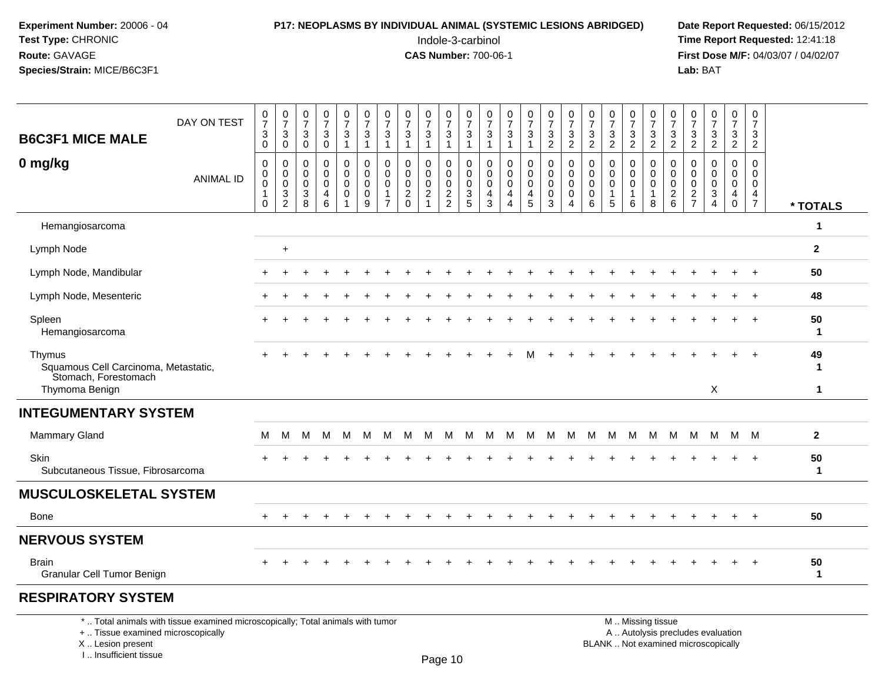# **P17: NEOPLASMS BY INDIVIDUAL ANIMAL (SYSTEMIC LESIONS ABRIDGED)** Date Report Requested: 06/15/2012<br>Indole-3-carbinol **Time Report Requested:** 12:41:18

 Indole-3-carbinol **Time Report Requested:** 12:41:18 **First Dose M/F:** 04/03/07 / 04/02/07<br>Lab: BAT **Lab:** BAT

| DAY ON TEST<br><b>B6C3F1 MICE MALE</b>                                                   | $\begin{smallmatrix}0\\7\end{smallmatrix}$<br>$\ensuremath{\mathsf{3}}$<br>$\mathbf 0$ | $\frac{0}{7}$<br>$\mathbf{3}$<br>$\mathsf{O}\xspace$ | $\frac{0}{7}$<br>$\mathbf{3}$<br>$\mathbf 0$        | $\frac{0}{7}$<br>3<br>$\mathbf 0$       | 0<br>$\overline{7}$<br>$\mathbf{3}$<br>$\mathbf{1}$       | $\frac{0}{7}$<br>$\ensuremath{\mathsf{3}}$<br>$\mathbf{1}$ | 0<br>$\overline{7}$<br>$\mathbf{3}$<br>$\mathbf{1}$     | $\frac{0}{7}$<br>$\ensuremath{\mathsf{3}}$<br>$\overline{1}$              | 0<br>$\overline{7}$<br>3<br>$\mathbf{1}$               | 0<br>$\overline{7}$<br>$\ensuremath{\mathsf{3}}$<br>$\mathbf{1}$ | 0<br>$\overline{7}$<br>3<br>$\mathbf 1$ | 0<br>$\overline{7}$<br>3<br>$\overline{1}$   | $\frac{0}{7}$<br>3<br>$\mathbf{1}$                             | 0<br>$\overline{7}$<br>3<br>$\mathbf{1}$ | 0<br>$\overline{7}$<br>$\frac{3}{2}$                | 0<br>$\overline{7}$<br>3<br>$\sqrt{2}$    | 0<br>$\overline{7}$<br>$\ensuremath{\mathsf{3}}$<br>$\sqrt{2}$ | $\frac{0}{7}$<br>$\ensuremath{\mathsf{3}}$<br>$\overline{c}$ | 0<br>$\overline{7}$<br>$\sqrt{3}$<br>$\overline{2}$  | $\frac{0}{7}$<br>$\ensuremath{\mathsf{3}}$<br>$\overline{c}$ | $\frac{0}{7}$<br>$\sqrt{3}$<br>$\overline{2}$    | $\frac{0}{7}$<br>$\sqrt{3}$<br>$\overline{2}$    | $\frac{0}{7}$<br>$\ensuremath{\mathsf{3}}$<br>$\sqrt{2}$ | 0<br>$\overline{7}$<br>$\ensuremath{\mathsf{3}}$<br>$\overline{2}$ | 0<br>$\overline{7}$<br>3<br>$\overline{c}$ |                          |
|------------------------------------------------------------------------------------------|----------------------------------------------------------------------------------------|------------------------------------------------------|-----------------------------------------------------|-----------------------------------------|-----------------------------------------------------------|------------------------------------------------------------|---------------------------------------------------------|---------------------------------------------------------------------------|--------------------------------------------------------|------------------------------------------------------------------|-----------------------------------------|----------------------------------------------|----------------------------------------------------------------|------------------------------------------|-----------------------------------------------------|-------------------------------------------|----------------------------------------------------------------|--------------------------------------------------------------|------------------------------------------------------|--------------------------------------------------------------|--------------------------------------------------|--------------------------------------------------|----------------------------------------------------------|--------------------------------------------------------------------|--------------------------------------------|--------------------------|
| 0 mg/kg<br><b>ANIMAL ID</b>                                                              | $\mathbf 0$<br>$\pmb{0}$<br>$\pmb{0}$<br>$\mathbf{1}$<br>$\mathbf{0}$                  | 0<br>0<br>0<br>3<br>$\overline{2}$                   | $\mathbf 0$<br>$\mathbf 0$<br>$\mathbf 0$<br>3<br>8 | 0<br>$\mathbf 0$<br>$\pmb{0}$<br>4<br>6 | $\mathbf 0$<br>$\pmb{0}$<br>$\pmb{0}$<br>$\mathbf 0$<br>1 | $\mathbf 0$<br>$\mathbf 0$<br>$\mathbf 0$<br>0<br>9        | $\mathbf 0$<br>$\mathbf 0$<br>0<br>-1<br>$\overline{7}$ | $\mathbf 0$<br>$\mathbf 0$<br>$\pmb{0}$<br>$\overline{c}$<br>$\mathbf{0}$ | 0<br>$\mathbf 0$<br>$\mathbf 0$<br>$\overline{2}$<br>1 | $\mathbf 0$<br>$\mathbf 0$<br>$\mathbf 0$<br>$\frac{2}{2}$       | 0<br>0<br>$\pmb{0}$<br>3<br>5           | $\mathbf 0$<br>0<br>0<br>$\overline{4}$<br>3 | $\mathbf 0$<br>$\mathbf 0$<br>$\pmb{0}$<br>4<br>$\overline{4}$ | 0<br>0<br>0<br>4<br>$\sqrt{5}$           | $\mathbf 0$<br>$\mathbf 0$<br>$\mathbf 0$<br>0<br>3 | 0<br>0<br>$\mathbf 0$<br>$\mathbf 0$<br>4 | $\mathbf 0$<br>$\mathbf 0$<br>$\mathbf 0$<br>0<br>6            | 0<br>0<br>0<br>$\mathbf{1}$<br>5                             | $\mathbf 0$<br>0<br>$\mathbf 0$<br>$\mathbf{1}$<br>6 | 0<br>$\mathbf 0$<br>$\pmb{0}$<br>$\mathbf 1$<br>8            | $\mathbf 0$<br>0<br>$\mathbf 0$<br>$\frac{2}{6}$ | $\mathbf 0$<br>$\mathbf 0$<br>0<br>$\frac{2}{7}$ | 0<br>0<br>$\mathbf 0$<br>3<br>$\overline{4}$             | $\mathbf 0$<br>$\mathbf 0$<br>$\mathbf 0$<br>$\overline{4}$<br>0   | $\Omega$<br>0<br>0<br>4<br>$\overline{7}$  | * TOTALS                 |
| Hemangiosarcoma                                                                          |                                                                                        |                                                      |                                                     |                                         |                                                           |                                                            |                                                         |                                                                           |                                                        |                                                                  |                                         |                                              |                                                                |                                          |                                                     |                                           |                                                                |                                                              |                                                      |                                                              |                                                  |                                                  |                                                          |                                                                    |                                            | 1                        |
| Lymph Node                                                                               |                                                                                        | $\ddot{}$                                            |                                                     |                                         |                                                           |                                                            |                                                         |                                                                           |                                                        |                                                                  |                                         |                                              |                                                                |                                          |                                                     |                                           |                                                                |                                                              |                                                      |                                                              |                                                  |                                                  |                                                          |                                                                    |                                            | $\mathbf{2}$             |
| Lymph Node, Mandibular                                                                   |                                                                                        |                                                      |                                                     |                                         |                                                           |                                                            |                                                         |                                                                           |                                                        |                                                                  |                                         |                                              |                                                                |                                          |                                                     |                                           |                                                                |                                                              |                                                      |                                                              |                                                  |                                                  |                                                          |                                                                    |                                            | 50                       |
| Lymph Node, Mesenteric                                                                   |                                                                                        |                                                      |                                                     |                                         |                                                           |                                                            |                                                         |                                                                           |                                                        |                                                                  |                                         |                                              |                                                                |                                          |                                                     |                                           |                                                                |                                                              |                                                      |                                                              |                                                  |                                                  |                                                          |                                                                    | $\div$                                     | 48                       |
| Spleen<br>Hemangiosarcoma                                                                |                                                                                        |                                                      |                                                     |                                         |                                                           |                                                            |                                                         |                                                                           |                                                        |                                                                  |                                         |                                              |                                                                |                                          |                                                     |                                           |                                                                |                                                              |                                                      |                                                              |                                                  |                                                  |                                                          |                                                                    | $\ddot{}$                                  | 50<br>$\mathbf 1$        |
| Thymus<br>Squamous Cell Carcinoma, Metastatic,<br>Stomach, Forestomach<br>Thymoma Benign |                                                                                        |                                                      |                                                     |                                         |                                                           |                                                            |                                                         |                                                                           |                                                        |                                                                  |                                         |                                              |                                                                |                                          |                                                     |                                           |                                                                |                                                              |                                                      |                                                              |                                                  |                                                  | X                                                        |                                                                    | $\div$                                     | 49<br>-1<br>$\mathbf{1}$ |
| <b>INTEGUMENTARY SYSTEM</b>                                                              |                                                                                        |                                                      |                                                     |                                         |                                                           |                                                            |                                                         |                                                                           |                                                        |                                                                  |                                         |                                              |                                                                |                                          |                                                     |                                           |                                                                |                                                              |                                                      |                                                              |                                                  |                                                  |                                                          |                                                                    |                                            |                          |
| <b>Mammary Gland</b>                                                                     | м                                                                                      | M                                                    | M                                                   | M                                       | M                                                         | м                                                          | м                                                       | м                                                                         | M                                                      | M                                                                | M                                       | М                                            | M                                                              | M                                        | M                                                   | М                                         | М                                                              | M                                                            | M                                                    | M                                                            | М                                                | М                                                | M                                                        |                                                                    | M M                                        | $\mathbf{2}$             |
| Skin<br>Subcutaneous Tissue, Fibrosarcoma                                                |                                                                                        |                                                      |                                                     |                                         |                                                           |                                                            |                                                         |                                                                           |                                                        |                                                                  |                                         |                                              |                                                                |                                          |                                                     |                                           |                                                                |                                                              |                                                      |                                                              |                                                  |                                                  |                                                          |                                                                    | $\ddot{}$                                  | 50<br>$\mathbf{1}$       |
| <b>MUSCULOSKELETAL SYSTEM</b>                                                            |                                                                                        |                                                      |                                                     |                                         |                                                           |                                                            |                                                         |                                                                           |                                                        |                                                                  |                                         |                                              |                                                                |                                          |                                                     |                                           |                                                                |                                                              |                                                      |                                                              |                                                  |                                                  |                                                          |                                                                    |                                            |                          |
| Bone                                                                                     | $\pm$                                                                                  |                                                      |                                                     |                                         |                                                           |                                                            |                                                         |                                                                           |                                                        |                                                                  |                                         |                                              |                                                                |                                          |                                                     |                                           |                                                                |                                                              |                                                      |                                                              |                                                  |                                                  |                                                          | $+$                                                                | $^{+}$                                     | 50                       |
| <b>NERVOUS SYSTEM</b>                                                                    |                                                                                        |                                                      |                                                     |                                         |                                                           |                                                            |                                                         |                                                                           |                                                        |                                                                  |                                         |                                              |                                                                |                                          |                                                     |                                           |                                                                |                                                              |                                                      |                                                              |                                                  |                                                  |                                                          |                                                                    |                                            |                          |
| <b>Brain</b><br>Granular Cell Tumor Benign                                               |                                                                                        |                                                      |                                                     |                                         |                                                           |                                                            |                                                         |                                                                           |                                                        |                                                                  |                                         |                                              |                                                                |                                          |                                                     |                                           |                                                                |                                                              |                                                      |                                                              |                                                  |                                                  |                                                          |                                                                    |                                            | 50<br>$\mathbf{1}$       |
| <b>RESPIRATORY SYSTEM</b>                                                                |                                                                                        |                                                      |                                                     |                                         |                                                           |                                                            |                                                         |                                                                           |                                                        |                                                                  |                                         |                                              |                                                                |                                          |                                                     |                                           |                                                                |                                                              |                                                      |                                                              |                                                  |                                                  |                                                          |                                                                    |                                            |                          |

\* .. Total animals with tissue examined microscopically; Total animals with tumor

+ .. Tissue examined microscopically

X .. Lesion present

I .. Insufficient tissue

 M .. Missing tissuey the contract of the contract of the contract of the contract of the contract of  $\mathsf A$  . Autolysis precludes evaluation Lesion present BLANK .. Not examined microscopically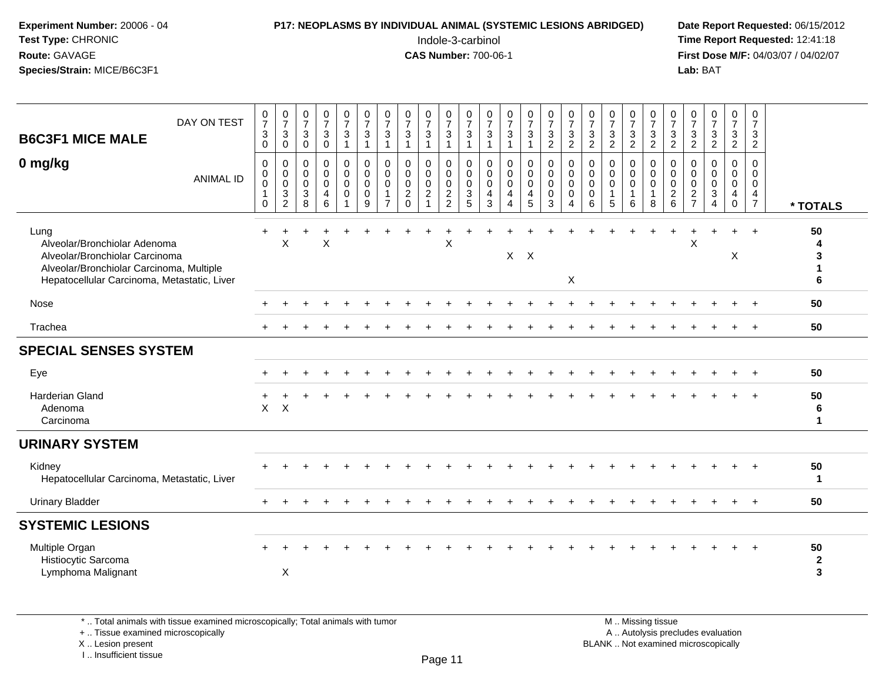## **P17: NEOPLASMS BY INDIVIDUAL ANIMAL (SYSTEMIC LESIONS ABRIDGED)** Date Report Requested: 06/15/2012<br>Indole-3-carbinol **Time Report Requested:** 12:41:18

 Indole-3-carbinol **Time Report Requested:** 12:41:18 **First Dose M/F:** 04/03/07 / 04/02/07<br>Lab: BAT **Lab:** BAT

| DAY ON TEST<br><b>B6C3F1 MICE MALE</b><br>0 mg/kg<br><b>ANIMAL ID</b>                                                                                             | $\begin{array}{c} 0 \\ 7 \end{array}$<br>$\sqrt{3}$<br>$\mathbf 0$<br>$\mathbf 0$<br>$\pmb{0}$<br>$\pmb{0}$<br>$\mathbf 1$<br>$\mathbf 0$ | $\begin{array}{c} 0 \\ 7 \end{array}$<br>3<br>$\mathbf 0$<br>0<br>$\mathbf 0$<br>$\mathbf 0$<br>$\ensuremath{\mathsf{3}}$<br>$\overline{2}$ | $\frac{0}{7}$<br>$\mathbf{3}$<br>$\mathbf 0$<br>0<br>$\boldsymbol{0}$<br>$\mathsf 0$<br>$\sqrt{3}$<br>8 | $\frac{0}{7}$<br>$\mathbf{3}$<br>$\mathbf 0$<br>0<br>$\mathbf 0$<br>$\mathbf 0$<br>$\overline{4}$<br>6 | $\frac{0}{7}$<br>$\mathbf{3}$<br>$\overline{1}$<br>$\begin{smallmatrix} 0\\0 \end{smallmatrix}$<br>$\pmb{0}$<br>$\pmb{0}$<br>$\overline{1}$ | $\frac{0}{7}$<br>$\sqrt{3}$<br>$\overline{1}$<br>$\pmb{0}$<br>$\pmb{0}$<br>$\pmb{0}$<br>$\pmb{0}$<br>9 | $\frac{0}{7}$<br>$\mathbf{3}$<br>$\overline{1}$<br>0<br>$\boldsymbol{0}$<br>$\mathbf{0}$<br>$\overline{1}$<br>$\overline{7}$ | $\frac{0}{7}$<br>$\mathbf 3$<br>$\mathbf{1}$<br>0<br>$\mathbf 0$<br>$\pmb{0}$<br>$\overline{2}$<br>$\Omega$ | $\frac{0}{7}$<br>3<br>0<br>0<br>$\mathbf 0$<br>$\overline{c}$ | $\frac{0}{7}$<br>$\mathsf 3$<br>$\overline{1}$<br>$_{\rm 0}^{\rm 0}$<br>$\pmb{0}$<br>$\frac{2}{2}$ | $\frac{0}{7}$<br>$\mathbf{3}$<br>$\mathbf{1}$<br>0<br>$\pmb{0}$<br>$\mathbf 0$<br>$\mathbf{3}$<br>$\overline{5}$ | $\frac{0}{7}$<br>$\sqrt{3}$<br>$\mathbf{1}$<br>0<br>$\boldsymbol{0}$<br>$\mathbf 0$<br>$\overline{4}$<br>3 | $\frac{0}{7}$<br>$\mathbf{3}$<br>$\overline{1}$<br>$\mathbf 0$<br>$\mathbf 0$<br>$\mathbf 0$<br>4<br>$\Delta$ | $\frac{0}{7}$<br>3<br>1<br>0<br>$\mathbf 0$<br>$\pmb{0}$<br>4<br>5 | $\frac{0}{7}$<br>$\frac{3}{2}$<br>$_{\rm 0}^{\rm 0}$<br>$\pmb{0}$<br>$\pmb{0}$<br>$\overline{3}$ | $\frac{0}{7}$<br>$\ensuremath{\mathsf{3}}$<br>$\overline{2}$<br>0<br>$\pmb{0}$<br>$\pmb{0}$<br>$\pmb{0}$<br>$\boldsymbol{\Lambda}$ | $\frac{0}{7}$<br>$\mathbf{3}$<br>$\overline{2}$<br>$\mathbf 0$<br>0<br>$\mathbf 0$<br>$\mathbf 0$<br>6 | $\frac{0}{7}$<br>$\sqrt{3}$<br>$\overline{2}$<br>$\mathbf 0$<br>$\mathbf 0$<br>$\mathbf 0$<br>$\mathbf{1}$<br>$5\overline{5}$ | $\frac{0}{7}$<br>$\ensuremath{\mathsf{3}}$<br>$\overline{2}$<br>0<br>0<br>$\mathbf 0$<br>$\mathbf{1}$<br>6 | $\frac{0}{7}$<br>$\frac{3}{2}$<br>$\begin{smallmatrix} 0\\0 \end{smallmatrix}$<br>$\mathbf 0$<br>$\mathbf{1}$<br>8 | $\frac{0}{7}$<br>$\ensuremath{\mathsf{3}}$<br>$\overline{2}$<br>0<br>$\pmb{0}$<br>$\mathsf{O}\xspace$<br>$\overline{c}$<br>$6\phantom{a}$ | $\frac{0}{7}$<br>$\mathbf{3}$<br>2<br>0<br>$\mathbf 0$<br>$\mathbf 0$<br>$\overline{c}$<br>$\overline{7}$ | $\frac{0}{7}$<br>$\mathbf 3$<br>$\overline{2}$<br>$\mathbf 0$<br>$\mathbf 0$<br>$\mathbf 0$<br>$\mathbf{3}$<br>$\boldsymbol{\Lambda}$ | $\frac{0}{7}$<br>$\mathbf{3}$<br>$\overline{2}$<br>0<br>$\mathbf 0$<br>$\mathbf 0$<br>$\overline{4}$<br>$\mathbf 0$ | 0<br>$\overline{7}$<br>$\mathbf{3}$<br>$\overline{2}$<br>0<br>$\pmb{0}$<br>$\pmb{0}$<br>$\overline{4}$<br>$\overline{7}$ | * TOTALS                |
|-------------------------------------------------------------------------------------------------------------------------------------------------------------------|-------------------------------------------------------------------------------------------------------------------------------------------|---------------------------------------------------------------------------------------------------------------------------------------------|---------------------------------------------------------------------------------------------------------|--------------------------------------------------------------------------------------------------------|---------------------------------------------------------------------------------------------------------------------------------------------|--------------------------------------------------------------------------------------------------------|------------------------------------------------------------------------------------------------------------------------------|-------------------------------------------------------------------------------------------------------------|---------------------------------------------------------------|----------------------------------------------------------------------------------------------------|------------------------------------------------------------------------------------------------------------------|------------------------------------------------------------------------------------------------------------|---------------------------------------------------------------------------------------------------------------|--------------------------------------------------------------------|--------------------------------------------------------------------------------------------------|------------------------------------------------------------------------------------------------------------------------------------|--------------------------------------------------------------------------------------------------------|-------------------------------------------------------------------------------------------------------------------------------|------------------------------------------------------------------------------------------------------------|--------------------------------------------------------------------------------------------------------------------|-------------------------------------------------------------------------------------------------------------------------------------------|-----------------------------------------------------------------------------------------------------------|---------------------------------------------------------------------------------------------------------------------------------------|---------------------------------------------------------------------------------------------------------------------|--------------------------------------------------------------------------------------------------------------------------|-------------------------|
| Lung<br>Alveolar/Bronchiolar Adenoma<br>Alveolar/Bronchiolar Carcinoma<br>Alveolar/Bronchiolar Carcinoma, Multiple<br>Hepatocellular Carcinoma, Metastatic, Liver |                                                                                                                                           | X                                                                                                                                           |                                                                                                         | $\sf X$                                                                                                |                                                                                                                                             |                                                                                                        |                                                                                                                              |                                                                                                             |                                                               | Х                                                                                                  |                                                                                                                  |                                                                                                            | $X$ $X$                                                                                                       |                                                                    |                                                                                                  | X                                                                                                                                  |                                                                                                        |                                                                                                                               |                                                                                                            |                                                                                                                    |                                                                                                                                           | X                                                                                                         |                                                                                                                                       | X                                                                                                                   |                                                                                                                          | 50<br>3<br>1<br>6       |
| Nose                                                                                                                                                              |                                                                                                                                           |                                                                                                                                             |                                                                                                         |                                                                                                        |                                                                                                                                             |                                                                                                        |                                                                                                                              |                                                                                                             |                                                               |                                                                                                    |                                                                                                                  |                                                                                                            |                                                                                                               |                                                                    |                                                                                                  |                                                                                                                                    |                                                                                                        |                                                                                                                               |                                                                                                            |                                                                                                                    |                                                                                                                                           |                                                                                                           |                                                                                                                                       |                                                                                                                     |                                                                                                                          | 50                      |
| Trachea                                                                                                                                                           |                                                                                                                                           |                                                                                                                                             |                                                                                                         |                                                                                                        |                                                                                                                                             |                                                                                                        |                                                                                                                              |                                                                                                             |                                                               |                                                                                                    |                                                                                                                  |                                                                                                            |                                                                                                               |                                                                    |                                                                                                  |                                                                                                                                    |                                                                                                        |                                                                                                                               |                                                                                                            |                                                                                                                    |                                                                                                                                           |                                                                                                           |                                                                                                                                       |                                                                                                                     |                                                                                                                          | 50                      |
| <b>SPECIAL SENSES SYSTEM</b>                                                                                                                                      |                                                                                                                                           |                                                                                                                                             |                                                                                                         |                                                                                                        |                                                                                                                                             |                                                                                                        |                                                                                                                              |                                                                                                             |                                                               |                                                                                                    |                                                                                                                  |                                                                                                            |                                                                                                               |                                                                    |                                                                                                  |                                                                                                                                    |                                                                                                        |                                                                                                                               |                                                                                                            |                                                                                                                    |                                                                                                                                           |                                                                                                           |                                                                                                                                       |                                                                                                                     |                                                                                                                          |                         |
| Eye                                                                                                                                                               |                                                                                                                                           |                                                                                                                                             |                                                                                                         |                                                                                                        |                                                                                                                                             |                                                                                                        |                                                                                                                              |                                                                                                             |                                                               |                                                                                                    |                                                                                                                  |                                                                                                            |                                                                                                               |                                                                    |                                                                                                  |                                                                                                                                    |                                                                                                        |                                                                                                                               |                                                                                                            |                                                                                                                    |                                                                                                                                           |                                                                                                           |                                                                                                                                       |                                                                                                                     |                                                                                                                          | 50                      |
| <b>Harderian Gland</b><br>Adenoma<br>Carcinoma                                                                                                                    | X                                                                                                                                         | X                                                                                                                                           |                                                                                                         |                                                                                                        |                                                                                                                                             |                                                                                                        |                                                                                                                              |                                                                                                             |                                                               |                                                                                                    |                                                                                                                  |                                                                                                            |                                                                                                               |                                                                    |                                                                                                  |                                                                                                                                    |                                                                                                        |                                                                                                                               |                                                                                                            |                                                                                                                    |                                                                                                                                           |                                                                                                           |                                                                                                                                       |                                                                                                                     |                                                                                                                          | 50<br>6<br>$\mathbf 1$  |
| <b>URINARY SYSTEM</b>                                                                                                                                             |                                                                                                                                           |                                                                                                                                             |                                                                                                         |                                                                                                        |                                                                                                                                             |                                                                                                        |                                                                                                                              |                                                                                                             |                                                               |                                                                                                    |                                                                                                                  |                                                                                                            |                                                                                                               |                                                                    |                                                                                                  |                                                                                                                                    |                                                                                                        |                                                                                                                               |                                                                                                            |                                                                                                                    |                                                                                                                                           |                                                                                                           |                                                                                                                                       |                                                                                                                     |                                                                                                                          |                         |
| Kidney<br>Hepatocellular Carcinoma, Metastatic, Liver                                                                                                             |                                                                                                                                           |                                                                                                                                             |                                                                                                         |                                                                                                        |                                                                                                                                             |                                                                                                        |                                                                                                                              |                                                                                                             |                                                               |                                                                                                    |                                                                                                                  |                                                                                                            |                                                                                                               |                                                                    |                                                                                                  |                                                                                                                                    |                                                                                                        |                                                                                                                               |                                                                                                            |                                                                                                                    |                                                                                                                                           |                                                                                                           |                                                                                                                                       |                                                                                                                     | $\ddot{}$                                                                                                                | 50<br>$\mathbf 1$       |
| <b>Urinary Bladder</b>                                                                                                                                            |                                                                                                                                           |                                                                                                                                             |                                                                                                         |                                                                                                        |                                                                                                                                             |                                                                                                        |                                                                                                                              |                                                                                                             |                                                               |                                                                                                    |                                                                                                                  |                                                                                                            |                                                                                                               |                                                                    |                                                                                                  |                                                                                                                                    |                                                                                                        |                                                                                                                               |                                                                                                            |                                                                                                                    |                                                                                                                                           |                                                                                                           |                                                                                                                                       |                                                                                                                     |                                                                                                                          | 50                      |
| <b>SYSTEMIC LESIONS</b>                                                                                                                                           |                                                                                                                                           |                                                                                                                                             |                                                                                                         |                                                                                                        |                                                                                                                                             |                                                                                                        |                                                                                                                              |                                                                                                             |                                                               |                                                                                                    |                                                                                                                  |                                                                                                            |                                                                                                               |                                                                    |                                                                                                  |                                                                                                                                    |                                                                                                        |                                                                                                                               |                                                                                                            |                                                                                                                    |                                                                                                                                           |                                                                                                           |                                                                                                                                       |                                                                                                                     |                                                                                                                          |                         |
| Multiple Organ<br>Histiocytic Sarcoma<br>Lymphoma Malignant                                                                                                       |                                                                                                                                           | $\times$                                                                                                                                    |                                                                                                         |                                                                                                        |                                                                                                                                             |                                                                                                        |                                                                                                                              |                                                                                                             |                                                               |                                                                                                    |                                                                                                                  |                                                                                                            |                                                                                                               |                                                                    |                                                                                                  |                                                                                                                                    |                                                                                                        |                                                                                                                               |                                                                                                            |                                                                                                                    |                                                                                                                                           |                                                                                                           |                                                                                                                                       |                                                                                                                     |                                                                                                                          | 50<br>$\mathbf{2}$<br>3 |

\* .. Total animals with tissue examined microscopically; Total animals with tumor

+ .. Tissue examined microscopically

X .. Lesion present

I .. Insufficient tissue

 M .. Missing tissuey the contract of the contract of the contract of the contract of the contract of  $\mathsf A$  . Autolysis precludes evaluation Lesion present BLANK .. Not examined microscopically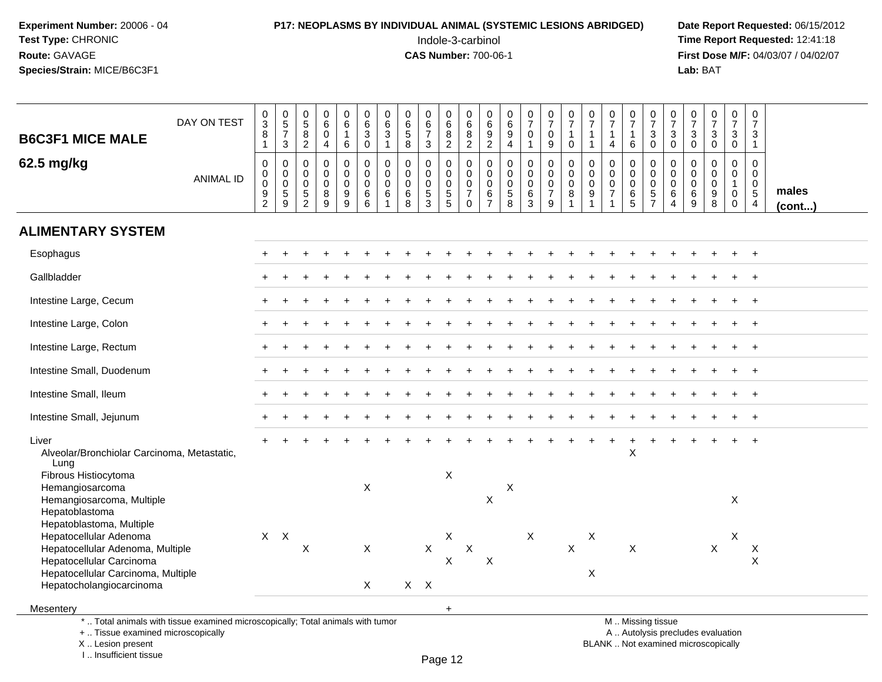# **P17: NEOPLASMS BY INDIVIDUAL ANIMAL (SYSTEMIC LESIONS ABRIDGED)** Date Report Requested: 06/15/2012<br>Indole-3-carbinol **Time Report Requested:** 12:41:18

 Indole-3-carbinol **Time Report Requested:** 12:41:18 **First Dose M/F:** 04/03/07 / 04/02/07<br>Lab: BAT **Lab:** BAT

| <b>B6C3F1 MICE MALE</b>                                                                                                               | DAY ON TEST                                                                     | $\boldsymbol{0}$<br>$\ensuremath{\mathsf{3}}$<br>8<br>$\mathbf{1}$ | $\begin{array}{c} 0 \\ 5 \\ 7 \end{array}$<br>$\mathbf{3}$    | $\boldsymbol{0}$<br>$\,$ 5 $\,$<br>8<br>$\overline{2}$          | $\mathbf 0$<br>6<br>$\mathbf 0$<br>$\overline{4}$         | 0<br>$6\phantom{1}$<br>$\mathbf{1}$<br>6                                      | $\pmb{0}$<br>6<br>3<br>$\overline{0}$         | $\pmb{0}$<br>$\,6\,$<br>3<br>$\mathbf{1}$      | 0<br>$\,6$<br>$\sqrt{5}$<br>8                           | $\pmb{0}$<br>$\,6\,$<br>$\overline{7}$<br>$\mathbf{3}$            | 0<br>$\,6\,$<br>8<br>$\overline{c}$                             | $\mathbf 0$<br>6<br>8<br>$\overline{2}$                                    | 0<br>$\,6$<br>$9\,$<br>$\overline{2}$                      | 0<br>$\,6\,$<br>9<br>$\overline{4}$                      | $\frac{0}{7}$<br>0<br>$\mathbf{1}$             | $\pmb{0}$<br>$\overline{7}$<br>0<br>9                  | $\mathbf 0$<br>$\overline{7}$<br>$\overline{1}$<br>$\mathbf 0$      | $\pmb{0}$<br>$\overline{7}$<br>$\overline{1}$<br>$\mathbf{1}$               | 0<br>$\overline{7}$<br>$\mathbf{1}$<br>$\overline{4}$       | $\frac{0}{7}$<br>1<br>6                                 | 0<br>$\overline{7}$<br>3<br>$\mathbf 0$                    | $\pmb{0}$<br>$\overline{7}$<br>$\mathbf{3}$<br>$\mathbf 0$         | $\mathbf 0$<br>$\overline{7}$<br>3<br>$\mathbf 0$              | $\pmb{0}$<br>$\overline{7}$<br>$\mathbf{3}$<br>$\mathbf 0$               | $\pmb{0}$<br>$\overline{7}$<br>3<br>$\mathbf 0$                                  | $\pmb{0}$<br>$\overline{7}$<br>3<br>$\mathbf{1}$                                |                       |
|---------------------------------------------------------------------------------------------------------------------------------------|---------------------------------------------------------------------------------|--------------------------------------------------------------------|---------------------------------------------------------------|-----------------------------------------------------------------|-----------------------------------------------------------|-------------------------------------------------------------------------------|-----------------------------------------------|------------------------------------------------|---------------------------------------------------------|-------------------------------------------------------------------|-----------------------------------------------------------------|----------------------------------------------------------------------------|------------------------------------------------------------|----------------------------------------------------------|------------------------------------------------|--------------------------------------------------------|---------------------------------------------------------------------|-----------------------------------------------------------------------------|-------------------------------------------------------------|---------------------------------------------------------|------------------------------------------------------------|--------------------------------------------------------------------|----------------------------------------------------------------|--------------------------------------------------------------------------|----------------------------------------------------------------------------------|---------------------------------------------------------------------------------|-----------------------|
| 62.5 mg/kg                                                                                                                            | <b>ANIMAL ID</b>                                                                | $\pmb{0}$<br>$\overline{0}$<br>0<br>$\frac{9}{2}$                  | 0<br>$\pmb{0}$<br>$\pmb{0}$<br>$\sqrt{5}$<br>$\boldsymbol{9}$ | $\mathbf 0$<br>$\mathbf 0$<br>$\boldsymbol{0}$<br>$\frac{5}{2}$ | $\mathbf 0$<br>$\mathbf 0$<br>$\mathbf 0$<br>$\,8\,$<br>9 | $\mathbf 0$<br>$\pmb{0}$<br>$\pmb{0}$<br>$\boldsymbol{9}$<br>$\boldsymbol{9}$ | $\pmb{0}$<br>$\pmb{0}$<br>$\pmb{0}$<br>6<br>6 | $\mathbf 0$<br>$\mathbf 0$<br>$\mathbf 0$<br>6 | $\mathbf 0$<br>$\mathbf 0$<br>$\pmb{0}$<br>$\,6\,$<br>8 | $\pmb{0}$<br>$\pmb{0}$<br>$\pmb{0}$<br>$\sqrt{5}$<br>$\mathbf{3}$ | 0<br>$\mathsf 0$<br>$\mathsf 0$<br>$\sqrt{5}$<br>$\overline{5}$ | $\mathbf 0$<br>$\mathbf 0$<br>$\mathbf 0$<br>$\overline{7}$<br>$\mathbf 0$ | $\mathbf 0$<br>$\mathbf 0$<br>0<br>$\,6$<br>$\overline{7}$ | $\mathbf 0$<br>$\pmb{0}$<br>$\pmb{0}$<br>$\sqrt{5}$<br>8 | 0<br>$\mathsf 0$<br>$\pmb{0}$<br>$\frac{6}{3}$ | 0<br>$\mathbf 0$<br>$\mathsf 0$<br>$\overline{7}$<br>9 | $\mathbf 0$<br>$\pmb{0}$<br>$\mathbf 0$<br>$\, 8$<br>$\overline{1}$ | $\mathbf 0$<br>$\pmb{0}$<br>$\mathbf 0$<br>$\boldsymbol{9}$<br>$\mathbf{1}$ | $\mathbf 0$<br>$\mathbf 0$<br>$\mathbf 0$<br>$\overline{7}$ | $\mathbf 0$<br>0<br>$\mathsf{O}\xspace$<br>$\,6\,$<br>5 | $\mathbf 0$<br>$\mathbf 0$<br>$\mathbf 0$<br>$\frac{5}{7}$ | $\mathbf 0$<br>$\pmb{0}$<br>$\pmb{0}$<br>$\,6\,$<br>$\overline{4}$ | $\mathbf 0$<br>$\mathbf 0$<br>$\boldsymbol{0}$<br>$\,6\,$<br>9 | 0<br>$\mathbf 0$<br>$\mathbf 0$<br>9<br>8                                | $\mathbf 0$<br>$\mathbf 0$<br>$\mathbf{1}$<br>$\mathsf{O}\xspace$<br>$\mathbf 0$ | $\mathsf{O}$<br>$\mathbf 0$<br>$\mathbf 0$<br>$5\phantom{.0}$<br>$\overline{4}$ | males<br>$($ cont $)$ |
| <b>ALIMENTARY SYSTEM</b>                                                                                                              |                                                                                 |                                                                    |                                                               |                                                                 |                                                           |                                                                               |                                               |                                                |                                                         |                                                                   |                                                                 |                                                                            |                                                            |                                                          |                                                |                                                        |                                                                     |                                                                             |                                                             |                                                         |                                                            |                                                                    |                                                                |                                                                          |                                                                                  |                                                                                 |                       |
| Esophagus                                                                                                                             |                                                                                 |                                                                    |                                                               |                                                                 |                                                           |                                                                               |                                               |                                                |                                                         |                                                                   |                                                                 |                                                                            |                                                            |                                                          |                                                |                                                        |                                                                     |                                                                             |                                                             |                                                         |                                                            |                                                                    |                                                                |                                                                          |                                                                                  | $\overline{+}$                                                                  |                       |
| Gallbladder                                                                                                                           |                                                                                 |                                                                    |                                                               |                                                                 |                                                           |                                                                               |                                               |                                                |                                                         |                                                                   |                                                                 |                                                                            |                                                            |                                                          |                                                |                                                        |                                                                     |                                                                             |                                                             |                                                         |                                                            |                                                                    |                                                                |                                                                          |                                                                                  |                                                                                 |                       |
| Intestine Large, Cecum                                                                                                                |                                                                                 |                                                                    |                                                               |                                                                 |                                                           |                                                                               |                                               |                                                |                                                         |                                                                   |                                                                 |                                                                            |                                                            |                                                          |                                                |                                                        |                                                                     |                                                                             |                                                             |                                                         |                                                            |                                                                    |                                                                |                                                                          |                                                                                  |                                                                                 |                       |
| Intestine Large, Colon                                                                                                                |                                                                                 |                                                                    |                                                               |                                                                 |                                                           |                                                                               |                                               |                                                |                                                         |                                                                   |                                                                 |                                                                            |                                                            |                                                          |                                                |                                                        |                                                                     |                                                                             |                                                             |                                                         |                                                            |                                                                    |                                                                |                                                                          |                                                                                  |                                                                                 |                       |
| Intestine Large, Rectum                                                                                                               |                                                                                 |                                                                    |                                                               |                                                                 |                                                           |                                                                               |                                               |                                                |                                                         |                                                                   |                                                                 |                                                                            |                                                            |                                                          |                                                |                                                        |                                                                     |                                                                             |                                                             |                                                         |                                                            |                                                                    |                                                                |                                                                          |                                                                                  | $\overline{1}$                                                                  |                       |
| Intestine Small, Duodenum                                                                                                             |                                                                                 |                                                                    |                                                               |                                                                 |                                                           |                                                                               |                                               |                                                |                                                         |                                                                   |                                                                 |                                                                            |                                                            |                                                          |                                                |                                                        |                                                                     |                                                                             |                                                             |                                                         |                                                            |                                                                    |                                                                |                                                                          | $\ddot{}$                                                                        | $^{+}$                                                                          |                       |
| Intestine Small, Ileum                                                                                                                |                                                                                 |                                                                    |                                                               |                                                                 |                                                           |                                                                               |                                               |                                                |                                                         |                                                                   |                                                                 |                                                                            |                                                            |                                                          |                                                |                                                        |                                                                     |                                                                             |                                                             |                                                         |                                                            |                                                                    |                                                                |                                                                          |                                                                                  |                                                                                 |                       |
| Intestine Small, Jejunum                                                                                                              |                                                                                 |                                                                    |                                                               |                                                                 |                                                           |                                                                               |                                               |                                                |                                                         |                                                                   |                                                                 |                                                                            |                                                            |                                                          |                                                |                                                        |                                                                     |                                                                             |                                                             |                                                         |                                                            |                                                                    |                                                                |                                                                          |                                                                                  |                                                                                 |                       |
| Liver<br>Alveolar/Bronchiolar Carcinoma, Metastatic,<br>Lung<br>Fibrous Histiocytoma<br>Hemangiosarcoma                               |                                                                                 |                                                                    |                                                               |                                                                 |                                                           |                                                                               | X                                             |                                                |                                                         |                                                                   | X                                                               |                                                                            | $\times$                                                   | $\mathsf X$                                              |                                                |                                                        |                                                                     |                                                                             |                                                             | X                                                       |                                                            |                                                                    |                                                                |                                                                          | X                                                                                | $\overline{+}$                                                                  |                       |
| Hemangiosarcoma, Multiple<br>Hepatoblastoma<br>Hepatoblastoma, Multiple<br>Hepatocellular Adenoma<br>Hepatocellular Adenoma, Multiple |                                                                                 | $X$ $X$                                                            |                                                               | $\boldsymbol{\mathsf{X}}$                                       |                                                           |                                                                               | X                                             |                                                |                                                         | $\mathsf X$                                                       | X                                                               | $\boldsymbol{\mathsf{X}}$                                                  |                                                            |                                                          | X                                              |                                                        | $\mathsf X$                                                         | X                                                                           |                                                             | $\boldsymbol{\mathsf{X}}$                               |                                                            |                                                                    |                                                                | $\mathsf X$                                                              | X                                                                                | $\boldsymbol{X}$                                                                |                       |
| Hepatocellular Carcinoma<br>Hepatocellular Carcinoma, Multiple<br>Hepatocholangiocarcinoma                                            |                                                                                 |                                                                    |                                                               |                                                                 |                                                           |                                                                               | X                                             |                                                |                                                         | $X$ $X$                                                           | $\times$                                                        |                                                                            | $\times$                                                   |                                                          |                                                |                                                        |                                                                     | X                                                                           |                                                             |                                                         |                                                            |                                                                    |                                                                |                                                                          |                                                                                  | $\mathsf{X}$                                                                    |                       |
| Mesentery                                                                                                                             |                                                                                 |                                                                    |                                                               |                                                                 |                                                           |                                                                               |                                               |                                                |                                                         |                                                                   | $\ddot{}$                                                       |                                                                            |                                                            |                                                          |                                                |                                                        |                                                                     |                                                                             |                                                             |                                                         |                                                            |                                                                    |                                                                |                                                                          |                                                                                  |                                                                                 |                       |
| +  Tissue examined microscopically<br>X Lesion present                                                                                | *  Total animals with tissue examined microscopically; Total animals with tumor |                                                                    |                                                               |                                                                 |                                                           |                                                                               |                                               |                                                |                                                         |                                                                   |                                                                 |                                                                            |                                                            |                                                          |                                                |                                                        |                                                                     |                                                                             |                                                             |                                                         | M  Missing tissue                                          |                                                                    |                                                                | A  Autolysis precludes evaluation<br>BLANK  Not examined microscopically |                                                                                  |                                                                                 |                       |

X .. Lesion present

I .. Insufficient tissue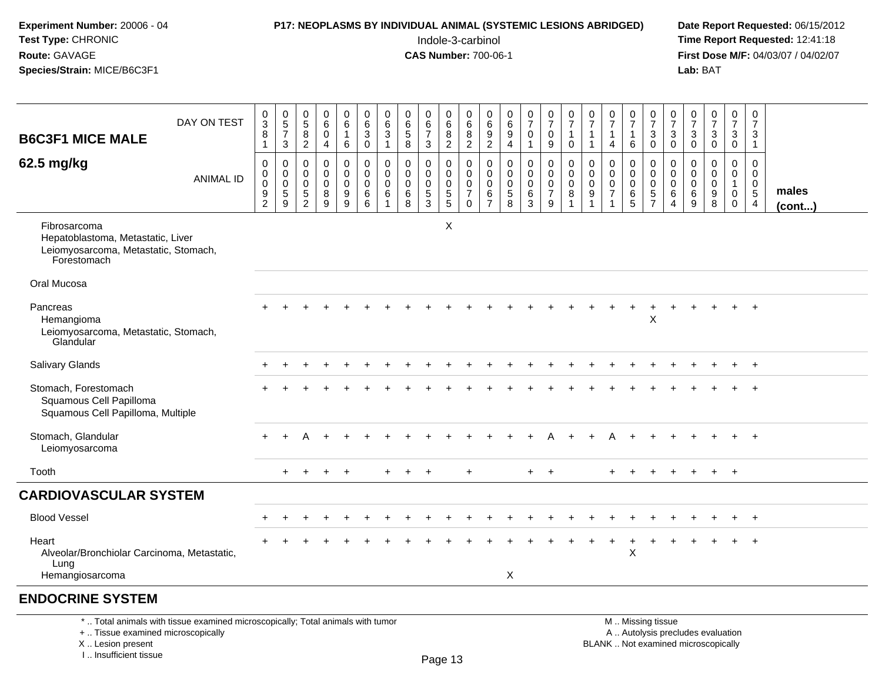## **P17: NEOPLASMS BY INDIVIDUAL ANIMAL (SYSTEMIC LESIONS ABRIDGED)** Date Report Requested: 06/15/2012<br>Indole-3-carbinol **Time Report Requested:** 12:41:18

 Indole-3-carbinol **Time Report Requested:** 12:41:18 **First Dose M/F:** 04/03/07 / 04/02/07<br>Lab: BAT **Lab:** BAT

| <b>B6C3F1 MICE MALE</b>                                                                                  | DAY ON TEST      | 0<br>$\ensuremath{\mathsf{3}}$<br>8<br>$\mathbf{1}$                   | 0<br>$\frac{5}{7}$<br>$\sqrt{3}$                    | 0<br>$\sqrt{5}$<br>8<br>$\sqrt{2}$ | $\pmb{0}$<br>$\,6\,$<br>$\pmb{0}$<br>4 | $\pmb{0}$<br>$\,6\,$<br>$\overline{1}$<br>6    | $\pmb{0}$<br>$\,6\,$<br>$\sqrt{3}$<br>$\mathbf 0$             | $\mathbf 0$<br>6<br>3<br>$\mathbf{1}$      | $\pmb{0}$<br>$^6$ 5<br>$\,8\,$                  | $\pmb{0}$<br>$\,6\,$<br>$\overline{7}$<br>$\mathbf{3}$ | 0<br>$\,6$<br>$\bf 8$<br>$\overline{2}$                                        | $\pmb{0}$<br>$^6_8$<br>$\overline{2}$                            | 0<br>6<br>9<br>$\overline{c}$          | 0<br>$\,6\,$<br>$9\,$<br>4                         | $\frac{0}{7}$<br>0<br>$\mathbf{1}$ | $\begin{smallmatrix}0\\7\end{smallmatrix}$<br>$\mathbf 0$<br>9 | $\pmb{0}$<br>$\overline{7}$<br>1<br>$\mathbf 0$    | $\frac{0}{7}$<br>$\mathbf{1}$<br>$\mathbf{1}$               | $\frac{0}{7}$<br>$\mathbf{1}$<br>$\overline{4}$                               | $\frac{0}{7}$<br>6                  | $\frac{0}{7}$<br>$\sqrt{3}$<br>$\mathbf 0$     | $\begin{array}{c} 0 \\ 7 \end{array}$<br>$\sqrt{3}$<br>$\mathsf{O}\xspace$ | 0<br>$\overline{7}$<br>$\ensuremath{\mathsf{3}}$<br>$\mathbf 0$ | $\begin{smallmatrix} 0\\7 \end{smallmatrix}$<br>$\mathbf{3}$<br>$\mathbf 0$ | $\pmb{0}$<br>$\overline{7}$<br>3<br>$\mathbf 0$                | $\pmb{0}$<br>$\overline{7}$<br>3<br>$\mathbf{1}$                     |                       |
|----------------------------------------------------------------------------------------------------------|------------------|-----------------------------------------------------------------------|-----------------------------------------------------|------------------------------------|----------------------------------------|------------------------------------------------|---------------------------------------------------------------|--------------------------------------------|-------------------------------------------------|--------------------------------------------------------|--------------------------------------------------------------------------------|------------------------------------------------------------------|----------------------------------------|----------------------------------------------------|------------------------------------|----------------------------------------------------------------|----------------------------------------------------|-------------------------------------------------------------|-------------------------------------------------------------------------------|-------------------------------------|------------------------------------------------|----------------------------------------------------------------------------|-----------------------------------------------------------------|-----------------------------------------------------------------------------|----------------------------------------------------------------|----------------------------------------------------------------------|-----------------------|
| 62.5 mg/kg                                                                                               | <b>ANIMAL ID</b> | $\mathbf 0$<br>0<br>$\mathbf 0$<br>$\boldsymbol{9}$<br>$\overline{c}$ | $\mathbf 0$<br>0<br>$\mathbf 0$<br>$\,$ 5 $\,$<br>9 | $\mathbf 0$<br>0<br>0<br>5<br>2    | $\mathbf 0$<br>0<br>0<br>$\bf 8$<br>9  | 0<br>$\mathbf 0$<br>0<br>$\boldsymbol{9}$<br>9 | $\mathbf 0$<br>$\mathbf 0$<br>$\mathbf 0$<br>$\,6$<br>$\,6\,$ | 0<br>0<br>$\mathbf 0$<br>6<br>$\mathbf{1}$ | $\mathbf 0$<br>0<br>$\mathbf 0$<br>$\,6\,$<br>8 | $\mathbf 0$<br>0<br>$\mathbf 0$<br>$\frac{5}{3}$       | 0<br>$\mathsf{O}\xspace$<br>$\pmb{0}$<br>$\begin{array}{c} 5 \\ 5 \end{array}$ | $\mathbf 0$<br>$\mathbf 0$<br>0<br>$\overline{7}$<br>$\mathbf 0$ | 0<br>0<br>0<br>$\,6$<br>$\overline{7}$ | $\mathbf 0$<br>0<br>$\mathbf 0$<br>$\sqrt{5}$<br>8 | $\mathbf 0$<br>0<br>0<br>6<br>3    | $\mathbf 0$<br>$\mathbf 0$<br>0<br>$\overline{7}$<br>9         | $\mathbf 0$<br>$\pmb{0}$<br>$\mathbf 0$<br>$\bf 8$ | $\mathbf 0$<br>0<br>0<br>$\boldsymbol{9}$<br>$\overline{1}$ | $\mathbf 0$<br>$\mathbf 0$<br>$\mathbf 0$<br>$\overline{7}$<br>$\overline{1}$ | 0<br>0<br>$\mathbf 0$<br>$\,6$<br>5 | 0<br>$\pmb{0}$<br>$\mathbf 0$<br>$\frac{5}{7}$ | $\mathbf 0$<br>$\mathbf 0$<br>0<br>$\,6$<br>$\overline{4}$                 | $\mathbf 0$<br>0<br>0<br>6<br>9                                 | $\mathbf 0$<br>0<br>0<br>$\boldsymbol{9}$<br>8                              | 0<br>$\mathbf 0$<br>$\mathbf{1}$<br>$\mathbf 0$<br>$\mathbf 0$ | $\mathbf 0$<br>0<br>$\mathbf 0$<br>$5\phantom{.0}$<br>$\overline{4}$ | males<br>$($ cont $)$ |
| Fibrosarcoma<br>Hepatoblastoma, Metastatic, Liver<br>Leiomyosarcoma, Metastatic, Stomach,<br>Forestomach |                  |                                                                       |                                                     |                                    |                                        |                                                |                                                               |                                            |                                                 |                                                        | X                                                                              |                                                                  |                                        |                                                    |                                    |                                                                |                                                    |                                                             |                                                                               |                                     |                                                |                                                                            |                                                                 |                                                                             |                                                                |                                                                      |                       |
| Oral Mucosa                                                                                              |                  |                                                                       |                                                     |                                    |                                        |                                                |                                                               |                                            |                                                 |                                                        |                                                                                |                                                                  |                                        |                                                    |                                    |                                                                |                                                    |                                                             |                                                                               |                                     |                                                |                                                                            |                                                                 |                                                                             |                                                                |                                                                      |                       |
| Pancreas<br>Hemangioma<br>Leiomyosarcoma, Metastatic, Stomach,<br>Glandular                              |                  |                                                                       |                                                     |                                    |                                        |                                                |                                                               |                                            |                                                 |                                                        |                                                                                |                                                                  |                                        |                                                    |                                    |                                                                |                                                    |                                                             |                                                                               |                                     | X                                              |                                                                            |                                                                 |                                                                             |                                                                | $\ddot{}$                                                            |                       |
| <b>Salivary Glands</b>                                                                                   |                  |                                                                       |                                                     |                                    |                                        |                                                |                                                               |                                            |                                                 |                                                        |                                                                                |                                                                  |                                        |                                                    |                                    |                                                                |                                                    |                                                             |                                                                               |                                     |                                                |                                                                            |                                                                 |                                                                             |                                                                | $\ddot{}$                                                            |                       |
| Stomach, Forestomach<br>Squamous Cell Papilloma<br>Squamous Cell Papilloma, Multiple                     |                  |                                                                       |                                                     |                                    |                                        |                                                |                                                               |                                            |                                                 |                                                        |                                                                                |                                                                  |                                        |                                                    |                                    |                                                                |                                                    |                                                             |                                                                               |                                     |                                                |                                                                            |                                                                 |                                                                             |                                                                | $\ddot{}$                                                            |                       |
| Stomach, Glandular<br>Leiomyosarcoma                                                                     |                  |                                                                       |                                                     |                                    |                                        |                                                |                                                               |                                            |                                                 |                                                        |                                                                                |                                                                  |                                        |                                                    |                                    |                                                                |                                                    |                                                             |                                                                               |                                     |                                                |                                                                            |                                                                 |                                                                             |                                                                | $+$                                                                  |                       |
| Tooth                                                                                                    |                  |                                                                       | $+$                                                 | $+$                                | $+$                                    | $\overline{+}$                                 |                                                               | $\pm$                                      | $+$                                             | $+$                                                    |                                                                                | $\ddot{}$                                                        |                                        |                                                    | $+$                                | $+$                                                            |                                                    |                                                             |                                                                               |                                     |                                                | $\pm$                                                                      |                                                                 | $\pm$                                                                       | $+$                                                            |                                                                      |                       |
| <b>CARDIOVASCULAR SYSTEM</b>                                                                             |                  |                                                                       |                                                     |                                    |                                        |                                                |                                                               |                                            |                                                 |                                                        |                                                                                |                                                                  |                                        |                                                    |                                    |                                                                |                                                    |                                                             |                                                                               |                                     |                                                |                                                                            |                                                                 |                                                                             |                                                                |                                                                      |                       |
| <b>Blood Vessel</b>                                                                                      |                  |                                                                       |                                                     |                                    |                                        |                                                |                                                               |                                            |                                                 |                                                        |                                                                                |                                                                  |                                        |                                                    |                                    |                                                                |                                                    |                                                             |                                                                               |                                     |                                                |                                                                            |                                                                 |                                                                             |                                                                |                                                                      |                       |
| Heart<br>Alveolar/Bronchiolar Carcinoma, Metastatic,<br>Lung<br>Hemangiosarcoma                          |                  |                                                                       |                                                     |                                    |                                        |                                                |                                                               |                                            |                                                 |                                                        |                                                                                |                                                                  |                                        | X                                                  |                                    |                                                                |                                                    |                                                             |                                                                               | $\sf X$                             |                                                |                                                                            |                                                                 |                                                                             |                                                                | $\ddot{}$                                                            |                       |
| <b>ENDOCRINE SYSTEM</b>                                                                                  |                  |                                                                       |                                                     |                                    |                                        |                                                |                                                               |                                            |                                                 |                                                        |                                                                                |                                                                  |                                        |                                                    |                                    |                                                                |                                                    |                                                             |                                                                               |                                     |                                                |                                                                            |                                                                 |                                                                             |                                                                |                                                                      |                       |
| *  Total animals with tissue examined microscopically; Total animals with tumor                          |                  |                                                                       |                                                     |                                    |                                        |                                                |                                                               |                                            |                                                 |                                                        |                                                                                |                                                                  |                                        |                                                    |                                    |                                                                |                                                    |                                                             |                                                                               |                                     | M  Missing tissue                              |                                                                            |                                                                 | .                                                                           |                                                                |                                                                      |                       |

+ .. Tissue examined microscopically

 Lesion present BLANK .. Not examined microscopicallyX .. Lesion present

I .. Insufficient tissue

y the contract of the contract of the contract of the contract of the contract of  $\mathsf A$  . Autolysis precludes evaluation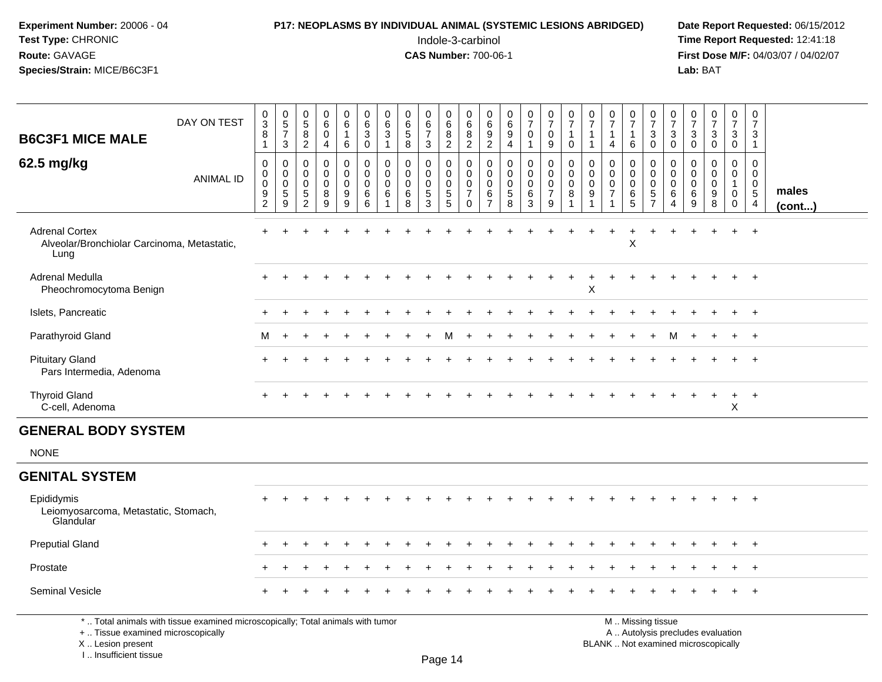# **P17: NEOPLASMS BY INDIVIDUAL ANIMAL (SYSTEMIC LESIONS ABRIDGED)** Date Report Requested: 06/15/2012<br>Indole-3-carbinol **Time Report Requested:** 12:41:18

 Indole-3-carbinol **Time Report Requested:** 12:41:18 **First Dose M/F:** 04/03/07 / 04/02/07<br>Lab: BAT **Lab:** BAT

| <b>B6C3F1 MICE MALE</b>                                                      | DAY ON TEST                                                                     | $_{3}^{\rm 0}$<br>8<br>$\overline{1}$                                                     | $\begin{array}{c} 0 \\ 5 \end{array}$<br>$\overline{7}$<br>$\sqrt{3}$ | $\pmb{0}$<br>$\overline{5}$<br>8<br>$\overline{2}$            | 0<br>$6^{\circ}$<br>0<br>$\overline{4}$   | $\pmb{0}$<br>$6\phantom{1}$<br>$\mathbf{1}$<br>$\,6\,$ | $\begin{array}{c} 0 \\ 6 \end{array}$<br>$\mathbf{3}$<br>$\mathsf{O}\xspace$ | $\begin{array}{c} 0 \\ 6 \end{array}$<br>3<br>$\mathbf{1}$ | 0<br>$\,6\,$<br>$\sqrt{5}$<br>$\overline{8}$        | 0<br>$\,6\,$<br>$\overline{7}$<br>3                    | 0<br>6<br>$^8_2$                                     | $\pmb{0}$<br>$\,6\,$<br>8<br>$\overline{2}$                              | 0<br>$6\phantom{1}$<br>$\frac{9}{2}$                             | $\begin{array}{c} 0 \\ 6 \end{array}$<br>$\boldsymbol{9}$<br>$\overline{4}$ | $\frac{0}{7}$<br>$\mathbf 0$<br>$\mathbf{1}$               | $\frac{0}{7}$<br>$\mathbf 0$<br>$9\,$                                    | $\frac{0}{7}$<br>$\mathbf{1}$<br>$\mathbf 0$        | 0<br>$\overline{7}$<br>$\mathbf{1}$<br>$\mathbf{1}$ | $\frac{0}{7}$<br>$\mathbf{1}$<br>$\overline{4}$         | $\frac{0}{7}$<br>$\mathbf{1}$<br>$\,6\,$               | $\frac{0}{7}$<br>$\sqrt{3}$<br>$\overline{0}$    | $\frac{0}{7}$<br>3<br>$\mathbf 0$      | $\frac{0}{7}$<br>$\mathbf{3}$<br>$\overline{0}$ | $\frac{0}{7}$<br>$\mathbf{3}$<br>$\ddot{\mathbf{0}}$ | $\pmb{0}$<br>$\overline{7}$<br>3<br>$\overline{0}$ | 0<br>$\overline{7}$<br>$\mathbf{3}$<br>$\overline{1}$                         |                       |
|------------------------------------------------------------------------------|---------------------------------------------------------------------------------|-------------------------------------------------------------------------------------------|-----------------------------------------------------------------------|---------------------------------------------------------------|-------------------------------------------|--------------------------------------------------------|------------------------------------------------------------------------------|------------------------------------------------------------|-----------------------------------------------------|--------------------------------------------------------|------------------------------------------------------|--------------------------------------------------------------------------|------------------------------------------------------------------|-----------------------------------------------------------------------------|------------------------------------------------------------|--------------------------------------------------------------------------|-----------------------------------------------------|-----------------------------------------------------|---------------------------------------------------------|--------------------------------------------------------|--------------------------------------------------|----------------------------------------|-------------------------------------------------|------------------------------------------------------|----------------------------------------------------|-------------------------------------------------------------------------------|-----------------------|
| 62.5 mg/kg                                                                   | <b>ANIMAL ID</b>                                                                | $\boldsymbol{0}$<br>$\mathbf 0$<br>$\boldsymbol{0}$<br>$\boldsymbol{9}$<br>$\overline{2}$ | 0<br>$\mathbf 0$<br>$\mathbf 0$<br>$\sqrt{5}$<br>$9\,$                | $\mathbf 0$<br>$\mathbf 0$<br>$\Omega$<br>5<br>$\overline{2}$ | 0<br>$\mathbf 0$<br>$\mathbf 0$<br>8<br>9 | $\pmb{0}$<br>$\mathbf 0$<br>$\mathbf 0$<br>9<br>9      | $\pmb{0}$<br>$\mathsf{O}\xspace$<br>$\mathbf 0$<br>6<br>6                    | 0<br>$\mathbf 0$<br>$\mathbf 0$<br>6                       | $\mathbf 0$<br>$\mathbf 0$<br>$\mathbf 0$<br>6<br>8 | 0<br>$\mathbf 0$<br>$\mathbf 0$<br>$\overline{5}$<br>3 | 0<br>$\pmb{0}$<br>$\mathbf 0$<br>$\overline{5}$<br>5 | $\mathsf{O}\xspace$<br>$\mathbf 0$<br>0<br>$\overline{7}$<br>$\mathbf 0$ | $\mathbf 0$<br>$\mathbf 0$<br>$\mathbf 0$<br>6<br>$\overline{7}$ | $\mathsf{O}\xspace$<br>$\pmb{0}$<br>$\mathbf 0$<br>$\sqrt{5}$<br>8          | 0<br>$\mathbf 0$<br>$\mathbf 0$<br>$\,6\,$<br>$\mathbf{3}$ | $\mathsf 0$<br>$\mathsf{O}\xspace$<br>$\mathbf 0$<br>$\overline{7}$<br>9 | $\mathbf 0$<br>$\mathbf 0$<br>$\mathbf 0$<br>8<br>1 | 0<br>0<br>$\mathbf 0$<br>9<br>$\overline{1}$        | $\pmb{0}$<br>$\mathbf 0$<br>$\pmb{0}$<br>$\overline{7}$ | 0<br>$\mathbf 0$<br>$\mathbf 0$<br>6<br>$\overline{5}$ | 0<br>$\mathbf 0$<br>$\mathbf 0$<br>$\frac{5}{7}$ | 0<br>$\mathbf 0$<br>$\Omega$<br>6<br>4 | 0<br>$\mathbf 0$<br>$\Omega$<br>6<br>$9\,$      | $\mathsf 0$<br>$\mathbf 0$<br>$\mathbf 0$<br>9<br>8  | 0<br>$\mathbf 0$<br>$\mathbf{1}$<br>0<br>0         | $\mathbf 0$<br>$\mathbf 0$<br>$\mathbf 0$<br>$\overline{5}$<br>$\overline{4}$ | males<br>$($ cont $)$ |
| <b>Adrenal Cortex</b><br>Alveolar/Bronchiolar Carcinoma, Metastatic,<br>Lung |                                                                                 |                                                                                           |                                                                       |                                                               |                                           |                                                        |                                                                              |                                                            |                                                     |                                                        |                                                      |                                                                          |                                                                  |                                                                             |                                                            |                                                                          |                                                     |                                                     |                                                         | $\sf X$                                                |                                                  |                                        |                                                 | $\ddot{}$                                            | $+$                                                | $+$                                                                           |                       |
| Adrenal Medulla<br>Pheochromocytoma Benign                                   |                                                                                 |                                                                                           |                                                                       |                                                               |                                           |                                                        |                                                                              |                                                            |                                                     |                                                        |                                                      |                                                                          |                                                                  |                                                                             |                                                            |                                                                          |                                                     | X                                                   |                                                         |                                                        |                                                  |                                        |                                                 |                                                      |                                                    | $\ddot{}$                                                                     |                       |
| Islets, Pancreatic                                                           |                                                                                 |                                                                                           |                                                                       |                                                               |                                           |                                                        |                                                                              |                                                            |                                                     |                                                        |                                                      |                                                                          |                                                                  |                                                                             |                                                            |                                                                          |                                                     |                                                     |                                                         |                                                        |                                                  |                                        |                                                 |                                                      | $\ddot{}$                                          | $+$                                                                           |                       |
| Parathyroid Gland                                                            |                                                                                 | М                                                                                         | $\ddot{}$                                                             |                                                               |                                           |                                                        |                                                                              |                                                            |                                                     |                                                        | м                                                    |                                                                          |                                                                  |                                                                             |                                                            |                                                                          |                                                     |                                                     |                                                         |                                                        |                                                  | м                                      | $\div$                                          | $\ddot{}$                                            | $+$                                                | $+$                                                                           |                       |
| <b>Pituitary Gland</b><br>Pars Intermedia, Adenoma                           |                                                                                 |                                                                                           |                                                                       |                                                               |                                           |                                                        |                                                                              |                                                            |                                                     |                                                        |                                                      |                                                                          |                                                                  |                                                                             |                                                            |                                                                          |                                                     |                                                     |                                                         |                                                        |                                                  |                                        |                                                 |                                                      |                                                    | $\div$                                                                        |                       |
| <b>Thyroid Gland</b><br>C-cell, Adenoma                                      |                                                                                 |                                                                                           |                                                                       |                                                               |                                           |                                                        |                                                                              |                                                            |                                                     |                                                        |                                                      |                                                                          |                                                                  |                                                                             |                                                            |                                                                          |                                                     |                                                     |                                                         |                                                        |                                                  |                                        |                                                 |                                                      | $\ddot{}$<br>X                                     | $+$                                                                           |                       |
| <b>GENERAL BODY SYSTEM</b>                                                   |                                                                                 |                                                                                           |                                                                       |                                                               |                                           |                                                        |                                                                              |                                                            |                                                     |                                                        |                                                      |                                                                          |                                                                  |                                                                             |                                                            |                                                                          |                                                     |                                                     |                                                         |                                                        |                                                  |                                        |                                                 |                                                      |                                                    |                                                                               |                       |
| <b>NONE</b>                                                                  |                                                                                 |                                                                                           |                                                                       |                                                               |                                           |                                                        |                                                                              |                                                            |                                                     |                                                        |                                                      |                                                                          |                                                                  |                                                                             |                                                            |                                                                          |                                                     |                                                     |                                                         |                                                        |                                                  |                                        |                                                 |                                                      |                                                    |                                                                               |                       |
| <b>GENITAL SYSTEM</b>                                                        |                                                                                 |                                                                                           |                                                                       |                                                               |                                           |                                                        |                                                                              |                                                            |                                                     |                                                        |                                                      |                                                                          |                                                                  |                                                                             |                                                            |                                                                          |                                                     |                                                     |                                                         |                                                        |                                                  |                                        |                                                 |                                                      |                                                    |                                                                               |                       |
| Epididymis<br>Leiomyosarcoma, Metastatic, Stomach,<br>Glandular              |                                                                                 |                                                                                           |                                                                       |                                                               |                                           |                                                        |                                                                              |                                                            |                                                     |                                                        |                                                      |                                                                          |                                                                  |                                                                             |                                                            |                                                                          |                                                     |                                                     |                                                         |                                                        |                                                  |                                        |                                                 |                                                      |                                                    |                                                                               |                       |
| <b>Preputial Gland</b>                                                       |                                                                                 |                                                                                           |                                                                       |                                                               |                                           |                                                        |                                                                              |                                                            |                                                     |                                                        |                                                      |                                                                          |                                                                  |                                                                             |                                                            |                                                                          |                                                     |                                                     |                                                         |                                                        |                                                  |                                        |                                                 |                                                      | $\pm$                                              | $+$                                                                           |                       |
| Prostate                                                                     |                                                                                 |                                                                                           |                                                                       |                                                               |                                           |                                                        |                                                                              |                                                            |                                                     |                                                        |                                                      |                                                                          |                                                                  |                                                                             |                                                            |                                                                          |                                                     |                                                     |                                                         |                                                        |                                                  |                                        |                                                 |                                                      |                                                    |                                                                               |                       |
| <b>Seminal Vesicle</b>                                                       |                                                                                 |                                                                                           |                                                                       |                                                               |                                           |                                                        |                                                                              |                                                            |                                                     |                                                        |                                                      |                                                                          |                                                                  |                                                                             |                                                            |                                                                          |                                                     |                                                     |                                                         |                                                        |                                                  |                                        |                                                 |                                                      |                                                    |                                                                               |                       |
| +  Tissue examined microscopically                                           | *  Total animals with tissue examined microscopically; Total animals with tumor |                                                                                           |                                                                       |                                                               |                                           |                                                        |                                                                              |                                                            |                                                     |                                                        |                                                      |                                                                          |                                                                  |                                                                             |                                                            |                                                                          |                                                     |                                                     |                                                         |                                                        | M  Missing tissue                                |                                        |                                                 | A  Autolysis precludes evaluation                    |                                                    |                                                                               |                       |

X .. Lesion present

I .. Insufficient tissue

Lesion present BLANK .. Not examined microscopically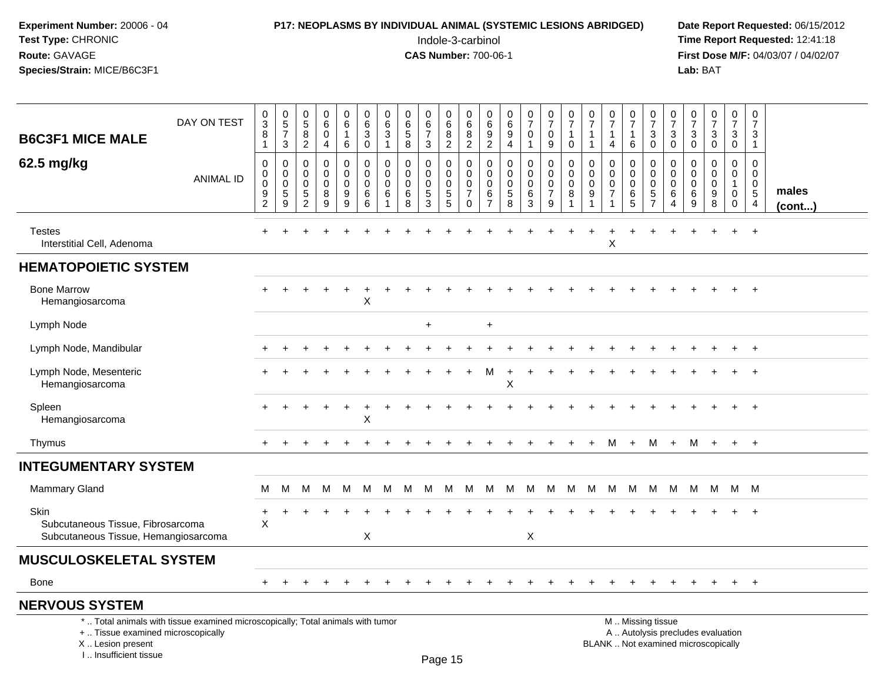# **P17: NEOPLASMS BY INDIVIDUAL ANIMAL (SYSTEMIC LESIONS ABRIDGED)** Date Report Requested: 06/15/2012<br>Indole-3-carbinol **Time Report Requested:** 12:41:18

| <b>B6C3F1 MICE MALE</b>                                                                                                                                             | DAY ON TEST      | 0<br>$\ensuremath{\mathsf{3}}$<br>8<br>$\mathbf{1}$    | 0<br>$\overline{5}$<br>$\overline{7}$<br>3          | $\begin{array}{c} 0 \\ 5 \end{array}$<br>$\bf8$<br>$\overline{2}$ | $\mathbf 0$<br>$\,6\,$<br>$\mathbf 0$<br>4 | $\mathbf 0$<br>$\,6\,$<br>$\overline{1}$<br>6                                     | $\mathbf 0$<br>$\,6\,$<br>$\sqrt{3}$<br>$\mathbf 0$     | 0<br>6<br>$\mathbf{3}$<br>$\mathbf{1}$ | 0<br>$\,6$<br>$\sqrt{5}$<br>8 | 0<br>6<br>$\overline{7}$<br>3                | $\pmb{0}$<br>6<br>$\bf 8$<br>$\overline{2}$                               | $\mathbf 0$<br>$\,6\,$<br>8<br>$\overline{2}$                              | 0<br>$\,6$<br>9<br>$\overline{2}$                      | $\mathbf 0$<br>6<br>9<br>4                       | 0<br>$\overline{7}$<br>$\mathbf 0$<br>1             | 0<br>$\overline{7}$<br>$\mathbf 0$<br>9              | $\pmb{0}$<br>$\overline{7}$<br>$\overline{1}$<br>0 | 0<br>$\overline{7}$<br>$\mathbf 1$   | 0<br>$\overline{7}$<br>1<br>4                                 | 0<br>$\overline{7}$<br>$\mathbf{1}$<br>6                | 0<br>$\overline{7}$<br>3<br>$\mathbf 0$                         | 0<br>$\overline{7}$<br>3<br>$\mathbf 0$ | 0<br>$\overline{7}$<br>3<br>$\mathbf 0$ | $\frac{0}{7}$<br>3<br>0                                                  | $\mathbf 0$<br>$\overline{7}$<br>3<br>$\mathbf 0$              | $\mathbf 0$<br>$\overline{7}$<br>3<br>$\mathbf{1}$           |                 |
|---------------------------------------------------------------------------------------------------------------------------------------------------------------------|------------------|--------------------------------------------------------|-----------------------------------------------------|-------------------------------------------------------------------|--------------------------------------------|-----------------------------------------------------------------------------------|---------------------------------------------------------|----------------------------------------|-------------------------------|----------------------------------------------|---------------------------------------------------------------------------|----------------------------------------------------------------------------|--------------------------------------------------------|--------------------------------------------------|-----------------------------------------------------|------------------------------------------------------|----------------------------------------------------|--------------------------------------|---------------------------------------------------------------|---------------------------------------------------------|-----------------------------------------------------------------|-----------------------------------------|-----------------------------------------|--------------------------------------------------------------------------|----------------------------------------------------------------|--------------------------------------------------------------|-----------------|
| 62.5 mg/kg                                                                                                                                                          | <b>ANIMAL ID</b> | $\mathbf 0$<br>0<br>$\mathbf 0$<br>9<br>$\overline{c}$ | $\mathbf 0$<br>$\mathbf 0$<br>$\mathbf 0$<br>5<br>9 | $\mathbf 0$<br>0<br>0<br>$\,$ 5 $\,$<br>$\overline{c}$            | $\pmb{0}$<br>0<br>0<br>$\bf 8$<br>9        | $\mathbf 0$<br>$\mathbf 0$<br>$\mathbf 0$<br>$\boldsymbol{9}$<br>$\boldsymbol{9}$ | $\mathbf 0$<br>$\mathbf 0$<br>$\pmb{0}$<br>6<br>$\,6\,$ | $\mathbf 0$<br>$\mathbf 0$<br>0<br>6   | $\Omega$<br>0<br>0<br>6<br>8  | $\mathbf 0$<br>0<br>0<br>$\overline{5}$<br>3 | $\mathbf 0$<br>$\mathsf{O}$<br>$\pmb{0}$<br>$\,$ 5 $\,$<br>$\overline{5}$ | $\mathbf 0$<br>$\mathbf 0$<br>$\mathbf 0$<br>$\overline{7}$<br>$\mathbf 0$ | $\mathbf 0$<br>$\mathbf 0$<br>0<br>6<br>$\overline{7}$ | $\Omega$<br>$\mathbf 0$<br>$\mathbf 0$<br>5<br>8 | $\mathbf 0$<br>$\mathbf 0$<br>$\mathbf 0$<br>6<br>3 | $\mathbf 0$<br>0<br>$\pmb{0}$<br>$\overline{7}$<br>9 | $\mathbf 0$<br>0<br>$\pmb{0}$<br>$\,8\,$<br>-1     | $\mathbf 0$<br>$\mathbf 0$<br>0<br>9 | $\Omega$<br>$\mathbf 0$<br>$\mathbf 0$<br>$\overline{7}$<br>1 | $\mathbf 0$<br>$\mathbf 0$<br>$\pmb{0}$<br>$\,6\,$<br>5 | $\mathbf 0$<br>0<br>$\mathbf 0$<br>$\sqrt{5}$<br>$\overline{7}$ | $\Omega$<br>0<br>$\mathbf 0$<br>6<br>4  | $\Omega$<br>0<br>$\mathbf 0$<br>6<br>9  | $\mathbf 0$<br>$\mathbf 0$<br>$\mathbf 0$<br>$\boldsymbol{9}$<br>8       | $\mathbf 0$<br>$\mathbf 0$<br>$\mathbf{1}$<br>$\mathbf 0$<br>0 | $\Omega$<br>0<br>$\mathbf 0$<br>$\sqrt{5}$<br>$\overline{4}$ | males<br>(cont) |
| <b>Testes</b><br>Interstitial Cell, Adenoma                                                                                                                         |                  |                                                        |                                                     |                                                                   |                                            |                                                                                   |                                                         |                                        |                               |                                              |                                                                           |                                                                            |                                                        |                                                  |                                                     |                                                      |                                                    |                                      | $\pmb{\times}$                                                |                                                         |                                                                 |                                         |                                         |                                                                          | $+$                                                            | $+$                                                          |                 |
| <b>HEMATOPOIETIC SYSTEM</b>                                                                                                                                         |                  |                                                        |                                                     |                                                                   |                                            |                                                                                   |                                                         |                                        |                               |                                              |                                                                           |                                                                            |                                                        |                                                  |                                                     |                                                      |                                                    |                                      |                                                               |                                                         |                                                                 |                                         |                                         |                                                                          |                                                                |                                                              |                 |
| <b>Bone Marrow</b><br>Hemangiosarcoma                                                                                                                               |                  |                                                        |                                                     |                                                                   |                                            |                                                                                   | $\times$                                                |                                        |                               |                                              |                                                                           |                                                                            |                                                        |                                                  |                                                     |                                                      |                                                    |                                      |                                                               |                                                         |                                                                 |                                         |                                         |                                                                          | +                                                              | $+$                                                          |                 |
| Lymph Node                                                                                                                                                          |                  |                                                        |                                                     |                                                                   |                                            |                                                                                   |                                                         |                                        |                               | $\ddot{}$                                    |                                                                           |                                                                            | $\ddot{}$                                              |                                                  |                                                     |                                                      |                                                    |                                      |                                                               |                                                         |                                                                 |                                         |                                         |                                                                          |                                                                |                                                              |                 |
| Lymph Node, Mandibular                                                                                                                                              |                  |                                                        |                                                     |                                                                   |                                            |                                                                                   |                                                         |                                        |                               |                                              |                                                                           |                                                                            |                                                        |                                                  |                                                     |                                                      |                                                    |                                      |                                                               |                                                         |                                                                 |                                         |                                         |                                                                          |                                                                | $+$                                                          |                 |
| Lymph Node, Mesenteric<br>Hemangiosarcoma                                                                                                                           |                  |                                                        |                                                     |                                                                   |                                            |                                                                                   |                                                         |                                        |                               |                                              |                                                                           |                                                                            | М                                                      | X                                                |                                                     |                                                      |                                                    |                                      |                                                               |                                                         |                                                                 |                                         |                                         |                                                                          |                                                                |                                                              |                 |
| Spleen<br>Hemangiosarcoma                                                                                                                                           |                  |                                                        |                                                     |                                                                   |                                            |                                                                                   | Χ                                                       |                                        |                               |                                              |                                                                           |                                                                            |                                                        |                                                  |                                                     |                                                      |                                                    |                                      |                                                               |                                                         |                                                                 |                                         |                                         |                                                                          |                                                                | $+$                                                          |                 |
| Thymus                                                                                                                                                              |                  | $\pm$                                                  |                                                     |                                                                   |                                            |                                                                                   |                                                         |                                        |                               |                                              |                                                                           |                                                                            |                                                        |                                                  | $\div$                                              | $\pm$                                                | $\ddot{}$                                          | $\ddot{}$                            | M                                                             | $+$                                                     | M                                                               | $+$                                     | M +                                     |                                                                          | $+$                                                            | $+$                                                          |                 |
| <b>INTEGUMENTARY SYSTEM</b>                                                                                                                                         |                  |                                                        |                                                     |                                                                   |                                            |                                                                                   |                                                         |                                        |                               |                                              |                                                                           |                                                                            |                                                        |                                                  |                                                     |                                                      |                                                    |                                      |                                                               |                                                         |                                                                 |                                         |                                         |                                                                          |                                                                |                                                              |                 |
| <b>Mammary Gland</b>                                                                                                                                                |                  | М                                                      | м                                                   | М                                                                 | м                                          | м                                                                                 | М                                                       | M                                      | M                             | M                                            | M                                                                         | M                                                                          | М                                                      | M                                                | M                                                   | М                                                    | M                                                  | M                                    | M                                                             | M                                                       | M                                                               | M                                       | M                                       | M                                                                        | M M                                                            |                                                              |                 |
| <b>Skin</b><br>Subcutaneous Tissue, Fibrosarcoma<br>Subcutaneous Tissue, Hemangiosarcoma                                                                            |                  | +<br>X                                                 |                                                     |                                                                   |                                            |                                                                                   | $\boldsymbol{\mathsf{X}}$                               |                                        |                               |                                              |                                                                           |                                                                            |                                                        |                                                  | X                                                   |                                                      |                                                    |                                      |                                                               |                                                         |                                                                 |                                         |                                         |                                                                          |                                                                | $^{+}$                                                       |                 |
| <b>MUSCULOSKELETAL SYSTEM</b>                                                                                                                                       |                  |                                                        |                                                     |                                                                   |                                            |                                                                                   |                                                         |                                        |                               |                                              |                                                                           |                                                                            |                                                        |                                                  |                                                     |                                                      |                                                    |                                      |                                                               |                                                         |                                                                 |                                         |                                         |                                                                          |                                                                |                                                              |                 |
| Bone                                                                                                                                                                |                  | ÷                                                      |                                                     |                                                                   |                                            |                                                                                   |                                                         |                                        |                               | $\pm$                                        | $\pm$                                                                     | $\pm$                                                                      | $\pm$                                                  | $\pm$                                            | $+$                                                 | $+$                                                  | $+$                                                | $\pm$                                |                                                               |                                                         |                                                                 |                                         |                                         | $\pm$                                                                    | $+$                                                            | $+$                                                          |                 |
| <b>NERVOUS SYSTEM</b>                                                                                                                                               |                  |                                                        |                                                     |                                                                   |                                            |                                                                                   |                                                         |                                        |                               |                                              |                                                                           |                                                                            |                                                        |                                                  |                                                     |                                                      |                                                    |                                      |                                                               |                                                         |                                                                 |                                         |                                         |                                                                          |                                                                |                                                              |                 |
| *  Total animals with tissue examined microscopically; Total animals with tumor<br>+  Tissue examined microscopically<br>X  Lesion present<br>I Insufficient tissue |                  |                                                        |                                                     |                                                                   |                                            |                                                                                   |                                                         |                                        |                               |                                              | $D_{200}$ 15                                                              |                                                                            |                                                        |                                                  |                                                     |                                                      |                                                    |                                      |                                                               |                                                         | M  Missing tissue                                               |                                         |                                         | A  Autolysis precludes evaluation<br>BLANK  Not examined microscopically |                                                                |                                                              |                 |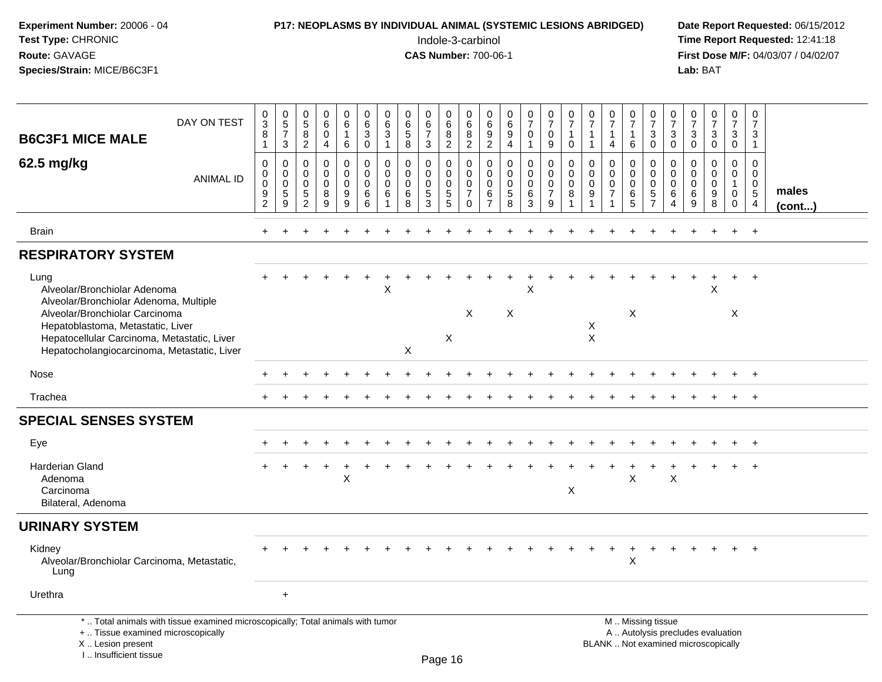# **P17: NEOPLASMS BY INDIVIDUAL ANIMAL (SYSTEMIC LESIONS ABRIDGED)** Date Report Requested: 06/15/2012<br>Indole-3-carbinol **Time Report Requested:** 12:41:18

| DAY ON TEST<br><b>B6C3F1 MICE MALE</b>                                                                                                                             | 0<br>$\mathfrak{S}$<br>$\bf 8$<br>1                                         | $\pmb{0}$<br>$\frac{5}{7}$<br>$\mathbf{3}$ | $\pmb{0}$<br>$\sqrt{5}$<br>8<br>$\overline{2}$ | $\pmb{0}$<br>$\,6\,$<br>$\mathbf 0$<br>$\overline{4}$  | $\pmb{0}$<br>$6\phantom{a}$<br>$\mathbf{1}$<br>6         | $\mathbf 0$<br>$\,6\,$<br>3<br>$\mathbf 0$       | 0<br>$\,6\,$<br>3<br>$\mathbf{1}$             | 0<br>$\,6\,$<br>$\sqrt{5}$<br>8            | $\pmb{0}$<br>$\,6\,$<br>$\overline{7}$<br>3                | $\mathbf 0$<br>$6\phantom{1}$<br>8<br>$\overline{2}$ | $\mathbf 0$<br>$\,6\,$<br>8<br>2                                        | 0<br>6<br>9<br>2                                 | 0<br>$\,6$<br>9<br>4                          | 0<br>$\overline{7}$<br>0<br>$\mathbf{1}$  | $\pmb{0}$<br>$\overline{7}$<br>$\mathbf 0$<br>9                  | 0<br>$\overline{7}$<br>-1<br>$\mathbf 0$       | 0<br>$\overline{7}$<br>$\overline{1}$<br>$\overline{1}$ | $\pmb{0}$<br>$\overline{7}$<br>1<br>$\overline{4}$           | 0<br>$\overline{7}$<br>$\mathbf{1}$<br>6  | 0<br>$\overline{7}$<br>3<br>$\mathbf 0$                         | 0<br>$\overline{7}$<br>3<br>$\mathbf 0$ | 0<br>$\overline{7}$<br>3<br>$\mathbf 0$ | $\pmb{0}$<br>$\overline{7}$<br>$\mathbf{3}$<br>$\mathbf 0$               | $\pmb{0}$<br>$\overline{7}$<br>$\mathbf{3}$<br>$\mathbf 0$             | $\mathbf 0$<br>$\overline{7}$<br>3<br>$\mathbf{1}$                        |                       |
|--------------------------------------------------------------------------------------------------------------------------------------------------------------------|-----------------------------------------------------------------------------|--------------------------------------------|------------------------------------------------|--------------------------------------------------------|----------------------------------------------------------|--------------------------------------------------|-----------------------------------------------|--------------------------------------------|------------------------------------------------------------|------------------------------------------------------|-------------------------------------------------------------------------|--------------------------------------------------|-----------------------------------------------|-------------------------------------------|------------------------------------------------------------------|------------------------------------------------|---------------------------------------------------------|--------------------------------------------------------------|-------------------------------------------|-----------------------------------------------------------------|-----------------------------------------|-----------------------------------------|--------------------------------------------------------------------------|------------------------------------------------------------------------|---------------------------------------------------------------------------|-----------------------|
| 62.5 mg/kg<br><b>ANIMAL ID</b>                                                                                                                                     | $\mathbf 0$<br>$\pmb{0}$<br>$\pmb{0}$<br>$\boldsymbol{9}$<br>$\overline{c}$ | 0<br>$\mathbf 0$<br>$\pmb{0}$<br>5<br>9    | $\mathbf 0$<br>0<br>$\mathbf 0$<br>5<br>2      | $\mathbf 0$<br>$\mathbf 0$<br>$\pmb{0}$<br>$\bf8$<br>9 | 0<br>$\mathbf 0$<br>$\mathbf 0$<br>$\boldsymbol{9}$<br>9 | $\mathbf 0$<br>$\mathbf 0$<br>$\Omega$<br>6<br>6 | $\pmb{0}$<br>$\mathbf 0$<br>$\mathbf{0}$<br>6 | $\Omega$<br>$\Omega$<br>$\Omega$<br>6<br>8 | $\mathbf 0$<br>$\mathbf 0$<br>$\pmb{0}$<br>$\sqrt{5}$<br>3 | 0<br>$\mathbf 0$<br>0<br>$\sqrt{5}$<br>5             | $\mathbf 0$<br>$\mathbf 0$<br>$\mathbf 0$<br>$\overline{7}$<br>$\Omega$ | 0<br>$\Omega$<br>$\Omega$<br>6<br>$\overline{7}$ | $\mathbf 0$<br>$\Omega$<br>$\Omega$<br>5<br>8 | 0<br>$\mathbf 0$<br>$\mathbf 0$<br>6<br>3 | $\mathbf 0$<br>$\mathbf 0$<br>$\mathsf 0$<br>$\overline{7}$<br>9 | $\mathbf 0$<br>$\mathbf 0$<br>$\mathbf 0$<br>8 | $\mathbf 0$<br>$\mathbf 0$<br>0<br>9                    | $\mathbf 0$<br>$\mathbf{0}$<br>$\mathbf 0$<br>$\overline{7}$ | 0<br>$\mathbf 0$<br>$\mathbf 0$<br>6<br>5 | 0<br>$\mathbf 0$<br>$\mathbf 0$<br>$\sqrt{5}$<br>$\overline{7}$ | 0<br>$\Omega$<br>$\Omega$<br>6<br>4     | 0<br>0<br>$\mathbf 0$<br>6<br>9         | 0<br>$\mathbf 0$<br>$\mathbf 0$<br>$\boldsymbol{9}$<br>8                 | 0<br>$\mathbf 0$<br>$\mathbf{1}$<br>$\mathsf{O}\xspace$<br>$\mathbf 0$ | $\mathbf 0$<br>$\mathbf 0$<br>$\mathbf 0$<br>$\sqrt{5}$<br>$\overline{4}$ | males<br>$($ cont $)$ |
| <b>Brain</b>                                                                                                                                                       | +                                                                           |                                            |                                                |                                                        |                                                          |                                                  |                                               |                                            |                                                            |                                                      |                                                                         |                                                  |                                               |                                           |                                                                  |                                                |                                                         |                                                              |                                           |                                                                 |                                         |                                         |                                                                          | $\ddot{}$                                                              | $+$                                                                       |                       |
| <b>RESPIRATORY SYSTEM</b>                                                                                                                                          |                                                                             |                                            |                                                |                                                        |                                                          |                                                  |                                               |                                            |                                                            |                                                      |                                                                         |                                                  |                                               |                                           |                                                                  |                                                |                                                         |                                                              |                                           |                                                                 |                                         |                                         |                                                                          |                                                                        |                                                                           |                       |
| Lung<br>Alveolar/Bronchiolar Adenoma<br>Alveolar/Bronchiolar Adenoma, Multiple                                                                                     |                                                                             |                                            |                                                |                                                        |                                                          |                                                  | X                                             |                                            |                                                            |                                                      |                                                                         |                                                  |                                               | ÷<br>X                                    |                                                                  |                                                |                                                         |                                                              |                                           |                                                                 |                                         |                                         | $\ddot{}$<br>X                                                           | $\ddot{}$                                                              | $+$                                                                       |                       |
| Alveolar/Bronchiolar Carcinoma<br>Hepatoblastoma, Metastatic, Liver<br>Hepatocellular Carcinoma, Metastatic, Liver<br>Hepatocholangiocarcinoma, Metastatic, Liver  |                                                                             |                                            |                                                |                                                        |                                                          |                                                  |                                               | X                                          |                                                            | X                                                    | X                                                                       |                                                  | X                                             |                                           |                                                                  |                                                | X<br>$\mathsf X$                                        |                                                              | X                                         |                                                                 |                                         |                                         |                                                                          | X                                                                      |                                                                           |                       |
| Nose                                                                                                                                                               |                                                                             |                                            |                                                |                                                        |                                                          |                                                  |                                               |                                            |                                                            |                                                      |                                                                         |                                                  |                                               |                                           |                                                                  |                                                |                                                         |                                                              |                                           |                                                                 |                                         |                                         |                                                                          |                                                                        | $\overline{ }$                                                            |                       |
| Trachea                                                                                                                                                            |                                                                             |                                            |                                                |                                                        |                                                          |                                                  |                                               |                                            |                                                            |                                                      |                                                                         |                                                  |                                               |                                           |                                                                  |                                                |                                                         |                                                              |                                           |                                                                 |                                         |                                         |                                                                          | $\ddot{}$                                                              | $+$                                                                       |                       |
| <b>SPECIAL SENSES SYSTEM</b>                                                                                                                                       |                                                                             |                                            |                                                |                                                        |                                                          |                                                  |                                               |                                            |                                                            |                                                      |                                                                         |                                                  |                                               |                                           |                                                                  |                                                |                                                         |                                                              |                                           |                                                                 |                                         |                                         |                                                                          |                                                                        |                                                                           |                       |
| Eye                                                                                                                                                                |                                                                             |                                            |                                                |                                                        |                                                          |                                                  |                                               |                                            |                                                            |                                                      |                                                                         |                                                  |                                               |                                           |                                                                  |                                                |                                                         |                                                              |                                           |                                                                 |                                         |                                         |                                                                          | $\ddot{}$                                                              | $+$                                                                       |                       |
| Harderian Gland<br>Adenoma<br>Carcinoma<br>Bilateral, Adenoma                                                                                                      |                                                                             |                                            |                                                |                                                        | $\boldsymbol{\mathsf{X}}$                                |                                                  |                                               |                                            |                                                            |                                                      |                                                                         |                                                  |                                               |                                           |                                                                  | X                                              |                                                         |                                                              | $\pmb{\times}$                            |                                                                 | Χ                                       |                                         |                                                                          | $\ddot{}$                                                              | $+$                                                                       |                       |
| <b>URINARY SYSTEM</b>                                                                                                                                              |                                                                             |                                            |                                                |                                                        |                                                          |                                                  |                                               |                                            |                                                            |                                                      |                                                                         |                                                  |                                               |                                           |                                                                  |                                                |                                                         |                                                              |                                           |                                                                 |                                         |                                         |                                                                          |                                                                        |                                                                           |                       |
| Kidney<br>Alveolar/Bronchiolar Carcinoma, Metastatic,<br>Lung                                                                                                      |                                                                             |                                            |                                                |                                                        |                                                          |                                                  |                                               |                                            |                                                            |                                                      |                                                                         |                                                  |                                               |                                           |                                                                  |                                                |                                                         |                                                              | Χ                                         |                                                                 |                                         |                                         |                                                                          | $\pm$                                                                  | $+$                                                                       |                       |
| Urethra                                                                                                                                                            |                                                                             | $\ddot{}$                                  |                                                |                                                        |                                                          |                                                  |                                               |                                            |                                                            |                                                      |                                                                         |                                                  |                                               |                                           |                                                                  |                                                |                                                         |                                                              |                                           |                                                                 |                                         |                                         |                                                                          |                                                                        |                                                                           |                       |
| *  Total animals with tissue examined microscopically; Total animals with tumor<br>+  Tissue examined microscopically<br>X Lesion present<br>I Insufficient tissue |                                                                             |                                            |                                                |                                                        |                                                          |                                                  |                                               |                                            |                                                            | D <sub>2</sub> 200                                   |                                                                         |                                                  |                                               |                                           |                                                                  |                                                |                                                         |                                                              |                                           | M  Missing tissue                                               |                                         |                                         | A  Autolysis precludes evaluation<br>BLANK  Not examined microscopically |                                                                        |                                                                           |                       |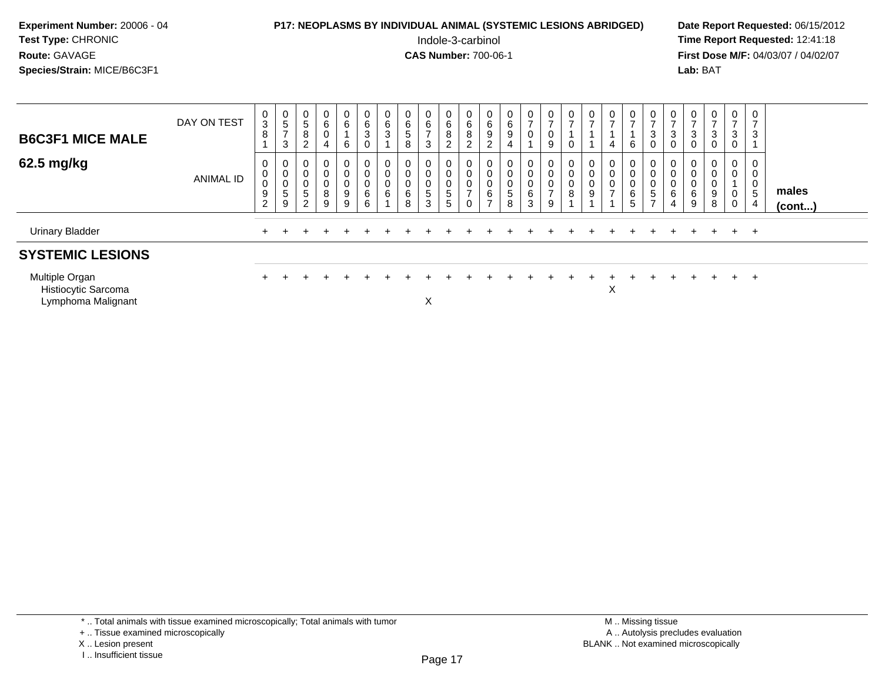# **P17: NEOPLASMS BY INDIVIDUAL ANIMAL (SYSTEMIC LESIONS ABRIDGED)** Date Report Requested: 06/15/2012<br>Indole-3-carbinol **Time Report Requested:** 12:41:18

| <b>B6C3F1 MICE MALE</b>                                     | DAY ON TEST | $\mathbf 0$<br>3<br>8                                               | $\begin{array}{c} 0 \\ 5 \end{array}$<br>$\rightarrow$<br>3 | 0<br>$\,$ 5 $\,$<br>$\overline{8}$<br>$\overline{c}$                              | $\mathbf{0}$<br>6<br>$\mathsf 0$<br>4       | $\mathbf 0$<br>$\,6\,$<br>6                                              | 0<br>$\,6\,$<br>$\sqrt{3}$<br>$\pmb{0}$       | $\begin{array}{c} 0 \\ 6 \end{array}$<br>$\mathbf{3}$ | 0<br>$\,6$<br>$\sqrt{5}$<br>8      | 0<br>6<br>$\rightarrow$<br>3 | 0<br>6<br>8<br>$\overline{c}$                                  | 0<br>$\,6\,$<br>$\bf 8$<br>$\overline{c}$                | 0<br>6<br>$\boldsymbol{9}$<br>$\Omega$            | $\begin{matrix} 0 \\ 6 \end{matrix}$<br>$\boldsymbol{9}$<br>$\overline{4}$ | $\frac{0}{7}$<br>$\pmb{0}$         | 0<br>$\overline{7}$<br>$\mathbf 0$<br>9      | $\overline{ }$             | 0<br>$\overline{ }$              | 0<br>$\rightarrow$ | 0<br>6                           | $\frac{0}{7}$<br>$\mathbf{3}$<br>$\pmb{0}$                      | $\frac{0}{7}$<br>3<br>0           | 0<br>$\overline{ }$<br>3<br>$\mathbf 0$            | 0<br>$\overline{ }$<br>3<br>0 | 0<br>$\overline{7}$<br>$\sqrt{3}$<br>0              | 0<br>⇁<br>3           |                 |
|-------------------------------------------------------------|-------------|---------------------------------------------------------------------|-------------------------------------------------------------|-----------------------------------------------------------------------------------|---------------------------------------------|--------------------------------------------------------------------------|-----------------------------------------------|-------------------------------------------------------|------------------------------------|------------------------------|----------------------------------------------------------------|----------------------------------------------------------|---------------------------------------------------|----------------------------------------------------------------------------|------------------------------------|----------------------------------------------|----------------------------|----------------------------------|--------------------|----------------------------------|-----------------------------------------------------------------|-----------------------------------|----------------------------------------------------|-------------------------------|-----------------------------------------------------|-----------------------|-----------------|
| 62.5 mg/kg                                                  | ANIMAL ID   | 0<br>$\pmb{0}$<br>$\mathbf 0$<br>$\boldsymbol{9}$<br>$\overline{2}$ | 0<br>$_{\rm 0}^{\rm 0}$<br>$\,$ 5 $\,$<br>9                 | $\pmb{0}$<br>$\begin{matrix} 0 \\ 0 \end{matrix}$<br>$\sqrt{5}$<br>$\overline{2}$ | 0<br>$\boldsymbol{0}$<br>0<br>$\frac{8}{9}$ | $\mathbf 0$<br>$\mathsf{O}\xspace$<br>$\pmb{0}$<br>$\boldsymbol{9}$<br>9 | 0<br>$\mathbf 0$<br>$\pmb{0}$<br>$\,6\,$<br>6 | 0<br>$\begin{matrix} 0 \\ 0 \end{matrix}$<br>$\,6\,$  | $\mathbf 0$<br>$\pmb{0}$<br>6<br>8 | 0<br>0<br>0<br>5<br>3        | $\overline{0}$<br>$\mathbf 0$<br>$\mathsf{O}\xspace$<br>5<br>5 | 0<br>$\pmb{0}$<br>$\pmb{0}$<br>$\rightarrow$<br>$\Omega$ | 0<br>$\pmb{0}$<br>$\pmb{0}$<br>6<br>$\rightarrow$ | 0<br>$\begin{matrix} 0 \\ 0 \\ 5 \end{matrix}$<br>8                        | 0<br>$\overline{0}$<br>0<br>6<br>3 | 0<br>$\mathbf 0$<br>0<br>$\overline{7}$<br>9 | 0<br>$\boldsymbol{0}$<br>8 | 0<br>$\pmb{0}$<br>$\pmb{0}$<br>9 | 0<br>0<br>0        | $\mathbf{0}$<br>0<br>0<br>6<br>5 | 0<br>$\begin{matrix} 0 \\ 0 \\ 5 \end{matrix}$<br>$\rightarrow$ | 0<br>$_{\rm 0}^{\rm 0}$<br>6<br>4 | 0<br>$\boldsymbol{0}$<br>$\pmb{0}$<br>$\,6\,$<br>9 | 0<br>0<br>0<br>9<br>8         | 0<br>$\mathbf 0$<br>$\boldsymbol{0}$<br>$\mathbf 0$ | 0<br>0<br>0<br>5<br>4 | males<br>(cont) |
| <b>Urinary Bladder</b>                                      |             |                                                                     |                                                             |                                                                                   |                                             |                                                                          |                                               |                                                       |                                    |                              |                                                                |                                                          |                                                   |                                                                            |                                    |                                              |                            |                                  |                    |                                  |                                                                 |                                   |                                                    |                               | $+$                                                 | $+$                   |                 |
| <b>SYSTEMIC LESIONS</b>                                     |             |                                                                     |                                                             |                                                                                   |                                             |                                                                          |                                               |                                                       |                                    |                              |                                                                |                                                          |                                                   |                                                                            |                                    |                                              |                            |                                  |                    |                                  |                                                                 |                                   |                                                    |                               |                                                     |                       |                 |
| Multiple Organ<br>Histiocytic Sarcoma<br>Lymphoma Malignant |             | $+$                                                                 |                                                             |                                                                                   |                                             |                                                                          |                                               |                                                       |                                    | X                            |                                                                |                                                          |                                                   |                                                                            |                                    |                                              |                            |                                  | X                  |                                  |                                                                 |                                   | $+$                                                |                               | $+$                                                 | $+$                   |                 |

<sup>+ ..</sup> Tissue examined microscopically

X .. Lesion present

I .. Insufficient tissue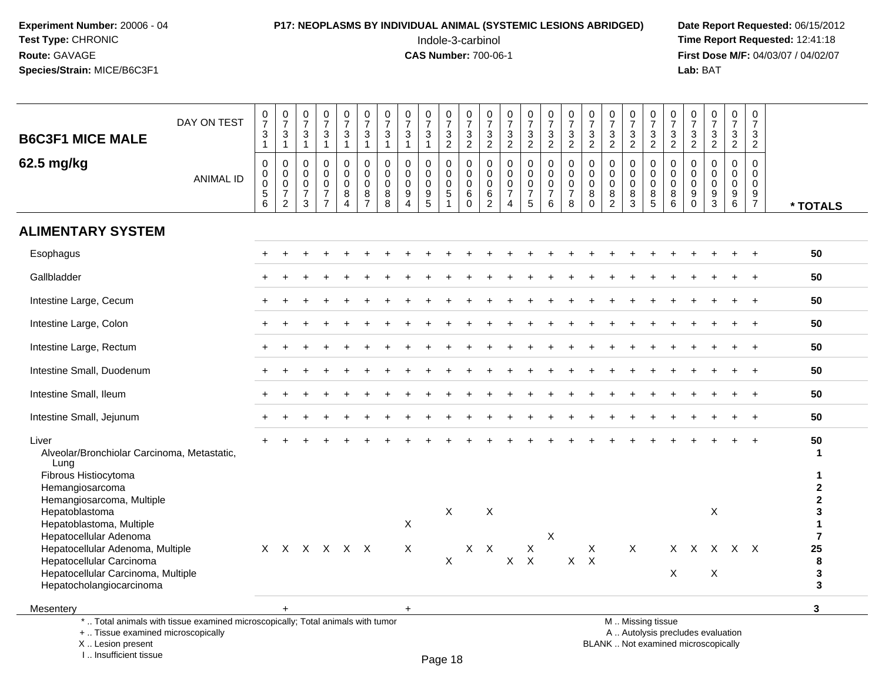# **P17: NEOPLASMS BY INDIVIDUAL ANIMAL (SYSTEMIC LESIONS ABRIDGED)** Date Report Requested: 06/15/2012<br>Indole-3-carbinol **Time Report Requested:** 12:41:18

 Indole-3-carbinol **Time Report Requested:** 12:41:18 **First Dose M/F:** 04/03/07 / 04/02/07<br>Lab: BAT **Lab:** BAT

| <b>B6C3F1 MICE MALE</b>                                                                                                                                                                                                                                                        | DAY ON TEST      | $\begin{smallmatrix}0\\7\end{smallmatrix}$<br>$\ensuremath{\mathsf{3}}$<br>$\overline{1}$ | $\frac{0}{7}$<br>$\mathbf{3}$<br>$\mathbf{1}$           | $\frac{0}{7}$<br>$\sqrt{3}$<br>$\overline{1}$                            | $\frac{0}{7}$<br>$\mathbf 3$<br>$\mathbf{1}$                                  | $\frac{0}{7}$<br>$\ensuremath{\mathsf{3}}$<br>$\overline{1}$ | $\frac{0}{7}$<br>$\mathbf{3}$<br>$\overline{1}$                       | $\frac{0}{7}$<br>$\mathbf{3}$<br>$\mathbf{1}$       | $\frac{0}{7}$<br>$\mathbf{3}$<br>$\mathbf{1}$                             | $\frac{0}{7}$<br>$\mathbf{3}$<br>$\mathbf{1}$                                       | $\frac{0}{7}$<br>$\frac{3}{2}$                                       | $\frac{0}{7}$<br>$\frac{3}{2}$                            | $\frac{0}{7}$<br>$\frac{3}{2}$  | $\frac{0}{7}$<br>$\frac{3}{2}$                                                | $\frac{0}{7}$<br>$\mathbf 3$<br>$\overline{2}$       | $\frac{0}{7}$<br>$\mathbf{3}$<br>$\overline{2}$        | $\frac{0}{7}$<br>$\frac{3}{2}$                               | $\frac{0}{7}$<br>$\ensuremath{\mathsf{3}}$<br>$\overline{2}$    | $\frac{0}{7}$<br>$\frac{3}{2}$                         | $\frac{0}{7}$<br>$\ensuremath{\mathsf{3}}$<br>$\overline{2}$ | $\frac{0}{7}$<br>$\mathbf{3}$<br>$\overline{2}$ | $\frac{0}{7}$<br>$\mathbf{3}$<br>$\overline{2}$        | $\frac{0}{7}$<br>$\frac{3}{2}$ | $\frac{0}{7}$<br>$\frac{3}{2}$                           | $\frac{0}{7}$<br>$\mathbf 3$<br>$\overline{2}$                                     | 0<br>$\overline{7}$<br>3<br>$\overline{2}$       |                                                                                   |
|--------------------------------------------------------------------------------------------------------------------------------------------------------------------------------------------------------------------------------------------------------------------------------|------------------|-------------------------------------------------------------------------------------------|---------------------------------------------------------|--------------------------------------------------------------------------|-------------------------------------------------------------------------------|--------------------------------------------------------------|-----------------------------------------------------------------------|-----------------------------------------------------|---------------------------------------------------------------------------|-------------------------------------------------------------------------------------|----------------------------------------------------------------------|-----------------------------------------------------------|---------------------------------|-------------------------------------------------------------------------------|------------------------------------------------------|--------------------------------------------------------|--------------------------------------------------------------|-----------------------------------------------------------------|--------------------------------------------------------|--------------------------------------------------------------|-------------------------------------------------|--------------------------------------------------------|--------------------------------|----------------------------------------------------------|------------------------------------------------------------------------------------|--------------------------------------------------|-----------------------------------------------------------------------------------|
| 62.5 mg/kg                                                                                                                                                                                                                                                                     | <b>ANIMAL ID</b> | $\mathbf 0$<br>$\boldsymbol{0}$<br>$\pmb{0}$<br>$\overline{5}$<br>6                       | 0<br>0<br>$\pmb{0}$<br>$\overline{7}$<br>$\overline{2}$ | $\Omega$<br>$\mathbf 0$<br>$\mathbf 0$<br>$\overline{7}$<br>$\mathbf{3}$ | $\mathbf 0$<br>$\mathbf 0$<br>$\mathsf 0$<br>$\overline{7}$<br>$\overline{7}$ | 0<br>$\mathbf 0$<br>$\mathbf 0$<br>8<br>$\overline{4}$       | $\mathbf 0$<br>$\mathbf 0$<br>$\mathbf 0$<br>$\, 8$<br>$\overline{7}$ | $\mathbf 0$<br>$\mathbf 0$<br>$\mathbf 0$<br>8<br>8 | $\mathbf 0$<br>$\mathbf 0$<br>$\mathbf 0$<br>9<br>$\overline{\mathbf{4}}$ | $\mathbf{0}$<br>$\mathbf 0$<br>$\mathbf 0$<br>$\begin{array}{c} 9 \\ 5 \end{array}$ | 0<br>$\pmb{0}$<br>$\mathsf{O}\xspace$<br>$\mathbf 5$<br>$\mathbf{1}$ | 0<br>$\mathbf 0$<br>$\mathbf 0$<br>$\,6\,$<br>$\mathbf 0$ | 0<br>$\mathbf 0$<br>0<br>6<br>2 | $\mathbf 0$<br>$\mathbf 0$<br>$\mathbf 0$<br>$\overline{7}$<br>$\overline{4}$ | 0<br>$\mathbf 0$<br>$\pmb{0}$<br>$\overline{7}$<br>5 | 0<br>$\mathbf 0$<br>$\mathbf 0$<br>$\overline{7}$<br>6 | $\mathbf 0$<br>$\pmb{0}$<br>$\pmb{0}$<br>$\overline{7}$<br>8 | $\mathbf{0}$<br>$\mathbf 0$<br>$\mathbf 0$<br>8<br>$\mathbf{0}$ | 0<br>$\mathbf 0$<br>$\mathbf 0$<br>8<br>$\overline{2}$ | 0<br>$\mathbf 0$<br>$\pmb{0}$<br>$\, 8$<br>$\overline{3}$    | 0<br>$\mathbf 0$<br>0<br>8<br>5                 | 0<br>$\mathbf 0$<br>$\mathbf 0$<br>8<br>$\overline{6}$ | 0<br>0<br>0<br>$_{0}^{9}$      | $\mathbf 0$<br>$\mathbf 0$<br>$\pmb{0}$<br>$\frac{9}{3}$ | $\mathbf 0$<br>$\mathbf 0$<br>$\mathbf 0$<br>$\begin{array}{c} 9 \\ 6 \end{array}$ | 0<br>$\mathbf 0$<br>$\mathbf 0$<br>$\frac{9}{7}$ | * TOTALS                                                                          |
| <b>ALIMENTARY SYSTEM</b>                                                                                                                                                                                                                                                       |                  |                                                                                           |                                                         |                                                                          |                                                                               |                                                              |                                                                       |                                                     |                                                                           |                                                                                     |                                                                      |                                                           |                                 |                                                                               |                                                      |                                                        |                                                              |                                                                 |                                                        |                                                              |                                                 |                                                        |                                |                                                          |                                                                                    |                                                  |                                                                                   |
| Esophagus                                                                                                                                                                                                                                                                      |                  |                                                                                           |                                                         |                                                                          |                                                                               |                                                              |                                                                       |                                                     |                                                                           |                                                                                     |                                                                      |                                                           |                                 |                                                                               |                                                      |                                                        |                                                              |                                                                 |                                                        |                                                              |                                                 |                                                        |                                |                                                          |                                                                                    |                                                  | 50                                                                                |
| Gallbladder                                                                                                                                                                                                                                                                    |                  |                                                                                           |                                                         |                                                                          |                                                                               |                                                              |                                                                       |                                                     |                                                                           |                                                                                     |                                                                      |                                                           |                                 |                                                                               |                                                      |                                                        |                                                              |                                                                 |                                                        |                                                              |                                                 |                                                        |                                |                                                          |                                                                                    |                                                  | 50                                                                                |
| Intestine Large, Cecum                                                                                                                                                                                                                                                         |                  |                                                                                           |                                                         |                                                                          |                                                                               |                                                              |                                                                       |                                                     |                                                                           |                                                                                     |                                                                      |                                                           |                                 |                                                                               |                                                      |                                                        |                                                              |                                                                 |                                                        |                                                              |                                                 |                                                        |                                |                                                          |                                                                                    | $\ddot{}$                                        | 50                                                                                |
| Intestine Large, Colon                                                                                                                                                                                                                                                         |                  |                                                                                           |                                                         |                                                                          |                                                                               |                                                              |                                                                       |                                                     |                                                                           |                                                                                     |                                                                      |                                                           |                                 |                                                                               |                                                      |                                                        |                                                              |                                                                 |                                                        |                                                              |                                                 |                                                        |                                |                                                          |                                                                                    |                                                  | 50                                                                                |
| Intestine Large, Rectum                                                                                                                                                                                                                                                        |                  |                                                                                           |                                                         |                                                                          |                                                                               |                                                              |                                                                       |                                                     |                                                                           |                                                                                     |                                                                      |                                                           |                                 |                                                                               |                                                      |                                                        |                                                              |                                                                 |                                                        |                                                              |                                                 |                                                        |                                |                                                          |                                                                                    |                                                  | 50                                                                                |
| Intestine Small, Duodenum                                                                                                                                                                                                                                                      |                  |                                                                                           |                                                         |                                                                          |                                                                               |                                                              |                                                                       |                                                     |                                                                           |                                                                                     |                                                                      |                                                           |                                 |                                                                               |                                                      |                                                        |                                                              |                                                                 |                                                        |                                                              |                                                 |                                                        |                                |                                                          |                                                                                    | $\overline{+}$                                   | 50                                                                                |
| Intestine Small, Ileum                                                                                                                                                                                                                                                         |                  |                                                                                           |                                                         |                                                                          |                                                                               |                                                              |                                                                       |                                                     |                                                                           |                                                                                     |                                                                      |                                                           |                                 |                                                                               |                                                      |                                                        |                                                              |                                                                 |                                                        |                                                              |                                                 |                                                        |                                |                                                          |                                                                                    |                                                  | 50                                                                                |
| Intestine Small, Jejunum                                                                                                                                                                                                                                                       |                  |                                                                                           |                                                         |                                                                          |                                                                               |                                                              |                                                                       |                                                     |                                                                           |                                                                                     |                                                                      |                                                           |                                 |                                                                               |                                                      |                                                        |                                                              |                                                                 |                                                        |                                                              |                                                 |                                                        |                                |                                                          |                                                                                    |                                                  | 50                                                                                |
| Liver<br>Alveolar/Bronchiolar Carcinoma, Metastatic,<br>Lung                                                                                                                                                                                                                   |                  |                                                                                           |                                                         |                                                                          |                                                                               |                                                              |                                                                       |                                                     |                                                                           |                                                                                     |                                                                      |                                                           |                                 |                                                                               |                                                      |                                                        |                                                              |                                                                 |                                                        |                                                              |                                                 |                                                        |                                |                                                          |                                                                                    |                                                  | 50<br>1                                                                           |
| Fibrous Histiocytoma<br>Hemangiosarcoma<br>Hemangiosarcoma, Multiple<br>Hepatoblastoma<br>Hepatoblastoma, Multiple<br>Hepatocellular Adenoma<br>Hepatocellular Adenoma, Multiple<br>Hepatocellular Carcinoma<br>Hepatocellular Carcinoma, Multiple<br>Hepatocholangiocarcinoma |                  |                                                                                           |                                                         |                                                                          | X X X X X X                                                                   |                                                              |                                                                       |                                                     | $\sf X$<br>$\mathsf{X}$                                                   |                                                                                     | X<br>$\mathsf{X}$                                                    |                                                           | $\mathsf X$<br>$X$ $X$          | $\mathsf{X}$                                                                  | X<br>$\mathsf{X}$                                    | X                                                      | X                                                            | X<br>$\boldsymbol{\mathsf{X}}$                                  |                                                        | X                                                            |                                                 | X<br>X                                                 |                                | X<br>X X X X<br>$\boldsymbol{\mathsf{X}}$                |                                                                                    |                                                  | $\mathbf 2$<br>2<br>3<br>$\overline{7}$<br>25<br>8<br>$\mathbf 3$<br>$\mathbf{3}$ |
| Mesentery<br>*  Total animals with tissue examined microscopically; Total animals with tumor                                                                                                                                                                                   |                  |                                                                                           |                                                         |                                                                          |                                                                               |                                                              |                                                                       |                                                     | $\ddot{}$                                                                 |                                                                                     |                                                                      |                                                           |                                 |                                                                               |                                                      |                                                        |                                                              |                                                                 |                                                        |                                                              |                                                 |                                                        |                                |                                                          |                                                                                    |                                                  | 3                                                                                 |
|                                                                                                                                                                                                                                                                                |                  |                                                                                           |                                                         |                                                                          |                                                                               |                                                              |                                                                       |                                                     |                                                                           |                                                                                     |                                                                      |                                                           |                                 |                                                                               |                                                      |                                                        |                                                              |                                                                 |                                                        |                                                              | M  Missing tissue                               |                                                        |                                |                                                          |                                                                                    |                                                  |                                                                                   |

+ .. Tissue examined microscopically

X .. Lesion present

I .. Insufficient tissue

Page 18

y the contract of the contract of the contract of the contract of the contract of  $\mathsf A$  . Autolysis precludes evaluation

Lesion present BLANK .. Not examined microscopically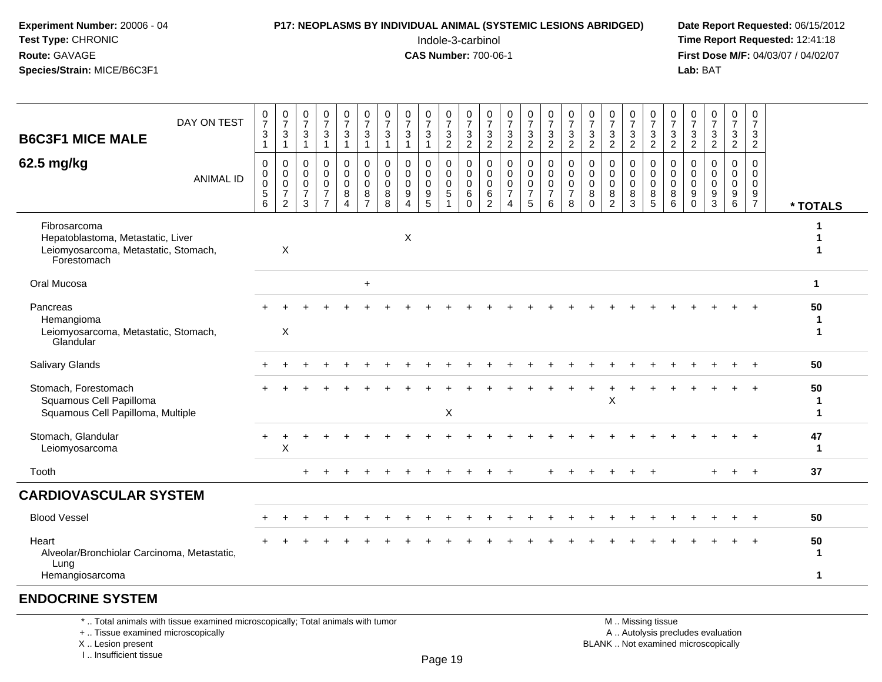## **P17: NEOPLASMS BY INDIVIDUAL ANIMAL (SYSTEMIC LESIONS ABRIDGED)** Date Report Requested: 06/15/2012<br>Indole-3-carbinol **Time Report Requested:** 12:41:18

 Indole-3-carbinol **Time Report Requested:** 12:41:18 **First Dose M/F:** 04/03/07 / 04/02/07<br>Lab: BAT **Lab:** BAT

| DAY ON TEST                                                                                              | $\boldsymbol{0}$<br>$\overline{7}$                     | $\frac{0}{7}$                                                    | $\frac{0}{7}$                                          | $\frac{0}{7}$                                   | 0<br>$\boldsymbol{7}$           | $\frac{0}{7}$                                                            | 0<br>$\overline{7}$                       | $\pmb{0}$<br>$\overline{7}$                                | $\frac{0}{7}$                             | 0<br>$\overline{7}$                              | $\pmb{0}$<br>$\overline{7}$                                    | 0<br>$\overline{7}$                       | $\frac{0}{7}$                                                                 | $\frac{0}{7}$                                | $\begin{smallmatrix}0\\7\end{smallmatrix}$ | $\begin{smallmatrix}0\\7\end{smallmatrix}$             | $\frac{0}{7}$                                    | $\frac{0}{7}$                             | $\frac{0}{7}$                             | 0<br>$\overline{7}$            | $\pmb{0}$<br>$\overline{7}$ | $\begin{smallmatrix}0\\7\end{smallmatrix}$                      | $\frac{0}{7}$                               | $\frac{0}{7}$                             |            | $\mathbf 0$<br>$\overline{7}$ |                   |
|----------------------------------------------------------------------------------------------------------|--------------------------------------------------------|------------------------------------------------------------------|--------------------------------------------------------|-------------------------------------------------|---------------------------------|--------------------------------------------------------------------------|-------------------------------------------|------------------------------------------------------------|-------------------------------------------|--------------------------------------------------|----------------------------------------------------------------|-------------------------------------------|-------------------------------------------------------------------------------|----------------------------------------------|--------------------------------------------|--------------------------------------------------------|--------------------------------------------------|-------------------------------------------|-------------------------------------------|--------------------------------|-----------------------------|-----------------------------------------------------------------|---------------------------------------------|-------------------------------------------|------------|-------------------------------|-------------------|
| <b>B6C3F1 MICE MALE</b>                                                                                  | 3<br>$\mathbf{1}$                                      | 3<br>$\mathbf{1}$                                                | 3<br>$\mathbf{1}$                                      | 3<br>$\mathbf{1}$                               | 3<br>1                          | $\sqrt{3}$<br>$\overline{1}$                                             | 3<br>$\overline{1}$                       | 3<br>$\mathbf{1}$                                          | 3<br>$\mathbf 1$                          | $\mathbf{3}$<br>$\overline{2}$                   | $\sqrt{3}$<br>$\overline{2}$                                   | $\mathbf{3}$<br>$\overline{c}$            | $\mathbf{3}$<br>$\overline{2}$                                                | 3<br>$\overline{2}$                          | $\mathbf{3}$<br>$\overline{2}$             | $\sqrt{3}$<br>$\overline{2}$                           | 3<br>$\overline{2}$                              | $\sqrt{3}$<br>$\overline{2}$              | 3<br>$\overline{2}$                       | $\mathbf{3}$<br>$\overline{2}$ | 3<br>$\overline{c}$         | $\frac{3}{2}$                                                   | $\ensuremath{\mathsf{3}}$<br>$\overline{2}$ | 3<br>$\overline{2}$                       |            | 3<br>$\overline{2}$           |                   |
| 62.5 mg/kg<br><b>ANIMAL ID</b>                                                                           | 0<br>$\mathbf 0$<br>$\mathbf 0$<br>$\overline{5}$<br>6 | $\mathbf 0$<br>$\mathbf 0$<br>$\mathbf 0$<br>$\overline{7}$<br>2 | 0<br>$\mathbf 0$<br>$\mathbf 0$<br>$\overline{7}$<br>3 | 0<br>0<br>0<br>$\overline{7}$<br>$\overline{7}$ | 0<br>$\mathbf 0$<br>0<br>8<br>4 | $\mathbf 0$<br>$\mathsf{O}\xspace$<br>$\mathbf 0$<br>8<br>$\overline{7}$ | 0<br>$\mathbf 0$<br>$\mathbf 0$<br>8<br>8 | 0<br>$\mathbf 0$<br>$\mathbf 0$<br>$9\,$<br>$\overline{4}$ | 0<br>$\mathbf 0$<br>$\mathbf 0$<br>9<br>5 | 0<br>$\mathbf 0$<br>0<br>$5\,$<br>$\overline{1}$ | $\mathbf 0$<br>$\mathbf 0$<br>$\mathbf 0$<br>$\,6$<br>$\Omega$ | 0<br>$\mathbf 0$<br>$\mathbf 0$<br>6<br>2 | $\mathbf 0$<br>$\mathbf 0$<br>$\mathbf 0$<br>$\overline{7}$<br>$\overline{4}$ | 0<br>0<br>$\mathbf 0$<br>$\overline{7}$<br>5 | 0<br>0<br>0<br>$\overline{7}$<br>6         | 0<br>$\mathbf 0$<br>$\mathbf 0$<br>$\overline{7}$<br>8 | 0<br>$\mathbf 0$<br>$\mathbf 0$<br>8<br>$\Omega$ | 0<br>$\mathbf 0$<br>$\mathbf 0$<br>8<br>2 | 0<br>$\mathbf 0$<br>$\mathbf 0$<br>8<br>3 | 0<br>0<br>0<br>8<br>5          | 0<br>0<br>0<br>8<br>6       | 0<br>$\mathbf 0$<br>$\mathbf 0$<br>$\boldsymbol{9}$<br>$\Omega$ | 0<br>$\mathbf 0$<br>$\Omega$<br>9<br>3      | 0<br>$\mathbf 0$<br>$\mathbf 0$<br>9<br>6 |            | 0<br>0<br>0<br>$\frac{9}{7}$  | * TOTALS          |
| Fibrosarcoma<br>Hepatoblastoma, Metastatic, Liver<br>Leiomyosarcoma, Metastatic, Stomach,<br>Forestomach |                                                        | $\boldsymbol{\mathsf{X}}$                                        |                                                        |                                                 |                                 |                                                                          |                                           | $\boldsymbol{\mathsf{X}}$                                  |                                           |                                                  |                                                                |                                           |                                                                               |                                              |                                            |                                                        |                                                  |                                           |                                           |                                |                             |                                                                 |                                             |                                           |            |                               |                   |
| Oral Mucosa                                                                                              |                                                        |                                                                  |                                                        |                                                 |                                 | $\ddot{}$                                                                |                                           |                                                            |                                           |                                                  |                                                                |                                           |                                                                               |                                              |                                            |                                                        |                                                  |                                           |                                           |                                |                             |                                                                 |                                             |                                           |            |                               | $\mathbf{1}$      |
| Pancreas<br>Hemangioma<br>Leiomyosarcoma, Metastatic, Stomach,<br>Glandular                              |                                                        | X                                                                |                                                        |                                                 |                                 |                                                                          |                                           |                                                            |                                           |                                                  |                                                                |                                           |                                                                               |                                              |                                            |                                                        |                                                  |                                           |                                           |                                |                             |                                                                 |                                             |                                           |            |                               | 50<br>-1<br>1     |
| Salivary Glands                                                                                          |                                                        |                                                                  |                                                        |                                                 |                                 |                                                                          |                                           |                                                            |                                           |                                                  |                                                                |                                           |                                                                               |                                              |                                            |                                                        |                                                  |                                           |                                           |                                |                             |                                                                 |                                             |                                           |            |                               | 50                |
| Stomach, Forestomach<br>Squamous Cell Papilloma                                                          |                                                        |                                                                  |                                                        |                                                 |                                 |                                                                          |                                           |                                                            |                                           |                                                  |                                                                |                                           |                                                                               |                                              |                                            |                                                        |                                                  | X                                         |                                           |                                |                             |                                                                 |                                             |                                           |            |                               | 50<br>-1          |
| Squamous Cell Papilloma, Multiple                                                                        |                                                        |                                                                  |                                                        |                                                 |                                 |                                                                          |                                           |                                                            |                                           | X                                                |                                                                |                                           |                                                                               |                                              |                                            |                                                        |                                                  |                                           |                                           |                                |                             |                                                                 |                                             |                                           |            |                               | $\mathbf 1$       |
| Stomach, Glandular<br>Leiomyosarcoma                                                                     |                                                        | X                                                                |                                                        |                                                 |                                 |                                                                          |                                           |                                                            |                                           |                                                  |                                                                |                                           |                                                                               |                                              |                                            |                                                        |                                                  |                                           |                                           |                                |                             |                                                                 |                                             |                                           |            |                               | 47<br>$\mathbf 1$ |
| Tooth                                                                                                    |                                                        |                                                                  |                                                        |                                                 |                                 |                                                                          |                                           |                                                            |                                           |                                                  |                                                                |                                           |                                                                               |                                              |                                            |                                                        |                                                  |                                           |                                           |                                |                             |                                                                 |                                             | $\ddot{}$                                 | $\ddot{+}$ |                               | 37                |
| <b>CARDIOVASCULAR SYSTEM</b>                                                                             |                                                        |                                                                  |                                                        |                                                 |                                 |                                                                          |                                           |                                                            |                                           |                                                  |                                                                |                                           |                                                                               |                                              |                                            |                                                        |                                                  |                                           |                                           |                                |                             |                                                                 |                                             |                                           |            |                               |                   |
| <b>Blood Vessel</b>                                                                                      |                                                        |                                                                  |                                                        |                                                 |                                 |                                                                          |                                           |                                                            |                                           |                                                  |                                                                |                                           |                                                                               |                                              |                                            |                                                        |                                                  |                                           |                                           |                                |                             |                                                                 |                                             |                                           |            |                               | 50                |
| Heart<br>Alveolar/Bronchiolar Carcinoma, Metastatic,<br>Lung                                             |                                                        |                                                                  |                                                        |                                                 |                                 |                                                                          |                                           |                                                            |                                           |                                                  |                                                                |                                           |                                                                               |                                              |                                            |                                                        |                                                  |                                           |                                           |                                |                             |                                                                 |                                             |                                           |            |                               | 50                |
| Hemangiosarcoma<br><b>FUDOCDINE CVOTEM</b>                                                               |                                                        |                                                                  |                                                        |                                                 |                                 |                                                                          |                                           |                                                            |                                           |                                                  |                                                                |                                           |                                                                               |                                              |                                            |                                                        |                                                  |                                           |                                           |                                |                             |                                                                 |                                             |                                           |            |                               | $\mathbf 1$       |

#### **ENDOCRINE SYSTEM**

\* .. Total animals with tissue examined microscopically; Total animals with tumor

+ .. Tissue examined microscopically

X .. Lesion present

I .. Insufficient tissue

 M .. Missing tissuey the contract of the contract of the contract of the contract of the contract of  $\mathsf A$  . Autolysis precludes evaluation Lesion present BLANK .. Not examined microscopically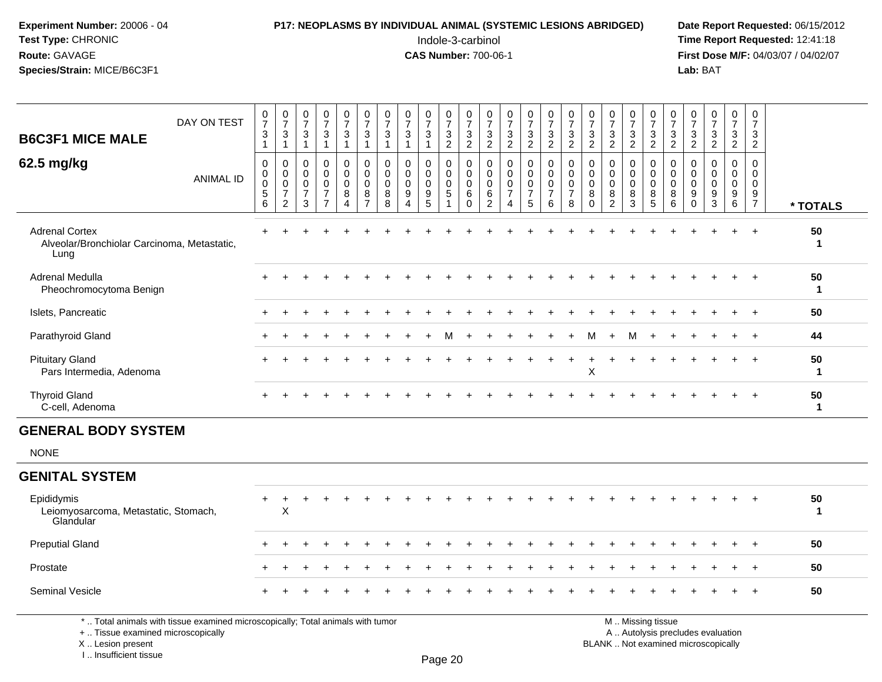# **P17: NEOPLASMS BY INDIVIDUAL ANIMAL (SYSTEMIC LESIONS ABRIDGED)** Date Report Requested: 06/15/2012<br>Indole-3-carbinol **Time Report Requested:** 12:41:18

 Indole-3-carbinol **Time Report Requested:** 12:41:18 **First Dose M/F:** 04/03/07 / 04/02/07<br>Lab: BAT **Lab:** BAT

| <b>B6C3F1 MICE MALE</b>                                                      | DAY ON TEST      | $\frac{0}{7}$<br>$\sqrt{3}$<br>$\mathbf{1}$                  | $\frac{0}{7}$<br>$\sqrt{3}$<br>$\mathbf{1}$                                     | $\frac{0}{7}$<br>$\mathbf{3}$<br>$\mathbf{1}$                  | $\frac{0}{7}$<br>$\mathbf{3}$<br>$\mathbf{1}$                       | $\frac{0}{7}$<br>$\mathbf{3}$<br>$\overline{1}$ | $\frac{0}{7}$<br>$\sqrt{3}$<br>$\overline{1}$                        | 0<br>$\overline{7}$<br>3<br>$\overline{1}$ | $\frac{0}{7}$<br>$\sqrt{3}$<br>$\mathbf{1}$                     | $\frac{0}{7}$<br>$\mathbf{3}$<br>$\mathbf{1}$                      | $\frac{0}{7}$<br>$\sqrt{3}$<br>$\overline{2}$                 | $\frac{0}{7}$<br>$\sqrt{3}$<br>$\overline{2}$          | $\frac{0}{7}$<br>3<br>$\overline{2}$                   | $\frac{0}{7}$<br>$\sqrt{3}$<br>$\overline{2}$                    | $\frac{0}{7}$<br>3<br>$\overline{c}$                   | $\frac{0}{7}$<br>$\frac{3}{2}$                       | $\frac{0}{7}$<br>$\mathbf{3}$<br>$\overline{2}$                     | $\frac{0}{7}$<br>$\mathbf{3}$<br>$\overline{2}$ | $\frac{0}{7}$<br>$\mathbf{3}$<br>$\overline{2}$                  | 0<br>$\overline{7}$<br>$\mathbf 3$<br>$\sqrt{2}$ | 0<br>$\overline{7}$<br>$\mathbf{3}$<br>$\sqrt{2}$     | $\frac{0}{7}$<br>$\sqrt{3}$<br>$\overline{c}$    | $\frac{0}{7}$<br>$\mathbf{3}$<br>$\overline{2}$   | $\frac{0}{7}$<br>$\sqrt{3}$<br>$\overline{2}$               | 0<br>$\overline{7}$<br>$\ensuremath{\mathsf{3}}$<br>$\overline{2}$       | 0<br>$\overline{7}$<br>$\mathbf{3}$<br>$\overline{2}$         |                            |
|------------------------------------------------------------------------------|------------------|--------------------------------------------------------------|---------------------------------------------------------------------------------|----------------------------------------------------------------|---------------------------------------------------------------------|-------------------------------------------------|----------------------------------------------------------------------|--------------------------------------------|-----------------------------------------------------------------|--------------------------------------------------------------------|---------------------------------------------------------------|--------------------------------------------------------|--------------------------------------------------------|------------------------------------------------------------------|--------------------------------------------------------|------------------------------------------------------|---------------------------------------------------------------------|-------------------------------------------------|------------------------------------------------------------------|--------------------------------------------------|-------------------------------------------------------|--------------------------------------------------|---------------------------------------------------|-------------------------------------------------------------|--------------------------------------------------------------------------|---------------------------------------------------------------|----------------------------|
| 62.5 mg/kg                                                                   | <b>ANIMAL ID</b> | $\mathbf 0$<br>$\mathbf 0$<br>$\mathbf 0$<br>$\sqrt{5}$<br>6 | $\mathbf 0$<br>$\mathbf 0$<br>$\mathbf 0$<br>$\boldsymbol{7}$<br>$\overline{2}$ | $\mathbf 0$<br>$\mathbf 0$<br>$\pmb{0}$<br>$\overline{7}$<br>3 | 0<br>$\mathbf 0$<br>$\mathbf 0$<br>$\overline{7}$<br>$\overline{7}$ | 0<br>$\mathbf 0$<br>$\mathbf 0$<br>8<br>4       | $\mathbf 0$<br>$\pmb{0}$<br>$\mathbf 0$<br>$\bf 8$<br>$\overline{7}$ | 0<br>$\mathbf 0$<br>$\mathbf{0}$<br>8<br>8 | $\mathbf 0$<br>$\mathbf 0$<br>$\Omega$<br>$\boldsymbol{9}$<br>4 | $\mathbf 0$<br>$\mathbf 0$<br>$\mathbf 0$<br>$\boldsymbol{9}$<br>5 | $\mathbf 0$<br>$\mathbf 0$<br>$\mathbf 0$<br>$\sqrt{5}$<br>-1 | $\mathbf 0$<br>0<br>$\mathbf 0$<br>$\,6\,$<br>$\Omega$ | $\mathbf 0$<br>0<br>$\mathbf 0$<br>6<br>$\overline{2}$ | $\mathbf 0$<br>$\mathbf 0$<br>$\mathbf 0$<br>$\overline{7}$<br>4 | $\mathbf 0$<br>0<br>$\mathbf 0$<br>$\overline{7}$<br>5 | 0<br>$\mathbf 0$<br>$\pmb{0}$<br>$\overline{7}$<br>6 | $\mathbf 0$<br>$\pmb{0}$<br>$\mathbf 0$<br>$\overline{7}$<br>$\bf8$ | 0<br>0<br>$\mathbf{0}$<br>8<br>$\mathbf{0}$     | $\mathbf 0$<br>$\mathbf 0$<br>$\mathbf 0$<br>8<br>$\overline{2}$ | $\mathbf 0$<br>0<br>$\mathbf 0$<br>$\bf 8$<br>3  | $\mathbf 0$<br>$\mathbf 0$<br>$\Omega$<br>$\, 8$<br>5 | $\mathbf 0$<br>$\mathbf 0$<br>$\Omega$<br>8<br>6 | 0<br>$\mathbf 0$<br>$\Omega$<br>$9\,$<br>$\Omega$ | 0<br>0<br>$\mathbf 0$<br>$\boldsymbol{9}$<br>$\mathfrak{Z}$ | $\mathbf 0$<br>$\mathbf 0$<br>$\mathbf 0$<br>$\boldsymbol{9}$<br>$\,6\,$ | $\mathbf 0$<br>$\mathbf 0$<br>$\Omega$<br>9<br>$\overline{7}$ | * TOTALS                   |
| <b>Adrenal Cortex</b><br>Alveolar/Bronchiolar Carcinoma, Metastatic,<br>Lung |                  |                                                              |                                                                                 |                                                                |                                                                     |                                                 |                                                                      |                                            |                                                                 |                                                                    |                                                               |                                                        |                                                        |                                                                  |                                                        |                                                      |                                                                     |                                                 |                                                                  |                                                  |                                                       |                                                  |                                                   |                                                             |                                                                          |                                                               | 50<br>-1                   |
| Adrenal Medulla<br>Pheochromocytoma Benign                                   |                  |                                                              |                                                                                 |                                                                |                                                                     |                                                 |                                                                      |                                            |                                                                 |                                                                    |                                                               |                                                        |                                                        |                                                                  |                                                        |                                                      |                                                                     |                                                 |                                                                  |                                                  |                                                       |                                                  |                                                   |                                                             |                                                                          |                                                               | 50<br>$\mathbf{1}$         |
| Islets, Pancreatic                                                           |                  | $\div$                                                       |                                                                                 |                                                                |                                                                     |                                                 |                                                                      |                                            |                                                                 |                                                                    |                                                               |                                                        |                                                        |                                                                  |                                                        |                                                      |                                                                     |                                                 |                                                                  |                                                  |                                                       |                                                  |                                                   |                                                             |                                                                          | $\ddot{}$                                                     | 50                         |
| Parathyroid Gland                                                            |                  |                                                              |                                                                                 |                                                                |                                                                     |                                                 |                                                                      |                                            |                                                                 |                                                                    |                                                               |                                                        |                                                        |                                                                  |                                                        |                                                      |                                                                     |                                                 |                                                                  | м                                                |                                                       |                                                  |                                                   |                                                             |                                                                          |                                                               | 44                         |
| <b>Pituitary Gland</b><br>Pars Intermedia, Adenoma                           |                  |                                                              |                                                                                 |                                                                |                                                                     |                                                 |                                                                      |                                            |                                                                 |                                                                    |                                                               |                                                        |                                                        |                                                                  |                                                        |                                                      |                                                                     | X                                               |                                                                  |                                                  |                                                       |                                                  |                                                   |                                                             |                                                                          |                                                               | 50<br>$\blacktriangleleft$ |
| <b>Thyroid Gland</b><br>C-cell, Adenoma                                      |                  |                                                              |                                                                                 |                                                                |                                                                     |                                                 |                                                                      |                                            |                                                                 |                                                                    |                                                               |                                                        |                                                        |                                                                  |                                                        |                                                      |                                                                     |                                                 |                                                                  |                                                  |                                                       |                                                  |                                                   |                                                             |                                                                          |                                                               | 50<br>$\mathbf{1}$         |
| <b>GENERAL BODY SYSTEM</b>                                                   |                  |                                                              |                                                                                 |                                                                |                                                                     |                                                 |                                                                      |                                            |                                                                 |                                                                    |                                                               |                                                        |                                                        |                                                                  |                                                        |                                                      |                                                                     |                                                 |                                                                  |                                                  |                                                       |                                                  |                                                   |                                                             |                                                                          |                                                               |                            |
| <b>NONE</b>                                                                  |                  |                                                              |                                                                                 |                                                                |                                                                     |                                                 |                                                                      |                                            |                                                                 |                                                                    |                                                               |                                                        |                                                        |                                                                  |                                                        |                                                      |                                                                     |                                                 |                                                                  |                                                  |                                                       |                                                  |                                                   |                                                             |                                                                          |                                                               |                            |
| <b>GENITAL SYSTEM</b>                                                        |                  |                                                              |                                                                                 |                                                                |                                                                     |                                                 |                                                                      |                                            |                                                                 |                                                                    |                                                               |                                                        |                                                        |                                                                  |                                                        |                                                      |                                                                     |                                                 |                                                                  |                                                  |                                                       |                                                  |                                                   |                                                             |                                                                          |                                                               |                            |
| Epididymis<br>Leiomyosarcoma, Metastatic, Stomach,<br>Glandular              |                  | $\ddot{}$                                                    | +<br>$\pmb{\times}$                                                             |                                                                |                                                                     |                                                 |                                                                      |                                            |                                                                 |                                                                    |                                                               |                                                        |                                                        |                                                                  |                                                        |                                                      |                                                                     |                                                 |                                                                  |                                                  |                                                       |                                                  |                                                   |                                                             |                                                                          |                                                               | 50<br>$\mathbf{1}$         |
| <b>Preputial Gland</b>                                                       |                  |                                                              |                                                                                 |                                                                |                                                                     |                                                 |                                                                      |                                            |                                                                 |                                                                    |                                                               |                                                        |                                                        |                                                                  |                                                        |                                                      |                                                                     |                                                 |                                                                  |                                                  |                                                       |                                                  |                                                   |                                                             |                                                                          |                                                               | 50                         |
| Prostate                                                                     |                  |                                                              |                                                                                 |                                                                |                                                                     |                                                 |                                                                      |                                            |                                                                 |                                                                    |                                                               |                                                        |                                                        |                                                                  |                                                        |                                                      |                                                                     |                                                 |                                                                  |                                                  |                                                       |                                                  |                                                   |                                                             |                                                                          |                                                               | 50                         |
| <b>Seminal Vesicle</b>                                                       |                  |                                                              |                                                                                 |                                                                |                                                                     |                                                 |                                                                      |                                            |                                                                 |                                                                    |                                                               |                                                        |                                                        |                                                                  |                                                        |                                                      |                                                                     |                                                 |                                                                  |                                                  |                                                       |                                                  |                                                   |                                                             |                                                                          |                                                               | 50                         |

\* .. Total animals with tissue examined microscopically; Total animals with tumor

+ .. Tissue examined microscopically

X .. Lesion present

I .. Insufficient tissue

M .. Missing tissue

y the contract of the contract of the contract of the contract of the contract of  $\mathsf A$  . Autolysis precludes evaluation

Lesion present BLANK .. Not examined microscopically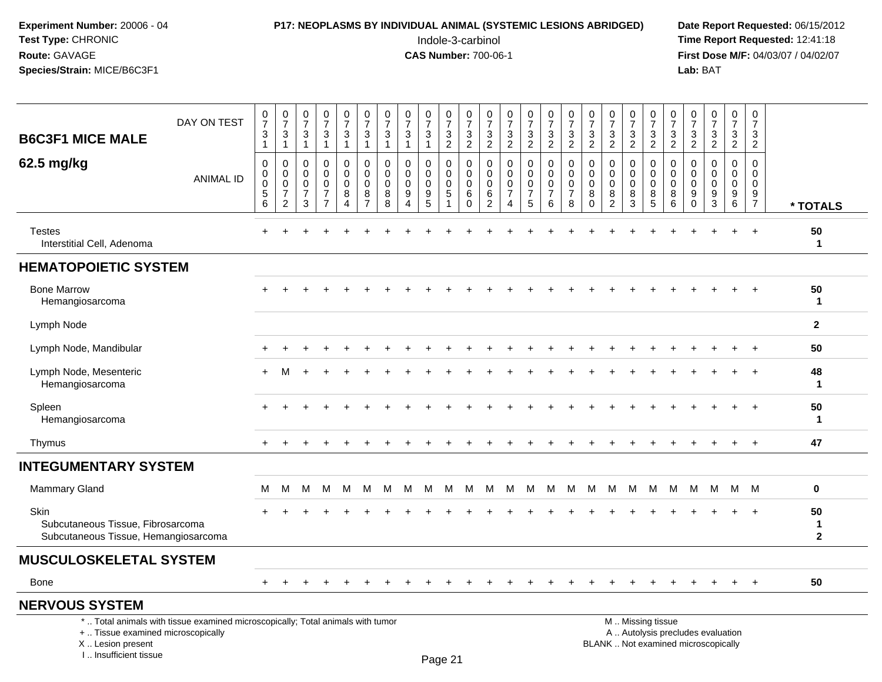# **P17: NEOPLASMS BY INDIVIDUAL ANIMAL (SYSTEMIC LESIONS ABRIDGED)** Date Report Requested: 06/15/2012<br>Indole-3-carbinol **Time Report Requested:** 12:41:18

| <b>B6C3F1 MICE MALE</b>                                                                                                                                               | DAY ON TEST      | $\frac{0}{7}$<br>$\ensuremath{\mathsf{3}}$<br>$\mathbf{1}$      | $\begin{smallmatrix} 0\\7 \end{smallmatrix}$<br>3<br>$\mathbf{1}$           | $\begin{array}{c} 0 \\ 7 \end{array}$<br>$\mathbf{3}$<br>-1 | $\begin{smallmatrix} 0\\7 \end{smallmatrix}$<br>$\sqrt{3}$<br>$\overline{1}$ | $\begin{smallmatrix}0\\7\end{smallmatrix}$<br>$\mathbf{3}$<br>$\mathbf{1}$ | 0<br>$\overline{7}$<br>$\sqrt{3}$<br>$\mathbf{1}$                   | $\frac{0}{7}$<br>$\mathbf{3}$<br>$\mathbf{1}$ | $\begin{array}{c} 0 \\ 7 \end{array}$<br>$\mathbf{3}$<br>$\mathbf{1}$ | $\begin{array}{c} 0 \\ 7 \end{array}$<br>$\mathbf{3}$<br>1     | $\begin{smallmatrix} 0\\7 \end{smallmatrix}$<br>$\mathbf{3}$<br>$\overline{2}$ | $\pmb{0}$<br>$\overline{7}$<br>$\ensuremath{\mathsf{3}}$<br>$\overline{2}$ | $\,0\,$<br>$\overline{7}$<br>$\mathbf{3}$<br>$\overline{2}$ | $\begin{smallmatrix} 0\\7 \end{smallmatrix}$<br>$\mathsf 3$<br>$\overline{2}$ | $\frac{0}{7}$<br>3<br>$\overline{a}$         | $\frac{0}{7}$<br>$\mathbf{3}$<br>$\overline{2}$                | $\frac{0}{7}$<br>$\sqrt{3}$<br>$\overline{2}$                | $\pmb{0}$<br>$\overline{7}$<br>3<br>$\overline{c}$         | $\mathsf{O}\xspace$<br>$\overline{7}$<br>$\mathbf{3}$<br>$\overline{2}$ | $\frac{0}{7}$<br>3<br>$\overline{2}$ | $\begin{array}{c} 0 \\ 7 \end{array}$<br>3<br>$\overline{2}$ | $\frac{0}{7}$<br>$\sqrt{3}$<br>$\overline{2}$   | $\begin{array}{c} 0 \\ 7 \end{array}$<br>3<br>$\overline{2}$       | $\frac{0}{7}$<br>$\sqrt{3}$<br>$\overline{2}$                            | $\pmb{0}$<br>$\overline{7}$<br>$\mathbf{3}$<br>$\overline{2}$          | $\pmb{0}$<br>$\overline{7}$<br>3<br>$\overline{2}$             |                         |
|-----------------------------------------------------------------------------------------------------------------------------------------------------------------------|------------------|-----------------------------------------------------------------|-----------------------------------------------------------------------------|-------------------------------------------------------------|------------------------------------------------------------------------------|----------------------------------------------------------------------------|---------------------------------------------------------------------|-----------------------------------------------|-----------------------------------------------------------------------|----------------------------------------------------------------|--------------------------------------------------------------------------------|----------------------------------------------------------------------------|-------------------------------------------------------------|-------------------------------------------------------------------------------|----------------------------------------------|----------------------------------------------------------------|--------------------------------------------------------------|------------------------------------------------------------|-------------------------------------------------------------------------|--------------------------------------|--------------------------------------------------------------|-------------------------------------------------|--------------------------------------------------------------------|--------------------------------------------------------------------------|------------------------------------------------------------------------|----------------------------------------------------------------|-------------------------|
| 62.5 mg/kg                                                                                                                                                            | <b>ANIMAL ID</b> | $\mathbf 0$<br>$\pmb{0}$<br>$\mathbf 0$<br>$\mathbf 5$<br>$\,6$ | $\pmb{0}$<br>$\mathbf 0$<br>$\mathbf 0$<br>$\overline{7}$<br>$\overline{2}$ | $\Omega$<br>$\mathbf 0$<br>0<br>$\overline{7}$<br>3         | $\pmb{0}$<br>$\mathbf 0$<br>$\pmb{0}$<br>$\overline{7}$<br>$\overline{7}$    | 0<br>$\mathbf 0$<br>0<br>$\bf 8$<br>4                                      | $\pmb{0}$<br>$\mathbf 0$<br>$\mathbf 0$<br>$\, 8$<br>$\overline{7}$ | $\pmb{0}$<br>$\mathbf 0$<br>0<br>8<br>8       | $\Omega$<br>0<br>$\mathbf 0$<br>9<br>$\overline{4}$                   | $\pmb{0}$<br>$\mathbf 0$<br>$\pmb{0}$<br>$\boldsymbol{9}$<br>5 | $\mathbf 0$<br>$\mathbf 0$<br>$\mathbf 0$<br>$\sqrt{5}$<br>$\overline{1}$      | $\boldsymbol{0}$<br>$\mathbf 0$<br>$\mathbf 0$<br>6<br>$\mathbf{0}$        | $\pmb{0}$<br>$\mathbf 0$<br>$\mathbf 0$<br>6<br>2           | $\pmb{0}$<br>$\mathbf 0$<br>$\mathbf 0$<br>$\overline{7}$<br>4                | 0<br>$\mathbf 0$<br>0<br>$\overline{7}$<br>5 | $\pmb{0}$<br>$\mathbf 0$<br>$\mathbf 0$<br>$\overline{7}$<br>6 | $\pmb{0}$<br>$\mathbf 0$<br>$\pmb{0}$<br>$\overline{7}$<br>8 | $\mathbf 0$<br>$\mathbf 0$<br>$\mathbf 0$<br>8<br>$\Omega$ | $\Omega$<br>$\mathbf 0$<br>$\mathbf 0$<br>$\bf 8$<br>$\overline{2}$     | 0<br>$\mathbf 0$<br>0<br>8<br>3      | 0<br>$\mathbf 0$<br>$\mathbf 0$<br>$\,8\,$<br>5              | $\mathbf 0$<br>$\mathbf 0$<br>0<br>$\bf 8$<br>6 | 0<br>$\mathbf 0$<br>$\mathbf 0$<br>$\boldsymbol{9}$<br>$\mathbf 0$ | $\pmb{0}$<br>$\mathbf 0$<br>$\mathbf 0$<br>9<br>3                        | $\pmb{0}$<br>$\mathbf 0$<br>$\mathbf 0$<br>$\boldsymbol{9}$<br>$\,6\,$ | $\pmb{0}$<br>$\mathbf 0$<br>$\mathbf 0$<br>9<br>$\overline{7}$ | * TOTALS                |
| <b>Testes</b><br>Interstitial Cell, Adenoma                                                                                                                           |                  |                                                                 |                                                                             |                                                             |                                                                              |                                                                            |                                                                     |                                               |                                                                       |                                                                |                                                                                |                                                                            |                                                             |                                                                               |                                              |                                                                |                                                              |                                                            |                                                                         |                                      |                                                              |                                                 |                                                                    |                                                                          |                                                                        |                                                                | 50<br>$\mathbf{1}$      |
| <b>HEMATOPOIETIC SYSTEM</b>                                                                                                                                           |                  |                                                                 |                                                                             |                                                             |                                                                              |                                                                            |                                                                     |                                               |                                                                       |                                                                |                                                                                |                                                                            |                                                             |                                                                               |                                              |                                                                |                                                              |                                                            |                                                                         |                                      |                                                              |                                                 |                                                                    |                                                                          |                                                                        |                                                                |                         |
| <b>Bone Marrow</b><br>Hemangiosarcoma                                                                                                                                 |                  |                                                                 |                                                                             |                                                             |                                                                              |                                                                            |                                                                     |                                               |                                                                       |                                                                |                                                                                |                                                                            |                                                             |                                                                               |                                              |                                                                |                                                              |                                                            |                                                                         |                                      |                                                              |                                                 |                                                                    |                                                                          |                                                                        |                                                                | 50<br>$\mathbf{1}$      |
| Lymph Node                                                                                                                                                            |                  |                                                                 |                                                                             |                                                             |                                                                              |                                                                            |                                                                     |                                               |                                                                       |                                                                |                                                                                |                                                                            |                                                             |                                                                               |                                              |                                                                |                                                              |                                                            |                                                                         |                                      |                                                              |                                                 |                                                                    |                                                                          |                                                                        |                                                                | $\overline{2}$          |
| Lymph Node, Mandibular                                                                                                                                                |                  |                                                                 |                                                                             |                                                             |                                                                              |                                                                            |                                                                     |                                               |                                                                       |                                                                |                                                                                |                                                                            |                                                             |                                                                               |                                              |                                                                |                                                              |                                                            |                                                                         |                                      |                                                              |                                                 |                                                                    |                                                                          |                                                                        | $+$                                                            | 50                      |
| Lymph Node, Mesenteric<br>Hemangiosarcoma                                                                                                                             |                  |                                                                 | м                                                                           |                                                             |                                                                              |                                                                            |                                                                     |                                               |                                                                       |                                                                |                                                                                |                                                                            |                                                             |                                                                               |                                              |                                                                |                                                              |                                                            |                                                                         |                                      |                                                              |                                                 |                                                                    |                                                                          |                                                                        |                                                                | 48<br>$\mathbf{1}$      |
| Spleen<br>Hemangiosarcoma                                                                                                                                             |                  |                                                                 |                                                                             |                                                             |                                                                              |                                                                            |                                                                     |                                               |                                                                       |                                                                |                                                                                |                                                                            |                                                             |                                                                               |                                              |                                                                |                                                              |                                                            |                                                                         |                                      |                                                              |                                                 |                                                                    |                                                                          |                                                                        | $\overline{+}$                                                 | 50<br>$\mathbf{1}$      |
| Thymus                                                                                                                                                                |                  |                                                                 |                                                                             |                                                             |                                                                              |                                                                            |                                                                     |                                               |                                                                       |                                                                |                                                                                |                                                                            |                                                             |                                                                               |                                              |                                                                |                                                              |                                                            |                                                                         |                                      |                                                              |                                                 |                                                                    |                                                                          |                                                                        |                                                                | 47                      |
| <b>INTEGUMENTARY SYSTEM</b>                                                                                                                                           |                  |                                                                 |                                                                             |                                                             |                                                                              |                                                                            |                                                                     |                                               |                                                                       |                                                                |                                                                                |                                                                            |                                                             |                                                                               |                                              |                                                                |                                                              |                                                            |                                                                         |                                      |                                                              |                                                 |                                                                    |                                                                          |                                                                        |                                                                |                         |
| <b>Mammary Gland</b>                                                                                                                                                  |                  | М                                                               | M                                                                           | м                                                           | M                                                                            | M                                                                          | M                                                                   | M                                             | M                                                                     | M                                                              | M                                                                              | M                                                                          | M                                                           | M                                                                             | - M                                          | M                                                              | M                                                            | М                                                          |                                                                         | M M                                  | M                                                            | M                                               | M                                                                  | M                                                                        |                                                                        | M M                                                            | 0                       |
| <b>Skin</b><br>Subcutaneous Tissue, Fibrosarcoma<br>Subcutaneous Tissue, Hemangiosarcoma                                                                              |                  |                                                                 |                                                                             |                                                             |                                                                              |                                                                            |                                                                     |                                               |                                                                       |                                                                |                                                                                |                                                                            |                                                             |                                                                               |                                              |                                                                |                                                              |                                                            |                                                                         |                                      |                                                              |                                                 |                                                                    |                                                                          | $\ddot{}$                                                              | $+$                                                            | 50<br>1<br>$\mathbf{2}$ |
| <b>MUSCULOSKELETAL SYSTEM</b>                                                                                                                                         |                  |                                                                 |                                                                             |                                                             |                                                                              |                                                                            |                                                                     |                                               |                                                                       |                                                                |                                                                                |                                                                            |                                                             |                                                                               |                                              |                                                                |                                                              |                                                            |                                                                         |                                      |                                                              |                                                 |                                                                    |                                                                          |                                                                        |                                                                |                         |
| <b>Bone</b>                                                                                                                                                           |                  |                                                                 |                                                                             |                                                             |                                                                              |                                                                            |                                                                     |                                               |                                                                       |                                                                |                                                                                |                                                                            |                                                             |                                                                               |                                              |                                                                |                                                              |                                                            |                                                                         |                                      |                                                              |                                                 |                                                                    |                                                                          |                                                                        | $\div$                                                         | 50                      |
| <b>NERVOUS SYSTEM</b>                                                                                                                                                 |                  |                                                                 |                                                                             |                                                             |                                                                              |                                                                            |                                                                     |                                               |                                                                       |                                                                |                                                                                |                                                                            |                                                             |                                                                               |                                              |                                                                |                                                              |                                                            |                                                                         |                                      |                                                              |                                                 |                                                                    |                                                                          |                                                                        |                                                                |                         |
| *  Total animals with tissue examined microscopically; Total animals with tumor<br>+  Tissue examined microscopically<br>X  Lesion present<br>I., Insufficient tissue |                  |                                                                 |                                                                             |                                                             |                                                                              |                                                                            |                                                                     |                                               |                                                                       |                                                                | Page 21                                                                        |                                                                            |                                                             |                                                                               |                                              |                                                                |                                                              |                                                            |                                                                         |                                      | M  Missing tissue                                            |                                                 |                                                                    | A  Autolysis precludes evaluation<br>BLANK  Not examined microscopically |                                                                        |                                                                |                         |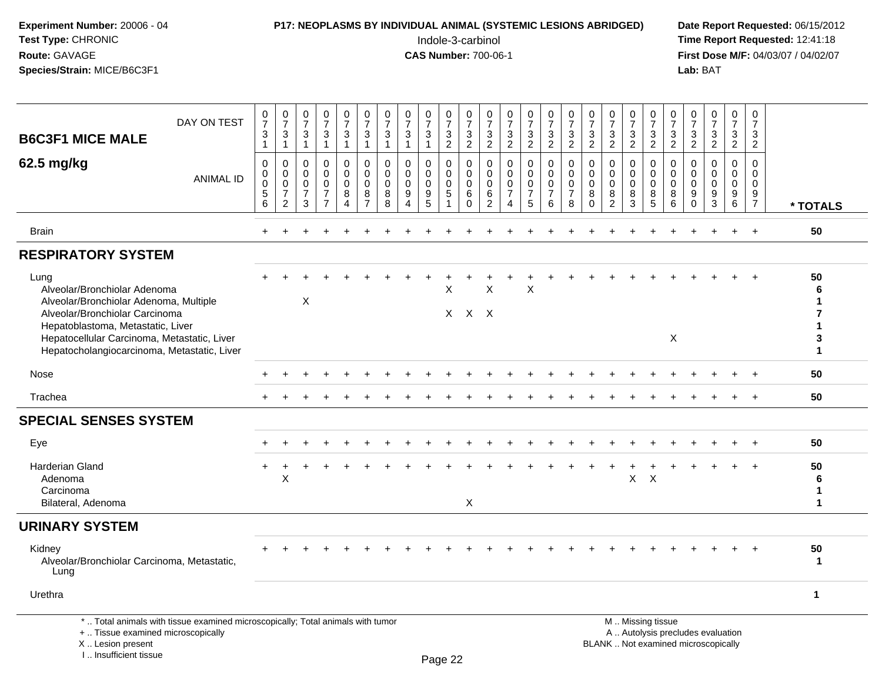# **P17: NEOPLASMS BY INDIVIDUAL ANIMAL (SYSTEMIC LESIONS ABRIDGED)** Date Report Requested: 06/15/2012<br>Indole-3-carbinol **Time Report Requested:** 12:41:18

| <b>B6C3F1 MICE MALE</b>                                                                                                                                                                                                                             | DAY ON TEST                                                                     | 0<br>$\overline{7}$<br>$\ensuremath{\mathsf{3}}$<br>$\mathbf{1}$ | $\frac{0}{7}$<br>$\ensuremath{\mathsf{3}}$<br>$\mathbf{1}$ | $\frac{0}{7}$<br>$\ensuremath{\mathsf{3}}$<br>$\mathbf{1}$    | $\frac{0}{7}$<br>$\ensuremath{\mathsf{3}}$<br>$\mathbf{1}$                 | $\frac{0}{7}$<br>$\ensuremath{\mathsf{3}}$<br>$\overline{1}$ | $\frac{0}{7}$<br>$\sqrt{3}$<br>$\mathbf{1}$                           | $\frac{0}{7}$<br>3<br>$\mathbf 1$   | $\frac{0}{7}$<br>$\ensuremath{\mathsf{3}}$<br>$\mathbf{1}$        | $\frac{0}{7}$<br>3<br>$\mathbf{1}$                      | $\frac{0}{7}$<br>$\frac{3}{2}$ | 0<br>$\overline{7}$<br>$\frac{3}{2}$                                  | 0<br>$\overline{7}$<br>3<br>$\overline{2}$                     | 0<br>$\overline{7}$<br>$\ensuremath{\mathsf{3}}$<br>$\overline{2}$         | $\frac{0}{7}$<br>$\ensuremath{\mathsf{3}}$<br>$\overline{2}$ | $\frac{0}{7}$<br>$\ensuremath{\mathsf{3}}$<br>$\overline{2}$  | $\frac{0}{7}$<br>$\ensuremath{\mathsf{3}}$<br>$\overline{c}$ | $\frac{0}{7}$<br>$\frac{3}{2}$                   | 0<br>$\overline{7}$<br>$\ensuremath{\mathsf{3}}$<br>$\overline{2}$ | $\frac{0}{7}$<br>3<br>$\overline{c}$                | 0<br>$\overline{7}$<br>$\ensuremath{\mathsf{3}}$<br>$\overline{2}$ | 0<br>$\overline{7}$<br>3<br>$\overline{2}$    | 0<br>$\overline{7}$<br>$\frac{3}{2}$          | $\frac{0}{7}$<br>$\frac{3}{2}$                                           | 0<br>$\overline{7}$<br>$\mathbf{3}$<br>$\overline{2}$          | 0<br>$\overline{7}$<br>$\sqrt{3}$<br>$\overline{2}$     |                                                |
|-----------------------------------------------------------------------------------------------------------------------------------------------------------------------------------------------------------------------------------------------------|---------------------------------------------------------------------------------|------------------------------------------------------------------|------------------------------------------------------------|---------------------------------------------------------------|----------------------------------------------------------------------------|--------------------------------------------------------------|-----------------------------------------------------------------------|-------------------------------------|-------------------------------------------------------------------|---------------------------------------------------------|--------------------------------|-----------------------------------------------------------------------|----------------------------------------------------------------|----------------------------------------------------------------------------|--------------------------------------------------------------|---------------------------------------------------------------|--------------------------------------------------------------|--------------------------------------------------|--------------------------------------------------------------------|-----------------------------------------------------|--------------------------------------------------------------------|-----------------------------------------------|-----------------------------------------------|--------------------------------------------------------------------------|----------------------------------------------------------------|---------------------------------------------------------|------------------------------------------------|
| 62.5 mg/kg                                                                                                                                                                                                                                          | <b>ANIMAL ID</b>                                                                | $\mathbf 0$<br>0<br>$\mathbf 0$<br>5<br>6                        | 0<br>0<br>$\mathsf{O}\xspace$<br>7<br>$\overline{2}$       | $\mathbf 0$<br>$\Omega$<br>$\mathbf 0$<br>$\overline{7}$<br>3 | $\mathbf 0$<br>$\Omega$<br>$\mathbf 0$<br>$\overline{7}$<br>$\overline{7}$ | 0<br>0<br>$\mathbf 0$<br>8<br>$\overline{4}$                 | $\mathbf 0$<br>0<br>$\Omega$<br>$\begin{array}{c} 8 \\ 7 \end{array}$ | 0<br>$\Omega$<br>$\Omega$<br>8<br>8 | $\mathbf 0$<br>$\mathbf{0}$<br>$\mathbf 0$<br>9<br>$\overline{4}$ | 0<br>$\mathbf{0}$<br>$\mathbf 0$<br>9<br>$\overline{5}$ | 0<br>0<br>0<br>$5\,$           | $\mathbf 0$<br>$\Omega$<br>$\mathbf 0$<br>$6\phantom{1}6$<br>$\Omega$ | $\mathbf 0$<br>$\Omega$<br>$\mathbf{0}$<br>6<br>$\overline{2}$ | $\mathbf 0$<br>$\Omega$<br>$\mathbf 0$<br>$\overline{7}$<br>$\overline{4}$ | 0<br>$\Omega$<br>0<br>$\overline{7}$<br>5                    | $\mathbf 0$<br>$\Omega$<br>$\mathbf 0$<br>$\overline{7}$<br>6 | $\mathbf 0$<br>0<br>$\mathbf 0$<br>$\overline{7}$<br>8       | $\mathbf 0$<br>0<br>$\mathbf 0$<br>8<br>$\Omega$ | $\mathbf 0$<br>$\mathbf{0}$<br>$\mathbf{0}$<br>8<br>$\overline{2}$ | 0<br>$\Omega$<br>$\mathbf 0$<br>8<br>$\overline{3}$ | $\mathbf 0$<br>0<br>$\mathbf 0$<br>$^8_5$                          | $\mathbf 0$<br>$\Omega$<br>$\Omega$<br>8<br>6 | 0<br>$\Omega$<br>$\mathbf 0$<br>9<br>$\Omega$ | $\mathbf 0$<br>$\Omega$<br>$\mathbf 0$<br>$\frac{9}{3}$                  | $\mathbf 0$<br>0<br>0<br>$\begin{array}{c} 9 \\ 6 \end{array}$ | $\mathbf 0$<br>$\Omega$<br>$\mathbf 0$<br>$\frac{9}{7}$ | * TOTALS                                       |
| <b>Brain</b>                                                                                                                                                                                                                                        |                                                                                 | ÷                                                                |                                                            |                                                               |                                                                            |                                                              |                                                                       |                                     |                                                                   |                                                         |                                |                                                                       |                                                                |                                                                            |                                                              |                                                               |                                                              |                                                  |                                                                    |                                                     |                                                                    |                                               |                                               |                                                                          | $\ddot{}$                                                      | $+$                                                     | 50                                             |
| <b>RESPIRATORY SYSTEM</b>                                                                                                                                                                                                                           |                                                                                 |                                                                  |                                                            |                                                               |                                                                            |                                                              |                                                                       |                                     |                                                                   |                                                         |                                |                                                                       |                                                                |                                                                            |                                                              |                                                               |                                                              |                                                  |                                                                    |                                                     |                                                                    |                                               |                                               |                                                                          |                                                                |                                                         |                                                |
| Lung<br>Alveolar/Bronchiolar Adenoma<br>Alveolar/Bronchiolar Adenoma, Multiple<br>Alveolar/Bronchiolar Carcinoma<br>Hepatoblastoma, Metastatic, Liver<br>Hepatocellular Carcinoma, Metastatic, Liver<br>Hepatocholangiocarcinoma, Metastatic, Liver |                                                                                 |                                                                  |                                                            | X                                                             |                                                                            |                                                              |                                                                       |                                     |                                                                   |                                                         | X                              | $X$ $X$ $X$                                                           | X                                                              |                                                                            | $\ddot{}$<br>X                                               |                                                               |                                                              |                                                  |                                                                    |                                                     |                                                                    | X                                             |                                               |                                                                          |                                                                |                                                         | 50<br>6<br>1<br>7<br>3<br>$\mathbf{1}$         |
| Nose                                                                                                                                                                                                                                                |                                                                                 |                                                                  |                                                            |                                                               |                                                                            |                                                              |                                                                       |                                     |                                                                   |                                                         |                                |                                                                       |                                                                |                                                                            |                                                              |                                                               |                                                              |                                                  |                                                                    |                                                     |                                                                    |                                               |                                               |                                                                          | $+$                                                            | $+$                                                     | 50                                             |
| Trachea                                                                                                                                                                                                                                             |                                                                                 |                                                                  |                                                            |                                                               |                                                                            |                                                              |                                                                       |                                     |                                                                   |                                                         |                                |                                                                       |                                                                |                                                                            |                                                              |                                                               |                                                              |                                                  |                                                                    |                                                     |                                                                    |                                               |                                               |                                                                          |                                                                | $+$                                                     | 50                                             |
| <b>SPECIAL SENSES SYSTEM</b>                                                                                                                                                                                                                        |                                                                                 |                                                                  |                                                            |                                                               |                                                                            |                                                              |                                                                       |                                     |                                                                   |                                                         |                                |                                                                       |                                                                |                                                                            |                                                              |                                                               |                                                              |                                                  |                                                                    |                                                     |                                                                    |                                               |                                               |                                                                          |                                                                |                                                         |                                                |
| Eye                                                                                                                                                                                                                                                 |                                                                                 |                                                                  |                                                            |                                                               |                                                                            |                                                              |                                                                       |                                     |                                                                   |                                                         |                                |                                                                       |                                                                |                                                                            |                                                              |                                                               |                                                              |                                                  |                                                                    |                                                     |                                                                    |                                               |                                               |                                                                          |                                                                |                                                         | 50                                             |
| <b>Harderian Gland</b><br>Adenoma<br>Carcinoma<br>Bilateral, Adenoma                                                                                                                                                                                |                                                                                 |                                                                  | X                                                          |                                                               |                                                                            |                                                              |                                                                       |                                     |                                                                   |                                                         |                                | $\boldsymbol{\mathsf{X}}$                                             |                                                                |                                                                            |                                                              |                                                               |                                                              |                                                  |                                                                    | X                                                   | $\mathsf{X}$                                                       |                                               |                                               |                                                                          |                                                                |                                                         | 50<br>6<br>$\mathbf 1$<br>$\blacktriangleleft$ |
| <b>URINARY SYSTEM</b>                                                                                                                                                                                                                               |                                                                                 |                                                                  |                                                            |                                                               |                                                                            |                                                              |                                                                       |                                     |                                                                   |                                                         |                                |                                                                       |                                                                |                                                                            |                                                              |                                                               |                                                              |                                                  |                                                                    |                                                     |                                                                    |                                               |                                               |                                                                          |                                                                |                                                         |                                                |
| Kidney<br>Alveolar/Bronchiolar Carcinoma, Metastatic,<br>Lung                                                                                                                                                                                       |                                                                                 |                                                                  |                                                            |                                                               |                                                                            |                                                              |                                                                       |                                     |                                                                   |                                                         |                                |                                                                       |                                                                |                                                                            |                                                              |                                                               |                                                              |                                                  |                                                                    |                                                     |                                                                    |                                               |                                               |                                                                          |                                                                |                                                         | 50<br>$\mathbf{1}$                             |
| Urethra                                                                                                                                                                                                                                             |                                                                                 |                                                                  |                                                            |                                                               |                                                                            |                                                              |                                                                       |                                     |                                                                   |                                                         |                                |                                                                       |                                                                |                                                                            |                                                              |                                                               |                                                              |                                                  |                                                                    |                                                     |                                                                    |                                               |                                               |                                                                          |                                                                |                                                         | $\mathbf{1}$                                   |
| +  Tissue examined microscopically<br>X  Lesion present<br>I Insufficient tissue                                                                                                                                                                    | *  Total animals with tissue examined microscopically; Total animals with tumor |                                                                  |                                                            |                                                               |                                                                            |                                                              |                                                                       |                                     |                                                                   |                                                         | $D_{200}$ 22                   |                                                                       |                                                                |                                                                            |                                                              |                                                               |                                                              |                                                  |                                                                    |                                                     | M  Missing tissue                                                  |                                               |                                               | A  Autolysis precludes evaluation<br>BLANK  Not examined microscopically |                                                                |                                                         |                                                |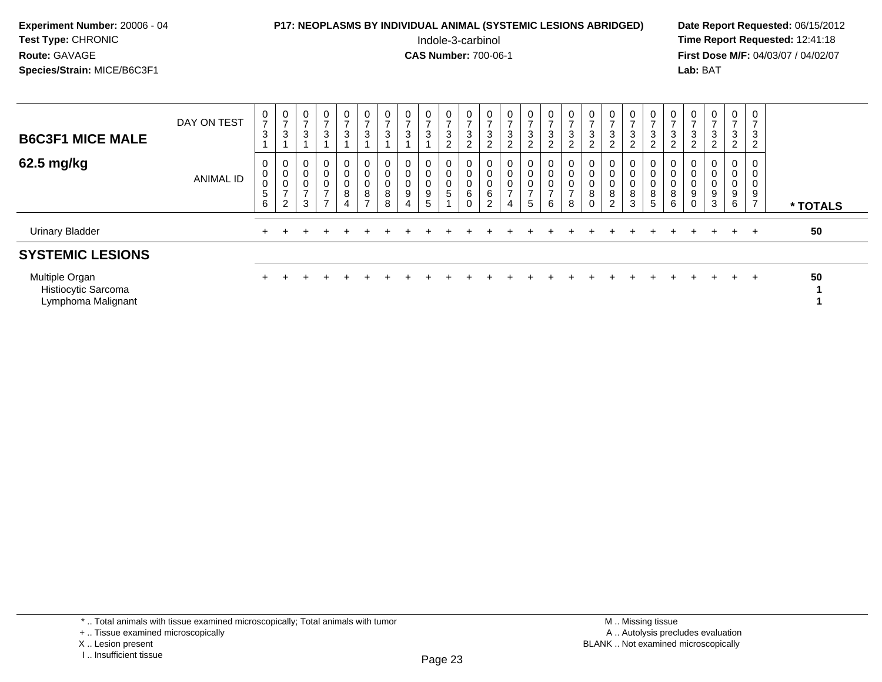## **P17: NEOPLASMS BY INDIVIDUAL ANIMAL (SYSTEMIC LESIONS ABRIDGED)** Date Report Requested: 06/15/2012<br>Indole-3-carbinol **Time Report Requested:** 12:41:18

 Indole-3-carbinol **Time Report Requested:** 12:41:18 **First Dose M/F:** 04/03/07 / 04/02/07<br>Lab: BAT **Lab:** BAT

| <b>B6C3F1 MICE MALE</b>                                     | DAY ON TEST      | $\frac{0}{7}$<br>$\sqrt{3}$            | $\frac{0}{7}$<br>$\sqrt{3}$                                    | 0<br>3                                      | 0<br>$\rightarrow$<br>$\sqrt{3}$                                          | 0<br>$\overline{ }$<br>$\mathbf{3}$ | 0<br>$\overline{ }$<br>$\ensuremath{\mathsf{3}}$        | $\mathbf{3}$                        | $\overline{ }$<br>3                  | 0<br>$\rightarrow$<br>3              | $\rightarrow$<br>3<br>$\overline{2}$ | $\frac{0}{7}$<br>$\sqrt{3}$<br>$\overline{2}$                | 0<br>$\rightarrow$<br>3<br>$\overline{2}$                | 0<br>$\rightarrow$<br>3<br>$\overline{c}$          | 0<br>$\rightarrow$<br>3<br>$\overline{2}$ | $\overline{ }$<br>$\mathbf{3}$<br>$\overline{2}$ | 0<br>$\rightarrow$<br>3<br>$\overline{2}$ | 3<br>$\overline{c}$ | 0<br>$\rightarrow$<br>3<br>$\overline{c}$                  | $\frac{0}{7}$<br>3<br>2 <sup>1</sup> | 0<br>$\rightarrow$<br>$\mathbf{3}$<br>$\overline{c}$ | 3<br><sup>o</sup><br>$\epsilon$ | $\rightarrow$<br>3<br>$\overline{c}$ | 0<br>$\rightarrow$<br>3<br>$\overline{a}$ | 0<br>$\rightarrow$<br>3<br>$2^{\circ}$ | 0<br>$\overline{ }$<br>3<br>$\overline{2}$ |          |
|-------------------------------------------------------------|------------------|----------------------------------------|----------------------------------------------------------------|---------------------------------------------|---------------------------------------------------------------------------|-------------------------------------|---------------------------------------------------------|-------------------------------------|--------------------------------------|--------------------------------------|--------------------------------------|--------------------------------------------------------------|----------------------------------------------------------|----------------------------------------------------|-------------------------------------------|--------------------------------------------------|-------------------------------------------|---------------------|------------------------------------------------------------|--------------------------------------|------------------------------------------------------|---------------------------------|--------------------------------------|-------------------------------------------|----------------------------------------|--------------------------------------------|----------|
| 62.5 mg/kg                                                  | <b>ANIMAL ID</b> | 0<br>$\pmb{0}$<br>0<br>$\sqrt{5}$<br>6 | $\mathbf{0}$<br>$\mathbf 0$<br>$\pmb{0}$<br>$\rightarrow$<br>2 | 0<br>$\mathbf 0$<br>0<br>$\rightarrow$<br>3 | $\mathbf 0$<br>$\pmb{0}$<br>$\pmb{0}$<br>$\overline{ }$<br>$\overline{ }$ | 0<br>0<br>0<br>8<br>4               | 0<br>$\pmb{0}$<br>$\pmb{0}$<br>$\, 8$<br>$\overline{ }$ | 0<br>0<br>$\pmb{0}$<br>$\bf 8$<br>8 | 0<br>$\mathbf 0$<br>$\mathbf 0$<br>9 | 0<br>0<br>0<br>$\boldsymbol{9}$<br>5 | 0<br>0<br>0<br>5                     | 0<br>$\boldsymbol{0}$<br>$\pmb{0}$<br>$\,6\,$<br>$\mathbf 0$ | 0<br>$\pmb{0}$<br>$\pmb{0}$<br>$\,6\,$<br>$\overline{c}$ | 0<br>$\pmb{0}$<br>$\pmb{0}$<br>$\overline{7}$<br>4 | 0<br>0<br>0<br>$\overline{ }$<br>5        | 0<br>0<br>0<br>$\overline{ }$<br>6               | 0<br>$\boldsymbol{0}$<br>$\mathbf 0$<br>8 | 8<br>$\mathbf 0$    | 0<br>$\mathbf 0$<br>$\pmb{0}$<br>$\bf 8$<br>$\overline{2}$ | 0<br>$\pmb{0}$<br>0<br>$\frac{8}{3}$ | 0<br>$\mathbf 0$<br>$\boldsymbol{0}$<br>$\, 8$<br>5  | 0<br>8<br>6                     | $\pmb{0}$<br>0<br>9<br>$\mathbf 0$   | 0<br>0<br>0<br>9<br>3                     | 0<br>0<br>0<br>9<br>6                  | 0<br>0<br>0<br>9<br>$\overline{z}$         | * TOTALS |
| Urinary Bladder                                             |                  |                                        |                                                                |                                             |                                                                           |                                     |                                                         |                                     |                                      |                                      |                                      |                                                              |                                                          |                                                    |                                           |                                                  |                                           |                     |                                                            |                                      |                                                      |                                 |                                      |                                           | $+$                                    | $+$                                        | 50       |
| <b>SYSTEMIC LESIONS</b>                                     |                  |                                        |                                                                |                                             |                                                                           |                                     |                                                         |                                     |                                      |                                      |                                      |                                                              |                                                          |                                                    |                                           |                                                  |                                           |                     |                                                            |                                      |                                                      |                                 |                                      |                                           |                                        |                                            |          |
| Multiple Organ<br>Histiocytic Sarcoma<br>Lymphoma Malignant |                  |                                        |                                                                |                                             |                                                                           |                                     |                                                         |                                     |                                      |                                      |                                      |                                                              |                                                          |                                                    |                                           |                                                  |                                           |                     |                                                            |                                      |                                                      |                                 |                                      | $+$                                       | $+$                                    | $+$                                        | 50       |

\* .. Total animals with tissue examined microscopically; Total animals with tumor

X .. Lesion present

I .. Insufficient tissue

<sup>+ ..</sup> Tissue examined microscopically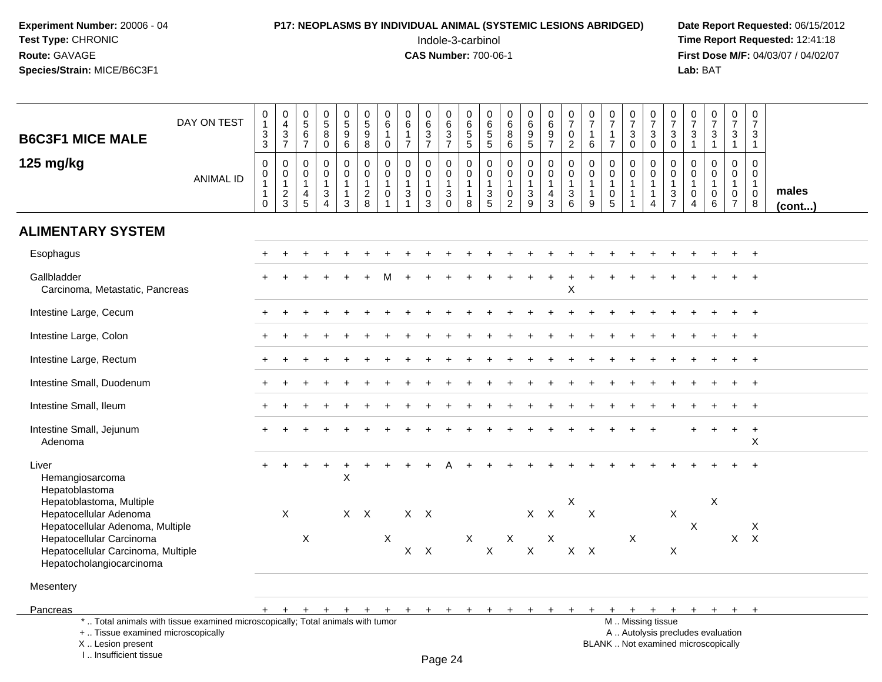# **P17: NEOPLASMS BY INDIVIDUAL ANIMAL (SYSTEMIC LESIONS ABRIDGED)** Date Report Requested: 06/15/2012<br>Indole-3-carbinol **Time Report Requested:** 12:41:18

| <b>B6C3F1 MICE MALE</b>                                                                                                                   | DAY ON TEST      | $\mathbf 0$<br>$\mathbf{1}$<br>$\frac{3}{3}$                   | $\mathbf 0$<br>$\begin{array}{c} 4 \\ 3 \\ 7 \end{array}$ | 0<br>$\overline{5}$<br>$\,6$<br>$\overline{7}$         | $\pmb{0}$<br>$\overline{5}$<br>8<br>$\mathbf 0$                                    | $\,0\,$<br>$\overline{5}$<br>$\boldsymbol{9}$<br>6   | $\begin{array}{c} 0 \\ 5 \end{array}$<br>$\boldsymbol{9}$<br>8 | 0<br>$6\overline{6}$<br>$\mathbf{1}$<br>$\mathbf 0$                       | 0<br>6<br>$\mathbf{1}$<br>$\overline{7}$                                   | $\pmb{0}$<br>$\frac{6}{3}$                                            | 0<br>$6\phantom{a}$<br>$\ensuremath{\mathsf{3}}$<br>$\overline{7}$ | $\boldsymbol{0}$<br>$6\phantom{1}6$<br>$\sqrt{5}$<br>$5\phantom{.0}$ | 0<br>$\overline{6}$<br>$\sqrt{5}$<br>5                            | $_{6}^{\rm 0}$<br>8<br>6                                                                 | $\pmb{0}$<br>$\overline{6}$<br>$\boldsymbol{9}$<br>5        | $\pmb{0}$<br>$6\overline{6}$<br>$9\,$<br>$\overline{7}$ | $\frac{0}{7}$<br>$\pmb{0}$<br>$\overline{2}$                        | 0<br>$\overline{7}$<br>$\overline{1}$<br>6                          | $\pmb{0}$<br>$\overline{7}$<br>$\mathbf{1}$<br>$\overline{7}$             | $\pmb{0}$<br>$\overline{7}$<br>3<br>$\mathbf 0$ | $\frac{0}{7}$<br>$\mathbf{3}$<br>$\mathbf 0$                          | $\frac{0}{7}$<br>3<br>$\mathbf 0$                           | 0<br>$\overline{7}$<br>$\ensuremath{\mathsf{3}}$<br>$\mathbf{1}$          | $\begin{array}{c} 0 \\ 7 \end{array}$<br>$\ensuremath{\mathsf{3}}$<br>$\mathbf{1}$ | $\mathbf 0$<br>$\overline{7}$<br>$\mathbf 3$<br>$\overline{1}$                | $\mathbf 0$<br>$\overline{7}$<br>$\mathsf 3$<br>$\overline{1}$   |                       |
|-------------------------------------------------------------------------------------------------------------------------------------------|------------------|----------------------------------------------------------------|-----------------------------------------------------------|--------------------------------------------------------|------------------------------------------------------------------------------------|------------------------------------------------------|----------------------------------------------------------------|---------------------------------------------------------------------------|----------------------------------------------------------------------------|-----------------------------------------------------------------------|--------------------------------------------------------------------|----------------------------------------------------------------------|-------------------------------------------------------------------|------------------------------------------------------------------------------------------|-------------------------------------------------------------|---------------------------------------------------------|---------------------------------------------------------------------|---------------------------------------------------------------------|---------------------------------------------------------------------------|-------------------------------------------------|-----------------------------------------------------------------------|-------------------------------------------------------------|---------------------------------------------------------------------------|------------------------------------------------------------------------------------|-------------------------------------------------------------------------------|------------------------------------------------------------------|-----------------------|
| 125 mg/kg                                                                                                                                 | <b>ANIMAL ID</b> | $\mathbf 0$<br>$\mathbf 0$<br>$\mathbf{1}$<br>1<br>$\mathbf 0$ | $\boldsymbol{0}$<br>$\overline{0}$<br>1<br>$\frac{2}{3}$  | $\mathbf 0$<br>$\mathbf 0$<br>$\overline{1}$<br>4<br>5 | $\mathbf 0$<br>$\mathbf 0$<br>$\mathbf{1}$<br>$\sqrt{3}$<br>$\boldsymbol{\Lambda}$ | $\mathsf 0$<br>$\mathbf 0$<br>1<br>$\mathbf{1}$<br>3 | $\pmb{0}$<br>$\tilde{0}$<br>$\mathbf{1}$<br>$\frac{2}{8}$      | $\mathbf 0$<br>$\mathbf 0$<br>$\mathbf{1}$<br>$\mathbf 0$<br>$\mathbf{1}$ | $\mathbf 0$<br>$\mathbf 0$<br>$\mathbf{1}$<br>$\sqrt{3}$<br>$\overline{1}$ | $\pmb{0}$<br>$\pmb{0}$<br>$\mathbf{1}$<br>$\pmb{0}$<br>$\overline{3}$ | 0<br>$\mathbf 0$<br>$\mathbf{1}$<br>$\sqrt{3}$<br>$\mathbf 0$      | $\boldsymbol{0}$<br>$\mathbf 0$<br>$\mathbf{1}$<br>$\mathbf{1}$<br>8 | $\mathbf 0$<br>$\mathbf 0$<br>1<br>$\mathbf{3}$<br>$\overline{5}$ | $\pmb{0}$<br>$\mathbf 0$<br>$\mathbf{1}$<br>$\begin{smallmatrix} 0\\2 \end{smallmatrix}$ | $\mathsf 0$<br>$\mathbf 0$<br>$\mathbf{1}$<br>$\frac{3}{9}$ | 0<br>$\mathbf 0$<br>$\mathbf{1}$<br>$\frac{4}{3}$       | $\mathbf 0$<br>$\mathsf{O}\xspace$<br>$\mathbf{1}$<br>$\frac{3}{6}$ | $\mathbf 0$<br>$\mathbf 0$<br>$\overline{1}$<br>$\overline{1}$<br>9 | $\mathbf 0$<br>$\mathbf 0$<br>$\mathbf{1}$<br>$\pmb{0}$<br>$\overline{5}$ | $\mathbf 0$<br>$\mathbf 0$<br>1<br>1<br>1       | 0<br>$\overline{0}$<br>$\mathbf{1}$<br>$\mathbf{1}$<br>$\overline{4}$ | $\mathbf 0$<br>$\mathbf 0$<br>$\mathbf{1}$<br>$\frac{3}{7}$ | $\mathbf 0$<br>$\mathbf 0$<br>$\mathbf{1}$<br>$\pmb{0}$<br>$\overline{4}$ | $\mathbf 0$<br>$\mathbf 0$<br>$\mathbf{1}$<br>$\mathbf 0$<br>6                     | $\mathbf 0$<br>$\mathbf 0$<br>$\overline{1}$<br>$\mathbf 0$<br>$\overline{7}$ | $\mathbf 0$<br>$\mathbf 0$<br>$\overline{1}$<br>$\mathbf 0$<br>8 | males<br>$($ cont $)$ |
| <b>ALIMENTARY SYSTEM</b>                                                                                                                  |                  |                                                                |                                                           |                                                        |                                                                                    |                                                      |                                                                |                                                                           |                                                                            |                                                                       |                                                                    |                                                                      |                                                                   |                                                                                          |                                                             |                                                         |                                                                     |                                                                     |                                                                           |                                                 |                                                                       |                                                             |                                                                           |                                                                                    |                                                                               |                                                                  |                       |
| Esophagus                                                                                                                                 |                  |                                                                |                                                           |                                                        |                                                                                    |                                                      |                                                                |                                                                           |                                                                            |                                                                       |                                                                    |                                                                      |                                                                   |                                                                                          |                                                             |                                                         |                                                                     |                                                                     |                                                                           |                                                 |                                                                       |                                                             |                                                                           |                                                                                    |                                                                               | $\overline{+}$                                                   |                       |
| Gallbladder<br>Carcinoma, Metastatic, Pancreas                                                                                            |                  |                                                                |                                                           |                                                        |                                                                                    |                                                      |                                                                |                                                                           |                                                                            |                                                                       |                                                                    |                                                                      |                                                                   |                                                                                          |                                                             |                                                         | X                                                                   |                                                                     |                                                                           |                                                 |                                                                       |                                                             |                                                                           |                                                                                    |                                                                               |                                                                  |                       |
| Intestine Large, Cecum                                                                                                                    |                  |                                                                |                                                           |                                                        |                                                                                    |                                                      |                                                                |                                                                           |                                                                            |                                                                       |                                                                    |                                                                      |                                                                   |                                                                                          |                                                             |                                                         |                                                                     |                                                                     |                                                                           |                                                 |                                                                       |                                                             |                                                                           |                                                                                    |                                                                               | $+$                                                              |                       |
| Intestine Large, Colon                                                                                                                    |                  |                                                                |                                                           |                                                        |                                                                                    |                                                      |                                                                |                                                                           |                                                                            |                                                                       |                                                                    |                                                                      |                                                                   |                                                                                          |                                                             |                                                         |                                                                     |                                                                     |                                                                           |                                                 |                                                                       |                                                             |                                                                           |                                                                                    | $\ddot{}$                                                                     | $+$                                                              |                       |
| Intestine Large, Rectum                                                                                                                   |                  |                                                                |                                                           |                                                        |                                                                                    |                                                      |                                                                |                                                                           |                                                                            |                                                                       |                                                                    |                                                                      |                                                                   |                                                                                          |                                                             |                                                         |                                                                     |                                                                     |                                                                           |                                                 |                                                                       |                                                             |                                                                           |                                                                                    |                                                                               | $\overline{+}$                                                   |                       |
| Intestine Small, Duodenum                                                                                                                 |                  |                                                                |                                                           |                                                        |                                                                                    |                                                      |                                                                |                                                                           |                                                                            |                                                                       |                                                                    |                                                                      |                                                                   |                                                                                          |                                                             |                                                         |                                                                     |                                                                     |                                                                           |                                                 |                                                                       |                                                             |                                                                           |                                                                                    |                                                                               | $+$                                                              |                       |
| Intestine Small, Ileum                                                                                                                    |                  |                                                                |                                                           |                                                        |                                                                                    |                                                      |                                                                |                                                                           |                                                                            |                                                                       |                                                                    |                                                                      |                                                                   |                                                                                          |                                                             |                                                         |                                                                     |                                                                     |                                                                           |                                                 |                                                                       |                                                             |                                                                           |                                                                                    |                                                                               |                                                                  |                       |
| Intestine Small, Jejunum<br>Adenoma                                                                                                       |                  |                                                                |                                                           |                                                        |                                                                                    |                                                      |                                                                |                                                                           |                                                                            |                                                                       |                                                                    |                                                                      |                                                                   |                                                                                          |                                                             |                                                         |                                                                     |                                                                     |                                                                           |                                                 |                                                                       |                                                             |                                                                           |                                                                                    | $\ddot{}$                                                                     | $\overline{+}$<br>X                                              |                       |
| Liver<br>Hemangiosarcoma<br>Hepatoblastoma                                                                                                |                  |                                                                |                                                           |                                                        |                                                                                    | ÷<br>X                                               |                                                                |                                                                           |                                                                            |                                                                       |                                                                    |                                                                      |                                                                   |                                                                                          |                                                             |                                                         |                                                                     |                                                                     |                                                                           |                                                 |                                                                       |                                                             |                                                                           |                                                                                    |                                                                               |                                                                  |                       |
| Hepatoblastoma, Multiple<br>Hepatocellular Adenoma                                                                                        |                  |                                                                | $\times$                                                  |                                                        |                                                                                    | $X$ $X$                                              |                                                                |                                                                           | $X$ $X$                                                                    |                                                                       |                                                                    |                                                                      |                                                                   |                                                                                          | $X$ $X$                                                     |                                                         | $\boldsymbol{\mathsf{X}}$                                           | $\boldsymbol{\mathsf{X}}$                                           |                                                                           |                                                 |                                                                       | $\boldsymbol{\mathsf{X}}$                                   |                                                                           | $\boldsymbol{\mathsf{X}}$                                                          |                                                                               |                                                                  |                       |
| Hepatocellular Adenoma, Multiple                                                                                                          |                  |                                                                |                                                           |                                                        |                                                                                    |                                                      |                                                                |                                                                           |                                                                            |                                                                       |                                                                    |                                                                      |                                                                   |                                                                                          |                                                             |                                                         |                                                                     |                                                                     |                                                                           |                                                 |                                                                       |                                                             | X                                                                         |                                                                                    |                                                                               | X                                                                |                       |
| Hepatocellular Carcinoma<br>Hepatocellular Carcinoma, Multiple<br>Hepatocholangiocarcinoma                                                |                  |                                                                |                                                           | X                                                      |                                                                                    |                                                      |                                                                | X                                                                         |                                                                            | $X$ $X$                                                               |                                                                    | X                                                                    | $\boldsymbol{\mathsf{X}}$                                         | X                                                                                        | $\mathsf{X}$                                                | X                                                       | $X$ $X$                                                             |                                                                     |                                                                           | $\times$                                        |                                                                       | $\boldsymbol{\mathsf{X}}$                                   |                                                                           |                                                                                    | $\mathsf{X}$                                                                  | $\mathsf{X}$                                                     |                       |
| Mesentery                                                                                                                                 |                  |                                                                |                                                           |                                                        |                                                                                    |                                                      |                                                                |                                                                           |                                                                            |                                                                       |                                                                    |                                                                      |                                                                   |                                                                                          |                                                             |                                                         |                                                                     |                                                                     |                                                                           |                                                 |                                                                       |                                                             |                                                                           |                                                                                    |                                                                               |                                                                  |                       |
| Pancreas                                                                                                                                  |                  | $+$                                                            | $+$                                                       | $+$                                                    | $+$                                                                                | $\ddot{}$                                            |                                                                |                                                                           | $+$                                                                        | $+$                                                                   | $+$                                                                |                                                                      |                                                                   |                                                                                          |                                                             | $+$                                                     | $+$                                                                 | $+$                                                                 | $+$                                                                       | $+$ $+$                                         |                                                                       | $+$                                                         |                                                                           | $+$ $+$ $+$                                                                        |                                                                               | $+$                                                              |                       |
| *  Total animals with tissue examined microscopically; Total animals with tumor<br>+  Tissue examined microscopically<br>X Lesion present |                  |                                                                |                                                           |                                                        |                                                                                    |                                                      |                                                                |                                                                           |                                                                            |                                                                       |                                                                    |                                                                      |                                                                   |                                                                                          |                                                             |                                                         |                                                                     |                                                                     |                                                                           |                                                 | M  Missing tissue                                                     |                                                             |                                                                           | A  Autolysis precludes evaluation<br>BLANK  Not examined microscopically           |                                                                               |                                                                  |                       |
| I Insufficient tissue                                                                                                                     |                  |                                                                |                                                           |                                                        |                                                                                    |                                                      |                                                                |                                                                           |                                                                            |                                                                       | Page 24                                                            |                                                                      |                                                                   |                                                                                          |                                                             |                                                         |                                                                     |                                                                     |                                                                           |                                                 |                                                                       |                                                             |                                                                           |                                                                                    |                                                                               |                                                                  |                       |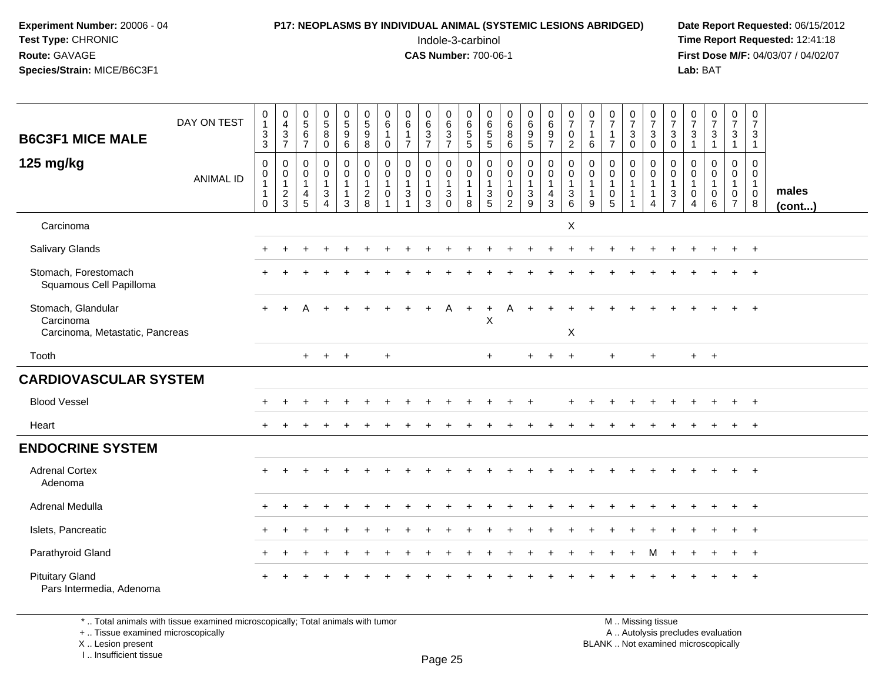## **P17: NEOPLASMS BY INDIVIDUAL ANIMAL (SYSTEMIC LESIONS ABRIDGED)** Date Report Requested: 06/15/2012<br>Indole-3-carbinol **Time Report Requested:** 12:41:18

 Indole-3-carbinol **Time Report Requested:** 12:41:18 **First Dose M/F:** 04/03/07 / 04/02/07<br>Lab: BAT **Lab:** BAT

| <b>B6C3F1 MICE MALE</b>                                                                                         | DAY ON TEST                     | $\pmb{0}$<br>$\mathbf{1}$<br>$_3^3$  | $\begin{array}{c} 0 \\ 4 \\ 3 \\ 7 \end{array}$ | $\begin{array}{c} 0 \\ 5 \end{array}$<br>6<br>$\overline{7}$      | $\begin{matrix} 0 \\ 5 \end{matrix}$<br>$\,8\,$<br>$\mathsf 0$ | $\begin{array}{c} 0 \\ 5 \end{array}$<br>$\boldsymbol{9}$<br>$6^{\circ}$                        | $\begin{array}{c} 0 \\ 5 \end{array}$<br>$\boldsymbol{9}$<br>8 | $\pmb{0}$<br>$\,6$<br>$\overline{1}$<br>$\mathbf 0$       | $\pmb{0}$<br>$\,6\,$<br>$\mathbf{1}$<br>$\overline{7}$                 | 0<br>$\,6$<br>$\frac{3}{7}$                | 0<br>6<br>3<br>7                                                      | $\pmb{0}$<br>$\,6\,$<br>$\frac{5}{5}$                         | 0<br>$\,6\,$<br>$\begin{array}{c} 5 \\ 5 \end{array}$               | $\pmb{0}$<br>$\,6\,$<br>$\, 8$<br>6                           | $\pmb{0}$<br>$\,6$<br>$\begin{array}{c} 9 \\ 5 \end{array}$ | $\begin{array}{c} 0 \\ 6 \end{array}$<br>$\frac{9}{7}$    | $\begin{smallmatrix}0\\7\end{smallmatrix}$<br>$\mathsf 0$<br>$\overline{2}$ | 0<br>$\overline{7}$<br>$\mathbf{1}$<br>6 | $\begin{array}{c} 0 \\ 7 \end{array}$<br>$\mathbf{1}$<br>$\overline{7}$ | $\begin{array}{c} 0 \\ 7 \end{array}$<br>$\ensuremath{\mathsf{3}}$<br>$\mathbf 0$ | $\frac{0}{7}$<br>$\sqrt{3}$<br>$\mathbf 0$            | 0<br>$\overline{7}$<br>$\ensuremath{\mathsf{3}}$<br>$\mathbf 0$    | $\pmb{0}$<br>$\overline{7}$<br>$\sqrt{3}$<br>$\mathbf{1}$ | $\frac{0}{7}$<br>$\ensuremath{\mathsf{3}}$<br>$\mathbf{1}$ | $\begin{array}{c} 0 \\ 7 \end{array}$<br>$\ensuremath{\mathsf{3}}$<br>$\mathbf{1}$ | $\pmb{0}$<br>$\overline{7}$<br>$\sqrt{3}$<br>$\mathbf{1}$        |                 |
|-----------------------------------------------------------------------------------------------------------------|---------------------------------|--------------------------------------|-------------------------------------------------|-------------------------------------------------------------------|----------------------------------------------------------------|-------------------------------------------------------------------------------------------------|----------------------------------------------------------------|-----------------------------------------------------------|------------------------------------------------------------------------|--------------------------------------------|-----------------------------------------------------------------------|---------------------------------------------------------------|---------------------------------------------------------------------|---------------------------------------------------------------|-------------------------------------------------------------|-----------------------------------------------------------|-----------------------------------------------------------------------------|------------------------------------------|-------------------------------------------------------------------------|-----------------------------------------------------------------------------------|-------------------------------------------------------|--------------------------------------------------------------------|-----------------------------------------------------------|------------------------------------------------------------|------------------------------------------------------------------------------------|------------------------------------------------------------------|-----------------|
| 125 mg/kg                                                                                                       | <b>ANIMAL ID</b>                | 0<br>$\mathsf 0$<br>1<br>$\mathbf 0$ | 0<br>$\pmb{0}$<br>$\mathbf{1}$<br>$\frac{2}{3}$ | $\mathbf 0$<br>$\mathbf 0$<br>$\mathbf{1}$<br>$\overline{4}$<br>5 | 0<br>$\mathbf 0$<br>1<br>3<br>4                                | 0<br>$\overline{0}$<br>$\overline{1}$<br>$\mathbf{1}$<br>3                                      | 0<br>$\pmb{0}$<br>$\mathbf{1}$<br>$\frac{2}{8}$                | 0<br>$\mathbf 0$<br>$\overline{1}$<br>0<br>$\overline{1}$ | 0<br>$\mathbf 0$<br>$\mathbf{1}$<br>$\sqrt{3}$<br>$\blacktriangleleft$ | 0<br>$\mathbf{0}$<br>1<br>$\mathbf 0$<br>3 | 0<br>$\ddot{\mathbf{0}}$<br>$\mathbf{1}$<br>$\sqrt{3}$<br>$\mathbf 0$ | 0<br>$\mathsf{O}\xspace$<br>$\mathbf{1}$<br>$\mathbf{1}$<br>8 | 0<br>$\mathbf 0$<br>$\mathbf{1}$<br>$\mathbf{3}$<br>$5\phantom{.0}$ | 0<br>$\pmb{0}$<br>$\mathbf{1}$<br>$\pmb{0}$<br>$\overline{2}$ | 0<br>$\mathbf 0$<br>$\mathbf{1}$<br>$\frac{3}{9}$           | 0<br>$\ddot{\mathbf{0}}$<br>$\mathbf{1}$<br>$\frac{4}{3}$ | $\pmb{0}$<br>$\mathbf 0$<br>$\mathbf{1}$<br>$\ensuremath{\mathsf{3}}$<br>6  | 0<br>$\mathbf 0$<br>-1<br>9              | 0<br>$\pmb{0}$<br>-1<br>$\pmb{0}$<br>5                                  | 0<br>$\mathbf 0$<br>$\mathbf{1}$<br>$\mathbf{1}$<br>1                             | 0<br>$\mathbf 0$<br>$\mathbf{1}$<br>$\mathbf{1}$<br>4 | 0<br>$\mathbf 0$<br>$\mathbf{1}$<br>$\mathbf{3}$<br>$\overline{7}$ | 0<br>$\mathbf 0$<br>$\mathbf 1$<br>0<br>$\overline{4}$    | 0<br>$\mathbf 0$<br>0<br>6                                 | 0<br>$\mathbf 0$<br>$\overline{1}$<br>$\mathbf 0$<br>$\overline{7}$                | $\mathbf 0$<br>$\mathbf 0$<br>$\overline{1}$<br>$\mathbf 0$<br>8 | males<br>(cont) |
| Carcinoma                                                                                                       |                                 |                                      |                                                 |                                                                   |                                                                |                                                                                                 |                                                                |                                                           |                                                                        |                                            |                                                                       |                                                               |                                                                     |                                                               |                                                             |                                                           | X                                                                           |                                          |                                                                         |                                                                                   |                                                       |                                                                    |                                                           |                                                            |                                                                                    |                                                                  |                 |
| Salivary Glands                                                                                                 |                                 |                                      |                                                 |                                                                   |                                                                |                                                                                                 |                                                                |                                                           |                                                                        |                                            |                                                                       |                                                               |                                                                     |                                                               |                                                             |                                                           |                                                                             |                                          |                                                                         |                                                                                   |                                                       |                                                                    |                                                           |                                                            |                                                                                    |                                                                  |                 |
| Stomach, Forestomach<br>Squamous Cell Papilloma                                                                 |                                 |                                      |                                                 |                                                                   |                                                                |                                                                                                 |                                                                |                                                           |                                                                        |                                            |                                                                       |                                                               |                                                                     |                                                               |                                                             |                                                           |                                                                             |                                          |                                                                         |                                                                                   |                                                       |                                                                    |                                                           |                                                            |                                                                                    | $\ddot{}$                                                        |                 |
| Stomach, Glandular<br>Carcinoma<br>Carcinoma, Metastatic, Pancreas                                              |                                 | $+$                                  | $+$                                             |                                                                   |                                                                |                                                                                                 |                                                                |                                                           |                                                                        | $\ddot{}$                                  | A                                                                     | $+$                                                           | $\ddot{}$<br>Χ                                                      | A                                                             | $\ddot{}$                                                   | $\ddot{}$                                                 | $\ddot{}$<br>X                                                              |                                          |                                                                         |                                                                                   |                                                       |                                                                    |                                                           |                                                            | $\ddot{}$                                                                          | $+$                                                              |                 |
| Tooth                                                                                                           |                                 |                                      |                                                 | $+$                                                               | $+$                                                            | $+$                                                                                             |                                                                | $+$                                                       |                                                                        |                                            |                                                                       |                                                               | $+$                                                                 |                                                               | $+$                                                         | $+$                                                       | $+$                                                                         |                                          | $+$                                                                     |                                                                                   | $+$                                                   |                                                                    | $+$                                                       | $+$                                                        |                                                                                    |                                                                  |                 |
| <b>CARDIOVASCULAR SYSTEM</b>                                                                                    |                                 |                                      |                                                 |                                                                   |                                                                |                                                                                                 |                                                                |                                                           |                                                                        |                                            |                                                                       |                                                               |                                                                     |                                                               |                                                             |                                                           |                                                                             |                                          |                                                                         |                                                                                   |                                                       |                                                                    |                                                           |                                                            |                                                                                    |                                                                  |                 |
| <b>Blood Vessel</b>                                                                                             |                                 |                                      |                                                 |                                                                   |                                                                |                                                                                                 |                                                                |                                                           |                                                                        |                                            |                                                                       |                                                               |                                                                     |                                                               |                                                             |                                                           |                                                                             |                                          |                                                                         |                                                                                   |                                                       |                                                                    |                                                           |                                                            |                                                                                    | $\div$                                                           |                 |
| Heart                                                                                                           |                                 |                                      |                                                 |                                                                   |                                                                |                                                                                                 |                                                                |                                                           |                                                                        |                                            |                                                                       |                                                               |                                                                     |                                                               |                                                             |                                                           |                                                                             |                                          |                                                                         |                                                                                   |                                                       |                                                                    |                                                           |                                                            | $\ddot{}$                                                                          | $+$                                                              |                 |
| <b>ENDOCRINE SYSTEM</b>                                                                                         |                                 |                                      |                                                 |                                                                   |                                                                |                                                                                                 |                                                                |                                                           |                                                                        |                                            |                                                                       |                                                               |                                                                     |                                                               |                                                             |                                                           |                                                                             |                                          |                                                                         |                                                                                   |                                                       |                                                                    |                                                           |                                                            |                                                                                    |                                                                  |                 |
| <b>Adrenal Cortex</b><br>Adenoma                                                                                |                                 |                                      |                                                 |                                                                   |                                                                |                                                                                                 |                                                                |                                                           |                                                                        |                                            |                                                                       |                                                               |                                                                     |                                                               |                                                             |                                                           |                                                                             |                                          |                                                                         |                                                                                   |                                                       |                                                                    |                                                           |                                                            |                                                                                    | $\overline{+}$                                                   |                 |
| Adrenal Medulla                                                                                                 |                                 |                                      |                                                 |                                                                   |                                                                |                                                                                                 |                                                                |                                                           |                                                                        |                                            |                                                                       |                                                               |                                                                     |                                                               |                                                             |                                                           |                                                                             |                                          |                                                                         |                                                                                   |                                                       |                                                                    |                                                           |                                                            | $\ddot{}$                                                                          | $+$                                                              |                 |
| Islets, Pancreatic                                                                                              |                                 |                                      |                                                 |                                                                   |                                                                |                                                                                                 |                                                                |                                                           |                                                                        |                                            |                                                                       |                                                               |                                                                     |                                                               |                                                             |                                                           |                                                                             |                                          |                                                                         |                                                                                   |                                                       |                                                                    |                                                           |                                                            | ÷                                                                                  | $+$                                                              |                 |
| Parathyroid Gland                                                                                               |                                 |                                      |                                                 |                                                                   |                                                                |                                                                                                 |                                                                |                                                           |                                                                        |                                            |                                                                       |                                                               |                                                                     |                                                               |                                                             |                                                           |                                                                             |                                          |                                                                         |                                                                                   | M                                                     |                                                                    |                                                           |                                                            |                                                                                    | $+$                                                              |                 |
| <b>Pituitary Gland</b><br>Pars Intermedia, Adenoma                                                              |                                 |                                      |                                                 |                                                                   |                                                                |                                                                                                 |                                                                |                                                           |                                                                        |                                            |                                                                       |                                                               |                                                                     |                                                               |                                                             |                                                           |                                                                             |                                          |                                                                         |                                                                                   |                                                       |                                                                    |                                                           |                                                            | $\ddot{}$                                                                          | $\ddot{}$                                                        |                 |
| the transportation of the control of the control of the control of the control of the control of the control of | the contract of the contract of |                                      |                                                 |                                                                   |                                                                | the contract of the contract of the contract of the contract of the contract of the contract of |                                                                |                                                           |                                                                        |                                            |                                                                       |                                                               |                                                                     |                                                               |                                                             |                                                           |                                                                             |                                          | the second control of the second con-                                   |                                                                                   |                                                       |                                                                    |                                                           |                                                            |                                                                                    |                                                                  |                 |

\* .. Total animals with tissue examined microscopically; Total animals with tumor

+ .. Tissue examined microscopically

X .. Lesion present

I .. Insufficient tissue

 M .. Missing tissuey the contract of the contract of the contract of the contract of the contract of  $\mathsf A$  . Autolysis precludes evaluation Lesion present BLANK .. Not examined microscopically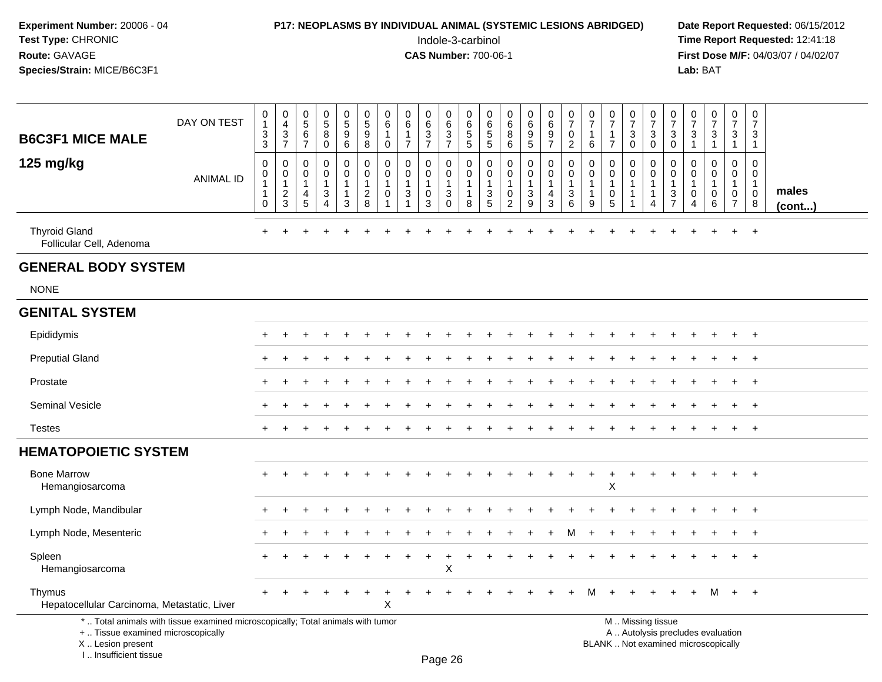# **P17: NEOPLASMS BY INDIVIDUAL ANIMAL (SYSTEMIC LESIONS ABRIDGED)** Date Report Requested: 06/15/2012<br>Indole-3-carbinol **Time Report Requested:** 12:41:18

| <b>B6C3F1 MICE MALE</b>                                                                                                                                             | DAY ON TEST      | 0<br>$\mathbf{1}$<br>$\sqrt{3}$<br>3                            | 0<br>$\overline{4}$<br>3<br>$\overline{7}$               | 0<br>$\,$ 5 $\,$<br>$\,6$<br>7             | $\begin{array}{c} 0 \\ 5 \end{array}$<br>$\bf 8$<br>0              | $\mathbf 0$<br>$\overline{5}$<br>$\boldsymbol{9}$<br>6            | $\mathbf 0$<br>5<br>9<br>8                                        | 0<br>6<br>$\mathbf{1}$<br>$\mathbf 0$                                    | 0<br>$\,6$<br>$\mathbf{1}$<br>$\overline{7}$                       | 0<br>$\,6\,$<br>3<br>$\overline{7}$       | 0<br>6<br>$\sqrt{3}$<br>$\overline{7}$               | $\mathbf 0$<br>$\,6$<br>5<br>5                       | 0<br>6<br>$\,$ 5 $\,$<br>5                                      | $\mathbf 0$<br>6<br>8<br>6                                                    | $\pmb{0}$<br>$\,6\,$<br>9<br>$\sqrt{5}$                                                     | 0<br>6<br>9<br>$\overline{7}$                                      | 0<br>$\overline{7}$<br>$\pmb{0}$<br>$\overline{2}$ | 0<br>$\overline{7}$<br>$\mathbf{1}$<br>6           | $\frac{0}{7}$<br>1<br>$\overline{7}$                         | 0<br>$\overline{7}$<br>3<br>$\mathbf 0$                              | $\mathbf 0$<br>$\overline{7}$<br>$\mathbf{3}$<br>$\mathbf 0$                   | 0<br>$\overline{7}$<br>3<br>$\mathbf 0$                         | 0<br>$\overline{7}$<br>$\mathbf{3}$<br>$\mathbf{1}$ | 0<br>$\overline{7}$<br>3<br>$\mathbf{1}$                                 | $\pmb{0}$<br>$\overline{7}$<br>3<br>$\mathbf{1}$                              | $\mathbf 0$<br>$\overline{7}$<br>3<br>$\mathbf{1}$         |                 |
|---------------------------------------------------------------------------------------------------------------------------------------------------------------------|------------------|-----------------------------------------------------------------|----------------------------------------------------------|--------------------------------------------|--------------------------------------------------------------------|-------------------------------------------------------------------|-------------------------------------------------------------------|--------------------------------------------------------------------------|--------------------------------------------------------------------|-------------------------------------------|------------------------------------------------------|------------------------------------------------------|-----------------------------------------------------------------|-------------------------------------------------------------------------------|---------------------------------------------------------------------------------------------|--------------------------------------------------------------------|----------------------------------------------------|----------------------------------------------------|--------------------------------------------------------------|----------------------------------------------------------------------|--------------------------------------------------------------------------------|-----------------------------------------------------------------|-----------------------------------------------------|--------------------------------------------------------------------------|-------------------------------------------------------------------------------|------------------------------------------------------------|-----------------|
| 125 mg/kg                                                                                                                                                           | <b>ANIMAL ID</b> | $\mathbf 0$<br>0<br>$\mathbf{1}$<br>$\mathbf{1}$<br>$\mathbf 0$ | 0<br>0<br>$\mathbf{1}$<br>$\overline{c}$<br>$\mathbf{3}$ | $\mathbf 0$<br>0<br>$\mathbf{1}$<br>4<br>5 | $\mathbf 0$<br>0<br>$\mathbf{1}$<br>$\ensuremath{\mathsf{3}}$<br>4 | $\mathbf 0$<br>$\mathbf 0$<br>$\overline{1}$<br>$\mathbf{1}$<br>3 | $\mathbf 0$<br>$\mathbf 0$<br>$\mathbf{1}$<br>$\overline{c}$<br>8 | $\mathbf 0$<br>$\mathbf 0$<br>$\mathbf{1}$<br>$\mathbf 0$<br>$\mathbf 1$ | $\mathbf 0$<br>0<br>$\mathbf{1}$<br>$\ensuremath{\mathsf{3}}$<br>1 | 0<br>0<br>$\mathbf 1$<br>$\mathbf 0$<br>3 | $\mathbf 0$<br>0<br>$\mathbf{1}$<br>3<br>$\mathbf 0$ | $\mathbf 0$<br>$\mathbf 0$<br>$\mathbf 1$<br>-1<br>8 | $\mathbf 0$<br>$\mathbf 0$<br>$\overline{1}$<br>$\sqrt{3}$<br>5 | $\mathbf 0$<br>$\mathbf 0$<br>$\overline{1}$<br>$\mathbf 0$<br>$\overline{2}$ | $\mathbf 0$<br>$\mathbf 0$<br>$\mathbf{1}$<br>$\ensuremath{\mathsf{3}}$<br>$\boldsymbol{9}$ | 0<br>$\mathbf 0$<br>$\mathbf{1}$<br>$\overline{4}$<br>$\mathbf{3}$ | $\mathbf 0$<br>0<br>$\mathbf{1}$<br>3<br>6         | $\Omega$<br>0<br>$\mathbf{1}$<br>$\mathbf{1}$<br>9 | $\mathbf 0$<br>$\mathbf 0$<br>$\mathbf{1}$<br>$\pmb{0}$<br>5 | $\mathbf 0$<br>$\mathbf 0$<br>$\overline{1}$<br>$\overline{1}$<br>-1 | $\mathbf 0$<br>$\mathbf 0$<br>$\overline{1}$<br>$\mathbf{1}$<br>$\overline{4}$ | $\Omega$<br>0<br>$\mathbf{1}$<br>$\ensuremath{\mathsf{3}}$<br>7 | $\Omega$<br>0<br>$\mathbf{1}$<br>$\mathbf 0$<br>4   | $\mathbf 0$<br>0<br>$\mathbf 1$<br>$\mathbf 0$<br>6                      | $\mathbf 0$<br>$\mathbf 0$<br>$\overline{1}$<br>$\mathbf 0$<br>$\overline{7}$ | $\mathbf 0$<br>0<br>$\mathbf{1}$<br>$\mathbf 0$<br>$\,8\,$ | males<br>(cont) |
| <b>Thyroid Gland</b><br>Follicular Cell, Adenoma                                                                                                                    |                  | $\pm$                                                           |                                                          |                                            |                                                                    |                                                                   |                                                                   |                                                                          |                                                                    |                                           |                                                      |                                                      |                                                                 |                                                                               |                                                                                             |                                                                    |                                                    |                                                    |                                                              |                                                                      |                                                                                |                                                                 |                                                     |                                                                          | $\ddot{}$                                                                     | $+$                                                        |                 |
| <b>GENERAL BODY SYSTEM</b>                                                                                                                                          |                  |                                                                 |                                                          |                                            |                                                                    |                                                                   |                                                                   |                                                                          |                                                                    |                                           |                                                      |                                                      |                                                                 |                                                                               |                                                                                             |                                                                    |                                                    |                                                    |                                                              |                                                                      |                                                                                |                                                                 |                                                     |                                                                          |                                                                               |                                                            |                 |
| <b>NONE</b>                                                                                                                                                         |                  |                                                                 |                                                          |                                            |                                                                    |                                                                   |                                                                   |                                                                          |                                                                    |                                           |                                                      |                                                      |                                                                 |                                                                               |                                                                                             |                                                                    |                                                    |                                                    |                                                              |                                                                      |                                                                                |                                                                 |                                                     |                                                                          |                                                                               |                                                            |                 |
| <b>GENITAL SYSTEM</b>                                                                                                                                               |                  |                                                                 |                                                          |                                            |                                                                    |                                                                   |                                                                   |                                                                          |                                                                    |                                           |                                                      |                                                      |                                                                 |                                                                               |                                                                                             |                                                                    |                                                    |                                                    |                                                              |                                                                      |                                                                                |                                                                 |                                                     |                                                                          |                                                                               |                                                            |                 |
| Epididymis                                                                                                                                                          |                  |                                                                 |                                                          |                                            |                                                                    |                                                                   |                                                                   |                                                                          |                                                                    |                                           |                                                      |                                                      |                                                                 |                                                                               |                                                                                             |                                                                    |                                                    |                                                    |                                                              |                                                                      |                                                                                |                                                                 |                                                     |                                                                          |                                                                               | $^{+}$                                                     |                 |
| <b>Preputial Gland</b>                                                                                                                                              |                  |                                                                 |                                                          |                                            |                                                                    |                                                                   |                                                                   |                                                                          |                                                                    |                                           |                                                      |                                                      |                                                                 |                                                                               |                                                                                             |                                                                    |                                                    |                                                    |                                                              |                                                                      |                                                                                |                                                                 |                                                     |                                                                          |                                                                               | $\overline{1}$                                             |                 |
| Prostate                                                                                                                                                            |                  |                                                                 |                                                          |                                            |                                                                    |                                                                   |                                                                   |                                                                          |                                                                    |                                           |                                                      |                                                      |                                                                 |                                                                               |                                                                                             |                                                                    |                                                    |                                                    |                                                              |                                                                      |                                                                                |                                                                 |                                                     |                                                                          |                                                                               | $\overline{1}$                                             |                 |
| Seminal Vesicle                                                                                                                                                     |                  |                                                                 |                                                          |                                            |                                                                    |                                                                   |                                                                   |                                                                          |                                                                    |                                           |                                                      |                                                      |                                                                 |                                                                               |                                                                                             |                                                                    |                                                    |                                                    |                                                              |                                                                      |                                                                                |                                                                 |                                                     |                                                                          | $\ddot{}$                                                                     | $^{+}$                                                     |                 |
| <b>Testes</b>                                                                                                                                                       |                  | $\pm$                                                           | ÷                                                        |                                            |                                                                    |                                                                   |                                                                   |                                                                          |                                                                    |                                           |                                                      |                                                      |                                                                 |                                                                               |                                                                                             |                                                                    |                                                    |                                                    |                                                              |                                                                      |                                                                                |                                                                 |                                                     | $\div$                                                                   | $+$                                                                           | $+$                                                        |                 |
| <b>HEMATOPOIETIC SYSTEM</b>                                                                                                                                         |                  |                                                                 |                                                          |                                            |                                                                    |                                                                   |                                                                   |                                                                          |                                                                    |                                           |                                                      |                                                      |                                                                 |                                                                               |                                                                                             |                                                                    |                                                    |                                                    |                                                              |                                                                      |                                                                                |                                                                 |                                                     |                                                                          |                                                                               |                                                            |                 |
| <b>Bone Marrow</b><br>Hemangiosarcoma                                                                                                                               |                  |                                                                 |                                                          |                                            |                                                                    |                                                                   |                                                                   |                                                                          |                                                                    |                                           |                                                      |                                                      |                                                                 |                                                                               |                                                                                             |                                                                    |                                                    |                                                    | X                                                            |                                                                      |                                                                                |                                                                 |                                                     |                                                                          |                                                                               | $^+$                                                       |                 |
| Lymph Node, Mandibular                                                                                                                                              |                  |                                                                 |                                                          |                                            |                                                                    |                                                                   |                                                                   |                                                                          |                                                                    |                                           |                                                      |                                                      |                                                                 |                                                                               |                                                                                             |                                                                    |                                                    |                                                    |                                                              |                                                                      |                                                                                |                                                                 |                                                     |                                                                          | $\ddot{}$                                                                     | $+$                                                        |                 |
| Lymph Node, Mesenteric                                                                                                                                              |                  |                                                                 |                                                          |                                            |                                                                    |                                                                   |                                                                   |                                                                          |                                                                    |                                           |                                                      |                                                      |                                                                 |                                                                               |                                                                                             |                                                                    |                                                    |                                                    |                                                              |                                                                      |                                                                                |                                                                 |                                                     |                                                                          |                                                                               | $+$                                                        |                 |
| Spleen<br>Hemangiosarcoma                                                                                                                                           |                  |                                                                 |                                                          |                                            |                                                                    |                                                                   |                                                                   |                                                                          |                                                                    |                                           | $\ddot{}$<br>Χ                                       | +                                                    |                                                                 |                                                                               |                                                                                             |                                                                    |                                                    |                                                    |                                                              |                                                                      |                                                                                |                                                                 |                                                     |                                                                          | $\pm$                                                                         | $^{+}$                                                     |                 |
| Thymus<br>Hepatocellular Carcinoma, Metastatic, Liver                                                                                                               |                  |                                                                 |                                                          |                                            |                                                                    |                                                                   |                                                                   | X                                                                        |                                                                    |                                           |                                                      |                                                      |                                                                 |                                                                               |                                                                                             |                                                                    |                                                    |                                                    |                                                              |                                                                      |                                                                                |                                                                 |                                                     | м                                                                        | $+$                                                                           | $+$                                                        |                 |
| *  Total animals with tissue examined microscopically; Total animals with tumor<br>+  Tissue examined microscopically<br>X  Lesion present<br>I Insufficient tissue |                  |                                                                 |                                                          |                                            |                                                                    |                                                                   |                                                                   |                                                                          |                                                                    |                                           | Dogo 26                                              |                                                      |                                                                 |                                                                               |                                                                                             |                                                                    |                                                    |                                                    |                                                              |                                                                      | M  Missing tissue                                                              |                                                                 |                                                     | A  Autolysis precludes evaluation<br>BLANK  Not examined microscopically |                                                                               |                                                            |                 |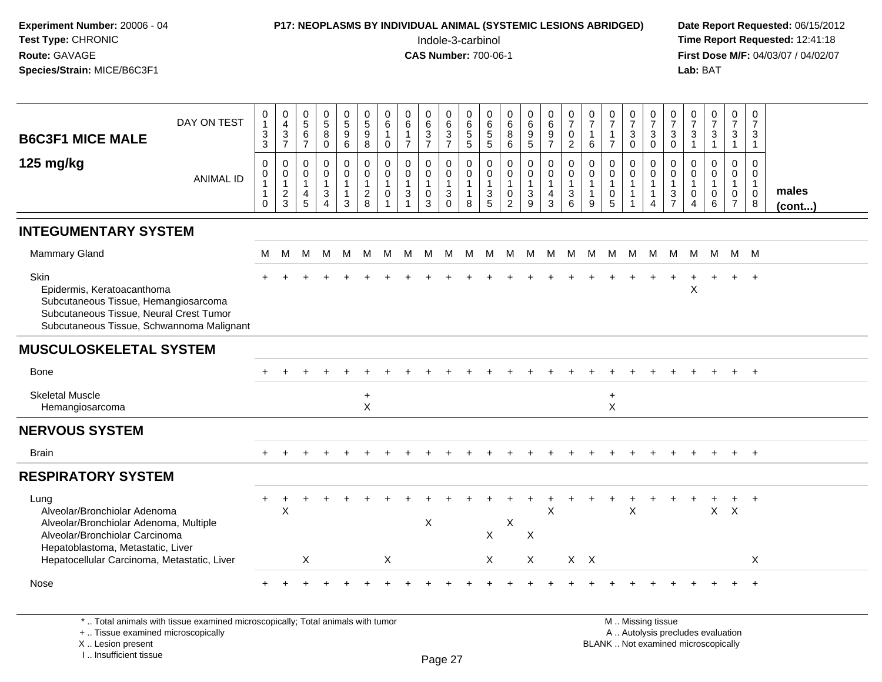## **P17: NEOPLASMS BY INDIVIDUAL ANIMAL (SYSTEMIC LESIONS ABRIDGED)** Date Report Requested: 06/15/2012<br>Indole-3-carbinol **Time Report Requested:** 12:41:18

 Indole-3-carbinol **Time Report Requested:** 12:41:18 **First Dose M/F:** 04/03/07 / 04/02/07<br>Lab: BAT **Lab:** BAT

|                                                                                                                                                                    | DAY ON TEST                                                                     | 0<br>$\mathbf{1}$                                            | $\pmb{0}$<br>$\overline{\mathbf{4}}$                        | $\begin{smallmatrix} 0\\5 \end{smallmatrix}$              | $\frac{0}{5}$<br>$\bf 8$              | 0<br>5<br>9<br>6                                        | $\begin{array}{c} 0 \\ 5 \end{array}$<br>9                           | 0<br>$\,6\,$<br>$\mathbf{1}$                                | 0<br>$\,6\,$<br>$\mathbf{1}$                                               | $_6^0$                                               | 0<br>$\,6$                                                     | 0<br>$\,6$                                                   | 0<br>6<br>5<br>5                                            | $\begin{array}{c} 0 \\ 6 \end{array}$<br>8                              | $\begin{array}{c} 0 \\ 6 \end{array}$      | $\begin{matrix} 0 \\ 6 \end{matrix}$                                     | $\frac{0}{7}$<br>$\pmb{0}$                                                 | 0<br>$\overline{7}$<br>$\mathbf{1}$             | $\frac{0}{7}$                               | $\frac{0}{7}$                                            | $\frac{0}{7}$                                                                | $\frac{0}{7}$<br>$\mathbf{3}$                                              | $\frac{0}{7}$<br>3                                                          | $\frac{0}{7}$                                       | 0<br>$\boldsymbol{7}$<br>$\mathbf{3}$                   | 0<br>$\overline{7}$<br>3                                       |                 |
|--------------------------------------------------------------------------------------------------------------------------------------------------------------------|---------------------------------------------------------------------------------|--------------------------------------------------------------|-------------------------------------------------------------|-----------------------------------------------------------|---------------------------------------|---------------------------------------------------------|----------------------------------------------------------------------|-------------------------------------------------------------|----------------------------------------------------------------------------|------------------------------------------------------|----------------------------------------------------------------|--------------------------------------------------------------|-------------------------------------------------------------|-------------------------------------------------------------------------|--------------------------------------------|--------------------------------------------------------------------------|----------------------------------------------------------------------------|-------------------------------------------------|---------------------------------------------|----------------------------------------------------------|------------------------------------------------------------------------------|----------------------------------------------------------------------------|-----------------------------------------------------------------------------|-----------------------------------------------------|---------------------------------------------------------|----------------------------------------------------------------|-----------------|
| <b>B6C3F1 MICE MALE</b>                                                                                                                                            |                                                                                 | $_3^3$                                                       | $\frac{3}{7}$                                               | $\frac{6}{7}$                                             | $\overline{0}$                        |                                                         | $\overline{8}$                                                       | $\mathbf 0$                                                 | $\overline{7}$                                                             | $\frac{3}{7}$                                        | $\frac{3}{7}$                                                  | $\begin{array}{c} 5 \\ 5 \end{array}$                        |                                                             | $\,6\,$                                                                 | $\begin{array}{c} 9 \\ 5 \end{array}$      | $\frac{9}{7}$                                                            | $\overline{2}$                                                             | 6                                               | $\overline{7}$                              | $_0^3$                                                   | $_{0}^{3}$                                                                   | $\mathbf 0$                                                                | $\overline{1}$                                                              | $\frac{3}{1}$                                       | $\mathbf{1}$                                            | $\mathbf{1}$                                                   |                 |
| 125 mg/kg                                                                                                                                                          | <b>ANIMAL ID</b>                                                                | 0<br>$\mathbf 0$<br>$\mathbf{1}$<br>$\mathbf{1}$<br>$\Omega$ | $\mathbf 0$<br>$\mathbf 0$<br>$\mathbf{1}$<br>$\frac{2}{3}$ | 0<br>$\mathbf 0$<br>$\overline{1}$<br>$\overline{4}$<br>5 | 0<br>$\mathbf 0$<br>$\mathbf{3}$<br>4 | 0<br>$\mathbf 0$<br>$\overline{1}$<br>$\mathbf{1}$<br>3 | $\mathbf 0$<br>$\overline{0}$<br>$\mathbf{1}$<br>$\overline{c}$<br>8 | $\mathbf 0$<br>$\Omega$<br>$\mathbf{1}$<br>$\mathbf 0$<br>1 | $\mathbf 0$<br>$\mathbf 0$<br>$\mathbf{1}$<br>$\mathbf{3}$<br>$\mathbf{1}$ | 0<br>$\mathbf 0$<br>$\mathbf{1}$<br>$\mathbf 0$<br>3 | 0<br>$\mathbf 0$<br>$\mathbf{1}$<br>$\mathsf 3$<br>$\mathbf 0$ | $\mathbf 0$<br>$\Omega$<br>$\mathbf{1}$<br>$\mathbf{1}$<br>8 | $\mathbf 0$<br>$\mathbf 0$<br>$\mathbf{1}$<br>$\frac{3}{5}$ | $\pmb{0}$<br>$\mathbf 0$<br>$\mathbf{1}$<br>$\pmb{0}$<br>$\overline{2}$ | 0<br>$\mathbf 0$<br>$\mathbf{1}$<br>3<br>9 | $\pmb{0}$<br>$\mathbf 0$<br>$\mathbf{1}$<br>$\overline{\mathbf{4}}$<br>3 | $\mathbf 0$<br>$\mathbf 0$<br>$\mathbf{1}$<br>$\sqrt{3}$<br>$6\phantom{a}$ | $\mathbf 0$<br>$\mathbf 0$<br>$\mathbf{1}$<br>9 | $\mathbf 0$<br>$\Omega$<br>$\mathbf 0$<br>5 | 0<br>$\mathbf 0$<br>$\mathbf{1}$<br>$\overline{1}$<br>-1 | $\mathbf 0$<br>$\mathbf 0$<br>$\mathbf{1}$<br>$\mathbf{1}$<br>$\overline{4}$ | $\mathbf 0$<br>$\mathbf 0$<br>$\mathbf{1}$<br>$\sqrt{3}$<br>$\overline{7}$ | $\mathbf 0$<br>$\mathbf 0$<br>$\mathbf{1}$<br>$\mathbf 0$<br>$\overline{4}$ | $\mathbf 0$<br>$\mathbf 0$<br>1<br>$\mathbf 0$<br>6 | 0<br>0<br>$\mathbf{1}$<br>$\mathbf 0$<br>$\overline{7}$ | $\mathbf 0$<br>$\mathbf 0$<br>$\mathbf{1}$<br>$\mathbf 0$<br>8 | males<br>(cont) |
| <b>INTEGUMENTARY SYSTEM</b>                                                                                                                                        |                                                                                 |                                                              |                                                             |                                                           |                                       |                                                         |                                                                      |                                                             |                                                                            |                                                      |                                                                |                                                              |                                                             |                                                                         |                                            |                                                                          |                                                                            |                                                 |                                             |                                                          |                                                                              |                                                                            |                                                                             |                                                     |                                                         |                                                                |                 |
| Mammary Gland                                                                                                                                                      |                                                                                 | М                                                            | М                                                           | М                                                         | м                                     | м                                                       | M                                                                    | M                                                           | M                                                                          | M                                                    | M                                                              | M                                                            | M                                                           | M                                                                       | M                                          | M                                                                        | M                                                                          | M                                               | M                                           | M                                                        | M                                                                            | M                                                                          | M                                                                           | M                                                   | M M                                                     |                                                                |                 |
| Skin<br>Epidermis, Keratoacanthoma<br>Subcutaneous Tissue, Hemangiosarcoma<br>Subcutaneous Tissue, Neural Crest Tumor<br>Subcutaneous Tissue, Schwannoma Malignant |                                                                                 |                                                              |                                                             |                                                           |                                       |                                                         |                                                                      |                                                             |                                                                            |                                                      |                                                                |                                                              |                                                             |                                                                         |                                            |                                                                          |                                                                            |                                                 |                                             |                                                          |                                                                              |                                                                            | X                                                                           |                                                     |                                                         | $^{+}$                                                         |                 |
| <b>MUSCULOSKELETAL SYSTEM</b>                                                                                                                                      |                                                                                 |                                                              |                                                             |                                                           |                                       |                                                         |                                                                      |                                                             |                                                                            |                                                      |                                                                |                                                              |                                                             |                                                                         |                                            |                                                                          |                                                                            |                                                 |                                             |                                                          |                                                                              |                                                                            |                                                                             |                                                     |                                                         |                                                                |                 |
| <b>Bone</b>                                                                                                                                                        |                                                                                 |                                                              |                                                             |                                                           |                                       |                                                         |                                                                      |                                                             |                                                                            |                                                      |                                                                |                                                              |                                                             |                                                                         |                                            |                                                                          |                                                                            |                                                 |                                             |                                                          |                                                                              |                                                                            |                                                                             |                                                     |                                                         | $+$                                                            |                 |
| <b>Skeletal Muscle</b><br>Hemangiosarcoma                                                                                                                          |                                                                                 |                                                              |                                                             |                                                           |                                       |                                                         | $\ddot{}$<br>$\times$                                                |                                                             |                                                                            |                                                      |                                                                |                                                              |                                                             |                                                                         |                                            |                                                                          |                                                                            |                                                 | $\ddot{}$<br>X                              |                                                          |                                                                              |                                                                            |                                                                             |                                                     |                                                         |                                                                |                 |
| <b>NERVOUS SYSTEM</b>                                                                                                                                              |                                                                                 |                                                              |                                                             |                                                           |                                       |                                                         |                                                                      |                                                             |                                                                            |                                                      |                                                                |                                                              |                                                             |                                                                         |                                            |                                                                          |                                                                            |                                                 |                                             |                                                          |                                                                              |                                                                            |                                                                             |                                                     |                                                         |                                                                |                 |
| <b>Brain</b>                                                                                                                                                       |                                                                                 |                                                              |                                                             |                                                           |                                       |                                                         |                                                                      |                                                             |                                                                            |                                                      |                                                                |                                                              |                                                             |                                                                         |                                            |                                                                          |                                                                            |                                                 |                                             |                                                          |                                                                              |                                                                            |                                                                             |                                                     |                                                         |                                                                |                 |
| <b>RESPIRATORY SYSTEM</b>                                                                                                                                          |                                                                                 |                                                              |                                                             |                                                           |                                       |                                                         |                                                                      |                                                             |                                                                            |                                                      |                                                                |                                                              |                                                             |                                                                         |                                            |                                                                          |                                                                            |                                                 |                                             |                                                          |                                                                              |                                                                            |                                                                             |                                                     |                                                         |                                                                |                 |
| Lung<br>Alveolar/Bronchiolar Adenoma<br>Alveolar/Bronchiolar Adenoma, Multiple<br>Alveolar/Bronchiolar Carcinoma                                                   |                                                                                 |                                                              | X                                                           |                                                           |                                       |                                                         |                                                                      |                                                             |                                                                            | X                                                    |                                                                |                                                              | $\pmb{\times}$                                              | X                                                                       | X                                          | $\times$                                                                 |                                                                            |                                                 |                                             | $\times$                                                 |                                                                              |                                                                            |                                                                             | X                                                   | $\mathsf{X}$                                            | $+$                                                            |                 |
| Hepatoblastoma, Metastatic, Liver<br>Hepatocellular Carcinoma, Metastatic, Liver                                                                                   |                                                                                 |                                                              |                                                             | X                                                         |                                       |                                                         |                                                                      | $\boldsymbol{\mathsf{X}}$                                   |                                                                            |                                                      |                                                                |                                                              | $\sf X$                                                     |                                                                         | $\mathsf{X}$                               |                                                                          | $X$ $X$                                                                    |                                                 |                                             |                                                          |                                                                              |                                                                            |                                                                             |                                                     |                                                         | X                                                              |                 |
| Nose                                                                                                                                                               |                                                                                 |                                                              |                                                             |                                                           |                                       |                                                         |                                                                      |                                                             |                                                                            |                                                      |                                                                |                                                              |                                                             |                                                                         |                                            |                                                                          |                                                                            |                                                 |                                             |                                                          |                                                                              |                                                                            |                                                                             |                                                     |                                                         | $+$                                                            |                 |
|                                                                                                                                                                    | *  Total animals with tissue examined microscopically; Total animals with tumor |                                                              |                                                             |                                                           |                                       |                                                         |                                                                      |                                                             |                                                                            |                                                      |                                                                |                                                              |                                                             |                                                                         |                                            |                                                                          |                                                                            |                                                 |                                             |                                                          | M  Missing tissue                                                            |                                                                            |                                                                             |                                                     |                                                         |                                                                |                 |

+ .. Tissue examined microscopically

X .. Lesion present

I .. Insufficient tissue

 M .. Missing tissuey the contract of the contract of the contract of the contract of the contract of  $\mathsf A$  . Autolysis precludes evaluation Lesion present BLANK .. Not examined microscopically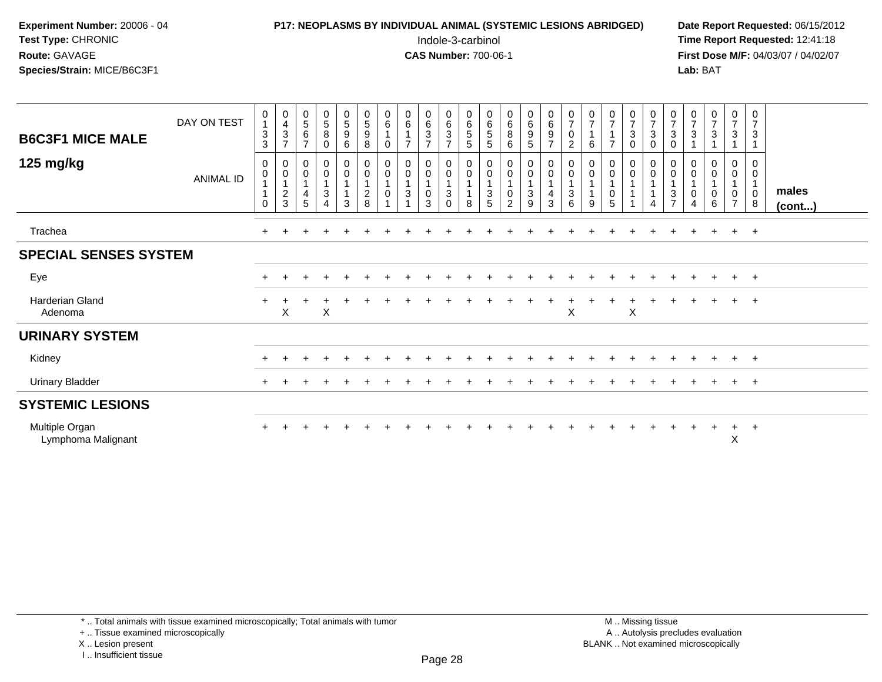## **P17: NEOPLASMS BY INDIVIDUAL ANIMAL (SYSTEMIC LESIONS ABRIDGED)** Date Report Requested: 06/15/2012<br>Indole-3-carbinol **Time Report Requested:** 12:41:18

| <b>B6C3F1 MICE MALE</b><br>125 mg/kg | DAY ON TEST<br><b>ANIMAL ID</b> | 0<br>$\mathbf{1}$<br>3<br>3<br>0<br>0<br>$\mathbf{1}$<br>$\mathbf{1}$<br>$\mathbf 0$ | $\begin{smallmatrix}0\\4\end{smallmatrix}$<br>$\sqrt{3}$<br>$\overline{z}$<br>0<br>0<br>$\overline{A}$<br>$\frac{2}{3}$ | $\begin{array}{c} 0 \\ 5 \\ 6 \end{array}$<br>$\overline{7}$<br>0<br>$\pmb{0}$<br>$\mathbf{1}$<br>$\overline{4}$<br>5 | $\begin{array}{c} 0 \\ 5 \\ 8 \end{array}$<br>$\mathsf 0$<br>$\mathbf 0$<br>$\mathbf 0$<br>$\mathbf{1}$<br>$\ensuremath{\mathsf{3}}$<br>4 | $\begin{array}{c} 0 \\ 5 \end{array}$<br>$\overline{9}$<br>6<br>$\mathbf 0$<br>$\pmb{0}$<br>$\mathbf{1}$<br>$\mathbf{1}$<br>3 | $\begin{array}{c} 0 \\ 5 \end{array}$<br>$\boldsymbol{9}$<br>8<br>0<br>$\pmb{0}$<br>$\mathbf{1}$<br>$_{\rm 8}^2$ | $\pmb{0}$<br>6<br>0<br>0<br>0<br>0 | $\begin{array}{c} 0 \\ 6 \end{array}$<br>$\overline{ }$<br>$\mathbf 0$<br>$\pmb{0}$<br>1<br>$\overline{3}$ | $\begin{matrix} 0 \\ 6 \\ 3 \end{matrix}$<br>$\overline{7}$<br>0<br>$\pmb{0}$<br>$\mathbf{1}$<br>$\mathsf 0$<br>3 | $\boldsymbol{0}$<br>$\,6\,$<br>$\ensuremath{\mathsf{3}}$<br>$\overline{7}$<br>0<br>$\pmb{0}$<br>$\mathbf{1}$<br>$\ensuremath{\mathsf{3}}$<br>$\mathbf 0$ | $\begin{array}{c} 0 \\ 6 \\ 5 \end{array}$<br>5<br>0<br>$\mathsf{O}\xspace$<br>$\blacktriangleleft$<br>8 | $\begin{array}{c} 0 \\ 6 \\ 5 \end{array}$<br>$\overline{5}$<br>0<br>$\pmb{0}$<br>$\mathbf{1}$<br>$\frac{3}{5}$ | $\begin{matrix} 0 \\ 6 \\ 8 \end{matrix}$<br>$\,6\,$<br>$\mathbf 0$<br>$\pmb{0}$<br>$\mathbf{1}$<br>$\mathsf 0$<br>2 | $\begin{array}{c} 0 \\ 6 \\ 9 \end{array}$<br>$\sqrt{5}$<br>0<br>$\mathbf 0$<br>$\overline{1}$<br>$\sqrt{3}$<br>9 | $\begin{array}{c} 0 \\ 6 \end{array}$<br>$\boldsymbol{9}$<br>$\overline{7}$<br>$\mathbf 0$<br>$\pmb{0}$<br>$\mathbf{1}$<br>$\overline{\mathbf{4}}$<br>3 | $\frac{0}{7}$<br>0<br>$\overline{2}$<br>0<br>$\mathsf{O}\xspace$<br>$\mathbf{1}$<br>3<br>6 | $\frac{0}{7}$<br>6<br>0<br>$\pmb{0}$<br>$\mathbf{1}$<br>$\mathbf{1}$<br>9 | $\frac{0}{7}$<br>$\overline{7}$<br>0<br>$\mathbf 0$<br>$\mathbf{1}$<br>$\pmb{0}$<br>5 | $\frac{0}{7}$<br>$\ensuremath{\mathsf{3}}$<br>0<br>0<br>$\pmb{0}$<br>$\overline{A}$ | $\frac{0}{7}$<br>$\sqrt{3}$<br>$\mathbf 0$<br>$\begin{smallmatrix}0\\0\end{smallmatrix}$<br>$\mathbf{1}$<br>$\mathbf{1}$<br>$\overline{4}$ | $\frac{0}{7}$<br>$\mathbf{3}$<br>$\mathbf 0$<br>0<br>$\boldsymbol{0}$<br>$\mathbf{1}$<br>$\ensuremath{\mathsf{3}}$<br>$\overline{ }$ | $\frac{0}{7}$<br>$\ensuremath{\mathsf{3}}$<br>$\overline{1}$<br>0<br>$\pmb{0}$<br>$\mathbf{1}$<br>$\pmb{0}$<br>$\overline{4}$ | $\frac{0}{7}$<br>3<br>0<br>0<br>$\mathbf 0$<br>6 | $\begin{smallmatrix}0\\7\end{smallmatrix}$<br>$\ensuremath{\mathsf{3}}$<br>$\overline{1}$<br>$\mathbf 0$<br>$\mathbf 0$<br>$\overline{1}$<br>$\pmb{0}$<br>$\overline{7}$ | $\frac{0}{7}$<br>$\sqrt{3}$<br>$\mathbf{1}$<br>0<br>$\mathbf 0$<br>$\mathbf{1}$<br>$\mathbf 0$<br>8 | males<br>(cont) |
|--------------------------------------|---------------------------------|--------------------------------------------------------------------------------------|-------------------------------------------------------------------------------------------------------------------------|-----------------------------------------------------------------------------------------------------------------------|-------------------------------------------------------------------------------------------------------------------------------------------|-------------------------------------------------------------------------------------------------------------------------------|------------------------------------------------------------------------------------------------------------------|------------------------------------|------------------------------------------------------------------------------------------------------------|-------------------------------------------------------------------------------------------------------------------|----------------------------------------------------------------------------------------------------------------------------------------------------------|----------------------------------------------------------------------------------------------------------|-----------------------------------------------------------------------------------------------------------------|----------------------------------------------------------------------------------------------------------------------|-------------------------------------------------------------------------------------------------------------------|---------------------------------------------------------------------------------------------------------------------------------------------------------|--------------------------------------------------------------------------------------------|---------------------------------------------------------------------------|---------------------------------------------------------------------------------------|-------------------------------------------------------------------------------------|--------------------------------------------------------------------------------------------------------------------------------------------|--------------------------------------------------------------------------------------------------------------------------------------|-------------------------------------------------------------------------------------------------------------------------------|--------------------------------------------------|--------------------------------------------------------------------------------------------------------------------------------------------------------------------------|-----------------------------------------------------------------------------------------------------|-----------------|
| Trachea                              |                                 | $+$                                                                                  | $\pm$                                                                                                                   |                                                                                                                       | $\overline{+}$                                                                                                                            |                                                                                                                               |                                                                                                                  |                                    |                                                                                                            |                                                                                                                   |                                                                                                                                                          |                                                                                                          |                                                                                                                 |                                                                                                                      |                                                                                                                   |                                                                                                                                                         |                                                                                            |                                                                           |                                                                                       | $\pm$                                                                               |                                                                                                                                            | ÷                                                                                                                                    | $\pm$                                                                                                                         | $\ddot{}$                                        | $+$                                                                                                                                                                      | $+$                                                                                                 |                 |
| <b>SPECIAL SENSES SYSTEM</b>         |                                 |                                                                                      |                                                                                                                         |                                                                                                                       |                                                                                                                                           |                                                                                                                               |                                                                                                                  |                                    |                                                                                                            |                                                                                                                   |                                                                                                                                                          |                                                                                                          |                                                                                                                 |                                                                                                                      |                                                                                                                   |                                                                                                                                                         |                                                                                            |                                                                           |                                                                                       |                                                                                     |                                                                                                                                            |                                                                                                                                      |                                                                                                                               |                                                  |                                                                                                                                                                          |                                                                                                     |                 |
| Eye                                  |                                 | $\pm$                                                                                |                                                                                                                         |                                                                                                                       |                                                                                                                                           |                                                                                                                               |                                                                                                                  |                                    |                                                                                                            |                                                                                                                   |                                                                                                                                                          |                                                                                                          |                                                                                                                 |                                                                                                                      |                                                                                                                   |                                                                                                                                                         |                                                                                            |                                                                           |                                                                                       |                                                                                     |                                                                                                                                            |                                                                                                                                      |                                                                                                                               |                                                  | $+$                                                                                                                                                                      | $+$                                                                                                 |                 |
| <b>Harderian Gland</b><br>Adenoma    |                                 | $\ddot{}$                                                                            | X                                                                                                                       |                                                                                                                       | X                                                                                                                                         |                                                                                                                               |                                                                                                                  |                                    |                                                                                                            |                                                                                                                   |                                                                                                                                                          |                                                                                                          |                                                                                                                 |                                                                                                                      |                                                                                                                   |                                                                                                                                                         | X                                                                                          |                                                                           |                                                                                       | $\sf X$                                                                             |                                                                                                                                            |                                                                                                                                      | $+$                                                                                                                           | $\pm$                                            | $+$                                                                                                                                                                      | $+$                                                                                                 |                 |
| <b>URINARY SYSTEM</b>                |                                 |                                                                                      |                                                                                                                         |                                                                                                                       |                                                                                                                                           |                                                                                                                               |                                                                                                                  |                                    |                                                                                                            |                                                                                                                   |                                                                                                                                                          |                                                                                                          |                                                                                                                 |                                                                                                                      |                                                                                                                   |                                                                                                                                                         |                                                                                            |                                                                           |                                                                                       |                                                                                     |                                                                                                                                            |                                                                                                                                      |                                                                                                                               |                                                  |                                                                                                                                                                          |                                                                                                     |                 |
| Kidney                               |                                 | $\pm$                                                                                |                                                                                                                         |                                                                                                                       |                                                                                                                                           |                                                                                                                               |                                                                                                                  |                                    |                                                                                                            |                                                                                                                   |                                                                                                                                                          |                                                                                                          |                                                                                                                 |                                                                                                                      |                                                                                                                   |                                                                                                                                                         |                                                                                            |                                                                           |                                                                                       |                                                                                     |                                                                                                                                            |                                                                                                                                      |                                                                                                                               | $\div$                                           | $+$                                                                                                                                                                      | $+$                                                                                                 |                 |
| <b>Urinary Bladder</b>               |                                 | $+$                                                                                  |                                                                                                                         |                                                                                                                       |                                                                                                                                           |                                                                                                                               |                                                                                                                  |                                    |                                                                                                            |                                                                                                                   |                                                                                                                                                          |                                                                                                          |                                                                                                                 |                                                                                                                      |                                                                                                                   |                                                                                                                                                         |                                                                                            |                                                                           |                                                                                       |                                                                                     |                                                                                                                                            |                                                                                                                                      |                                                                                                                               |                                                  | $+$                                                                                                                                                                      | $+$                                                                                                 |                 |
| <b>SYSTEMIC LESIONS</b>              |                                 |                                                                                      |                                                                                                                         |                                                                                                                       |                                                                                                                                           |                                                                                                                               |                                                                                                                  |                                    |                                                                                                            |                                                                                                                   |                                                                                                                                                          |                                                                                                          |                                                                                                                 |                                                                                                                      |                                                                                                                   |                                                                                                                                                         |                                                                                            |                                                                           |                                                                                       |                                                                                     |                                                                                                                                            |                                                                                                                                      |                                                                                                                               |                                                  |                                                                                                                                                                          |                                                                                                     |                 |
| Multiple Organ<br>Lymphoma Malignant |                                 | $+$                                                                                  | +                                                                                                                       |                                                                                                                       |                                                                                                                                           |                                                                                                                               |                                                                                                                  |                                    |                                                                                                            |                                                                                                                   |                                                                                                                                                          |                                                                                                          |                                                                                                                 |                                                                                                                      |                                                                                                                   |                                                                                                                                                         |                                                                                            |                                                                           |                                                                                       |                                                                                     |                                                                                                                                            |                                                                                                                                      | $\pm$                                                                                                                         | $\ddot{}$                                        | $+$<br>X                                                                                                                                                                 | $+$                                                                                                 |                 |

<sup>+ ..</sup> Tissue examined microscopically

X .. Lesion present

I .. Insufficient tissue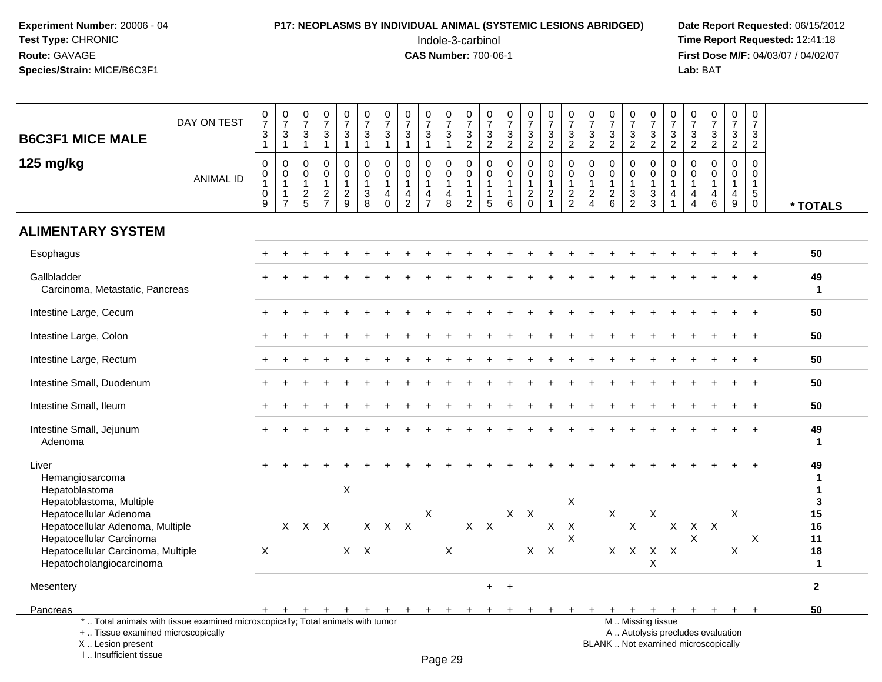# **P17: NEOPLASMS BY INDIVIDUAL ANIMAL (SYSTEMIC LESIONS ABRIDGED)** Date Report Requested: 06/15/2012<br>Indole-3-carbinol **Time Report Requested:** 12:41:18

| <b>B6C3F1 MICE MALE</b>                                                                    | DAY ON TEST                                                                     | $\frac{0}{7}$<br>3<br>$\mathbf{1}$                     | $\frac{0}{7}$<br>$\mathbf{3}$<br>$\mathbf{1}$                              | $\frac{0}{7}$<br>$\sqrt{3}$<br>$\mathbf{1}$              | $\frac{0}{7}$<br>3<br>$\mathbf{1}$                | $\frac{0}{7}$<br>$\ensuremath{\mathsf{3}}$<br>$\mathbf{1}$ | $\frac{0}{7}$<br>$\frac{3}{1}$                    | $\frac{0}{7}$<br>$\ensuremath{\mathsf{3}}$<br>$\mathbf{1}$                | $\frac{0}{7}$<br>$\ensuremath{\mathsf{3}}$<br>$\mathbf{1}$                      | $\frac{0}{7}$<br>$\ensuremath{\mathsf{3}}$<br>$\mathbf{1}$                  | 0<br>$\overline{7}$<br>$\ensuremath{\mathsf{3}}$<br>$\mathbf{1}$       | $\frac{0}{7}$<br>$\ensuremath{\mathsf{3}}$<br>$\overline{2}$                      | 0<br>$\overline{7}$<br>$\frac{3}{2}$                  | $\frac{0}{7}$<br>$\frac{3}{2}$                                  | $\frac{0}{7}$<br>$\frac{3}{2}$                   | $\frac{0}{7}$<br>$\frac{3}{2}$                           | $\frac{0}{7}$<br>$\frac{3}{2}$                         | $\frac{0}{7}$<br>$\frac{3}{2}$                               | $\frac{0}{7}$<br>$\frac{3}{2}$                                          | $\pmb{0}$<br>$\overline{7}$<br>$\frac{3}{2}$                            | $\frac{0}{7}$<br>$\frac{3}{2}$                                                                | 0<br>$\overline{7}$<br>$\frac{3}{2}$                                | $\frac{0}{7}$<br>$\frac{3}{2}$                                                    | $\frac{0}{7}$<br>$\frac{3}{2}$                                 | $\frac{0}{7}$<br>$\frac{3}{2}$                    | $\pmb{0}$<br>$\overline{7}$<br>3<br>$\overline{2}$                     |                          |
|--------------------------------------------------------------------------------------------|---------------------------------------------------------------------------------|--------------------------------------------------------|----------------------------------------------------------------------------|----------------------------------------------------------|---------------------------------------------------|------------------------------------------------------------|---------------------------------------------------|---------------------------------------------------------------------------|---------------------------------------------------------------------------------|-----------------------------------------------------------------------------|------------------------------------------------------------------------|-----------------------------------------------------------------------------------|-------------------------------------------------------|-----------------------------------------------------------------|--------------------------------------------------|----------------------------------------------------------|--------------------------------------------------------|--------------------------------------------------------------|-------------------------------------------------------------------------|-------------------------------------------------------------------------|-----------------------------------------------------------------------------------------------|---------------------------------------------------------------------|-----------------------------------------------------------------------------------|----------------------------------------------------------------|---------------------------------------------------|------------------------------------------------------------------------|--------------------------|
| 125 mg/kg                                                                                  | <b>ANIMAL ID</b>                                                                | $\Omega$<br>0<br>$\mathbf{1}$<br>$\boldsymbol{0}$<br>9 | 0<br>$\mathsf{O}\xspace$<br>$\mathbf{1}$<br>$\mathbf{1}$<br>$\overline{7}$ | $\Omega$<br>$\mathbf 0$<br>$\mathbf{1}$<br>$\frac{2}{5}$ | 0<br>$\mathbf 0$<br>$\mathbf{1}$<br>$\frac{2}{7}$ | 0<br>$\mathbf 0$<br>$\mathbf{1}$<br>$\frac{2}{9}$          | $\Omega$<br>$\mathbf 0$<br>$\mathbf{1}$<br>$_8^3$ | $\pmb{0}$<br>$\pmb{0}$<br>$\overline{1}$<br>$\overline{a}$<br>$\mathbf 0$ | $\mathbf{0}$<br>$\mathbf 0$<br>$\mathbf{1}$<br>$\overline{a}$<br>$\overline{2}$ | $\Omega$<br>$\mathbf 0$<br>$\mathbf{1}$<br>$\overline{4}$<br>$\overline{7}$ | $\Omega$<br>$\mathsf 0$<br>$\overline{1}$<br>$\overline{a}$<br>$\,8\,$ | $\Omega$<br>$\mathsf{O}\xspace$<br>$\mathbf{1}$<br>$\mathbf{1}$<br>$\overline{2}$ | $\pmb{0}$<br>0<br>$\overline{1}$<br>$\mathbf{1}$<br>5 | $\mathsf 0$<br>$\mathsf 0$<br>$\mathbf{1}$<br>$\mathbf{1}$<br>6 | 0<br>$\mathbf 0$<br>$\mathbf{1}$<br>$^2_{\rm 0}$ | $\Omega$<br>$\mathbf 0$<br>$\mathbf{1}$<br>$\frac{2}{1}$ | $\Omega$<br>$\pmb{0}$<br>$\mathbf{1}$<br>$\frac{2}{2}$ | $\mathbf{0}$<br>$\mathbf 0$<br>$\mathbf{1}$<br>$\frac{2}{4}$ | $\Omega$<br>$\mathbf 0$<br>$\mathbf{1}$<br>$\sqrt{2}$<br>$6\phantom{a}$ | $\Omega$<br>$\mathbf 0$<br>$\mathbf{1}$<br>$\sqrt{3}$<br>$\overline{2}$ | $\Omega$<br>$\mathsf{O}\xspace$<br>$\mathbf{1}$<br>$\sqrt{3}$<br>$\overline{3}$               | $\Omega$<br>0<br>$\overline{1}$<br>$\overline{4}$<br>$\overline{1}$ | $\mathsf{O}\xspace$<br>$\mathsf{O}\xspace$<br>$\mathbf{1}$<br>4<br>$\overline{4}$ | $\Omega$<br>$\mathbf 0$<br>$\mathbf{1}$<br>4<br>$6\phantom{a}$ | $\Omega$<br>$\mathbf 0$<br>$\mathbf{1}$<br>4<br>9 | $\Omega$<br>$\mathbf 0$<br>$\overline{1}$<br>$\sqrt{5}$<br>$\mathbf 0$ | * TOTALS                 |
| <b>ALIMENTARY SYSTEM</b>                                                                   |                                                                                 |                                                        |                                                                            |                                                          |                                                   |                                                            |                                                   |                                                                           |                                                                                 |                                                                             |                                                                        |                                                                                   |                                                       |                                                                 |                                                  |                                                          |                                                        |                                                              |                                                                         |                                                                         |                                                                                               |                                                                     |                                                                                   |                                                                |                                                   |                                                                        |                          |
| Esophagus                                                                                  |                                                                                 |                                                        |                                                                            |                                                          |                                                   |                                                            |                                                   |                                                                           |                                                                                 |                                                                             |                                                                        |                                                                                   |                                                       |                                                                 |                                                  |                                                          |                                                        |                                                              |                                                                         |                                                                         |                                                                                               |                                                                     |                                                                                   |                                                                |                                                   |                                                                        | 50                       |
| Gallbladder<br>Carcinoma, Metastatic, Pancreas                                             |                                                                                 |                                                        |                                                                            |                                                          |                                                   |                                                            |                                                   |                                                                           |                                                                                 |                                                                             |                                                                        |                                                                                   |                                                       |                                                                 |                                                  |                                                          |                                                        |                                                              |                                                                         |                                                                         |                                                                                               |                                                                     |                                                                                   |                                                                |                                                   |                                                                        | 49<br>1                  |
| Intestine Large, Cecum                                                                     |                                                                                 |                                                        |                                                                            |                                                          |                                                   |                                                            |                                                   |                                                                           |                                                                                 |                                                                             |                                                                        |                                                                                   |                                                       |                                                                 |                                                  |                                                          |                                                        |                                                              |                                                                         |                                                                         |                                                                                               |                                                                     |                                                                                   |                                                                |                                                   |                                                                        | 50                       |
| Intestine Large, Colon                                                                     |                                                                                 |                                                        |                                                                            |                                                          |                                                   |                                                            |                                                   |                                                                           |                                                                                 |                                                                             |                                                                        |                                                                                   |                                                       |                                                                 |                                                  |                                                          |                                                        |                                                              |                                                                         |                                                                         |                                                                                               |                                                                     |                                                                                   |                                                                |                                                   | $\ddot{}$                                                              | 50                       |
| Intestine Large, Rectum                                                                    |                                                                                 |                                                        |                                                                            |                                                          |                                                   |                                                            |                                                   |                                                                           |                                                                                 |                                                                             |                                                                        |                                                                                   |                                                       |                                                                 |                                                  |                                                          |                                                        |                                                              |                                                                         |                                                                         |                                                                                               |                                                                     |                                                                                   |                                                                |                                                   | $\ddot{}$                                                              | 50                       |
| Intestine Small, Duodenum                                                                  |                                                                                 |                                                        |                                                                            |                                                          |                                                   |                                                            |                                                   |                                                                           |                                                                                 |                                                                             |                                                                        |                                                                                   |                                                       |                                                                 |                                                  |                                                          |                                                        |                                                              |                                                                         |                                                                         |                                                                                               |                                                                     |                                                                                   |                                                                |                                                   | $\div$                                                                 | 50                       |
| Intestine Small, Ileum                                                                     |                                                                                 |                                                        |                                                                            |                                                          |                                                   |                                                            |                                                   |                                                                           |                                                                                 |                                                                             |                                                                        |                                                                                   |                                                       |                                                                 |                                                  |                                                          |                                                        |                                                              |                                                                         |                                                                         |                                                                                               |                                                                     |                                                                                   |                                                                |                                                   | $+$                                                                    | 50                       |
| Intestine Small, Jejunum<br>Adenoma                                                        |                                                                                 |                                                        |                                                                            |                                                          |                                                   |                                                            |                                                   |                                                                           |                                                                                 |                                                                             |                                                                        |                                                                                   |                                                       |                                                                 |                                                  |                                                          |                                                        |                                                              |                                                                         |                                                                         |                                                                                               |                                                                     |                                                                                   |                                                                |                                                   |                                                                        | 49<br>$\mathbf{1}$       |
| Liver<br>Hemangiosarcoma<br>Hepatoblastoma                                                 |                                                                                 |                                                        |                                                                            |                                                          |                                                   | X                                                          |                                                   |                                                                           |                                                                                 |                                                                             |                                                                        |                                                                                   |                                                       |                                                                 |                                                  |                                                          |                                                        |                                                              |                                                                         |                                                                         |                                                                                               |                                                                     |                                                                                   |                                                                |                                                   |                                                                        | 49<br>1<br>$\mathbf{1}$  |
| Hepatoblastoma, Multiple<br>Hepatocellular Adenoma<br>Hepatocellular Adenoma, Multiple     |                                                                                 |                                                        | $\times$                                                                   |                                                          | $X$ $X$                                           |                                                            |                                                   | $X$ $X$ $X$                                                               |                                                                                 | X                                                                           |                                                                        |                                                                                   | $X$ $X$                                               |                                                                 | $X$ $X$                                          | $\mathsf X$                                              | $\boldsymbol{\mathsf{X}}$<br>$\boldsymbol{\mathsf{X}}$ |                                                              | $\times$                                                                | $\mathsf X$                                                             | X                                                                                             |                                                                     | $X$ $X$ $X$                                                                       |                                                                | X                                                 |                                                                        | $\mathbf{3}$<br>15<br>16 |
| Hepatocellular Carcinoma<br>Hepatocellular Carcinoma, Multiple<br>Hepatocholangiocarcinoma |                                                                                 | $\boldsymbol{\mathsf{X}}$                              |                                                                            |                                                          |                                                   |                                                            | $X$ $X$                                           |                                                                           |                                                                                 |                                                                             | $\mathsf{X}$                                                           |                                                                                   |                                                       |                                                                 |                                                  | $X$ $X$                                                  | $\sf X$                                                |                                                              |                                                                         | $X$ $X$                                                                 | $X$ $X$<br>X                                                                                  |                                                                     | X                                                                                 |                                                                | X                                                 | X                                                                      | 11<br>18<br>$\mathbf{1}$ |
| Mesentery                                                                                  |                                                                                 |                                                        |                                                                            |                                                          |                                                   |                                                            |                                                   |                                                                           |                                                                                 |                                                                             |                                                                        |                                                                                   | $+$                                                   | $+$                                                             |                                                  |                                                          |                                                        |                                                              |                                                                         |                                                                         |                                                                                               |                                                                     |                                                                                   |                                                                |                                                   |                                                                        | $\mathbf{2}$             |
| Pancreas                                                                                   |                                                                                 |                                                        |                                                                            |                                                          |                                                   |                                                            |                                                   |                                                                           | $\ddot{}$                                                                       | $\ddot{}$                                                                   | $\ddot{}$                                                              | $+$                                                                               |                                                       | $\ddot{}$                                                       | $\ddot{}$                                        | $\ddot{}$                                                | $\ddot{}$                                              |                                                              | $\ddot{}$                                                               | $+$                                                                     | $+$                                                                                           | $+$                                                                 | $+$                                                                               | $+$                                                            | $+$                                               | $+$                                                                    | 50                       |
| +  Tissue examined microscopically<br>X  Lesion present<br>I Insufficient tissue           | *  Total animals with tissue examined microscopically; Total animals with tumor |                                                        |                                                                            |                                                          |                                                   |                                                            |                                                   |                                                                           |                                                                                 |                                                                             | $D_{200}$ 20                                                           |                                                                                   |                                                       |                                                                 |                                                  |                                                          |                                                        |                                                              |                                                                         |                                                                         | M  Missing tissue<br>A  Autolysis precludes evaluation<br>BLANK  Not examined microscopically |                                                                     |                                                                                   |                                                                |                                                   |                                                                        |                          |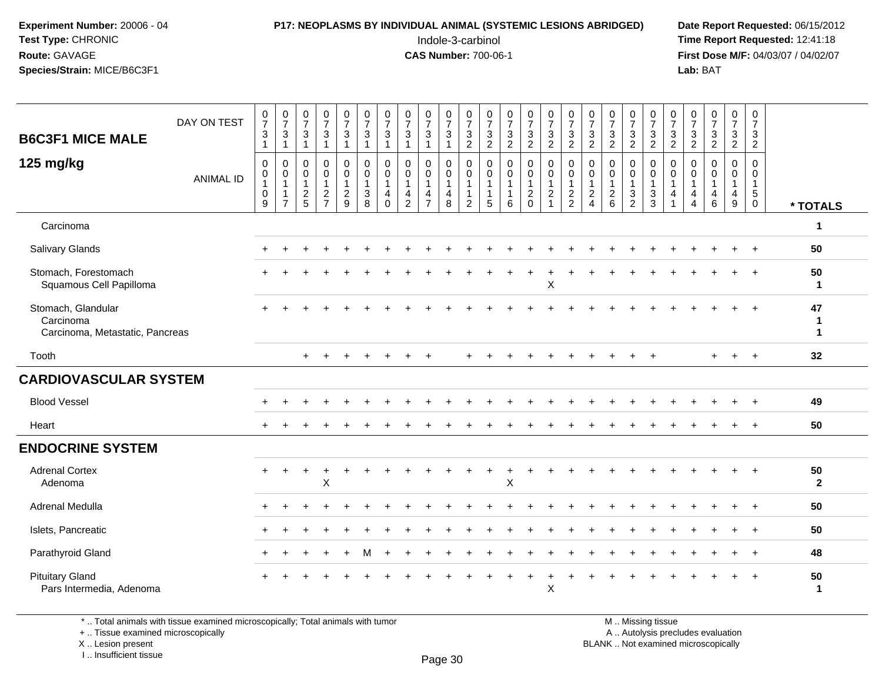# **P17: NEOPLASMS BY INDIVIDUAL ANIMAL (SYSTEMIC LESIONS ABRIDGED)** Date Report Requested: 06/15/2012<br>Indole-3-carbinol **Time Report Requested:** 12:41:18

 Indole-3-carbinol **Time Report Requested:** 12:41:18 **First Dose M/F:** 04/03/07 / 04/02/07<br>Lab: BAT **Lab:** BAT

| <b>B6C3F1 MICE MALE</b>                                            | DAY ON TEST      | $\frac{0}{7}$<br>$\ensuremath{\mathsf{3}}$<br>$\mathbf{1}$             | $\frac{0}{7}$<br>$\mathbf{3}$<br>$\overline{1}$                            | $\frac{0}{7}$<br>$\sqrt{3}$<br>$\mathbf{1}$               | $\frac{0}{7}$<br>$\mathbf{3}$<br>$\mathbf{1}$     | $\begin{smallmatrix}0\\7\end{smallmatrix}$<br>$\mathbf{3}$<br>$\mathbf{1}$ | $\frac{0}{7}$<br>$\sqrt{3}$<br>$\mathbf{1}$                      | $\frac{0}{7}$<br>3<br>$\overline{1}$                       | $\frac{0}{7}$<br>$\sqrt{3}$<br>$\overline{1}$                                                | $\frac{0}{7}$<br>$\mathbf{3}$<br>$\mathbf{1}$                                  | $\begin{smallmatrix}0\\7\end{smallmatrix}$<br>$\sqrt{3}$<br>$\mathbf{1}$ | $\frac{0}{7}$<br>$\frac{3}{2}$                                  | $\frac{0}{7}$<br>$\frac{3}{2}$                                              | $\frac{0}{7}$<br>$\frac{3}{2}$                                | $\frac{0}{7}$<br>$\frac{3}{2}$                      | $\frac{0}{7}$<br>$\frac{3}{2}$                                             | $\frac{0}{7}$<br>$\frac{3}{2}$                 | $\frac{0}{7}$<br>$\frac{3}{2}$                  | $\frac{0}{7}$<br>$\frac{3}{2}$                                  | $\frac{0}{7}$<br>$\mathbf{3}$<br>$\overline{2}$                          | $\frac{0}{7}$<br>$\frac{3}{2}$                               | $\frac{0}{7}$<br>$\frac{3}{2}$                       | $\frac{0}{7}$<br>$\frac{3}{2}$                                                            | $\begin{smallmatrix}0\\7\end{smallmatrix}$<br>$\frac{3}{2}$       | $\frac{0}{7}$<br>3<br>$\overline{2}$                  | 0<br>$\overline{7}$<br>$\mathbf{3}$<br>$\overline{2}$                               |                    |
|--------------------------------------------------------------------|------------------|------------------------------------------------------------------------|----------------------------------------------------------------------------|-----------------------------------------------------------|---------------------------------------------------|----------------------------------------------------------------------------|------------------------------------------------------------------|------------------------------------------------------------|----------------------------------------------------------------------------------------------|--------------------------------------------------------------------------------|--------------------------------------------------------------------------|-----------------------------------------------------------------|-----------------------------------------------------------------------------|---------------------------------------------------------------|-----------------------------------------------------|----------------------------------------------------------------------------|------------------------------------------------|-------------------------------------------------|-----------------------------------------------------------------|--------------------------------------------------------------------------|--------------------------------------------------------------|------------------------------------------------------|-------------------------------------------------------------------------------------------|-------------------------------------------------------------------|-------------------------------------------------------|-------------------------------------------------------------------------------------|--------------------|
| 125 mg/kg                                                          | <b>ANIMAL ID</b> | $\mathbf 0$<br>$\ddot{\mathbf{0}}$<br>$\mathbf{1}$<br>$\mathbf 0$<br>9 | $\mathbf 0$<br>$\pmb{0}$<br>$\mathbf{1}$<br>$\mathbf{1}$<br>$\overline{7}$ | $\mathbf 0$<br>$\pmb{0}$<br>$\mathbf{1}$<br>$\frac{2}{5}$ | 0<br>$\mathbf 0$<br>$\mathbf{1}$<br>$\frac{2}{7}$ | $\pmb{0}$<br>$\ddot{\mathbf{0}}$<br>$\mathbf{1}$<br>$\frac{2}{9}$          | $\mathbf 0$<br>$\overline{0}$<br>$\mathbf{1}$<br>$\sqrt{3}$<br>8 | $\Omega$<br>$\mathbf 0$<br>$\overline{1}$<br>4<br>$\Omega$ | $\mathbf 0$<br>$\boldsymbol{0}$<br>$\mathbf{1}$<br>$\overline{\mathbf{4}}$<br>$\overline{2}$ | $\mathbf 0$<br>$\mathbf 0$<br>$\mathbf{1}$<br>$\overline{4}$<br>$\overline{7}$ | 0<br>$\ddot{\mathbf{0}}$<br>$\mathbf{1}$<br>$\overline{4}$<br>8          | 0<br>$\mathsf{O}\xspace$<br>$\mathbf{1}$<br>1<br>$\overline{2}$ | $\mathbf 0$<br>$\mathsf{O}\xspace$<br>$\overline{1}$<br>$\overline{1}$<br>5 | $\mathbf 0$<br>$\pmb{0}$<br>$\mathbf{1}$<br>$\mathbf{1}$<br>6 | 0<br>$\mathbf 0$<br>1<br>$\overline{c}$<br>$\Omega$ | $\mathsf 0$<br>$\mathbf 0$<br>$\mathbf{1}$<br>$\sqrt{2}$<br>$\overline{1}$ | $\mathbf 0$<br>$\pmb{0}$<br>1<br>$\frac{2}{2}$ | 0<br>$\pmb{0}$<br>$\mathbf{1}$<br>$\frac{2}{4}$ | $\mathbf 0$<br>$\pmb{0}$<br>$\mathbf{1}$<br>$\overline{c}$<br>6 | 0<br>$\mathsf{O}\xspace$<br>$\mathbf{1}$<br>$\sqrt{3}$<br>$\overline{2}$ | $\pmb{0}$<br>$\overline{0}$<br>$\mathbf{1}$<br>$\frac{3}{3}$ | $\mathbf 0$<br>$\mathbf 0$<br>$\mathbf{1}$<br>4<br>1 | $\mathbf 0$<br>$\mathbf 0$<br>$\overline{\mathbf{1}}$<br>$\overline{4}$<br>$\overline{4}$ | $\mathbf 0$<br>$\mathbf 0$<br>$\mathbf{1}$<br>$\overline{4}$<br>6 | 0<br>0<br>$\mathbf 1$<br>$\overline{\mathbf{4}}$<br>9 | $\mathbf 0$<br>$\mathbf 0$<br>$\mathbf{1}$<br>$\begin{array}{c} 5 \\ 0 \end{array}$ | * TOTALS           |
| Carcinoma                                                          |                  |                                                                        |                                                                            |                                                           |                                                   |                                                                            |                                                                  |                                                            |                                                                                              |                                                                                |                                                                          |                                                                 |                                                                             |                                                               |                                                     |                                                                            |                                                |                                                 |                                                                 |                                                                          |                                                              |                                                      |                                                                                           |                                                                   |                                                       |                                                                                     | $\mathbf{1}$       |
| Salivary Glands                                                    |                  |                                                                        |                                                                            |                                                           |                                                   |                                                                            |                                                                  |                                                            |                                                                                              |                                                                                |                                                                          |                                                                 |                                                                             |                                                               |                                                     |                                                                            |                                                |                                                 |                                                                 |                                                                          |                                                              |                                                      |                                                                                           |                                                                   |                                                       |                                                                                     | 50                 |
| Stomach, Forestomach<br>Squamous Cell Papilloma                    |                  |                                                                        |                                                                            |                                                           |                                                   |                                                                            |                                                                  |                                                            |                                                                                              |                                                                                |                                                                          |                                                                 |                                                                             |                                                               |                                                     | $\sf X$                                                                    |                                                |                                                 |                                                                 |                                                                          |                                                              |                                                      |                                                                                           |                                                                   |                                                       |                                                                                     | 50<br>$\mathbf 1$  |
| Stomach, Glandular<br>Carcinoma<br>Carcinoma, Metastatic, Pancreas |                  |                                                                        |                                                                            |                                                           |                                                   |                                                                            |                                                                  |                                                            |                                                                                              |                                                                                |                                                                          |                                                                 |                                                                             |                                                               |                                                     |                                                                            |                                                |                                                 |                                                                 |                                                                          |                                                              |                                                      |                                                                                           |                                                                   |                                                       |                                                                                     | 47<br>$\mathbf 1$  |
| Tooth                                                              |                  |                                                                        |                                                                            | $+$                                                       | $\ddot{}$                                         | $\ddot{}$                                                                  |                                                                  |                                                            |                                                                                              | $\ddot{}$                                                                      |                                                                          |                                                                 |                                                                             |                                                               | $\div$                                              | $\ddot{}$                                                                  |                                                |                                                 |                                                                 | $\ddot{}$                                                                | $\overline{+}$                                               |                                                      |                                                                                           | $\ddot{}$                                                         | $+$                                                   | $+$                                                                                 | 32                 |
| <b>CARDIOVASCULAR SYSTEM</b>                                       |                  |                                                                        |                                                                            |                                                           |                                                   |                                                                            |                                                                  |                                                            |                                                                                              |                                                                                |                                                                          |                                                                 |                                                                             |                                                               |                                                     |                                                                            |                                                |                                                 |                                                                 |                                                                          |                                                              |                                                      |                                                                                           |                                                                   |                                                       |                                                                                     |                    |
| <b>Blood Vessel</b>                                                |                  |                                                                        |                                                                            |                                                           |                                                   |                                                                            |                                                                  |                                                            |                                                                                              |                                                                                |                                                                          |                                                                 |                                                                             |                                                               |                                                     |                                                                            |                                                |                                                 |                                                                 |                                                                          |                                                              |                                                      |                                                                                           |                                                                   |                                                       | $\div$                                                                              | 49                 |
| Heart                                                              |                  |                                                                        |                                                                            |                                                           |                                                   |                                                                            |                                                                  |                                                            |                                                                                              |                                                                                |                                                                          |                                                                 |                                                                             |                                                               |                                                     |                                                                            |                                                |                                                 |                                                                 |                                                                          |                                                              |                                                      |                                                                                           |                                                                   |                                                       |                                                                                     | 50                 |
| <b>ENDOCRINE SYSTEM</b>                                            |                  |                                                                        |                                                                            |                                                           |                                                   |                                                                            |                                                                  |                                                            |                                                                                              |                                                                                |                                                                          |                                                                 |                                                                             |                                                               |                                                     |                                                                            |                                                |                                                 |                                                                 |                                                                          |                                                              |                                                      |                                                                                           |                                                                   |                                                       |                                                                                     |                    |
| <b>Adrenal Cortex</b><br>Adenoma                                   |                  |                                                                        |                                                                            |                                                           | X                                                 |                                                                            |                                                                  |                                                            |                                                                                              |                                                                                |                                                                          |                                                                 |                                                                             | X                                                             |                                                     |                                                                            |                                                |                                                 |                                                                 |                                                                          |                                                              |                                                      |                                                                                           |                                                                   |                                                       |                                                                                     | 50<br>$\mathbf{2}$ |
| Adrenal Medulla                                                    |                  |                                                                        |                                                                            |                                                           |                                                   |                                                                            |                                                                  |                                                            |                                                                                              |                                                                                |                                                                          |                                                                 |                                                                             |                                                               |                                                     |                                                                            |                                                |                                                 |                                                                 |                                                                          |                                                              |                                                      |                                                                                           |                                                                   |                                                       |                                                                                     | 50                 |
| Islets, Pancreatic                                                 |                  |                                                                        |                                                                            |                                                           |                                                   |                                                                            |                                                                  |                                                            |                                                                                              |                                                                                |                                                                          |                                                                 |                                                                             |                                                               |                                                     |                                                                            |                                                |                                                 |                                                                 |                                                                          |                                                              |                                                      |                                                                                           |                                                                   |                                                       |                                                                                     | 50                 |
| Parathyroid Gland                                                  |                  |                                                                        |                                                                            |                                                           |                                                   |                                                                            | м                                                                |                                                            |                                                                                              |                                                                                |                                                                          |                                                                 |                                                                             |                                                               |                                                     |                                                                            |                                                |                                                 |                                                                 |                                                                          |                                                              |                                                      |                                                                                           |                                                                   |                                                       |                                                                                     | 48                 |
| <b>Pituitary Gland</b><br>Pars Intermedia, Adenoma                 |                  |                                                                        |                                                                            |                                                           |                                                   |                                                                            |                                                                  |                                                            |                                                                                              |                                                                                |                                                                          |                                                                 |                                                                             |                                                               |                                                     | X                                                                          |                                                |                                                 |                                                                 |                                                                          |                                                              |                                                      |                                                                                           |                                                                   |                                                       |                                                                                     | 50<br>$\mathbf 1$  |

\* .. Total animals with tissue examined microscopically; Total animals with tumor

+ .. Tissue examined microscopically

X .. Lesion present

I .. Insufficient tissue

 M .. Missing tissuey the contract of the contract of the contract of the contract of the contract of  $\mathsf A$  . Autolysis precludes evaluation

Lesion present BLANK .. Not examined microscopically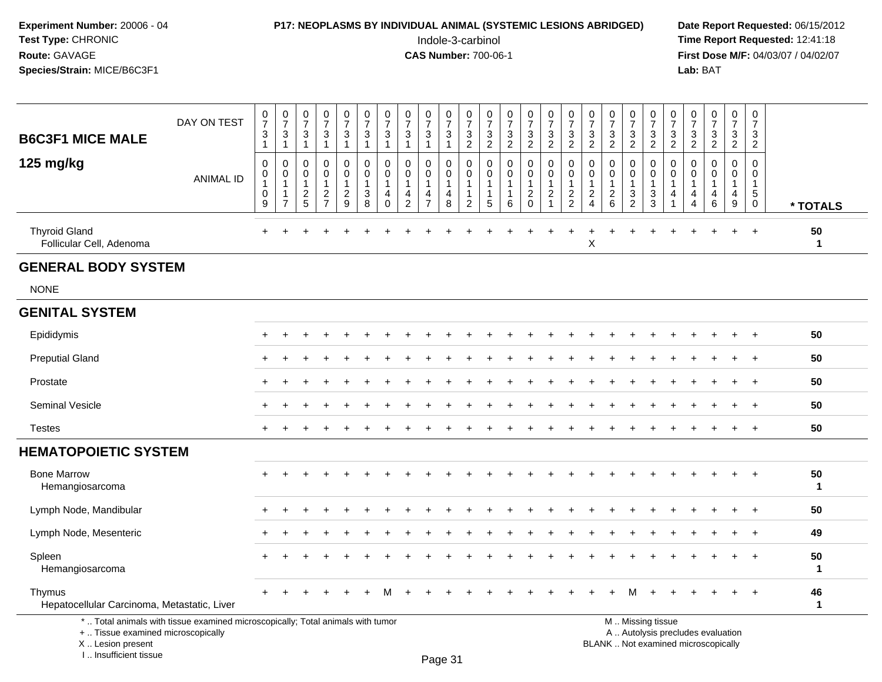# **P17: NEOPLASMS BY INDIVIDUAL ANIMAL (SYSTEMIC LESIONS ABRIDGED)** Date Report Requested: 06/15/2012<br>Indole-3-carbinol **Time Report Requested:** 12:41:18

 Indole-3-carbinol **Time Report Requested:** 12:41:18 **First Dose M/F:** 04/03/07 / 04/02/07<br>Lab: BAT **Lab:** BAT

| <b>B6C3F1 MICE MALE</b>                               | DAY ON TEST                                                                     | $\frac{0}{7}$<br>$\mathbf{3}$<br>$\mathbf{1}$             | $\frac{0}{7}$<br>3<br>$\mathbf{1}$                                           | $\begin{array}{c} 0 \\ 7 \end{array}$<br>$\ensuremath{\mathsf{3}}$<br>$\mathbf{1}$ | $\frac{0}{7}$<br>$\sqrt{3}$<br>$\mathbf{1}$       | $\begin{smallmatrix}0\\7\end{smallmatrix}$<br>3<br>$\mathbf{1}$ | $\frac{0}{7}$<br>$\sqrt{3}$<br>$\mathbf{1}$                                  | $\frac{0}{7}$<br>$\ensuremath{\mathsf{3}}$<br>$\mathbf{1}$        | $\frac{0}{7}$<br>$\sqrt{3}$<br>$\overline{1}$           | $\frac{0}{7}$<br>$\mathbf{3}$<br>1                                   | $\frac{0}{7}$<br>$\sqrt{3}$<br>$\mathbf{1}$             | $\frac{0}{7}$<br>$\ensuremath{\mathsf{3}}$<br>$\overline{2}$                     | $\frac{0}{7}$<br>$\ensuremath{\mathsf{3}}$<br>$\sqrt{2}$ | $\begin{smallmatrix}0\\7\end{smallmatrix}$<br>$\sqrt{3}$<br>$\overline{2}$ | $\frac{0}{7}$<br>$\mathbf{3}$<br>$\overline{2}$                | $\frac{0}{7}$<br>$\mathbf{3}$<br>$\overline{a}$                      | $\frac{0}{7}$<br>$\sqrt{3}$<br>$\overline{2}$               | $\frac{0}{7}$<br>$\sqrt{3}$<br>$\sqrt{2}$                              | $\frac{0}{7}$<br>$\mathbf{3}$<br>$\boldsymbol{2}$         | $\frac{0}{7}$<br>$\sqrt{3}$<br>$\overline{2}$                                   | $\begin{array}{c} 0 \\ 7 \end{array}$<br>3<br>$\overline{2}$ | $\frac{0}{7}$<br>$\ensuremath{\mathsf{3}}$<br>$\overline{2}$ | $\begin{array}{c} 0 \\ 7 \end{array}$<br>$\frac{3}{2}$                       | $\begin{array}{c} 0 \\ 7 \end{array}$<br>$\ensuremath{\mathsf{3}}$<br>$\overline{2}$ | $\frac{0}{7}$<br>3<br>$\overline{2}$       | $\begin{array}{c} 0 \\ 7 \end{array}$<br>$\mathbf{3}$<br>$\overline{2}$ |                    |
|-------------------------------------------------------|---------------------------------------------------------------------------------|-----------------------------------------------------------|------------------------------------------------------------------------------|------------------------------------------------------------------------------------|---------------------------------------------------|-----------------------------------------------------------------|------------------------------------------------------------------------------|-------------------------------------------------------------------|---------------------------------------------------------|----------------------------------------------------------------------|---------------------------------------------------------|----------------------------------------------------------------------------------|----------------------------------------------------------|----------------------------------------------------------------------------|----------------------------------------------------------------|----------------------------------------------------------------------|-------------------------------------------------------------|------------------------------------------------------------------------|-----------------------------------------------------------|---------------------------------------------------------------------------------|--------------------------------------------------------------|--------------------------------------------------------------|------------------------------------------------------------------------------|--------------------------------------------------------------------------------------|--------------------------------------------|-------------------------------------------------------------------------|--------------------|
| 125 mg/kg                                             | <b>ANIMAL ID</b>                                                                | 0<br>0<br>$\mathbf{1}$<br>$\mathbf 0$<br>$\boldsymbol{9}$ | $\mathbf 0$<br>$\mathbf 0$<br>$\mathbf{1}$<br>$\mathbf{1}$<br>$\overline{7}$ | 0<br>$\mathbf 0$<br>$\mathbf{1}$<br>$\frac{2}{5}$                                  | 0<br>$\mathbf 0$<br>$\mathbf{1}$<br>$\frac{2}{7}$ | 0<br>0<br>$\mathbf{1}$<br>$\sqrt{2}$<br>9                       | $\mathbf 0$<br>$\mathbf 0$<br>$\mathbf{1}$<br>$\ensuremath{\mathsf{3}}$<br>8 | 0<br>$\mathbf 0$<br>$\mathbf{1}$<br>$\overline{4}$<br>$\mathbf 0$ | 0<br>$\mathbf 0$<br>$\mathbf{1}$<br>4<br>$\overline{2}$ | 0<br>$\mathbf 0$<br>$\mathbf{1}$<br>$\overline{4}$<br>$\overline{7}$ | 0<br>$\mathbf 0$<br>$\mathbf{1}$<br>$\overline{4}$<br>8 | $\mathbf 0$<br>$\mathbf 0$<br>$\overline{1}$<br>$\overline{1}$<br>$\overline{2}$ | 0<br>$\mathbf 0$<br>$\mathbf{1}$<br>1<br>$\sqrt{5}$      | 0<br>$\mathbf 0$<br>$\mathbf{1}$<br>$\mathbf{1}$<br>6                      | 0<br>$\mathbf 0$<br>$\mathbf{1}$<br>$\overline{c}$<br>$\Omega$ | 0<br>$\mathbf 0$<br>$\mathbf{1}$<br>$\overline{2}$<br>$\overline{1}$ | $\mathbf 0$<br>$\mathbf 0$<br>$\mathbf{1}$<br>$\frac{2}{2}$ | 0<br>$\mathbf 0$<br>$\overline{1}$<br>$\overline{c}$<br>$\overline{4}$ | 0<br>$\mathbf 0$<br>$\mathbf{1}$<br>$\boldsymbol{2}$<br>6 | 0<br>$\mathbf 0$<br>$\mathbf{1}$<br>$\ensuremath{\mathsf{3}}$<br>$\overline{2}$ | 0<br>0<br>1<br>$\ensuremath{\mathsf{3}}$<br>3                | $\mathbf 0$<br>$\mathbf 0$<br>$\mathbf{1}$<br>$\overline{4}$ | $\mathbf 0$<br>$\mathbf 0$<br>$\overline{\mathbf{1}}$<br>4<br>$\overline{4}$ | 0<br>$\Omega$<br>$\mathbf{1}$<br>4<br>6                                              | 0<br>$\mathbf 0$<br>$\mathbf{1}$<br>4<br>9 | $\mathbf 0$<br>$\mathbf 0$<br>$\mathbf{1}$<br>$\sqrt{5}$<br>$\mathbf 0$ | * TOTALS           |
| <b>Thyroid Gland</b><br>Follicular Cell, Adenoma      |                                                                                 |                                                           |                                                                              |                                                                                    |                                                   |                                                                 |                                                                              |                                                                   |                                                         |                                                                      |                                                         |                                                                                  |                                                          |                                                                            |                                                                |                                                                      |                                                             | Χ                                                                      |                                                           |                                                                                 |                                                              |                                                              |                                                                              |                                                                                      |                                            |                                                                         | 50<br>$\mathbf{1}$ |
| <b>GENERAL BODY SYSTEM</b>                            |                                                                                 |                                                           |                                                                              |                                                                                    |                                                   |                                                                 |                                                                              |                                                                   |                                                         |                                                                      |                                                         |                                                                                  |                                                          |                                                                            |                                                                |                                                                      |                                                             |                                                                        |                                                           |                                                                                 |                                                              |                                                              |                                                                              |                                                                                      |                                            |                                                                         |                    |
| <b>NONE</b>                                           |                                                                                 |                                                           |                                                                              |                                                                                    |                                                   |                                                                 |                                                                              |                                                                   |                                                         |                                                                      |                                                         |                                                                                  |                                                          |                                                                            |                                                                |                                                                      |                                                             |                                                                        |                                                           |                                                                                 |                                                              |                                                              |                                                                              |                                                                                      |                                            |                                                                         |                    |
| <b>GENITAL SYSTEM</b>                                 |                                                                                 |                                                           |                                                                              |                                                                                    |                                                   |                                                                 |                                                                              |                                                                   |                                                         |                                                                      |                                                         |                                                                                  |                                                          |                                                                            |                                                                |                                                                      |                                                             |                                                                        |                                                           |                                                                                 |                                                              |                                                              |                                                                              |                                                                                      |                                            |                                                                         |                    |
| Epididymis                                            |                                                                                 |                                                           |                                                                              |                                                                                    |                                                   |                                                                 |                                                                              |                                                                   |                                                         |                                                                      |                                                         |                                                                                  |                                                          |                                                                            |                                                                |                                                                      |                                                             |                                                                        |                                                           |                                                                                 |                                                              |                                                              |                                                                              |                                                                                      |                                            |                                                                         | 50                 |
| <b>Preputial Gland</b>                                |                                                                                 |                                                           |                                                                              |                                                                                    |                                                   |                                                                 |                                                                              |                                                                   |                                                         |                                                                      |                                                         |                                                                                  |                                                          |                                                                            |                                                                |                                                                      |                                                             |                                                                        |                                                           |                                                                                 |                                                              |                                                              |                                                                              |                                                                                      |                                            |                                                                         | 50                 |
| Prostate                                              |                                                                                 |                                                           |                                                                              |                                                                                    |                                                   |                                                                 |                                                                              |                                                                   |                                                         |                                                                      |                                                         |                                                                                  |                                                          |                                                                            |                                                                |                                                                      |                                                             |                                                                        |                                                           |                                                                                 |                                                              |                                                              |                                                                              |                                                                                      |                                            | $\ddot{}$                                                               | 50                 |
| Seminal Vesicle                                       |                                                                                 |                                                           |                                                                              |                                                                                    |                                                   |                                                                 |                                                                              |                                                                   |                                                         |                                                                      |                                                         |                                                                                  |                                                          |                                                                            |                                                                |                                                                      |                                                             |                                                                        |                                                           |                                                                                 |                                                              |                                                              |                                                                              |                                                                                      |                                            |                                                                         | 50                 |
| <b>Testes</b>                                         |                                                                                 | $+$                                                       | $\div$                                                                       |                                                                                    |                                                   |                                                                 |                                                                              |                                                                   |                                                         |                                                                      |                                                         |                                                                                  |                                                          |                                                                            |                                                                |                                                                      |                                                             |                                                                        |                                                           |                                                                                 |                                                              |                                                              |                                                                              |                                                                                      |                                            | $\overline{+}$                                                          | 50                 |
| <b>HEMATOPOIETIC SYSTEM</b>                           |                                                                                 |                                                           |                                                                              |                                                                                    |                                                   |                                                                 |                                                                              |                                                                   |                                                         |                                                                      |                                                         |                                                                                  |                                                          |                                                                            |                                                                |                                                                      |                                                             |                                                                        |                                                           |                                                                                 |                                                              |                                                              |                                                                              |                                                                                      |                                            |                                                                         |                    |
| <b>Bone Marrow</b><br>Hemangiosarcoma                 |                                                                                 |                                                           |                                                                              |                                                                                    |                                                   |                                                                 |                                                                              |                                                                   |                                                         |                                                                      |                                                         |                                                                                  |                                                          |                                                                            |                                                                |                                                                      |                                                             |                                                                        |                                                           |                                                                                 |                                                              |                                                              |                                                                              |                                                                                      |                                            |                                                                         | 50<br>$\mathbf{1}$ |
| Lymph Node, Mandibular                                |                                                                                 |                                                           |                                                                              |                                                                                    |                                                   |                                                                 |                                                                              |                                                                   |                                                         |                                                                      |                                                         |                                                                                  |                                                          |                                                                            |                                                                |                                                                      |                                                             |                                                                        |                                                           |                                                                                 |                                                              |                                                              |                                                                              |                                                                                      |                                            | $\overline{1}$                                                          | 50                 |
| Lymph Node, Mesenteric                                |                                                                                 |                                                           |                                                                              |                                                                                    |                                                   |                                                                 |                                                                              |                                                                   |                                                         |                                                                      |                                                         |                                                                                  |                                                          |                                                                            |                                                                |                                                                      |                                                             |                                                                        |                                                           |                                                                                 |                                                              |                                                              |                                                                              |                                                                                      |                                            |                                                                         | 49                 |
| Spleen<br>Hemangiosarcoma                             |                                                                                 |                                                           |                                                                              |                                                                                    |                                                   |                                                                 |                                                                              |                                                                   |                                                         |                                                                      |                                                         |                                                                                  |                                                          |                                                                            |                                                                |                                                                      |                                                             |                                                                        |                                                           |                                                                                 |                                                              |                                                              |                                                                              |                                                                                      |                                            |                                                                         | 50<br>$\mathbf 1$  |
| Thymus<br>Hepatocellular Carcinoma, Metastatic, Liver |                                                                                 |                                                           |                                                                              |                                                                                    |                                                   |                                                                 |                                                                              |                                                                   |                                                         |                                                                      |                                                         |                                                                                  |                                                          |                                                                            |                                                                |                                                                      |                                                             |                                                                        |                                                           |                                                                                 |                                                              |                                                              |                                                                              |                                                                                      |                                            |                                                                         | 46<br>$\mathbf{1}$ |
| +  Tissue examined microscopically                    | *  Total animals with tissue examined microscopically; Total animals with tumor |                                                           |                                                                              |                                                                                    |                                                   |                                                                 |                                                                              |                                                                   |                                                         |                                                                      |                                                         |                                                                                  |                                                          |                                                                            |                                                                |                                                                      |                                                             |                                                                        | M  Missing tissue                                         |                                                                                 |                                                              |                                                              |                                                                              | A  Autolysis precludes evaluation                                                    |                                            |                                                                         |                    |

 Lesion present BLANK .. Not examined microscopicallyX .. Lesion present

I .. Insufficient tissue

Page 31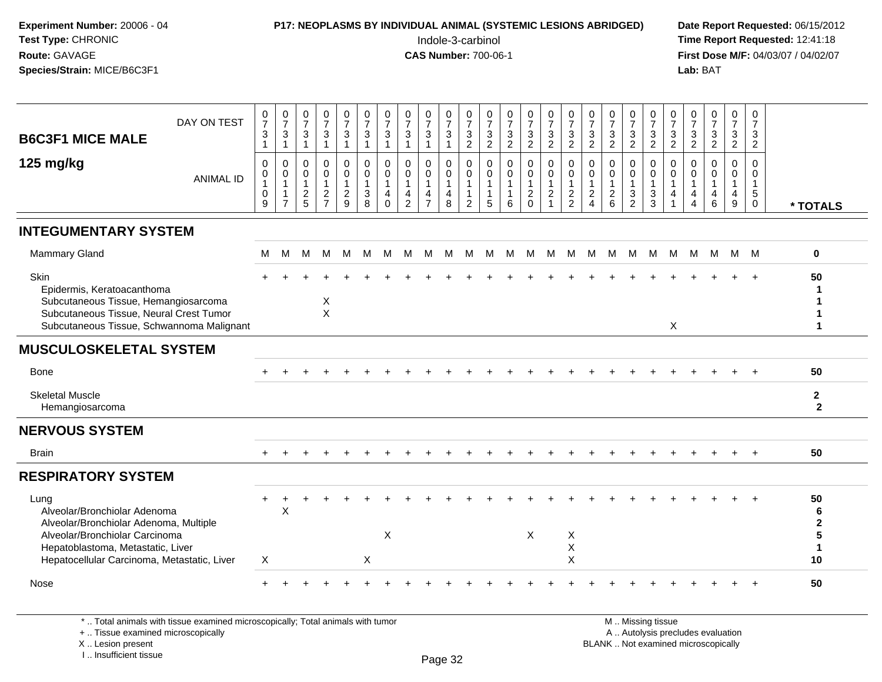# **P17: NEOPLASMS BY INDIVIDUAL ANIMAL (SYSTEMIC LESIONS ABRIDGED)** Date Report Requested: 06/15/2012<br>Indole-3-carbinol **Time Report Requested:** 12:41:18

 Indole-3-carbinol **Time Report Requested:** 12:41:18 **First Dose M/F:** 04/03/07 / 04/02/07<br>Lab: BAT **Lab:** BAT

| DAY ON TEST<br><b>B6C3F1 MICE MALE</b>                                                                                                                                                               | $\frac{0}{7}$<br>$\mathbf{3}$<br>$\mathbf{1}$                | $\frac{0}{7}$<br>3<br>$\mathbf{1}$                                | $\frac{0}{7}$<br>$\mathsf 3$<br>$\mathbf{1}$                      | $\frac{0}{7}$<br>$\mathfrak{Z}$                                                  | $\begin{array}{c} 0 \\ 7 \end{array}$<br>$\ensuremath{\mathsf{3}}$<br>$\overline{1}$ | $\frac{0}{7}$<br>$\mathbf{3}$<br>$\mathbf{1}$                 | $\frac{0}{7}$<br>3                            | $\frac{0}{7}$<br>$\mathbf{3}$<br>$\overline{1}$                   | $\frac{0}{7}$<br>$\mathfrak{Z}$<br>1                              | $\begin{array}{c} 0 \\ 7 \end{array}$<br>3            | 0<br>$\overline{7}$<br>$\frac{3}{2}$                                         | $\frac{0}{7}$<br>$\mathbf{3}$<br>$\overline{2}$                   | $\frac{0}{7}$<br>$\frac{3}{2}$                                  | $\frac{0}{7}$<br>3<br>$\overline{2}$                           | $\frac{0}{7}$<br>$\mathbf{3}$<br>$\overline{2}$                      | $\frac{0}{7}$<br>$\frac{3}{2}$                                                   | $\frac{0}{7}$<br>3<br>$\overline{2}$                                              | $\frac{0}{7}$<br>$\mathbf{3}$<br>$\overline{2}$                       | $\frac{0}{7}$<br>3<br>$\overline{2}$                    | $\begin{smallmatrix}0\\7\end{smallmatrix}$<br>$\frac{3}{2}$ | $\frac{0}{7}$<br>$\sqrt{3}$<br>$\overline{2}$   | $\frac{0}{7}$<br>$\frac{3}{2}$                                   | $\frac{0}{7}$<br>$\frac{3}{2}$                    | $\frac{0}{7}$<br>3<br>$\overline{2}$                               | 0<br>$\overline{7}$<br>3<br>$\overline{2}$                                      |                                                   |
|------------------------------------------------------------------------------------------------------------------------------------------------------------------------------------------------------|--------------------------------------------------------------|-------------------------------------------------------------------|-------------------------------------------------------------------|----------------------------------------------------------------------------------|--------------------------------------------------------------------------------------|---------------------------------------------------------------|-----------------------------------------------|-------------------------------------------------------------------|-------------------------------------------------------------------|-------------------------------------------------------|------------------------------------------------------------------------------|-------------------------------------------------------------------|-----------------------------------------------------------------|----------------------------------------------------------------|----------------------------------------------------------------------|----------------------------------------------------------------------------------|-----------------------------------------------------------------------------------|-----------------------------------------------------------------------|---------------------------------------------------------|-------------------------------------------------------------|-------------------------------------------------|------------------------------------------------------------------|---------------------------------------------------|--------------------------------------------------------------------|---------------------------------------------------------------------------------|---------------------------------------------------|
| 125 mg/kg<br><b>ANIMAL ID</b>                                                                                                                                                                        | $\mathbf 0$<br>$\mathbf 0$<br>$\mathbf{1}$<br>$\pmb{0}$<br>9 | $\mathbf 0$<br>$\mathbf 0$<br>$\mathbf{1}$<br>1<br>$\overline{7}$ | $\mathbf 0$<br>$\mathbf 0$<br>$\mathbf{1}$<br>$\overline{c}$<br>5 | $\mathbf 0$<br>$\mathbf 0$<br>$\mathbf{1}$<br>$\boldsymbol{2}$<br>$\overline{7}$ | $\mathbf 0$<br>$\mathbf 0$<br>$\mathbf{1}$<br>$\frac{2}{9}$                          | $\mathbf 0$<br>$\mathbf 0$<br>$\mathbf{1}$<br>$\sqrt{3}$<br>8 | $\mathbf 0$<br>$\Omega$<br>1<br>4<br>$\Omega$ | $\mathbf 0$<br>$\mathbf 0$<br>$\mathbf{1}$<br>4<br>$\overline{2}$ | $\mathbf 0$<br>$\mathbf 0$<br>$\mathbf{1}$<br>4<br>$\overline{7}$ | $\mathbf 0$<br>$\mathbf{0}$<br>$\mathbf{1}$<br>4<br>8 | $\mathbf 0$<br>$\mathbf 0$<br>$\mathbf{1}$<br>$\mathbf{1}$<br>$\overline{2}$ | $\mathbf 0$<br>$\mathbf 0$<br>$\overline{1}$<br>$\mathbf{1}$<br>5 | $\mathbf 0$<br>$\mathbf 0$<br>$\mathbf{1}$<br>$\mathbf{1}$<br>6 | 0<br>$\mathbf 0$<br>$\mathbf{1}$<br>$\overline{2}$<br>$\Omega$ | 0<br>$\mathbf 0$<br>$\mathbf{1}$<br>$\overline{2}$<br>$\overline{1}$ | $\mathbf 0$<br>$\mathbf 0$<br>$\mathbf{1}$<br>$\boldsymbol{2}$<br>$\overline{2}$ | $\mathbf{0}$<br>$\mathbf 0$<br>$\overline{1}$<br>$\overline{2}$<br>$\overline{4}$ | $\mathbf 0$<br>$\mathbf 0$<br>$\overline{1}$<br>$\boldsymbol{2}$<br>6 | 0<br>$\mathbf 0$<br>$\mathbf{1}$<br>3<br>$\overline{2}$ | 0<br>$\mathbf 0$<br>$\mathbf{1}$<br>$\frac{3}{3}$           | $\mathbf 0$<br>$\mathbf 0$<br>$\mathbf{1}$<br>4 | $\mathbf 0$<br>$\Omega$<br>$\overline{1}$<br>4<br>$\overline{4}$ | $\mathbf 0$<br>$\Omega$<br>$\mathbf{1}$<br>4<br>6 | $\mathbf{0}$<br>$\mathbf 0$<br>$\mathbf{1}$<br>$\overline{4}$<br>9 | $\mathbf 0$<br>$\mathbf 0$<br>$\mathbf{1}$<br>$\sqrt{5}$<br>$\mathsf{O}\xspace$ | * TOTALS                                          |
| <b>INTEGUMENTARY SYSTEM</b>                                                                                                                                                                          |                                                              |                                                                   |                                                                   |                                                                                  |                                                                                      |                                                               |                                               |                                                                   |                                                                   |                                                       |                                                                              |                                                                   |                                                                 |                                                                |                                                                      |                                                                                  |                                                                                   |                                                                       |                                                         |                                                             |                                                 |                                                                  |                                                   |                                                                    |                                                                                 |                                                   |
| Mammary Gland                                                                                                                                                                                        | M                                                            | M                                                                 | М                                                                 | M                                                                                | м                                                                                    | М                                                             | М                                             | м                                                                 | M                                                                 | М                                                     | М                                                                            | M                                                                 | M                                                               | M                                                              | M                                                                    | M                                                                                | м                                                                                 | M                                                                     | M                                                       | M                                                           | M                                               | M                                                                | М                                                 |                                                                    | M M                                                                             | $\mathbf 0$                                       |
| Skin<br>Epidermis, Keratoacanthoma<br>Subcutaneous Tissue, Hemangiosarcoma<br>Subcutaneous Tissue, Neural Crest Tumor<br>Subcutaneous Tissue, Schwannoma Malignant                                   |                                                              |                                                                   |                                                                   | Χ<br>$\mathsf{X}$                                                                |                                                                                      |                                                               |                                               |                                                                   |                                                                   |                                                       |                                                                              |                                                                   |                                                                 |                                                                |                                                                      |                                                                                  |                                                                                   |                                                                       |                                                         |                                                             | $\times$                                        |                                                                  |                                                   |                                                                    |                                                                                 | 50                                                |
| <b>MUSCULOSKELETAL SYSTEM</b>                                                                                                                                                                        |                                                              |                                                                   |                                                                   |                                                                                  |                                                                                      |                                                               |                                               |                                                                   |                                                                   |                                                       |                                                                              |                                                                   |                                                                 |                                                                |                                                                      |                                                                                  |                                                                                   |                                                                       |                                                         |                                                             |                                                 |                                                                  |                                                   |                                                                    |                                                                                 |                                                   |
| Bone                                                                                                                                                                                                 |                                                              |                                                                   |                                                                   |                                                                                  |                                                                                      |                                                               |                                               |                                                                   |                                                                   |                                                       |                                                                              |                                                                   |                                                                 |                                                                |                                                                      |                                                                                  |                                                                                   |                                                                       |                                                         |                                                             |                                                 |                                                                  |                                                   |                                                                    |                                                                                 | 50                                                |
| <b>Skeletal Muscle</b><br>Hemangiosarcoma                                                                                                                                                            |                                                              |                                                                   |                                                                   |                                                                                  |                                                                                      |                                                               |                                               |                                                                   |                                                                   |                                                       |                                                                              |                                                                   |                                                                 |                                                                |                                                                      |                                                                                  |                                                                                   |                                                                       |                                                         |                                                             |                                                 |                                                                  |                                                   |                                                                    |                                                                                 | $\mathbf{2}$<br>$\overline{2}$                    |
| <b>NERVOUS SYSTEM</b>                                                                                                                                                                                |                                                              |                                                                   |                                                                   |                                                                                  |                                                                                      |                                                               |                                               |                                                                   |                                                                   |                                                       |                                                                              |                                                                   |                                                                 |                                                                |                                                                      |                                                                                  |                                                                                   |                                                                       |                                                         |                                                             |                                                 |                                                                  |                                                   |                                                                    |                                                                                 |                                                   |
| <b>Brain</b>                                                                                                                                                                                         |                                                              |                                                                   |                                                                   |                                                                                  |                                                                                      |                                                               |                                               |                                                                   |                                                                   |                                                       |                                                                              |                                                                   |                                                                 |                                                                |                                                                      |                                                                                  |                                                                                   |                                                                       |                                                         |                                                             |                                                 |                                                                  |                                                   |                                                                    |                                                                                 | 50                                                |
| <b>RESPIRATORY SYSTEM</b>                                                                                                                                                                            |                                                              |                                                                   |                                                                   |                                                                                  |                                                                                      |                                                               |                                               |                                                                   |                                                                   |                                                       |                                                                              |                                                                   |                                                                 |                                                                |                                                                      |                                                                                  |                                                                                   |                                                                       |                                                         |                                                             |                                                 |                                                                  |                                                   |                                                                    |                                                                                 |                                                   |
| Lung<br>Alveolar/Bronchiolar Adenoma<br>Alveolar/Bronchiolar Adenoma, Multiple<br>Alveolar/Bronchiolar Carcinoma<br>Hepatoblastoma, Metastatic, Liver<br>Hepatocellular Carcinoma, Metastatic, Liver | X                                                            | X                                                                 |                                                                   |                                                                                  |                                                                                      | X                                                             | $\boldsymbol{\mathsf{X}}$                     |                                                                   |                                                                   |                                                       |                                                                              |                                                                   |                                                                 | X                                                              |                                                                      | X<br>$\mathsf X$<br>$\mathsf X$                                                  |                                                                                   |                                                                       |                                                         |                                                             |                                                 |                                                                  |                                                   |                                                                    |                                                                                 | 50<br>6<br>$\mathbf{2}$<br>5<br>$\mathbf 1$<br>10 |
| Nose                                                                                                                                                                                                 |                                                              |                                                                   |                                                                   |                                                                                  |                                                                                      |                                                               |                                               |                                                                   |                                                                   |                                                       |                                                                              |                                                                   |                                                                 |                                                                |                                                                      |                                                                                  |                                                                                   |                                                                       |                                                         |                                                             |                                                 |                                                                  |                                                   |                                                                    |                                                                                 | 50                                                |

\* .. Total animals with tissue examined microscopically; Total animals with tumor

+ .. Tissue examined microscopically

X .. Lesion present

I .. Insufficient tissue

 M .. Missing tissuey the contract of the contract of the contract of the contract of the contract of  $\mathsf A$  . Autolysis precludes evaluation Lesion present BLANK .. Not examined microscopically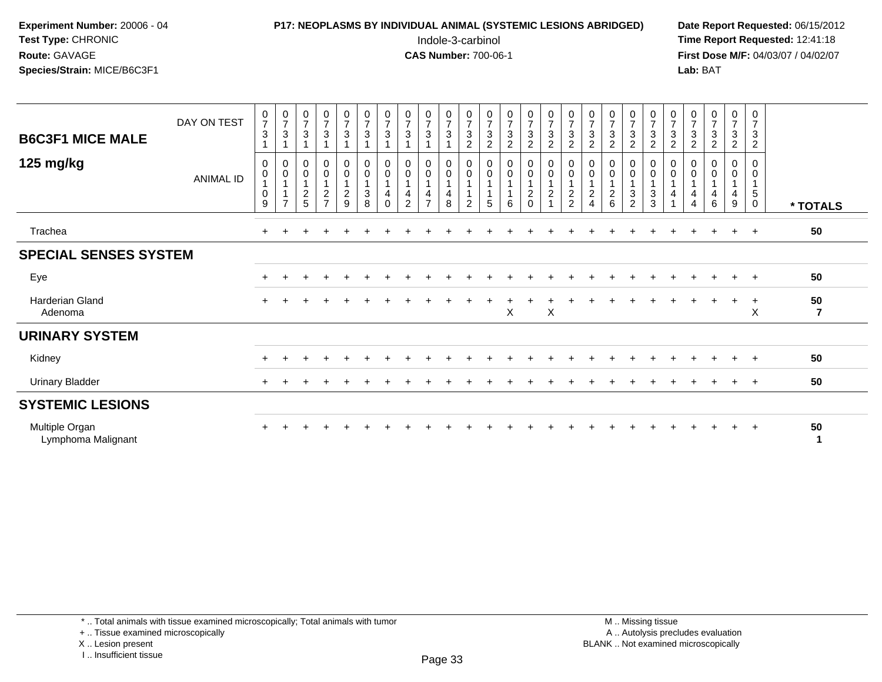## **P17: NEOPLASMS BY INDIVIDUAL ANIMAL (SYSTEMIC LESIONS ABRIDGED)** Date Report Requested: 06/15/2012<br>Indole-3-carbinol **Time Report Requested:** 12:41:18

| <b>B6C3F1 MICE MALE</b><br>125 mg/kg | DAY ON TEST<br><b>ANIMAL ID</b> | $\begin{array}{c} 0 \\ 7 \end{array}$<br>3<br>0<br>0<br>$\pmb{0}$ | $\begin{array}{c} 0 \\ 7 \\ 3 \end{array}$<br>0<br>$\pmb{0}$<br>$\mathbf{1}$ | $\frac{0}{7}$<br>$\mathbf{3}$<br>$\mathbf 0$<br>$\pmb{0}$<br>$\mathbf{1}$<br>$\overline{c}$ | $\frac{0}{7}$<br>$\sqrt{3}$<br>0<br>$\pmb{0}$<br>$\overline{A}$ | $\frac{0}{7}$<br>$\mathbf{3}$<br>$\overline{ }$<br>$\mathbf 0$<br>$\pmb{0}$<br>$\mathbf{1}$ | $\frac{0}{7}$<br>3<br>0<br>$\pmb{0}$<br>$\mathbf{1}$<br>3 | $\frac{0}{7}$<br>$\sqrt{3}$<br>$\mathbf 0$<br>$\mathbf 0$<br>$\mathbf{1}$<br>$\overline{4}$ | $\frac{0}{7}$<br>$\mathbf{3}$<br>0<br>$\mathsf{O}$<br>4 | $\frac{0}{7}$<br>$\mathfrak{S}$<br>0<br>$\mathbf 0$<br>$\overline{\mathbf{4}}$ | $\frac{0}{7}$<br>$\mathbf{3}$<br>$\pmb{0}$<br>$\mathbf 0$<br>$\overline{1}$<br>$\overline{4}$ | $\frac{0}{7}$<br>$\sqrt{3}$<br>$\overline{c}$<br>0<br>$\pmb{0}$<br>$\mathbf{1}$<br>1 | $\frac{0}{7}$<br>$\ensuremath{\mathsf{3}}$<br>$\boldsymbol{2}$<br>$\mathbf 0$<br>$\mathbf 0$<br>$\mathbf{1}$ | $\frac{0}{7}$<br>3<br>$\overline{c}$<br>0<br>$\boldsymbol{0}$<br>$\blacktriangleleft$ | $\frac{0}{7}$<br>$\sqrt{3}$<br>$\overline{c}$<br>0<br>$\pmb{0}$<br>$\mathbf 1$<br>$\overline{c}$ | $\frac{0}{7}$<br>$\sqrt{3}$<br>$\overline{2}$<br>0<br>$\pmb{0}$<br>$\overline{1}$<br>$\sqrt{2}$ | $\frac{0}{7}$<br>$\ensuremath{\mathsf{3}}$<br>$\boldsymbol{2}$<br>0<br>$\mathbf 0$<br>$\overline{1}$<br>$\overline{c}$ | $\frac{0}{7}$<br>3<br>$\overline{c}$<br>0<br>$\mathbf 0$<br>$\boldsymbol{2}$ | $\frac{0}{7}$<br>3<br>$\overline{c}$<br>0<br>$\mathbf 0$<br>$\overline{c}$ | $\begin{array}{c} 0 \\ 7 \\ 3 \end{array}$<br>$\overline{2}$<br>$_{\rm 0}^{\rm 0}$<br>$\mathbf{1}$<br>$\ensuremath{\mathsf{3}}$ | $\frac{0}{7}$<br>$\sqrt{3}$<br>$\overline{2}$<br>0<br>$\pmb{0}$<br>$\overline{1}$<br>$\mathbf{3}$ | $\frac{0}{7}$<br>$\mathbf 3$<br>$\sqrt{2}$<br>0<br>0<br>4 | $\begin{array}{c} 0 \\ 7 \end{array}$<br>$\ensuremath{\mathsf{3}}$<br>$\overline{c}$<br>0<br>$\mathbf 0$<br>$\overline{1}$<br>4 | $\frac{0}{7}$<br>$\ensuremath{\mathsf{3}}$<br>$\overline{c}$<br>0<br>0<br>4 | $\begin{smallmatrix}0\\7\end{smallmatrix}$<br>$\sqrt{3}$<br>$\overline{2}$<br>0<br>$\pmb{0}$<br>$\overline{1}$<br>$\overline{\mathbf{4}}$ | $\pmb{0}$<br>$\overline{7}$<br>$\sqrt{3}$<br>$\overline{c}$<br>0<br>0<br>$\sqrt{5}$ |                      |
|--------------------------------------|---------------------------------|-------------------------------------------------------------------|------------------------------------------------------------------------------|---------------------------------------------------------------------------------------------|-----------------------------------------------------------------|---------------------------------------------------------------------------------------------|-----------------------------------------------------------|---------------------------------------------------------------------------------------------|---------------------------------------------------------|--------------------------------------------------------------------------------|-----------------------------------------------------------------------------------------------|--------------------------------------------------------------------------------------|--------------------------------------------------------------------------------------------------------------|---------------------------------------------------------------------------------------|--------------------------------------------------------------------------------------------------|-------------------------------------------------------------------------------------------------|------------------------------------------------------------------------------------------------------------------------|------------------------------------------------------------------------------|----------------------------------------------------------------------------|---------------------------------------------------------------------------------------------------------------------------------|---------------------------------------------------------------------------------------------------|-----------------------------------------------------------|---------------------------------------------------------------------------------------------------------------------------------|-----------------------------------------------------------------------------|-------------------------------------------------------------------------------------------------------------------------------------------|-------------------------------------------------------------------------------------|----------------------|
|                                      |                                 | 9                                                                 | $\overline{ }$                                                               | 5                                                                                           | $\frac{2}{7}$                                                   | $\frac{2}{9}$                                                                               | 8                                                         | $\Omega$                                                                                    | $\overline{2}$                                          | $\overline{ }$                                                                 | 8                                                                                             | 2                                                                                    | 5                                                                                                            | 6                                                                                     | $\Omega$                                                                                         |                                                                                                 | $\overline{2}$                                                                                                         | $\boldsymbol{\Lambda}$                                                       | 6                                                                          | $\overline{2}$                                                                                                                  | 3                                                                                                 |                                                           | $\boldsymbol{\Lambda}$                                                                                                          | 6                                                                           | $\overline{9}$                                                                                                                            | $\mathbf 0$                                                                         | * TOTALS             |
| Trachea                              |                                 | $\ddot{}$                                                         |                                                                              | $\pm$                                                                                       |                                                                 |                                                                                             |                                                           |                                                                                             |                                                         |                                                                                |                                                                                               |                                                                                      |                                                                                                              |                                                                                       |                                                                                                  |                                                                                                 |                                                                                                                        |                                                                              |                                                                            |                                                                                                                                 |                                                                                                   |                                                           |                                                                                                                                 | $\pm$                                                                       | $+$                                                                                                                                       | $^{+}$                                                                              | 50                   |
| <b>SPECIAL SENSES SYSTEM</b>         |                                 |                                                                   |                                                                              |                                                                                             |                                                                 |                                                                                             |                                                           |                                                                                             |                                                         |                                                                                |                                                                                               |                                                                                      |                                                                                                              |                                                                                       |                                                                                                  |                                                                                                 |                                                                                                                        |                                                                              |                                                                            |                                                                                                                                 |                                                                                                   |                                                           |                                                                                                                                 |                                                                             |                                                                                                                                           |                                                                                     |                      |
| Eye                                  |                                 | $\ddot{}$                                                         |                                                                              |                                                                                             |                                                                 |                                                                                             |                                                           |                                                                                             |                                                         |                                                                                |                                                                                               |                                                                                      |                                                                                                              |                                                                                       |                                                                                                  |                                                                                                 |                                                                                                                        |                                                                              |                                                                            |                                                                                                                                 |                                                                                                   |                                                           |                                                                                                                                 |                                                                             |                                                                                                                                           | $\overline{ }$                                                                      | 50                   |
| <b>Harderian Gland</b><br>Adenoma    |                                 | $+$                                                               |                                                                              |                                                                                             |                                                                 |                                                                                             |                                                           |                                                                                             |                                                         |                                                                                |                                                                                               |                                                                                      |                                                                                                              | X                                                                                     |                                                                                                  | X                                                                                               |                                                                                                                        |                                                                              |                                                                            |                                                                                                                                 |                                                                                                   |                                                           |                                                                                                                                 | $\div$                                                                      | $+$                                                                                                                                       | $+$<br>X                                                                            | 50<br>$\overline{7}$ |
| <b>URINARY SYSTEM</b>                |                                 |                                                                   |                                                                              |                                                                                             |                                                                 |                                                                                             |                                                           |                                                                                             |                                                         |                                                                                |                                                                                               |                                                                                      |                                                                                                              |                                                                                       |                                                                                                  |                                                                                                 |                                                                                                                        |                                                                              |                                                                            |                                                                                                                                 |                                                                                                   |                                                           |                                                                                                                                 |                                                                             |                                                                                                                                           |                                                                                     |                      |
| Kidney                               |                                 | $\pm$                                                             |                                                                              |                                                                                             |                                                                 |                                                                                             |                                                           |                                                                                             |                                                         |                                                                                |                                                                                               |                                                                                      |                                                                                                              |                                                                                       |                                                                                                  |                                                                                                 |                                                                                                                        |                                                                              |                                                                            |                                                                                                                                 |                                                                                                   |                                                           |                                                                                                                                 |                                                                             | $+$                                                                                                                                       | $+$                                                                                 | 50                   |
| <b>Urinary Bladder</b>               |                                 | $\ddot{}$                                                         |                                                                              |                                                                                             |                                                                 |                                                                                             |                                                           |                                                                                             |                                                         |                                                                                |                                                                                               |                                                                                      |                                                                                                              |                                                                                       |                                                                                                  |                                                                                                 |                                                                                                                        |                                                                              |                                                                            |                                                                                                                                 |                                                                                                   |                                                           |                                                                                                                                 |                                                                             | $+$                                                                                                                                       | $+$                                                                                 | 50                   |
| <b>SYSTEMIC LESIONS</b>              |                                 |                                                                   |                                                                              |                                                                                             |                                                                 |                                                                                             |                                                           |                                                                                             |                                                         |                                                                                |                                                                                               |                                                                                      |                                                                                                              |                                                                                       |                                                                                                  |                                                                                                 |                                                                                                                        |                                                                              |                                                                            |                                                                                                                                 |                                                                                                   |                                                           |                                                                                                                                 |                                                                             |                                                                                                                                           |                                                                                     |                      |
| Multiple Organ<br>Lymphoma Malignant |                                 | $\ddot{}$                                                         |                                                                              |                                                                                             |                                                                 |                                                                                             |                                                           |                                                                                             |                                                         |                                                                                |                                                                                               |                                                                                      |                                                                                                              |                                                                                       |                                                                                                  |                                                                                                 |                                                                                                                        |                                                                              |                                                                            |                                                                                                                                 |                                                                                                   |                                                           |                                                                                                                                 |                                                                             | $+$                                                                                                                                       | $+$                                                                                 | 50<br>1              |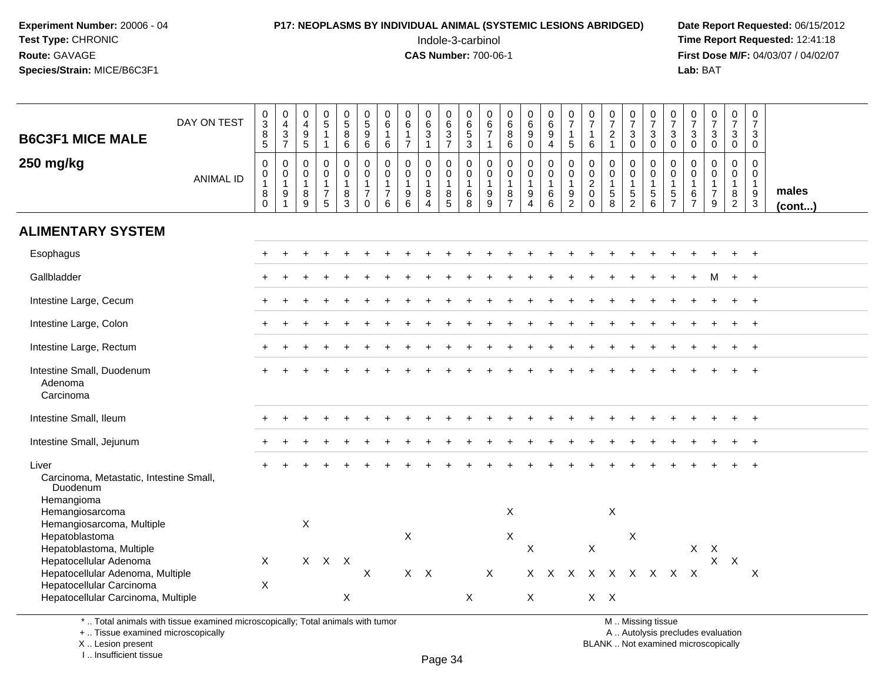## **P17: NEOPLASMS BY INDIVIDUAL ANIMAL (SYSTEMIC LESIONS ABRIDGED)** Date Report Requested: 06/15/2012<br>Indole-3-carbinol **Time Report Requested:** 12:41:18

 Indole-3-carbinol **Time Report Requested:** 12:41:18 **First Dose M/F:** 04/03/07 / 04/02/07<br>Lab: BAT **Lab:** BAT

|                                 |                                                                                                                                                                                         | 0<br>$\overline{4}$<br>$\frac{9}{5}$<br>$\mathbf 0$<br>$\mathbf 0$<br>$\mathbf{1}$<br>$\,8\,$                                                 | 0<br>$\overline{5}$<br>$\overline{1}$<br>$\overline{1}$<br>0<br>$\mathbf 0$<br>$\overline{1}$<br>$\overline{7}$ | $\begin{array}{c} 0 \\ 5 \end{array}$<br>$\bf 8$<br>$\,6\,$<br>0<br>$\pmb{0}$<br>$\mathbf{1}$<br>$\bf 8$ | 0<br>5<br>9<br>6<br>0<br>$\mathsf{O}\xspace$<br>$\mathbf{1}$<br>$\boldsymbol{7}$ | $\begin{array}{c} 0 \\ 6 \end{array}$<br>$\mathbf{1}$<br>$\,6\,$<br>$\mathbf 0$<br>$\mathbf 0$<br>$\mathbf{1}$<br>$\overline{7}$ | 0<br>$6\overline{6}$<br>$\overline{7}$<br>$\mathbf 0$<br>$\mathbf 0$<br>$\mathbf{1}$<br>9 | $\begin{array}{c} 0 \\ 6 \end{array}$<br>$\overline{3}$<br>$\overline{1}$<br>$\mathbf 0$<br>$\mathbf 0$<br>$\overline{1}$<br>$\, 8$<br>$\overline{4}$ | 0<br>$6\phantom{a}$<br>$\overline{3}$<br>$\overline{7}$<br>0<br>$\mathsf 0$<br>$\mathbf{1}$<br>$\bf 8$ | 0<br>$6\phantom{a}$<br>5<br>$\mathbf{3}$<br>$\mathbf 0$<br>$\mathbf 0$<br>$\mathbf{1}$<br>$\,6\,$ | 0<br>$6\phantom{a}$<br>$\overline{7}$<br>$\mathbf{1}$<br>0<br>$\mathsf{O}\xspace$<br>$\mathbf{1}$<br>$\boldsymbol{9}$ | $\begin{smallmatrix}0\0&8\0&8\end{smallmatrix}$<br>0<br>$\mathbf 0$<br>$\mathbf{1}$ | $_{6}^{\rm 0}$<br>$\overline{9}$<br>$\mathsf{O}\xspace$<br>$\pmb{0}$<br>$\overline{0}$<br>$\mathbf{1}$<br>$\boldsymbol{9}$<br>$\overline{4}$ | $\begin{array}{c} 0 \\ 6 \end{array}$<br>$\overline{9}$<br>4<br>0<br>$\pmb{0}$<br>$\mathbf{1}$<br>$\,6\,$ | $\frac{0}{7}$<br>$\mathbf{1}$<br>$\sqrt{5}$<br>$\pmb{0}$<br>$\pmb{0}$<br>$\mathbf{1}$<br>$\boldsymbol{9}$ | $\frac{0}{7}$<br>$\mathbf{1}$<br>6<br>0<br>$\pmb{0}$<br>$\overline{c}$<br>$\pmb{0}$ | $\frac{0}{7}$<br>$\sqrt{2}$<br>$\mathbf{1}$<br>$\mathbf 0$<br>$\mathbf 0$<br>$\mathbf{1}$<br>$\sqrt{5}$ | $\frac{0}{7}$<br>$\ensuremath{\mathsf{3}}$<br>$\mathbf 0$<br>0<br>$\mathsf{O}\xspace$<br>$\mathbf{1}$<br>$\sqrt{5}$ | $\begin{smallmatrix}0\\7\end{smallmatrix}$<br>$_{0}^{3}$<br>0<br>$\mathbf 0$<br>$\mathbf{1}$<br>$\sqrt{5}$ | $\frac{0}{7}$<br>$\sqrt{3}$<br>$\mathbf 0$<br>0<br>$\mathbf 0$<br>$\mathbf{1}$<br>$\sqrt{5}$<br>$\overline{7}$ | $\begin{smallmatrix}0\\7\end{smallmatrix}$<br>$\mathbf{3}$<br>$\mathbf 0$<br>$\mathbf 0$<br>$\mathbf 0$<br>6<br>$\overline{7}$ | $\frac{0}{7}$<br>$\frac{3}{0}$<br>$\mathbf 0$<br>$\mathbf 0$<br>$\mathbf{1}$<br>$\boldsymbol{7}$ | $\frac{0}{7}$<br>$\sqrt{3}$<br>$\pmb{0}$<br>0<br>$\pmb{0}$<br>$\mathbf{1}$ | $\frac{0}{7}$<br>$_0^3$<br>$\mathbf 0$<br>0<br>$\mathbf{1}$<br>$\boldsymbol{9}$ | males<br>(cont) |
|---------------------------------|-----------------------------------------------------------------------------------------------------------------------------------------------------------------------------------------|-----------------------------------------------------------------------------------------------------------------------------------------------|-----------------------------------------------------------------------------------------------------------------|----------------------------------------------------------------------------------------------------------|----------------------------------------------------------------------------------|----------------------------------------------------------------------------------------------------------------------------------|-------------------------------------------------------------------------------------------|-------------------------------------------------------------------------------------------------------------------------------------------------------|--------------------------------------------------------------------------------------------------------|---------------------------------------------------------------------------------------------------|-----------------------------------------------------------------------------------------------------------------------|-------------------------------------------------------------------------------------|----------------------------------------------------------------------------------------------------------------------------------------------|-----------------------------------------------------------------------------------------------------------|-----------------------------------------------------------------------------------------------------------|-------------------------------------------------------------------------------------|---------------------------------------------------------------------------------------------------------|---------------------------------------------------------------------------------------------------------------------|------------------------------------------------------------------------------------------------------------|----------------------------------------------------------------------------------------------------------------|--------------------------------------------------------------------------------------------------------------------------------|--------------------------------------------------------------------------------------------------|----------------------------------------------------------------------------|---------------------------------------------------------------------------------|-----------------|
|                                 |                                                                                                                                                                                         |                                                                                                                                               |                                                                                                                 |                                                                                                          |                                                                                  |                                                                                                                                  |                                                                                           |                                                                                                                                                       |                                                                                                        |                                                                                                   |                                                                                                                       |                                                                                     |                                                                                                                                              |                                                                                                           |                                                                                                           |                                                                                     |                                                                                                         |                                                                                                                     |                                                                                                            |                                                                                                                |                                                                                                                                |                                                                                                  |                                                                            |                                                                                 |                 |
|                                 |                                                                                                                                                                                         |                                                                                                                                               |                                                                                                                 |                                                                                                          |                                                                                  |                                                                                                                                  |                                                                                           |                                                                                                                                                       |                                                                                                        |                                                                                                   |                                                                                                                       |                                                                                     |                                                                                                                                              |                                                                                                           |                                                                                                           |                                                                                     |                                                                                                         |                                                                                                                     |                                                                                                            |                                                                                                                |                                                                                                                                |                                                                                                  |                                                                            | $\ddot{}$                                                                       |                 |
|                                 |                                                                                                                                                                                         |                                                                                                                                               |                                                                                                                 |                                                                                                          |                                                                                  |                                                                                                                                  |                                                                                           |                                                                                                                                                       |                                                                                                        |                                                                                                   |                                                                                                                       |                                                                                     |                                                                                                                                              |                                                                                                           |                                                                                                           |                                                                                     |                                                                                                         |                                                                                                                     |                                                                                                            |                                                                                                                | ÷                                                                                                                              | M                                                                                                | $+$                                                                        | $+$                                                                             |                 |
|                                 |                                                                                                                                                                                         |                                                                                                                                               |                                                                                                                 |                                                                                                          |                                                                                  |                                                                                                                                  |                                                                                           |                                                                                                                                                       |                                                                                                        |                                                                                                   |                                                                                                                       |                                                                                     |                                                                                                                                              |                                                                                                           |                                                                                                           |                                                                                     |                                                                                                         |                                                                                                                     |                                                                                                            |                                                                                                                |                                                                                                                                |                                                                                                  |                                                                            | $\ddot{}$                                                                       |                 |
|                                 |                                                                                                                                                                                         |                                                                                                                                               |                                                                                                                 |                                                                                                          |                                                                                  |                                                                                                                                  |                                                                                           |                                                                                                                                                       |                                                                                                        |                                                                                                   |                                                                                                                       |                                                                                     |                                                                                                                                              |                                                                                                           |                                                                                                           |                                                                                     |                                                                                                         |                                                                                                                     |                                                                                                            |                                                                                                                |                                                                                                                                |                                                                                                  |                                                                            | $+$                                                                             |                 |
|                                 |                                                                                                                                                                                         |                                                                                                                                               |                                                                                                                 |                                                                                                          |                                                                                  |                                                                                                                                  |                                                                                           |                                                                                                                                                       |                                                                                                        |                                                                                                   |                                                                                                                       |                                                                                     |                                                                                                                                              |                                                                                                           |                                                                                                           |                                                                                     |                                                                                                         |                                                                                                                     |                                                                                                            |                                                                                                                |                                                                                                                                |                                                                                                  |                                                                            |                                                                                 |                 |
|                                 |                                                                                                                                                                                         |                                                                                                                                               |                                                                                                                 |                                                                                                          |                                                                                  |                                                                                                                                  |                                                                                           |                                                                                                                                                       |                                                                                                        |                                                                                                   |                                                                                                                       |                                                                                     |                                                                                                                                              |                                                                                                           |                                                                                                           |                                                                                     |                                                                                                         |                                                                                                                     |                                                                                                            |                                                                                                                |                                                                                                                                |                                                                                                  |                                                                            |                                                                                 |                 |
|                                 |                                                                                                                                                                                         |                                                                                                                                               |                                                                                                                 |                                                                                                          |                                                                                  |                                                                                                                                  |                                                                                           |                                                                                                                                                       |                                                                                                        |                                                                                                   |                                                                                                                       |                                                                                     |                                                                                                                                              |                                                                                                           |                                                                                                           |                                                                                     |                                                                                                         |                                                                                                                     |                                                                                                            |                                                                                                                |                                                                                                                                |                                                                                                  | $\ddot{}$                                                                  | $+$                                                                             |                 |
|                                 |                                                                                                                                                                                         |                                                                                                                                               |                                                                                                                 |                                                                                                          |                                                                                  |                                                                                                                                  |                                                                                           |                                                                                                                                                       |                                                                                                        |                                                                                                   |                                                                                                                       |                                                                                     |                                                                                                                                              |                                                                                                           |                                                                                                           |                                                                                     |                                                                                                         |                                                                                                                     |                                                                                                            |                                                                                                                |                                                                                                                                |                                                                                                  |                                                                            |                                                                                 |                 |
|                                 |                                                                                                                                                                                         |                                                                                                                                               |                                                                                                                 |                                                                                                          |                                                                                  |                                                                                                                                  |                                                                                           |                                                                                                                                                       |                                                                                                        |                                                                                                   |                                                                                                                       |                                                                                     |                                                                                                                                              |                                                                                                           |                                                                                                           |                                                                                     |                                                                                                         |                                                                                                                     |                                                                                                            |                                                                                                                |                                                                                                                                |                                                                                                  |                                                                            |                                                                                 |                 |
|                                 |                                                                                                                                                                                         | $\boldsymbol{\mathsf{X}}$                                                                                                                     |                                                                                                                 | X                                                                                                        | $\boldsymbol{\mathsf{X}}$                                                        |                                                                                                                                  | $\boldsymbol{\mathsf{X}}$                                                                 |                                                                                                                                                       |                                                                                                        | X                                                                                                 | X                                                                                                                     | X<br>$\mathsf X$                                                                    | $\mathsf X$<br>X                                                                                                                             |                                                                                                           |                                                                                                           | $\mathsf X$                                                                         |                                                                                                         | $\boldsymbol{\mathsf{X}}$                                                                                           |                                                                                                            |                                                                                                                | X                                                                                                                              | $\boldsymbol{\mathsf{X}}$                                                                        |                                                                            | X                                                                               |                 |
| DAY ON TEST<br><b>ANIMAL ID</b> | $\begin{array}{c} 0 \\ 3 \\ 8 \\ 5 \end{array}$<br>$\pmb{0}$<br>$\mathsf{O}\xspace$<br>$\mathbf{1}$<br>$\bf 8$<br>$\mathbf 0$<br>$\boldsymbol{\mathsf{X}}$<br>$\boldsymbol{\mathsf{X}}$ | $\begin{smallmatrix}0\\4\end{smallmatrix}$<br>$\frac{3}{7}$<br>$\pmb{0}$<br>$\mathbf 0$<br>$\mathbf{1}$<br>$\boldsymbol{9}$<br>$\overline{1}$ | 9                                                                                                               | 5                                                                                                        | $\mathbf{3}$<br>$X$ $X$ $X$                                                      | $\mathbf 0$                                                                                                                      | 6                                                                                         | 6                                                                                                                                                     | $X$ $X$                                                                                                | 5                                                                                                 | 8                                                                                                                     | 9                                                                                   | $\begin{array}{c} 8 \\ 7 \end{array}$                                                                                                        |                                                                                                           | $6\phantom{1}$                                                                                            | $\overline{2}$                                                                      | $\Omega$                                                                                                | 8<br>X<br>$X$ $X$                                                                                                   | 2                                                                                                          | 6                                                                                                              |                                                                                                                                | X X X X X X X X X                                                                                | 9                                                                          | $\frac{8}{2}$<br>$X$ $X$                                                        | 3               |

\* .. Total animals with tissue examined microscopically; Total animals with tumor

+ .. Tissue examined microscopically

 Lesion present BLANK .. Not examined microscopicallyX .. Lesion present

I .. Insufficient tissue

Page 34

M .. Missing tissue

y the contract of the contract of the contract of the contract of the contract of  $\mathsf A$  . Autolysis precludes evaluation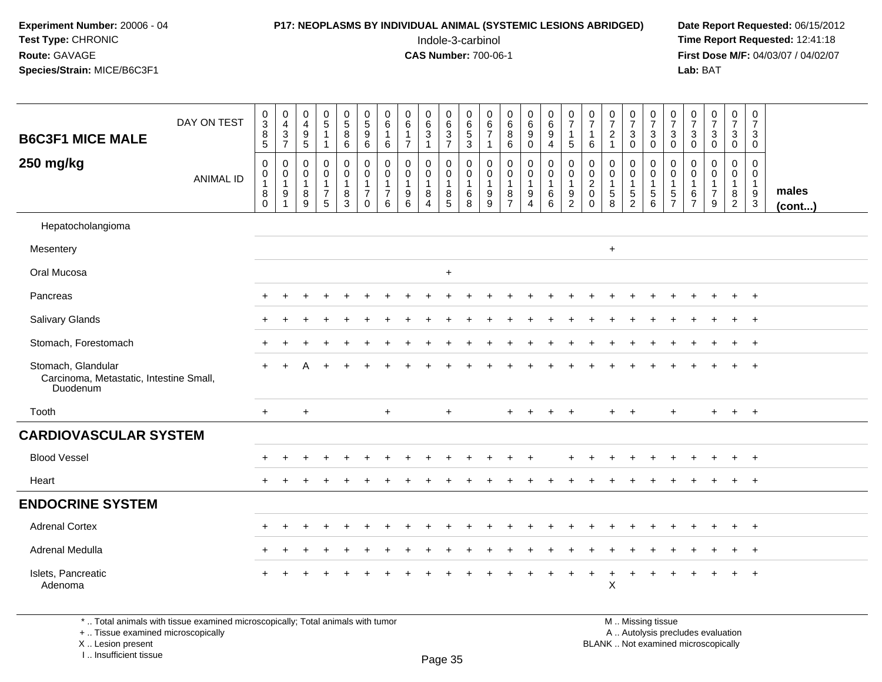## **P17: NEOPLASMS BY INDIVIDUAL ANIMAL (SYSTEMIC LESIONS ABRIDGED)** Date Report Requested: 06/15/2012<br>Indole-3-carbinol **Time Report Requested:** 12:41:18

 Indole-3-carbinol **Time Report Requested:** 12:41:18 **First Dose M/F:** 04/03/07 / 04/02/07<br>Lab: BAT **Lab:** BAT

| <b>B6C3F1 MICE MALE</b>                                                   | DAY ON TEST      | $\pmb{0}$<br>$\overline{3}$<br>$\bf 8$<br>$\overline{5}$              | $\pmb{0}$<br>$\overline{4}$<br>$\mathbf{3}$<br>$\overline{7}$ | $\mathbf 0$<br>$\overline{4}$<br>9<br>$\overline{5}$ | $\pmb{0}$<br>5<br>$\mathbf{1}$<br>$\mathbf{1}$ | $\mathsf 0$<br>$\overline{5}$<br>$\bf 8$<br>$6\phantom{1}$ | $\pmb{0}$<br>$\,$ 5 $\,$<br>$\boldsymbol{9}$<br>$\,6\,$                        | 0<br>6<br>-1<br>6                          | $\pmb{0}$<br>$\,6\,$<br>$\mathbf{1}$<br>$\overline{7}$ | $\pmb{0}$<br>$\,6\,$<br>3<br>$\mathbf 1$               | $\pmb{0}$<br>$\,6\,$<br>$\sqrt{3}$<br>$\overline{7}$            | $\pmb{0}$<br>$\,6\,$<br>$\overline{5}$<br>$\mathfrak{S}$ | $\mathbf 0$<br>6<br>$\overline{7}$<br>$\overline{1}$ | $\pmb{0}$<br>$\,6\,$<br>8<br>$\,6\,$                          | $\pmb{0}$<br>$\,6\,$<br>$\boldsymbol{9}$<br>$\pmb{0}$     | $\pmb{0}$<br>$\,6\,$<br>$\boldsymbol{9}$<br>4                         | $\pmb{0}$<br>$\overline{7}$<br>$\mathbf{1}$<br>5                               | 0<br>$\overline{7}$<br>6                            | $\boldsymbol{0}$<br>$\overline{7}$<br>$\overline{2}$<br>$\overline{1}$ | $\pmb{0}$<br>$\overline{7}$<br>$\mathbf 3$<br>$\mathbf 0$        | $\pmb{0}$<br>$\overline{7}$<br>3<br>$\mathbf 0$ | 0<br>$\overline{7}$<br>$\mathbf{3}$<br>$\mathbf 0$ | $\pmb{0}$<br>$\overline{7}$<br>$\sqrt{3}$<br>$\mathsf{O}\xspace$ | $\mathsf 0$<br>$\overline{7}$<br>$\mathbf{3}$<br>$\mathbf 0$ | 0<br>$\boldsymbol{7}$<br>$\mathbf{3}$<br>$\mathbf 0$             | $\mathbf 0$<br>$\overline{7}$<br>$\mathbf{3}$<br>$\mathbf 0$         |                       |
|---------------------------------------------------------------------------|------------------|-----------------------------------------------------------------------|---------------------------------------------------------------|------------------------------------------------------|------------------------------------------------|------------------------------------------------------------|--------------------------------------------------------------------------------|--------------------------------------------|--------------------------------------------------------|--------------------------------------------------------|-----------------------------------------------------------------|----------------------------------------------------------|------------------------------------------------------|---------------------------------------------------------------|-----------------------------------------------------------|-----------------------------------------------------------------------|--------------------------------------------------------------------------------|-----------------------------------------------------|------------------------------------------------------------------------|------------------------------------------------------------------|-------------------------------------------------|----------------------------------------------------|------------------------------------------------------------------|--------------------------------------------------------------|------------------------------------------------------------------|----------------------------------------------------------------------|-----------------------|
| 250 mg/kg                                                                 | <b>ANIMAL ID</b> | $\boldsymbol{0}$<br>$\mathbf 0$<br>$\mathbf{1}$<br>$\, 8$<br>$\Omega$ | 0<br>$\mathbf 0$<br>$\mathbf{1}$<br>9<br>1                    | 0<br>$\mathbf 0$<br>$\overline{1}$<br>8<br>9         | 0<br>$\mathbf 0$<br>$\overline{7}$<br>5        | 0<br>$\overline{0}$<br>$\mathbf{1}$<br>$_{3}^8$            | $\mathbf 0$<br>$\overline{0}$<br>$\mathbf{1}$<br>$\overline{7}$<br>$\mathbf 0$ | 0<br>$\Omega$<br>-1<br>$\overline{7}$<br>6 | 0<br>$\mathbf 0$<br>$\mathbf{1}$<br>$9\,$<br>6         | 0<br>$\mathbf 0$<br>$\mathbf 1$<br>8<br>$\overline{4}$ | 0<br>$\mathbf 0$<br>$\overline{1}$<br>$\bf 8$<br>$\overline{5}$ | 0<br>$\mathsf{O}\xspace$<br>$\mathbf{1}$<br>6<br>8       | 0<br>$\mathbf 0$<br>$\overline{1}$<br>$^9_9$         | 0<br>$\mathbf 0$<br>$\mathbf{1}$<br>$\bf 8$<br>$\overline{7}$ | 0<br>$\mathbf 0$<br>$\mathbf{1}$<br>$\boldsymbol{9}$<br>4 | $\begin{smallmatrix}0\0\0\end{smallmatrix}$<br>$\mathbf{1}$<br>$^6_6$ | $\pmb{0}$<br>$\mathbf 0$<br>$\mathbf{1}$<br>$\boldsymbol{9}$<br>$\overline{2}$ | 0<br>$\mathbf 0$<br>$\overline{c}$<br>0<br>$\Omega$ | 0<br>$\mathbf 0$<br>-1<br>$\sqrt{5}$<br>8                              | 0<br>$\mathbf 0$<br>$\mathbf{1}$<br>$\sqrt{5}$<br>$\overline{2}$ | 0<br>$\mathbf 0$<br>$\mathbf{1}$<br>5<br>6      | 0<br>$\mathbf 0$<br>$\mathbf{1}$<br>$\frac{5}{7}$  | 0<br>$\mathbf 0$<br>$\overline{1}$<br>6<br>$\overline{7}$        | 0<br>$\mathbf 0$<br>$\overline{7}$<br>9                      | 0<br>$\overline{0}$<br>$\mathbf{1}$<br>$\bf 8$<br>$\overline{2}$ | 0<br>$\mathbf 0$<br>$\mathbf{1}$<br>$\boldsymbol{9}$<br>$\mathbf{3}$ | males<br>$($ cont $)$ |
| Hepatocholangioma                                                         |                  |                                                                       |                                                               |                                                      |                                                |                                                            |                                                                                |                                            |                                                        |                                                        |                                                                 |                                                          |                                                      |                                                               |                                                           |                                                                       |                                                                                |                                                     |                                                                        |                                                                  |                                                 |                                                    |                                                                  |                                                              |                                                                  |                                                                      |                       |
| Mesentery                                                                 |                  |                                                                       |                                                               |                                                      |                                                |                                                            |                                                                                |                                            |                                                        |                                                        |                                                                 |                                                          |                                                      |                                                               |                                                           |                                                                       |                                                                                |                                                     | $+$                                                                    |                                                                  |                                                 |                                                    |                                                                  |                                                              |                                                                  |                                                                      |                       |
| Oral Mucosa                                                               |                  |                                                                       |                                                               |                                                      |                                                |                                                            |                                                                                |                                            |                                                        |                                                        | $\ddot{}$                                                       |                                                          |                                                      |                                                               |                                                           |                                                                       |                                                                                |                                                     |                                                                        |                                                                  |                                                 |                                                    |                                                                  |                                                              |                                                                  |                                                                      |                       |
| Pancreas                                                                  |                  | $\ddot{}$                                                             | $\ddot{}$                                                     |                                                      | $\ddot{}$                                      | ÷                                                          |                                                                                |                                            |                                                        |                                                        |                                                                 |                                                          |                                                      |                                                               |                                                           |                                                                       |                                                                                |                                                     |                                                                        |                                                                  |                                                 |                                                    |                                                                  |                                                              | $+$                                                              | $+$                                                                  |                       |
| Salivary Glands                                                           |                  |                                                                       |                                                               |                                                      |                                                |                                                            |                                                                                |                                            |                                                        |                                                        |                                                                 |                                                          |                                                      |                                                               |                                                           |                                                                       |                                                                                |                                                     |                                                                        |                                                                  |                                                 |                                                    |                                                                  |                                                              | $+$                                                              | $+$                                                                  |                       |
| Stomach, Forestomach                                                      |                  | $\pm$                                                                 | ÷                                                             |                                                      |                                                |                                                            |                                                                                |                                            |                                                        |                                                        |                                                                 |                                                          |                                                      |                                                               |                                                           |                                                                       |                                                                                |                                                     |                                                                        |                                                                  |                                                 |                                                    |                                                                  |                                                              | $\ddot{}$                                                        | $+$                                                                  |                       |
| Stomach, Glandular<br>Carcinoma, Metastatic, Intestine Small,<br>Duodenum |                  | $+$                                                                   |                                                               |                                                      |                                                |                                                            |                                                                                |                                            |                                                        |                                                        |                                                                 |                                                          |                                                      |                                                               |                                                           |                                                                       |                                                                                |                                                     |                                                                        |                                                                  |                                                 |                                                    |                                                                  |                                                              | $\ddot{}$                                                        | $+$                                                                  |                       |
| Tooth                                                                     |                  | $\ddot{}$                                                             |                                                               | $\ddot{}$                                            |                                                |                                                            |                                                                                | $+$                                        |                                                        |                                                        | $+$                                                             |                                                          |                                                      | +                                                             | $\overline{+}$                                            | $\ddot{}$                                                             | $\overline{+}$                                                                 |                                                     | $+$                                                                    | $+$                                                              |                                                 | $+$                                                |                                                                  | $+$                                                          | $+$ $+$                                                          |                                                                      |                       |
| <b>CARDIOVASCULAR SYSTEM</b>                                              |                  |                                                                       |                                                               |                                                      |                                                |                                                            |                                                                                |                                            |                                                        |                                                        |                                                                 |                                                          |                                                      |                                                               |                                                           |                                                                       |                                                                                |                                                     |                                                                        |                                                                  |                                                 |                                                    |                                                                  |                                                              |                                                                  |                                                                      |                       |
| <b>Blood Vessel</b>                                                       |                  |                                                                       |                                                               |                                                      |                                                |                                                            |                                                                                |                                            |                                                        |                                                        |                                                                 |                                                          |                                                      |                                                               |                                                           |                                                                       |                                                                                |                                                     |                                                                        |                                                                  |                                                 |                                                    |                                                                  |                                                              |                                                                  | $\div$                                                               |                       |
| Heart                                                                     |                  |                                                                       |                                                               |                                                      |                                                |                                                            |                                                                                |                                            |                                                        |                                                        |                                                                 |                                                          |                                                      |                                                               |                                                           |                                                                       |                                                                                |                                                     |                                                                        |                                                                  |                                                 |                                                    |                                                                  |                                                              | $\ddot{}$                                                        | $+$                                                                  |                       |
| <b>ENDOCRINE SYSTEM</b>                                                   |                  |                                                                       |                                                               |                                                      |                                                |                                                            |                                                                                |                                            |                                                        |                                                        |                                                                 |                                                          |                                                      |                                                               |                                                           |                                                                       |                                                                                |                                                     |                                                                        |                                                                  |                                                 |                                                    |                                                                  |                                                              |                                                                  |                                                                      |                       |
| <b>Adrenal Cortex</b>                                                     |                  | $\pm$                                                                 | +                                                             |                                                      |                                                |                                                            |                                                                                |                                            |                                                        |                                                        |                                                                 |                                                          |                                                      |                                                               |                                                           |                                                                       |                                                                                |                                                     |                                                                        |                                                                  |                                                 |                                                    |                                                                  |                                                              | $\ddot{}$                                                        | $+$                                                                  |                       |
| Adrenal Medulla                                                           |                  |                                                                       |                                                               |                                                      |                                                |                                                            |                                                                                |                                            |                                                        |                                                        |                                                                 |                                                          |                                                      |                                                               |                                                           |                                                                       |                                                                                |                                                     |                                                                        |                                                                  |                                                 |                                                    |                                                                  |                                                              | $\ddot{}$                                                        | $+$                                                                  |                       |
| Islets, Pancreatic<br>Adenoma                                             |                  | $\pm$                                                                 |                                                               |                                                      |                                                |                                                            |                                                                                |                                            |                                                        |                                                        |                                                                 |                                                          |                                                      |                                                               |                                                           |                                                                       |                                                                                | +                                                   | X                                                                      |                                                                  |                                                 |                                                    |                                                                  |                                                              | $\ddot{}$                                                        | $+$                                                                  |                       |

\* .. Total animals with tissue examined microscopically; Total animals with tumor

+ .. Tissue examined microscopically

X .. Lesion present

I .. Insufficient tissue

 M .. Missing tissuey the contract of the contract of the contract of the contract of the contract of  $\mathsf A$  . Autolysis precludes evaluation Lesion present BLANK .. Not examined microscopically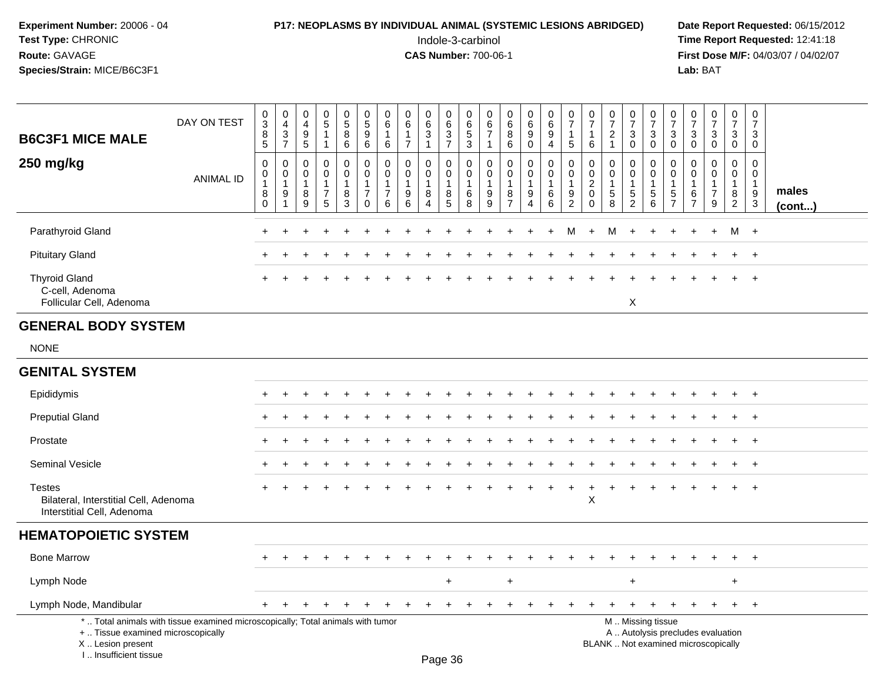# **P17: NEOPLASMS BY INDIVIDUAL ANIMAL (SYSTEMIC LESIONS ABRIDGED)** Date Report Requested: 06/15/2012<br>Indole-3-carbinol **Time Report Requested:** 12:41:18

| <b>B6C3F1 MICE MALE</b>                                                                                                                                                                                                                                                                | DAY ON TEST | $\boldsymbol{0}$<br>$\overline{3}$<br>$\, 8$<br>5                    | 0<br>4<br>3<br>$\overline{7}$ | 0<br>$\overline{4}$<br>9<br>5             | $\begin{array}{c} 0 \\ 5 \end{array}$<br>$\overline{1}$<br>1      | $\begin{array}{c} 0 \\ 5 \\ 8 \end{array}$<br>$6\phantom{1}6$           | $\pmb{0}$<br>$\sqrt{5}$<br>9<br>6                                        | $\mathbf 0$<br>6<br>$\overline{1}$<br>6                        | $\pmb{0}$<br>$\,6\,$<br>$\mathbf{1}$<br>$\overline{7}$ | $\pmb{0}$<br>$6\overline{6}$<br>3<br>1               | $\pmb{0}$<br>$6\overline{6}$<br>3<br>$\overline{7}$ | $\boldsymbol{0}$<br>$\,6\,$<br>$\sqrt{5}$<br>3         | $\mathbf 0$<br>6<br>7<br>$\mathbf 1$              | $\mathbf 0$<br>6<br>8<br>6                | 0<br>$6\phantom{a}$<br>$\boldsymbol{9}$<br>$\mathbf 0$ | $\pmb{0}$<br>$6\phantom{a}$<br>9<br>$\overline{4}$ | $\pmb{0}$<br>$\overline{7}$<br>$\mathbf{1}$<br>$\overline{5}$                    | $\pmb{0}$<br>$\overline{7}$<br>$\overline{1}$<br>6            | $\pmb{0}$<br>$\overline{7}$<br>$\sqrt{2}$<br>$\mathbf{1}$        | $\pmb{0}$<br>$\overline{7}$<br>3<br>$\mathbf 0$ | 0<br>$\overline{7}$<br>3<br>$\mathbf 0$             | $\frac{0}{7}$<br>$\mathbf{3}$<br>$\mathbf 0$                      | $\mathbf 0$<br>$\overline{7}$<br>3<br>$\mathbf 0$             | $\pmb{0}$<br>$\overline{7}$<br>3<br>$\mathbf 0$                | $\pmb{0}$<br>$\overline{7}$<br>3<br>$\mathbf 0$         | $\pmb{0}$<br>$\boldsymbol{7}$<br>3<br>$\mathbf 0$                    |                       |
|----------------------------------------------------------------------------------------------------------------------------------------------------------------------------------------------------------------------------------------------------------------------------------------|-------------|----------------------------------------------------------------------|-------------------------------|-------------------------------------------|-------------------------------------------------------------------|-------------------------------------------------------------------------|--------------------------------------------------------------------------|----------------------------------------------------------------|--------------------------------------------------------|------------------------------------------------------|-----------------------------------------------------|--------------------------------------------------------|---------------------------------------------------|-------------------------------------------|--------------------------------------------------------|----------------------------------------------------|----------------------------------------------------------------------------------|---------------------------------------------------------------|------------------------------------------------------------------|-------------------------------------------------|-----------------------------------------------------|-------------------------------------------------------------------|---------------------------------------------------------------|----------------------------------------------------------------|---------------------------------------------------------|----------------------------------------------------------------------|-----------------------|
| 250 mg/kg                                                                                                                                                                                                                                                                              | ANIMAL ID   | $\boldsymbol{0}$<br>$\pmb{0}$<br>$\mathbf{1}$<br>$\bf 8$<br>$\Omega$ | 0<br>0<br>$\mathbf{1}$<br>9   | 0<br>$\Omega$<br>$\overline{1}$<br>8<br>9 | $\mathbf 0$<br>$\mathbf 0$<br>$\mathbf{1}$<br>$\overline{7}$<br>5 | $\mathbf 0$<br>$\mathbf 0$<br>$\overline{1}$<br>$\bf 8$<br>$\mathbf{3}$ | $\mathbf 0$<br>$\mathbf 0$<br>$\mathbf{1}$<br>$\overline{7}$<br>$\Omega$ | $\mathbf 0$<br>$\Omega$<br>$\mathbf{1}$<br>$\overline{7}$<br>6 | $\mathbf 0$<br>0<br>$\mathbf{1}$<br>$9\,$<br>6         | $\mathbf 0$<br>$\mathbf 0$<br>$\mathbf{1}$<br>8<br>4 | 0<br>$\mathbf 0$<br>$\mathbf{1}$<br>8<br>5          | $\mathbf 0$<br>$\mathbf 0$<br>$\overline{1}$<br>6<br>8 | $\mathbf 0$<br>$\Omega$<br>$\mathbf{1}$<br>9<br>9 | 0<br>$\Omega$<br>1<br>8<br>$\overline{7}$ | 0<br>$\mathbf 0$<br>1<br>9<br>$\overline{4}$           | 0<br>$\mathbf 0$<br>$\mathbf{1}$<br>6<br>6         | $\mathbf 0$<br>$\mathbf 0$<br>$\mathbf{1}$<br>$\boldsymbol{9}$<br>$\overline{c}$ | 0<br>$\mathbf 0$<br>$\overline{2}$<br>$\mathbf 0$<br>$\Omega$ | $\mathbf 0$<br>$\mathbf{0}$<br>$\overline{1}$<br>$\sqrt{5}$<br>8 | 0<br>0<br>$\mathbf{1}$<br>5<br>$\overline{c}$   | 0<br>$\mathbf 0$<br>$\mathbf{1}$<br>$\sqrt{5}$<br>6 | $\mathbf 0$<br>$\mathbf 0$<br>$\mathbf{1}$<br>5<br>$\overline{7}$ | $\mathbf 0$<br>$\Omega$<br>$\mathbf 1$<br>6<br>$\overline{7}$ | $\mathbf 0$<br>$\Omega$<br>$\mathbf{1}$<br>$\overline{7}$<br>9 | 0<br>$\mathbf 0$<br>$\mathbf{1}$<br>8<br>$\overline{2}$ | 0<br>$\mathbf 0$<br>$\mathbf{1}$<br>$\boldsymbol{9}$<br>$\mathbf{3}$ | males<br>$($ cont $)$ |
| Parathyroid Gland                                                                                                                                                                                                                                                                      |             |                                                                      |                               |                                           |                                                                   |                                                                         |                                                                          |                                                                |                                                        |                                                      |                                                     |                                                        |                                                   |                                           |                                                        |                                                    | м                                                                                | $\ddot{}$                                                     | м                                                                |                                                 |                                                     |                                                                   |                                                               | $\ddot{}$                                                      | M +                                                     |                                                                      |                       |
| <b>Pituitary Gland</b>                                                                                                                                                                                                                                                                 |             |                                                                      |                               |                                           |                                                                   |                                                                         |                                                                          |                                                                |                                                        |                                                      |                                                     |                                                        |                                                   |                                           |                                                        |                                                    |                                                                                  |                                                               |                                                                  |                                                 |                                                     |                                                                   |                                                               |                                                                | $\ddot{}$                                               | $^{+}$                                                               |                       |
| <b>Thyroid Gland</b><br>C-cell, Adenoma<br>Follicular Cell, Adenoma                                                                                                                                                                                                                    |             |                                                                      |                               |                                           |                                                                   |                                                                         |                                                                          |                                                                |                                                        |                                                      |                                                     |                                                        |                                                   |                                           |                                                        |                                                    |                                                                                  |                                                               |                                                                  | X                                               |                                                     |                                                                   |                                                               |                                                                |                                                         | $\overline{+}$                                                       |                       |
| <b>GENERAL BODY SYSTEM</b>                                                                                                                                                                                                                                                             |             |                                                                      |                               |                                           |                                                                   |                                                                         |                                                                          |                                                                |                                                        |                                                      |                                                     |                                                        |                                                   |                                           |                                                        |                                                    |                                                                                  |                                                               |                                                                  |                                                 |                                                     |                                                                   |                                                               |                                                                |                                                         |                                                                      |                       |
| <b>NONE</b>                                                                                                                                                                                                                                                                            |             |                                                                      |                               |                                           |                                                                   |                                                                         |                                                                          |                                                                |                                                        |                                                      |                                                     |                                                        |                                                   |                                           |                                                        |                                                    |                                                                                  |                                                               |                                                                  |                                                 |                                                     |                                                                   |                                                               |                                                                |                                                         |                                                                      |                       |
| <b>GENITAL SYSTEM</b>                                                                                                                                                                                                                                                                  |             |                                                                      |                               |                                           |                                                                   |                                                                         |                                                                          |                                                                |                                                        |                                                      |                                                     |                                                        |                                                   |                                           |                                                        |                                                    |                                                                                  |                                                               |                                                                  |                                                 |                                                     |                                                                   |                                                               |                                                                |                                                         |                                                                      |                       |
| Epididymis                                                                                                                                                                                                                                                                             |             |                                                                      |                               |                                           |                                                                   |                                                                         |                                                                          |                                                                |                                                        |                                                      |                                                     |                                                        |                                                   |                                           |                                                        |                                                    |                                                                                  |                                                               |                                                                  |                                                 |                                                     |                                                                   |                                                               |                                                                |                                                         |                                                                      |                       |
| <b>Preputial Gland</b>                                                                                                                                                                                                                                                                 |             |                                                                      |                               |                                           |                                                                   |                                                                         |                                                                          |                                                                |                                                        |                                                      |                                                     |                                                        |                                                   |                                           |                                                        |                                                    |                                                                                  |                                                               |                                                                  |                                                 |                                                     |                                                                   |                                                               |                                                                |                                                         |                                                                      |                       |
| Prostate                                                                                                                                                                                                                                                                               |             |                                                                      |                               |                                           |                                                                   |                                                                         |                                                                          |                                                                |                                                        |                                                      |                                                     |                                                        |                                                   |                                           |                                                        |                                                    |                                                                                  |                                                               |                                                                  |                                                 |                                                     |                                                                   |                                                               |                                                                |                                                         | $+$                                                                  |                       |
| Seminal Vesicle                                                                                                                                                                                                                                                                        |             |                                                                      |                               |                                           |                                                                   |                                                                         |                                                                          |                                                                |                                                        |                                                      |                                                     |                                                        |                                                   |                                           |                                                        |                                                    |                                                                                  |                                                               |                                                                  |                                                 |                                                     |                                                                   |                                                               |                                                                | $\ddot{}$                                               | $+$                                                                  |                       |
| <b>Testes</b><br>Bilateral, Interstitial Cell, Adenoma<br>Interstitial Cell, Adenoma                                                                                                                                                                                                   |             |                                                                      |                               |                                           |                                                                   |                                                                         |                                                                          |                                                                |                                                        |                                                      |                                                     |                                                        |                                                   |                                           |                                                        | $\ddot{}$                                          | $\ddot{}$                                                                        | $\ddot{}$<br>X                                                |                                                                  |                                                 |                                                     |                                                                   |                                                               |                                                                | $\ddot{}$                                               | $+$                                                                  |                       |
| <b>HEMATOPOIETIC SYSTEM</b>                                                                                                                                                                                                                                                            |             |                                                                      |                               |                                           |                                                                   |                                                                         |                                                                          |                                                                |                                                        |                                                      |                                                     |                                                        |                                                   |                                           |                                                        |                                                    |                                                                                  |                                                               |                                                                  |                                                 |                                                     |                                                                   |                                                               |                                                                |                                                         |                                                                      |                       |
| <b>Bone Marrow</b>                                                                                                                                                                                                                                                                     |             |                                                                      |                               |                                           |                                                                   |                                                                         |                                                                          |                                                                |                                                        |                                                      |                                                     |                                                        |                                                   |                                           |                                                        |                                                    |                                                                                  |                                                               |                                                                  |                                                 |                                                     |                                                                   |                                                               |                                                                |                                                         | $\overline{ }$                                                       |                       |
| Lymph Node                                                                                                                                                                                                                                                                             |             |                                                                      |                               |                                           |                                                                   |                                                                         |                                                                          |                                                                |                                                        |                                                      | $+$                                                 |                                                        |                                                   | $\ddot{}$                                 |                                                        |                                                    |                                                                                  |                                                               |                                                                  | $\ddot{}$                                       |                                                     |                                                                   |                                                               |                                                                | $\ddot{}$                                               |                                                                      |                       |
| Lymph Node, Mandibular                                                                                                                                                                                                                                                                 |             | $+$                                                                  | $\pm$                         |                                           |                                                                   |                                                                         |                                                                          |                                                                |                                                        |                                                      | ÷                                                   |                                                        |                                                   |                                           |                                                        |                                                    |                                                                                  |                                                               |                                                                  | $\div$                                          | $\div$                                              | $\div$                                                            | +                                                             | $\ddot{}$                                                      | $+$                                                     | $+$                                                                  |                       |
| *  Total animals with tissue examined microscopically; Total animals with tumor<br>M  Missing tissue<br>A  Autolysis precludes evaluation<br>+  Tissue examined microscopically<br>X  Lesion present<br>BLANK  Not examined microscopically<br>I Insufficient tissue<br>$D_{200}$ $26$ |             |                                                                      |                               |                                           |                                                                   |                                                                         |                                                                          |                                                                |                                                        |                                                      |                                                     |                                                        |                                                   |                                           |                                                        |                                                    |                                                                                  |                                                               |                                                                  |                                                 |                                                     |                                                                   |                                                               |                                                                |                                                         |                                                                      |                       |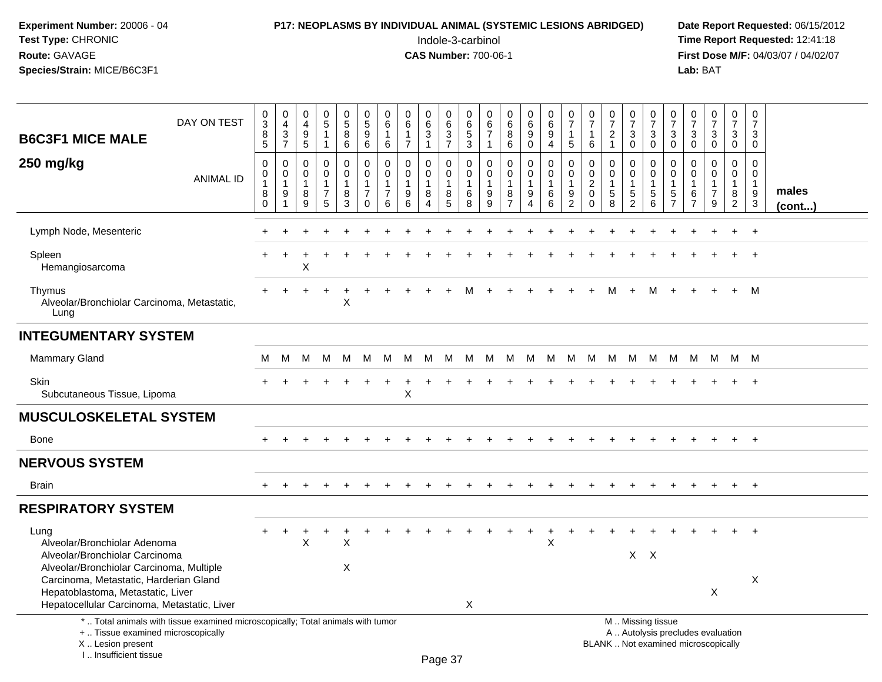# **P17: NEOPLASMS BY INDIVIDUAL ANIMAL (SYSTEMIC LESIONS ABRIDGED)** Date Report Requested: 06/15/2012<br>Indole-3-carbinol **Time Report Requested:** 12:41:18

| DAY ON TEST<br><b>B6C3F1 MICE MALE</b>                                                                                                                                 | $_{3}^{\rm 0}$<br>8<br>5                       | $\begin{smallmatrix}0\\4\end{smallmatrix}$<br>$\sqrt{3}$<br>$\overline{7}$ | $\pmb{0}$<br>$\overline{4}$<br>$\boldsymbol{9}$<br>$\sqrt{5}$ | $\begin{array}{c} 0 \\ 5 \end{array}$<br>$\overline{1}$<br>$\overline{1}$ | $\begin{array}{c} 0 \\ 5 \end{array}$<br>$\,8\,$<br>6           | $\begin{array}{c} 0 \\ 5 \end{array}$<br>9<br>6  | $\pmb{0}$<br>$\,6\,$<br>$\mathbf{1}$<br>$\,6\,$                | $\pmb{0}$<br>$\,6\,$<br>$\mathbf{1}$<br>$\overline{7}$ | $_{6}^{\rm 0}$<br>$\mathsf 3$<br>$\mathbf{1}$ | $\begin{array}{c} 0 \\ 6 \end{array}$<br>$\frac{3}{7}$ | 0<br>$\,6\,$<br>$\sqrt{5}$<br>$\mathbf{3}$        | $\pmb{0}$<br>$\,6\,$<br>$\overline{7}$<br>$\mathbf{1}$ | $_{6}^{\rm 0}$<br>8<br>6                                          | $\begin{array}{c} 0 \\ 6 \end{array}$<br>9<br>$\mathbf 0$                   | $\begin{array}{c} 0 \\ 6 \end{array}$<br>$\boldsymbol{9}$<br>$\overline{4}$ | $\frac{0}{7}$<br>$\mathbf{1}$<br>$\sqrt{5}$                            | $\begin{array}{c} 0 \\ 7 \end{array}$<br>$\mathbf{1}$<br>6              | $\frac{0}{7}$<br>$\overline{2}$<br>$\mathbf{1}$ | $\frac{0}{7}$<br>$\mathbf{3}$<br>$\mathbf 0$                           | $\frac{0}{7}$<br>3<br>$\mathbf 0$                                                             | $\begin{smallmatrix}0\\7\end{smallmatrix}$<br>$\mathbf{3}$<br>0         | $\begin{smallmatrix}0\\7\end{smallmatrix}$<br>3<br>$\mathbf 0$            | $\frac{0}{7}$<br>$\mathbf{3}$<br>0            | $\mathbf 0$<br>$\overline{7}$<br>3<br>$\mathbf 0$                    | $\pmb{0}$<br>$\overline{7}$<br>3<br>0                              |                 |
|------------------------------------------------------------------------------------------------------------------------------------------------------------------------|------------------------------------------------|----------------------------------------------------------------------------|---------------------------------------------------------------|---------------------------------------------------------------------------|-----------------------------------------------------------------|--------------------------------------------------|----------------------------------------------------------------|--------------------------------------------------------|-----------------------------------------------|--------------------------------------------------------|---------------------------------------------------|--------------------------------------------------------|-------------------------------------------------------------------|-----------------------------------------------------------------------------|-----------------------------------------------------------------------------|------------------------------------------------------------------------|-------------------------------------------------------------------------|-------------------------------------------------|------------------------------------------------------------------------|-----------------------------------------------------------------------------------------------|-------------------------------------------------------------------------|---------------------------------------------------------------------------|-----------------------------------------------|----------------------------------------------------------------------|--------------------------------------------------------------------|-----------------|
| 250 mg/kg<br><b>ANIMAL ID</b>                                                                                                                                          | $\mathbf 0$<br>$\pmb{0}$<br>1<br>8<br>$\Omega$ | $\mathbf 0$<br>$\mathbf 0$<br>$\mathbf{1}$<br>$\boldsymbol{9}$             | $\mathbf 0$<br>0<br>$\mathbf{1}$<br>8<br>9                    | $\mathbf 0$<br>$\pmb{0}$<br>$\mathbf{1}$<br>$\overline{7}$<br>$\sqrt{5}$  | $\mathbf 0$<br>$\mathbf 0$<br>$\mathbf{1}$<br>8<br>$\mathbf{3}$ | 0<br>$\Omega$<br>1<br>$\overline{7}$<br>$\Omega$ | $\mathbf 0$<br>$\Omega$<br>$\mathbf{1}$<br>$\overline{7}$<br>6 | $\mathbf 0$<br>0<br>$\mathbf{1}$<br>9<br>6             | 0<br>$\mathbf 0$<br>$\mathbf{1}$<br>8<br>4    | $\mathbf 0$<br>$\pmb{0}$<br>$\overline{1}$<br>8<br>5   | $\mathbf 0$<br>$\Omega$<br>$\mathbf{1}$<br>6<br>8 | $\mathbf 0$<br>$\Omega$<br>$\mathbf{1}$<br>$9\,$<br>9  | $\mathbf 0$<br>$\mathsf 0$<br>$\mathbf{1}$<br>8<br>$\overline{7}$ | $\mathbf 0$<br>$\mathbf 0$<br>$\mathbf{1}$<br>$\mathsf g$<br>$\overline{4}$ | $\mathbf 0$<br>$\pmb{0}$<br>$\mathbf{1}$<br>6<br>6                          | 0<br>$\mathbf 0$<br>$\mathbf{1}$<br>$\boldsymbol{9}$<br>$\overline{2}$ | $\mathbf 0$<br>$\mathbf 0$<br>$\overline{2}$<br>$\mathbf 0$<br>$\Omega$ | 0<br>$\Omega$<br>$\mathbf{1}$<br>5<br>8         | 0<br>$\mathbf 0$<br>$\mathbf{1}$<br>$\overline{5}$<br>$\boldsymbol{2}$ | $\mathbf 0$<br>0<br>$\mathbf{1}$<br>5<br>6                                                    | $\mathbf 0$<br>$\Omega$<br>$\mathbf{1}$<br>$\sqrt{5}$<br>$\overline{7}$ | $\mathbf 0$<br>$\mathbf 0$<br>$\overline{1}$<br>$\,6\,$<br>$\overline{7}$ | 0<br>0<br>$\mathbf{1}$<br>$\overline{7}$<br>9 | $\mathbf 0$<br>$\Omega$<br>$\mathbf{1}$<br>$\bf 8$<br>$\overline{2}$ | $\mathbf 0$<br>0<br>$\mathbf{1}$<br>$\boldsymbol{9}$<br>$\sqrt{3}$ | males<br>(cont) |
| Lymph Node, Mesenteric                                                                                                                                                 |                                                |                                                                            |                                                               |                                                                           |                                                                 |                                                  |                                                                |                                                        |                                               |                                                        |                                                   |                                                        |                                                                   |                                                                             |                                                                             |                                                                        |                                                                         |                                                 |                                                                        |                                                                                               |                                                                         |                                                                           |                                               |                                                                      | $\ddot{}$                                                          |                 |
| Spleen<br>Hemangiosarcoma                                                                                                                                              |                                                |                                                                            | X                                                             |                                                                           |                                                                 |                                                  |                                                                |                                                        |                                               |                                                        |                                                   |                                                        |                                                                   |                                                                             |                                                                             |                                                                        |                                                                         |                                                 |                                                                        |                                                                                               |                                                                         |                                                                           |                                               |                                                                      | $\ddot{}$                                                          |                 |
| Thymus<br>Alveolar/Bronchiolar Carcinoma, Metastatic,<br>Lung                                                                                                          |                                                |                                                                            |                                                               |                                                                           | X                                                               |                                                  |                                                                |                                                        |                                               |                                                        | м                                                 |                                                        |                                                                   |                                                                             |                                                                             |                                                                        |                                                                         | М                                               |                                                                        | м                                                                                             |                                                                         |                                                                           |                                               |                                                                      | M                                                                  |                 |
| <b>INTEGUMENTARY SYSTEM</b>                                                                                                                                            |                                                |                                                                            |                                                               |                                                                           |                                                                 |                                                  |                                                                |                                                        |                                               |                                                        |                                                   |                                                        |                                                                   |                                                                             |                                                                             |                                                                        |                                                                         |                                                 |                                                                        |                                                                                               |                                                                         |                                                                           |                                               |                                                                      |                                                                    |                 |
| <b>Mammary Gland</b>                                                                                                                                                   | M                                              | M                                                                          | м                                                             | м                                                                         | M                                                               | M                                                | M                                                              | M                                                      | м                                             | M                                                      | M                                                 | M                                                      | M                                                                 | M                                                                           | M                                                                           | M                                                                      | м                                                                       | M                                               | M                                                                      | M                                                                                             | M                                                                       | M                                                                         | M                                             | M M                                                                  |                                                                    |                 |
| Skin<br>Subcutaneous Tissue, Lipoma                                                                                                                                    |                                                |                                                                            |                                                               |                                                                           |                                                                 |                                                  |                                                                | $\mathsf X$                                            |                                               |                                                        |                                                   |                                                        |                                                                   |                                                                             |                                                                             |                                                                        |                                                                         |                                                 |                                                                        |                                                                                               |                                                                         |                                                                           |                                               |                                                                      | $\ddot{}$                                                          |                 |
| <b>MUSCULOSKELETAL SYSTEM</b>                                                                                                                                          |                                                |                                                                            |                                                               |                                                                           |                                                                 |                                                  |                                                                |                                                        |                                               |                                                        |                                                   |                                                        |                                                                   |                                                                             |                                                                             |                                                                        |                                                                         |                                                 |                                                                        |                                                                                               |                                                                         |                                                                           |                                               |                                                                      |                                                                    |                 |
| <b>Bone</b>                                                                                                                                                            |                                                |                                                                            |                                                               |                                                                           |                                                                 |                                                  |                                                                |                                                        |                                               |                                                        |                                                   |                                                        |                                                                   |                                                                             |                                                                             |                                                                        |                                                                         |                                                 |                                                                        |                                                                                               |                                                                         |                                                                           |                                               | $\pm$                                                                | $+$                                                                |                 |
| <b>NERVOUS SYSTEM</b>                                                                                                                                                  |                                                |                                                                            |                                                               |                                                                           |                                                                 |                                                  |                                                                |                                                        |                                               |                                                        |                                                   |                                                        |                                                                   |                                                                             |                                                                             |                                                                        |                                                                         |                                                 |                                                                        |                                                                                               |                                                                         |                                                                           |                                               |                                                                      |                                                                    |                 |
| <b>Brain</b>                                                                                                                                                           |                                                |                                                                            |                                                               |                                                                           |                                                                 |                                                  |                                                                |                                                        |                                               |                                                        |                                                   |                                                        |                                                                   |                                                                             |                                                                             |                                                                        |                                                                         |                                                 |                                                                        |                                                                                               |                                                                         |                                                                           |                                               | $+$                                                                  | $+$                                                                |                 |
| <b>RESPIRATORY SYSTEM</b>                                                                                                                                              |                                                |                                                                            |                                                               |                                                                           |                                                                 |                                                  |                                                                |                                                        |                                               |                                                        |                                                   |                                                        |                                                                   |                                                                             |                                                                             |                                                                        |                                                                         |                                                 |                                                                        |                                                                                               |                                                                         |                                                                           |                                               |                                                                      |                                                                    |                 |
| Lung<br>Alveolar/Bronchiolar Adenoma<br>Alveolar/Bronchiolar Carcinoma                                                                                                 | ÷                                              | $\ddot{}$                                                                  | X                                                             |                                                                           | X                                                               |                                                  |                                                                |                                                        |                                               |                                                        |                                                   |                                                        |                                                                   |                                                                             | $\boldsymbol{\mathsf{X}}$                                                   |                                                                        |                                                                         |                                                 | $X$ $X$                                                                |                                                                                               |                                                                         |                                                                           |                                               |                                                                      |                                                                    |                 |
| Alveolar/Bronchiolar Carcinoma, Multiple<br>Carcinoma, Metastatic, Harderian Gland<br>Hepatoblastoma, Metastatic, Liver<br>Hepatocellular Carcinoma, Metastatic, Liver |                                                |                                                                            |                                                               |                                                                           | X                                                               |                                                  |                                                                |                                                        |                                               |                                                        | $\boldsymbol{\mathsf{X}}$                         |                                                        |                                                                   |                                                                             |                                                                             |                                                                        |                                                                         |                                                 |                                                                        |                                                                                               |                                                                         |                                                                           | X                                             |                                                                      | $\mathsf X$                                                        |                 |
| *  Total animals with tissue examined microscopically; Total animals with tumor<br>+  Tissue examined microscopically<br>X  Lesion present<br>I Insufficient tissue    |                                                |                                                                            |                                                               |                                                                           |                                                                 |                                                  |                                                                |                                                        |                                               | Page 37                                                |                                                   |                                                        |                                                                   |                                                                             |                                                                             |                                                                        |                                                                         |                                                 |                                                                        | M  Missing tissue<br>A  Autolysis precludes evaluation<br>BLANK  Not examined microscopically |                                                                         |                                                                           |                                               |                                                                      |                                                                    |                 |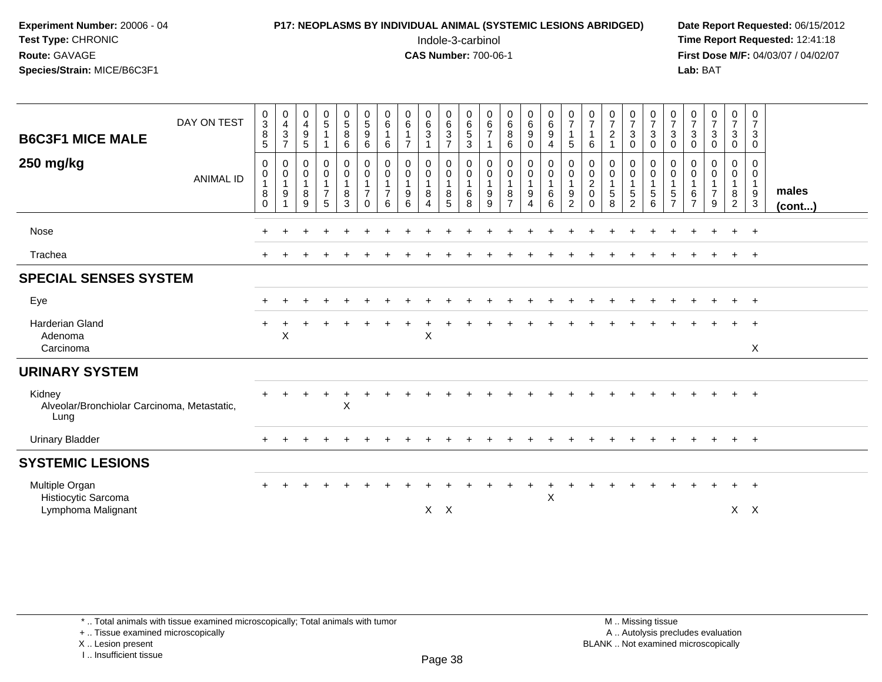### **P17: NEOPLASMS BY INDIVIDUAL ANIMAL (SYSTEMIC LESIONS ABRIDGED)** Date Report Requested: 06/15/2012<br>Indole-3-carbinol **Time Report Requested:** 12:41:18

 Indole-3-carbinol **Time Report Requested:** 12:41:18 **First Dose M/F:** 04/03/07 / 04/02/07<br>Lab: BAT **Lab:** BAT

| <b>B6C3F1 MICE MALE</b><br>250 mg/kg                          | DAY ON TEST<br><b>ANIMAL ID</b> | 0<br>$\mathbf{3}$<br>8<br>5<br>0<br>0<br>8<br>$\Omega$ | $\begin{smallmatrix}0\\4\end{smallmatrix}$<br>$\ensuremath{\mathsf{3}}$<br>$\overline{7}$<br>$\mathbf 0$<br>$\begin{smallmatrix}0\\1\end{smallmatrix}$<br>$\boldsymbol{9}$<br>$\overline{1}$ | $_4^{\rm 0}$<br>$\boldsymbol{9}$<br>$\sqrt{5}$<br>0<br>$\mathbf 0$<br>$\mathbf{1}$<br>$\bf 8$<br>9 | $\begin{array}{c} 0 \\ 5 \end{array}$<br>$\overline{1}$<br>$\pmb{0}$<br>$\mathsf{O}\xspace$<br>$\overline{1}$<br>$\overline{7}$<br>5 | $\begin{array}{c} 0 \\ 5 \end{array}$<br>$\bf 8$<br>6<br>$\pmb{0}$<br>$\mathsf{O}\xspace$<br>$\overline{1}$<br>$\,8\,$<br>3 | $\begin{array}{c} 0 \\ 5 \end{array}$<br>9<br>6<br>0<br>0<br>$\overline{7}$<br>$\Omega$ | 0<br>$6\overline{6}$<br>6<br>0<br>$\pmb{0}$<br>1<br>$\overline{7}$<br>6 | $\begin{array}{c} 0 \\ 6 \end{array}$<br>$\mathbf{1}$<br>0<br>$\pmb{0}$<br>$\mathbf{1}$<br>$\boldsymbol{9}$<br>6 | $\begin{array}{c} 0 \\ 6 \end{array}$<br>$\mathbf{3}$<br>0<br>$\mathbf 0$<br>$\mathbf{1}$<br>$\, 8$<br>$\overline{4}$ | $\begin{array}{c} 0 \\ 6 \end{array}$<br>$\overline{3}$<br>$\overline{7}$<br>$\boldsymbol{0}$<br>$\pmb{0}$<br>$\overline{1}$<br>$\bf 8$<br>5 | $\begin{array}{c} 0 \\ 6 \end{array}$<br>$\sqrt{5}$<br>3<br>0<br>$\boldsymbol{0}$<br>$\mathbf{1}$<br>$\,6\,$<br>8 | $_{6}^{\rm 0}$<br>$\overline{7}$<br>$\mathbf 0$<br>$\pmb{0}$<br>$\mathbf{1}$<br>$\boldsymbol{9}$<br>9 | $\begin{matrix}0\0\0\8\end{matrix}$<br>6<br>0<br>$\pmb{0}$<br>$\mathbf{1}$<br>8<br>$\overline{7}$ | $\begin{matrix}0\6\9\end{matrix}$<br>0<br>0<br>$\mathsf{O}\xspace$<br>$\mathbf{1}$<br>$\frac{9}{4}$ | $\begin{matrix} 0 \\ 6 \\ 9 \end{matrix}$<br>$\overline{4}$<br>0<br>$\mathbf 0$<br>$\mathbf{1}$<br>$\,6\,$<br>6 | $\frac{0}{7}$<br>$\overline{1}$<br>5<br>0<br>$\mathbf 0$<br>$\mathbf{1}$<br>9<br>$\overline{2}$ | $\frac{0}{7}$<br>1<br>6<br>0<br>$\pmb{0}$<br>$\overline{2}$<br>$\mathbf 0$<br>$\Omega$ | $\frac{0}{7}$<br>$\overline{c}$<br>0<br>$\mathbf 0$<br>5<br>8 | $\begin{smallmatrix}0\\7\end{smallmatrix}$<br>$\mathbf{3}$<br>0<br>0<br>$\pmb{0}$<br>$\overline{1}$<br>$\frac{5}{2}$ | $\frac{0}{7}$<br>$\sqrt{3}$<br>$\mathbf 0$<br>0<br>$\mathbf 0$<br>$\mathbf{1}$<br>$\sqrt{5}$<br>6 | $\frac{0}{7}$<br>$\sqrt{3}$<br>$\mathbf 0$<br>0<br>$\begin{smallmatrix}0\\1\end{smallmatrix}$<br>$\frac{5}{7}$ | $\frac{0}{7}$<br>$\mathbf{3}$<br>$\mathbf 0$<br>0<br>$\,0\,$<br>$\mathbf{1}$<br>$\,6\,$<br>$\overline{7}$ | $\frac{0}{7}$<br>3<br>0<br>0<br>0<br>$\overline{7}$<br>9 | $\frac{0}{7}$<br>$\mathbf{3}$<br>$\mathbf 0$<br>0<br>$\mathbf 0$<br>$\mathbf{1}$<br>$\bf 8$<br>$\overline{2}$ | 0<br>$\overline{7}$<br>3<br>0<br>0<br>$\mathbf 0$<br>$\mathbf{1}$<br>$\boldsymbol{9}$<br>$\mathbf{3}$ | males<br>$($ cont $)$ |
|---------------------------------------------------------------|---------------------------------|--------------------------------------------------------|----------------------------------------------------------------------------------------------------------------------------------------------------------------------------------------------|----------------------------------------------------------------------------------------------------|--------------------------------------------------------------------------------------------------------------------------------------|-----------------------------------------------------------------------------------------------------------------------------|-----------------------------------------------------------------------------------------|-------------------------------------------------------------------------|------------------------------------------------------------------------------------------------------------------|-----------------------------------------------------------------------------------------------------------------------|----------------------------------------------------------------------------------------------------------------------------------------------|-------------------------------------------------------------------------------------------------------------------|-------------------------------------------------------------------------------------------------------|---------------------------------------------------------------------------------------------------|-----------------------------------------------------------------------------------------------------|-----------------------------------------------------------------------------------------------------------------|-------------------------------------------------------------------------------------------------|----------------------------------------------------------------------------------------|---------------------------------------------------------------|----------------------------------------------------------------------------------------------------------------------|---------------------------------------------------------------------------------------------------|----------------------------------------------------------------------------------------------------------------|-----------------------------------------------------------------------------------------------------------|----------------------------------------------------------|---------------------------------------------------------------------------------------------------------------|-------------------------------------------------------------------------------------------------------|-----------------------|
| Nose                                                          |                                 |                                                        |                                                                                                                                                                                              |                                                                                                    |                                                                                                                                      |                                                                                                                             |                                                                                         |                                                                         |                                                                                                                  |                                                                                                                       |                                                                                                                                              |                                                                                                                   |                                                                                                       |                                                                                                   |                                                                                                     |                                                                                                                 |                                                                                                 |                                                                                        |                                                               |                                                                                                                      |                                                                                                   |                                                                                                                |                                                                                                           |                                                          |                                                                                                               | $+$                                                                                                   |                       |
| Trachea                                                       |                                 | $\div$                                                 |                                                                                                                                                                                              |                                                                                                    |                                                                                                                                      |                                                                                                                             |                                                                                         |                                                                         |                                                                                                                  |                                                                                                                       |                                                                                                                                              |                                                                                                                   |                                                                                                       |                                                                                                   |                                                                                                     |                                                                                                                 |                                                                                                 |                                                                                        |                                                               |                                                                                                                      |                                                                                                   |                                                                                                                |                                                                                                           |                                                          | $+$                                                                                                           | $+$                                                                                                   |                       |
| <b>SPECIAL SENSES SYSTEM</b>                                  |                                 |                                                        |                                                                                                                                                                                              |                                                                                                    |                                                                                                                                      |                                                                                                                             |                                                                                         |                                                                         |                                                                                                                  |                                                                                                                       |                                                                                                                                              |                                                                                                                   |                                                                                                       |                                                                                                   |                                                                                                     |                                                                                                                 |                                                                                                 |                                                                                        |                                                               |                                                                                                                      |                                                                                                   |                                                                                                                |                                                                                                           |                                                          |                                                                                                               |                                                                                                       |                       |
| Eye                                                           |                                 | $+$                                                    |                                                                                                                                                                                              |                                                                                                    |                                                                                                                                      |                                                                                                                             |                                                                                         |                                                                         |                                                                                                                  |                                                                                                                       |                                                                                                                                              |                                                                                                                   |                                                                                                       |                                                                                                   |                                                                                                     |                                                                                                                 |                                                                                                 |                                                                                        |                                                               |                                                                                                                      |                                                                                                   |                                                                                                                |                                                                                                           |                                                          | $+$                                                                                                           | $+$                                                                                                   |                       |
| <b>Harderian Gland</b><br>Adenoma<br>Carcinoma                |                                 | $+$                                                    | X                                                                                                                                                                                            |                                                                                                    |                                                                                                                                      |                                                                                                                             |                                                                                         |                                                                         |                                                                                                                  | $\mathsf X$                                                                                                           |                                                                                                                                              |                                                                                                                   |                                                                                                       |                                                                                                   |                                                                                                     |                                                                                                                 |                                                                                                 |                                                                                        |                                                               |                                                                                                                      |                                                                                                   |                                                                                                                |                                                                                                           |                                                          |                                                                                                               | $\overline{+}$<br>X                                                                                   |                       |
| <b>URINARY SYSTEM</b>                                         |                                 |                                                        |                                                                                                                                                                                              |                                                                                                    |                                                                                                                                      |                                                                                                                             |                                                                                         |                                                                         |                                                                                                                  |                                                                                                                       |                                                                                                                                              |                                                                                                                   |                                                                                                       |                                                                                                   |                                                                                                     |                                                                                                                 |                                                                                                 |                                                                                        |                                                               |                                                                                                                      |                                                                                                   |                                                                                                                |                                                                                                           |                                                          |                                                                                                               |                                                                                                       |                       |
| Kidney<br>Alveolar/Bronchiolar Carcinoma, Metastatic,<br>Lung |                                 |                                                        |                                                                                                                                                                                              |                                                                                                    |                                                                                                                                      | $\mathsf{X}$                                                                                                                |                                                                                         |                                                                         |                                                                                                                  |                                                                                                                       |                                                                                                                                              |                                                                                                                   |                                                                                                       |                                                                                                   |                                                                                                     |                                                                                                                 |                                                                                                 |                                                                                        |                                                               |                                                                                                                      |                                                                                                   |                                                                                                                |                                                                                                           |                                                          | $+$                                                                                                           | $+$                                                                                                   |                       |
| <b>Urinary Bladder</b>                                        |                                 |                                                        |                                                                                                                                                                                              |                                                                                                    |                                                                                                                                      |                                                                                                                             |                                                                                         |                                                                         |                                                                                                                  |                                                                                                                       |                                                                                                                                              |                                                                                                                   |                                                                                                       |                                                                                                   |                                                                                                     |                                                                                                                 |                                                                                                 |                                                                                        |                                                               |                                                                                                                      |                                                                                                   |                                                                                                                |                                                                                                           |                                                          | $+$                                                                                                           | $+$                                                                                                   |                       |
| <b>SYSTEMIC LESIONS</b>                                       |                                 |                                                        |                                                                                                                                                                                              |                                                                                                    |                                                                                                                                      |                                                                                                                             |                                                                                         |                                                                         |                                                                                                                  |                                                                                                                       |                                                                                                                                              |                                                                                                                   |                                                                                                       |                                                                                                   |                                                                                                     |                                                                                                                 |                                                                                                 |                                                                                        |                                                               |                                                                                                                      |                                                                                                   |                                                                                                                |                                                                                                           |                                                          |                                                                                                               |                                                                                                       |                       |
| Multiple Organ<br>Histiocytic Sarcoma<br>Lymphoma Malignant   |                                 | $\ddot{}$                                              |                                                                                                                                                                                              |                                                                                                    |                                                                                                                                      |                                                                                                                             |                                                                                         |                                                                         |                                                                                                                  | $X$ $X$                                                                                                               |                                                                                                                                              |                                                                                                                   |                                                                                                       | $\div$                                                                                            | $\pm$                                                                                               | $\cdot$<br>X                                                                                                    |                                                                                                 |                                                                                        |                                                               |                                                                                                                      |                                                                                                   |                                                                                                                |                                                                                                           |                                                          | $+$<br>X X                                                                                                    | $+$                                                                                                   |                       |

+ .. Tissue examined microscopically

X .. Lesion present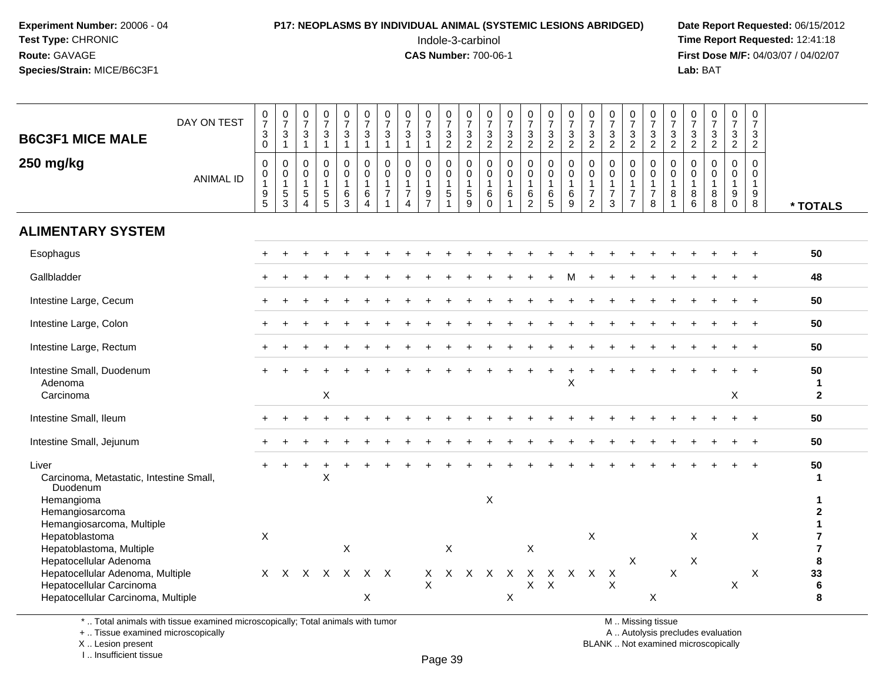### **P17: NEOPLASMS BY INDIVIDUAL ANIMAL (SYSTEMIC LESIONS ABRIDGED)** Date Report Requested: 06/15/2012<br>Indole-3-carbinol **Time Report Requested:** 12:41:18

 Indole-3-carbinol **Time Report Requested:** 12:41:18 **First Dose M/F:** 04/03/07 / 04/02/07<br>Lab: BAT **Lab:** BAT

| DAY ON TEST<br><b>B6C3F1 MICE MALE</b><br>250 mg/kg                                                                                                                                                                                                                                                      | <b>ANIMAL ID</b> | $\begin{smallmatrix}0\\7\end{smallmatrix}$<br>$_{0}^{3}$<br>$\pmb{0}$<br>$\mathsf 0$<br>$\mathbf{1}$<br>$\boldsymbol{9}$<br>5 | $\frac{0}{7}$<br>$\frac{3}{1}$<br>0<br>$\mathbf 0$<br>$\mathbf{1}$<br>$\sqrt{5}$<br>3 | $\frac{0}{7}$<br>$\ensuremath{\mathsf{3}}$<br>$\mathbf{1}$<br>$\mathbf 0$<br>$\mathbf 0$<br>$\overline{1}$<br>$\overline{5}$<br>$\overline{4}$ | $\frac{0}{7}$<br>$\sqrt{3}$<br>$\mathbf{1}$<br>0<br>$\mathbf 0$<br>$\mathbf{1}$<br>$\,$ 5 $\,$<br>5 | $\begin{smallmatrix}0\\7\end{smallmatrix}$<br>$\ensuremath{\mathsf{3}}$<br>$\overline{1}$<br>$\mathsf 0$<br>$\mathbf 0$<br>$\mathbf{1}$<br>$\,6\,$<br>3 | $\frac{0}{7}$<br>$\ensuremath{\mathsf{3}}$<br>$\mathbf{1}$<br>$\mathbf 0$<br>$\pmb{0}$<br>$\mathbf{1}$<br>$\,6\,$<br>$\overline{4}$ | $\frac{0}{7}$<br>$\frac{3}{1}$<br>$\mathbf 0$<br>$\pmb{0}$<br>$\overline{1}$<br>$\overline{7}$<br>$\overline{1}$ | $\frac{0}{7}$<br>$\ensuremath{\mathsf{3}}$<br>$\mathbf{1}$<br>$\mathbf 0$<br>$\mathbf 0$<br>$\mathbf{1}$<br>$\overline{7}$<br>$\overline{4}$ | $\frac{0}{7}$<br>3<br>$\mathbf{1}$<br>0<br>$\Omega$<br>1<br>9<br>$\overline{7}$ | $\frac{0}{7}$<br>$\frac{3}{2}$<br>$\pmb{0}$<br>$\mathsf{O}\xspace$<br>$\mathbf{1}$<br>$\,$ 5 $\,$<br>$\overline{1}$ | $\begin{smallmatrix}0\\7\end{smallmatrix}$<br>$\frac{3}{2}$<br>$\pmb{0}$<br>$\mathsf{O}\xspace$<br>$\mathbf{1}$<br>$\mathbf 5$<br>9 | $\begin{smallmatrix}0\\7\end{smallmatrix}$<br>$\frac{3}{2}$<br>0<br>$\mathbf 0$<br>$\mathbf{1}$<br>$\,6\,$<br>$\Omega$ | $\begin{array}{c} 0 \\ 7 \end{array}$<br>$\frac{3}{2}$<br>$\pmb{0}$<br>$\mathsf{O}\xspace$<br>$\overline{1}$<br>$\,6\,$<br>$\overline{\mathbf{1}}$ | $\begin{smallmatrix}0\\7\end{smallmatrix}$<br>$\sqrt{3}$<br>$\overline{2}$<br>0<br>$\mathbf 0$<br>$\mathbf{1}$<br>$\,6\,$<br>$\overline{c}$ | $\frac{0}{7}$<br>$\sqrt{3}$<br>$\overline{2}$<br>$\pmb{0}$<br>$\mathbf 0$<br>$\mathbf{1}$<br>6<br>5 | $\frac{0}{7}$<br>3<br>$\overline{a}$<br>0<br>0<br>$\mathbf{1}$<br>6<br>9 | $\frac{0}{7}$<br>$\ensuremath{\mathsf{3}}$<br>$\boldsymbol{2}$<br>$\mathbf 0$<br>$\mathbf 0$<br>$\mathbf{1}$<br>$\overline{7}$<br>$\overline{2}$ | $\begin{array}{c} 0 \\ 7 \end{array}$<br>$\frac{3}{2}$<br>$\mathbf 0$<br>$\pmb{0}$<br>$\overline{1}$<br>$\overline{7}$<br>3 | $\frac{0}{7}$<br>$\ensuremath{\mathsf{3}}$<br>$\overline{2}$<br>0<br>$\mathbf 0$<br>$\mathbf{1}$<br>$\overline{7}$<br>$\overline{7}$ | $\frac{0}{7}$<br>$\sqrt{3}$<br>$\overline{2}$<br>$\mathbf 0$<br>$\mathbf 0$<br>$\mathbf{1}$<br>$\overline{7}$<br>8 | $\begin{smallmatrix}0\\7\end{smallmatrix}$<br>$\sqrt{3}$<br>$\overline{2}$<br>$\mathbf 0$<br>$\mathbf 0$<br>$\mathbf{1}$<br>8 | $\frac{0}{7}$<br>$\frac{3}{2}$<br>$\mathbf 0$<br>$\Omega$<br>$\mathbf{1}$<br>$\bf 8$<br>6 | $\frac{0}{7}$<br>$\frac{3}{2}$<br>$\mathbf 0$<br>$\mathbf 0$<br>$\mathbf{1}$<br>$\bf 8$<br>8 | $\begin{array}{c} 0 \\ 7 \end{array}$<br>$\frac{3}{2}$<br>$\mathbf 0$<br>$\mathsf{O}\xspace$<br>$\mathbf{1}$<br>$\boldsymbol{9}$<br>$\mathsf{O}\xspace$ | $\begin{array}{c} 0 \\ 7 \end{array}$<br>$\mathsf 3$<br>$\overline{2}$<br>$\mathbf 0$<br>$\mathbf 0$<br>$\mathbf{1}$<br>$\boldsymbol{9}$<br>8 | * TOTALS                                  |
|----------------------------------------------------------------------------------------------------------------------------------------------------------------------------------------------------------------------------------------------------------------------------------------------------------|------------------|-------------------------------------------------------------------------------------------------------------------------------|---------------------------------------------------------------------------------------|------------------------------------------------------------------------------------------------------------------------------------------------|-----------------------------------------------------------------------------------------------------|---------------------------------------------------------------------------------------------------------------------------------------------------------|-------------------------------------------------------------------------------------------------------------------------------------|------------------------------------------------------------------------------------------------------------------|----------------------------------------------------------------------------------------------------------------------------------------------|---------------------------------------------------------------------------------|---------------------------------------------------------------------------------------------------------------------|-------------------------------------------------------------------------------------------------------------------------------------|------------------------------------------------------------------------------------------------------------------------|----------------------------------------------------------------------------------------------------------------------------------------------------|---------------------------------------------------------------------------------------------------------------------------------------------|-----------------------------------------------------------------------------------------------------|--------------------------------------------------------------------------|--------------------------------------------------------------------------------------------------------------------------------------------------|-----------------------------------------------------------------------------------------------------------------------------|--------------------------------------------------------------------------------------------------------------------------------------|--------------------------------------------------------------------------------------------------------------------|-------------------------------------------------------------------------------------------------------------------------------|-------------------------------------------------------------------------------------------|----------------------------------------------------------------------------------------------|---------------------------------------------------------------------------------------------------------------------------------------------------------|-----------------------------------------------------------------------------------------------------------------------------------------------|-------------------------------------------|
| <b>ALIMENTARY SYSTEM</b>                                                                                                                                                                                                                                                                                 |                  |                                                                                                                               |                                                                                       |                                                                                                                                                |                                                                                                     |                                                                                                                                                         |                                                                                                                                     |                                                                                                                  |                                                                                                                                              |                                                                                 |                                                                                                                     |                                                                                                                                     |                                                                                                                        |                                                                                                                                                    |                                                                                                                                             |                                                                                                     |                                                                          |                                                                                                                                                  |                                                                                                                             |                                                                                                                                      |                                                                                                                    |                                                                                                                               |                                                                                           |                                                                                              |                                                                                                                                                         |                                                                                                                                               |                                           |
| Esophagus                                                                                                                                                                                                                                                                                                |                  |                                                                                                                               |                                                                                       |                                                                                                                                                |                                                                                                     |                                                                                                                                                         |                                                                                                                                     |                                                                                                                  |                                                                                                                                              |                                                                                 |                                                                                                                     |                                                                                                                                     |                                                                                                                        |                                                                                                                                                    |                                                                                                                                             |                                                                                                     |                                                                          |                                                                                                                                                  |                                                                                                                             |                                                                                                                                      |                                                                                                                    |                                                                                                                               |                                                                                           |                                                                                              |                                                                                                                                                         | $\overline{+}$                                                                                                                                | 50                                        |
| Gallbladder                                                                                                                                                                                                                                                                                              |                  |                                                                                                                               |                                                                                       |                                                                                                                                                |                                                                                                     |                                                                                                                                                         |                                                                                                                                     |                                                                                                                  |                                                                                                                                              |                                                                                 |                                                                                                                     |                                                                                                                                     |                                                                                                                        |                                                                                                                                                    |                                                                                                                                             |                                                                                                     |                                                                          |                                                                                                                                                  |                                                                                                                             |                                                                                                                                      |                                                                                                                    |                                                                                                                               |                                                                                           |                                                                                              |                                                                                                                                                         | $^{+}$                                                                                                                                        | 48                                        |
| Intestine Large, Cecum                                                                                                                                                                                                                                                                                   |                  |                                                                                                                               |                                                                                       |                                                                                                                                                |                                                                                                     |                                                                                                                                                         |                                                                                                                                     |                                                                                                                  |                                                                                                                                              |                                                                                 |                                                                                                                     |                                                                                                                                     |                                                                                                                        |                                                                                                                                                    |                                                                                                                                             |                                                                                                     |                                                                          |                                                                                                                                                  |                                                                                                                             |                                                                                                                                      |                                                                                                                    |                                                                                                                               |                                                                                           |                                                                                              |                                                                                                                                                         |                                                                                                                                               | 50                                        |
| Intestine Large, Colon                                                                                                                                                                                                                                                                                   |                  |                                                                                                                               |                                                                                       |                                                                                                                                                |                                                                                                     |                                                                                                                                                         |                                                                                                                                     |                                                                                                                  |                                                                                                                                              |                                                                                 |                                                                                                                     |                                                                                                                                     |                                                                                                                        |                                                                                                                                                    |                                                                                                                                             |                                                                                                     |                                                                          |                                                                                                                                                  |                                                                                                                             |                                                                                                                                      |                                                                                                                    |                                                                                                                               |                                                                                           |                                                                                              |                                                                                                                                                         | $\overline{+}$                                                                                                                                | 50                                        |
| Intestine Large, Rectum                                                                                                                                                                                                                                                                                  |                  |                                                                                                                               |                                                                                       |                                                                                                                                                |                                                                                                     |                                                                                                                                                         |                                                                                                                                     |                                                                                                                  |                                                                                                                                              |                                                                                 |                                                                                                                     |                                                                                                                                     |                                                                                                                        |                                                                                                                                                    |                                                                                                                                             |                                                                                                     |                                                                          |                                                                                                                                                  |                                                                                                                             |                                                                                                                                      |                                                                                                                    |                                                                                                                               |                                                                                           |                                                                                              |                                                                                                                                                         |                                                                                                                                               | 50                                        |
| Intestine Small, Duodenum<br>Adenoma<br>Carcinoma                                                                                                                                                                                                                                                        |                  |                                                                                                                               |                                                                                       |                                                                                                                                                | Χ                                                                                                   |                                                                                                                                                         |                                                                                                                                     |                                                                                                                  |                                                                                                                                              |                                                                                 |                                                                                                                     |                                                                                                                                     |                                                                                                                        |                                                                                                                                                    |                                                                                                                                             |                                                                                                     | X                                                                        |                                                                                                                                                  |                                                                                                                             |                                                                                                                                      |                                                                                                                    |                                                                                                                               |                                                                                           |                                                                                              | X                                                                                                                                                       |                                                                                                                                               | 50<br>$\mathbf 1$<br>$\mathbf{2}$         |
| Intestine Small, Ileum                                                                                                                                                                                                                                                                                   |                  |                                                                                                                               |                                                                                       |                                                                                                                                                |                                                                                                     |                                                                                                                                                         |                                                                                                                                     |                                                                                                                  |                                                                                                                                              |                                                                                 |                                                                                                                     |                                                                                                                                     |                                                                                                                        |                                                                                                                                                    |                                                                                                                                             |                                                                                                     |                                                                          |                                                                                                                                                  |                                                                                                                             |                                                                                                                                      |                                                                                                                    |                                                                                                                               |                                                                                           |                                                                                              |                                                                                                                                                         | $\ddot{}$                                                                                                                                     | 50                                        |
| Intestine Small, Jejunum                                                                                                                                                                                                                                                                                 |                  |                                                                                                                               |                                                                                       |                                                                                                                                                |                                                                                                     |                                                                                                                                                         |                                                                                                                                     |                                                                                                                  |                                                                                                                                              |                                                                                 |                                                                                                                     |                                                                                                                                     |                                                                                                                        |                                                                                                                                                    |                                                                                                                                             |                                                                                                     |                                                                          |                                                                                                                                                  |                                                                                                                             |                                                                                                                                      |                                                                                                                    |                                                                                                                               |                                                                                           |                                                                                              |                                                                                                                                                         |                                                                                                                                               | 50                                        |
| Liver<br>Carcinoma, Metastatic, Intestine Small,<br>Duodenum<br>Hemangioma<br>Hemangiosarcoma<br>Hemangiosarcoma, Multiple<br>Hepatoblastoma<br>Hepatoblastoma, Multiple<br>Hepatocellular Adenoma<br>Hepatocellular Adenoma, Multiple<br>Hepatocellular Carcinoma<br>Hepatocellular Carcinoma, Multiple |                  | X                                                                                                                             |                                                                                       |                                                                                                                                                | X                                                                                                   | $\mathsf X$                                                                                                                                             | X X X X X X X<br>X                                                                                                                  |                                                                                                                  |                                                                                                                                              | X.<br>X                                                                         | $\mathsf X$                                                                                                         |                                                                                                                                     | X                                                                                                                      | X X X X X X X X<br>X                                                                                                                               | $\boldsymbol{\mathsf{X}}$<br>X.                                                                                                             | $\mathsf{X}$                                                                                        |                                                                          | $\mathsf X$                                                                                                                                      | $\mathsf{X}$<br>X                                                                                                           | X                                                                                                                                    | X                                                                                                                  | X                                                                                                                             | X<br>X                                                                                    |                                                                                              | X                                                                                                                                                       | X<br>X                                                                                                                                        | 50<br>$\overline{7}$<br>8<br>33<br>6<br>8 |

\* .. Total animals with tissue examined microscopically; Total animals with tumor

+ .. Tissue examined microscopically

 Lesion present BLANK .. Not examined microscopicallyX .. Lesion present

I .. Insufficient tissue

Page 39

M .. Missing tissue

y the contract of the contract of the contract of the contract of the contract of  $\mathsf A$  . Autolysis precludes evaluation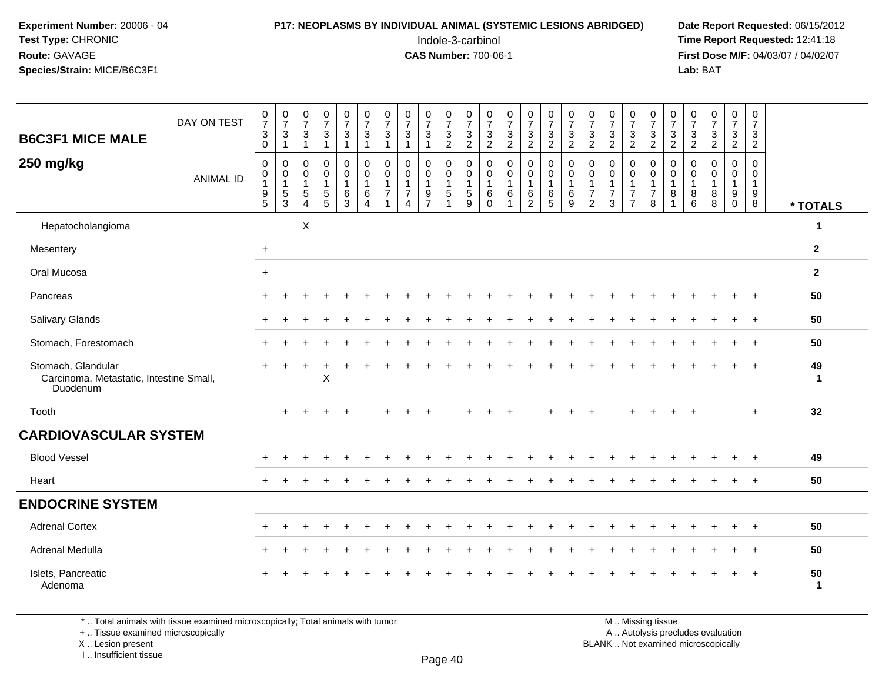### **P17: NEOPLASMS BY INDIVIDUAL ANIMAL (SYSTEMIC LESIONS ABRIDGED)** Date Report Requested: 06/15/2012<br>Indole-3-carbinol **Time Report Requested:** 12:41:18

 Indole-3-carbinol **Time Report Requested:** 12:41:18 **First Dose M/F:** 04/03/07 / 04/02/07<br>Lab: BAT **Lab:** BAT

| <b>B6C3F1 MICE MALE</b>                                                   | DAY ON TEST      | $\frac{0}{7}$<br>$\mathsf 3$<br>$\mathbf 0$                                              | $\frac{0}{7}$<br>3<br>$\overline{1}$                          | $\frac{0}{7}$<br>3<br>$\mathbf{1}$                                          | $\frac{0}{7}$<br>$\mathbf{3}$<br>$\overline{1}$ | $\begin{smallmatrix}0\\7\end{smallmatrix}$<br>3 | $\begin{array}{c} 0 \\ 7 \end{array}$<br>$\mathbf{3}$<br>$\overline{1}$ | $\frac{0}{7}$<br>3<br>$\mathbf{1}$                                           | $\begin{array}{c} 0 \\ 7 \end{array}$<br>$\sqrt{3}$<br>$\mathbf{1}$               | $\begin{array}{c} 0 \\ 7 \end{array}$<br>3<br>$\mathbf{1}$ | $\frac{0}{7}$<br>$\mathbf{3}$<br>$\overline{2}$ | $\begin{smallmatrix}0\\7\end{smallmatrix}$<br>$\frac{3}{2}$     | 0<br>$\overline{7}$<br>$\mathbf{3}$<br>$\overline{2}$ | $\begin{array}{c} 0 \\ 7 \end{array}$<br>$\ensuremath{\mathsf{3}}$<br>$\overline{2}$ | $\frac{0}{7}$<br>3<br>$\overline{2}$    | $\begin{array}{c} 0 \\ 7 \end{array}$<br>3<br>$\overline{2}$ | $\begin{array}{c} 0 \\ 7 \end{array}$<br>$\frac{3}{2}$   | $\frac{0}{7}$<br>3<br>$\overline{2}$                                   | $\begin{array}{c} 0 \\ 7 \end{array}$<br>$\mathbf{3}$<br>$\overline{2}$ | $\frac{0}{7}$<br>3<br>$\overline{2}$                       | $\frac{0}{7}$<br>$\mathbf{3}$<br>$\overline{2}$            | $\begin{smallmatrix}0\\7\end{smallmatrix}$<br>$\frac{3}{2}$ | 0<br>$\overline{7}$<br>3<br>2          | $\begin{array}{c} 0 \\ 7 \end{array}$<br>3<br>$\overline{2}$ | $\frac{0}{7}$<br>3<br>$\overline{2}$                      | $\begin{smallmatrix}0\\7\end{smallmatrix}$<br>3<br>$\overline{2}$ |                    |
|---------------------------------------------------------------------------|------------------|------------------------------------------------------------------------------------------|---------------------------------------------------------------|-----------------------------------------------------------------------------|-------------------------------------------------|-------------------------------------------------|-------------------------------------------------------------------------|------------------------------------------------------------------------------|-----------------------------------------------------------------------------------|------------------------------------------------------------|-------------------------------------------------|-----------------------------------------------------------------|-------------------------------------------------------|--------------------------------------------------------------------------------------|-----------------------------------------|--------------------------------------------------------------|----------------------------------------------------------|------------------------------------------------------------------------|-------------------------------------------------------------------------|------------------------------------------------------------|------------------------------------------------------------|-------------------------------------------------------------|----------------------------------------|--------------------------------------------------------------|-----------------------------------------------------------|-------------------------------------------------------------------|--------------------|
| 250 mg/kg                                                                 | <b>ANIMAL ID</b> | $\pmb{0}$<br>$\boldsymbol{0}$<br>$\overline{1}$<br>$\begin{array}{c} 9 \\ 5 \end{array}$ | $\mathbf 0$<br>$\mathbf 0$<br>$\mathbf{1}$<br>$\sqrt{5}$<br>3 | $\mathbf 0$<br>$\mathbf 0$<br>$\mathbf{1}$<br>$\,$ 5 $\,$<br>$\overline{4}$ | 0<br>0<br>$\mathbf{1}$<br>$\frac{5}{5}$         | 0<br>0<br>$\mathbf 1$<br>$^6_3$                 | $\pmb{0}$<br>$\pmb{0}$<br>$\overline{1}$<br>$\,6\,$<br>4                | $\mathbf 0$<br>$\mathbf 0$<br>$\mathbf{1}$<br>$\overline{7}$<br>$\mathbf{1}$ | $\boldsymbol{0}$<br>$\pmb{0}$<br>$\mathbf{1}$<br>$\overline{7}$<br>$\overline{4}$ | 0<br>$\mathbf 0$<br>$\mathbf{1}$<br>$\frac{9}{7}$          | 0<br>0<br>1<br>$\,$ 5 $\,$                      | $\mathbf 0$<br>$\mathbf 0$<br>$\overline{1}$<br>$\sqrt{5}$<br>9 | $\mathbf 0$<br>0<br>$\mathbf{1}$<br>6<br>$\Omega$     | $\mathbf 0$<br>$\mathbf 0$<br>$\mathbf{1}$<br>$\,6$<br>1                             | 0<br>0<br>$\mathbf{1}$<br>$\frac{6}{2}$ | 0<br>0<br>1<br>$6\over 5$                                    | $\pmb{0}$<br>$\pmb{0}$<br>$\overline{1}$<br>$\,6\,$<br>9 | $\mathbf 0$<br>0<br>$\overline{1}$<br>$\overline{7}$<br>$\overline{2}$ | $\pmb{0}$<br>$\mathbf 0$<br>$\mathbf{1}$<br>$\overline{7}$<br>3         | 0<br>0<br>$\mathbf{1}$<br>$\overline{7}$<br>$\overline{7}$ | 0<br>$\mathsf{O}$<br>$\mathbf{1}$<br>$\boldsymbol{7}$<br>8 | $\mathbf 0$<br>$\mathbf 0$<br>$\mathbf{1}$<br>$\, 8$<br>1   | 0<br>0<br>$\mathbf{1}$<br>$\,8\,$<br>6 | $\mathbf 0$<br>$\Omega$<br>$\mathbf{1}$<br>8<br>8            | 0<br>0<br>$\mathbf{1}$<br>$\boldsymbol{9}$<br>$\mathbf 0$ | 0<br>0<br>$\mathbf{1}$<br>$_{8}^{\rm 9}$                          | * TOTALS           |
| Hepatocholangioma                                                         |                  |                                                                                          |                                                               | X                                                                           |                                                 |                                                 |                                                                         |                                                                              |                                                                                   |                                                            |                                                 |                                                                 |                                                       |                                                                                      |                                         |                                                              |                                                          |                                                                        |                                                                         |                                                            |                                                            |                                                             |                                        |                                                              |                                                           |                                                                   | 1                  |
| Mesentery                                                                 |                  | $+$                                                                                      |                                                               |                                                                             |                                                 |                                                 |                                                                         |                                                                              |                                                                                   |                                                            |                                                 |                                                                 |                                                       |                                                                                      |                                         |                                                              |                                                          |                                                                        |                                                                         |                                                            |                                                            |                                                             |                                        |                                                              |                                                           |                                                                   | $\mathbf{2}$       |
| Oral Mucosa                                                               |                  | $+$                                                                                      |                                                               |                                                                             |                                                 |                                                 |                                                                         |                                                                              |                                                                                   |                                                            |                                                 |                                                                 |                                                       |                                                                                      |                                         |                                                              |                                                          |                                                                        |                                                                         |                                                            |                                                            |                                                             |                                        |                                                              |                                                           |                                                                   | $\mathbf{2}$       |
| Pancreas                                                                  |                  |                                                                                          |                                                               |                                                                             |                                                 |                                                 |                                                                         |                                                                              |                                                                                   |                                                            |                                                 |                                                                 |                                                       |                                                                                      |                                         |                                                              |                                                          |                                                                        |                                                                         |                                                            |                                                            |                                                             |                                        |                                                              |                                                           |                                                                   | 50                 |
| Salivary Glands                                                           |                  |                                                                                          |                                                               |                                                                             |                                                 |                                                 |                                                                         |                                                                              |                                                                                   |                                                            |                                                 |                                                                 |                                                       |                                                                                      |                                         |                                                              |                                                          |                                                                        |                                                                         |                                                            |                                                            |                                                             |                                        |                                                              | $\ddot{}$                                                 | $\ddot{}$                                                         | 50                 |
| Stomach, Forestomach                                                      |                  |                                                                                          |                                                               |                                                                             |                                                 |                                                 |                                                                         |                                                                              |                                                                                   |                                                            |                                                 |                                                                 |                                                       |                                                                                      |                                         |                                                              |                                                          |                                                                        |                                                                         |                                                            |                                                            |                                                             |                                        |                                                              | $\ddot{}$                                                 | $\overline{+}$                                                    | 50                 |
| Stomach, Glandular<br>Carcinoma, Metastatic, Intestine Small,<br>Duodenum |                  |                                                                                          |                                                               |                                                                             | $\overline{1}$<br>$\sf X$                       |                                                 |                                                                         |                                                                              |                                                                                   |                                                            |                                                 |                                                                 |                                                       |                                                                                      |                                         |                                                              |                                                          |                                                                        |                                                                         |                                                            |                                                            |                                                             |                                        |                                                              |                                                           | $\ddot{}$                                                         | 49<br>$\mathbf{1}$ |
| Tooth                                                                     |                  |                                                                                          | $+$                                                           |                                                                             | $\ddot{}$                                       | $\ddot{}$                                       |                                                                         | ÷                                                                            |                                                                                   | $\overline{+}$                                             |                                                 |                                                                 |                                                       |                                                                                      |                                         | $+$                                                          | $\pm$                                                    | $\ddot{}$                                                              |                                                                         | $+$                                                        | $\ddot{}$                                                  | $\pm$                                                       | $+$                                    |                                                              |                                                           | $+$                                                               | 32                 |
| <b>CARDIOVASCULAR SYSTEM</b>                                              |                  |                                                                                          |                                                               |                                                                             |                                                 |                                                 |                                                                         |                                                                              |                                                                                   |                                                            |                                                 |                                                                 |                                                       |                                                                                      |                                         |                                                              |                                                          |                                                                        |                                                                         |                                                            |                                                            |                                                             |                                        |                                                              |                                                           |                                                                   |                    |
| <b>Blood Vessel</b>                                                       |                  |                                                                                          |                                                               |                                                                             |                                                 |                                                 |                                                                         |                                                                              |                                                                                   |                                                            |                                                 |                                                                 |                                                       |                                                                                      |                                         |                                                              |                                                          |                                                                        |                                                                         |                                                            |                                                            |                                                             |                                        |                                                              |                                                           | $\pm$                                                             | 49                 |
| Heart                                                                     |                  |                                                                                          |                                                               |                                                                             |                                                 |                                                 |                                                                         |                                                                              |                                                                                   |                                                            |                                                 |                                                                 |                                                       |                                                                                      |                                         |                                                              |                                                          |                                                                        |                                                                         |                                                            |                                                            |                                                             |                                        |                                                              |                                                           | $\overline{+}$                                                    | 50                 |
| <b>ENDOCRINE SYSTEM</b>                                                   |                  |                                                                                          |                                                               |                                                                             |                                                 |                                                 |                                                                         |                                                                              |                                                                                   |                                                            |                                                 |                                                                 |                                                       |                                                                                      |                                         |                                                              |                                                          |                                                                        |                                                                         |                                                            |                                                            |                                                             |                                        |                                                              |                                                           |                                                                   |                    |
| <b>Adrenal Cortex</b>                                                     |                  |                                                                                          |                                                               |                                                                             |                                                 |                                                 |                                                                         |                                                                              |                                                                                   |                                                            |                                                 |                                                                 |                                                       |                                                                                      |                                         |                                                              |                                                          |                                                                        |                                                                         |                                                            |                                                            |                                                             |                                        |                                                              |                                                           | $\overline{+}$                                                    | 50                 |
| <b>Adrenal Medulla</b>                                                    |                  |                                                                                          |                                                               |                                                                             |                                                 |                                                 |                                                                         |                                                                              |                                                                                   |                                                            |                                                 |                                                                 |                                                       |                                                                                      |                                         |                                                              |                                                          |                                                                        |                                                                         |                                                            |                                                            |                                                             |                                        |                                                              | $\div$                                                    | $\overline{+}$                                                    | 50                 |
| Islets, Pancreatic<br>Adenoma                                             |                  |                                                                                          |                                                               |                                                                             |                                                 |                                                 |                                                                         |                                                                              |                                                                                   |                                                            |                                                 |                                                                 |                                                       |                                                                                      |                                         |                                                              |                                                          |                                                                        |                                                                         |                                                            |                                                            |                                                             |                                        |                                                              |                                                           | $\ddot{}$                                                         | 50<br>$\mathbf{1}$ |

\* .. Total animals with tissue examined microscopically; Total animals with tumor

+ .. Tissue examined microscopically

 Lesion present BLANK .. Not examined microscopicallyX .. Lesion present

I .. Insufficient tissue

M .. Missing tissue y the contract of the contract of the contract of the contract of the contract of  $\mathsf A$  . Autolysis precludes evaluation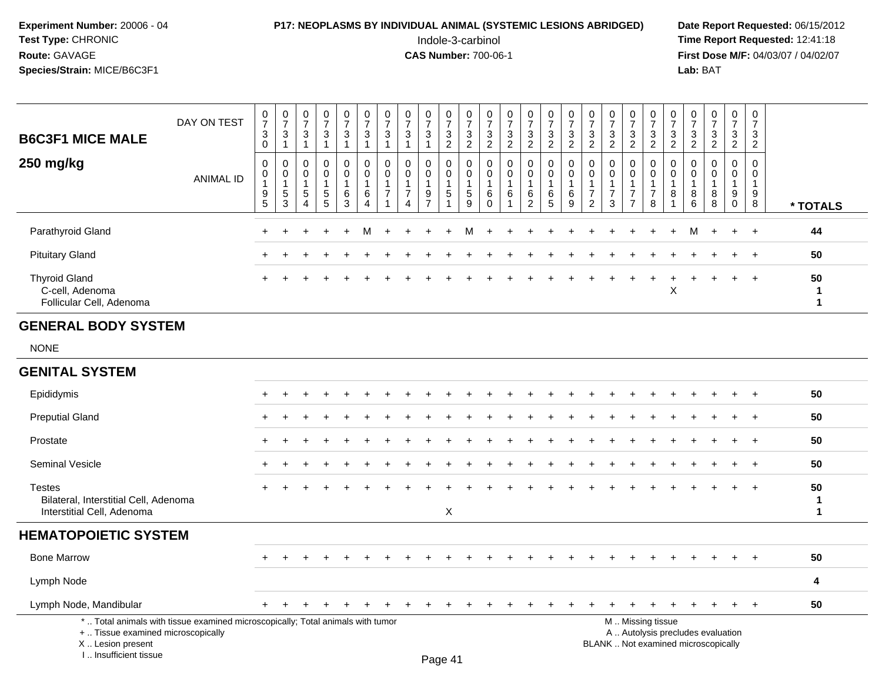# **P17: NEOPLASMS BY INDIVIDUAL ANIMAL (SYSTEMIC LESIONS ABRIDGED)** Date Report Requested: 06/15/2012<br>Indole-3-carbinol **Time Report Requested:** 12:41:18

| <b>B6C3F1 MICE MALE</b>                                             | DAY ON TEST      | $\frac{0}{7}$<br>$\sqrt{3}$<br>$\mathbf 0$                                            | $\frac{0}{7}$<br>3                 | $\overline{ }$<br>3                                        | 0<br>$\overline{ }$<br>$\sqrt{3}$                            | 0<br>$\overline{ }$<br>3           | 0<br>$\overline{z}$<br>$\sqrt{3}$             | $\frac{0}{7}$<br>3                                             | $\overline{7}$<br>$\ensuremath{\mathsf{3}}$                        | 0<br>$\overline{ }$<br>3      | $\frac{0}{7}$<br>3<br>$\overline{2}$ | 0<br>$\overline{ }$<br>$\sqrt{3}$<br>2                          | $\frac{0}{7}$<br>3<br>2      | $\overline{ }$<br>$\ensuremath{\mathsf{3}}$<br>$\overline{c}$ | $\frac{0}{7}$<br>3<br>$\overline{2}$ | $\frac{0}{7}$<br>$\mathbf{3}$<br>$\overline{2}$ | 0<br>$\overline{ }$<br>$\ensuremath{\mathsf{3}}$<br>$\overline{2}$          | $\frac{0}{7}$<br>$\ensuremath{\mathsf{3}}$<br>$\overline{2}$                     | $\overline{7}$<br>$\mathbf{3}$<br>$\overline{2}$ | 0<br>$\overline{ }$<br>3<br>$\overline{2}$ | 0<br>$\overline{7}$<br>$\sqrt{3}$<br>$\overline{2}$ | 0<br>$\overline{ }$<br>$\ensuremath{\mathsf{3}}$<br>2 | $\overline{ }$<br>3<br>$\overline{2}$ | 0<br>$\overline{ }$<br>$\sqrt{3}$<br>$\overline{c}$ | 0<br>$\overline{7}$<br>3<br>$\overline{2}$ | $\overline{7}$<br>3<br>$\overline{c}$ |          |
|---------------------------------------------------------------------|------------------|---------------------------------------------------------------------------------------|------------------------------------|------------------------------------------------------------|--------------------------------------------------------------|------------------------------------|-----------------------------------------------|----------------------------------------------------------------|--------------------------------------------------------------------|-------------------------------|--------------------------------------|-----------------------------------------------------------------|------------------------------|---------------------------------------------------------------|--------------------------------------|-------------------------------------------------|-----------------------------------------------------------------------------|----------------------------------------------------------------------------------|--------------------------------------------------|--------------------------------------------|-----------------------------------------------------|-------------------------------------------------------|---------------------------------------|-----------------------------------------------------|--------------------------------------------|---------------------------------------|----------|
| 250 mg/kg                                                           | <b>ANIMAL ID</b> | $\begin{smallmatrix}0\\0\end{smallmatrix}$<br>$\overline{A}$<br>$\boldsymbol{9}$<br>5 | 0<br>$\mbox{O}$<br>$\sqrt{5}$<br>3 | $\begin{smallmatrix}0\0\0\end{smallmatrix}$<br>$\,$ 5 $\,$ | $\begin{smallmatrix}0\0\0\end{smallmatrix}$<br>$\frac{5}{5}$ | $\mathbf 0$<br>$\pmb{0}$<br>6<br>3 | $_{\rm 0}^{\rm 0}$<br>$\,6$<br>$\overline{4}$ | $\begin{smallmatrix} 0\\0 \end{smallmatrix}$<br>$\overline{ }$ | $\begin{smallmatrix}0\0\0\end{smallmatrix}$<br>$\overline{7}$<br>4 | $_0^0$<br>9<br>$\overline{ }$ | $_0^0$<br>5                          | $\begin{smallmatrix} 0\\0 \end{smallmatrix}$<br>$\sqrt{5}$<br>9 | $_{\rm 0}^{\rm 0}$<br>6<br>0 | $\boldsymbol{0}$<br>$\mathbf 0$<br>6                          | $_0^0$<br>6<br>$\overline{2}$        | $_{\rm 0}^{\rm 0}$<br>$6\over 5$                | $\begin{smallmatrix} 0\\0 \end{smallmatrix}$<br>$\,6\,$<br>$\boldsymbol{9}$ | $\begin{smallmatrix} 0\\0 \end{smallmatrix}$<br>$\overline{ }$<br>$\overline{c}$ | $_{0}^{0}$<br>$\overline{z}$<br>3                | 0<br>$\pmb{0}$<br>$\overline{ }$           | $_{\rm 0}^{\rm 0}$<br>$\overline{7}$<br>$\, 8$      | $_{\rm 0}^{\rm 0}$<br>8                               | 0<br>$\mathbf 0$<br>8<br>6            | $\pmb{0}$<br>$\mathbf 0$<br>8<br>8                  | 0<br>$\mathsf 0$<br>9<br>$\mathbf 0$       | $\mathbf 0$<br>9<br>8                 | * TOTALS |
|                                                                     |                  |                                                                                       |                                    |                                                            |                                                              |                                    |                                               |                                                                |                                                                    |                               |                                      |                                                                 |                              |                                                               |                                      |                                                 |                                                                             |                                                                                  |                                                  |                                            |                                                     |                                                       |                                       |                                                     |                                            |                                       |          |
| Parathyroid Gland                                                   |                  |                                                                                       |                                    |                                                            | $\ddot{}$                                                    | $\ddot{}$                          | M                                             | $+$                                                            |                                                                    | $\ddot{}$                     | $+$                                  | M                                                               |                              |                                                               |                                      |                                                 |                                                                             |                                                                                  |                                                  |                                            |                                                     | $\ddot{}$                                             | м                                     | $\div$                                              | $+$                                        | $+$                                   | 44       |
| <b>Pituitary Gland</b>                                              |                  |                                                                                       |                                    |                                                            |                                                              |                                    |                                               |                                                                |                                                                    |                               |                                      |                                                                 |                              |                                                               |                                      |                                                 |                                                                             |                                                                                  |                                                  |                                            |                                                     |                                                       |                                       |                                                     | $+$                                        | $+$                                   | 50       |
| <b>Thyroid Gland</b><br>C-cell, Adenoma<br>Follicular Cell, Adenoma |                  | $\ddot{}$                                                                             |                                    |                                                            |                                                              |                                    |                                               |                                                                |                                                                    |                               |                                      |                                                                 |                              |                                                               |                                      |                                                 |                                                                             |                                                                                  |                                                  |                                            |                                                     | X                                                     |                                       |                                                     | $+$                                        | $+$                                   | 50       |
| <b>GENERAL BODY SYSTEM</b>                                          |                  |                                                                                       |                                    |                                                            |                                                              |                                    |                                               |                                                                |                                                                    |                               |                                      |                                                                 |                              |                                                               |                                      |                                                 |                                                                             |                                                                                  |                                                  |                                            |                                                     |                                                       |                                       |                                                     |                                            |                                       |          |
| <b>NONE</b>                                                         |                  |                                                                                       |                                    |                                                            |                                                              |                                    |                                               |                                                                |                                                                    |                               |                                      |                                                                 |                              |                                                               |                                      |                                                 |                                                                             |                                                                                  |                                                  |                                            |                                                     |                                                       |                                       |                                                     |                                            |                                       |          |

| <b>GENITAL SYSTEM</b>                                                                                                                                               |  |  |  |  |        |  |  |  |                                     |                                                        |  |  |     |         |
|---------------------------------------------------------------------------------------------------------------------------------------------------------------------|--|--|--|--|--------|--|--|--|-------------------------------------|--------------------------------------------------------|--|--|-----|---------|
| Epididymis                                                                                                                                                          |  |  |  |  |        |  |  |  |                                     |                                                        |  |  |     | 50      |
| <b>Preputial Gland</b>                                                                                                                                              |  |  |  |  |        |  |  |  |                                     |                                                        |  |  |     | 50      |
| Prostate                                                                                                                                                            |  |  |  |  |        |  |  |  |                                     |                                                        |  |  |     | 50      |
| Seminal Vesicle                                                                                                                                                     |  |  |  |  |        |  |  |  |                                     |                                                        |  |  | $+$ | 50      |
| <b>Testes</b><br>Bilateral, Interstitial Cell, Adenoma<br>Interstitial Cell, Adenoma                                                                                |  |  |  |  | X      |  |  |  |                                     |                                                        |  |  | $+$ | 50<br>1 |
| <b>HEMATOPOIETIC SYSTEM</b>                                                                                                                                         |  |  |  |  |        |  |  |  |                                     |                                                        |  |  |     |         |
| <b>Bone Marrow</b>                                                                                                                                                  |  |  |  |  |        |  |  |  |                                     |                                                        |  |  |     | 50      |
| Lymph Node                                                                                                                                                          |  |  |  |  |        |  |  |  |                                     |                                                        |  |  |     | 4       |
| Lymph Node, Mandibular                                                                                                                                              |  |  |  |  |        |  |  |  |                                     |                                                        |  |  |     | 50      |
| *  Total animals with tissue examined microscopically; Total animals with tumor<br>+  Tissue examined microscopically<br>X  Lesion present<br>I Insufficient tissue |  |  |  |  | Dao A1 |  |  |  | BLANK  Not examined microscopically | M  Missing tissue<br>A  Autolysis precludes evaluation |  |  |     |         |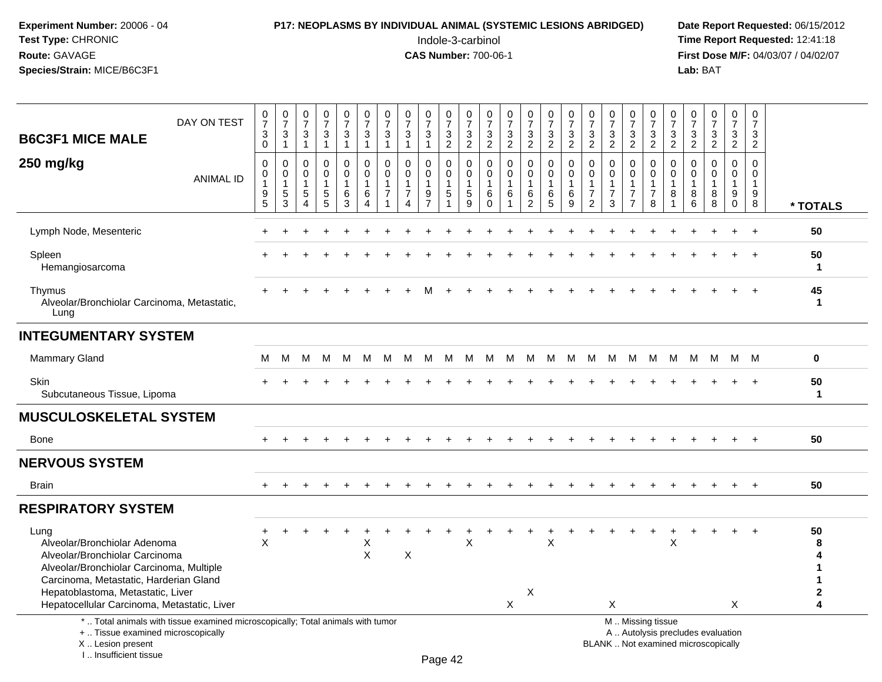# **P17: NEOPLASMS BY INDIVIDUAL ANIMAL (SYSTEMIC LESIONS ABRIDGED)** Date Report Requested: 06/15/2012<br>Indole-3-carbinol **Time Report Requested:** 12:41:18

| DAY ON TEST<br><b>B6C3F1 MICE MALE</b>                                                                                                                                                                                                           | 0<br>$\overline{7}$<br>3<br>$\mathbf 0$ | $\pmb{0}$<br>$\overline{7}$<br>3<br>$\overline{1}$ | $\mathbf 0$<br>$\overline{7}$<br>3<br>$\mathbf{1}$                                  | $\pmb{0}$<br>$\overline{7}$<br>3<br>$\mathbf{1}$ | $\pmb{0}$<br>$\overline{7}$<br>$\mathbf{3}$<br>$\mathbf{1}$ | $\pmb{0}$<br>$\overline{7}$<br>3<br>$\mathbf{1}$     | 0<br>$\overline{7}$<br>3<br>$\mathbf{1}$       | 0<br>$\overline{7}$<br>3<br>$\mathbf{1}$                                       | 0<br>$\overline{7}$<br>3<br>$\mathbf{1}$ | 0<br>$\overline{7}$<br>$\ensuremath{\mathsf{3}}$<br>$\overline{2}$ | $\pmb{0}$<br>$\overline{7}$<br>$\ensuremath{\mathsf{3}}$<br>$\overline{2}$ | 0<br>$\overline{7}$<br>3<br>$\overline{2}$       | 0<br>$\overline{7}$<br>$\mathbf{3}$<br>$\overline{2}$ | 0<br>$\overline{7}$<br>3<br>$\overline{c}$   | $\pmb{0}$<br>$\overline{7}$<br>$\ensuremath{\mathsf{3}}$<br>$\overline{2}$ | $\pmb{0}$<br>$\overline{7}$<br>$\sqrt{3}$<br>$\overline{2}$ | 0<br>$\overline{7}$<br>3<br>$\overline{2}$           | 0<br>$\overline{7}$<br>3<br>$\overline{2}$                        | 0<br>$\overline{7}$<br>3<br>2                      | 0<br>$\overline{7}$<br>$\ensuremath{\mathsf{3}}$<br>$\overline{2}$ | 0<br>$\overline{7}$<br>$\mathbf{3}$<br>$\overline{2}$ | 0<br>$\overline{7}$<br>3<br>$\overline{2}$ | $\pmb{0}$<br>$\overline{7}$<br>$\mathbf{3}$<br>$\overline{2}$ | $\pmb{0}$<br>$\overline{7}$<br>3<br>$\overline{2}$ | $\mathbf 0$<br>$\overline{7}$<br>$\ensuremath{\mathsf{3}}$<br>$\overline{2}$ |                        |
|--------------------------------------------------------------------------------------------------------------------------------------------------------------------------------------------------------------------------------------------------|-----------------------------------------|----------------------------------------------------|-------------------------------------------------------------------------------------|--------------------------------------------------|-------------------------------------------------------------|------------------------------------------------------|------------------------------------------------|--------------------------------------------------------------------------------|------------------------------------------|--------------------------------------------------------------------|----------------------------------------------------------------------------|--------------------------------------------------|-------------------------------------------------------|----------------------------------------------|----------------------------------------------------------------------------|-------------------------------------------------------------|------------------------------------------------------|-------------------------------------------------------------------|----------------------------------------------------|--------------------------------------------------------------------|-------------------------------------------------------|--------------------------------------------|---------------------------------------------------------------|----------------------------------------------------|------------------------------------------------------------------------------|------------------------|
| 250 mg/kg<br><b>ANIMAL ID</b>                                                                                                                                                                                                                    | 0<br>$\mathbf 0$<br>1<br>9<br>5         | 0<br>0<br>$\overline{1}$<br>5<br>3                 | $\mathbf 0$<br>$\Omega$<br>$\mathbf{1}$<br>$\overline{5}$<br>$\boldsymbol{\Lambda}$ | 0<br>$\mathbf 0$<br>1<br>5<br>5                  | 0<br>$\mathbf 0$<br>$\mathbf{1}$<br>$\,6\,$<br>3            | $\mathbf 0$<br>$\mathbf 0$<br>$\mathbf{1}$<br>6<br>4 | 0<br>$\Omega$<br>$\mathbf 1$<br>$\overline{7}$ | $\mathbf 0$<br>$\mathbf 0$<br>$\mathbf{1}$<br>$\overline{7}$<br>$\overline{4}$ | 0<br>$\mathbf 0$<br>1<br>9               | 0<br>$\mathbf 0$<br>$\mathbf{1}$<br>$\sqrt{5}$                     | $\mathbf 0$<br>$\mathbf 0$<br>$\overline{1}$<br>5<br>9                     | 0<br>$\Omega$<br>$\overline{1}$<br>6<br>$\Omega$ | $\mathbf 0$<br>$\Omega$<br>$\mathbf{1}$<br>6          | 0<br>$\mathbf 0$<br>1<br>6<br>$\overline{2}$ | 0<br>$\mathbf 0$<br>$\mathbf{1}$<br>$\,6\,$<br>5                           | $\mathbf 0$<br>$\mathbf 0$<br>$\mathbf{1}$<br>6<br>9        | 0<br>$\Omega$<br>$\mathbf{1}$<br>$\overline{7}$<br>2 | $\mathbf 0$<br>$\mathbf 0$<br>$\mathbf{1}$<br>$\overline{7}$<br>3 | 0<br>$\mathbf 0$<br>$\mathbf{1}$<br>$\overline{7}$ | 0<br>0<br>$\mathbf{1}$<br>$\overline{7}$<br>8                      | 0<br>$\mathbf 0$<br>$\mathbf{1}$<br>8                 | 0<br>$\Omega$<br>$\overline{1}$<br>8<br>6  | $\Omega$<br>$\Omega$<br>$\mathbf{1}$<br>8<br>8                | 0<br>$\mathbf 0$<br>1<br>9<br>0                    | $\mathbf 0$<br>$\mathbf 0$<br>$\mathbf{1}$<br>$9\,$<br>$\,8\,$               | * TOTALS               |
| Lymph Node, Mesenteric                                                                                                                                                                                                                           |                                         |                                                    |                                                                                     |                                                  |                                                             |                                                      |                                                |                                                                                |                                          |                                                                    |                                                                            |                                                  |                                                       |                                              |                                                                            |                                                             |                                                      |                                                                   |                                                    |                                                                    |                                                       |                                            |                                                               |                                                    | $\ddot{}$                                                                    | 50                     |
| Spleen<br>Hemangiosarcoma                                                                                                                                                                                                                        |                                         |                                                    |                                                                                     |                                                  |                                                             |                                                      |                                                |                                                                                |                                          |                                                                    |                                                                            |                                                  |                                                       |                                              |                                                                            |                                                             |                                                      |                                                                   |                                                    |                                                                    |                                                       |                                            |                                                               |                                                    | $\ddot{}$                                                                    | 50<br>-1               |
| Thymus<br>Alveolar/Bronchiolar Carcinoma, Metastatic,<br>Lung                                                                                                                                                                                    |                                         |                                                    |                                                                                     |                                                  |                                                             |                                                      |                                                |                                                                                |                                          |                                                                    |                                                                            |                                                  |                                                       |                                              |                                                                            |                                                             |                                                      |                                                                   |                                                    |                                                                    |                                                       |                                            |                                                               |                                                    |                                                                              | 45<br>$\mathbf{1}$     |
| <b>INTEGUMENTARY SYSTEM</b>                                                                                                                                                                                                                      |                                         |                                                    |                                                                                     |                                                  |                                                             |                                                      |                                                |                                                                                |                                          |                                                                    |                                                                            |                                                  |                                                       |                                              |                                                                            |                                                             |                                                      |                                                                   |                                                    |                                                                    |                                                       |                                            |                                                               |                                                    |                                                                              |                        |
| <b>Mammary Gland</b>                                                                                                                                                                                                                             | м                                       | м                                                  | M                                                                                   | M                                                | M                                                           | M                                                    | M                                              |                                                                                | M M                                      | M                                                                  | M                                                                          | M                                                |                                                       | M M                                          | M                                                                          | M                                                           | M                                                    |                                                                   | M M                                                | M                                                                  | M                                                     | M                                          |                                                               | M M M                                              |                                                                              | $\mathbf 0$            |
| <b>Skin</b><br>Subcutaneous Tissue, Lipoma                                                                                                                                                                                                       |                                         |                                                    |                                                                                     |                                                  |                                                             |                                                      |                                                |                                                                                |                                          |                                                                    |                                                                            |                                                  |                                                       |                                              |                                                                            |                                                             |                                                      |                                                                   |                                                    |                                                                    |                                                       |                                            |                                                               |                                                    | $\ddot{}$                                                                    | 50<br>$\mathbf{1}$     |
| <b>MUSCULOSKELETAL SYSTEM</b>                                                                                                                                                                                                                    |                                         |                                                    |                                                                                     |                                                  |                                                             |                                                      |                                                |                                                                                |                                          |                                                                    |                                                                            |                                                  |                                                       |                                              |                                                                            |                                                             |                                                      |                                                                   |                                                    |                                                                    |                                                       |                                            |                                                               |                                                    |                                                                              |                        |
| <b>Bone</b>                                                                                                                                                                                                                                      |                                         |                                                    |                                                                                     |                                                  |                                                             |                                                      |                                                |                                                                                |                                          |                                                                    |                                                                            |                                                  |                                                       |                                              |                                                                            |                                                             |                                                      |                                                                   |                                                    |                                                                    |                                                       |                                            |                                                               |                                                    |                                                                              | 50                     |
| <b>NERVOUS SYSTEM</b>                                                                                                                                                                                                                            |                                         |                                                    |                                                                                     |                                                  |                                                             |                                                      |                                                |                                                                                |                                          |                                                                    |                                                                            |                                                  |                                                       |                                              |                                                                            |                                                             |                                                      |                                                                   |                                                    |                                                                    |                                                       |                                            |                                                               |                                                    |                                                                              |                        |
| <b>Brain</b>                                                                                                                                                                                                                                     |                                         |                                                    |                                                                                     |                                                  |                                                             |                                                      |                                                |                                                                                |                                          |                                                                    |                                                                            |                                                  |                                                       |                                              |                                                                            |                                                             |                                                      |                                                                   |                                                    |                                                                    |                                                       |                                            |                                                               |                                                    | $+$                                                                          | 50                     |
| <b>RESPIRATORY SYSTEM</b>                                                                                                                                                                                                                        |                                         |                                                    |                                                                                     |                                                  |                                                             |                                                      |                                                |                                                                                |                                          |                                                                    |                                                                            |                                                  |                                                       |                                              |                                                                            |                                                             |                                                      |                                                                   |                                                    |                                                                    |                                                       |                                            |                                                               |                                                    |                                                                              |                        |
| Lung<br>Alveolar/Bronchiolar Adenoma<br>Alveolar/Bronchiolar Carcinoma<br>Alveolar/Bronchiolar Carcinoma, Multiple<br>Carcinoma, Metastatic, Harderian Gland<br>Hepatoblastoma, Metastatic, Liver<br>Hepatocellular Carcinoma, Metastatic, Liver | $\ddot{}$<br>$\times$                   |                                                    |                                                                                     |                                                  |                                                             | X<br>$\times$                                        |                                                | X                                                                              |                                          |                                                                    | X                                                                          |                                                  | $\mathsf{X}$                                          | X                                            | $\div$<br>X                                                                |                                                             |                                                      | $\times$                                                          |                                                    | $\ddot{}$                                                          | $\ddot{}$<br>X                                        |                                            |                                                               | X                                                  | $\overline{+}$                                                               | 50<br>8<br>4<br>2<br>4 |
| *  Total animals with tissue examined microscopically; Total animals with tumor<br>+  Tissue examined microscopically<br>X  Lesion present<br>I Insufficient tissue                                                                              |                                         |                                                    |                                                                                     |                                                  |                                                             |                                                      |                                                |                                                                                |                                          | $D_{200}$ $A2$                                                     |                                                                            |                                                  |                                                       |                                              |                                                                            |                                                             |                                                      | BLANK  Not examined microscopically                               |                                                    | M  Missing tissue                                                  |                                                       |                                            | A  Autolysis precludes evaluation                             |                                                    |                                                                              |                        |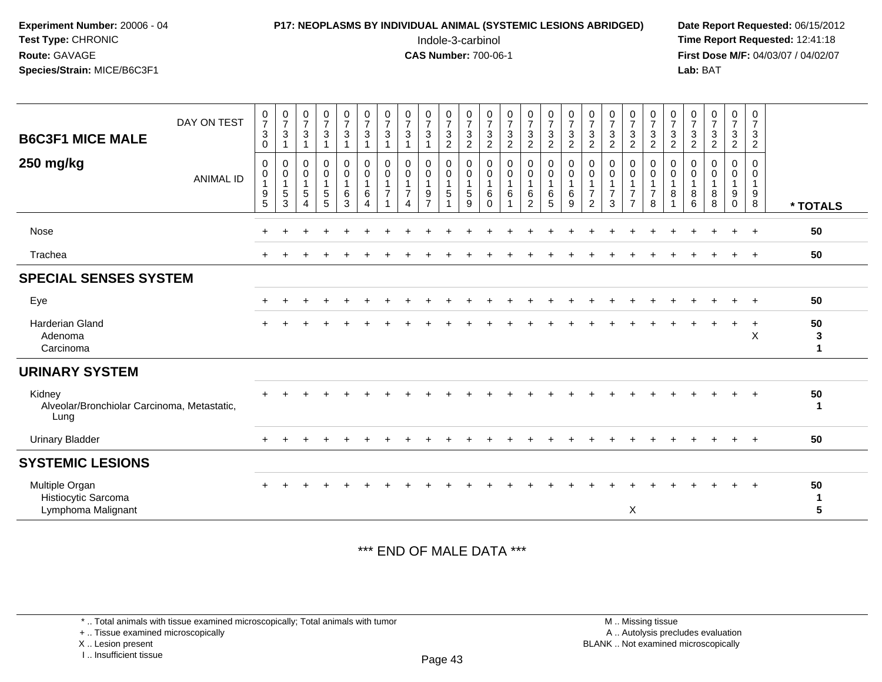### **P17: NEOPLASMS BY INDIVIDUAL ANIMAL (SYSTEMIC LESIONS ABRIDGED)** Date Report Requested: 06/15/2012<br>Indole-3-carbinol **Time Report Requested:** 12:41:18

 Indole-3-carbinol **Time Report Requested:** 12:41:18 **First Dose M/F:** 04/03/07 / 04/02/07<br>Lab: BAT **Lab:** BAT

| <b>B6C3F1 MICE MALE</b>                                       | DAY ON TEST      | $\frac{0}{7}$<br>$\sqrt{3}$<br>0             | $\frac{0}{7}$<br>$\sqrt{3}$                                             | $\frac{0}{7}$<br>$\mathbf{3}$                     | $\mathbf 0$<br>$\boldsymbol{7}$<br>$\mathbf{3}$                              | $\frac{0}{7}$<br>$\sqrt{3}$<br>$\mathbf{1}$                         | $\pmb{0}$<br>$\overline{7}$<br>3 | $\frac{0}{7}$<br>$\sqrt{3}$                        | $\frac{0}{7}$<br>$\sqrt{3}$                        | $\frac{0}{7}$<br>$\mathbf{3}$                             | $\frac{0}{7}$<br>$\mathbf{3}$<br>$\overline{2}$                                   | $\pmb{0}$<br>$\overline{7}$<br>3<br>2 | $\begin{array}{c} 0 \\ 7 \end{array}$<br>$\sqrt{3}$<br>$\overline{c}$ | $\frac{0}{7}$<br>$\sqrt{3}$<br>$\overline{2}$ | $\frac{0}{7}$<br>$\mathbf{3}$<br>$\boldsymbol{2}$                         | $\frac{0}{7}$<br>$\mathbf{3}$<br>$\overline{c}$        | $\frac{0}{7}$<br>3<br>$\overline{c}$                     | $\frac{0}{7}$<br>$\ensuremath{\mathsf{3}}$<br>$\overline{c}$       | $\frac{0}{7}$<br>$\sqrt{3}$<br>$\overline{2}$   | $\frac{0}{7}$<br>$\ensuremath{\mathsf{3}}$<br>$\overline{c}$           | $\pmb{0}$<br>$\overline{7}$<br>$\mathbf{3}$<br>$\overline{c}$          | $\frac{0}{7}$<br>3<br>2                | $\pmb{0}$<br>$\overline{7}$<br>$\ensuremath{\mathsf{3}}$<br>$\overline{c}$ | $\begin{array}{c} 0 \\ 7 \end{array}$<br>$\sqrt{3}$<br>$\overline{2}$ | $\begin{smallmatrix}0\\7\end{smallmatrix}$<br>$\mathbf{3}$<br>$\boldsymbol{2}$ | 0<br>$\overline{7}$<br>$\mathbf{3}$<br>$\overline{2}$ |                         |
|---------------------------------------------------------------|------------------|----------------------------------------------|-------------------------------------------------------------------------|---------------------------------------------------|------------------------------------------------------------------------------|---------------------------------------------------------------------|----------------------------------|----------------------------------------------------|----------------------------------------------------|-----------------------------------------------------------|-----------------------------------------------------------------------------------|---------------------------------------|-----------------------------------------------------------------------|-----------------------------------------------|---------------------------------------------------------------------------|--------------------------------------------------------|----------------------------------------------------------|--------------------------------------------------------------------|-------------------------------------------------|------------------------------------------------------------------------|------------------------------------------------------------------------|----------------------------------------|----------------------------------------------------------------------------|-----------------------------------------------------------------------|--------------------------------------------------------------------------------|-------------------------------------------------------|-------------------------|
| 250 mg/kg                                                     | <b>ANIMAL ID</b> | 0<br>0<br>$\boldsymbol{9}$<br>$\overline{5}$ | $\pmb{0}$<br>$\pmb{0}$<br>$\mathbf{1}$<br>$\,$ 5 $\,$<br>$\overline{3}$ | 0<br>$\pmb{0}$<br>$\mathbf{1}$<br>$\sqrt{5}$<br>4 | $\mathbf 0$<br>$\mathbf 0$<br>$\overline{1}$<br>$\sqrt{5}$<br>$\overline{5}$ | $\pmb{0}$<br>$\mathsf 0$<br>$\mathbf{1}$<br>$\,6\,$<br>$\mathbf{3}$ | 0<br>0<br>$\,6$<br>4             | 0<br>$\mathbf 0$<br>$\mathbf{1}$<br>$\overline{7}$ | 0<br>$\pmb{0}$<br>$\overline{7}$<br>$\overline{4}$ | 0<br>$\mathbf 0$<br>$\overline{1}$<br>9<br>$\overline{7}$ | $\,0\,$<br>$\boldsymbol{0}$<br>$\overline{1}$<br>$\overline{5}$<br>$\overline{1}$ | 0<br>0<br>1<br>$\mathbf 5$<br>9       | 0<br>0<br>$\mathbf{1}$<br>6<br>$\Omega$                               | $\pmb{0}$<br>$\pmb{0}$<br>$\,6\,$             | $\mathbf 0$<br>$\mathbf 0$<br>$\overline{1}$<br>$\,6\,$<br>$\overline{2}$ | $\pmb{0}$<br>$\pmb{0}$<br>$\mathbf{1}$<br>$\,6\,$<br>5 | $\mathbf 0$<br>$\mathbf 0$<br>$\mathbf{1}$<br>$\,6$<br>9 | 0<br>$\pmb{0}$<br>$\mathbf{1}$<br>$\overline{7}$<br>$\overline{c}$ | $\mathbf 0$<br>$\pmb{0}$<br>$\overline{7}$<br>3 | 0<br>$\mathbf 0$<br>$\mathbf{1}$<br>$\boldsymbol{7}$<br>$\overline{7}$ | $\mathbf 0$<br>$\boldsymbol{0}$<br>$\mathbf{1}$<br>$\overline{7}$<br>8 | 0<br>$\mathsf{O}$<br>$\mathbf{1}$<br>8 | 0<br>0<br>$\bf 8$<br>$6\phantom{a}$                                        | $\mathbf 0$<br>$\pmb{0}$<br>8<br>8                                    | 0<br>$\mathbf 0$<br>$\mathbf{1}$<br>$\boldsymbol{9}$<br>$\mathbf 0$            | 0<br>0<br>$\mathbf{1}$<br>9<br>8                      | * TOTALS                |
| <b>Nose</b>                                                   |                  | $\ddot{}$                                    |                                                                         |                                                   |                                                                              |                                                                     |                                  |                                                    |                                                    |                                                           |                                                                                   |                                       |                                                                       |                                               |                                                                           |                                                        |                                                          |                                                                    |                                                 |                                                                        |                                                                        |                                        |                                                                            |                                                                       | $\ddot{}$                                                                      | $+$                                                   | 50                      |
| Trachea                                                       |                  | $\ddot{}$                                    |                                                                         |                                                   |                                                                              |                                                                     |                                  |                                                    |                                                    |                                                           |                                                                                   |                                       |                                                                       |                                               |                                                                           |                                                        |                                                          |                                                                    |                                                 |                                                                        |                                                                        |                                        |                                                                            |                                                                       | $\ddot{}$                                                                      | $^{+}$                                                | 50                      |
| <b>SPECIAL SENSES SYSTEM</b>                                  |                  |                                              |                                                                         |                                                   |                                                                              |                                                                     |                                  |                                                    |                                                    |                                                           |                                                                                   |                                       |                                                                       |                                               |                                                                           |                                                        |                                                          |                                                                    |                                                 |                                                                        |                                                                        |                                        |                                                                            |                                                                       |                                                                                |                                                       |                         |
| Eye                                                           |                  | ÷                                            |                                                                         |                                                   |                                                                              |                                                                     |                                  |                                                    |                                                    |                                                           |                                                                                   |                                       |                                                                       |                                               |                                                                           |                                                        |                                                          |                                                                    |                                                 |                                                                        |                                                                        |                                        |                                                                            |                                                                       |                                                                                | $+$                                                   | 50                      |
| <b>Harderian Gland</b><br>Adenoma<br>Carcinoma                |                  |                                              |                                                                         |                                                   |                                                                              |                                                                     |                                  |                                                    |                                                    |                                                           |                                                                                   |                                       |                                                                       |                                               |                                                                           |                                                        |                                                          |                                                                    |                                                 |                                                                        |                                                                        |                                        |                                                                            |                                                                       | $\ddot{}$                                                                      | $^{+}$<br>$\mathsf X$                                 | 50<br>$\mathbf{3}$<br>1 |
| <b>URINARY SYSTEM</b>                                         |                  |                                              |                                                                         |                                                   |                                                                              |                                                                     |                                  |                                                    |                                                    |                                                           |                                                                                   |                                       |                                                                       |                                               |                                                                           |                                                        |                                                          |                                                                    |                                                 |                                                                        |                                                                        |                                        |                                                                            |                                                                       |                                                                                |                                                       |                         |
| Kidney<br>Alveolar/Bronchiolar Carcinoma, Metastatic,<br>Lung |                  |                                              |                                                                         |                                                   |                                                                              |                                                                     |                                  |                                                    |                                                    |                                                           |                                                                                   |                                       |                                                                       |                                               |                                                                           |                                                        |                                                          |                                                                    |                                                 |                                                                        |                                                                        |                                        |                                                                            |                                                                       |                                                                                |                                                       | 50<br>$\mathbf 1$       |
| <b>Urinary Bladder</b>                                        |                  | $\pm$                                        |                                                                         |                                                   |                                                                              |                                                                     |                                  |                                                    |                                                    |                                                           |                                                                                   |                                       |                                                                       |                                               |                                                                           |                                                        |                                                          |                                                                    |                                                 |                                                                        |                                                                        |                                        |                                                                            |                                                                       | $+$                                                                            | $+$                                                   | 50                      |
| <b>SYSTEMIC LESIONS</b>                                       |                  |                                              |                                                                         |                                                   |                                                                              |                                                                     |                                  |                                                    |                                                    |                                                           |                                                                                   |                                       |                                                                       |                                               |                                                                           |                                                        |                                                          |                                                                    |                                                 |                                                                        |                                                                        |                                        |                                                                            |                                                                       |                                                                                |                                                       |                         |
| Multiple Organ<br>Histiocytic Sarcoma<br>Lymphoma Malignant   |                  | ÷                                            |                                                                         |                                                   |                                                                              |                                                                     |                                  |                                                    |                                                    |                                                           |                                                                                   |                                       |                                                                       |                                               |                                                                           |                                                        |                                                          |                                                                    |                                                 | X                                                                      |                                                                        |                                        |                                                                            |                                                                       |                                                                                | $+$                                                   | 50<br>5                 |
|                                                               |                  |                                              |                                                                         |                                                   |                                                                              |                                                                     |                                  |                                                    |                                                    |                                                           |                                                                                   |                                       |                                                                       |                                               |                                                                           |                                                        |                                                          |                                                                    |                                                 |                                                                        |                                                                        |                                        |                                                                            |                                                                       |                                                                                |                                                       |                         |

\*\*\* END OF MALE DATA \*\*\*

\* .. Total animals with tissue examined microscopically; Total animals with tumor

+ .. Tissue examined microscopically

X .. Lesion present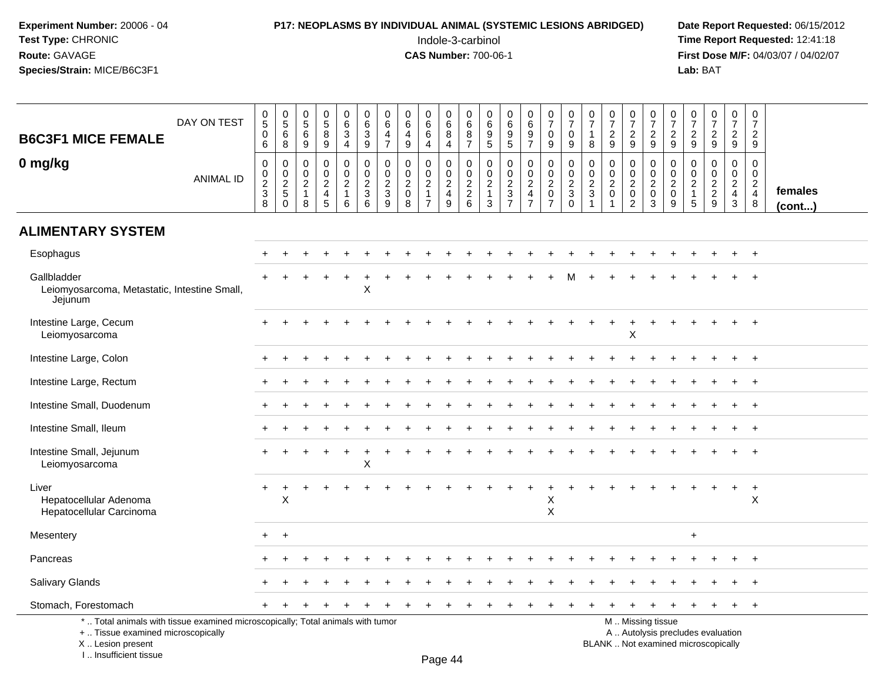I .. Insufficient tissue

# **P17: NEOPLASMS BY INDIVIDUAL ANIMAL (SYSTEMIC LESIONS ABRIDGED)** Date Report Requested: 06/15/2012<br>Indole-3-carbinol **Time Report Requested:** 12:41:18

| <b>B6C3F1 MICE FEMALE</b>                                                                                                                  | DAY ON TEST      | $\,0\,$<br>$\sqrt{5}$<br>0<br>6      | 0<br>$\,$ 5 $\,$<br>6<br>8                     | $\pmb{0}$<br>$\overline{5}$<br>6<br>$\overline{9}$    | $\begin{array}{c} 0 \\ 5 \\ 8 \end{array}$<br>9                   | 0<br>6<br>3<br>4                                        | $\mathbf 0$<br>$\,6\,$<br>$\sqrt{3}$<br>9 | 0<br>6<br>$\overline{4}$<br>$\overline{7}$       | 0<br>$6\phantom{1}6$<br>$\overline{4}$<br>9                      | 0<br>$\,6\,$<br>$\,6\,$<br>4                                       | 0<br>$\,6\,$<br>8<br>4                                            | 0<br>$\,6$<br>8<br>$\overline{7}$           | $\mathbf 0$<br>$\,6\,$<br>9<br>$\overline{5}$               | 0<br>$\,6\,$<br>9<br>$5\phantom{.0}$        | $\pmb{0}$<br>$\,6\,$<br>9<br>$\overline{7}$                                             | $\pmb{0}$<br>$\overline{7}$<br>$\mathbf 0$<br>9 | $\begin{array}{c} 0 \\ 7 \end{array}$<br>$\mathbf 0$<br>9 | 0<br>$\overline{7}$<br>$\mathbf{1}$<br>8             | $\frac{0}{7}$<br>$\overline{2}$<br>$9\,$  | 0<br>$\overline{7}$<br>$\overline{2}$<br>9                      | $\pmb{0}$<br>$\overline{7}$<br>$\overline{2}$<br>9                          | 0<br>$\overline{7}$<br>2<br>9                        | 0<br>$\overline{7}$<br>$\overline{2}$<br>9    | $\frac{0}{7}$<br>$\overline{a}$<br>$9\,$                                 | $\mathbf 0$<br>$\overline{7}$<br>$\overline{2}$<br>9        | $\mathbf 0$<br>$\overline{7}$<br>$\overline{2}$<br>9 |                         |
|--------------------------------------------------------------------------------------------------------------------------------------------|------------------|--------------------------------------|------------------------------------------------|-------------------------------------------------------|-------------------------------------------------------------------|---------------------------------------------------------|-------------------------------------------|--------------------------------------------------|------------------------------------------------------------------|--------------------------------------------------------------------|-------------------------------------------------------------------|---------------------------------------------|-------------------------------------------------------------|---------------------------------------------|-----------------------------------------------------------------------------------------|-------------------------------------------------|-----------------------------------------------------------|------------------------------------------------------|-------------------------------------------|-----------------------------------------------------------------|-----------------------------------------------------------------------------|------------------------------------------------------|-----------------------------------------------|--------------------------------------------------------------------------|-------------------------------------------------------------|------------------------------------------------------|-------------------------|
| 0 mg/kg                                                                                                                                    | <b>ANIMAL ID</b> | $\pmb{0}$<br>$\frac{0}{2}$<br>$\, 8$ | 0<br>$\pmb{0}$<br>$\frac{2}{5}$<br>$\mathbf 0$ | 0<br>$\pmb{0}$<br>$\overline{c}$<br>$\mathbf{1}$<br>8 | $\mathsf 0$<br>$\pmb{0}$<br>$\overline{2}$<br>$\overline{4}$<br>5 | 0<br>$\mathbf 0$<br>$\overline{2}$<br>$\mathbf{1}$<br>6 | $\pmb{0}$<br>$\frac{0}{2}$<br>6           | $\mathbf 0$<br>$\mathbf 0$<br>$\frac{2}{3}$<br>9 | $\mathbf 0$<br>$\mathbf 0$<br>$\overline{c}$<br>$\mathbf 0$<br>8 | 0<br>$\pmb{0}$<br>$\overline{2}$<br>$\mathbf{1}$<br>$\overline{7}$ | 0<br>$\mathsf{O}\xspace$<br>$\overline{2}$<br>$\overline{4}$<br>9 | $\mathbf 0$<br>$\pmb{0}$<br>$\frac{2}{2}$ 6 | $\mathbf 0$<br>$\mathbf 0$<br>$\frac{2}{1}$<br>$\mathbf{3}$ | $\mathbf 0$<br>$\mathbf 0$<br>$\frac{2}{3}$ | 0<br>$\mathsf{O}\xspace$<br>$\overline{2}$<br>$\overline{\mathbf{4}}$<br>$\overline{7}$ | $\pmb{0}$<br>$\frac{0}{2}$<br>$\overline{7}$    | 0<br>$\mathsf{O}\xspace$<br>$\frac{2}{3}$<br>$\mathbf 0$  | $\mathbf 0$<br>0<br>$\overline{2}$<br>$\mathfrak{Z}$ | $\mathbf 0$<br>$\pmb{0}$<br>$\frac{2}{0}$ | 0<br>$\pmb{0}$<br>$\overline{c}$<br>$\pmb{0}$<br>$\overline{2}$ | $\mathbf 0$<br>$\mathbf 0$<br>$\overline{2}$<br>$\mathbf 0$<br>$\mathbf{3}$ | 0<br>$\mathbf 0$<br>$\overline{c}$<br>$\pmb{0}$<br>9 | 0<br>0<br>$\overline{c}$<br>$\mathbf{1}$<br>5 | 0<br>$\pmb{0}$<br>$\begin{array}{c} 2 \\ 2 \\ 9 \end{array}$             | $\mathbf 0$<br>$\mathbf 0$<br>$\frac{2}{4}$<br>$\mathbf{3}$ | $\mathbf 0$<br>$\mathbf 0$<br>$\frac{2}{4}$<br>8     | females<br>$($ cont $)$ |
| <b>ALIMENTARY SYSTEM</b>                                                                                                                   |                  |                                      |                                                |                                                       |                                                                   |                                                         |                                           |                                                  |                                                                  |                                                                    |                                                                   |                                             |                                                             |                                             |                                                                                         |                                                 |                                                           |                                                      |                                           |                                                                 |                                                                             |                                                      |                                               |                                                                          |                                                             |                                                      |                         |
| Esophagus                                                                                                                                  |                  |                                      |                                                |                                                       |                                                                   |                                                         |                                           |                                                  |                                                                  |                                                                    |                                                                   |                                             |                                                             |                                             |                                                                                         |                                                 |                                                           |                                                      |                                           |                                                                 |                                                                             |                                                      |                                               |                                                                          |                                                             | $+$                                                  |                         |
| Gallbladder<br>Leiomyosarcoma, Metastatic, Intestine Small,<br>Jejunum                                                                     |                  |                                      |                                                |                                                       |                                                                   |                                                         | X                                         |                                                  |                                                                  |                                                                    |                                                                   |                                             |                                                             |                                             |                                                                                         |                                                 |                                                           |                                                      |                                           |                                                                 |                                                                             |                                                      |                                               |                                                                          |                                                             |                                                      |                         |
| Intestine Large, Cecum<br>Leiomyosarcoma                                                                                                   |                  |                                      |                                                |                                                       |                                                                   |                                                         |                                           |                                                  |                                                                  |                                                                    |                                                                   |                                             |                                                             |                                             |                                                                                         |                                                 |                                                           |                                                      |                                           | Χ                                                               |                                                                             |                                                      |                                               |                                                                          |                                                             | $\div$                                               |                         |
| Intestine Large, Colon                                                                                                                     |                  |                                      |                                                |                                                       |                                                                   |                                                         |                                           |                                                  |                                                                  |                                                                    |                                                                   |                                             |                                                             |                                             |                                                                                         |                                                 |                                                           |                                                      |                                           |                                                                 |                                                                             |                                                      |                                               |                                                                          |                                                             |                                                      |                         |
| Intestine Large, Rectum                                                                                                                    |                  |                                      |                                                |                                                       |                                                                   |                                                         |                                           |                                                  |                                                                  |                                                                    |                                                                   |                                             |                                                             |                                             |                                                                                         |                                                 |                                                           |                                                      |                                           |                                                                 |                                                                             |                                                      |                                               |                                                                          |                                                             | $\ddot{}$                                            |                         |
| Intestine Small, Duodenum                                                                                                                  |                  |                                      |                                                |                                                       |                                                                   |                                                         |                                           |                                                  |                                                                  |                                                                    |                                                                   |                                             |                                                             |                                             |                                                                                         |                                                 |                                                           |                                                      |                                           |                                                                 |                                                                             |                                                      |                                               |                                                                          |                                                             | $^{+}$                                               |                         |
| Intestine Small, Ileum                                                                                                                     |                  |                                      |                                                |                                                       |                                                                   |                                                         |                                           |                                                  |                                                                  |                                                                    |                                                                   |                                             |                                                             |                                             |                                                                                         |                                                 |                                                           |                                                      |                                           |                                                                 |                                                                             |                                                      |                                               |                                                                          | $\div$                                                      | $+$                                                  |                         |
| Intestine Small, Jejunum<br>Leiomyosarcoma                                                                                                 |                  |                                      |                                                |                                                       |                                                                   |                                                         | $\sf X$                                   |                                                  |                                                                  |                                                                    |                                                                   |                                             |                                                             |                                             |                                                                                         |                                                 |                                                           |                                                      |                                           |                                                                 |                                                                             |                                                      |                                               |                                                                          |                                                             |                                                      |                         |
| Liver<br>Hepatocellular Adenoma<br>Hepatocellular Carcinoma                                                                                |                  |                                      | X                                              |                                                       |                                                                   |                                                         |                                           |                                                  |                                                                  |                                                                    |                                                                   |                                             |                                                             |                                             |                                                                                         | Х<br>$\sf X$                                    |                                                           |                                                      |                                           |                                                                 |                                                                             |                                                      |                                               |                                                                          | $\ddot{}$                                                   | $\ddot{}$<br>X                                       |                         |
| Mesentery                                                                                                                                  |                  | $\pm$                                | $\ddot{}$                                      |                                                       |                                                                   |                                                         |                                           |                                                  |                                                                  |                                                                    |                                                                   |                                             |                                                             |                                             |                                                                                         |                                                 |                                                           |                                                      |                                           |                                                                 |                                                                             |                                                      | $\ddot{}$                                     |                                                                          |                                                             |                                                      |                         |
| Pancreas                                                                                                                                   |                  |                                      |                                                |                                                       |                                                                   |                                                         |                                           |                                                  |                                                                  |                                                                    |                                                                   |                                             |                                                             |                                             |                                                                                         |                                                 |                                                           |                                                      |                                           |                                                                 |                                                                             |                                                      |                                               |                                                                          |                                                             | $+$                                                  |                         |
| <b>Salivary Glands</b>                                                                                                                     |                  |                                      |                                                |                                                       |                                                                   |                                                         |                                           |                                                  |                                                                  |                                                                    |                                                                   |                                             |                                                             |                                             |                                                                                         |                                                 |                                                           |                                                      |                                           |                                                                 |                                                                             |                                                      |                                               |                                                                          |                                                             |                                                      |                         |
| Stomach, Forestomach                                                                                                                       |                  |                                      |                                                |                                                       |                                                                   |                                                         |                                           |                                                  |                                                                  |                                                                    |                                                                   |                                             |                                                             |                                             |                                                                                         |                                                 |                                                           |                                                      |                                           | ÷                                                               |                                                                             |                                                      |                                               | $\ddot{}$                                                                | $+$                                                         | $+$                                                  |                         |
| *  Total animals with tissue examined microscopically; Total animals with tumor<br>+  Tissue examined microscopically<br>X  Lesion present |                  |                                      |                                                |                                                       |                                                                   |                                                         |                                           |                                                  |                                                                  |                                                                    |                                                                   |                                             |                                                             |                                             |                                                                                         |                                                 |                                                           |                                                      |                                           |                                                                 | M  Missing tissue                                                           |                                                      |                                               | A  Autolysis precludes evaluation<br>BLANK  Not examined microscopically |                                                             |                                                      |                         |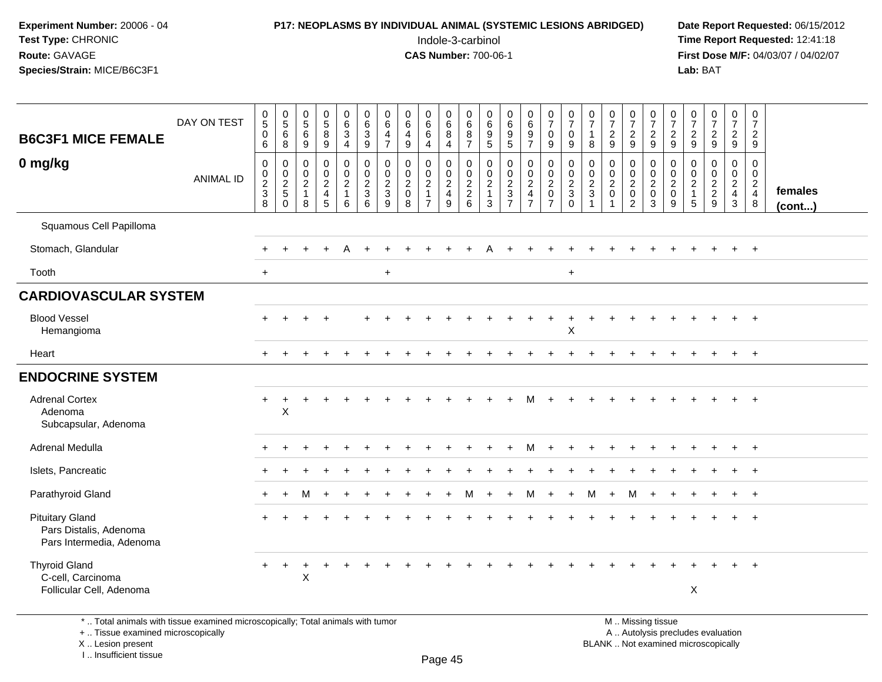# **P17: NEOPLASMS BY INDIVIDUAL ANIMAL (SYSTEMIC LESIONS ABRIDGED)** Date Report Requested: 06/15/2012<br>Indole-3-carbinol **Time Report Requested:** 12:41:18

 Indole-3-carbinol **Time Report Requested:** 12:41:18 **First Dose M/F:** 04/03/07 / 04/02/07<br>Lab: BAT **Lab:** BAT

| <b>B6C3F1 MICE FEMALE</b>                                                                                             | DAY ON TEST      | $\begin{array}{c} 0 \\ 5 \end{array}$<br>$\overline{0}$<br>$\,6$ | $\begin{array}{c} 0 \\ 5 \\ 6 \end{array}$<br>$\bf8$ | $\begin{array}{c} 0 \\ 5 \end{array}$<br>6<br>9         | $\begin{array}{c} 0 \\ 5 \end{array}$<br>$\overline{8}$<br>$\boldsymbol{9}$ | $\begin{array}{c} 0 \\ 6 \end{array}$<br>$\overline{3}$<br>$\overline{4}$ | $\begin{matrix} 0 \\ 6 \\ 3 \end{matrix}$<br>9          | 0<br>6<br>$\overline{4}$<br>$\overline{7}$              | $\pmb{0}$<br>$\,6$<br>$\overline{4}$<br>$9\,$                    | $\begin{array}{c} 0 \\ 6 \end{array}$<br>$6\phantom{a}$<br>$\overline{\mathbf{4}}$ | $\mathbf 0$<br>$\,6\,$<br>8<br>$\overline{\mathbf{4}}$    | 0<br>$\,6$<br>$\overline{8}$<br>$\overline{7}$          | 0<br>$\frac{6}{9}$<br>$\overline{5}$                    | $\begin{array}{c} 0 \\ 6 \end{array}$<br>$\overline{9}$<br>$\sqrt{5}$ | $\begin{array}{c} 0 \\ 6 \end{array}$<br>$\boldsymbol{9}$<br>$\overline{7}$ | $\begin{array}{c} 0 \\ 7 \end{array}$<br>$\mathbf 0$<br>9 | $\begin{smallmatrix}0\\7\end{smallmatrix}$<br>$\mathbf 0$<br>9 | $\frac{0}{7}$<br>$\mathbf{1}$<br>$\,8\,$                    | $\frac{0}{7}$<br>$\boldsymbol{2}$<br>9                    | $\begin{array}{c} 0 \\ 7 \end{array}$<br>$\frac{2}{9}$        | $\frac{0}{7}$<br>$\overline{c}$<br>$9\,$                         | $\frac{0}{7}$<br>$\sqrt{2}$<br>9                       | $\frac{0}{7}$<br>$\boldsymbol{2}$<br>$9\,$                        | $\frac{0}{7}$<br>$\overline{a}$<br>$9\,$ | $\begin{array}{c} 0 \\ 7 \end{array}$<br>$\overline{c}$<br>9           | $\pmb{0}$<br>$\boldsymbol{7}$<br>$\overline{c}$<br>9                |                   |
|-----------------------------------------------------------------------------------------------------------------------|------------------|------------------------------------------------------------------|------------------------------------------------------|---------------------------------------------------------|-----------------------------------------------------------------------------|---------------------------------------------------------------------------|---------------------------------------------------------|---------------------------------------------------------|------------------------------------------------------------------|------------------------------------------------------------------------------------|-----------------------------------------------------------|---------------------------------------------------------|---------------------------------------------------------|-----------------------------------------------------------------------|-----------------------------------------------------------------------------|-----------------------------------------------------------|----------------------------------------------------------------|-------------------------------------------------------------|-----------------------------------------------------------|---------------------------------------------------------------|------------------------------------------------------------------|--------------------------------------------------------|-------------------------------------------------------------------|------------------------------------------|------------------------------------------------------------------------|---------------------------------------------------------------------|-------------------|
| 0 mg/kg                                                                                                               | <b>ANIMAL ID</b> | 0<br>$\frac{0}{2}$<br>8                                          | 0<br>$\frac{0}{2}$<br>$\Omega$                       | 0<br>$\mathbf 0$<br>$\overline{2}$<br>$\mathbf{1}$<br>8 | 0<br>$\mathbf 0$<br>$\overline{2}$<br>$\overline{\mathbf{4}}$<br>5          | 0<br>$\frac{0}{2}$<br>$\mathbf{1}$<br>6                                   | 0<br>$\mathbf 0$<br>$\overline{2}$<br>$\mathbf{3}$<br>6 | 0<br>$\mathbf 0$<br>$\overline{2}$<br>$\mathbf{3}$<br>9 | $\mathbf 0$<br>$\mathbf 0$<br>$\overline{2}$<br>$\mathsf 0$<br>8 | 0<br>$\mathbf 0$<br>$\overline{2}$<br>$\mathbf{1}$<br>$\overline{7}$               | 0<br>$\mathbf 0$<br>2<br>$\overline{\mathbf{4}}$<br>$9\,$ | 0<br>$\mathbf 0$<br>$\mathbf{2}$<br>$\overline{c}$<br>6 | 0<br>$\mathbf 0$<br>$\overline{2}$<br>$\mathbf{1}$<br>3 | 0<br>$\mathsf{O}\xspace$<br>$rac{2}{3}$                               | 0<br>$\mathbf 0$<br>$\overline{2}$<br>$\frac{4}{7}$                         | 0<br>$\frac{0}{2}$<br>$\overline{0}$<br>7                 | 0<br>$\mathbf 0$<br>$\overline{2}$<br>$\mathbf{3}$<br>$\Omega$ | $\mathbf 0$<br>$\mathbf 0$<br>$\overline{2}$<br>$\mathsf 3$ | $\mathbf 0$<br>$\mathbf 0$<br>$\overline{2}$<br>$\pmb{0}$ | 0<br>$\mathbf 0$<br>$\sqrt{2}$<br>$\pmb{0}$<br>$\overline{2}$ | $\mathbf 0$<br>$\mathbf 0$<br>$\overline{2}$<br>$\mathsf 0$<br>3 | 0<br>$\mathbf 0$<br>$\overline{2}$<br>$\mathbf 0$<br>9 | $\mathbf 0$<br>$\mathbf 0$<br>$\overline{2}$<br>$\mathbf{1}$<br>5 | 0<br>$\mathbf 0$<br>$\frac{2}{9}$        | $\mathbf 0$<br>$\overline{0}$<br>$\overline{2}$<br>$\overline{4}$<br>3 | $\mathbf 0$<br>$\mathbf 0$<br>$\overline{2}$<br>$\overline{4}$<br>8 | females<br>(cont) |
| Squamous Cell Papilloma                                                                                               |                  |                                                                  |                                                      |                                                         |                                                                             |                                                                           |                                                         |                                                         |                                                                  |                                                                                    |                                                           |                                                         |                                                         |                                                                       |                                                                             |                                                           |                                                                |                                                             |                                                           |                                                               |                                                                  |                                                        |                                                                   |                                          |                                                                        |                                                                     |                   |
| Stomach, Glandular                                                                                                    |                  |                                                                  |                                                      |                                                         |                                                                             |                                                                           |                                                         |                                                         |                                                                  |                                                                                    |                                                           |                                                         |                                                         |                                                                       |                                                                             |                                                           |                                                                |                                                             |                                                           |                                                               |                                                                  |                                                        |                                                                   |                                          |                                                                        | $\overline{+}$                                                      |                   |
| Tooth                                                                                                                 |                  | $+$                                                              |                                                      |                                                         |                                                                             |                                                                           |                                                         | $+$                                                     |                                                                  |                                                                                    |                                                           |                                                         |                                                         |                                                                       |                                                                             |                                                           | $\ddot{}$                                                      |                                                             |                                                           |                                                               |                                                                  |                                                        |                                                                   |                                          |                                                                        |                                                                     |                   |
| <b>CARDIOVASCULAR SYSTEM</b>                                                                                          |                  |                                                                  |                                                      |                                                         |                                                                             |                                                                           |                                                         |                                                         |                                                                  |                                                                                    |                                                           |                                                         |                                                         |                                                                       |                                                                             |                                                           |                                                                |                                                             |                                                           |                                                               |                                                                  |                                                        |                                                                   |                                          |                                                                        |                                                                     |                   |
| <b>Blood Vessel</b><br>Hemangioma                                                                                     |                  |                                                                  |                                                      |                                                         |                                                                             |                                                                           |                                                         |                                                         |                                                                  |                                                                                    |                                                           |                                                         |                                                         |                                                                       |                                                                             |                                                           | X                                                              |                                                             |                                                           |                                                               |                                                                  |                                                        |                                                                   |                                          |                                                                        | $\overline{+}$                                                      |                   |
| Heart                                                                                                                 |                  |                                                                  |                                                      |                                                         |                                                                             |                                                                           |                                                         |                                                         |                                                                  |                                                                                    |                                                           |                                                         |                                                         |                                                                       |                                                                             |                                                           |                                                                |                                                             |                                                           |                                                               |                                                                  |                                                        |                                                                   |                                          |                                                                        | $+$                                                                 |                   |
| <b>ENDOCRINE SYSTEM</b>                                                                                               |                  |                                                                  |                                                      |                                                         |                                                                             |                                                                           |                                                         |                                                         |                                                                  |                                                                                    |                                                           |                                                         |                                                         |                                                                       |                                                                             |                                                           |                                                                |                                                             |                                                           |                                                               |                                                                  |                                                        |                                                                   |                                          |                                                                        |                                                                     |                   |
| <b>Adrenal Cortex</b><br>Adenoma<br>Subcapsular, Adenoma                                                              |                  | $^{+}$                                                           | +<br>$\boldsymbol{\mathsf{X}}$                       |                                                         |                                                                             |                                                                           |                                                         |                                                         |                                                                  |                                                                                    |                                                           |                                                         |                                                         |                                                                       |                                                                             |                                                           |                                                                |                                                             |                                                           |                                                               |                                                                  |                                                        |                                                                   |                                          |                                                                        |                                                                     |                   |
| Adrenal Medulla                                                                                                       |                  |                                                                  |                                                      |                                                         |                                                                             |                                                                           |                                                         |                                                         |                                                                  |                                                                                    |                                                           |                                                         |                                                         |                                                                       |                                                                             |                                                           |                                                                |                                                             |                                                           |                                                               |                                                                  |                                                        |                                                                   |                                          |                                                                        |                                                                     |                   |
| Islets, Pancreatic                                                                                                    |                  |                                                                  |                                                      |                                                         |                                                                             |                                                                           |                                                         |                                                         |                                                                  |                                                                                    |                                                           |                                                         |                                                         |                                                                       |                                                                             |                                                           |                                                                |                                                             |                                                           |                                                               |                                                                  |                                                        |                                                                   |                                          |                                                                        |                                                                     |                   |
| Parathyroid Gland                                                                                                     |                  |                                                                  | $\div$                                               | м                                                       |                                                                             |                                                                           |                                                         |                                                         |                                                                  |                                                                                    |                                                           | м                                                       |                                                         |                                                                       | м                                                                           |                                                           |                                                                | M                                                           |                                                           | м                                                             |                                                                  |                                                        |                                                                   |                                          |                                                                        | $\ddot{}$                                                           |                   |
| <b>Pituitary Gland</b><br>Pars Distalis, Adenoma<br>Pars Intermedia, Adenoma                                          |                  |                                                                  |                                                      |                                                         |                                                                             |                                                                           |                                                         |                                                         |                                                                  |                                                                                    |                                                           |                                                         |                                                         |                                                                       |                                                                             |                                                           |                                                                |                                                             |                                                           |                                                               |                                                                  |                                                        |                                                                   |                                          |                                                                        |                                                                     |                   |
| <b>Thyroid Gland</b><br>C-cell, Carcinoma<br>Follicular Cell, Adenoma                                                 |                  | $+$                                                              | $\ddot{}$                                            | +<br>X                                                  |                                                                             |                                                                           |                                                         |                                                         |                                                                  |                                                                                    |                                                           |                                                         |                                                         |                                                                       |                                                                             |                                                           |                                                                |                                                             |                                                           |                                                               |                                                                  |                                                        | $\mathsf X$                                                       |                                          |                                                                        | $+$                                                                 |                   |
| *  Total animals with tissue examined microscopically; Total animals with tumor<br>+  Tissue examined microscopically |                  |                                                                  |                                                      |                                                         |                                                                             |                                                                           |                                                         |                                                         |                                                                  |                                                                                    |                                                           |                                                         |                                                         |                                                                       |                                                                             |                                                           |                                                                |                                                             |                                                           |                                                               | M  Missing tissue<br>A  Autolysis precludes evaluation           |                                                        |                                                                   |                                          |                                                                        |                                                                     |                   |

X .. Lesion present

I .. Insufficient tissue

Lesion present BLANK .. Not examined microscopically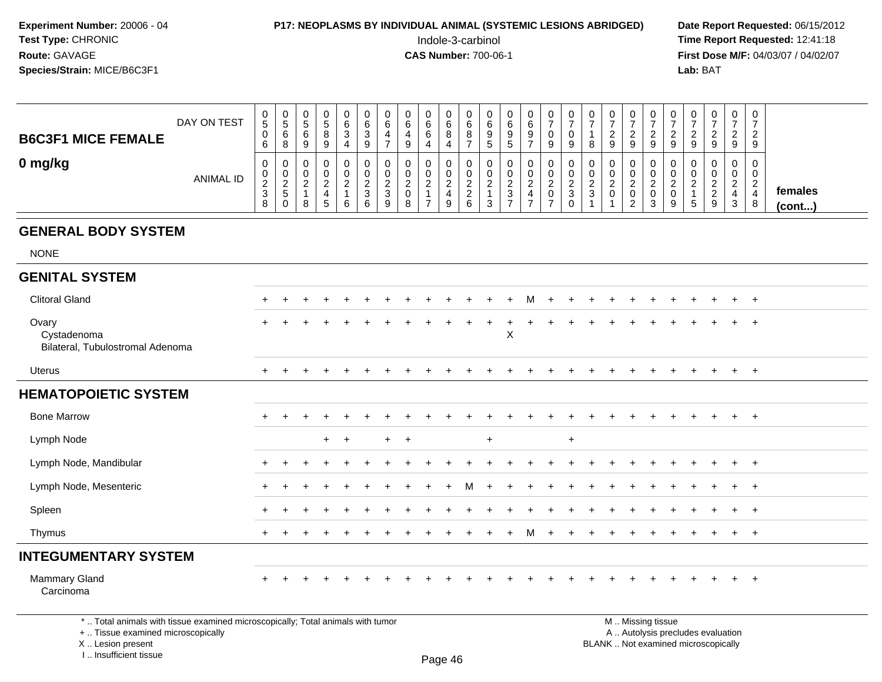# **P17: NEOPLASMS BY INDIVIDUAL ANIMAL (SYSTEMIC LESIONS ABRIDGED)** Date Report Requested: 06/15/2012<br>Indole-3-carbinol **Time Report Requested:** 12:41:18

 Indole-3-carbinol **Time Report Requested:** 12:41:18 **First Dose M/F:** 04/03/07 / 04/02/07<br>Lab: BAT **Lab:** BAT

| <b>B6C3F1 MICE FEMALE</b> | DAY ON TEST | U<br>5 <sup>1</sup><br>0<br>6            | $\cup$<br>ಎ<br>6<br>8         | 0<br>≎<br>$\sim$<br>b<br>9 | ັ<br>8<br>9 | ົ<br>U<br>ົ<br>J. | v<br>6<br>3           | v<br>6      | 6<br>4  | 0<br>6<br>6 |   | U<br>O<br>O                      | U<br>6<br>9<br>đ | U<br>6<br>9<br>5 | U<br>6<br>9 | a | υ<br>8                  | 0<br>ာ<br><u>_</u><br>9            | 0<br>ົ<br>_<br>9                  | U<br><sup>o</sup><br><u>.</u><br>9 | a | v<br>◠<br>9      | <b>U</b><br>9 | 0<br>$\overline{ }$<br>ົ<br><u>_</u><br>9 | 0<br>-<br>ົ<br>$\epsilon$<br>9      |                         |
|---------------------------|-------------|------------------------------------------|-------------------------------|----------------------------|-------------|-------------------|-----------------------|-------------|---------|-------------|---|----------------------------------|------------------|------------------|-------------|---|-------------------------|------------------------------------|-----------------------------------|------------------------------------|---|------------------|---------------|-------------------------------------------|-------------------------------------|-------------------------|
| 0 mg/kg                   | ANIMAL ID   | 0<br>v<br>ົ<br>$\epsilon$<br>◠<br>ು<br>8 | 0<br>U<br><u>_</u><br>৾৾<br>0 | U<br>0<br>◠<br>8           | ົ<br>G      | 6.                | U<br>u<br>▵<br>J<br>6 | 0<br>3<br>9 | $\circ$ | 0<br>ົ<br>- | 9 | ັບ<br>∼<br>$\sim$<br>_<br>$\sim$ | U<br>U<br>J      | 0<br>3<br>-      | 0<br>U<br>ാ |   | 0<br>U<br><u>.</u><br>3 | $\mathbf{0}$<br>0<br><u>_</u><br>0 | 0<br>0<br>ົ<br>0<br>$\mathcal{D}$ | υ<br>υ<br>⌒<br>υ<br>ົ<br>ບ         | O | ν<br>u<br>◠<br>G | <u>_</u><br>9 | 0<br>0<br>ົ<br><u>.</u><br>4<br>3         | 0<br>0<br>ົ<br>$\epsilon$<br>4<br>8 | females<br>$($ cont $)$ |

#### **GENERAL BODY SYSTEM**

NONE

| <b>GENITAL SYSTEM</b>                                                                                                 |           |     |  |         |  |         |  |   |     |                |   |     |     |     |     |     |                   |  |                                   |           |     |  |
|-----------------------------------------------------------------------------------------------------------------------|-----------|-----|--|---------|--|---------|--|---|-----|----------------|---|-----|-----|-----|-----|-----|-------------------|--|-----------------------------------|-----------|-----|--|
| <b>Clitoral Gland</b>                                                                                                 | $+$       |     |  |         |  |         |  |   |     |                | м |     |     |     |     |     |                   |  |                                   | $+$       | $+$ |  |
| Ovary<br>Cystadenoma<br>Bilateral, Tubulostromal Adenoma                                                              | $+$       |     |  |         |  |         |  |   |     | $\ddot{}$<br>X |   |     |     |     |     |     |                   |  |                                   |           | $+$ |  |
| <b>Uterus</b>                                                                                                         | $\ddot{}$ |     |  |         |  |         |  |   |     |                |   |     |     |     |     |     |                   |  |                                   |           | $+$ |  |
| <b>HEMATOPOIETIC SYSTEM</b>                                                                                           |           |     |  |         |  |         |  |   |     |                |   |     |     |     |     |     |                   |  |                                   |           |     |  |
| <b>Bone Marrow</b>                                                                                                    |           |     |  |         |  |         |  |   |     |                |   |     |     |     |     |     |                   |  |                                   |           | $+$ |  |
| Lymph Node                                                                                                            |           |     |  | $+$ $+$ |  | $+$ $+$ |  |   | $+$ |                |   |     | $+$ |     |     |     |                   |  |                                   |           |     |  |
| Lymph Node, Mandibular                                                                                                | $+$       |     |  |         |  |         |  |   |     |                |   |     |     |     |     |     |                   |  |                                   | $\ddot{}$ | $+$ |  |
| Lymph Node, Mesenteric                                                                                                | $\ddot{}$ |     |  |         |  |         |  | м |     |                |   |     |     |     |     |     |                   |  |                                   |           | $+$ |  |
| Spleen                                                                                                                | $\pm$     |     |  |         |  |         |  |   |     |                |   |     |     |     |     |     |                   |  |                                   | $+$       | $+$ |  |
| Thymus                                                                                                                | $+$       | $+$ |  |         |  |         |  |   |     | $+$            | M | $+$ | $+$ | $+$ | $+$ | $+$ |                   |  |                                   | $+$ $+$   |     |  |
| <b>INTEGUMENTARY SYSTEM</b>                                                                                           |           |     |  |         |  |         |  |   |     |                |   |     |     |     |     |     |                   |  |                                   |           |     |  |
| <b>Mammary Gland</b><br>Carcinoma                                                                                     | $\ddot{}$ |     |  |         |  |         |  |   |     |                |   |     |     |     |     |     |                   |  |                                   | $\pm$     | $+$ |  |
| *  Total animals with tissue examined microscopically; Total animals with tumor<br>+  Tissue examined microscopically |           |     |  |         |  |         |  |   |     |                |   |     |     |     |     |     | M  Missing tissue |  | A  Autolysis precludes evaluation |           |     |  |

 Lesion present BLANK .. Not examined microscopicallyX .. Lesion present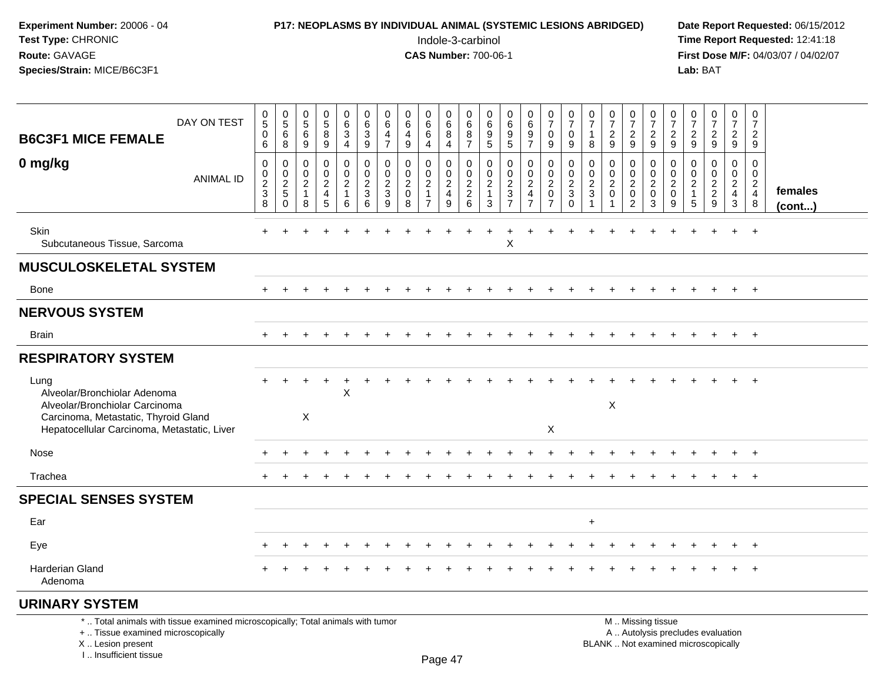I .. Insufficient tissue

# **P17: NEOPLASMS BY INDIVIDUAL ANIMAL (SYSTEMIC LESIONS ABRIDGED)** Date Report Requested: 06/15/2012<br>Indole-3-carbinol **Time Report Requested:** 12:41:18

| DAY ON TEST<br><b>B6C3F1 MICE FEMALE</b>                                                                                                                      | 0<br>5<br>$\mathbf 0$<br>6                                                       | $\begin{array}{c} 0 \\ 5 \\ 6 \end{array}$<br>$\bf8$       | $\begin{array}{c} 0 \\ 5 \end{array}$<br>6<br>$\boldsymbol{9}$ | $\begin{array}{c} 0 \\ 5 \\ 8 \end{array}$<br>$\boldsymbol{9}$                | $\pmb{0}$<br>$\,6\,$<br>$\sqrt{3}$<br>$\overline{4}$          | 0<br>6<br>3<br>9                     | 0<br>$\,6$<br>4<br>$\overline{7}$                     | 0<br>6<br>$\overline{4}$<br>9      | 0<br>$\,6\,$<br>$\,6$<br>4                                           | $\mathbf 0$<br>$\,6\,$<br>8<br>4                                                     | 0<br>$\,6\,$<br>8<br>$\overline{7}$                                  | $\pmb{0}$<br>$\,6\,$<br>9<br>$\sqrt{5}$                                      | 0<br>$6\phantom{1}$<br>9<br>$\sqrt{5}$      | $\begin{array}{c} 0 \\ 6 \end{array}$<br>$\boldsymbol{9}$<br>$\overline{7}$         | $\begin{array}{c} 0 \\ 7 \end{array}$<br>$\mathbf 0$<br>9           | 0<br>$\overline{7}$<br>$\mathbf 0$<br>9      | $\begin{array}{c} 0 \\ 7 \end{array}$<br>$\mathbf{1}$<br>8 | 0<br>$\overline{7}$<br>$\overline{\mathbf{c}}$<br>9 | $\frac{0}{7}$<br>$\boldsymbol{2}$<br>$9\,$                                    | 0<br>$\overline{7}$<br>$\overline{c}$<br>9   | $\frac{0}{7}$<br>$\overline{c}$<br>9                     | $\frac{0}{7}$<br>$\overline{c}$<br>$9\,$ | $\frac{0}{7}$<br>$\overline{2}$<br>9                   | $\frac{0}{7}$<br>$\sqrt{2}$<br>9                                               | $\pmb{0}$<br>$\overline{7}$<br>$\overline{2}$<br>9        |                         |
|---------------------------------------------------------------------------------------------------------------------------------------------------------------|----------------------------------------------------------------------------------|------------------------------------------------------------|----------------------------------------------------------------|-------------------------------------------------------------------------------|---------------------------------------------------------------|--------------------------------------|-------------------------------------------------------|------------------------------------|----------------------------------------------------------------------|--------------------------------------------------------------------------------------|----------------------------------------------------------------------|------------------------------------------------------------------------------|---------------------------------------------|-------------------------------------------------------------------------------------|---------------------------------------------------------------------|----------------------------------------------|------------------------------------------------------------|-----------------------------------------------------|-------------------------------------------------------------------------------|----------------------------------------------|----------------------------------------------------------|------------------------------------------|--------------------------------------------------------|--------------------------------------------------------------------------------|-----------------------------------------------------------|-------------------------|
| 0 mg/kg<br><b>ANIMAL ID</b>                                                                                                                                   | $\mathbf 0$<br>$\mathbf 0$<br>$\boldsymbol{2}$<br>$\ensuremath{\mathsf{3}}$<br>8 | 0<br>$\pmb{0}$<br>$\sqrt{2}$<br>$\mathbf 5$<br>$\mathbf 0$ | $\mathbf 0$<br>$\mathbf 0$<br>$\overline{c}$<br>1<br>8         | 0<br>$\mathbf 0$<br>$\boldsymbol{2}$<br>$\overline{\mathbf{4}}$<br>$\sqrt{5}$ | 0<br>$\mathbf 0$<br>$\overline{c}$<br>$\mathbf{1}$<br>$\,6\,$ | 0<br>0<br>$\boldsymbol{2}$<br>3<br>6 | 0<br>$\mathbf 0$<br>$\sqrt{2}$<br>$\sqrt{3}$<br>$9\,$ | 0<br>0<br>$\overline{c}$<br>0<br>8 | 0<br>$\mathbf 0$<br>$\overline{2}$<br>$\mathbf{1}$<br>$\overline{7}$ | $\mathbf 0$<br>$\mathbf 0$<br>$\boldsymbol{2}$<br>$\overline{4}$<br>$\boldsymbol{9}$ | 0<br>$\mathbf 0$<br>$\sqrt{2}$<br>$\boldsymbol{2}$<br>$6\phantom{a}$ | $\mathbf 0$<br>$\mathbf 0$<br>$\overline{c}$<br>$\mathbf{1}$<br>$\mathbf{3}$ | 0<br>0<br>$\sqrt{2}$<br>3<br>$\overline{7}$ | 0<br>$\mathsf{O}\xspace$<br>$\sqrt{2}$<br>$\overline{\mathbf{4}}$<br>$\overline{7}$ | 0<br>$\mathbf 0$<br>$\overline{c}$<br>$\mathbf 0$<br>$\overline{7}$ | 0<br>0<br>$\overline{2}$<br>3<br>$\mathbf 0$ | $\mathbf 0$<br>$\mathbf 0$<br>$\sqrt{2}$<br>$\sqrt{3}$     | 0<br>0<br>$\sqrt{2}$<br>$\mathbf 0$                 | $\mathbf 0$<br>$\mathbf 0$<br>$\overline{c}$<br>$\mathbf 0$<br>$\overline{2}$ | 0<br>0<br>$\overline{c}$<br>$\mathbf 0$<br>3 | 0<br>$\mathbf 0$<br>$\boldsymbol{2}$<br>$\mathbf 0$<br>9 | 0<br>0<br>$\overline{c}$<br>1<br>5       | 0<br>$\overline{0}$<br>$\overline{c}$<br>$\frac{2}{9}$ | $\mathbf 0$<br>$\mathbf 0$<br>$\boldsymbol{2}$<br>$\overline{a}$<br>$\sqrt{3}$ | 0<br>$\mathbf 0$<br>$\overline{c}$<br>$\overline{4}$<br>8 | females<br>$($ cont $)$ |
| <b>Skin</b><br>Subcutaneous Tissue, Sarcoma                                                                                                                   |                                                                                  |                                                            |                                                                |                                                                               |                                                               |                                      |                                                       |                                    |                                                                      |                                                                                      |                                                                      |                                                                              | $\ddot{}$<br>Χ                              |                                                                                     |                                                                     |                                              |                                                            |                                                     |                                                                               |                                              |                                                          |                                          |                                                        |                                                                                | $+$                                                       |                         |
| <b>MUSCULOSKELETAL SYSTEM</b>                                                                                                                                 |                                                                                  |                                                            |                                                                |                                                                               |                                                               |                                      |                                                       |                                    |                                                                      |                                                                                      |                                                                      |                                                                              |                                             |                                                                                     |                                                                     |                                              |                                                            |                                                     |                                                                               |                                              |                                                          |                                          |                                                        |                                                                                |                                                           |                         |
| <b>Bone</b>                                                                                                                                                   | $\pm$                                                                            |                                                            |                                                                |                                                                               |                                                               |                                      |                                                       |                                    |                                                                      |                                                                                      |                                                                      |                                                                              |                                             |                                                                                     |                                                                     |                                              |                                                            |                                                     |                                                                               |                                              |                                                          |                                          |                                                        |                                                                                | $+$                                                       |                         |
| <b>NERVOUS SYSTEM</b>                                                                                                                                         |                                                                                  |                                                            |                                                                |                                                                               |                                                               |                                      |                                                       |                                    |                                                                      |                                                                                      |                                                                      |                                                                              |                                             |                                                                                     |                                                                     |                                              |                                                            |                                                     |                                                                               |                                              |                                                          |                                          |                                                        |                                                                                |                                                           |                         |
| <b>Brain</b>                                                                                                                                                  |                                                                                  |                                                            |                                                                |                                                                               |                                                               |                                      |                                                       |                                    |                                                                      |                                                                                      |                                                                      |                                                                              |                                             |                                                                                     |                                                                     |                                              |                                                            |                                                     |                                                                               |                                              |                                                          |                                          |                                                        |                                                                                | $+$                                                       |                         |
| <b>RESPIRATORY SYSTEM</b>                                                                                                                                     |                                                                                  |                                                            |                                                                |                                                                               |                                                               |                                      |                                                       |                                    |                                                                      |                                                                                      |                                                                      |                                                                              |                                             |                                                                                     |                                                                     |                                              |                                                            |                                                     |                                                                               |                                              |                                                          |                                          |                                                        |                                                                                |                                                           |                         |
| Lung<br>Alveolar/Bronchiolar Adenoma<br>Alveolar/Bronchiolar Carcinoma<br>Carcinoma, Metastatic, Thyroid Gland<br>Hepatocellular Carcinoma, Metastatic, Liver |                                                                                  |                                                            | X                                                              |                                                                               | X                                                             |                                      |                                                       |                                    |                                                                      |                                                                                      |                                                                      |                                                                              |                                             |                                                                                     | X                                                                   |                                              |                                                            | X                                                   |                                                                               |                                              |                                                          |                                          |                                                        |                                                                                |                                                           |                         |
| Nose                                                                                                                                                          |                                                                                  |                                                            |                                                                |                                                                               |                                                               |                                      |                                                       |                                    |                                                                      |                                                                                      |                                                                      |                                                                              |                                             |                                                                                     |                                                                     |                                              |                                                            |                                                     |                                                                               |                                              |                                                          |                                          |                                                        |                                                                                |                                                           |                         |
| Trachea                                                                                                                                                       | ÷                                                                                |                                                            |                                                                |                                                                               |                                                               |                                      |                                                       |                                    |                                                                      |                                                                                      |                                                                      |                                                                              |                                             |                                                                                     |                                                                     |                                              |                                                            |                                                     |                                                                               |                                              |                                                          |                                          |                                                        |                                                                                | $+$                                                       |                         |
| <b>SPECIAL SENSES SYSTEM</b>                                                                                                                                  |                                                                                  |                                                            |                                                                |                                                                               |                                                               |                                      |                                                       |                                    |                                                                      |                                                                                      |                                                                      |                                                                              |                                             |                                                                                     |                                                                     |                                              |                                                            |                                                     |                                                                               |                                              |                                                          |                                          |                                                        |                                                                                |                                                           |                         |
| Ear                                                                                                                                                           |                                                                                  |                                                            |                                                                |                                                                               |                                                               |                                      |                                                       |                                    |                                                                      |                                                                                      |                                                                      |                                                                              |                                             |                                                                                     |                                                                     |                                              | $\ddot{}$                                                  |                                                     |                                                                               |                                              |                                                          |                                          |                                                        |                                                                                |                                                           |                         |
| Eye                                                                                                                                                           |                                                                                  |                                                            |                                                                |                                                                               |                                                               |                                      |                                                       |                                    |                                                                      |                                                                                      |                                                                      |                                                                              |                                             |                                                                                     |                                                                     |                                              |                                                            |                                                     |                                                                               |                                              |                                                          |                                          |                                                        |                                                                                | $+$                                                       |                         |
| Harderian Gland<br>Adenoma                                                                                                                                    |                                                                                  |                                                            |                                                                |                                                                               |                                                               |                                      |                                                       |                                    |                                                                      |                                                                                      |                                                                      |                                                                              |                                             |                                                                                     |                                                                     |                                              |                                                            |                                                     |                                                                               |                                              |                                                          |                                          |                                                        |                                                                                |                                                           |                         |
| <b>URINARY SYSTEM</b>                                                                                                                                         |                                                                                  |                                                            |                                                                |                                                                               |                                                               |                                      |                                                       |                                    |                                                                      |                                                                                      |                                                                      |                                                                              |                                             |                                                                                     |                                                                     |                                              |                                                            |                                                     |                                                                               |                                              |                                                          |                                          |                                                        |                                                                                |                                                           |                         |
| *  Total animals with tissue examined microscopically; Total animals with tumor<br>+  Tissue examined microscopically<br>X  Lesion present                    |                                                                                  |                                                            |                                                                |                                                                               |                                                               |                                      |                                                       |                                    |                                                                      |                                                                                      |                                                                      |                                                                              |                                             |                                                                                     |                                                                     |                                              |                                                            | BLANK  Not examined microscopically                 | M  Missing tissue                                                             |                                              |                                                          | A  Autolysis precludes evaluation        |                                                        |                                                                                |                                                           |                         |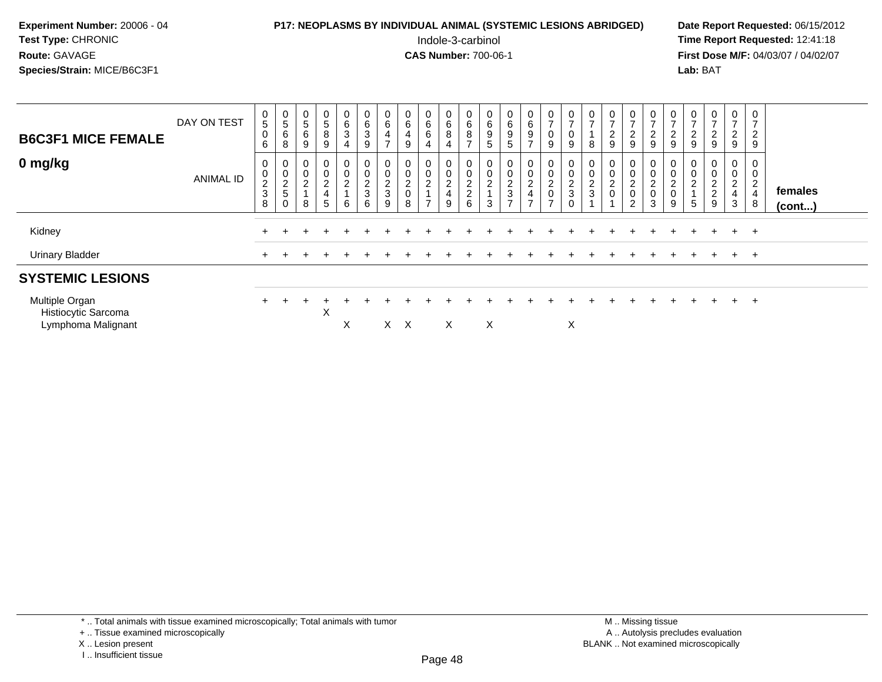| Experiment Number: 20006 - 04 |  |
|-------------------------------|--|
| <b>Test Type: CHRONIC</b>     |  |
| <b>Route: GAVAGE</b>          |  |
| Species/Strain: MICE/B6C3F1   |  |

# **P17: NEOPLASMS BY INDIVIDUAL ANIMAL (SYSTEMIC LESIONS ABRIDGED)** Date Report Requested: 06/15/2012<br>Indole-3-carbinol **Time Report Requested:** 12:41:18

| <b>B6C3F1 MICE FEMALE</b>                                   | DAY ON TEST      | 0<br>$\overline{5}$<br>$\pmb{0}$<br>6                                       | $0\over 6$<br>8                                       | $\mathbf 0$<br>$\overline{5}$<br>$\,6$<br>9    | 0<br>$\mathbf 5$<br>8<br>9                                 | 0<br>6<br>3<br>4                          | 0<br>$\frac{6}{3}$<br>9              | $\mathbf 0$<br>$6\phantom{a}$<br>$\overline{4}$<br>$\overline{7}$ | 0<br>$\,6\,$<br>4<br>9                               | $\begin{matrix} 0 \\ 6 \\ 6 \end{matrix}$<br>4                                   | 0<br>$\,6\,$<br>$\bf 8$<br>$\overline{4}$               | 0<br>$6\phantom{a}$<br>8<br>$\rightarrow$                 | 0<br>$\,6$<br>$\boldsymbol{9}$<br>5 | 0<br>$\frac{6}{9}$<br>5                               | 0<br>6<br>9<br>$\rightarrow$                    | $\frac{0}{7}$<br>$\pmb{0}$<br>9                                                                 | $\frac{0}{7}$<br>0<br>9 | 0<br>$\overline{ }$<br>8                       | $\mathbf 0$<br>$\overline{ }$<br>$\overline{c}$<br>9 | $\frac{0}{7}$<br>$\overline{c}$<br>9                                    | $\frac{0}{7}$<br>$\overline{c}$<br>$\boldsymbol{9}$      | 0<br>$\overline{ }$<br>$\overline{c}$<br>9      | 0<br>$\overline{ }$<br>$\frac{2}{9}$  | $\frac{0}{7}$<br>$\overline{c}$<br>9 | 0<br>$\overline{ }$<br>$\overline{2}$<br>9         | 0<br>$\overline{ }$<br>2<br>9 |                   |
|-------------------------------------------------------------|------------------|-----------------------------------------------------------------------------|-------------------------------------------------------|------------------------------------------------|------------------------------------------------------------|-------------------------------------------|--------------------------------------|-------------------------------------------------------------------|------------------------------------------------------|----------------------------------------------------------------------------------|---------------------------------------------------------|-----------------------------------------------------------|-------------------------------------|-------------------------------------------------------|-------------------------------------------------|-------------------------------------------------------------------------------------------------|-------------------------|------------------------------------------------|------------------------------------------------------|-------------------------------------------------------------------------|----------------------------------------------------------|-------------------------------------------------|---------------------------------------|--------------------------------------|----------------------------------------------------|-------------------------------|-------------------|
| 0 mg/kg                                                     | <b>ANIMAL ID</b> | 0<br>$\pmb{0}$<br>$\overline{\mathbf{c}}$<br>$\ensuremath{\mathsf{3}}$<br>8 | 0<br>$\mathsf{O}\xspace$<br>$\frac{2}{5}$<br>$\Omega$ | $\begin{matrix} 0 \\ 0 \\ 2 \end{matrix}$<br>8 | $_0^0$<br>$\boldsymbol{2}$<br>$\overline{\mathbf{4}}$<br>5 | 0<br>$\mathbf 0$<br>$\boldsymbol{2}$<br>6 | 0<br>$\pmb{0}$<br>$\frac{2}{3}$<br>6 | $\pmb{0}$<br>$\frac{2}{3}$<br>9                                   | 0<br>$\pmb{0}$<br>$\overline{c}$<br>$\mathbf 0$<br>8 | $\begin{smallmatrix} 0\\0 \end{smallmatrix}$<br>$\overline{c}$<br>$\overline{ }$ | 0<br>$\pmb{0}$<br>$\overline{c}$<br>$\overline{4}$<br>9 | 0<br>$\pmb{0}$<br>$\overline{c}$<br>$\boldsymbol{2}$<br>6 | $\pmb{0}$<br>$\boldsymbol{2}$<br>3  | $_{\rm 0}^{\rm 0}$<br>$\frac{2}{3}$<br>$\overline{ }$ | 0<br>0<br>$\overline{c}$<br>4<br>$\overline{ }$ | $\begin{smallmatrix} 0\\0 \end{smallmatrix}$<br>$\boldsymbol{2}$<br>$\pmb{0}$<br>$\overline{ }$ | 0<br>$\frac{2}{3}$      | $\begin{matrix} 0 \\ 0 \\ 2 \end{matrix}$<br>3 | 0<br>$\pmb{0}$<br>$\overline{c}$<br>$\mathbf 0$      | $_{\rm 0}^{\rm 0}$<br>$\boldsymbol{2}$<br>$\mathsf 0$<br>$\overline{2}$ | 0<br>$\mathbf 0$<br>$\boldsymbol{2}$<br>$\mathbf 0$<br>3 | $\,0\,$<br>$\boldsymbol{2}$<br>$\mathbf 0$<br>9 | $_{\rm 0}^{\rm 0}$<br>$\sqrt{2}$<br>5 | 0<br>0<br>$\frac{2}{2}$<br>9         | $\mathbf 0$<br>$\overline{c}$<br>4<br>$\mathbf{3}$ | 0<br>2<br>4<br>8              | females<br>(cont) |
| Kidney                                                      |                  |                                                                             |                                                       |                                                |                                                            |                                           |                                      |                                                                   |                                                      |                                                                                  |                                                         |                                                           |                                     |                                                       |                                                 |                                                                                                 |                         |                                                |                                                      |                                                                         |                                                          |                                                 |                                       |                                      | $+$                                                | $^{+}$                        |                   |
| <b>Urinary Bladder</b>                                      |                  | $\pm$                                                                       |                                                       |                                                |                                                            |                                           |                                      |                                                                   |                                                      |                                                                                  |                                                         |                                                           |                                     |                                                       |                                                 |                                                                                                 |                         |                                                |                                                      |                                                                         |                                                          |                                                 |                                       | $+$                                  |                                                    | $+$ $+$                       |                   |
| <b>SYSTEMIC LESIONS</b>                                     |                  |                                                                             |                                                       |                                                |                                                            |                                           |                                      |                                                                   |                                                      |                                                                                  |                                                         |                                                           |                                     |                                                       |                                                 |                                                                                                 |                         |                                                |                                                      |                                                                         |                                                          |                                                 |                                       |                                      |                                                    |                               |                   |
| Multiple Organ<br>Histiocytic Sarcoma<br>Lymphoma Malignant |                  | $\ddot{}$                                                                   |                                                       |                                                | X                                                          | Χ                                         |                                      | X                                                                 | $\times$                                             |                                                                                  | X                                                       |                                                           | X                                   |                                                       |                                                 |                                                                                                 | X                       |                                                |                                                      |                                                                         |                                                          |                                                 |                                       |                                      | $+$                                                | $^{+}$                        |                   |

<sup>+ ..</sup> Tissue examined microscopically

X .. Lesion present

I .. Insufficient tissue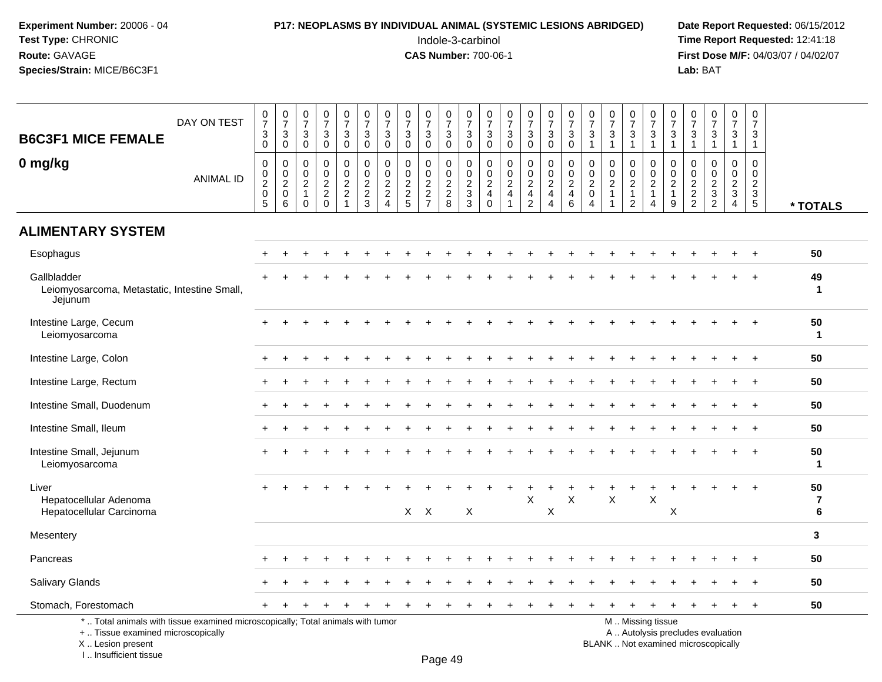# **P17: NEOPLASMS BY INDIVIDUAL ANIMAL (SYSTEMIC LESIONS ABRIDGED)** Date Report Requested: 06/15/2012<br>Indole-3-carbinol **Time Report Requested:** 12:41:18

 Indole-3-carbinol **Time Report Requested:** 12:41:18 **First Dose M/F:** 04/03/07 / 04/02/07<br>Lab: BAT **Lab:** BAT

| <b>B6C3F1 MICE FEMALE</b>                                                                                             | DAY ON TEST      | $\begin{array}{c} 0 \\ 7 \end{array}$<br>$\ensuremath{\mathsf{3}}$<br>$\overline{0}$ | $\frac{0}{7}$<br>$_{0}^{3}$                                                | $\frac{0}{7}$<br>$_0^3$                                       | $\frac{0}{7}$<br>$\frac{3}{0}$         | $\frac{0}{7}$<br>$_0^3$                           | $\frac{0}{7}$<br>$_{\rm 0}^3$                                    | $\frac{0}{7}$<br>$\mathbf{3}$<br>$\mathbf 0$                  | 0<br>$\overline{7}$<br>$\mathbf{3}$<br>$\mathbf 0$ | $\frac{0}{7}$<br>3<br>$\overline{0}$ | $\frac{0}{7}$<br>$_0^3$                   | $\begin{array}{c} 0 \\ 7 \end{array}$<br>$\sqrt{3}$<br>$\overline{0}$ | $\frac{0}{7}$<br>$_{0}^{3}$                            | $\frac{0}{7}$<br>$_{0}^{3}$                                                        | $\frac{0}{7}$<br>$\mathbf{3}$<br>$\overline{0}$                        | $\frac{0}{7}$<br>$_0^3$                                        | $\begin{array}{c} 0 \\ 7 \end{array}$<br>$_{0}^{3}$                         | $\begin{array}{c} 0 \\ 7 \end{array}$<br>$\mathbf{3}$<br>$\mathbf{1}$ | $\frac{0}{7}$<br>$\mathbf 3$<br>$\overline{1}$                   | $\frac{0}{7}$<br>$\mathbf 3$<br>$\mathbf{1}$                     | $\frac{0}{7}$<br>$\ensuremath{\mathsf{3}}$<br>$\mathbf{1}$    | $\frac{0}{7}$<br>3<br>$\mathbf{1}$                                | $\begin{smallmatrix}0\\7\end{smallmatrix}$<br>$\ensuremath{\mathsf{3}}$<br>$\overline{1}$ | $\frac{0}{7}$<br>$\mathbf{3}$<br>$\mathbf{1}$       | $\begin{array}{c} 0 \\ 7 \end{array}$<br>$\mathbf{3}$<br>$\mathbf{1}$ | $\pmb{0}$<br>$\overline{7}$<br>3<br>$\mathbf{1}$                           |                    |
|-----------------------------------------------------------------------------------------------------------------------|------------------|--------------------------------------------------------------------------------------|----------------------------------------------------------------------------|---------------------------------------------------------------|----------------------------------------|---------------------------------------------------|------------------------------------------------------------------|---------------------------------------------------------------|----------------------------------------------------|--------------------------------------|-------------------------------------------|-----------------------------------------------------------------------|--------------------------------------------------------|------------------------------------------------------------------------------------|------------------------------------------------------------------------|----------------------------------------------------------------|-----------------------------------------------------------------------------|-----------------------------------------------------------------------|------------------------------------------------------------------|------------------------------------------------------------------|---------------------------------------------------------------|-------------------------------------------------------------------|-------------------------------------------------------------------------------------------|-----------------------------------------------------|-----------------------------------------------------------------------|----------------------------------------------------------------------------|--------------------|
| 0 mg/kg                                                                                                               | <b>ANIMAL ID</b> | $\mathsf 0$<br>$\mathbf 0$<br>$\overline{\mathbf{c}}$<br>0<br>$5\phantom{1}$         | $\mathbf 0$<br>$\mathbf 0$<br>$\sqrt{2}$<br>$\mathbf 0$<br>$6\phantom{1}6$ | 0<br>$\mathbf 0$<br>$\sqrt{2}$<br>$\mathbf{1}$<br>$\mathbf 0$ | 0<br>$\mathbf 0$<br>$\frac{2}{2}$<br>0 | 0<br>$\mathbf 0$<br>$\frac{2}{2}$<br>$\mathbf{1}$ | $\mathbf 0$<br>$\begin{array}{c}\n0 \\ 2 \\ 2 \\ 3\n\end{array}$ | $\mathbf 0$<br>$\mathbf 0$<br>$\frac{2}{2}$<br>$\overline{4}$ | $\mathbf 0$<br>$\mathbf 0$<br>$\frac{2}{2}$ 5      | 0<br>$\mathbf 0$<br>$\frac{2}{7}$    | 0<br>$\mathsf{O}\xspace$<br>$\frac{2}{8}$ | 0<br>$\ddot{\mathbf{0}}$<br>$\frac{2}{3}$                             | $\mathbf 0$<br>$\,0\,$<br>$\frac{2}{4}$<br>$\mathbf 0$ | $\mathbf 0$<br>$\mathbf 0$<br>$\boldsymbol{2}$<br>$\overline{4}$<br>$\overline{1}$ | 0<br>$\mathbf 0$<br>$\overline{a}$<br>$\overline{4}$<br>$\overline{2}$ | $\pmb{0}$<br>$\frac{0}{2}$<br>$\overline{4}$<br>$\overline{4}$ | $\mathbf 0$<br>$\mathsf{O}\xspace$<br>$\overline{c}$<br>4<br>$6\phantom{a}$ | $\mathbf 0$<br>$\mathbf 0$<br>$\overline{c}$<br>0<br>$\overline{4}$   | $\mathbf 0$<br>$\mathbf 0$<br>$\sqrt{2}$<br>$\overline{1}$<br>-1 | 0<br>$\mathbf 0$<br>$\sqrt{2}$<br>$\mathbf{1}$<br>$\overline{2}$ | $\mathbf 0$<br>$\mathbf 0$<br>$\sqrt{2}$<br>$\mathbf{1}$<br>4 | $\mathbf 0$<br>$\mathbf 0$<br>$\overline{c}$<br>$\mathbf{1}$<br>9 | 0<br>$\boldsymbol{0}$<br>$\frac{2}{2}$                                                    | $\mathbf 0$<br>$\ddot{\mathbf{0}}$<br>$\frac{2}{3}$ | $\mathbf 0$<br>$\mathbf 0$<br>$\frac{2}{3}$<br>$\overline{4}$         | $\mathbf 0$<br>$\mathbf 0$<br>$\sqrt{2}$<br>$\mathbf{3}$<br>$\overline{5}$ | * TOTALS           |
| <b>ALIMENTARY SYSTEM</b>                                                                                              |                  |                                                                                      |                                                                            |                                                               |                                        |                                                   |                                                                  |                                                               |                                                    |                                      |                                           |                                                                       |                                                        |                                                                                    |                                                                        |                                                                |                                                                             |                                                                       |                                                                  |                                                                  |                                                               |                                                                   |                                                                                           |                                                     |                                                                       |                                                                            |                    |
| Esophagus                                                                                                             |                  |                                                                                      |                                                                            |                                                               |                                        |                                                   |                                                                  |                                                               |                                                    |                                      |                                           |                                                                       |                                                        |                                                                                    |                                                                        |                                                                |                                                                             |                                                                       |                                                                  |                                                                  |                                                               |                                                                   |                                                                                           |                                                     |                                                                       |                                                                            | 50                 |
| Gallbladder<br>Leiomyosarcoma, Metastatic, Intestine Small,<br>Jejunum                                                |                  |                                                                                      |                                                                            |                                                               |                                        |                                                   |                                                                  |                                                               |                                                    |                                      |                                           |                                                                       |                                                        |                                                                                    |                                                                        |                                                                |                                                                             |                                                                       |                                                                  |                                                                  |                                                               |                                                                   |                                                                                           |                                                     |                                                                       |                                                                            | 49<br>1            |
| Intestine Large, Cecum<br>Leiomyosarcoma                                                                              |                  |                                                                                      |                                                                            |                                                               |                                        |                                                   |                                                                  |                                                               |                                                    |                                      |                                           |                                                                       |                                                        |                                                                                    |                                                                        |                                                                |                                                                             |                                                                       |                                                                  |                                                                  |                                                               |                                                                   |                                                                                           |                                                     |                                                                       |                                                                            | 50<br>$\mathbf{1}$ |
| Intestine Large, Colon                                                                                                |                  |                                                                                      |                                                                            |                                                               |                                        |                                                   |                                                                  |                                                               |                                                    |                                      |                                           |                                                                       |                                                        |                                                                                    |                                                                        |                                                                |                                                                             |                                                                       |                                                                  |                                                                  |                                                               |                                                                   |                                                                                           |                                                     |                                                                       |                                                                            | 50                 |
| Intestine Large, Rectum                                                                                               |                  |                                                                                      |                                                                            |                                                               |                                        |                                                   |                                                                  |                                                               |                                                    |                                      |                                           |                                                                       |                                                        |                                                                                    |                                                                        |                                                                |                                                                             |                                                                       |                                                                  |                                                                  |                                                               |                                                                   |                                                                                           |                                                     |                                                                       |                                                                            | 50                 |
| Intestine Small, Duodenum                                                                                             |                  |                                                                                      |                                                                            |                                                               |                                        |                                                   |                                                                  |                                                               |                                                    |                                      |                                           |                                                                       |                                                        |                                                                                    |                                                                        |                                                                |                                                                             |                                                                       |                                                                  |                                                                  |                                                               |                                                                   |                                                                                           |                                                     |                                                                       |                                                                            | 50                 |
| Intestine Small, Ileum                                                                                                |                  |                                                                                      |                                                                            |                                                               |                                        |                                                   |                                                                  |                                                               |                                                    |                                      |                                           |                                                                       |                                                        |                                                                                    |                                                                        |                                                                |                                                                             |                                                                       |                                                                  |                                                                  |                                                               |                                                                   |                                                                                           |                                                     |                                                                       |                                                                            | 50                 |
| Intestine Small, Jejunum<br>Leiomyosarcoma                                                                            |                  |                                                                                      |                                                                            |                                                               |                                        |                                                   |                                                                  |                                                               |                                                    |                                      |                                           |                                                                       |                                                        |                                                                                    |                                                                        |                                                                |                                                                             |                                                                       |                                                                  |                                                                  |                                                               |                                                                   |                                                                                           |                                                     |                                                                       |                                                                            | 50<br>$\mathbf{1}$ |
| Liver<br>Hepatocellular Adenoma<br>Hepatocellular Carcinoma                                                           |                  |                                                                                      |                                                                            |                                                               |                                        |                                                   |                                                                  |                                                               | $X$ $X$                                            |                                      |                                           | X                                                                     |                                                        |                                                                                    | Χ                                                                      | $\pmb{\times}$                                                 | X                                                                           |                                                                       | Χ                                                                |                                                                  | X                                                             | Χ                                                                 |                                                                                           |                                                     |                                                                       |                                                                            | 50<br>7<br>6       |
| Mesentery                                                                                                             |                  |                                                                                      |                                                                            |                                                               |                                        |                                                   |                                                                  |                                                               |                                                    |                                      |                                           |                                                                       |                                                        |                                                                                    |                                                                        |                                                                |                                                                             |                                                                       |                                                                  |                                                                  |                                                               |                                                                   |                                                                                           |                                                     |                                                                       |                                                                            | 3                  |
| Pancreas                                                                                                              |                  |                                                                                      |                                                                            |                                                               |                                        |                                                   |                                                                  |                                                               |                                                    |                                      |                                           |                                                                       |                                                        |                                                                                    |                                                                        |                                                                |                                                                             |                                                                       |                                                                  |                                                                  |                                                               |                                                                   |                                                                                           |                                                     |                                                                       |                                                                            | 50                 |
| <b>Salivary Glands</b>                                                                                                |                  |                                                                                      |                                                                            |                                                               |                                        |                                                   |                                                                  |                                                               |                                                    |                                      |                                           |                                                                       |                                                        |                                                                                    |                                                                        |                                                                |                                                                             |                                                                       |                                                                  |                                                                  |                                                               |                                                                   |                                                                                           |                                                     |                                                                       |                                                                            | 50                 |
| Stomach, Forestomach                                                                                                  |                  |                                                                                      |                                                                            |                                                               |                                        |                                                   |                                                                  |                                                               |                                                    |                                      |                                           |                                                                       |                                                        |                                                                                    |                                                                        |                                                                |                                                                             |                                                                       |                                                                  |                                                                  |                                                               |                                                                   |                                                                                           |                                                     |                                                                       | $+$                                                                        | 50                 |
| *  Total animals with tissue examined microscopically; Total animals with tumor<br>+  Tissue examined microscopically |                  |                                                                                      |                                                                            |                                                               |                                        |                                                   |                                                                  |                                                               |                                                    |                                      |                                           |                                                                       |                                                        |                                                                                    |                                                                        |                                                                |                                                                             |                                                                       |                                                                  |                                                                  | M  Missing tissue                                             |                                                                   |                                                                                           | A  Autolysis precludes evaluation                   |                                                                       |                                                                            |                    |

 Lesion present BLANK .. Not examined microscopicallyX .. Lesion present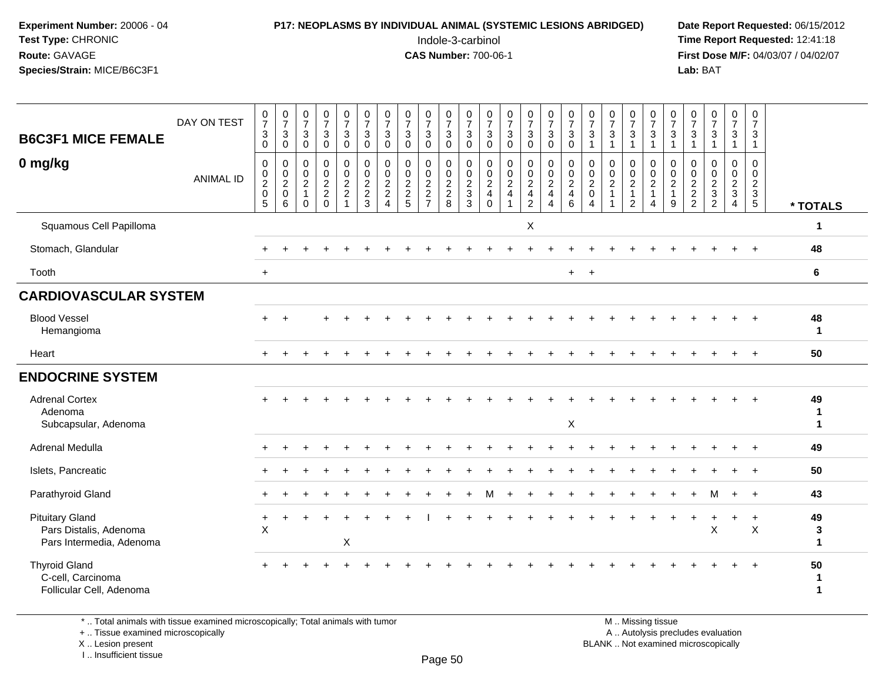# **P17: NEOPLASMS BY INDIVIDUAL ANIMAL (SYSTEMIC LESIONS ABRIDGED)** Date Report Requested: 06/15/2012<br>Indole-3-carbinol **Time Report Requested:** 12:41:18

 Indole-3-carbinol **Time Report Requested:** 12:41:18 **First Dose M/F:** 04/03/07 / 04/02/07<br>Lab: BAT **Lab:** BAT

| <b>B6C3F1 MICE FEMALE</b><br>0 mg/kg                                         | DAY ON TEST<br><b>ANIMAL ID</b> | $\begin{smallmatrix}0\\7\end{smallmatrix}$<br>$\ensuremath{\mathsf{3}}$<br>$\mathbf 0$<br>$\mathsf 0$<br>$_{2}^{\rm 0}$ | $\frac{0}{7}$<br>3<br>$\mathsf{O}\xspace$<br>0<br>$\mathbf 0$<br>$\boldsymbol{2}$ | $\frac{0}{7}$<br>$\mathbf{3}$<br>$\mathbf 0$<br>$\mathbf 0$<br>$\pmb{0}$<br>$\overline{2}$ | $\frac{0}{7}$<br>$\mathbf{3}$<br>$\mathbf 0$<br>0<br>$\pmb{0}$ | $\begin{array}{c} 0 \\ 7 \end{array}$<br>3<br>$\mathbf 0$<br>0<br>$\frac{0}{2}$ | $\frac{0}{7}$<br>$\mathbf{3}$<br>$\mathbf 0$<br>0 | $\frac{0}{7}$<br>3<br>$\mathsf 0$<br>0<br>$\mathbf 0$<br>$\sqrt{2}$ | $\frac{0}{7}$<br>$\mathbf{3}$<br>$\mathbf 0$<br>$\boldsymbol{0}$<br>$\frac{0}{2}$<br>5 | $\frac{0}{7}$<br>3<br>$\mathbf 0$<br>$\mathbf 0$<br>$\mathbf 0$ | $\frac{0}{7}$<br>$\mathbf{3}$<br>$\mathbf 0$<br>0 | $\frac{0}{7}$<br>$\mathsf 3$<br>$\mathbf 0$<br>$\mathbf 0$<br>$\begin{array}{c} 0 \\ 2 \\ 3 \\ 3 \end{array}$ | $\frac{0}{7}$<br>$\sqrt{3}$<br>$\mathbf 0$<br>$\mathbf 0$<br>$\mathbf 0$<br>$\overline{c}$ | $\frac{0}{7}$<br>3<br>$\mathbf 0$<br>$\mathbf 0$<br>$\mathbf 0$<br>$\sqrt{2}$ | $\frac{0}{7}$<br>3<br>$\mathbf 0$<br>0<br>0<br>$\frac{2}{4}$ | $\begin{smallmatrix}0\\7\end{smallmatrix}$<br>$\mathbf{3}$<br>$\mathbf 0$<br>$\pmb{0}$<br>$\begin{smallmatrix} 0\\2 \end{smallmatrix}$ | $\frac{0}{7}$<br>$\sqrt{3}$<br>$\mathbf 0$<br>$\mathbf 0$<br>$\begin{smallmatrix} 0\\ 2 \end{smallmatrix}$ | $\frac{0}{7}$<br>3<br>$\overline{1}$<br>$\mathbf 0$<br>$\mathbf 0$<br>$\sqrt{2}$ | $\pmb{0}$<br>$\overline{7}$<br>$\sqrt{3}$<br>$\overline{1}$<br>$\mathbf 0$<br>$\mathbf 0$<br>$\overline{c}$ | $\frac{0}{7}$<br>3<br>0<br>0<br>$\sqrt{2}$ | $\frac{0}{7}$<br>3<br>$\mathbf{1}$<br>$\mathbf 0$<br>$_{2}^{\rm 0}$ | $\frac{0}{7}$<br>$\mathbf{3}$<br>$\mathbf 0$<br>$\pmb{0}$<br>$\sqrt{2}$ | $\begin{smallmatrix}0\\7\end{smallmatrix}$<br>3<br>$\overline{1}$<br>$\mathbf 0$<br>$\mathbf 0$ | $\frac{0}{7}$<br>$\sqrt{3}$<br>$\mathbf{1}$<br>$\mathbf 0$<br>$\mathbf 0$ | $\begin{array}{c} 0 \\ 7 \end{array}$<br>3<br>1<br>$\mathbf 0$<br>$\mathbf 0$ | $\frac{0}{7}$<br>3<br>$\overline{1}$<br>0<br>$\mathbf 0$ |                                  |
|------------------------------------------------------------------------------|---------------------------------|-------------------------------------------------------------------------------------------------------------------------|-----------------------------------------------------------------------------------|--------------------------------------------------------------------------------------------|----------------------------------------------------------------|---------------------------------------------------------------------------------|---------------------------------------------------|---------------------------------------------------------------------|----------------------------------------------------------------------------------------|-----------------------------------------------------------------|---------------------------------------------------|---------------------------------------------------------------------------------------------------------------|--------------------------------------------------------------------------------------------|-------------------------------------------------------------------------------|--------------------------------------------------------------|----------------------------------------------------------------------------------------------------------------------------------------|------------------------------------------------------------------------------------------------------------|----------------------------------------------------------------------------------|-------------------------------------------------------------------------------------------------------------|--------------------------------------------|---------------------------------------------------------------------|-------------------------------------------------------------------------|-------------------------------------------------------------------------------------------------|---------------------------------------------------------------------------|-------------------------------------------------------------------------------|----------------------------------------------------------|----------------------------------|
|                                                                              |                                 | 0<br>5                                                                                                                  | 0<br>6                                                                            | $\mathbf{1}$<br>$\Omega$                                                                   | $\frac{2}{2}$<br>0                                             |                                                                                 | $\begin{array}{c}\n0 \\ 2 \\ 3\n\end{array}$      | $\sqrt{2}$<br>$\overline{4}$                                        |                                                                                        | $\frac{2}{2}$<br>$\overline{7}$                                 | $0$<br>$2$<br>$2$<br>$8$                          |                                                                                                               | $\overline{4}$<br>$\Omega$                                                                 | $\overline{4}$                                                                | $\overline{2}$                                               | $\overline{4}$<br>$\overline{4}$                                                                                                       | $\overline{4}$<br>6                                                                                        | $\mathbf 0$<br>4                                                                 | $\mathbf{1}$                                                                                                | $\mathbf{1}$<br>2                          | $\mathbf{1}$<br>$\boldsymbol{\Lambda}$                              | $\mathbf{1}$<br>9                                                       | $\frac{2}{2}$                                                                                   | $\frac{2}{3}$                                                             | $\frac{2}{3}$<br>$\overline{4}$                                               | $\frac{2}{3}$                                            | * TOTALS                         |
| Squamous Cell Papilloma                                                      |                                 |                                                                                                                         |                                                                                   |                                                                                            |                                                                |                                                                                 |                                                   |                                                                     |                                                                                        |                                                                 |                                                   |                                                                                                               |                                                                                            |                                                                               | X                                                            |                                                                                                                                        |                                                                                                            |                                                                                  |                                                                                                             |                                            |                                                                     |                                                                         |                                                                                                 |                                                                           |                                                                               |                                                          | $\mathbf{1}$                     |
| Stomach, Glandular                                                           |                                 |                                                                                                                         |                                                                                   |                                                                                            |                                                                |                                                                                 |                                                   |                                                                     |                                                                                        |                                                                 |                                                   |                                                                                                               |                                                                                            |                                                                               |                                                              |                                                                                                                                        |                                                                                                            |                                                                                  |                                                                                                             |                                            |                                                                     |                                                                         |                                                                                                 |                                                                           |                                                                               |                                                          | 48                               |
| Tooth                                                                        |                                 | $\ddot{}$                                                                                                               |                                                                                   |                                                                                            |                                                                |                                                                                 |                                                   |                                                                     |                                                                                        |                                                                 |                                                   |                                                                                                               |                                                                                            |                                                                               |                                                              |                                                                                                                                        | $+$                                                                                                        | $+$                                                                              |                                                                                                             |                                            |                                                                     |                                                                         |                                                                                                 |                                                                           |                                                                               |                                                          | $6\phantom{1}6$                  |
| <b>CARDIOVASCULAR SYSTEM</b>                                                 |                                 |                                                                                                                         |                                                                                   |                                                                                            |                                                                |                                                                                 |                                                   |                                                                     |                                                                                        |                                                                 |                                                   |                                                                                                               |                                                                                            |                                                                               |                                                              |                                                                                                                                        |                                                                                                            |                                                                                  |                                                                                                             |                                            |                                                                     |                                                                         |                                                                                                 |                                                                           |                                                                               |                                                          |                                  |
| <b>Blood Vessel</b><br>Hemangioma                                            |                                 |                                                                                                                         |                                                                                   |                                                                                            |                                                                |                                                                                 |                                                   |                                                                     |                                                                                        |                                                                 |                                                   |                                                                                                               |                                                                                            |                                                                               |                                                              |                                                                                                                                        |                                                                                                            |                                                                                  |                                                                                                             |                                            |                                                                     |                                                                         |                                                                                                 |                                                                           |                                                                               |                                                          | 48<br>$\mathbf{1}$               |
| Heart                                                                        |                                 |                                                                                                                         |                                                                                   |                                                                                            |                                                                |                                                                                 |                                                   |                                                                     |                                                                                        |                                                                 |                                                   |                                                                                                               |                                                                                            |                                                                               |                                                              |                                                                                                                                        |                                                                                                            |                                                                                  |                                                                                                             |                                            |                                                                     |                                                                         |                                                                                                 |                                                                           |                                                                               |                                                          | 50                               |
| <b>ENDOCRINE SYSTEM</b>                                                      |                                 |                                                                                                                         |                                                                                   |                                                                                            |                                                                |                                                                                 |                                                   |                                                                     |                                                                                        |                                                                 |                                                   |                                                                                                               |                                                                                            |                                                                               |                                                              |                                                                                                                                        |                                                                                                            |                                                                                  |                                                                                                             |                                            |                                                                     |                                                                         |                                                                                                 |                                                                           |                                                                               |                                                          |                                  |
| <b>Adrenal Cortex</b><br>Adenoma<br>Subcapsular, Adenoma                     |                                 |                                                                                                                         |                                                                                   |                                                                                            |                                                                |                                                                                 |                                                   |                                                                     |                                                                                        |                                                                 |                                                   |                                                                                                               |                                                                                            |                                                                               |                                                              |                                                                                                                                        | X                                                                                                          |                                                                                  |                                                                                                             |                                            |                                                                     |                                                                         |                                                                                                 |                                                                           |                                                                               |                                                          | 49<br>$\mathbf 1$<br>$\mathbf 1$ |
| Adrenal Medulla                                                              |                                 |                                                                                                                         |                                                                                   |                                                                                            |                                                                |                                                                                 |                                                   |                                                                     |                                                                                        |                                                                 |                                                   |                                                                                                               |                                                                                            |                                                                               |                                                              |                                                                                                                                        |                                                                                                            |                                                                                  |                                                                                                             |                                            |                                                                     |                                                                         |                                                                                                 |                                                                           |                                                                               |                                                          | 49                               |
| Islets, Pancreatic                                                           |                                 |                                                                                                                         |                                                                                   |                                                                                            |                                                                |                                                                                 |                                                   |                                                                     |                                                                                        |                                                                 |                                                   |                                                                                                               |                                                                                            |                                                                               |                                                              |                                                                                                                                        |                                                                                                            |                                                                                  |                                                                                                             |                                            |                                                                     |                                                                         |                                                                                                 |                                                                           |                                                                               | $\ddot{}$                                                | 50                               |
| Parathyroid Gland                                                            |                                 |                                                                                                                         |                                                                                   |                                                                                            |                                                                |                                                                                 |                                                   |                                                                     |                                                                                        |                                                                 |                                                   |                                                                                                               |                                                                                            |                                                                               |                                                              |                                                                                                                                        |                                                                                                            |                                                                                  |                                                                                                             |                                            |                                                                     |                                                                         |                                                                                                 | M                                                                         | $\ddot{}$                                                                     | $+$                                                      | 43                               |
| <b>Pituitary Gland</b><br>Pars Distalis, Adenoma<br>Pars Intermedia, Adenoma |                                 | $\ddot{}$<br>X                                                                                                          |                                                                                   |                                                                                            |                                                                | X                                                                               |                                                   |                                                                     |                                                                                        |                                                                 |                                                   |                                                                                                               |                                                                                            |                                                                               |                                                              |                                                                                                                                        |                                                                                                            |                                                                                  |                                                                                                             |                                            |                                                                     |                                                                         |                                                                                                 | X                                                                         | $\ddot{}$                                                                     | $\ddot{}$<br>X                                           | 49<br>3<br>$\blacktriangleleft$  |
| <b>Thyroid Gland</b><br>C-cell, Carcinoma<br>Follicular Cell, Adenoma        |                                 |                                                                                                                         |                                                                                   |                                                                                            |                                                                |                                                                                 |                                                   |                                                                     |                                                                                        |                                                                 |                                                   |                                                                                                               |                                                                                            |                                                                               |                                                              |                                                                                                                                        |                                                                                                            |                                                                                  |                                                                                                             |                                            |                                                                     |                                                                         |                                                                                                 |                                                                           |                                                                               | $\ddot{}$                                                | 50<br>1                          |

\* .. Total animals with tissue examined microscopically; Total animals with tumor

+ .. Tissue examined microscopically

X .. Lesion present

I .. Insufficient tissue

M .. Missing tissue

y the contract of the contract of the contract of the contract of the contract of  $\mathsf A$  . Autolysis precludes evaluation Lesion present BLANK .. Not examined microscopically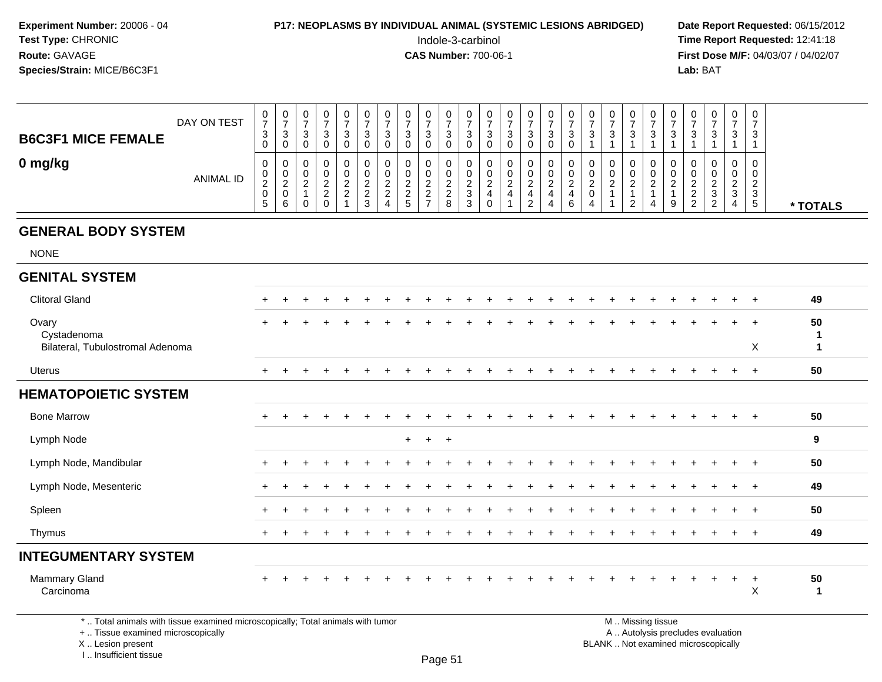### **P17: NEOPLASMS BY INDIVIDUAL ANIMAL (SYSTEMIC LESIONS ABRIDGED)** Date Report Requested: 06/15/2012<br>Indole-3-carbinol **Time Report Requested:** 12:41:18

 Indole-3-carbinol **Time Report Requested:** 12:41:18 **First Dose M/F:** 04/03/07 / 04/02/07<br>Lab: BAT **Lab:** BAT

| <b>B6C3F1 MICE FEMALE</b>                 | DAY ON TEST | U<br>$\overline{ }$<br>3<br>0 | 0<br>$\rightarrow$<br>3<br>$\mathbf 0$ | U<br>◠<br>ت<br>υ | 0<br>3<br>0              | -<br>3<br>⌒<br>U                                  | 0<br>3<br>υ                       | U<br>3<br>U                     | 0<br>-<br>3<br>0                                         | $\rightarrow$<br>3<br>U                  | 0<br>-<br>3<br>0                         | ◠<br>đ |   | 3 | υ<br>3<br>υ                                | 3<br>υ | U<br>$\rightarrow$<br>3<br>U                   | υ<br>-<br>3                  | 0<br>–<br>3 | 3 | 3      | U<br>3                           | 3           | 0<br>-<br>3                                             | $\mathbf{0}$<br>$\overline{ }$<br>3 | 0<br>$\overline{ }$<br>3   |          |
|-------------------------------------------|-------------|-------------------------------|----------------------------------------|------------------|--------------------------|---------------------------------------------------|-----------------------------------|---------------------------------|----------------------------------------------------------|------------------------------------------|------------------------------------------|--------|---|---|--------------------------------------------|--------|------------------------------------------------|------------------------------|-------------|---|--------|----------------------------------|-------------|---------------------------------------------------------|-------------------------------------|----------------------------|----------|
| 0 mg/kg                                   | ANIMAL ID   | 0<br>U<br>ົ<br>∠<br>0<br>5    | 0<br>0<br>$\overline{2}$<br>0<br>6     | 0<br>υ           | 0<br>∠<br>$\overline{2}$ | 0<br>0<br>⌒<br>$\epsilon$<br>$\sim$<br>$\epsilon$ | 0<br>⌒<br>ے<br>$\Omega$<br>ے<br>3 | 0<br>0<br>ົ<br>L<br>ົ<br>L<br>4 | 0<br>0<br>ົ<br>$\epsilon$<br>ົ<br><u>_</u><br>$\sqrt{5}$ | 0<br>っ<br>$\mathcal{D}$<br>$\rightarrow$ | 0<br>0<br>ົ<br>$\epsilon$<br>◠<br>∠<br>8 | చ<br>3 | 4 |   | $\mathbf{0}$<br>υ<br>⌒<br>ے<br>4<br>◠<br>∠ | U<br>4 | 0<br>0<br>ົ<br><u>_</u><br>$\overline{4}$<br>6 | U<br>υ<br>◠<br><u>_</u><br>4 | 0<br>0<br>っ | ∼ | ۷<br>4 | $\mathbf{0}$<br>U<br>⌒<br>▵<br>9 | ▃<br>∠<br>2 | 0<br>0<br>$\sqrt{2}$<br><u>.</u><br>3<br>$\overline{2}$ | 0<br>0<br>ົ<br>$\epsilon$<br>3<br>4 | 0<br>U<br>ົ<br>▵<br>3<br>5 | * TOTALS |
| <b>GENERAL BODY SYSTEM</b><br><b>NONE</b> |             |                               |                                        |                  |                          |                                                   |                                   |                                 |                                                          |                                          |                                          |        |   |   |                                            |        |                                                |                              |             |   |        |                                  |             |                                                         |                                     |                            |          |

#### **GENITAL SYSTEM**

| ULIVITAL VTVILIVI                                        |           |       |                |  |  |     |     |     |  |  |  |  |     |     |     |           |     |                                  |                   |
|----------------------------------------------------------|-----------|-------|----------------|--|--|-----|-----|-----|--|--|--|--|-----|-----|-----|-----------|-----|----------------------------------|-------------------|
| <b>Clitoral Gland</b>                                    | $+$       |       | $\div$         |  |  |     |     |     |  |  |  |  |     |     |     |           | $+$ | $+$                              | 49                |
| Ovary<br>Cystadenoma<br>Bilateral, Tubulostromal Adenoma | $+$       |       |                |  |  |     |     |     |  |  |  |  |     |     |     |           | $+$ | $+$<br>X                         | 50<br>1           |
| Uterus                                                   | $\ddot{}$ |       |                |  |  |     |     |     |  |  |  |  |     |     |     |           | $+$ | $+$                              | 50                |
| <b>HEMATOPOIETIC SYSTEM</b>                              |           |       |                |  |  |     |     |     |  |  |  |  |     |     |     |           |     |                                  |                   |
| <b>Bone Marrow</b>                                       |           |       |                |  |  |     |     |     |  |  |  |  |     |     |     |           |     | $+$                              | 50                |
| Lymph Node                                               |           |       |                |  |  | $+$ | $+$ | $+$ |  |  |  |  |     |     |     |           |     |                                  | $\boldsymbol{9}$  |
| Lymph Node, Mandibular                                   | $+$       | $\pm$ | $\overline{+}$ |  |  |     |     |     |  |  |  |  |     |     |     | $\ddot{}$ | $+$ | $+$                              | 50                |
| Lymph Node, Mesenteric                                   | $+$       |       |                |  |  |     |     |     |  |  |  |  |     |     |     |           | $+$ | $+$                              | 49                |
| Spleen                                                   | $\ddot{}$ |       | $\div$         |  |  |     |     |     |  |  |  |  |     |     |     |           | $+$ | $+$                              | 50                |
| Thymus                                                   | $+$       |       |                |  |  |     |     |     |  |  |  |  |     |     |     |           |     | $+$ $+$                          | 49                |
| <b>INTEGUMENTARY SYSTEM</b>                              |           |       |                |  |  |     |     |     |  |  |  |  |     |     |     |           |     |                                  |                   |
| <b>Mammary Gland</b><br>Carcinoma                        | $+$       |       |                |  |  |     |     |     |  |  |  |  | $+$ | $+$ | $+$ | $+$       | $+$ | $+$<br>$\boldsymbol{\mathsf{X}}$ | 50<br>$\mathbf 1$ |
|                                                          |           |       |                |  |  |     |     |     |  |  |  |  |     |     |     |           |     |                                  |                   |

\* .. Total animals with tissue examined microscopically; Total animals with tumor

+ .. Tissue examined microscopically

 Lesion present BLANK .. Not examined microscopicallyX .. Lesion present

I .. Insufficient tissue

 M .. Missing tissuey the contract of the contract of the contract of the contract of the contract of  $\mathsf A$  . Autolysis precludes evaluation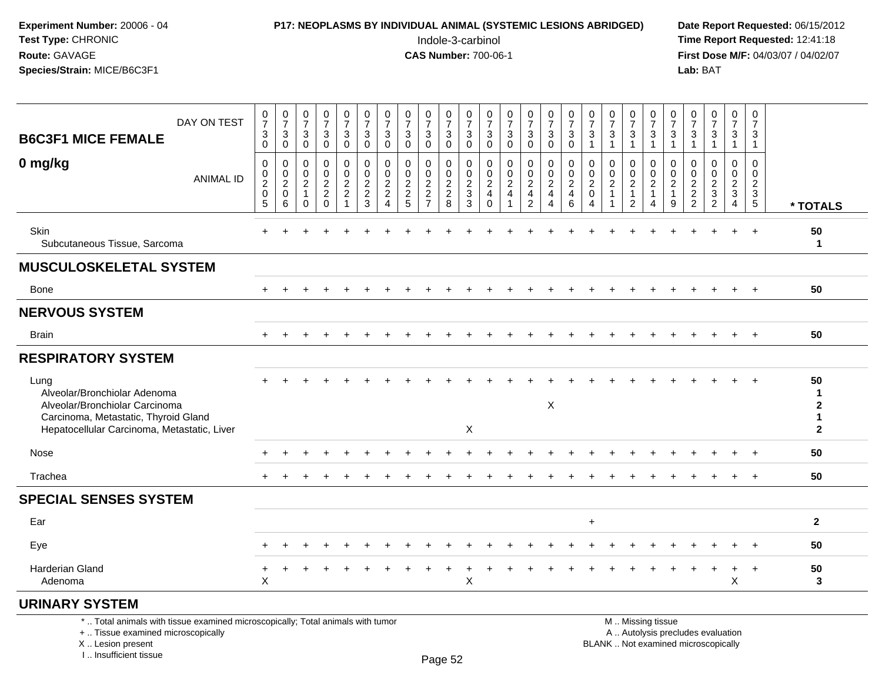### **P17: NEOPLASMS BY INDIVIDUAL ANIMAL (SYSTEMIC LESIONS ABRIDGED)** Date Report Requested: 06/15/2012<br>Indole-3-carbinol **Time Report Requested:** 12:41:18

 Indole-3-carbinol **Time Report Requested:** 12:41:18 **First Dose M/F:** 04/03/07 / 04/02/07<br>Lab: BAT **Lab:** BAT

| <b>B6C3F1 MICE FEMALE</b>                                                                                      | DAY ON TEST      | $\frac{0}{7}$<br>$\sqrt{3}$<br>$\Omega$                                    | $\frac{0}{7}$<br>$\mathbf{3}$<br>$\mathbf 0$     | $\frac{0}{7}$<br>$\ensuremath{\mathsf{3}}$<br>$\Omega$                   | $\frac{0}{7}$<br>3<br>$\Omega$                                   | $\frac{0}{7}$<br>$\mathbf{3}$<br>$\mathbf 0$                           | $\frac{0}{7}$<br>$\sqrt{3}$<br>$\mathbf 0$      | $\frac{0}{7}$<br>$\sqrt{3}$<br>$\mathbf{0}$                 | 0<br>$\overline{7}$<br>$\mathbf{3}$<br>$\Omega$                       | $\begin{array}{c} 0 \\ 7 \end{array}$<br>3<br>$\Omega$       | $\begin{array}{c} 0 \\ 7 \end{array}$<br>$\sqrt{3}$<br>$\Omega$     | $\boldsymbol{0}$<br>$\overline{7}$<br>$\sqrt{3}$<br>$\mathbf 0$            | $\begin{smallmatrix}0\\7\end{smallmatrix}$<br>$\mathbf{3}$<br>$\mathbf 0$ | $\frac{0}{7}$<br>$\sqrt{3}$<br>$\Omega$                                                   | $\frac{0}{7}$<br>3<br>$\Omega$                                                  | $\frac{0}{7}$<br>3<br>$\Omega$                                          | $\frac{0}{7}$<br>$\sqrt{3}$<br>$\Omega$                                        | 0<br>$\overline{7}$<br>$\mathbf{3}$                                                   | 0<br>$\overline{7}$<br>$\sqrt{3}$<br>$\overline{\mathbf{1}}$   | $\frac{0}{7}$<br>$\sqrt{3}$<br>$\mathbf{1}$                        | $\pmb{0}$<br>$\overline{7}$<br>$\mathbf{3}$<br>$\mathbf{1}$ | 0<br>$\overline{7}$<br>3<br>1                           | 0<br>$\overline{7}$<br>3                         | $\begin{array}{c} 0 \\ 7 \end{array}$<br>$\sqrt{3}$<br>$\overline{1}$ | $\begin{array}{c} 0 \\ 7 \end{array}$<br>3<br>$\mathbf{1}$ | $\pmb{0}$<br>$\overline{7}$<br>3<br>$\overline{1}$            |                                                   |
|----------------------------------------------------------------------------------------------------------------|------------------|----------------------------------------------------------------------------|--------------------------------------------------|--------------------------------------------------------------------------|------------------------------------------------------------------|------------------------------------------------------------------------|-------------------------------------------------|-------------------------------------------------------------|-----------------------------------------------------------------------|--------------------------------------------------------------|---------------------------------------------------------------------|----------------------------------------------------------------------------|---------------------------------------------------------------------------|-------------------------------------------------------------------------------------------|---------------------------------------------------------------------------------|-------------------------------------------------------------------------|--------------------------------------------------------------------------------|---------------------------------------------------------------------------------------|----------------------------------------------------------------|--------------------------------------------------------------------|-------------------------------------------------------------|---------------------------------------------------------|--------------------------------------------------|-----------------------------------------------------------------------|------------------------------------------------------------|---------------------------------------------------------------|---------------------------------------------------|
| 0 mg/kg                                                                                                        | <b>ANIMAL ID</b> | $\mathbf 0$<br>$\mathop{2}\limits^{\mathbb{O}}$<br>$\pmb{0}$<br>$\sqrt{5}$ | $\mathbf 0$<br>$\mathbf 0$<br>$\frac{2}{0}$<br>6 | $\mathbf 0$<br>$\mathbf 0$<br>$\overline{2}$<br>$\mathbf{1}$<br>$\Omega$ | $\mathbf 0$<br>0<br>$\overline{2}$<br>$\overline{2}$<br>$\Omega$ | 0<br>$\mathbf 0$<br>$\overline{2}$<br>$\overline{2}$<br>$\overline{1}$ | 0<br>$\begin{array}{c} 0 \\ 2 \\ 3 \end{array}$ | $\Omega$<br>0<br>$\sqrt{2}$<br>$\sqrt{2}$<br>$\overline{4}$ | $\mathbf 0$<br>$\mathbf 0$<br>$\overline{2}$<br>$\boldsymbol{2}$<br>5 | 0<br>0<br>$\overline{2}$<br>$\overline{2}$<br>$\overline{7}$ | 0<br>$\mathsf{O}\xspace$<br>$\overline{2}$<br>$\boldsymbol{2}$<br>8 | 0<br>$\mathsf{O}\xspace$<br>$\overline{2}$<br>$\sqrt{3}$<br>$\overline{3}$ | 0<br>$\mathbf 0$<br>$\overline{2}$<br>$\overline{\mathbf{4}}$<br>$\Omega$ | $\mathbf 0$<br>$\mathbf 0$<br>$\overline{2}$<br>$\overline{\mathbf{4}}$<br>$\overline{1}$ | 0<br>$\mathsf 0$<br>$\overline{2}$<br>$\overline{\mathbf{4}}$<br>$\overline{2}$ | 0<br>$\frac{0}{2}$<br>$\overline{\mathbf{4}}$<br>$\boldsymbol{\Lambda}$ | $\mathbf 0$<br>$\pmb{0}$<br>$\overline{2}$<br>$\overline{4}$<br>$6\phantom{a}$ | $\mathbf 0$<br>$\mathbf 0$<br>$\overline{2}$<br>$\mathbf 0$<br>$\boldsymbol{\Lambda}$ | $\mathbf 0$<br>$\mathbf 0$<br>$\overline{2}$<br>$\overline{1}$ | 0<br>$\pmb{0}$<br>$\overline{2}$<br>$\mathbf{1}$<br>$\overline{2}$ | 0<br>$\mathbf 0$<br>$\overline{2}$<br>$\mathbf{1}$<br>4     | 0<br>$\mathbf 0$<br>$\overline{c}$<br>$\mathbf{1}$<br>9 | $\Omega$<br>0<br>$\overline{c}$<br>$\frac{2}{2}$ | $\mathbf 0$<br>$\mathbf 0$<br>$\frac{2}{3}$                           | 0<br>0<br>$\overline{2}$<br>$\mathbf{3}$<br>$\overline{4}$ | $\mathbf 0$<br>$\mathbf 0$<br>$\overline{2}$<br>$\frac{3}{5}$ | * TOTALS                                          |
| Skin<br>Subcutaneous Tissue, Sarcoma                                                                           |                  |                                                                            |                                                  |                                                                          |                                                                  |                                                                        |                                                 |                                                             |                                                                       |                                                              |                                                                     |                                                                            |                                                                           |                                                                                           |                                                                                 |                                                                         |                                                                                |                                                                                       |                                                                |                                                                    |                                                             |                                                         |                                                  |                                                                       |                                                            | $\overline{+}$                                                | 50<br>$\mathbf{1}$                                |
| <b>MUSCULOSKELETAL SYSTEM</b>                                                                                  |                  |                                                                            |                                                  |                                                                          |                                                                  |                                                                        |                                                 |                                                             |                                                                       |                                                              |                                                                     |                                                                            |                                                                           |                                                                                           |                                                                                 |                                                                         |                                                                                |                                                                                       |                                                                |                                                                    |                                                             |                                                         |                                                  |                                                                       |                                                            |                                                               |                                                   |
| Bone                                                                                                           |                  |                                                                            |                                                  |                                                                          |                                                                  |                                                                        |                                                 |                                                             |                                                                       |                                                              |                                                                     |                                                                            |                                                                           |                                                                                           |                                                                                 |                                                                         |                                                                                |                                                                                       |                                                                |                                                                    |                                                             |                                                         |                                                  |                                                                       |                                                            |                                                               | 50                                                |
| <b>NERVOUS SYSTEM</b>                                                                                          |                  |                                                                            |                                                  |                                                                          |                                                                  |                                                                        |                                                 |                                                             |                                                                       |                                                              |                                                                     |                                                                            |                                                                           |                                                                                           |                                                                                 |                                                                         |                                                                                |                                                                                       |                                                                |                                                                    |                                                             |                                                         |                                                  |                                                                       |                                                            |                                                               |                                                   |
| <b>Brain</b>                                                                                                   |                  |                                                                            |                                                  |                                                                          |                                                                  |                                                                        |                                                 |                                                             |                                                                       |                                                              |                                                                     |                                                                            |                                                                           |                                                                                           |                                                                                 |                                                                         |                                                                                |                                                                                       |                                                                |                                                                    |                                                             |                                                         |                                                  |                                                                       | $\div$                                                     | $+$                                                           | 50                                                |
| <b>RESPIRATORY SYSTEM</b>                                                                                      |                  |                                                                            |                                                  |                                                                          |                                                                  |                                                                        |                                                 |                                                             |                                                                       |                                                              |                                                                     |                                                                            |                                                                           |                                                                                           |                                                                                 |                                                                         |                                                                                |                                                                                       |                                                                |                                                                    |                                                             |                                                         |                                                  |                                                                       |                                                            |                                                               |                                                   |
| Lung<br>Alveolar/Bronchiolar Adenoma<br>Alveolar/Bronchiolar Carcinoma<br>Carcinoma, Metastatic, Thyroid Gland |                  |                                                                            |                                                  |                                                                          |                                                                  |                                                                        |                                                 |                                                             |                                                                       |                                                              |                                                                     |                                                                            |                                                                           |                                                                                           |                                                                                 | $\boldsymbol{\mathsf{X}}$                                               |                                                                                |                                                                                       |                                                                |                                                                    |                                                             |                                                         |                                                  |                                                                       |                                                            |                                                               | 50<br>$\mathbf 1$<br>$\mathbf{2}$<br>$\mathbf{1}$ |
| Hepatocellular Carcinoma, Metastatic, Liver                                                                    |                  |                                                                            |                                                  |                                                                          |                                                                  |                                                                        |                                                 |                                                             |                                                                       |                                                              |                                                                     | X                                                                          |                                                                           |                                                                                           |                                                                                 |                                                                         |                                                                                |                                                                                       |                                                                |                                                                    |                                                             |                                                         |                                                  |                                                                       |                                                            |                                                               | $\mathbf{2}$                                      |
| Nose                                                                                                           |                  |                                                                            |                                                  |                                                                          |                                                                  |                                                                        |                                                 |                                                             |                                                                       |                                                              |                                                                     |                                                                            |                                                                           |                                                                                           |                                                                                 |                                                                         |                                                                                |                                                                                       |                                                                |                                                                    |                                                             |                                                         |                                                  |                                                                       |                                                            |                                                               | 50                                                |
| Trachea                                                                                                        |                  |                                                                            |                                                  |                                                                          |                                                                  |                                                                        |                                                 |                                                             |                                                                       |                                                              |                                                                     |                                                                            |                                                                           |                                                                                           |                                                                                 |                                                                         |                                                                                |                                                                                       |                                                                |                                                                    |                                                             |                                                         |                                                  |                                                                       |                                                            | $\ddot{}$                                                     | 50                                                |
| <b>SPECIAL SENSES SYSTEM</b>                                                                                   |                  |                                                                            |                                                  |                                                                          |                                                                  |                                                                        |                                                 |                                                             |                                                                       |                                                              |                                                                     |                                                                            |                                                                           |                                                                                           |                                                                                 |                                                                         |                                                                                |                                                                                       |                                                                |                                                                    |                                                             |                                                         |                                                  |                                                                       |                                                            |                                                               |                                                   |
| Ear                                                                                                            |                  |                                                                            |                                                  |                                                                          |                                                                  |                                                                        |                                                 |                                                             |                                                                       |                                                              |                                                                     |                                                                            |                                                                           |                                                                                           |                                                                                 |                                                                         |                                                                                | $+$                                                                                   |                                                                |                                                                    |                                                             |                                                         |                                                  |                                                                       |                                                            |                                                               | $\mathbf{2}$                                      |
| Eye                                                                                                            |                  |                                                                            |                                                  |                                                                          |                                                                  |                                                                        |                                                 |                                                             |                                                                       |                                                              |                                                                     |                                                                            |                                                                           |                                                                                           |                                                                                 |                                                                         |                                                                                |                                                                                       |                                                                |                                                                    |                                                             |                                                         |                                                  |                                                                       |                                                            |                                                               | 50                                                |
| Harderian Gland<br>Adenoma                                                                                     |                  | $\mathsf X$                                                                |                                                  |                                                                          |                                                                  |                                                                        |                                                 |                                                             |                                                                       |                                                              |                                                                     | X                                                                          |                                                                           |                                                                                           |                                                                                 |                                                                         |                                                                                |                                                                                       |                                                                |                                                                    |                                                             |                                                         |                                                  |                                                                       | $\ddot{}$<br>X                                             | $\ddot{}$                                                     | 50<br>3                                           |
| <b>ILDINIA DV OVOTEM</b>                                                                                       |                  |                                                                            |                                                  |                                                                          |                                                                  |                                                                        |                                                 |                                                             |                                                                       |                                                              |                                                                     |                                                                            |                                                                           |                                                                                           |                                                                                 |                                                                         |                                                                                |                                                                                       |                                                                |                                                                    |                                                             |                                                         |                                                  |                                                                       |                                                            |                                                               |                                                   |

#### **URINARY SYSTEM**

\* .. Total animals with tissue examined microscopically; Total animals with tumor

+ .. Tissue examined microscopically

X .. Lesion present

I .. Insufficient tissue

 M .. Missing tissuey the contract of the contract of the contract of the contract of the contract of  $\mathsf A$  . Autolysis precludes evaluation

Lesion present BLANK .. Not examined microscopically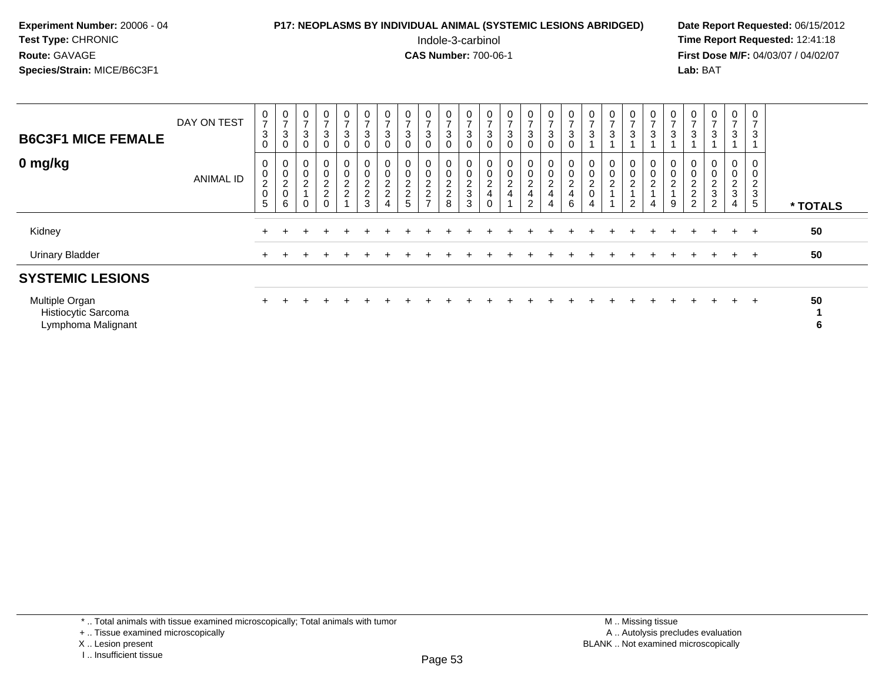### **P17: NEOPLASMS BY INDIVIDUAL ANIMAL (SYSTEMIC LESIONS ABRIDGED)** Date Report Requested: 06/15/2012<br>Indole-3-carbinol **Time Report Requested:** 12:41:18

 Indole-3-carbinol **Time Report Requested:** 12:41:18 **First Dose M/F:** 04/03/07 / 04/02/07<br>Lab: BAT **Lab:** BAT

| <b>B6C3F1 MICE FEMALE</b>                                   | DAY ON TEST      | $\frac{0}{7}$<br>3<br>0                                 | $\frac{0}{7}$<br>$\mathbf{3}$<br>0   | $\frac{0}{7}$<br>$\sqrt{3}$<br>$\mathbf 0$ | $\frac{0}{7}$<br>$\mathbf{3}$<br>$\mathbf 0$                 | 0<br>$\overline{z}$<br>3<br>$\mathbf 0$ | $\frac{0}{7}$<br>$\mathbf{3}$<br>0 | $\cup$<br>$\rightarrow$<br>$\sqrt{3}$<br>$\mathbf 0$             | 0<br>$\rightarrow$<br>$\mathbf{3}$<br>$\mathbf 0$ | 0<br>$\overline{ }$<br>3<br>0 | 0<br>$\overline{7}$<br>3<br>$\mathbf 0$                 | 0<br>$\rightarrow$<br>3<br>0          | 0<br>$\overline{ }$<br>3<br>$\mathbf 0$                              | 0<br>$\rightarrow$<br>$\sqrt{3}$<br>0 | $\frac{0}{7}$<br>$\mathbf{3}$<br>$\mathbf 0$      | $\frac{0}{7}$<br>$\sqrt{3}$<br>$\pmb{0}$                               | 0<br>$\overline{ }$<br>3<br>0            | $\overline{ }$<br>3          | 0<br>$\rightarrow$<br>3            | 0<br>$\rightarrow$<br>$\mathbf{3}$           | $\frac{0}{7}$<br>$\mathbf{3}$                         | $\frac{0}{7}$<br>3              | $\mathbf 0$<br>$\overline{ }$<br>3                                        | 0<br>$\overline{ }$<br>3                                 | $\frac{0}{7}$<br>$\sqrt{3}$          | 0<br>$\overline{ }$<br>$\mathbf{3}$                              |          |
|-------------------------------------------------------------|------------------|---------------------------------------------------------|--------------------------------------|--------------------------------------------|--------------------------------------------------------------|-----------------------------------------|------------------------------------|------------------------------------------------------------------|---------------------------------------------------|-------------------------------|---------------------------------------------------------|---------------------------------------|----------------------------------------------------------------------|---------------------------------------|---------------------------------------------------|------------------------------------------------------------------------|------------------------------------------|------------------------------|------------------------------------|----------------------------------------------|-------------------------------------------------------|---------------------------------|---------------------------------------------------------------------------|----------------------------------------------------------|--------------------------------------|------------------------------------------------------------------|----------|
| 0 mg/kg                                                     | <b>ANIMAL ID</b> | 0<br>$\pmb{0}$<br>$\sqrt{2}$<br>$\pmb{0}$<br>$\sqrt{5}$ | 0<br>$\pmb{0}$<br>$\frac{2}{0}$<br>6 | 0<br>$\pmb{0}$<br>$\overline{2}$           | 0<br>$\pmb{0}$<br>$\begin{array}{c} 2 \\ 2 \\ 0 \end{array}$ | 0<br>$\mathbf 0$<br>$\frac{2}{2}$       | 0<br>$\pmb{0}$<br>$\frac{2}{3}$    | 0<br>$\pmb{0}$<br>$\overline{\mathbf{c}}$<br>$\overline{c}$<br>4 | 0<br>$\pmb{0}$<br>$\frac{2}{2}$                   | 0<br>0<br>$\frac{2}{7}$       | 0<br>$\pmb{0}$<br>$\overline{c}$<br>$\overline{c}$<br>8 | 0<br><sup>o</sup><br>$rac{2}{3}$<br>3 | $\mathbf 0$<br>$\overline{c}$<br>$\overline{\mathbf{4}}$<br>$\Omega$ | 0<br>0<br>$\overline{2}$<br>4         | 0<br>$\pmb{0}$<br>$\frac{2}{4}$<br>$\overline{2}$ | 0<br>$\pmb{0}$<br>$\boldsymbol{2}$<br>$\overline{4}$<br>$\overline{4}$ | 0<br>0<br>$\sim$<br>$\epsilon$<br>4<br>6 | $\mathbf 0$<br>$\Omega$<br>۷ | 0<br>$\mathbf 0$<br>$\overline{2}$ | 0<br>0<br>$\boldsymbol{2}$<br>$\overline{2}$ | 0<br>$\boldsymbol{0}$<br>$\sqrt{2}$<br>$\overline{4}$ | 0<br>0<br>$\boldsymbol{2}$<br>9 | $\mathbf 0$<br>$\Omega$<br>۷<br>$\overline{\mathbf{c}}$<br>$\overline{2}$ | 0<br>$\boldsymbol{0}$<br>$\frac{2}{3}$<br>$\overline{2}$ | 0<br>$\pmb{0}$<br>$\frac{2}{3}$<br>4 | $\mathbf{0}$<br>$\mathbf 0$<br>$\overline{c}$<br>3<br>$\sqrt{5}$ | * TOTALS |
| Kidney                                                      |                  | $+$                                                     |                                      |                                            |                                                              |                                         |                                    |                                                                  |                                                   |                               |                                                         |                                       |                                                                      |                                       |                                                   |                                                                        |                                          |                              |                                    |                                              |                                                       |                                 |                                                                           |                                                          | $+$                                  | $+$                                                              | 50       |
| <b>Urinary Bladder</b>                                      |                  | $+$                                                     | $\pm$                                | $\div$                                     | $+$                                                          | $+$                                     |                                    | ÷.                                                               |                                                   |                               |                                                         |                                       |                                                                      |                                       |                                                   |                                                                        |                                          |                              |                                    |                                              |                                                       |                                 | $+$                                                                       | $\div$                                                   | $+$                                  | $+$                                                              | 50       |
| <b>SYSTEMIC LESIONS</b>                                     |                  |                                                         |                                      |                                            |                                                              |                                         |                                    |                                                                  |                                                   |                               |                                                         |                                       |                                                                      |                                       |                                                   |                                                                        |                                          |                              |                                    |                                              |                                                       |                                 |                                                                           |                                                          |                                      |                                                                  |          |
| Multiple Organ<br>Histiocytic Sarcoma<br>Lymphoma Malignant |                  | $\pm$                                                   |                                      |                                            |                                                              |                                         |                                    |                                                                  |                                                   |                               |                                                         |                                       |                                                                      |                                       |                                                   |                                                                        |                                          |                              |                                    |                                              |                                                       |                                 |                                                                           |                                                          | $+$                                  | $\pm$                                                            | 50<br>6  |

\* .. Total animals with tissue examined microscopically; Total animals with tumor

+ .. Tissue examined microscopically

X .. Lesion present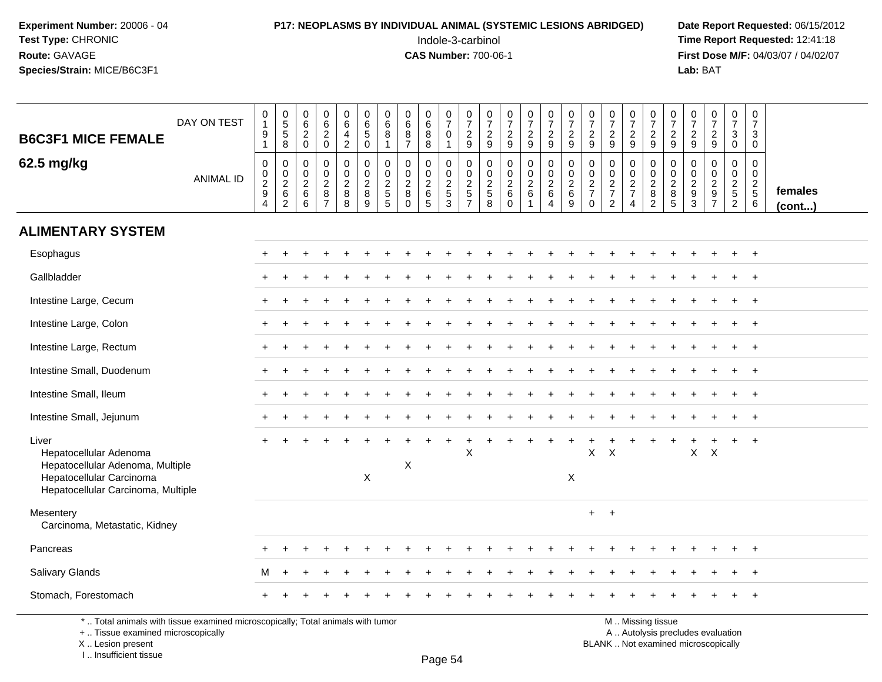### **P17: NEOPLASMS BY INDIVIDUAL ANIMAL (SYSTEMIC LESIONS ABRIDGED)** Date Report Requested: 06/15/2012<br>Indole-3-carbinol **Time Report Requested:** 12:41:18

 Indole-3-carbinol **Time Report Requested:** 12:41:18 **First Dose M/F:** 04/03/07 / 04/02/07<br>Lab: BAT **Lab:** BAT

| <b>B6C3F1 MICE FEMALE</b>                                                                                                             | DAY ON TEST      | $\begin{smallmatrix}0\1\end{smallmatrix}$<br>9<br>$\mathbf{1}$      | 0<br>5<br>5<br>8                               |                                                   | $\begin{array}{c} 0 \\ 6 \end{array}$<br>$\overline{2}$<br>$\mathbf 0$            | $\begin{array}{c} 0 \\ 6 \end{array}$<br>$\frac{4}{2}$ | $\begin{array}{c} 0 \\ 6 \end{array}$<br>$\overline{5}$ 0                | 0<br>$\,6\,$<br>8<br>1                                       | 0687                                                     | $_6^0$<br>$\overline{8}$<br>8                 | $\frac{0}{7}$<br>$\pmb{0}$<br>$\mathbf{1}$              | $\begin{array}{c} 0 \\ 7 \end{array}$<br>$\frac{2}{9}$ | 0<br>$\overline{7}$<br>$\overline{a}$<br>9              | $\frac{0}{7}$<br>$\sqrt{2}$<br>9                                  | $\frac{0}{7}$<br>$\overline{c}$<br>9                  | $\begin{smallmatrix}0\\7\end{smallmatrix}$<br>$\overline{c}$<br>9 | $\frac{0}{7}$<br>$\sqrt{2}$<br>9       | $\begin{array}{c} 0 \\ 7 \end{array}$<br>$\sqrt{2}$<br>9             | $\begin{array}{c} 0 \\ 7 \end{array}$<br>$\sqrt{2}$<br>9               | $\frac{0}{7}$<br>$\frac{2}{9}$                                   | $\frac{0}{7}$<br>$\sqrt{2}$<br>$\boldsymbol{9}$                | $\begin{smallmatrix}0\\7\end{smallmatrix}$<br>$\overline{\mathbf{c}}$<br>9 | $\begin{array}{c} 0 \\ 7 \end{array}$<br>$\sqrt{2}$<br>$\boldsymbol{9}$ | $\frac{0}{7}$<br>$\overline{c}$<br>$\boldsymbol{9}$                        | $\begin{smallmatrix}0\\7\end{smallmatrix}$<br>$\ensuremath{\mathsf{3}}$<br>$\mathsf{O}\xspace$ | $\frac{0}{7}$<br>3<br>$\mathbf 0$                     |                   |
|---------------------------------------------------------------------------------------------------------------------------------------|------------------|---------------------------------------------------------------------|------------------------------------------------|---------------------------------------------------|-----------------------------------------------------------------------------------|--------------------------------------------------------|--------------------------------------------------------------------------|--------------------------------------------------------------|----------------------------------------------------------|-----------------------------------------------|---------------------------------------------------------|--------------------------------------------------------|---------------------------------------------------------|-------------------------------------------------------------------|-------------------------------------------------------|-------------------------------------------------------------------|----------------------------------------|----------------------------------------------------------------------|------------------------------------------------------------------------|------------------------------------------------------------------|----------------------------------------------------------------|----------------------------------------------------------------------------|-------------------------------------------------------------------------|----------------------------------------------------------------------------|------------------------------------------------------------------------------------------------|-------------------------------------------------------|-------------------|
| 62.5 mg/kg                                                                                                                            | <b>ANIMAL ID</b> | $\pmb{0}$<br>$\mathbf 0$<br>$\boldsymbol{2}$<br>9<br>$\overline{4}$ | 0<br>$\mathbf 0$<br>$\boldsymbol{2}$<br>$^6_2$ | 0<br>$\boldsymbol{0}$<br>$\overline{c}$<br>$^6_6$ | $\mathbf 0$<br>$\mathsf{O}\xspace$<br>$\overline{c}$<br>$\bf 8$<br>$\overline{7}$ | 0<br>$\pmb{0}$<br>$\sqrt{2}$<br>$_{8}^8$               | $\mathbf 0$<br>$\overline{0}$<br>$\boldsymbol{2}$<br>8<br>$\overline{9}$ | $\mathbf 0$<br>$\Omega$<br>$\overline{c}$<br>$\sqrt{5}$<br>5 | 0<br>$\mathbf 0$<br>$\overline{c}$<br>$\bf8$<br>$\Omega$ | 0<br>$\mathsf{O}$<br>$\overline{c}$<br>6<br>5 | 0<br>$\mathsf{O}\xspace$<br>$\sqrt{2}$<br>$\frac{5}{3}$ | 0<br>$\mathsf 0$<br>$\sqrt{2}$<br>$\frac{5}{7}$        | 0<br>$\mathbf 0$<br>$\boldsymbol{2}$<br>$\sqrt{5}$<br>8 | $\mathbf 0$<br>$\mathsf{O}\xspace$<br>$\sqrt{2}$<br>6<br>$\Omega$ | 0<br>$\mathsf{O}\xspace$<br>$\overline{c}$<br>$\,6\,$ | 0<br>$\mathsf{O}\xspace$<br>$\overline{c}$<br>6<br>4              | 0<br>$\pmb{0}$<br>$\sqrt{2}$<br>$^6_9$ | 0<br>$\mathbf 0$<br>$\overline{c}$<br>$\overline{7}$<br>$\mathbf{0}$ | 0<br>$\mathbf 0$<br>$\overline{c}$<br>$\overline{7}$<br>$\overline{2}$ | 0<br>$\pmb{0}$<br>$\sqrt{2}$<br>$\overline{7}$<br>$\overline{4}$ | 0<br>$\mathbf 0$<br>$\overline{c}$<br>$\, 8$<br>$\overline{c}$ | 0<br>0<br>$\boldsymbol{2}$<br>8<br>5                                       | 0<br>$\mathbf 0$<br>$\overline{c}$<br>$\frac{9}{3}$                     | 0<br>$\mathbf 0$<br>$\boldsymbol{2}$<br>$\boldsymbol{9}$<br>$\overline{7}$ | 0<br>$\mathbf 0$<br>$\frac{2}{5}$                                                              | 0<br>$\mathbf 0$<br>$\overline{c}$<br>$\sqrt{5}$<br>6 | females<br>(cont) |
| <b>ALIMENTARY SYSTEM</b>                                                                                                              |                  |                                                                     |                                                |                                                   |                                                                                   |                                                        |                                                                          |                                                              |                                                          |                                               |                                                         |                                                        |                                                         |                                                                   |                                                       |                                                                   |                                        |                                                                      |                                                                        |                                                                  |                                                                |                                                                            |                                                                         |                                                                            |                                                                                                |                                                       |                   |
| Esophagus                                                                                                                             |                  |                                                                     |                                                |                                                   |                                                                                   |                                                        |                                                                          |                                                              |                                                          |                                               |                                                         |                                                        |                                                         |                                                                   |                                                       |                                                                   |                                        |                                                                      |                                                                        |                                                                  |                                                                |                                                                            |                                                                         |                                                                            |                                                                                                | $+$                                                   |                   |
| Gallbladder                                                                                                                           |                  |                                                                     |                                                |                                                   |                                                                                   |                                                        |                                                                          |                                                              |                                                          |                                               |                                                         |                                                        |                                                         |                                                                   |                                                       |                                                                   |                                        |                                                                      |                                                                        |                                                                  |                                                                |                                                                            |                                                                         |                                                                            |                                                                                                |                                                       |                   |
| Intestine Large, Cecum                                                                                                                |                  |                                                                     |                                                |                                                   |                                                                                   |                                                        |                                                                          |                                                              |                                                          |                                               |                                                         |                                                        |                                                         |                                                                   |                                                       |                                                                   |                                        |                                                                      |                                                                        |                                                                  |                                                                |                                                                            |                                                                         |                                                                            |                                                                                                | $^{+}$                                                |                   |
| Intestine Large, Colon                                                                                                                |                  |                                                                     |                                                |                                                   |                                                                                   |                                                        |                                                                          |                                                              |                                                          |                                               |                                                         |                                                        |                                                         |                                                                   |                                                       |                                                                   |                                        |                                                                      |                                                                        |                                                                  |                                                                |                                                                            |                                                                         |                                                                            |                                                                                                | $\overline{ }$                                        |                   |
| Intestine Large, Rectum                                                                                                               |                  |                                                                     |                                                |                                                   |                                                                                   |                                                        |                                                                          |                                                              |                                                          |                                               |                                                         |                                                        |                                                         |                                                                   |                                                       |                                                                   |                                        |                                                                      |                                                                        |                                                                  |                                                                |                                                                            |                                                                         |                                                                            |                                                                                                |                                                       |                   |
| Intestine Small, Duodenum                                                                                                             |                  |                                                                     |                                                |                                                   |                                                                                   |                                                        |                                                                          |                                                              |                                                          |                                               |                                                         |                                                        |                                                         |                                                                   |                                                       |                                                                   |                                        |                                                                      |                                                                        |                                                                  |                                                                |                                                                            |                                                                         |                                                                            |                                                                                                | $^{+}$                                                |                   |
| Intestine Small, Ileum                                                                                                                |                  |                                                                     |                                                |                                                   |                                                                                   |                                                        |                                                                          |                                                              |                                                          |                                               |                                                         |                                                        |                                                         |                                                                   |                                                       |                                                                   |                                        |                                                                      |                                                                        |                                                                  |                                                                |                                                                            |                                                                         |                                                                            |                                                                                                | $^{+}$                                                |                   |
| Intestine Small, Jejunum                                                                                                              |                  |                                                                     |                                                |                                                   |                                                                                   |                                                        |                                                                          |                                                              |                                                          |                                               |                                                         |                                                        |                                                         |                                                                   |                                                       |                                                                   |                                        |                                                                      |                                                                        |                                                                  |                                                                |                                                                            |                                                                         |                                                                            |                                                                                                | $\ddot{}$                                             |                   |
| Liver<br>Hepatocellular Adenoma<br>Hepatocellular Adenoma, Multiple<br>Hepatocellular Carcinoma<br>Hepatocellular Carcinoma, Multiple |                  |                                                                     |                                                |                                                   |                                                                                   |                                                        | $\mathsf X$                                                              |                                                              | X                                                        |                                               |                                                         | $\boldsymbol{\mathsf{X}}$                              |                                                         |                                                                   |                                                       |                                                                   | $\mathsf X$                            | X                                                                    | $\boldsymbol{\mathsf{X}}$                                              |                                                                  |                                                                |                                                                            | X                                                                       | $\times$                                                                   |                                                                                                | $+$                                                   |                   |
| Mesentery<br>Carcinoma, Metastatic, Kidney                                                                                            |                  |                                                                     |                                                |                                                   |                                                                                   |                                                        |                                                                          |                                                              |                                                          |                                               |                                                         |                                                        |                                                         |                                                                   |                                                       |                                                                   |                                        | $+$ $+$                                                              |                                                                        |                                                                  |                                                                |                                                                            |                                                                         |                                                                            |                                                                                                |                                                       |                   |
| Pancreas                                                                                                                              |                  |                                                                     |                                                |                                                   |                                                                                   |                                                        |                                                                          |                                                              |                                                          |                                               |                                                         |                                                        |                                                         |                                                                   |                                                       |                                                                   |                                        |                                                                      |                                                                        |                                                                  |                                                                |                                                                            |                                                                         |                                                                            |                                                                                                | $+$                                                   |                   |
| Salivary Glands                                                                                                                       |                  | м                                                                   |                                                |                                                   |                                                                                   |                                                        |                                                                          |                                                              |                                                          |                                               |                                                         |                                                        |                                                         |                                                                   |                                                       |                                                                   |                                        |                                                                      |                                                                        |                                                                  |                                                                |                                                                            |                                                                         |                                                                            |                                                                                                |                                                       |                   |
| Stomach, Forestomach                                                                                                                  |                  |                                                                     |                                                |                                                   |                                                                                   |                                                        |                                                                          |                                                              |                                                          |                                               |                                                         |                                                        |                                                         |                                                                   |                                                       |                                                                   |                                        |                                                                      |                                                                        |                                                                  |                                                                |                                                                            |                                                                         |                                                                            |                                                                                                | $\div$                                                |                   |
| *  Total animals with tissue examined microscopically; Total animals with tumor                                                       |                  |                                                                     |                                                |                                                   |                                                                                   |                                                        |                                                                          |                                                              |                                                          |                                               |                                                         |                                                        |                                                         |                                                                   |                                                       |                                                                   |                                        |                                                                      |                                                                        |                                                                  | M  Missing tissue                                              |                                                                            |                                                                         |                                                                            |                                                                                                |                                                       |                   |

+ .. Tissue examined microscopically

X .. Lesion present

I .. Insufficient tissue

y the contract of the contract of the contract of the contract of the contract of  $\mathsf A$  . Autolysis precludes evaluation Lesion present BLANK .. Not examined microscopically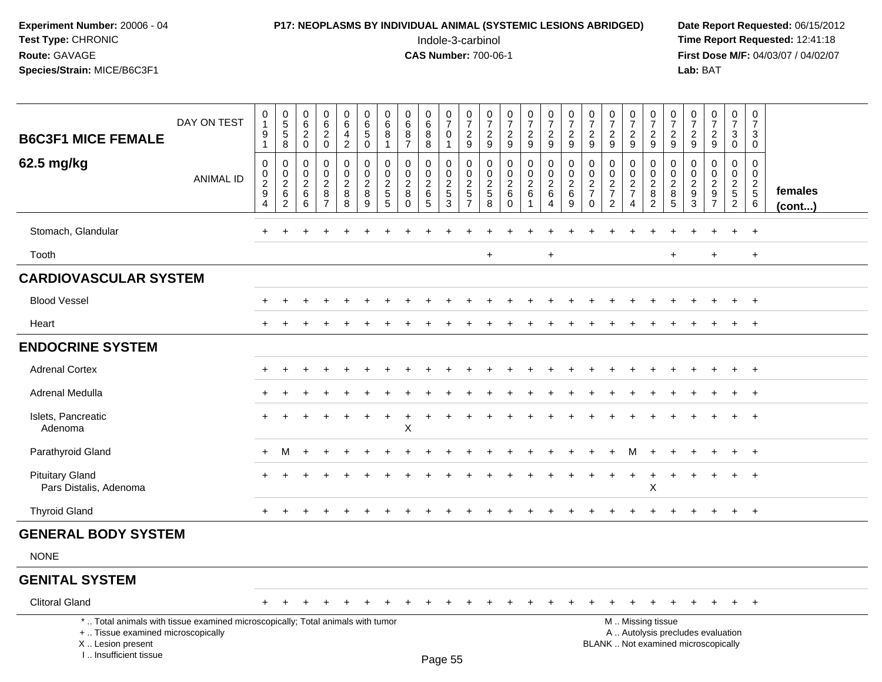# **P17: NEOPLASMS BY INDIVIDUAL ANIMAL (SYSTEMIC LESIONS ABRIDGED)** Date Report Requested: 06/15/2012<br>Indole-3-carbinol **Time Report Requested:** 12:41:18

| <b>B6C3F1 MICE FEMALE</b>                                                                                                                                             | DAY ON TEST      | $\mathbf 0$<br>$\mathbf{1}$<br>9<br>$\overline{1}$          | $\mathbf 0$<br>$\overline{5}$<br>$\sqrt{5}$<br>8               | $\mathbf 0$<br>6<br>$\overline{2}$<br>$\mathbf 0$        | 0<br>$\overline{6}$<br>$\overline{a}$<br>$\mathbf 0$ | $\mathbf 0$<br>$6\phantom{a}$<br>$\overline{4}$<br>$\overline{2}$ | $\pmb{0}$<br>$6\phantom{a}$<br>$\sqrt{5}$<br>$\mathbf 0$ | 0<br>$\,6\,$<br>8<br>$\overline{1}$         | $\mathbf 0$<br>$\,6\,$<br>8<br>$\overline{7}$                              | 0<br>$6\phantom{a}$<br>8<br>8                       | $\,0\,$<br>$\overline{7}$<br>$\mathsf{O}\xspace$<br>$\mathbf{1}$ | $\begin{array}{c} 0 \\ 7 \end{array}$<br>$\overline{c}$<br>9 | 0<br>$\overline{7}$<br>$\overline{a}$<br>9 | $\frac{0}{7}$<br>$\frac{2}{9}$                        | $\mathbf 0$<br>$\overline{7}$<br>$\overline{2}$<br>9 | $\mathbf 0$<br>$\overline{7}$<br>$\overline{2}$<br>$9\,$ | $\frac{0}{7}$<br>$\overline{a}$<br>9             | $\frac{0}{7}$<br>$\overline{2}$<br>$\boldsymbol{9}$ | $\frac{0}{7}$<br>$\overline{2}$<br>$9\,$                      | 0<br>$\overline{7}$<br>$\overline{2}$<br>9 | $\pmb{0}$<br>$\overline{7}$<br>$\overline{c}$<br>9                       | 0<br>$\overline{7}$<br>$\overline{2}$<br>9   | $\frac{0}{7}$<br>$\overline{2}$<br>9 | $\frac{0}{7}$<br>$\overline{c}$<br>9                                     | $\mathbf 0$<br>$\overline{7}$<br>$\mathbf{3}$<br>$\mathbf 0$ | $\mathbf 0$<br>$\overline{7}$<br>3<br>$\mathbf 0$ |                         |
|-----------------------------------------------------------------------------------------------------------------------------------------------------------------------|------------------|-------------------------------------------------------------|----------------------------------------------------------------|----------------------------------------------------------|------------------------------------------------------|-------------------------------------------------------------------|----------------------------------------------------------|---------------------------------------------|----------------------------------------------------------------------------|-----------------------------------------------------|------------------------------------------------------------------|--------------------------------------------------------------|--------------------------------------------|-------------------------------------------------------|------------------------------------------------------|----------------------------------------------------------|--------------------------------------------------|-----------------------------------------------------|---------------------------------------------------------------|--------------------------------------------|--------------------------------------------------------------------------|----------------------------------------------|--------------------------------------|--------------------------------------------------------------------------|--------------------------------------------------------------|---------------------------------------------------|-------------------------|
| 62.5 mg/kg                                                                                                                                                            | <b>ANIMAL ID</b> | $\mathbf 0$<br>$\pmb{0}$<br>$\frac{2}{9}$<br>$\overline{4}$ | 0<br>$\mathbf 0$<br>$\begin{array}{c} 2 \\ 6 \end{array}$<br>2 | $\mathbf 0$<br>$\mathbf 0$<br>$\sqrt{2}$<br>$\,6\,$<br>6 | 0<br>$\mathbf 0$<br>$_{8}^2$<br>$\overline{7}$       | $\pmb{0}$<br>$\mathbf 0$<br>$\overline{c}$<br>$\,8\,$<br>8        | $\mathbf 0$<br>$\mathsf{O}\xspace$<br>$\frac{2}{8}$<br>9 | $\mathbf 0$<br>$\mathbf 0$<br>$\frac{2}{5}$ | $\pmb{0}$<br>$\mathbf 0$<br>$\overline{2}$<br>$\boldsymbol{8}$<br>$\Omega$ | 0<br>$\mathbf{0}$<br>$\overline{c}$<br>$\,6\,$<br>5 | $\pmb{0}$<br>$\begin{array}{c} 0 \\ 2 \\ 5 \\ 3 \end{array}$     | 0<br>$\mathbf 0$<br>$\frac{2}{5}$                            | 0<br>$\mathbf 0$<br>$\frac{2}{5}$<br>8     | $\mathbf 0$<br>$\pmb{0}$<br>$\frac{2}{6}$<br>$\Omega$ | 0<br>$\mathbf 0$<br>$\frac{2}{6}$<br>$\overline{1}$  | 0<br>$\pmb{0}$<br>$\frac{2}{6}$<br>4                     | $\mathbf 0$<br>$\mathbf 0$<br>$\frac{2}{6}$<br>9 | 0<br>$\mathbf 0$<br>$\frac{2}{7}$<br>$\mathbf{0}$   | $\mathbf 0$<br>$\mathbf 0$<br>$\frac{2}{7}$<br>$\overline{2}$ | 0<br>0<br>$\frac{2}{7}$<br>$\overline{4}$  | $\mathbf 0$<br>$\mathbf 0$<br>$\begin{array}{c} 2 \\ 8 \\ 2 \end{array}$ | 0<br>$\mathbf 0$<br>$\overline{c}$<br>8<br>5 | 0<br>$\mathbf 0$<br>$\frac{2}{9}$    | 0<br>$\mathbf 0$<br>$\frac{2}{9}$<br>$\overline{7}$                      | 0<br>$\mathbf 0$<br>$rac{2}{5}$<br>$\overline{2}$            | $\mathbf 0$<br>$\mathbf 0$<br>$\frac{2}{5}$<br>6  | females<br>$($ cont $)$ |
| Stomach, Glandular                                                                                                                                                    |                  |                                                             |                                                                |                                                          |                                                      |                                                                   |                                                          |                                             |                                                                            |                                                     |                                                                  |                                                              |                                            |                                                       |                                                      |                                                          |                                                  |                                                     |                                                               |                                            |                                                                          |                                              |                                      |                                                                          | ÷.                                                           | $+$                                               |                         |
| Tooth                                                                                                                                                                 |                  |                                                             |                                                                |                                                          |                                                      |                                                                   |                                                          |                                             |                                                                            |                                                     |                                                                  |                                                              | $\ddot{}$                                  |                                                       |                                                      | $\ddot{}$                                                |                                                  |                                                     |                                                               |                                            |                                                                          | $\ddot{}$                                    |                                      | $\ddot{}$                                                                |                                                              | $\ddot{}$                                         |                         |
| <b>CARDIOVASCULAR SYSTEM</b>                                                                                                                                          |                  |                                                             |                                                                |                                                          |                                                      |                                                                   |                                                          |                                             |                                                                            |                                                     |                                                                  |                                                              |                                            |                                                       |                                                      |                                                          |                                                  |                                                     |                                                               |                                            |                                                                          |                                              |                                      |                                                                          |                                                              |                                                   |                         |
| <b>Blood Vessel</b>                                                                                                                                                   |                  |                                                             |                                                                |                                                          |                                                      |                                                                   |                                                          |                                             |                                                                            |                                                     |                                                                  |                                                              |                                            |                                                       |                                                      |                                                          |                                                  |                                                     |                                                               |                                            |                                                                          |                                              |                                      |                                                                          |                                                              | $\div$                                            |                         |
| Heart                                                                                                                                                                 |                  |                                                             |                                                                |                                                          |                                                      |                                                                   |                                                          |                                             |                                                                            |                                                     |                                                                  |                                                              |                                            |                                                       |                                                      |                                                          |                                                  |                                                     |                                                               |                                            |                                                                          |                                              |                                      |                                                                          |                                                              | $+$                                               |                         |
| <b>ENDOCRINE SYSTEM</b>                                                                                                                                               |                  |                                                             |                                                                |                                                          |                                                      |                                                                   |                                                          |                                             |                                                                            |                                                     |                                                                  |                                                              |                                            |                                                       |                                                      |                                                          |                                                  |                                                     |                                                               |                                            |                                                                          |                                              |                                      |                                                                          |                                                              |                                                   |                         |
| <b>Adrenal Cortex</b>                                                                                                                                                 |                  |                                                             |                                                                |                                                          |                                                      |                                                                   |                                                          |                                             |                                                                            |                                                     |                                                                  |                                                              |                                            |                                                       |                                                      |                                                          |                                                  |                                                     |                                                               |                                            |                                                                          |                                              |                                      |                                                                          |                                                              | $+$                                               |                         |
| Adrenal Medulla                                                                                                                                                       |                  |                                                             |                                                                |                                                          |                                                      |                                                                   |                                                          |                                             |                                                                            |                                                     |                                                                  |                                                              |                                            |                                                       |                                                      |                                                          |                                                  |                                                     |                                                               |                                            |                                                                          |                                              |                                      |                                                                          | ÷                                                            | $\overline{ }$                                    |                         |
| Islets, Pancreatic<br>Adenoma                                                                                                                                         |                  |                                                             |                                                                |                                                          |                                                      |                                                                   |                                                          |                                             | X                                                                          |                                                     |                                                                  |                                                              |                                            |                                                       |                                                      |                                                          |                                                  |                                                     |                                                               |                                            |                                                                          |                                              |                                      |                                                                          |                                                              | $+$                                               |                         |
| Parathyroid Gland                                                                                                                                                     |                  | $\ddot{}$                                                   | м                                                              |                                                          |                                                      |                                                                   |                                                          |                                             |                                                                            |                                                     |                                                                  |                                                              |                                            |                                                       |                                                      |                                                          |                                                  |                                                     |                                                               |                                            |                                                                          |                                              |                                      |                                                                          |                                                              | $+$                                               |                         |
| <b>Pituitary Gland</b><br>Pars Distalis, Adenoma                                                                                                                      |                  |                                                             |                                                                |                                                          |                                                      |                                                                   |                                                          |                                             |                                                                            |                                                     |                                                                  |                                                              |                                            |                                                       |                                                      |                                                          |                                                  |                                                     |                                                               | $\ddot{}$                                  | $\ddot{}$<br>X                                                           | ÷.                                           |                                      | $\ddot{}$                                                                | $\ddot{}$                                                    | $+$                                               |                         |
| <b>Thyroid Gland</b>                                                                                                                                                  |                  |                                                             |                                                                |                                                          |                                                      |                                                                   |                                                          |                                             |                                                                            |                                                     |                                                                  |                                                              |                                            |                                                       |                                                      |                                                          |                                                  |                                                     |                                                               |                                            |                                                                          |                                              |                                      |                                                                          | $\ddot{}$                                                    | $+$                                               |                         |
| <b>GENERAL BODY SYSTEM</b>                                                                                                                                            |                  |                                                             |                                                                |                                                          |                                                      |                                                                   |                                                          |                                             |                                                                            |                                                     |                                                                  |                                                              |                                            |                                                       |                                                      |                                                          |                                                  |                                                     |                                                               |                                            |                                                                          |                                              |                                      |                                                                          |                                                              |                                                   |                         |
| <b>NONE</b>                                                                                                                                                           |                  |                                                             |                                                                |                                                          |                                                      |                                                                   |                                                          |                                             |                                                                            |                                                     |                                                                  |                                                              |                                            |                                                       |                                                      |                                                          |                                                  |                                                     |                                                               |                                            |                                                                          |                                              |                                      |                                                                          |                                                              |                                                   |                         |
| <b>GENITAL SYSTEM</b>                                                                                                                                                 |                  |                                                             |                                                                |                                                          |                                                      |                                                                   |                                                          |                                             |                                                                            |                                                     |                                                                  |                                                              |                                            |                                                       |                                                      |                                                          |                                                  |                                                     |                                                               |                                            |                                                                          |                                              |                                      |                                                                          |                                                              |                                                   |                         |
| <b>Clitoral Gland</b>                                                                                                                                                 |                  |                                                             |                                                                |                                                          |                                                      |                                                                   |                                                          |                                             |                                                                            |                                                     |                                                                  |                                                              |                                            |                                                       |                                                      |                                                          |                                                  |                                                     |                                                               |                                            |                                                                          |                                              |                                      |                                                                          | $\ddot{}$                                                    | $+$                                               |                         |
| *  Total animals with tissue examined microscopically; Total animals with tumor<br>+  Tissue examined microscopically<br>X  Lesion present<br>I., Insufficient tissue |                  |                                                             |                                                                |                                                          |                                                      |                                                                   |                                                          |                                             |                                                                            |                                                     | Page 55                                                          |                                                              |                                            |                                                       |                                                      |                                                          |                                                  |                                                     |                                                               |                                            | M  Missing tissue                                                        |                                              |                                      | A  Autolysis precludes evaluation<br>BLANK  Not examined microscopically |                                                              |                                                   |                         |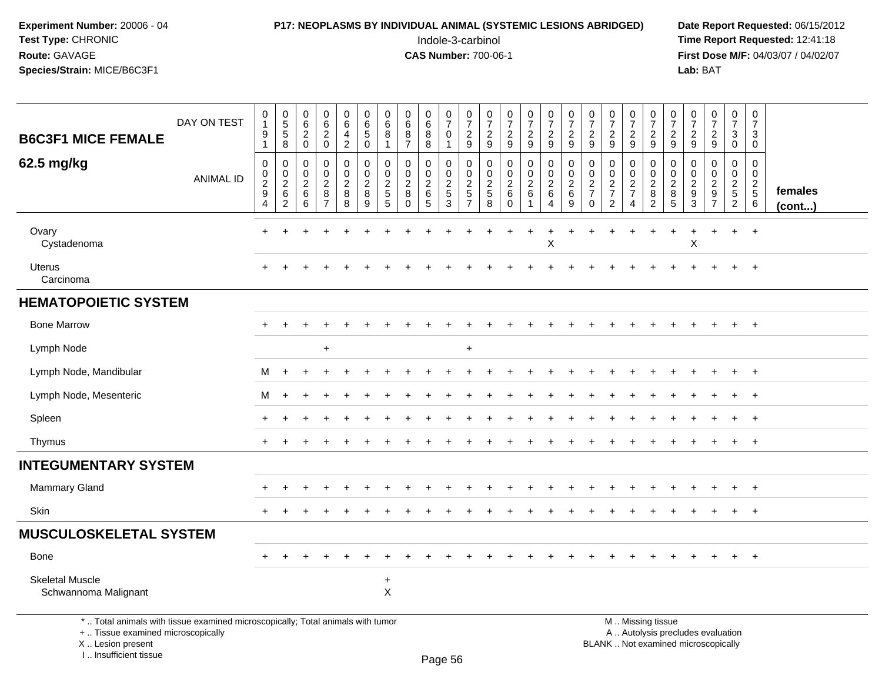# **P17: NEOPLASMS BY INDIVIDUAL ANIMAL (SYSTEMIC LESIONS ABRIDGED)** Date Report Requested: 06/15/2012<br>Indole-3-carbinol **Time Report Requested:** 12:41:18

 Indole-3-carbinol **Time Report Requested:** 12:41:18 **First Dose M/F:** 04/03/07 / 04/02/07<br>Lab: BAT **Lab:** BAT

| <b>B6C3F1 MICE FEMALE</b>                                                                                                                 | DAY ON TEST      | $\begin{smallmatrix}0\1\end{smallmatrix}$<br>$\boldsymbol{9}$<br>$\mathbf{1}$ | $\begin{array}{c} 0 \\ 5 \\ 5 \end{array}$<br>8 | $\begin{smallmatrix}0\0\0\end{smallmatrix}$<br>$\sqrt{2}$<br>$\mathbf 0$ | $_{6}^{\rm 0}$<br>$\overline{c}$<br>0                         | $\begin{array}{c} 0 \\ 6 \end{array}$<br>$\overline{4}$<br>$\overline{2}$ | $\begin{array}{c} 0 \\ 6 \end{array}$<br>$\sqrt{5}$<br>$\mathbf 0$ | 0<br>6<br>8<br>$\overline{1}$                    | $\pmb{0}$<br>$6\phantom{.}6$<br>8<br>$\overline{7}$ | $\begin{array}{c} 0 \\ 6 \end{array}$<br>8<br>8 | $\frac{0}{7}$<br>$\mathbf 0$<br>$\mathbf{1}$   | $\begin{array}{c} 0 \\ 7 \end{array}$<br>$\overline{\mathbf{c}}$<br>9 | 0<br>$\overline{7}$<br>$\overline{\mathbf{c}}$<br>9 | $\begin{array}{c} 0 \\ 7 \end{array}$<br>$\frac{2}{9}$  | $\frac{0}{7}$<br>$\overline{\mathbf{c}}$<br>9 | $\frac{0}{7}$<br>$\sqrt{2}$<br>9                            | $\frac{0}{7}$<br>$\overline{2}$<br>9                 | $\frac{0}{7}$<br>$\boldsymbol{2}$<br>9 | $\frac{0}{7}$<br>$\overline{c}$<br>9                     | $\begin{array}{c} 0 \\ 7 \end{array}$<br>$\frac{2}{9}$ | $\frac{0}{7}$<br>$\frac{2}{9}$                 | $\frac{0}{7}$<br>$\sqrt{2}$<br>9                     | $\frac{0}{7}$<br>$\boldsymbol{2}$<br>9                         | $\frac{0}{7}$<br>$\overline{a}$<br>9   | $\begin{smallmatrix}0\\7\end{smallmatrix}$<br>3<br>0 | $\pmb{0}$<br>$\overline{7}$<br>3<br>$\mathbf 0$ |                   |
|-------------------------------------------------------------------------------------------------------------------------------------------|------------------|-------------------------------------------------------------------------------|-------------------------------------------------|--------------------------------------------------------------------------|---------------------------------------------------------------|---------------------------------------------------------------------------|--------------------------------------------------------------------|--------------------------------------------------|-----------------------------------------------------|-------------------------------------------------|------------------------------------------------|-----------------------------------------------------------------------|-----------------------------------------------------|---------------------------------------------------------|-----------------------------------------------|-------------------------------------------------------------|------------------------------------------------------|----------------------------------------|----------------------------------------------------------|--------------------------------------------------------|------------------------------------------------|------------------------------------------------------|----------------------------------------------------------------|----------------------------------------|------------------------------------------------------|-------------------------------------------------|-------------------|
| 62.5 mg/kg                                                                                                                                | <b>ANIMAL ID</b> | 0<br>0<br>$\frac{2}{9}$<br>4                                                  | 0<br>0<br>$\frac{2}{6}$<br>$\overline{c}$       | 0<br>0<br>$\frac{2}{6}$<br>$6\phantom{1}6$                               | $\mathbf 0$<br>$\mathbf 0$<br>$\frac{2}{8}$<br>$\overline{7}$ | $\mathbf 0$<br>$\mathbf 0$<br>$\frac{2}{8}$<br>8                          | $\mathbf 0$<br>$\mathbf 0$<br>$\frac{2}{8}$<br>$\overline{9}$      | $\mathbf 0$<br>$\mathbf 0$<br>$\frac{2}{5}$<br>5 | $\mathbf 0$<br>0<br>$\sqrt{2}$<br>8<br>$\Omega$     | 0<br>0<br>$\frac{2}{6}$<br>5                    | 0<br>$\ddot{\mathbf{0}}$<br>$\frac{2}{5}$<br>3 | 0<br>$\mathbf 0$<br>$\frac{2}{5}$<br>$\overline{7}$                   | $\mathbf 0$<br>0<br>$\frac{2}{5}$<br>8              | $\mathbf 0$<br>$\mathbf 0$<br>$\frac{2}{6}$<br>$\Omega$ | 0<br>0<br>$\frac{2}{6}$<br>$\overline{1}$     | $\mathbf 0$<br>$\pmb{0}$<br>$\frac{2}{6}$<br>$\overline{4}$ | 0<br>0<br>$\begin{array}{c} 2 \\ 6 \end{array}$<br>9 | 0<br>0<br>$\frac{2}{7}$<br>$\Omega$    | 0<br>0<br>$\frac{2}{7}$<br>$\overline{2}$                | 0<br>$\mathbf 0$<br>$\frac{2}{7}$<br>4                 | $\mathbf 0$<br>$\frac{0}{2}$<br>$\overline{2}$ | $\Omega$<br>$\mathbf{0}$<br>$\overline{c}$<br>8<br>5 | $\mathbf 0$<br>$\Omega$<br>$\sqrt{2}$<br>$9\,$<br>$\mathbf{3}$ | $\mathbf 0$<br>0<br>$\frac{2}{9}$<br>7 | 0<br>$\mathbf 0$<br>$\frac{2}{5}$<br>$\overline{a}$  | $\mathbf 0$<br>0<br>$\frac{2}{5}$<br>6          | females<br>(cont) |
| Ovary<br>Cystadenoma                                                                                                                      |                  | $+$                                                                           |                                                 |                                                                          |                                                               |                                                                           |                                                                    |                                                  |                                                     |                                                 |                                                |                                                                       |                                                     |                                                         | $\ddot{}$                                     | $\div$<br>X                                                 |                                                      |                                        |                                                          |                                                        |                                                | $\ddot{}$                                            | $\ddot{}$<br>Χ                                                 | ÷                                      | $\ddot{}$                                            | $+$                                             |                   |
| <b>Uterus</b><br>Carcinoma                                                                                                                |                  |                                                                               |                                                 |                                                                          |                                                               |                                                                           |                                                                    |                                                  |                                                     |                                                 |                                                |                                                                       |                                                     |                                                         |                                               |                                                             |                                                      |                                        |                                                          |                                                        |                                                |                                                      |                                                                |                                        |                                                      | $\overline{+}$                                  |                   |
| <b>HEMATOPOIETIC SYSTEM</b>                                                                                                               |                  |                                                                               |                                                 |                                                                          |                                                               |                                                                           |                                                                    |                                                  |                                                     |                                                 |                                                |                                                                       |                                                     |                                                         |                                               |                                                             |                                                      |                                        |                                                          |                                                        |                                                |                                                      |                                                                |                                        |                                                      |                                                 |                   |
| <b>Bone Marrow</b>                                                                                                                        |                  |                                                                               |                                                 |                                                                          |                                                               |                                                                           |                                                                    |                                                  |                                                     |                                                 |                                                |                                                                       |                                                     |                                                         |                                               |                                                             |                                                      |                                        |                                                          |                                                        |                                                |                                                      |                                                                |                                        | $+$                                                  | $+$                                             |                   |
| Lymph Node                                                                                                                                |                  |                                                                               |                                                 |                                                                          | $\ddot{}$                                                     |                                                                           |                                                                    |                                                  |                                                     |                                                 |                                                | $\ddot{}$                                                             |                                                     |                                                         |                                               |                                                             |                                                      |                                        |                                                          |                                                        |                                                |                                                      |                                                                |                                        |                                                      |                                                 |                   |
| Lymph Node, Mandibular                                                                                                                    |                  | М                                                                             | $+$                                             |                                                                          |                                                               |                                                                           |                                                                    |                                                  |                                                     |                                                 |                                                |                                                                       |                                                     |                                                         |                                               |                                                             |                                                      |                                        |                                                          |                                                        |                                                |                                                      |                                                                |                                        |                                                      | $+$                                             |                   |
| Lymph Node, Mesenteric                                                                                                                    |                  | м                                                                             |                                                 |                                                                          |                                                               |                                                                           |                                                                    |                                                  |                                                     |                                                 |                                                |                                                                       |                                                     |                                                         |                                               |                                                             |                                                      |                                        |                                                          |                                                        |                                                |                                                      |                                                                |                                        |                                                      | $\ddot{}$                                       |                   |
| Spleen                                                                                                                                    |                  |                                                                               |                                                 |                                                                          |                                                               |                                                                           |                                                                    |                                                  |                                                     |                                                 |                                                |                                                                       |                                                     |                                                         |                                               |                                                             |                                                      |                                        |                                                          |                                                        |                                                |                                                      |                                                                |                                        |                                                      | $\overline{1}$                                  |                   |
| Thymus                                                                                                                                    |                  | $\div$                                                                        |                                                 |                                                                          |                                                               |                                                                           |                                                                    |                                                  |                                                     |                                                 |                                                |                                                                       |                                                     |                                                         |                                               |                                                             |                                                      |                                        |                                                          |                                                        |                                                |                                                      |                                                                |                                        | $+$                                                  | $+$                                             |                   |
| <b>INTEGUMENTARY SYSTEM</b>                                                                                                               |                  |                                                                               |                                                 |                                                                          |                                                               |                                                                           |                                                                    |                                                  |                                                     |                                                 |                                                |                                                                       |                                                     |                                                         |                                               |                                                             |                                                      |                                        |                                                          |                                                        |                                                |                                                      |                                                                |                                        |                                                      |                                                 |                   |
| <b>Mammary Gland</b>                                                                                                                      |                  |                                                                               |                                                 |                                                                          |                                                               |                                                                           |                                                                    |                                                  |                                                     |                                                 |                                                |                                                                       |                                                     |                                                         |                                               |                                                             |                                                      |                                        |                                                          |                                                        |                                                |                                                      |                                                                |                                        | $\ddot{}$                                            | $+$                                             |                   |
| Skin                                                                                                                                      |                  |                                                                               |                                                 |                                                                          |                                                               |                                                                           |                                                                    |                                                  |                                                     |                                                 |                                                |                                                                       |                                                     |                                                         |                                               |                                                             |                                                      |                                        |                                                          |                                                        |                                                |                                                      |                                                                |                                        |                                                      | $\overline{+}$                                  |                   |
| <b>MUSCULOSKELETAL SYSTEM</b>                                                                                                             |                  |                                                                               |                                                 |                                                                          |                                                               |                                                                           |                                                                    |                                                  |                                                     |                                                 |                                                |                                                                       |                                                     |                                                         |                                               |                                                             |                                                      |                                        |                                                          |                                                        |                                                |                                                      |                                                                |                                        |                                                      |                                                 |                   |
| <b>Bone</b>                                                                                                                               |                  |                                                                               |                                                 |                                                                          |                                                               |                                                                           |                                                                    |                                                  |                                                     |                                                 |                                                |                                                                       |                                                     |                                                         |                                               |                                                             |                                                      |                                        |                                                          |                                                        |                                                |                                                      |                                                                |                                        |                                                      | $+$                                             |                   |
| <b>Skeletal Muscle</b><br>Schwannoma Malignant                                                                                            |                  |                                                                               |                                                 |                                                                          |                                                               |                                                                           |                                                                    | $+$<br>$\times$                                  |                                                     |                                                 |                                                |                                                                       |                                                     |                                                         |                                               |                                                             |                                                      |                                        |                                                          |                                                        |                                                |                                                      |                                                                |                                        |                                                      |                                                 |                   |
| *  Total animals with tissue examined microscopically; Total animals with tumor<br>+  Tissue examined microscopically<br>X Lesion present |                  |                                                                               |                                                 |                                                                          |                                                               |                                                                           |                                                                    |                                                  |                                                     |                                                 |                                                |                                                                       |                                                     |                                                         |                                               |                                                             |                                                      |                                        | M  Missing tissue<br>BLANK  Not examined microscopically |                                                        | A  Autolysis precludes evaluation              |                                                      |                                                                |                                        |                                                      |                                                 |                   |

X .. Lesion present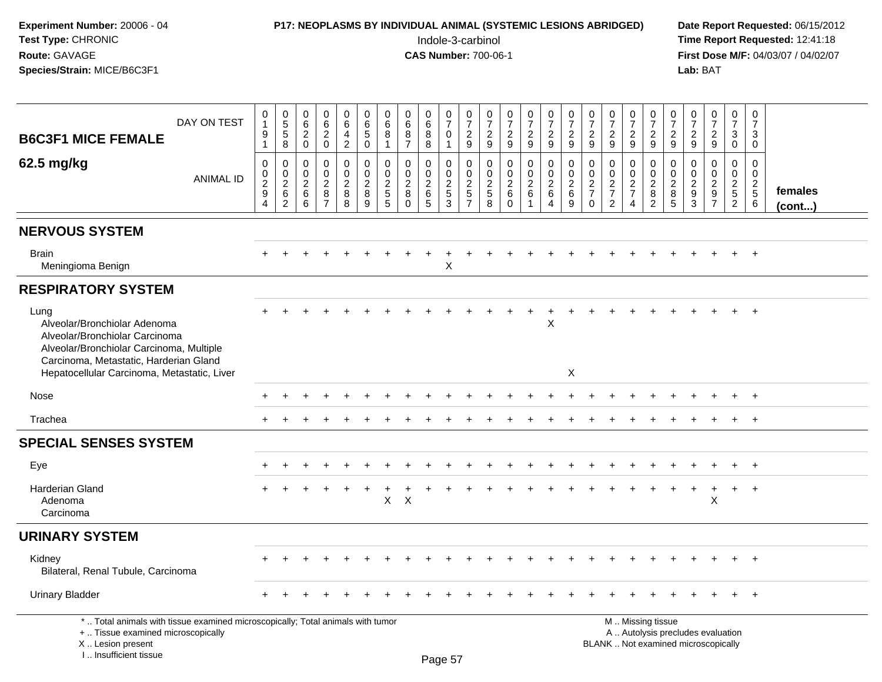# **P17: NEOPLASMS BY INDIVIDUAL ANIMAL (SYSTEMIC LESIONS ABRIDGED)** Date Report Requested: 06/15/2012<br>Indole-3-carbinol **Time Report Requested:** 12:41:18

 Indole-3-carbinol **Time Report Requested:** 12:41:18 **First Dose M/F:** 04/03/07 / 04/02/07<br>Lab: BAT **Lab:** BAT

| <b>B6C3F1 MICE FEMALE</b>                                                                                                                                                                                   | DAY ON TEST      | 0<br>$\mathbf{1}$<br>9<br>$\mathbf{1}$                                             | $\begin{array}{c} 0 \\ 5 \\ 5 \end{array}$<br>8      | 0<br>$\,6\,$<br>$\overline{2}$<br>$\mathbf 0$          | $_{6}^{\rm 0}$<br>$\overline{2}$<br>$\pmb{0}$             | $\begin{array}{c} 0 \\ 6 \end{array}$<br>$\overline{4}$<br>$\overline{2}$ | $\begin{array}{c} 0 \\ 6 \end{array}$<br>$\overline{5}$<br>$\mathbf 0$ | 0<br>$\,6\,$<br>8<br>$\mathbf 1$             | $\pmb{0}$<br>$\,6\,$<br>$\overline{8}$<br>$\overline{7}$ | $_6^0$<br>$\overline{8}$<br>8      | $\frac{0}{7}$<br>$\pmb{0}$<br>$\mathbf{1}$        | $\frac{0}{7}$<br>$\frac{2}{9}$                            | 0<br>$\overline{7}$<br>$\overline{\mathbf{c}}$<br>9 | $\frac{0}{7}$<br>$\sqrt{2}$<br>9                           | $\frac{0}{7}$<br>$\overline{c}$<br>9                      | $\begin{smallmatrix}0\\7\end{smallmatrix}$<br>$\boldsymbol{2}$<br>9 | $\frac{0}{7}$<br>$\boldsymbol{2}$<br>9                       | $\begin{matrix} 0 \\ 7 \end{matrix}$<br>$\frac{2}{9}$ | $\begin{array}{c} 0 \\ 7 \end{array}$<br>$\sqrt{2}$<br>9 | $\frac{0}{7}$<br>$\frac{2}{9}$            | $\frac{0}{7}$<br>$\frac{2}{9}$                       | 0<br>$\overline{7}$<br>$\overline{c}$<br>9   | 0<br>$\overline{7}$<br>$\frac{2}{9}$             | $\begin{smallmatrix}0\\7\end{smallmatrix}$<br>$\frac{2}{9}$              | $\frac{0}{7}$<br>$\ensuremath{\mathsf{3}}$<br>$\mathbf 0$ | $\frac{0}{7}$<br>3<br>$\mathbf 0$                |                   |
|-------------------------------------------------------------------------------------------------------------------------------------------------------------------------------------------------------------|------------------|------------------------------------------------------------------------------------|------------------------------------------------------|--------------------------------------------------------|-----------------------------------------------------------|---------------------------------------------------------------------------|------------------------------------------------------------------------|----------------------------------------------|----------------------------------------------------------|------------------------------------|---------------------------------------------------|-----------------------------------------------------------|-----------------------------------------------------|------------------------------------------------------------|-----------------------------------------------------------|---------------------------------------------------------------------|--------------------------------------------------------------|-------------------------------------------------------|----------------------------------------------------------|-------------------------------------------|------------------------------------------------------|----------------------------------------------|--------------------------------------------------|--------------------------------------------------------------------------|-----------------------------------------------------------|--------------------------------------------------|-------------------|
| 62.5 mg/kg                                                                                                                                                                                                  | <b>ANIMAL ID</b> | $\mathbf 0$<br>$\mathbf 0$<br>$\boldsymbol{2}$<br>$\overline{9}$<br>$\overline{4}$ | $\pmb{0}$<br>0<br>$^2\phantom{1}6$<br>$\overline{c}$ | $\mathbf 0$<br>$\mathbf 0$<br>$\overline{2}$<br>6<br>6 | $\mathbf 0$<br>0<br>$\overline{2}$<br>8<br>$\overline{7}$ | $\mathbf 0$<br>$\mathbf 0$<br>$_{\rm 8}^2$<br>8                           | $\mathbf 0$<br>$\mathbf 0$<br>$\overline{2}$<br>8<br>9                 | 0<br>$\mathbf 0$<br>$\overline{2}$<br>5<br>5 | $\mathbf 0$<br>$\mathbf 0$<br>2<br>8<br>$\mathbf{0}$     | 0<br>0<br>$\overline{2}$<br>6<br>5 | 0<br>$\mathbf 0$<br>$\frac{2}{5}$<br>$\mathbf{3}$ | $\mathbf 0$<br>$\mathbf 0$<br>$\sqrt{2}$<br>$\frac{1}{7}$ | 0<br>$\mathbf 0$<br>$\frac{2}{5}$<br>8              | $\mathbf 0$<br>$\Omega$<br>$\overline{2}$<br>6<br>$\Omega$ | 0<br>$\mathbf 0$<br>$\overline{c}$<br>$\overline{6}$<br>1 | $\mathbf 0$<br>$\mathbf 0$<br>$\overline{2}$<br>6<br>$\overline{4}$ | $\mathbf 0$<br>$\pmb{0}$<br>$\boldsymbol{2}$<br>$\,6\,$<br>9 | $\mathbf 0$<br>0<br>$\frac{2}{7}$<br>$\mathbf{0}$     | 0<br>$\mathbf 0$<br>$\frac{2}{7}$<br>$\overline{2}$      | 0<br>0<br>$\frac{2}{7}$<br>$\overline{4}$ | $\mathbf 0$<br>0<br>$_{8}^{\rm 2}$<br>$\overline{2}$ | 0<br>$\mathbf 0$<br>$\overline{2}$<br>8<br>5 | $\mathbf 0$<br>$\mathbf 0$<br>$\frac{2}{9}$<br>3 | $\mathbf 0$<br>0<br>$\overline{2}$<br>$\frac{1}{7}$                      | 0<br>$\mathbf{0}$<br>$\frac{2}{5}$<br>$\overline{2}$      | $\mathbf 0$<br>$\mathbf 0$<br>$\frac{2}{5}$<br>6 | females<br>(cont) |
| <b>NERVOUS SYSTEM</b>                                                                                                                                                                                       |                  |                                                                                    |                                                      |                                                        |                                                           |                                                                           |                                                                        |                                              |                                                          |                                    |                                                   |                                                           |                                                     |                                                            |                                                           |                                                                     |                                                              |                                                       |                                                          |                                           |                                                      |                                              |                                                  |                                                                          |                                                           |                                                  |                   |
| <b>Brain</b><br>Meningioma Benign                                                                                                                                                                           |                  |                                                                                    |                                                      |                                                        |                                                           |                                                                           |                                                                        |                                              |                                                          |                                    | X                                                 |                                                           |                                                     |                                                            |                                                           |                                                                     |                                                              |                                                       |                                                          |                                           |                                                      |                                              |                                                  |                                                                          |                                                           | $\overline{+}$                                   |                   |
| <b>RESPIRATORY SYSTEM</b>                                                                                                                                                                                   |                  |                                                                                    |                                                      |                                                        |                                                           |                                                                           |                                                                        |                                              |                                                          |                                    |                                                   |                                                           |                                                     |                                                            |                                                           |                                                                     |                                                              |                                                       |                                                          |                                           |                                                      |                                              |                                                  |                                                                          |                                                           |                                                  |                   |
| Lung<br>Alveolar/Bronchiolar Adenoma<br>Alveolar/Bronchiolar Carcinoma<br>Alveolar/Bronchiolar Carcinoma, Multiple<br>Carcinoma, Metastatic, Harderian Gland<br>Hepatocellular Carcinoma, Metastatic, Liver |                  |                                                                                    |                                                      |                                                        |                                                           |                                                                           |                                                                        |                                              |                                                          |                                    |                                                   |                                                           |                                                     |                                                            |                                                           | X                                                                   | X                                                            |                                                       |                                                          |                                           |                                                      |                                              |                                                  |                                                                          | $+$                                                       | $+$                                              |                   |
| Nose                                                                                                                                                                                                        |                  |                                                                                    |                                                      |                                                        |                                                           |                                                                           |                                                                        |                                              |                                                          |                                    |                                                   |                                                           |                                                     |                                                            |                                                           |                                                                     |                                                              |                                                       |                                                          |                                           |                                                      |                                              |                                                  |                                                                          |                                                           |                                                  |                   |
| Trachea                                                                                                                                                                                                     |                  |                                                                                    |                                                      |                                                        |                                                           |                                                                           |                                                                        |                                              |                                                          |                                    |                                                   |                                                           |                                                     |                                                            |                                                           |                                                                     |                                                              |                                                       |                                                          |                                           |                                                      |                                              |                                                  |                                                                          | $+$                                                       | $+$                                              |                   |
| <b>SPECIAL SENSES SYSTEM</b>                                                                                                                                                                                |                  |                                                                                    |                                                      |                                                        |                                                           |                                                                           |                                                                        |                                              |                                                          |                                    |                                                   |                                                           |                                                     |                                                            |                                                           |                                                                     |                                                              |                                                       |                                                          |                                           |                                                      |                                              |                                                  |                                                                          |                                                           |                                                  |                   |
| Eye                                                                                                                                                                                                         |                  |                                                                                    |                                                      |                                                        |                                                           |                                                                           |                                                                        |                                              |                                                          |                                    |                                                   |                                                           |                                                     |                                                            |                                                           |                                                                     |                                                              |                                                       |                                                          |                                           |                                                      |                                              |                                                  |                                                                          |                                                           | $+$                                              |                   |
| <b>Harderian Gland</b><br>Adenoma<br>Carcinoma                                                                                                                                                              |                  |                                                                                    |                                                      |                                                        |                                                           |                                                                           |                                                                        | X                                            | $\times$                                                 |                                    |                                                   |                                                           |                                                     |                                                            |                                                           |                                                                     |                                                              |                                                       |                                                          |                                           |                                                      |                                              |                                                  | X                                                                        | $\ddot{}$                                                 | $+$                                              |                   |
| <b>URINARY SYSTEM</b>                                                                                                                                                                                       |                  |                                                                                    |                                                      |                                                        |                                                           |                                                                           |                                                                        |                                              |                                                          |                                    |                                                   |                                                           |                                                     |                                                            |                                                           |                                                                     |                                                              |                                                       |                                                          |                                           |                                                      |                                              |                                                  |                                                                          |                                                           |                                                  |                   |
| Kidney<br>Bilateral, Renal Tubule, Carcinoma                                                                                                                                                                |                  |                                                                                    |                                                      |                                                        |                                                           |                                                                           |                                                                        |                                              |                                                          |                                    |                                                   |                                                           |                                                     |                                                            |                                                           |                                                                     |                                                              |                                                       |                                                          |                                           |                                                      |                                              |                                                  |                                                                          | $+$                                                       | $+$                                              |                   |
| <b>Urinary Bladder</b>                                                                                                                                                                                      |                  |                                                                                    |                                                      |                                                        |                                                           |                                                                           |                                                                        |                                              |                                                          |                                    |                                                   |                                                           |                                                     |                                                            |                                                           |                                                                     |                                                              |                                                       |                                                          |                                           |                                                      |                                              |                                                  |                                                                          |                                                           | $+$                                              |                   |
| *  Total animals with tissue examined microscopically; Total animals with tumor<br>+  Tissue examined microscopically<br>X Lesion present                                                                   |                  |                                                                                    |                                                      |                                                        |                                                           |                                                                           |                                                                        |                                              |                                                          |                                    |                                                   |                                                           |                                                     |                                                            |                                                           |                                                                     |                                                              |                                                       |                                                          |                                           | M  Missing tissue                                    |                                              |                                                  | A  Autolysis precludes evaluation<br>BLANK  Not examined microscopically |                                                           |                                                  |                   |

I .. Insufficient tissue

Page 57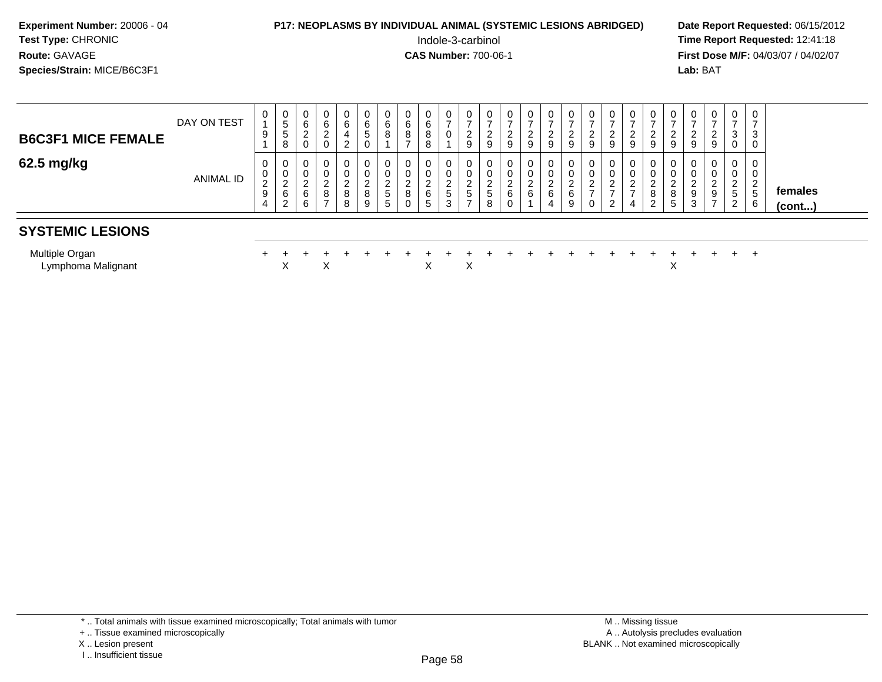#### **P17: NEOPLASMS BY INDIVIDUAL ANIMAL (SYSTEMIC LESIONS ABRIDGED)** Date Report Requested: 06/15/2012<br>12:41:18 Time Report Requested: 12:41:18

 Indole-3-carbinol **Time Report Requested:** 12:41:18 **First Dose M/F:** 04/03/07 / 04/02/07<br>**Lab:** BAT **Lab:** BAT

| <b>B6C3F1 MICE FEMALE</b><br>62.5 mg/kg | DAY ON TEST      | $\mathbf 0$<br>9<br>$\mathbf 0$<br>0 | $\overline{0}$<br>.5<br>ಾ<br>8<br>0<br>0 | 0<br>6<br>ົ<br>∠<br>0<br>0<br>0 | 0<br>6<br>∼ | 6<br>4<br>$\epsilon$      | 0<br>6<br>G               | U<br>6<br>8<br>0<br>U | 6<br>ö | U<br>6<br>8<br>Ö<br>0<br>0 | 0<br>U<br>0<br>0 | 0<br>2<br>9<br>0<br>0 | <u>_</u><br>9 | ∠<br>9 | 0<br>◠<br>∠<br>9<br>0<br>0 | 0<br>$\epsilon$<br>9<br>U | 0<br>$\epsilon$<br>9<br>0<br>0 | 0<br>∼<br>9<br>0 | 0<br>ົ<br>9<br>0<br>0 | U<br>9<br>v<br>v | U<br>$\epsilon$<br>9<br>0 | 0<br>L<br>9<br>0<br>0 | ∠<br>9           | 0<br>$\epsilon$<br>9<br>0<br>0      | 0<br>3<br>0<br>$\mathbf{0}$<br>$\mathbf{0}$ | 0<br>3<br>0<br>0<br>0 |                   |
|-----------------------------------------|------------------|--------------------------------------|------------------------------------------|---------------------------------|-------------|---------------------------|---------------------------|-----------------------|--------|----------------------------|------------------|-----------------------|---------------|--------|----------------------------|---------------------------|--------------------------------|------------------|-----------------------|------------------|---------------------------|-----------------------|------------------|-------------------------------------|---------------------------------------------|-----------------------|-------------------|
|                                         | <b>ANIMAL ID</b> | ົ<br>$\epsilon$<br>9<br>4            | ົ<br><u>_</u><br>6<br>$\overline{2}$     | ົ<br>∼<br>6<br>6                | ົ<br>8<br>7 | ⌒<br>$\epsilon$<br>8<br>8 | $\sqrt{2}$<br>ے<br>8<br>9 | ົ<br>▃<br>5<br>5      | 8<br>0 | റ<br>6<br>5                | ົ<br>∼<br>5<br>3 | っ<br>5                | G<br>8        | b      | ົ<br>ے<br>6                | <u>.</u><br>6<br>4        | $\epsilon$<br>6<br>9           | ົ<br>∼<br>0      | っ<br>2                | 4                | ົ<br>ے<br>8<br>2          | ົ<br>8<br>5           | ◠<br>ے<br>9<br>3 | റ<br><u>.</u><br>9<br>$\rightarrow$ | ົ<br>L<br>$5\overline{)}$<br>2              | 2<br>5<br>6           | females<br>(cont) |
| <b>SYSTEMIC LESIONS</b>                 |                  |                                      |                                          |                                 |             |                           |                           |                       |        |                            |                  |                       |               |        |                            |                           |                                |                  |                       |                  |                           |                       |                  |                                     |                                             |                       |                   |
| Multiple Organ                          |                  |                                      |                                          |                                 |             |                           |                           |                       |        |                            |                  |                       |               |        |                            |                           |                                |                  |                       |                  |                           |                       |                  |                                     |                                             | $\cdot$               |                   |

n + <sup>+</sup> <sup>+</sup> <sup>+</sup> <sup>+</sup> <sup>+</sup> <sup>+</sup> <sup>+</sup> <sup>+</sup> <sup>+</sup> <sup>+</sup> <sup>+</sup> <sup>+</sup> <sup>+</sup> <sup>+</sup> <sup>+</sup> <sup>+</sup> <sup>+</sup> <sup>+</sup> <sup>+</sup> <sup>+</sup> <sup>+</sup> <sup>+</sup> <sup>+</sup> <sup>+</sup> Lymphoma Malignant X $X$  X  $X$  X X X

<sup>\* ..</sup> Total animals with tissue examined microscopically; Total animals with tumor

<sup>+ ..</sup> Tissue examined microscopically

X .. Lesion present

I .. Insufficient tissue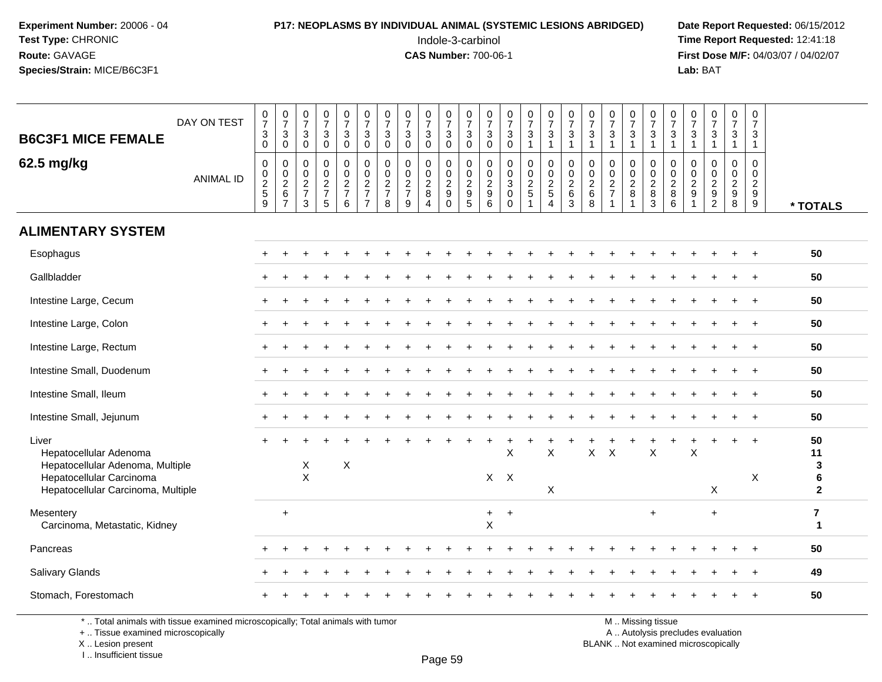### **P17: NEOPLASMS BY INDIVIDUAL ANIMAL (SYSTEMIC LESIONS ABRIDGED)** Date Report Requested: 06/15/2012<br>Indole-3-carbinol **Time Report Requested:** 12:41:18

 Indole-3-carbinol **Time Report Requested:** 12:41:18 **First Dose M/F:** 04/03/07 / 04/02/07<br>Lab: BAT **Lab:** BAT

| <b>B6C3F1 MICE FEMALE</b><br>62.5 mg/kg                                                                                               | DAY ON TEST<br><b>ANIMAL ID</b> | $\frac{0}{7}$<br>$\ensuremath{\mathsf{3}}$<br>$\mathsf{O}\xspace$<br>$\pmb{0}$<br>$\frac{0}{2}$<br>$\overline{9}$ | $\begin{array}{c} 0 \\ 7 \end{array}$<br>$\ensuremath{\mathsf{3}}$<br>$\mathbf 0$<br>$\pmb{0}$<br>$\begin{smallmatrix} 0\\2\\6 \end{smallmatrix}$<br>$\overline{7}$ | 0<br>$\overline{7}$<br>3<br>$\mathbf 0$<br>$\mathbf 0$<br>$\mathbf 0$<br>$\frac{2}{7}$<br>$\mathbf{3}$ | $\frac{0}{7}$<br>$\ensuremath{\mathsf{3}}$<br>$\mathbf 0$<br>$\mathsf{O}\xspace$<br>$\mathbf 0$<br>$\frac{2}{7}$<br>5 | $\begin{smallmatrix}0\\7\end{smallmatrix}$<br>$\mathsf 3$<br>$\mathbf 0$<br>0<br>$\mathbf 0$<br>$\frac{2}{7}$<br>6 | $\frac{0}{7}$<br>3<br>$\mathbf 0$<br>0<br>$\mathbf 0$<br>$\frac{2}{7}$<br>$\overline{7}$ | $\frac{0}{7}$<br>3<br>$\mathbf 0$<br>$\mathsf{O}\xspace$<br>0<br>$\frac{2}{7}$<br>8 | 0<br>$\overline{7}$<br>$\mathbf{3}$<br>$\mathsf{O}\xspace$<br>0<br>0<br>$\frac{2}{7}$<br>9 | $\begin{array}{c} 0 \\ 7 \end{array}$<br>$\ensuremath{\mathsf{3}}$<br>$\mathbf 0$<br>$\pmb{0}$<br>$\begin{smallmatrix} 0\\2\\8 \end{smallmatrix}$<br>$\overline{4}$ | $\frac{0}{7}$<br>$\mathbf{3}$<br>$\mathbf 0$<br>0<br>$\mathbf 0$<br>$\frac{2}{9}$<br>$\Omega$ | $\frac{0}{7}$<br>$\mathsf 3$<br>$\mathbf 0$<br>$\mathbf 0$<br>$\mathbf 0$<br>$\frac{2}{9}$<br>$\overline{5}$ | $\frac{0}{7}$<br>$\sqrt{3}$<br>$\mathbf 0$<br>$\mathbf 0$<br>0<br>$\frac{2}{9}$<br>$6\phantom{1}$ | $\frac{0}{7}$<br>$\ensuremath{\mathsf{3}}$<br>$\mathbf 0$<br>$\mathbf 0$<br>$\mathbf 0$<br>$\sqrt{3}$<br>$\mathbf 0$<br>$\Omega$ | $\frac{0}{7}$<br>$\sqrt{3}$<br>$\mathbf 0$<br>$\pmb{0}$<br>$\frac{2}{5}$ | $\frac{0}{7}$<br>$\frac{3}{1}$<br>$\mathbf 0$<br>$\mathbf 0$<br>$rac{2}{5}$<br>$\overline{4}$ | $\frac{0}{7}$<br>$\mathbf{3}$<br>$\mathbf{1}$<br>$\mathbf 0$<br>$\mathbf 0$<br>$\frac{2}{6}$<br>$\mathbf{3}$ | $\frac{0}{7}$<br>3<br>1<br>0<br>$\mathbf 0$<br>$\begin{array}{c} 2 \\ 6 \end{array}$<br>8 | $\frac{0}{7}$<br>$\mathbf{3}$<br>$\overline{1}$<br>0<br>0<br>$\frac{2}{7}$<br>$\mathbf{1}$ | $\frac{0}{7}$<br>$\sqrt{3}$<br>$\mathbf{1}$<br>0<br>$\pmb{0}$<br>$\frac{2}{8}$<br>$\mathbf{1}$ | 0<br>$\overline{7}$<br>$\mathbf{3}$<br>$\overline{1}$<br>0<br>$\mathbf 0$<br>$\frac{2}{8}$<br>$\overline{3}$ | $\frac{0}{7}$<br>$\sqrt{3}$<br>$\overline{1}$<br>$\mathbf 0$<br>$\mathbf 0$<br>$\frac{2}{8}$<br>$6\phantom{1}6$ | $\frac{0}{7}$<br>$\sqrt{3}$<br>$\mathbf{1}$<br>$\mathbf 0$<br>$\mathbf 0$<br>$\frac{2}{9}$<br>$\mathbf{1}$ | $\begin{array}{c} 0 \\ 7 \end{array}$<br>$\mathbf{3}$<br>$\mathbf{1}$<br>$\mathbf 0$<br>$\mathbf 0$<br>$\frac{2}{9}$ | $\frac{0}{7}$<br>$\mathbf{3}$<br>$\mathbf{1}$<br>0<br>0<br>$\frac{2}{9}$<br>$\overline{8}$ | $\pmb{0}$<br>$\overline{7}$<br>$\mathbf{3}$<br>$\mathbf{1}$<br>$\mathbf 0$<br>$\mathbf 0$<br>$\overline{2}$<br>$\overline{9}$<br>9 | * TOTALS                                                       |
|---------------------------------------------------------------------------------------------------------------------------------------|---------------------------------|-------------------------------------------------------------------------------------------------------------------|---------------------------------------------------------------------------------------------------------------------------------------------------------------------|--------------------------------------------------------------------------------------------------------|-----------------------------------------------------------------------------------------------------------------------|--------------------------------------------------------------------------------------------------------------------|------------------------------------------------------------------------------------------|-------------------------------------------------------------------------------------|--------------------------------------------------------------------------------------------|---------------------------------------------------------------------------------------------------------------------------------------------------------------------|-----------------------------------------------------------------------------------------------|--------------------------------------------------------------------------------------------------------------|---------------------------------------------------------------------------------------------------|----------------------------------------------------------------------------------------------------------------------------------|--------------------------------------------------------------------------|-----------------------------------------------------------------------------------------------|--------------------------------------------------------------------------------------------------------------|-------------------------------------------------------------------------------------------|--------------------------------------------------------------------------------------------|------------------------------------------------------------------------------------------------|--------------------------------------------------------------------------------------------------------------|-----------------------------------------------------------------------------------------------------------------|------------------------------------------------------------------------------------------------------------|----------------------------------------------------------------------------------------------------------------------|--------------------------------------------------------------------------------------------|------------------------------------------------------------------------------------------------------------------------------------|----------------------------------------------------------------|
| <b>ALIMENTARY SYSTEM</b>                                                                                                              |                                 |                                                                                                                   |                                                                                                                                                                     |                                                                                                        |                                                                                                                       |                                                                                                                    |                                                                                          |                                                                                     |                                                                                            |                                                                                                                                                                     |                                                                                               |                                                                                                              |                                                                                                   |                                                                                                                                  |                                                                          |                                                                                               |                                                                                                              |                                                                                           |                                                                                            |                                                                                                |                                                                                                              |                                                                                                                 |                                                                                                            |                                                                                                                      |                                                                                            |                                                                                                                                    |                                                                |
| Esophagus                                                                                                                             |                                 |                                                                                                                   |                                                                                                                                                                     |                                                                                                        |                                                                                                                       |                                                                                                                    |                                                                                          |                                                                                     |                                                                                            |                                                                                                                                                                     |                                                                                               |                                                                                                              |                                                                                                   |                                                                                                                                  |                                                                          |                                                                                               |                                                                                                              |                                                                                           |                                                                                            |                                                                                                |                                                                                                              |                                                                                                                 |                                                                                                            |                                                                                                                      |                                                                                            | $\overline{+}$                                                                                                                     | 50                                                             |
| Gallbladder                                                                                                                           |                                 |                                                                                                                   |                                                                                                                                                                     |                                                                                                        |                                                                                                                       |                                                                                                                    |                                                                                          |                                                                                     |                                                                                            |                                                                                                                                                                     |                                                                                               |                                                                                                              |                                                                                                   |                                                                                                                                  |                                                                          |                                                                                               |                                                                                                              |                                                                                           |                                                                                            |                                                                                                |                                                                                                              |                                                                                                                 |                                                                                                            |                                                                                                                      |                                                                                            | $\overline{+}$                                                                                                                     | 50                                                             |
| Intestine Large, Cecum                                                                                                                |                                 |                                                                                                                   |                                                                                                                                                                     |                                                                                                        |                                                                                                                       |                                                                                                                    |                                                                                          |                                                                                     |                                                                                            |                                                                                                                                                                     |                                                                                               |                                                                                                              |                                                                                                   |                                                                                                                                  |                                                                          |                                                                                               |                                                                                                              |                                                                                           |                                                                                            |                                                                                                |                                                                                                              |                                                                                                                 |                                                                                                            |                                                                                                                      |                                                                                            |                                                                                                                                    | 50                                                             |
| Intestine Large, Colon                                                                                                                |                                 |                                                                                                                   |                                                                                                                                                                     |                                                                                                        |                                                                                                                       |                                                                                                                    |                                                                                          |                                                                                     |                                                                                            |                                                                                                                                                                     |                                                                                               |                                                                                                              |                                                                                                   |                                                                                                                                  |                                                                          |                                                                                               |                                                                                                              |                                                                                           |                                                                                            |                                                                                                |                                                                                                              |                                                                                                                 |                                                                                                            |                                                                                                                      |                                                                                            | $\ddot{}$                                                                                                                          | 50                                                             |
| Intestine Large, Rectum                                                                                                               |                                 |                                                                                                                   |                                                                                                                                                                     |                                                                                                        |                                                                                                                       |                                                                                                                    |                                                                                          |                                                                                     |                                                                                            |                                                                                                                                                                     |                                                                                               |                                                                                                              |                                                                                                   |                                                                                                                                  |                                                                          |                                                                                               |                                                                                                              |                                                                                           |                                                                                            |                                                                                                |                                                                                                              |                                                                                                                 |                                                                                                            |                                                                                                                      |                                                                                            |                                                                                                                                    | 50                                                             |
| Intestine Small, Duodenum                                                                                                             |                                 |                                                                                                                   |                                                                                                                                                                     |                                                                                                        |                                                                                                                       |                                                                                                                    |                                                                                          |                                                                                     |                                                                                            |                                                                                                                                                                     |                                                                                               |                                                                                                              |                                                                                                   |                                                                                                                                  |                                                                          |                                                                                               |                                                                                                              |                                                                                           |                                                                                            |                                                                                                |                                                                                                              |                                                                                                                 |                                                                                                            |                                                                                                                      |                                                                                            |                                                                                                                                    | 50                                                             |
| Intestine Small, Ileum                                                                                                                |                                 |                                                                                                                   |                                                                                                                                                                     |                                                                                                        |                                                                                                                       |                                                                                                                    |                                                                                          |                                                                                     |                                                                                            |                                                                                                                                                                     |                                                                                               |                                                                                                              |                                                                                                   |                                                                                                                                  |                                                                          |                                                                                               |                                                                                                              |                                                                                           |                                                                                            |                                                                                                |                                                                                                              |                                                                                                                 |                                                                                                            |                                                                                                                      |                                                                                            |                                                                                                                                    | 50                                                             |
| Intestine Small, Jejunum                                                                                                              |                                 |                                                                                                                   |                                                                                                                                                                     |                                                                                                        |                                                                                                                       |                                                                                                                    |                                                                                          |                                                                                     |                                                                                            |                                                                                                                                                                     |                                                                                               |                                                                                                              |                                                                                                   |                                                                                                                                  |                                                                          |                                                                                               |                                                                                                              |                                                                                           |                                                                                            |                                                                                                |                                                                                                              |                                                                                                                 |                                                                                                            |                                                                                                                      |                                                                                            | $\ddot{}$                                                                                                                          | 50                                                             |
| Liver<br>Hepatocellular Adenoma<br>Hepatocellular Adenoma, Multiple<br>Hepatocellular Carcinoma<br>Hepatocellular Carcinoma, Multiple |                                 |                                                                                                                   |                                                                                                                                                                     | $\mathsf X$<br>$\times$                                                                                |                                                                                                                       | $\pmb{\times}$                                                                                                     |                                                                                          |                                                                                     |                                                                                            |                                                                                                                                                                     |                                                                                               |                                                                                                              | $\mathsf{X}$                                                                                      | X<br>$\mathsf{X}$                                                                                                                |                                                                          | $\mathsf X$<br>$\mathsf X$                                                                    |                                                                                                              | X                                                                                         | $\boldsymbol{\mathsf{X}}$                                                                  |                                                                                                | $\pmb{\times}$                                                                                               |                                                                                                                 | X                                                                                                          | $\mathsf{X}$                                                                                                         | $\ddot{}$                                                                                  | $\ddot{}$<br>X                                                                                                                     | 50<br>11<br>$\mathbf{3}$<br>$\bf 6$<br>$\overline{\mathbf{2}}$ |
| Mesentery<br>Carcinoma, Metastatic, Kidney                                                                                            |                                 |                                                                                                                   | $\ddot{}$                                                                                                                                                           |                                                                                                        |                                                                                                                       |                                                                                                                    |                                                                                          |                                                                                     |                                                                                            |                                                                                                                                                                     |                                                                                               |                                                                                                              | $\ddot{}$<br>X                                                                                    | $\ddot{}$                                                                                                                        |                                                                          |                                                                                               |                                                                                                              |                                                                                           |                                                                                            |                                                                                                | +                                                                                                            |                                                                                                                 |                                                                                                            | $\ddot{}$                                                                                                            |                                                                                            |                                                                                                                                    | $\overline{\mathbf{r}}$<br>$\mathbf{1}$                        |
| Pancreas                                                                                                                              |                                 |                                                                                                                   |                                                                                                                                                                     |                                                                                                        |                                                                                                                       |                                                                                                                    |                                                                                          |                                                                                     |                                                                                            |                                                                                                                                                                     |                                                                                               |                                                                                                              |                                                                                                   |                                                                                                                                  |                                                                          |                                                                                               |                                                                                                              |                                                                                           |                                                                                            |                                                                                                |                                                                                                              |                                                                                                                 |                                                                                                            |                                                                                                                      |                                                                                            |                                                                                                                                    | 50                                                             |
| Salivary Glands                                                                                                                       |                                 |                                                                                                                   |                                                                                                                                                                     |                                                                                                        |                                                                                                                       |                                                                                                                    |                                                                                          |                                                                                     |                                                                                            |                                                                                                                                                                     |                                                                                               |                                                                                                              |                                                                                                   |                                                                                                                                  |                                                                          |                                                                                               |                                                                                                              |                                                                                           |                                                                                            |                                                                                                |                                                                                                              |                                                                                                                 |                                                                                                            |                                                                                                                      |                                                                                            |                                                                                                                                    | 49                                                             |
| Stomach, Forestomach                                                                                                                  |                                 |                                                                                                                   |                                                                                                                                                                     |                                                                                                        |                                                                                                                       |                                                                                                                    |                                                                                          |                                                                                     |                                                                                            |                                                                                                                                                                     |                                                                                               |                                                                                                              |                                                                                                   |                                                                                                                                  |                                                                          |                                                                                               |                                                                                                              |                                                                                           |                                                                                            |                                                                                                |                                                                                                              |                                                                                                                 |                                                                                                            |                                                                                                                      |                                                                                            | $\pm$                                                                                                                              | 50                                                             |

\* .. Total animals with tissue examined microscopically; Total animals with tumor

+ .. Tissue examined microscopically

X .. Lesion present

I .. Insufficient tissue

M .. Missing tissue

y the contract of the contract of the contract of the contract of the contract of  $\mathsf A$  . Autolysis precludes evaluation

Lesion present BLANK .. Not examined microscopically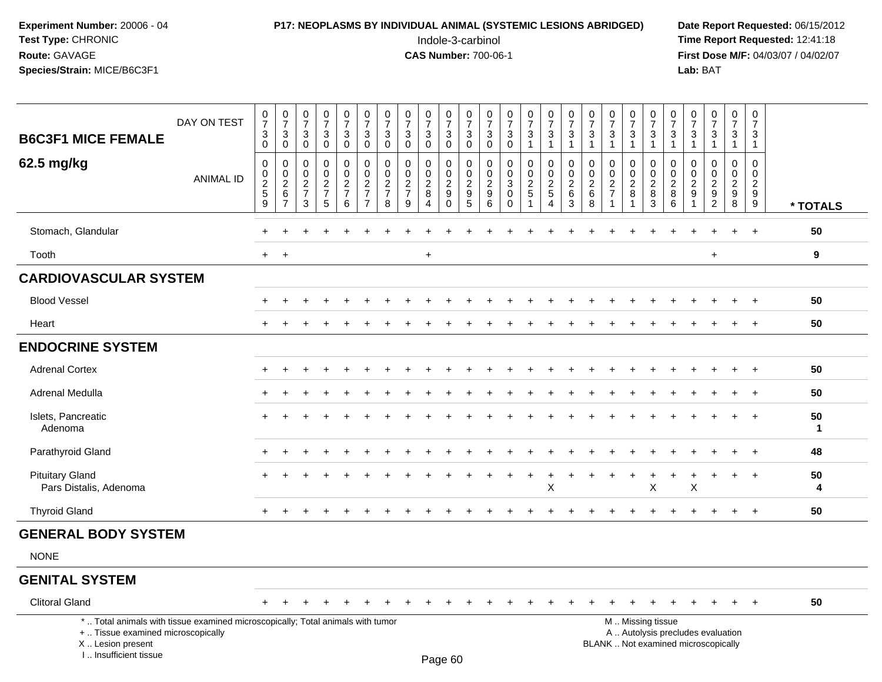# **P17: NEOPLASMS BY INDIVIDUAL ANIMAL (SYSTEMIC LESIONS ABRIDGED)** Date Report Requested: 06/15/2012<br>Indole-3-carbinol **Time Report Requested:** 12:41:18

 Indole-3-carbinol **Time Report Requested:** 12:41:18 **First Dose M/F:** 04/03/07 / 04/02/07<br>Lab: BAT **Lab:** BAT

| <b>B6C3F1 MICE FEMALE</b>                                                                                             | DAY ON TEST      | $\frac{0}{7}$<br>$\ensuremath{\mathsf{3}}$   | $\frac{0}{7}$<br>$\mathbf{3}$                              | $\pmb{0}$<br>$\overline{7}$<br>$_{\rm 0}^3$ | $\begin{array}{c} 0 \\ 7 \end{array}$<br>$_{0}^{3}$ | $\begin{smallmatrix}0\\7\end{smallmatrix}$<br>$_{\rm 0}^3$ | $\frac{0}{7}$<br>$\frac{3}{0}$            | $\frac{0}{7}$<br>3                                  | 0<br>$\overline{7}$<br>$\ensuremath{\mathsf{3}}$                            | $\frac{0}{7}$<br>$\sqrt{3}$                                | 0<br>$\overline{7}$<br>$_0^3$     | $\pmb{0}$<br>$\overline{7}$<br>$_{\rm 0}^3$                         | 0<br>$\overline{7}$<br>3                                | $\pmb{0}$<br>$\overline{7}$<br>$\ensuremath{\mathsf{3}}$   | $\frac{0}{7}$<br>$\ensuremath{\mathsf{3}}$              | $\frac{0}{7}$<br>$\ensuremath{\mathsf{3}}$                               | $\frac{0}{7}$<br>$\ensuremath{\mathsf{3}}$                  | $\pmb{0}$<br>$\overline{7}$<br>$\mathsf 3$                                 | $\pmb{0}$<br>$\overline{7}$<br>$\sqrt{3}$                                           | $\frac{0}{7}$<br>$\ensuremath{\mathsf{3}}$                    | 0<br>$\overline{7}$<br>3                                        | 0<br>$\overline{7}$<br>$\mathbf{3}$                 | 0<br>$\overline{7}$<br>$\ensuremath{\mathsf{3}}$                              | $\frac{0}{7}$<br>$\ensuremath{\mathsf{3}}$                                    | $\mathbf 0$<br>$\overline{7}$<br>$\frac{3}{1}$ | 0<br>$\overline{7}$<br>$\ensuremath{\mathsf{3}}$                                 |                    |
|-----------------------------------------------------------------------------------------------------------------------|------------------|----------------------------------------------|------------------------------------------------------------|---------------------------------------------|-----------------------------------------------------|------------------------------------------------------------|-------------------------------------------|-----------------------------------------------------|-----------------------------------------------------------------------------|------------------------------------------------------------|-----------------------------------|---------------------------------------------------------------------|---------------------------------------------------------|------------------------------------------------------------|---------------------------------------------------------|--------------------------------------------------------------------------|-------------------------------------------------------------|----------------------------------------------------------------------------|-------------------------------------------------------------------------------------|---------------------------------------------------------------|-----------------------------------------------------------------|-----------------------------------------------------|-------------------------------------------------------------------------------|-------------------------------------------------------------------------------|------------------------------------------------|----------------------------------------------------------------------------------|--------------------|
| 62.5 mg/kg                                                                                                            | <b>ANIMAL ID</b> | $\mathbf 0$<br>$\pmb{0}$<br>0<br>$rac{2}{5}$ | $\mathbf 0$<br>0<br>$\pmb{0}$<br>$\overline{c}$<br>$\,6\,$ | 0<br>$\mathbf 0$<br>$\frac{2}{7}$           | $\mathbf 0$<br>$\mathbf 0$<br>$\frac{2}{7}$         | $\pmb{0}$<br>$\pmb{0}$<br>$\frac{2}{7}$                    | $\pmb{0}$<br>$\mathbf 0$<br>$\frac{2}{7}$ | $\mathbf 0$<br>0<br>$\Omega$<br>2<br>$\overline{7}$ | $\pmb{0}$<br>$\mathbf 0$<br>$\mathbf 0$<br>$\overline{2}$<br>$\overline{7}$ | $\mathbf{0}$<br>0<br>$\Omega$<br>$\overline{c}$<br>$\,8\,$ | 0<br>$\mathbf 0$<br>$\frac{2}{9}$ | $\mathbf 0$<br>$\mathbf 0$<br>$\overline{2}$<br>$\overline{9}$<br>5 | $\mathbf 0$<br>0<br>$\mathbf{0}$<br>$\overline{2}$<br>9 | $\mathbf 0$<br>$\mathbf 0$<br>$\Omega$<br>3<br>$\mathbf 0$ | $\mathbf{1}$<br>0<br>$\mathbf 0$<br>$\overline{c}$<br>5 | $\overline{1}$<br>0<br>$\mathbf 0$<br>$\boldsymbol{2}$<br>$\overline{5}$ | $\overline{1}$<br>0<br>$\pmb{0}$<br>$\overline{c}$<br>$\,6$ | $\overline{1}$<br>$\mathbf 0$<br>$\mathbf{0}$<br>$\overline{2}$<br>$\,6\,$ | $\overline{1}$<br>$\mathbf 0$<br>$\mathbf{0}$<br>$\boldsymbol{2}$<br>$\overline{7}$ | $\mathbf{1}$<br>0<br>$\mathbf 0$<br>$\overline{c}$<br>$\bf 8$ | $\mathbf{1}$<br>0<br>$\mathbf 0$<br>$\boldsymbol{2}$<br>$\,8\,$ | $\mathbf{1}$<br>0<br>0<br>$\overline{c}$<br>$\bf 8$ | $\mathbf{1}$<br>$\mathbf 0$<br>$\Omega$<br>$\overline{2}$<br>$\boldsymbol{9}$ | $\mathbf{1}$<br>$\mathbf 0$<br>$\Omega$<br>$\overline{2}$<br>$\boldsymbol{9}$ | 0<br>$\mathbf 0$<br>$\frac{2}{9}$              | $\mathbf{1}$<br>$\mathbf 0$<br>$\mathbf 0$<br>$\overline{a}$<br>$\boldsymbol{9}$ |                    |
|                                                                                                                       |                  | 9                                            | $\overline{7}$                                             | 3                                           | 5                                                   | 6                                                          | $\overline{7}$                            | 8                                                   | 9                                                                           | $\Delta$                                                   | $\mathbf 0$                       |                                                                     | 6                                                       | $\Omega$                                                   |                                                         | $\overline{4}$                                                           | 3                                                           | 8                                                                          |                                                                                     | $\mathbf{1}$                                                  | 3                                                               | 6                                                   | $\overline{1}$                                                                | $\overline{2}$                                                                | 8                                              | 9                                                                                | * TOTALS           |
| Stomach, Glandular                                                                                                    |                  |                                              |                                                            |                                             |                                                     |                                                            |                                           |                                                     |                                                                             |                                                            |                                   |                                                                     |                                                         |                                                            |                                                         |                                                                          |                                                             |                                                                            |                                                                                     |                                                               |                                                                 |                                                     |                                                                               |                                                                               |                                                | $\ddot{}$                                                                        | 50                 |
| Tooth                                                                                                                 |                  | $+$                                          | $+$                                                        |                                             |                                                     |                                                            |                                           |                                                     |                                                                             | $+$                                                        |                                   |                                                                     |                                                         |                                                            |                                                         |                                                                          |                                                             |                                                                            |                                                                                     |                                                               |                                                                 |                                                     |                                                                               | $\ddot{}$                                                                     |                                                |                                                                                  | 9                  |
| <b>CARDIOVASCULAR SYSTEM</b>                                                                                          |                  |                                              |                                                            |                                             |                                                     |                                                            |                                           |                                                     |                                                                             |                                                            |                                   |                                                                     |                                                         |                                                            |                                                         |                                                                          |                                                             |                                                                            |                                                                                     |                                                               |                                                                 |                                                     |                                                                               |                                                                               |                                                |                                                                                  |                    |
| <b>Blood Vessel</b>                                                                                                   |                  |                                              |                                                            |                                             |                                                     |                                                            |                                           |                                                     |                                                                             |                                                            |                                   |                                                                     |                                                         |                                                            |                                                         |                                                                          |                                                             |                                                                            |                                                                                     |                                                               |                                                                 |                                                     |                                                                               |                                                                               |                                                | $^{+}$                                                                           | 50                 |
| Heart                                                                                                                 |                  |                                              |                                                            |                                             |                                                     |                                                            |                                           |                                                     |                                                                             |                                                            |                                   |                                                                     |                                                         |                                                            |                                                         |                                                                          |                                                             |                                                                            |                                                                                     |                                                               |                                                                 |                                                     |                                                                               |                                                                               |                                                | $\ddot{}$                                                                        | 50                 |
| <b>ENDOCRINE SYSTEM</b>                                                                                               |                  |                                              |                                                            |                                             |                                                     |                                                            |                                           |                                                     |                                                                             |                                                            |                                   |                                                                     |                                                         |                                                            |                                                         |                                                                          |                                                             |                                                                            |                                                                                     |                                                               |                                                                 |                                                     |                                                                               |                                                                               |                                                |                                                                                  |                    |
| <b>Adrenal Cortex</b>                                                                                                 |                  |                                              |                                                            |                                             |                                                     |                                                            |                                           |                                                     |                                                                             |                                                            |                                   |                                                                     |                                                         |                                                            |                                                         |                                                                          |                                                             |                                                                            |                                                                                     |                                                               |                                                                 |                                                     |                                                                               |                                                                               |                                                | $+$                                                                              | 50                 |
| Adrenal Medulla                                                                                                       |                  |                                              |                                                            |                                             |                                                     |                                                            |                                           |                                                     |                                                                             |                                                            |                                   |                                                                     |                                                         |                                                            |                                                         |                                                                          |                                                             |                                                                            |                                                                                     |                                                               |                                                                 |                                                     |                                                                               |                                                                               |                                                | $+$                                                                              | 50                 |
| Islets, Pancreatic<br>Adenoma                                                                                         |                  |                                              |                                                            |                                             |                                                     |                                                            |                                           |                                                     |                                                                             |                                                            |                                   |                                                                     |                                                         |                                                            |                                                         |                                                                          |                                                             |                                                                            |                                                                                     |                                                               |                                                                 |                                                     |                                                                               |                                                                               |                                                | $\overline{1}$                                                                   | 50<br>$\mathbf{1}$ |
| Parathyroid Gland                                                                                                     |                  |                                              |                                                            |                                             |                                                     |                                                            |                                           |                                                     |                                                                             |                                                            |                                   |                                                                     |                                                         |                                                            |                                                         |                                                                          |                                                             |                                                                            |                                                                                     |                                                               |                                                                 |                                                     |                                                                               |                                                                               |                                                | $+$                                                                              | 48                 |
| <b>Pituitary Gland</b><br>Pars Distalis, Adenoma                                                                      |                  |                                              |                                                            |                                             |                                                     |                                                            |                                           |                                                     |                                                                             |                                                            |                                   |                                                                     |                                                         |                                                            |                                                         | $\sf X$                                                                  |                                                             |                                                                            |                                                                                     |                                                               | X                                                               |                                                     | X                                                                             |                                                                               |                                                | $+$                                                                              | 50<br>4            |
| <b>Thyroid Gland</b>                                                                                                  |                  |                                              |                                                            |                                             |                                                     |                                                            |                                           |                                                     |                                                                             |                                                            |                                   |                                                                     |                                                         |                                                            |                                                         |                                                                          |                                                             |                                                                            |                                                                                     |                                                               |                                                                 |                                                     |                                                                               |                                                                               |                                                | $+$                                                                              | 50                 |
| <b>GENERAL BODY SYSTEM</b>                                                                                            |                  |                                              |                                                            |                                             |                                                     |                                                            |                                           |                                                     |                                                                             |                                                            |                                   |                                                                     |                                                         |                                                            |                                                         |                                                                          |                                                             |                                                                            |                                                                                     |                                                               |                                                                 |                                                     |                                                                               |                                                                               |                                                |                                                                                  |                    |
| <b>NONE</b>                                                                                                           |                  |                                              |                                                            |                                             |                                                     |                                                            |                                           |                                                     |                                                                             |                                                            |                                   |                                                                     |                                                         |                                                            |                                                         |                                                                          |                                                             |                                                                            |                                                                                     |                                                               |                                                                 |                                                     |                                                                               |                                                                               |                                                |                                                                                  |                    |
| <b>GENITAL SYSTEM</b>                                                                                                 |                  |                                              |                                                            |                                             |                                                     |                                                            |                                           |                                                     |                                                                             |                                                            |                                   |                                                                     |                                                         |                                                            |                                                         |                                                                          |                                                             |                                                                            |                                                                                     |                                                               |                                                                 |                                                     |                                                                               |                                                                               |                                                |                                                                                  |                    |
| <b>Clitoral Gland</b>                                                                                                 |                  |                                              |                                                            |                                             |                                                     |                                                            |                                           |                                                     |                                                                             |                                                            |                                   |                                                                     |                                                         |                                                            |                                                         |                                                                          |                                                             |                                                                            |                                                                                     |                                                               |                                                                 |                                                     |                                                                               |                                                                               | $\ddot{}$                                      | $+$                                                                              | 50                 |
| *  Total animals with tissue examined microscopically; Total animals with tumor<br>+  Tissue examined microscopically |                  |                                              |                                                            |                                             |                                                     |                                                            |                                           |                                                     |                                                                             |                                                            |                                   |                                                                     |                                                         |                                                            |                                                         |                                                                          |                                                             |                                                                            |                                                                                     |                                                               | M  Missing tissue                                               |                                                     |                                                                               | A  Autolysis precludes evaluation                                             |                                                |                                                                                  |                    |

 Lesion present BLANK .. Not examined microscopicallyX .. Lesion present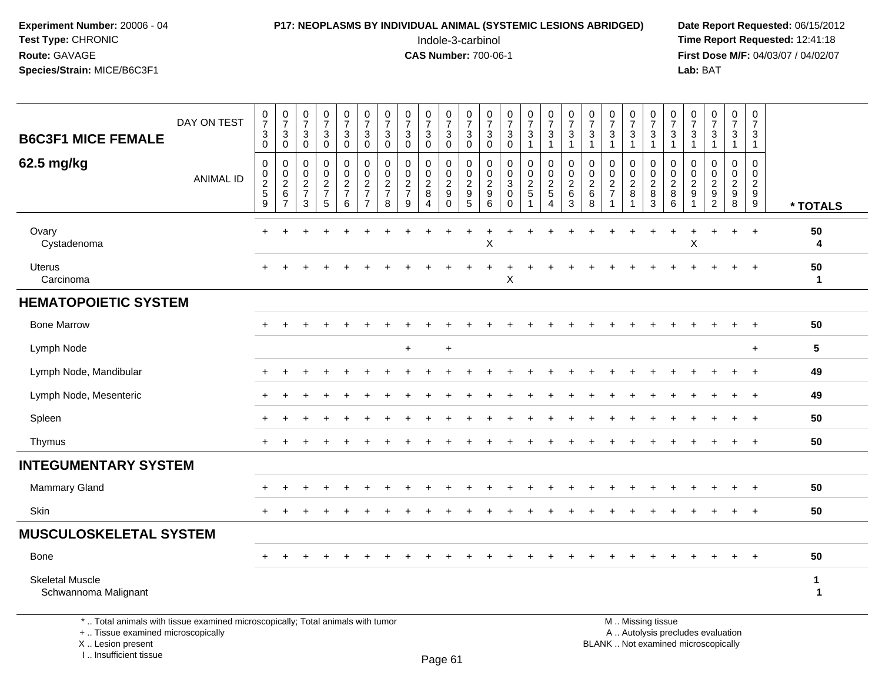# **P17: NEOPLASMS BY INDIVIDUAL ANIMAL (SYSTEMIC LESIONS ABRIDGED)** Date Report Requested: 06/15/2012<br>Indole-3-carbinol **Time Report Requested:** 12:41:18

 Indole-3-carbinol **Time Report Requested:** 12:41:18 **First Dose M/F:** 04/03/07 / 04/02/07<br>Lab: BAT **Lab:** BAT

| <b>B6C3F1 MICE FEMALE</b>                                                       | DAY ON TEST      | $\frac{0}{7}$<br>$\frac{3}{0}$                      | $\frac{0}{7}$<br>$\ensuremath{\mathsf{3}}$<br>$\mathbf 0$            | $\mathbf 0$<br>$\overline{7}$<br>3<br>$\mathbf 0$         | $\frac{0}{7}$<br>3<br>$\mathbf 0$                         | $\frac{0}{7}$<br>3<br>$\pmb{0}$                   | $\frac{0}{7}$<br>$\ensuremath{\mathsf{3}}$<br>$\mathsf{O}\xspace$ | $\pmb{0}$<br>$\overline{7}$<br>3<br>$\mathbf 0$ | 0<br>$\overline{7}$<br>3<br>$\mathbf 0$ | $\pmb{0}$<br>$\overline{7}$<br>3<br>$\mathbf 0$       | 0<br>$\overline{7}$<br>3<br>$\mathbf 0$                              | $\pmb{0}$<br>$\overline{7}$<br>$\ensuremath{\mathsf{3}}$<br>$\mathbf 0$  | 0<br>$\overline{7}$<br>3<br>$\mathbf 0$ | 0<br>$\overline{7}$<br>3<br>$\mathbf 0$ | $\begin{array}{c} 0 \\ 7 \end{array}$<br>$\sqrt{3}$<br>$\mathbf{1}$ | $\pmb{0}$<br>$\overline{7}$<br>$\mathbf{3}$<br>$\overline{1}$ | $\frac{0}{7}$<br>$\sqrt{3}$<br>$\mathbf{1}$                   | $\begin{array}{c} 0 \\ 7 \end{array}$<br>3<br>$\mathbf 1$ | $\begin{array}{c} 0 \\ 7 \end{array}$<br>$\sqrt{3}$<br>$\mathbf{1}$ | $\frac{0}{7}$<br>3<br>$\mathbf{1}$  | 0<br>$\overline{7}$<br>$\mathbf{3}$<br>$\mathbf{1}$ | $\mathbf 0$<br>$\overline{7}$<br>$\mathbf{3}$<br>$\overline{1}$ | 0<br>$\overline{7}$<br>3<br>$\mathbf{1}$ | 0<br>$\overline{7}$<br>3<br>$\mathbf{1}$  | $\frac{0}{7}$<br>3<br>$\mathbf{1}$                | $\mathbf 0$<br>$\overline{7}$<br>3<br>$\mathbf{1}$ |                            |
|---------------------------------------------------------------------------------|------------------|-----------------------------------------------------|----------------------------------------------------------------------|-----------------------------------------------------------|-----------------------------------------------------------|---------------------------------------------------|-------------------------------------------------------------------|-------------------------------------------------|-----------------------------------------|-------------------------------------------------------|----------------------------------------------------------------------|--------------------------------------------------------------------------|-----------------------------------------|-----------------------------------------|---------------------------------------------------------------------|---------------------------------------------------------------|---------------------------------------------------------------|-----------------------------------------------------------|---------------------------------------------------------------------|-------------------------------------|-----------------------------------------------------|-----------------------------------------------------------------|------------------------------------------|-------------------------------------------|---------------------------------------------------|----------------------------------------------------|----------------------------|
| 62.5 mg/kg                                                                      | <b>ANIMAL ID</b> | $\pmb{0}$<br>0<br>$\frac{2}{5}$<br>$\boldsymbol{9}$ | 0<br>$\boldsymbol{0}$<br>$\boldsymbol{2}$<br>$\,6$<br>$\overline{7}$ | $\mathbf 0$<br>0<br>$\overline{c}$<br>$\overline{7}$<br>3 | 0<br>$\mathbf 0$<br>$\overline{c}$<br>$\overline{7}$<br>5 | 0<br>0<br>$\overline{c}$<br>$\boldsymbol{7}$<br>6 | 0<br>0<br>$\overline{c}$<br>$\boldsymbol{7}$<br>$\overline{7}$    | 0<br>0<br>$\overline{c}$<br>$\overline{7}$<br>8 | 0<br>0<br>2<br>$\overline{7}$<br>9      | 0<br>0<br>$\overline{c}$<br>$\,8\,$<br>$\overline{4}$ | 0<br>0<br>$\overline{\mathbf{c}}$<br>$\boldsymbol{9}$<br>$\mathbf 0$ | 0<br>$\mathbf 0$<br>$\overline{c}$<br>$\boldsymbol{9}$<br>$\overline{5}$ | 0<br>0<br>2<br>9<br>6                   | 0<br>0<br>3<br>0<br>$\Omega$            | 0<br>0<br>$\overline{c}$<br>$\sqrt{5}$                              | 0<br>0<br>$\frac{2}{5}$<br>$\overline{4}$                     | 0<br>$\mathbf 0$<br>$\overline{c}$<br>$\,6\,$<br>$\mathbf{3}$ | 0<br>0<br>2<br>$\,6\,$<br>8                               | 0<br>0<br>$\overline{c}$<br>$\boldsymbol{7}$<br>$\mathbf{1}$        | 0<br>0<br>$\overline{a}$<br>$\bf 8$ | 0<br>0<br>$\overline{a}$<br>$\bf 8$<br>$\mathbf{3}$ | 0<br>$\mathbf 0$<br>$\overline{c}$<br>$\,8\,$<br>$\,6\,$        | $\Omega$<br>$\Omega$<br>9                | $\Omega$<br>0<br>2<br>9<br>$\overline{c}$ | 0<br>0<br>$\overline{2}$<br>$\boldsymbol{9}$<br>8 | 0<br>0<br>$\overline{2}$<br>$\boldsymbol{9}$<br>9  | * TOTALS                   |
| Ovary<br>Cystadenoma                                                            |                  | $+$                                                 |                                                                      |                                                           |                                                           |                                                   |                                                                   |                                                 |                                         |                                                       |                                                                      |                                                                          | X                                       |                                         |                                                                     |                                                               |                                                               |                                                           |                                                                     |                                     |                                                     |                                                                 | $\mathsf X$                              |                                           | $\ddot{}$                                         | $\ddot{}$                                          | 50<br>4                    |
| Uterus<br>Carcinoma                                                             |                  |                                                     |                                                                      |                                                           |                                                           |                                                   |                                                                   |                                                 |                                         |                                                       |                                                                      |                                                                          |                                         | X                                       |                                                                     |                                                               |                                                               |                                                           |                                                                     |                                     |                                                     |                                                                 |                                          |                                           |                                                   | $\overline{+}$                                     | 50<br>$\mathbf{1}$         |
| <b>HEMATOPOIETIC SYSTEM</b>                                                     |                  |                                                     |                                                                      |                                                           |                                                           |                                                   |                                                                   |                                                 |                                         |                                                       |                                                                      |                                                                          |                                         |                                         |                                                                     |                                                               |                                                               |                                                           |                                                                     |                                     |                                                     |                                                                 |                                          |                                           |                                                   |                                                    |                            |
| <b>Bone Marrow</b>                                                              |                  |                                                     |                                                                      |                                                           |                                                           |                                                   |                                                                   |                                                 |                                         |                                                       |                                                                      |                                                                          |                                         |                                         |                                                                     |                                                               |                                                               |                                                           |                                                                     |                                     |                                                     |                                                                 |                                          |                                           | $\ddot{}$                                         | $\overline{+}$                                     | 50                         |
| Lymph Node                                                                      |                  |                                                     |                                                                      |                                                           |                                                           |                                                   |                                                                   |                                                 | $+$                                     |                                                       | $\ddot{}$                                                            |                                                                          |                                         |                                         |                                                                     |                                                               |                                                               |                                                           |                                                                     |                                     |                                                     |                                                                 |                                          |                                           |                                                   | $+$                                                | $5\phantom{.0}$            |
| Lymph Node, Mandibular                                                          |                  |                                                     |                                                                      |                                                           |                                                           |                                                   |                                                                   |                                                 |                                         |                                                       |                                                                      |                                                                          |                                         |                                         |                                                                     |                                                               |                                                               |                                                           |                                                                     |                                     |                                                     |                                                                 |                                          |                                           | $\ddot{}$                                         | $\ddot{}$                                          | 49                         |
| Lymph Node, Mesenteric                                                          |                  |                                                     |                                                                      |                                                           |                                                           |                                                   |                                                                   |                                                 |                                         |                                                       |                                                                      |                                                                          |                                         |                                         |                                                                     |                                                               |                                                               |                                                           |                                                                     |                                     |                                                     |                                                                 |                                          |                                           |                                                   | $\ddot{}$                                          | 49                         |
| Spleen                                                                          |                  |                                                     |                                                                      |                                                           |                                                           |                                                   |                                                                   |                                                 |                                         |                                                       |                                                                      |                                                                          |                                         |                                         |                                                                     |                                                               |                                                               |                                                           |                                                                     |                                     |                                                     |                                                                 |                                          |                                           |                                                   |                                                    | 50                         |
| Thymus                                                                          |                  |                                                     |                                                                      |                                                           |                                                           |                                                   |                                                                   |                                                 |                                         |                                                       |                                                                      |                                                                          |                                         |                                         |                                                                     |                                                               |                                                               |                                                           |                                                                     |                                     |                                                     |                                                                 |                                          |                                           | $\pm$                                             | $\ddot{}$                                          | 50                         |
| <b>INTEGUMENTARY SYSTEM</b>                                                     |                  |                                                     |                                                                      |                                                           |                                                           |                                                   |                                                                   |                                                 |                                         |                                                       |                                                                      |                                                                          |                                         |                                         |                                                                     |                                                               |                                                               |                                                           |                                                                     |                                     |                                                     |                                                                 |                                          |                                           |                                                   |                                                    |                            |
| <b>Mammary Gland</b>                                                            |                  |                                                     |                                                                      |                                                           |                                                           |                                                   |                                                                   |                                                 |                                         |                                                       |                                                                      |                                                                          |                                         |                                         |                                                                     |                                                               |                                                               |                                                           |                                                                     |                                     |                                                     |                                                                 |                                          |                                           |                                                   |                                                    | 50                         |
| Skin                                                                            |                  |                                                     |                                                                      |                                                           |                                                           |                                                   |                                                                   |                                                 |                                         |                                                       |                                                                      |                                                                          |                                         |                                         |                                                                     |                                                               |                                                               |                                                           |                                                                     | $\div$                              | $\div$                                              |                                                                 |                                          |                                           | $\ddot{}$                                         | $+$                                                | 50                         |
| <b>MUSCULOSKELETAL SYSTEM</b>                                                   |                  |                                                     |                                                                      |                                                           |                                                           |                                                   |                                                                   |                                                 |                                         |                                                       |                                                                      |                                                                          |                                         |                                         |                                                                     |                                                               |                                                               |                                                           |                                                                     |                                     |                                                     |                                                                 |                                          |                                           |                                                   |                                                    |                            |
| Bone                                                                            |                  |                                                     |                                                                      |                                                           |                                                           |                                                   |                                                                   |                                                 |                                         |                                                       |                                                                      |                                                                          |                                         |                                         |                                                                     |                                                               |                                                               |                                                           |                                                                     |                                     |                                                     |                                                                 |                                          |                                           |                                                   | $\overline{+}$                                     | 50                         |
| <b>Skeletal Muscle</b><br>Schwannoma Malignant                                  |                  |                                                     |                                                                      |                                                           |                                                           |                                                   |                                                                   |                                                 |                                         |                                                       |                                                                      |                                                                          |                                         |                                         |                                                                     |                                                               |                                                               |                                                           |                                                                     |                                     |                                                     |                                                                 |                                          |                                           |                                                   |                                                    | $\mathbf 1$<br>$\mathbf 1$ |
| *  Total animals with tissue examined microscopically; Total animals with tumor |                  |                                                     |                                                                      |                                                           |                                                           |                                                   |                                                                   |                                                 |                                         |                                                       |                                                                      |                                                                          |                                         |                                         |                                                                     |                                                               |                                                               |                                                           |                                                                     |                                     | M Missing tissue                                    |                                                                 |                                          |                                           |                                                   |                                                    |                            |

\* .. Total animals with tissue examined microscopically; Total animals with tumor

+ .. Tissue examined microscopically

X .. Lesion present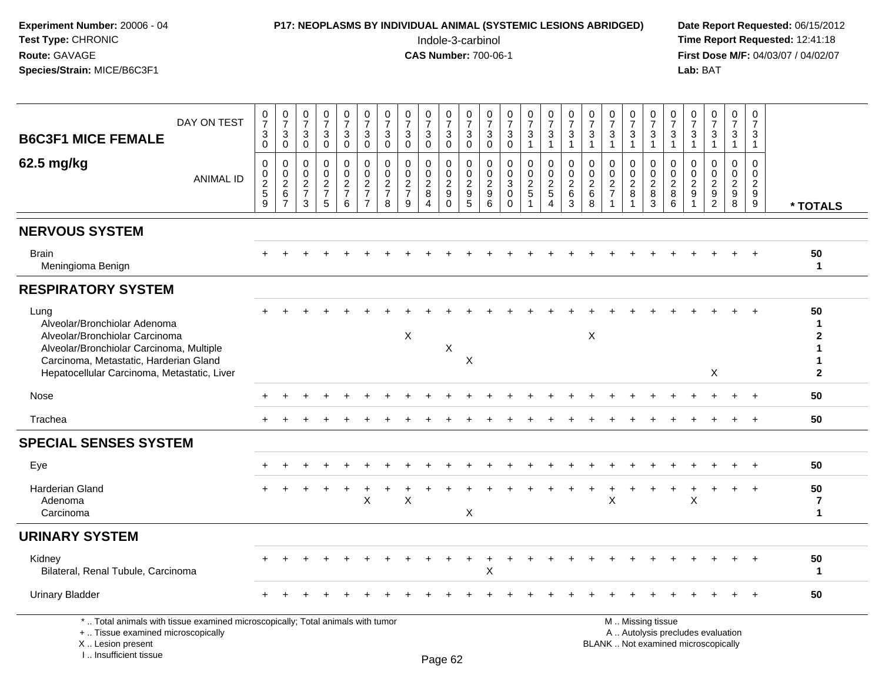### **P17: NEOPLASMS BY INDIVIDUAL ANIMAL (SYSTEMIC LESIONS ABRIDGED)** Date Report Requested: 06/15/2012<br>Indole-3-carbinol **Time Report Requested:** 12:41:18

 Indole-3-carbinol **Time Report Requested:** 12:41:18 **First Dose M/F:** 04/03/07 / 04/02/07<br>Lab: BAT **Lab:** BAT

| <b>B6C3F1 MICE FEMALE</b>                                                                                                                                    | DAY ON TEST      | $\boldsymbol{0}$<br>$\overline{7}$<br>$\mathbf{3}$<br>$\mathbf 0$ | $\frac{0}{7}$<br>$\mathbf{3}$<br>$\overline{0}$                           | 0<br>$\overline{7}$<br>3<br>$\mathbf 0$                                        | $\frac{0}{7}$<br>$\mathbf{3}$<br>$\Omega$                             | $\frac{0}{7}$<br>$\mathbf{3}$<br>$\Omega$                      | $\frac{0}{7}$<br>$\mathbf{3}$<br>$\mathbf 0$                  | $\frac{0}{7}$<br>$\mathbf{3}$<br>$\mathbf 0$               | 0<br>$\overline{7}$<br>3<br>$\mathbf{0}$                          | $\frac{0}{7}$<br>$\mathbf{3}$<br>$\Omega$          | 0<br>$\overline{7}$<br>3<br>$\Omega$                    | $\frac{0}{7}$<br>$\sqrt{3}$<br>$\mathbf 0$ | $\frac{0}{7}$<br>$\sqrt{3}$<br>$\mathbf 0$       | $\frac{0}{7}$<br>3<br>$\mathbf 0$                       | $\frac{0}{7}$<br>$\sqrt{3}$<br>$\mathbf{1}$                      | $\frac{0}{7}$<br>$\mathbf{3}$                                       | $\frac{0}{7}$<br>3<br>$\mathbf{1}$             | $\frac{0}{7}$<br>$\mathbf{3}$<br>$\mathbf{1}$    | 0<br>$\overline{7}$<br>3<br>$\mathbf{1}$                    | $\frac{0}{7}$<br>3<br>$\overline{1}$                   | 0<br>$\overline{7}$<br>3<br>$\mathbf{1}$ | $\frac{0}{7}$<br>$\sqrt{3}$<br>$\mathbf{1}$                    | 0<br>$\overline{7}$<br>3<br>$\mathbf{1}$      | $\frac{0}{7}$<br>$\mathbf{3}$<br>$\mathbf{1}$                                | $\boldsymbol{0}$<br>$\overline{7}$<br>3<br>$\mathbf{1}$            | 0<br>$\overline{7}$<br>3<br>$\mathbf{1}$         |                                                           |
|--------------------------------------------------------------------------------------------------------------------------------------------------------------|------------------|-------------------------------------------------------------------|---------------------------------------------------------------------------|--------------------------------------------------------------------------------|-----------------------------------------------------------------------|----------------------------------------------------------------|---------------------------------------------------------------|------------------------------------------------------------|-------------------------------------------------------------------|----------------------------------------------------|---------------------------------------------------------|--------------------------------------------|--------------------------------------------------|---------------------------------------------------------|------------------------------------------------------------------|---------------------------------------------------------------------|------------------------------------------------|--------------------------------------------------|-------------------------------------------------------------|--------------------------------------------------------|------------------------------------------|----------------------------------------------------------------|-----------------------------------------------|------------------------------------------------------------------------------|--------------------------------------------------------------------|--------------------------------------------------|-----------------------------------------------------------|
| 62.5 mg/kg                                                                                                                                                   | <b>ANIMAL ID</b> | $\mathbf 0$<br>$\pmb{0}$<br>$\frac{2}{5}$<br>9                    | $\pmb{0}$<br>$\begin{array}{c} 0 \\ 2 \\ 6 \end{array}$<br>$\overline{7}$ | $\mathbf 0$<br>$\mathbf 0$<br>$\overline{c}$<br>$\overline{7}$<br>$\mathbf{3}$ | $\mathbf 0$<br>$\mathbf 0$<br>$\boldsymbol{2}$<br>$\overline{7}$<br>5 | $\mathbf 0$<br>$\begin{array}{c} 0 \\ 2 \\ 7 \end{array}$<br>6 | $\mathbf 0$<br>$\mathbf 0$<br>$\frac{2}{7}$<br>$\overline{7}$ | $\boldsymbol{0}$<br>$\boldsymbol{0}$<br>$\frac{2}{7}$<br>8 | $\mathbf{0}$<br>$\mathbf{0}$<br>$\sqrt{2}$<br>$\overline{7}$<br>9 | $\mathbf 0$<br>$\mathbf 0$<br>$\sqrt{2}$<br>8<br>4 | $\mathbf 0$<br>$\mathbf 0$<br>$\frac{2}{9}$<br>$\Omega$ | 0<br>$\pmb{0}$<br>$\frac{2}{9}$<br>5       | $\mathbf 0$<br>$\mathbf 0$<br>$\frac{2}{9}$<br>6 | $\mathbf 0$<br>0<br>$\sqrt{3}$<br>$\pmb{0}$<br>$\Omega$ | $\mathbf 0$<br>0<br>$\overline{2}$<br>$\sqrt{5}$<br>$\mathbf{1}$ | $\mathbf 0$<br>$\mathbf 0$<br>$\overline{a}$<br>5<br>$\overline{4}$ | $\mathbf 0$<br>$\pmb{0}$<br>$\frac{2}{6}$<br>3 | $\mathbf 0$<br>$\mathbf 0$<br>$\frac{2}{6}$<br>8 | $\Omega$<br>$\mathbf 0$<br>$\overline{c}$<br>$\overline{7}$ | $\mathbf 0$<br>$\boldsymbol{0}$<br>$\overline{c}$<br>8 | 0<br>0<br>$\sqrt{2}$<br>$\,8\,$<br>3     | $\mathbf 0$<br>$\mathbf 0$<br>$\boldsymbol{2}$<br>$\,8\,$<br>6 | $\Omega$<br>$\Omega$<br>2<br>$\boldsymbol{9}$ | $\Omega$<br>$\Omega$<br>$\overline{a}$<br>$\boldsymbol{9}$<br>$\overline{c}$ | $\Omega$<br>$\mathbf 0$<br>$\overline{a}$<br>$\boldsymbol{9}$<br>8 | $\mathbf 0$<br>$\mathbf 0$<br>$\frac{2}{9}$<br>9 | * TOTALS                                                  |
| <b>NERVOUS SYSTEM</b>                                                                                                                                        |                  |                                                                   |                                                                           |                                                                                |                                                                       |                                                                |                                                               |                                                            |                                                                   |                                                    |                                                         |                                            |                                                  |                                                         |                                                                  |                                                                     |                                                |                                                  |                                                             |                                                        |                                          |                                                                |                                               |                                                                              |                                                                    |                                                  |                                                           |
| <b>Brain</b><br>Meningioma Benign                                                                                                                            |                  |                                                                   |                                                                           |                                                                                |                                                                       |                                                                |                                                               |                                                            |                                                                   |                                                    |                                                         |                                            |                                                  |                                                         |                                                                  |                                                                     |                                                |                                                  |                                                             |                                                        |                                          |                                                                |                                               |                                                                              |                                                                    |                                                  | 50<br>$\mathbf{1}$                                        |
| <b>RESPIRATORY SYSTEM</b>                                                                                                                                    |                  |                                                                   |                                                                           |                                                                                |                                                                       |                                                                |                                                               |                                                            |                                                                   |                                                    |                                                         |                                            |                                                  |                                                         |                                                                  |                                                                     |                                                |                                                  |                                                             |                                                        |                                          |                                                                |                                               |                                                                              |                                                                    |                                                  |                                                           |
| Lung<br>Alveolar/Bronchiolar Adenoma<br>Alveolar/Bronchiolar Carcinoma<br>Alveolar/Bronchiolar Carcinoma, Multiple<br>Carcinoma, Metastatic, Harderian Gland |                  |                                                                   |                                                                           |                                                                                |                                                                       |                                                                |                                                               |                                                            | $\boldsymbol{\mathsf{X}}$                                         |                                                    | X                                                       | $\boldsymbol{\mathsf{X}}$                  |                                                  |                                                         |                                                                  |                                                                     |                                                | X                                                |                                                             |                                                        |                                          |                                                                |                                               |                                                                              |                                                                    |                                                  | 50<br>$\mathbf 1$<br>$\boldsymbol{2}$<br>1<br>$\mathbf 1$ |
| Hepatocellular Carcinoma, Metastatic, Liver                                                                                                                  |                  |                                                                   |                                                                           |                                                                                |                                                                       |                                                                |                                                               |                                                            |                                                                   |                                                    |                                                         |                                            |                                                  |                                                         |                                                                  |                                                                     |                                                |                                                  |                                                             |                                                        |                                          |                                                                |                                               | $\boldsymbol{\mathsf{X}}$                                                    |                                                                    |                                                  | $\mathbf{2}$                                              |
| Nose                                                                                                                                                         |                  |                                                                   |                                                                           |                                                                                |                                                                       |                                                                |                                                               |                                                            |                                                                   |                                                    |                                                         |                                            |                                                  |                                                         |                                                                  |                                                                     |                                                |                                                  |                                                             |                                                        |                                          |                                                                |                                               |                                                                              |                                                                    |                                                  | 50                                                        |
| Trachea                                                                                                                                                      |                  |                                                                   |                                                                           |                                                                                |                                                                       |                                                                |                                                               |                                                            |                                                                   |                                                    |                                                         |                                            |                                                  |                                                         |                                                                  |                                                                     |                                                |                                                  |                                                             |                                                        |                                          |                                                                |                                               |                                                                              |                                                                    |                                                  | 50                                                        |
| <b>SPECIAL SENSES SYSTEM</b>                                                                                                                                 |                  |                                                                   |                                                                           |                                                                                |                                                                       |                                                                |                                                               |                                                            |                                                                   |                                                    |                                                         |                                            |                                                  |                                                         |                                                                  |                                                                     |                                                |                                                  |                                                             |                                                        |                                          |                                                                |                                               |                                                                              |                                                                    |                                                  |                                                           |
| Eye                                                                                                                                                          |                  |                                                                   |                                                                           |                                                                                |                                                                       |                                                                |                                                               |                                                            |                                                                   |                                                    |                                                         |                                            |                                                  |                                                         |                                                                  |                                                                     |                                                |                                                  |                                                             |                                                        |                                          |                                                                |                                               |                                                                              |                                                                    |                                                  | 50                                                        |
| <b>Harderian Gland</b><br>Adenoma<br>Carcinoma                                                                                                               |                  |                                                                   |                                                                           |                                                                                |                                                                       |                                                                | $\pmb{\times}$                                                |                                                            | $\sf X$                                                           |                                                    |                                                         | X                                          |                                                  |                                                         |                                                                  |                                                                     |                                                |                                                  | X                                                           |                                                        |                                          | $\ddot{}$                                                      | X                                             |                                                                              | $\ddot{}$                                                          |                                                  | 50<br>7<br>$\mathbf{1}$                                   |
| <b>URINARY SYSTEM</b>                                                                                                                                        |                  |                                                                   |                                                                           |                                                                                |                                                                       |                                                                |                                                               |                                                            |                                                                   |                                                    |                                                         |                                            |                                                  |                                                         |                                                                  |                                                                     |                                                |                                                  |                                                             |                                                        |                                          |                                                                |                                               |                                                                              |                                                                    |                                                  |                                                           |
| Kidney<br>Bilateral, Renal Tubule, Carcinoma                                                                                                                 |                  |                                                                   |                                                                           |                                                                                |                                                                       |                                                                |                                                               |                                                            |                                                                   |                                                    |                                                         | $\ddot{}$                                  | $\,$<br>$\mathsf X$                              |                                                         |                                                                  |                                                                     |                                                |                                                  |                                                             |                                                        |                                          |                                                                |                                               |                                                                              |                                                                    |                                                  | 50<br>$\mathbf{1}$                                        |
| <b>Urinary Bladder</b>                                                                                                                                       |                  |                                                                   |                                                                           |                                                                                |                                                                       |                                                                |                                                               |                                                            |                                                                   |                                                    |                                                         |                                            |                                                  |                                                         |                                                                  |                                                                     |                                                |                                                  |                                                             |                                                        |                                          |                                                                |                                               |                                                                              |                                                                    |                                                  | 50                                                        |
| *  Total animals with tissue examined microscopically; Total animals with tumor                                                                              |                  |                                                                   |                                                                           |                                                                                |                                                                       |                                                                |                                                               |                                                            |                                                                   |                                                    |                                                         |                                            |                                                  |                                                         |                                                                  |                                                                     |                                                |                                                  |                                                             |                                                        | M. Missing tissue                        |                                                                |                                               |                                                                              |                                                                    |                                                  |                                                           |

\* .. Total animals with tissue examined microscopically; Total animals with tumor+ .. Tissue examined microscopically

 Lesion present BLANK .. Not examined microscopicallyX .. Lesion present

I .. Insufficient tissue

y the contract of the contract of the contract of the contract of the contract of  $\mathsf A$  . Autolysis precludes evaluation

Page 62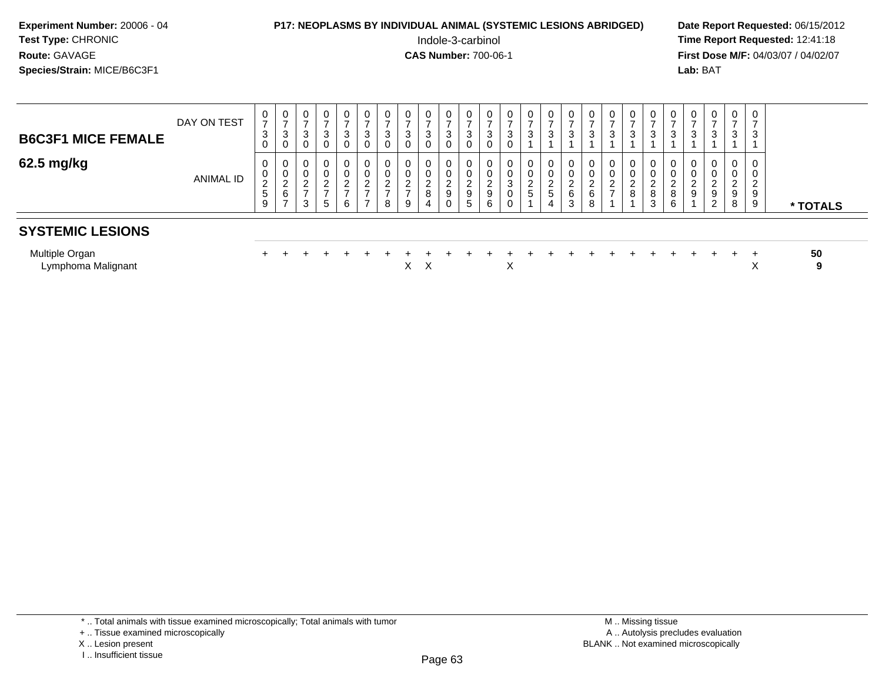### **P17: NEOPLASMS BY INDIVIDUAL ANIMAL (SYSTEMIC LESIONS ABRIDGED)** Date Report Requested: 06/15/2012<br>Indole-3-carbinol **Time Report Requested:** 12:41:18

| <b>B6C3F1 MICE FEMALE</b>            | DAY ON TEST | 0<br>$\overline{ }$<br>3<br>$\mathbf 0$ | $\mathbf 0$<br>$\overline{ }$<br>$\mathbf{3}$<br>0                      | $\mathbf 0$<br>$\sim$<br>ۍ<br>◠ | $\overline{0}$<br>⇁<br>3<br>0                        | 0<br>$\overline{ }$<br>3<br>0                  | $\overline{0}$<br>$\rightarrow$<br>3<br>$\mathbf 0$ | 0<br>-<br>3<br>0                               | 0<br>$\rightarrow$<br>3<br>0                   | 0<br>$\overline{ }$<br>3<br>0                | 0<br>$\overline{ }$<br>3 | $\mathbf 0$<br>$\overline{ }$<br>3<br>0 | $\sim$<br>د           | 3                               | 0<br>$\overline{ }$<br>3                    | 0<br>$\rightarrow$<br>3                          | 0<br>3                             | 0<br>$\overline{ }$<br>3                 | 0<br>$\overline{ }$<br>3              | 0<br>$\overline{ }$<br>3               | 0<br>3                       | ◠                  | ⇁<br>3 | $\mathbf 0$<br>-<br>3                                      | 0<br>⇁<br>3           | $\mathbf 0$<br>-<br>3                        |          |
|--------------------------------------|-------------|-----------------------------------------|-------------------------------------------------------------------------|---------------------------------|------------------------------------------------------|------------------------------------------------|-----------------------------------------------------|------------------------------------------------|------------------------------------------------|----------------------------------------------|--------------------------|-----------------------------------------|-----------------------|---------------------------------|---------------------------------------------|--------------------------------------------------|------------------------------------|------------------------------------------|---------------------------------------|----------------------------------------|------------------------------|--------------------|--------|------------------------------------------------------------|-----------------------|----------------------------------------------|----------|
| 62.5 mg/kg                           | ANIMAL ID   | 0<br>0<br>2<br>5<br>9                   | 0<br>$\pmb{0}$<br>$\boldsymbol{2}$<br>$6\phantom{1}6$<br>$\overline{ }$ | 0<br>0<br>$\sim$<br>∼<br>-<br>3 | $\mathbf 0$<br>$\overline{2}$<br>$\overline{ }$<br>5 | 0<br>0<br>$\overline{2}$<br>$\rightarrow$<br>6 | 0<br>0<br>$\frac{2}{7}$<br>$\overline{ }$           | 0<br>0<br>$\overline{2}$<br>$\rightarrow$<br>8 | 0<br>0<br>$\overline{2}$<br>$\rightarrow$<br>9 | 0<br>$\mathbf 0$<br>$\overline{2}$<br>8<br>4 | 0<br>0<br>2<br>9<br>0    | 0<br>0<br>$\overline{c}$<br>9<br>5      | $\sim$<br>∼<br>9<br>6 | $\mathbf 0$<br>3<br>$\mathbf 0$ | 0<br>0<br>$\overline{2}$<br>$5\overline{)}$ | 0<br>0<br>$\overline{c}$<br>$5\overline{)}$<br>4 | 0<br>0<br>$\overline{c}$<br>6<br>3 | 0<br>0<br>$\overline{c}$<br>$\,6\,$<br>8 | 0<br>$\overline{2}$<br>$\overline{ }$ | 0<br>0<br>$\overline{\mathbf{c}}$<br>8 | U<br>$\mathcal{D}$<br>8<br>3 | <u>_</u><br>8<br>6 | ∠<br>9 | $\mathbf{0}$<br>0<br>$\overline{2}$<br>9<br>$\overline{2}$ | 0<br>0<br>2<br>9<br>8 | $\mathbf 0$<br>0<br>$\overline{2}$<br>9<br>9 | * TOTALS |
| <b>SYSTEMIC LESIONS</b>              |             |                                         |                                                                         |                                 |                                                      |                                                |                                                     |                                                |                                                |                                              |                          |                                         |                       |                                 |                                             |                                                  |                                    |                                          |                                       |                                        |                              |                    |        |                                                            |                       |                                              |          |
| Multiple Organ<br>Lymphoma Malignant |             |                                         |                                                                         |                                 |                                                      |                                                |                                                     |                                                | Y.                                             | X                                            |                          |                                         |                       | X                               |                                             |                                                  |                                    |                                          |                                       |                                        |                              |                    |        |                                                            | $+$                   | $\lambda$                                    | 50<br>9  |

I .. Insufficient tissue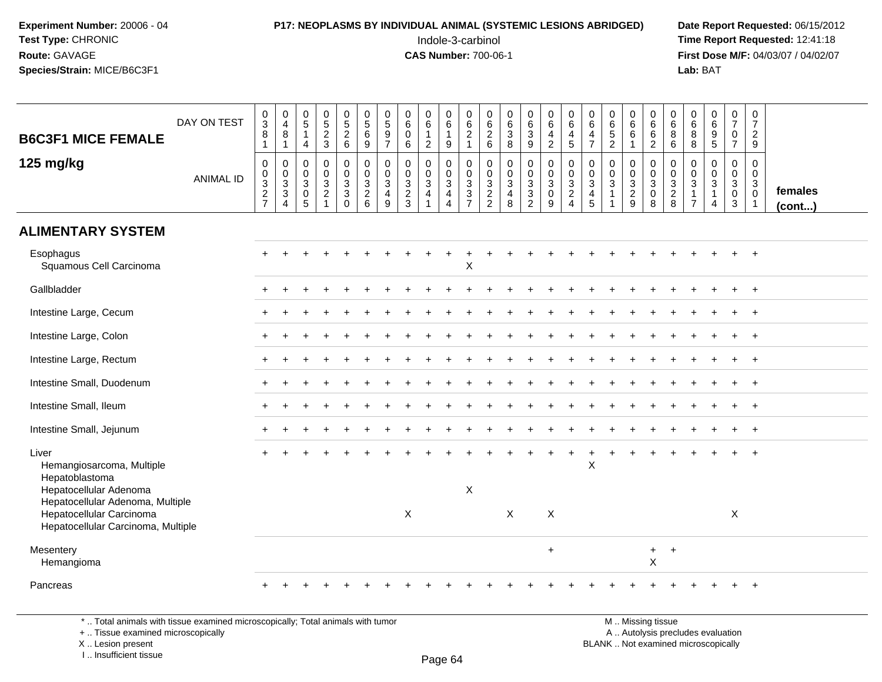# **P17: NEOPLASMS BY INDIVIDUAL ANIMAL (SYSTEMIC LESIONS ABRIDGED)** Date Report Requested: 06/15/2012<br>Indole-3-carbinol **Time Report Requested:** 12:41:18

 Indole-3-carbinol **Time Report Requested:** 12:41:18 **First Dose M/F:** 04/03/07 / 04/02/07<br>Lab: BAT **Lab:** BAT

| <b>B6C3F1 MICE FEMALE</b>                                                                          | DAY ON TEST      | 0<br>$\mathbf{3}$<br>8<br>$\mathbf{1}$                       | $\begin{smallmatrix}0\\4\end{smallmatrix}$<br>$\, 8$<br>$\mathbf{1}$ | $\begin{array}{c} 0 \\ 5 \end{array}$<br>$\overline{1}$<br>4 | 0<br>$\overline{5}$<br>$\overline{2}$<br>$\mathbf{3}$                    | $\begin{matrix} 0 \\ 5 \end{matrix}$<br>$\overline{a}$<br>6 | $\begin{array}{c} 0 \\ 5 \end{array}$<br>6<br>9     | $\begin{array}{c} 0 \\ 5 \end{array}$<br>$\boldsymbol{9}$<br>$\overline{7}$ | $\boldsymbol{0}$<br>$\,6\,$<br>$\mathbf 0$<br>$\,6\,$       | $\boldsymbol{0}$<br>$6\phantom{a}$<br>$\overline{1}$<br>$\overline{2}$ | 0<br>$\,6$<br>$\mathbf{1}$<br>$\boldsymbol{9}$                               | 0<br>$\,6\,$<br>$\boldsymbol{2}$<br>$\mathbf{1}$    | 0<br>$\,6\,$<br>$\overline{c}$<br>$6\phantom{a}$                 | 0<br>$\,6\,$<br>$\ensuremath{\mathsf{3}}$<br>8                                      | $\begin{array}{c} 0 \\ 6 \end{array}$<br>$\sqrt{3}$<br>$\boldsymbol{9}$ | $\begin{array}{c} 0 \\ 6 \end{array}$<br>$\overline{4}$<br>$\overline{2}$ | $\pmb{0}$<br>$\,6\,$<br>$\overline{4}$<br>$\overline{5}$                        | $\boldsymbol{0}$<br>6<br>$\overline{4}$<br>$\overline{7}$                  | $\boldsymbol{0}$<br>$6\overline{6}$<br>$\sqrt{5}$<br>$\overline{c}$      | $\begin{array}{c} 0 \\ 6 \end{array}$<br>$6\phantom{1}$<br>$\mathbf{1}$ | 0<br>$\,6\,$<br>$\,6\,$<br>$\overline{2}$               | $\begin{array}{c} 0 \\ 6 \end{array}$<br>$\bf 8$<br>$\,6\,$ | $\begin{array}{c} 0 \\ 6 \end{array}$<br>$_{8}^8$                  | $\begin{array}{c} 0 \\ 6 \end{array}$<br>9<br>$\sqrt{5}$                  | $\frac{0}{7}$<br>$\mathbf 0$<br>$\overline{7}$               | $\frac{0}{7}$<br>$\overline{2}$<br>$\boldsymbol{9}$                           |                         |
|----------------------------------------------------------------------------------------------------|------------------|--------------------------------------------------------------|----------------------------------------------------------------------|--------------------------------------------------------------|--------------------------------------------------------------------------|-------------------------------------------------------------|-----------------------------------------------------|-----------------------------------------------------------------------------|-------------------------------------------------------------|------------------------------------------------------------------------|------------------------------------------------------------------------------|-----------------------------------------------------|------------------------------------------------------------------|-------------------------------------------------------------------------------------|-------------------------------------------------------------------------|---------------------------------------------------------------------------|---------------------------------------------------------------------------------|----------------------------------------------------------------------------|--------------------------------------------------------------------------|-------------------------------------------------------------------------|---------------------------------------------------------|-------------------------------------------------------------|--------------------------------------------------------------------|---------------------------------------------------------------------------|--------------------------------------------------------------|-------------------------------------------------------------------------------|-------------------------|
| 125 mg/kg                                                                                          | <b>ANIMAL ID</b> | $\pmb{0}$<br>$\begin{array}{c} 0 \\ 3 \\ 2 \\ 7 \end{array}$ | $\begin{matrix} 0 \\ 0 \\ 3 \\ 3 \end{matrix}$<br>$\overline{4}$     | 0<br>$\mathbf 0$<br>$\mathbf{3}$<br>$\pmb{0}$<br>5           | $\pmb{0}$<br>$\pmb{0}$<br>$\mathbf{3}$<br>$\overline{c}$<br>$\mathbf{1}$ | 0<br>$\mathbf 0$<br>$\mathbf{3}$<br>$\mathbf 3$<br>$\Omega$ | 0<br>$\pmb{0}$<br>$\overline{3}$<br>$\sqrt{2}$<br>6 | $\pmb{0}$<br>$\pmb{0}$<br>$\overline{3}$<br>$\overline{\mathbf{4}}$<br>9    | $\mathbf 0$<br>$\mathbf 0$<br>$\mathbf{3}$<br>$\frac{2}{3}$ | $\mathbf 0$<br>$\pmb{0}$<br>$\mathbf 3$<br>$\overline{4}$<br>-1        | 0<br>$\mathsf{O}\xspace$<br>$\mathbf{3}$<br>$\overline{4}$<br>$\overline{4}$ | $\pmb{0}$<br>$\,0\,$<br>$\sqrt{3}$<br>$\frac{3}{7}$ | 0<br>$\mathbf 0$<br>$\mathbf{3}$<br>$\sqrt{2}$<br>$\overline{c}$ | $\pmb{0}$<br>$\pmb{0}$<br>$\ensuremath{\mathsf{3}}$<br>$\overline{\mathbf{4}}$<br>8 | $\pmb{0}$<br>$_{3}^{\rm 0}$<br>$\overline{3}$<br>$\overline{2}$         | $\mathbf 0$<br>$\mathsf{O}\xspace$<br>$\mathsf 3$<br>$\pmb{0}$<br>9       | $\pmb{0}$<br>$\boldsymbol{0}$<br>$\overline{3}$<br>$\sqrt{2}$<br>$\overline{4}$ | $\mathbf 0$<br>$\mathbf 0$<br>$\mathbf{3}$<br>$\overline{4}$<br>$\sqrt{5}$ | $\mathbf 0$<br>$\pmb{0}$<br>$\mathbf{3}$<br>$\mathbf{1}$<br>$\mathbf{1}$ | 0<br>$\mathbf 0$<br>3<br>$\frac{2}{9}$                                  | $\pmb{0}$<br>$\overline{0}$<br>3<br>$\overline{0}$<br>8 | $\pmb{0}$<br>$\mathbf 0$<br>$\frac{3}{2}$                   | 0<br>$\mathbf 0$<br>$\sqrt{3}$<br>$\overline{1}$<br>$\overline{7}$ | $\pmb{0}$<br>$\mathbf 0$<br>$\mathbf 3$<br>$\mathbf{1}$<br>$\overline{4}$ | 0<br>$\mathbf 0$<br>$\mathbf{3}$<br>$\mathsf{O}\xspace$<br>3 | $\mathbf 0$<br>$\mathbf 0$<br>$\overline{3}$<br>$\mathbf 0$<br>$\overline{1}$ | females<br>$($ cont $)$ |
| <b>ALIMENTARY SYSTEM</b>                                                                           |                  |                                                              |                                                                      |                                                              |                                                                          |                                                             |                                                     |                                                                             |                                                             |                                                                        |                                                                              |                                                     |                                                                  |                                                                                     |                                                                         |                                                                           |                                                                                 |                                                                            |                                                                          |                                                                         |                                                         |                                                             |                                                                    |                                                                           |                                                              |                                                                               |                         |
| Esophagus<br>Squamous Cell Carcinoma                                                               |                  | $\pm$                                                        |                                                                      |                                                              |                                                                          |                                                             |                                                     |                                                                             |                                                             |                                                                        |                                                                              | X                                                   |                                                                  |                                                                                     |                                                                         |                                                                           |                                                                                 |                                                                            |                                                                          |                                                                         |                                                         |                                                             |                                                                    |                                                                           |                                                              |                                                                               |                         |
| Gallbladder                                                                                        |                  | $+$                                                          |                                                                      |                                                              |                                                                          |                                                             |                                                     |                                                                             |                                                             |                                                                        |                                                                              |                                                     |                                                                  |                                                                                     |                                                                         |                                                                           |                                                                                 |                                                                            |                                                                          |                                                                         |                                                         |                                                             |                                                                    |                                                                           | $\ddot{}$                                                    | $^{+}$                                                                        |                         |
| Intestine Large, Cecum                                                                             |                  |                                                              |                                                                      |                                                              |                                                                          |                                                             |                                                     |                                                                             |                                                             |                                                                        |                                                                              |                                                     |                                                                  |                                                                                     |                                                                         |                                                                           |                                                                                 |                                                                            |                                                                          |                                                                         |                                                         |                                                             |                                                                    |                                                                           |                                                              |                                                                               |                         |
| Intestine Large, Colon                                                                             |                  |                                                              |                                                                      |                                                              |                                                                          |                                                             |                                                     |                                                                             |                                                             |                                                                        |                                                                              |                                                     |                                                                  |                                                                                     |                                                                         |                                                                           |                                                                                 |                                                                            |                                                                          |                                                                         |                                                         |                                                             |                                                                    |                                                                           | +                                                            | $\overline{+}$                                                                |                         |
| Intestine Large, Rectum                                                                            |                  |                                                              |                                                                      |                                                              |                                                                          |                                                             |                                                     |                                                                             |                                                             |                                                                        |                                                                              |                                                     |                                                                  |                                                                                     |                                                                         |                                                                           |                                                                                 |                                                                            |                                                                          |                                                                         |                                                         |                                                             |                                                                    |                                                                           |                                                              | $\overline{+}$                                                                |                         |
| Intestine Small, Duodenum                                                                          |                  |                                                              |                                                                      |                                                              |                                                                          |                                                             |                                                     |                                                                             |                                                             |                                                                        |                                                                              |                                                     |                                                                  |                                                                                     |                                                                         |                                                                           |                                                                                 |                                                                            |                                                                          |                                                                         |                                                         |                                                             |                                                                    |                                                                           |                                                              | $^{+}$                                                                        |                         |
| Intestine Small, Ileum                                                                             |                  |                                                              |                                                                      |                                                              |                                                                          |                                                             |                                                     |                                                                             |                                                             |                                                                        |                                                                              |                                                     |                                                                  |                                                                                     |                                                                         |                                                                           |                                                                                 |                                                                            |                                                                          |                                                                         |                                                         |                                                             |                                                                    |                                                                           |                                                              |                                                                               |                         |
| Intestine Small, Jejunum                                                                           |                  |                                                              |                                                                      |                                                              |                                                                          |                                                             |                                                     |                                                                             |                                                             |                                                                        |                                                                              |                                                     |                                                                  |                                                                                     |                                                                         |                                                                           |                                                                                 |                                                                            |                                                                          |                                                                         |                                                         |                                                             |                                                                    |                                                                           |                                                              | $\overline{+}$                                                                |                         |
| Liver<br>Hemangiosarcoma, Multiple<br>Hepatoblastoma<br>Hepatocellular Adenoma                     |                  |                                                              |                                                                      |                                                              |                                                                          |                                                             |                                                     |                                                                             |                                                             |                                                                        |                                                                              | X                                                   |                                                                  |                                                                                     |                                                                         |                                                                           |                                                                                 | $\mathsf X$                                                                |                                                                          |                                                                         |                                                         |                                                             |                                                                    |                                                                           |                                                              |                                                                               |                         |
| Hepatocellular Adenoma, Multiple<br>Hepatocellular Carcinoma<br>Hepatocellular Carcinoma, Multiple |                  |                                                              |                                                                      |                                                              |                                                                          |                                                             |                                                     |                                                                             | $\boldsymbol{\mathsf{X}}$                                   |                                                                        |                                                                              |                                                     |                                                                  | $\boldsymbol{\mathsf{X}}$                                                           |                                                                         | X                                                                         |                                                                                 |                                                                            |                                                                          |                                                                         |                                                         |                                                             |                                                                    |                                                                           | $\mathsf X$                                                  |                                                                               |                         |
| Mesentery<br>Hemangioma                                                                            |                  |                                                              |                                                                      |                                                              |                                                                          |                                                             |                                                     |                                                                             |                                                             |                                                                        |                                                                              |                                                     |                                                                  |                                                                                     |                                                                         | $+$                                                                       |                                                                                 |                                                                            |                                                                          |                                                                         | $+$<br>$\mathsf X$                                      | $+$                                                         |                                                                    |                                                                           |                                                              |                                                                               |                         |
| Pancreas                                                                                           |                  |                                                              |                                                                      |                                                              |                                                                          |                                                             |                                                     |                                                                             |                                                             |                                                                        |                                                                              |                                                     |                                                                  |                                                                                     |                                                                         |                                                                           |                                                                                 |                                                                            |                                                                          |                                                                         |                                                         |                                                             |                                                                    |                                                                           |                                                              |                                                                               |                         |

\* .. Total animals with tissue examined microscopically; Total animals with tumor

+ .. Tissue examined microscopically

X .. Lesion present

I .. Insufficient tissue

 M .. Missing tissuey the contract of the contract of the contract of the contract of the contract of  $\mathsf A$  . Autolysis precludes evaluation Lesion present BLANK .. Not examined microscopically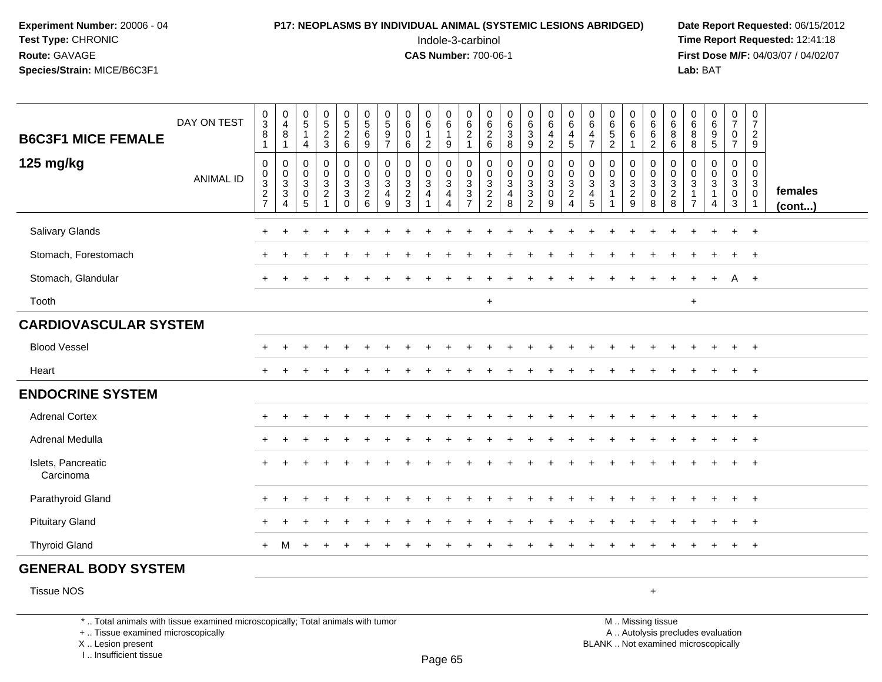# **P17: NEOPLASMS BY INDIVIDUAL ANIMAL (SYSTEMIC LESIONS ABRIDGED)** Date Report Requested: 06/15/2012<br>Indole-3-carbinol **Time Report Requested:** 12:41:18

 Indole-3-carbinol **Time Report Requested:** 12:41:18 **First Dose M/F:** 04/03/07 / 04/02/07<br>Lab: BAT **Lab:** BAT

| <b>B6C3F1 MICE FEMALE</b>                                                                                             | DAY ON TEST      | $_{3}^{\rm 0}$<br>8<br>$\mathbf{1}$       | $\mathbf 0$<br>$\overline{4}$<br>$\boldsymbol{8}$<br>$\overline{1}$ | $\begin{array}{c} 0 \\ 5 \end{array}$<br>$\mathbf{1}$<br>$\overline{4}$ | $\begin{array}{c} 0 \\ 5 \end{array}$<br>$\sqrt{2}$<br>3                     | $\begin{array}{c} 0 \\ 5 \\ 2 \end{array}$<br>$\,6\,$ | $\begin{array}{c} 0 \\ 5 \end{array}$<br>6<br>9               | 0<br>$\sqrt{5}$<br>$9\,$<br>$\overline{7}$                        | 0<br>6<br>$\Omega$<br>6                                       | $\begin{array}{c} 0 \\ 6 \end{array}$<br>$\mathbf{1}$<br>$\overline{2}$ | $\begin{array}{c} 0 \\ 6 \end{array}$<br>$\mathbf{1}$<br>9 | 0<br>$\,6\,$<br>$\overline{c}$<br>$\mathbf{1}$ | 0<br>6<br>$\sqrt{2}$<br>6                                  | $\begin{array}{c} 0 \\ 6 \end{array}$<br>$\sqrt{3}$<br>$\bf8$       | $\begin{array}{c} 0 \\ 6 \end{array}$<br>$\ensuremath{\mathsf{3}}$<br>9 | $\pmb{0}$<br>$\overline{6}$<br>$\overline{4}$<br>$\overline{2}$ | $\begin{array}{c} 0 \\ 6 \end{array}$<br>4<br>5                        | 0<br>6<br>$\overline{4}$<br>$\overline{7}$                           | $\begin{array}{c} 0 \\ 6 \end{array}$<br>$\sqrt{5}$<br>$\overline{2}$ | 0<br>$\overline{6}$<br>6<br>$\mathbf{1}$          | $\mathbf 0$<br>6<br>6<br>$\overline{2}$                               | 0<br>6<br>8<br>6                                                       | 0<br>6<br>8<br>8                                                   | $\begin{array}{c} 0 \\ 6 \end{array}$<br>$\boldsymbol{9}$<br>$\sqrt{5}$ | $\begin{smallmatrix}0\\7\end{smallmatrix}$<br>$\mathbf 0$<br>$\overline{7}$ | $\pmb{0}$<br>$\overline{7}$<br>$\sqrt{2}$<br>9                              |                   |
|-----------------------------------------------------------------------------------------------------------------------|------------------|-------------------------------------------|---------------------------------------------------------------------|-------------------------------------------------------------------------|------------------------------------------------------------------------------|-------------------------------------------------------|---------------------------------------------------------------|-------------------------------------------------------------------|---------------------------------------------------------------|-------------------------------------------------------------------------|------------------------------------------------------------|------------------------------------------------|------------------------------------------------------------|---------------------------------------------------------------------|-------------------------------------------------------------------------|-----------------------------------------------------------------|------------------------------------------------------------------------|----------------------------------------------------------------------|-----------------------------------------------------------------------|---------------------------------------------------|-----------------------------------------------------------------------|------------------------------------------------------------------------|--------------------------------------------------------------------|-------------------------------------------------------------------------|-----------------------------------------------------------------------------|-----------------------------------------------------------------------------|-------------------|
| 125 mg/kg                                                                                                             | <b>ANIMAL ID</b> | $\,0\,$<br>$\frac{0}{2}$<br>$\frac{3}{7}$ | $\mathbf 0$<br>$\mathbf 0$<br>$\frac{3}{3}$<br>$\overline{4}$       | $\mathbf 0$<br>$\mathbf 0$<br>$\mathbf{3}$<br>$\mathbf 0$<br>5          | $\mathbf 0$<br>$\mathbf 0$<br>$\mathbf{3}$<br>$\overline{c}$<br>$\mathbf{1}$ | $\pmb{0}$<br>$\mathbf 0$<br>$\frac{3}{3}$             | $\pmb{0}$<br>$\mathsf 0$<br>$\sqrt{3}$<br>$\overline{2}$<br>6 | $\mathbf 0$<br>$\mathbf 0$<br>$\mathbf{3}$<br>$\overline{4}$<br>9 | $\mathbf 0$<br>$\mathbf 0$<br>$\overline{3}$<br>$\frac{2}{3}$ | 0<br>$\mathbf 0$<br>$\overline{3}$<br>$\overline{4}$<br>$\mathbf{1}$    | 0<br>$\mathsf 0$<br>$\overline{3}$<br>$\overline{4}$<br>4  | 0<br>$\mathbf 0$<br>3<br>$\frac{3}{7}$         | $\mathbf 0$<br>$\mathbf 0$<br>$\mathsf 3$<br>$\frac{2}{2}$ | $\mathbf 0$<br>$\mathbf 0$<br>$\overline{3}$<br>$\overline{4}$<br>8 | $\mathbf 0$<br>$\mathbf 0$<br>$\overline{3}$<br>$\frac{3}{2}$           | 0<br>$\mathbf 0$<br>$\overline{3}$<br>$\pmb{0}$<br>9            | $\mathbf 0$<br>0<br>$\overline{3}$<br>$\overline{a}$<br>$\overline{4}$ | $\mathbf 0$<br>0<br>$\ensuremath{\mathsf{3}}$<br>$\overline{4}$<br>5 | $\mathbf 0$<br>$\mathbf 0$<br>$\overline{3}$<br>1<br>$\overline{1}$   | 0<br>$\mathbf 0$<br>$\mathbf{3}$<br>$\frac{2}{9}$ | $\mathbf 0$<br>$\mathbf 0$<br>$\overline{3}$<br>$\boldsymbol{0}$<br>8 | 0<br>$\mathbf 0$<br>$\ensuremath{\mathsf{3}}$<br>$\boldsymbol{2}$<br>8 | 0<br>$\mathbf 0$<br>$\mathbf{3}$<br>$\mathbf{1}$<br>$\overline{7}$ | $\mathbf 0$<br>$\mathbf 0$<br>$\overline{3}$<br>4                       | $\mathbf 0$<br>$\mathbf 0$<br>$\mathbf{3}$<br>$\mathbf 0$<br>$\mathbf{3}$   | $\mathbf 0$<br>$\mathbf 0$<br>$\mathbf{3}$<br>$\mathbf 0$<br>$\overline{1}$ | females<br>(cont) |
| Salivary Glands                                                                                                       |                  |                                           |                                                                     |                                                                         |                                                                              |                                                       |                                                               |                                                                   |                                                               |                                                                         |                                                            |                                                |                                                            |                                                                     |                                                                         |                                                                 |                                                                        |                                                                      |                                                                       |                                                   |                                                                       |                                                                        |                                                                    |                                                                         |                                                                             | $+$                                                                         |                   |
| Stomach, Forestomach                                                                                                  |                  |                                           |                                                                     |                                                                         |                                                                              |                                                       |                                                               |                                                                   |                                                               |                                                                         |                                                            |                                                |                                                            |                                                                     |                                                                         |                                                                 |                                                                        |                                                                      |                                                                       |                                                   |                                                                       |                                                                        |                                                                    |                                                                         |                                                                             | $\ddot{}$                                                                   |                   |
| Stomach, Glandular                                                                                                    |                  | ÷                                         |                                                                     |                                                                         |                                                                              |                                                       |                                                               |                                                                   |                                                               |                                                                         |                                                            |                                                |                                                            |                                                                     |                                                                         |                                                                 |                                                                        |                                                                      |                                                                       |                                                   |                                                                       |                                                                        |                                                                    |                                                                         | A                                                                           | $+$                                                                         |                   |
| Tooth                                                                                                                 |                  |                                           |                                                                     |                                                                         |                                                                              |                                                       |                                                               |                                                                   |                                                               |                                                                         |                                                            |                                                | $\ddot{}$                                                  |                                                                     |                                                                         |                                                                 |                                                                        |                                                                      |                                                                       |                                                   |                                                                       |                                                                        | $+$                                                                |                                                                         |                                                                             |                                                                             |                   |
| <b>CARDIOVASCULAR SYSTEM</b>                                                                                          |                  |                                           |                                                                     |                                                                         |                                                                              |                                                       |                                                               |                                                                   |                                                               |                                                                         |                                                            |                                                |                                                            |                                                                     |                                                                         |                                                                 |                                                                        |                                                                      |                                                                       |                                                   |                                                                       |                                                                        |                                                                    |                                                                         |                                                                             |                                                                             |                   |
| <b>Blood Vessel</b>                                                                                                   |                  |                                           |                                                                     |                                                                         |                                                                              |                                                       |                                                               |                                                                   |                                                               |                                                                         |                                                            |                                                |                                                            |                                                                     |                                                                         |                                                                 |                                                                        |                                                                      |                                                                       |                                                   |                                                                       |                                                                        |                                                                    |                                                                         |                                                                             |                                                                             |                   |
| Heart                                                                                                                 |                  | $\pm$                                     |                                                                     |                                                                         |                                                                              |                                                       |                                                               |                                                                   |                                                               |                                                                         |                                                            |                                                |                                                            |                                                                     |                                                                         |                                                                 |                                                                        |                                                                      |                                                                       |                                                   |                                                                       |                                                                        |                                                                    |                                                                         |                                                                             |                                                                             |                   |
| <b>ENDOCRINE SYSTEM</b>                                                                                               |                  |                                           |                                                                     |                                                                         |                                                                              |                                                       |                                                               |                                                                   |                                                               |                                                                         |                                                            |                                                |                                                            |                                                                     |                                                                         |                                                                 |                                                                        |                                                                      |                                                                       |                                                   |                                                                       |                                                                        |                                                                    |                                                                         |                                                                             |                                                                             |                   |
| <b>Adrenal Cortex</b>                                                                                                 |                  | +                                         | +                                                                   |                                                                         |                                                                              |                                                       |                                                               |                                                                   |                                                               |                                                                         |                                                            |                                                |                                                            |                                                                     |                                                                         |                                                                 |                                                                        |                                                                      |                                                                       |                                                   |                                                                       |                                                                        |                                                                    |                                                                         | $\ddot{}$                                                                   | $+$                                                                         |                   |
| Adrenal Medulla                                                                                                       |                  |                                           |                                                                     |                                                                         |                                                                              |                                                       |                                                               |                                                                   |                                                               |                                                                         |                                                            |                                                |                                                            |                                                                     |                                                                         |                                                                 |                                                                        |                                                                      |                                                                       |                                                   |                                                                       |                                                                        |                                                                    |                                                                         |                                                                             | $\overline{+}$                                                              |                   |
| Islets, Pancreatic<br>Carcinoma                                                                                       |                  |                                           |                                                                     |                                                                         |                                                                              |                                                       |                                                               |                                                                   |                                                               |                                                                         |                                                            |                                                |                                                            |                                                                     |                                                                         |                                                                 |                                                                        |                                                                      |                                                                       |                                                   |                                                                       |                                                                        |                                                                    |                                                                         |                                                                             | $\overline{+}$                                                              |                   |
| Parathyroid Gland                                                                                                     |                  |                                           |                                                                     |                                                                         |                                                                              |                                                       |                                                               |                                                                   |                                                               |                                                                         |                                                            |                                                |                                                            |                                                                     |                                                                         |                                                                 |                                                                        |                                                                      |                                                                       |                                                   |                                                                       |                                                                        |                                                                    |                                                                         |                                                                             | $\overline{+}$                                                              |                   |
| <b>Pituitary Gland</b>                                                                                                |                  |                                           |                                                                     |                                                                         |                                                                              |                                                       |                                                               |                                                                   |                                                               |                                                                         |                                                            |                                                |                                                            |                                                                     |                                                                         |                                                                 |                                                                        |                                                                      |                                                                       |                                                   |                                                                       |                                                                        |                                                                    |                                                                         |                                                                             | $\ddot{}$                                                                   |                   |
| <b>Thyroid Gland</b>                                                                                                  |                  | $+$                                       | M                                                                   |                                                                         |                                                                              |                                                       |                                                               |                                                                   |                                                               |                                                                         |                                                            |                                                |                                                            |                                                                     |                                                                         |                                                                 |                                                                        |                                                                      |                                                                       |                                                   |                                                                       |                                                                        |                                                                    |                                                                         | $+$                                                                         | $+$                                                                         |                   |
| <b>GENERAL BODY SYSTEM</b>                                                                                            |                  |                                           |                                                                     |                                                                         |                                                                              |                                                       |                                                               |                                                                   |                                                               |                                                                         |                                                            |                                                |                                                            |                                                                     |                                                                         |                                                                 |                                                                        |                                                                      |                                                                       |                                                   |                                                                       |                                                                        |                                                                    |                                                                         |                                                                             |                                                                             |                   |
| <b>Tissue NOS</b>                                                                                                     |                  |                                           |                                                                     |                                                                         |                                                                              |                                                       |                                                               |                                                                   |                                                               |                                                                         |                                                            |                                                |                                                            |                                                                     |                                                                         |                                                                 |                                                                        |                                                                      |                                                                       |                                                   | $\ddot{}$                                                             |                                                                        |                                                                    |                                                                         |                                                                             |                                                                             |                   |
| *  Total animals with tissue examined microscopically; Total animals with tumor<br>+  Tissue examined microscopically |                  |                                           |                                                                     |                                                                         |                                                                              |                                                       |                                                               |                                                                   |                                                               |                                                                         |                                                            |                                                |                                                            |                                                                     |                                                                         |                                                                 |                                                                        |                                                                      |                                                                       |                                                   | M  Missing tissue                                                     |                                                                        |                                                                    | A  Autolysis precludes evaluation                                       |                                                                             |                                                                             |                   |

 Lesion present BLANK .. Not examined microscopicallyX .. Lesion present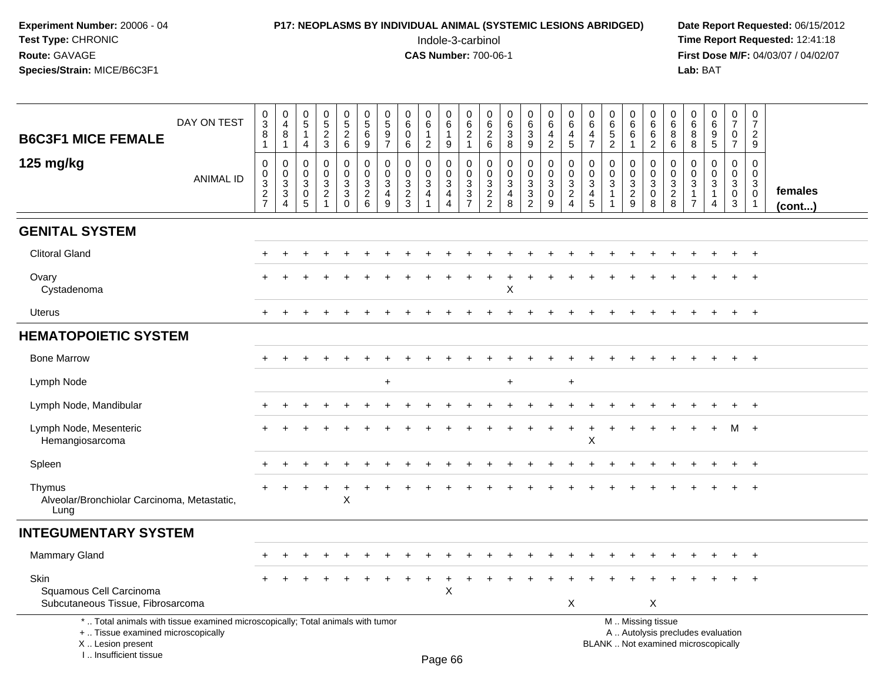# **P17: NEOPLASMS BY INDIVIDUAL ANIMAL (SYSTEMIC LESIONS ABRIDGED)** Date Report Requested: 06/15/2012<br>Indole-3-carbinol **Time Report Requested:** 12:41:18

| DAY ON TEST<br><b>B6C3F1 MICE FEMALE</b>                                                                                                                              | 0<br>3<br>8<br>$\mathbf{1}$                      | 0<br>$\overline{4}$<br>$\,8\,$<br>$\mathbf{1}$   | $\pmb{0}$<br>$\sqrt{5}$<br>$\overline{1}$<br>$\overline{4}$              | $0$<br>$5$<br>$2$<br>$3$                                      | $0$<br>$5$<br>$2$<br>$6$                                      | $\mathbf 0$<br>$\overline{5}$<br>$\,6\,$<br>9    | 0<br>$\sqrt{5}$<br>$\boldsymbol{9}$<br>$\overline{7}$ | 0<br>6<br>$\mathbf 0$<br>6                                    | 0<br>$\,6\,$<br>$\mathbf{1}$<br>$\overline{2}$               | $\pmb{0}$<br>6<br>$\mathbf{1}$<br>9                      | $\mathbf 0$<br>$\,6\,$<br>$\frac{2}{1}$                     | 0<br>6<br>$\overline{c}$<br>6                         | $\mathbf 0$<br>$\,6$<br>$\sqrt{3}$<br>8                         | 0<br>$\overline{6}$<br>$\mathbf{3}$<br>9                             | 0<br>6<br>$\overline{4}$<br>$\boldsymbol{2}$      | $\mathbf 0$<br>$\,6\,$<br>$\overline{4}$<br>$\sqrt{5}$                     | $\mathbf 0$<br>6<br>$\overline{4}$<br>$\overline{7}$            | $\mathbf 0$<br>6<br>$\sqrt{5}$<br>$\overline{2}$                                      | $\mathbf 0$<br>$\,6\,$<br>$\,6\,$<br>$\mathbf{1}$     | $\mathbf 0$<br>6<br>$\,6\,$<br>$\boldsymbol{2}$ | $\mathbf 0$<br>6<br>8<br>6                                        | 0<br>6<br>$\,8\,$<br>8                                                    | $_{6}^{\rm 0}$<br>$\boldsymbol{9}$<br>5                                  | $\mathbf 0$<br>$\overline{7}$<br>$\mathbf 0$<br>$\overline{7}$ | $\mathbf 0$<br>$\overline{7}$<br>$\overline{c}$<br>9             |                         |
|-----------------------------------------------------------------------------------------------------------------------------------------------------------------------|--------------------------------------------------|--------------------------------------------------|--------------------------------------------------------------------------|---------------------------------------------------------------|---------------------------------------------------------------|--------------------------------------------------|-------------------------------------------------------|---------------------------------------------------------------|--------------------------------------------------------------|----------------------------------------------------------|-------------------------------------------------------------|-------------------------------------------------------|-----------------------------------------------------------------|----------------------------------------------------------------------|---------------------------------------------------|----------------------------------------------------------------------------|-----------------------------------------------------------------|---------------------------------------------------------------------------------------|-------------------------------------------------------|-------------------------------------------------|-------------------------------------------------------------------|---------------------------------------------------------------------------|--------------------------------------------------------------------------|----------------------------------------------------------------|------------------------------------------------------------------|-------------------------|
| 125 mg/kg<br><b>ANIMAL ID</b>                                                                                                                                         | $\mathbf 0$<br>$\mathbf 0$<br>3<br>$\frac{2}{7}$ | $\mathbf 0$<br>$\mathbf 0$<br>$\frac{3}{3}$<br>4 | $\mathbf 0$<br>$\boldsymbol{0}$<br>$\mathbf{3}$<br>$\boldsymbol{0}$<br>5 | $\mathbf 0$<br>$\mathbf 0$<br>$\frac{3}{2}$<br>$\overline{1}$ | 0<br>$\pmb{0}$<br>$\sqrt{3}$<br>$\overline{3}$<br>$\mathbf 0$ | $\mathbf 0$<br>$\mathbf 0$<br>$\frac{3}{2}$<br>6 | $\mathbf 0$<br>$\mathbf 0$<br>3<br>4<br>9             | $\mathbf 0$<br>$\pmb{0}$<br>$\sqrt{3}$<br>$\overline{2}$<br>3 | $\mathbf 0$<br>$\mathbf 0$<br>$\mathbf{3}$<br>$\overline{4}$ | 0<br>$\mathsf{O}$<br>$\mathbf{3}$<br>4<br>$\overline{4}$ | $\mathbf 0$<br>$\pmb{0}$<br>$\frac{3}{3}$<br>$\overline{7}$ | 0<br>$\mathbf 0$<br>$\sqrt{3}$<br>$\overline{2}$<br>2 | $\mathbf 0$<br>$\mathbf 0$<br>$\sqrt{3}$<br>$\overline{4}$<br>8 | 0<br>$\mathbf 0$<br>$\mathbf{3}$<br>$\overline{3}$<br>$\overline{2}$ | 0<br>$\mathsf{O}\xspace$<br>3<br>$\mathbf 0$<br>9 | $\mathbf 0$<br>$\pmb{0}$<br>$\sqrt{3}$<br>$\overline{2}$<br>$\overline{4}$ | $\mathbf 0$<br>$\mathbf 0$<br>$\sqrt{3}$<br>$\overline{4}$<br>5 | $\mathbf 0$<br>$\mathbf 0$<br>$\mathbf{3}$<br>$\mathbf{1}$<br>$\overline{\mathbf{1}}$ | 0<br>$\mathbf 0$<br>$\sqrt{3}$<br>$\overline{2}$<br>9 | 0<br>$\mathbf 0$<br>3<br>0<br>8                 | $\mathbf 0$<br>$\mathbf 0$<br>$\mathbf{3}$<br>$\overline{2}$<br>8 | $\mathbf 0$<br>$\Omega$<br>$\mathbf{3}$<br>$\mathbf{1}$<br>$\overline{7}$ | 0<br>$\mathbf 0$<br>$\mathbf{3}$<br>$\mathbf{1}$<br>$\overline{4}$       | 0<br>$\mathbf 0$<br>$\mathsf 3$<br>$\overline{0}$<br>3         | $\mathbf 0$<br>$\mathbf{0}$<br>$\mathbf{3}$<br>0<br>$\mathbf{1}$ | females<br>$($ cont $)$ |
| <b>GENITAL SYSTEM</b>                                                                                                                                                 |                                                  |                                                  |                                                                          |                                                               |                                                               |                                                  |                                                       |                                                               |                                                              |                                                          |                                                             |                                                       |                                                                 |                                                                      |                                                   |                                                                            |                                                                 |                                                                                       |                                                       |                                                 |                                                                   |                                                                           |                                                                          |                                                                |                                                                  |                         |
| <b>Clitoral Gland</b>                                                                                                                                                 |                                                  |                                                  |                                                                          |                                                               |                                                               |                                                  |                                                       |                                                               |                                                              |                                                          |                                                             |                                                       |                                                                 |                                                                      |                                                   |                                                                            |                                                                 |                                                                                       |                                                       |                                                 |                                                                   |                                                                           |                                                                          |                                                                | $+$                                                              |                         |
| Ovary<br>Cystadenoma                                                                                                                                                  |                                                  |                                                  |                                                                          |                                                               |                                                               |                                                  |                                                       |                                                               |                                                              |                                                          |                                                             |                                                       | X                                                               |                                                                      |                                                   |                                                                            |                                                                 |                                                                                       |                                                       |                                                 |                                                                   |                                                                           |                                                                          |                                                                |                                                                  |                         |
| Uterus                                                                                                                                                                |                                                  |                                                  |                                                                          |                                                               |                                                               |                                                  |                                                       |                                                               |                                                              |                                                          |                                                             |                                                       |                                                                 |                                                                      |                                                   |                                                                            |                                                                 |                                                                                       |                                                       |                                                 |                                                                   |                                                                           |                                                                          | $\ddot{}$                                                      | $+$                                                              |                         |
| <b>HEMATOPOIETIC SYSTEM</b>                                                                                                                                           |                                                  |                                                  |                                                                          |                                                               |                                                               |                                                  |                                                       |                                                               |                                                              |                                                          |                                                             |                                                       |                                                                 |                                                                      |                                                   |                                                                            |                                                                 |                                                                                       |                                                       |                                                 |                                                                   |                                                                           |                                                                          |                                                                |                                                                  |                         |
| <b>Bone Marrow</b>                                                                                                                                                    |                                                  |                                                  |                                                                          |                                                               |                                                               |                                                  |                                                       |                                                               |                                                              |                                                          |                                                             |                                                       |                                                                 |                                                                      |                                                   |                                                                            |                                                                 |                                                                                       |                                                       |                                                 |                                                                   |                                                                           |                                                                          |                                                                | $+$                                                              |                         |
| Lymph Node                                                                                                                                                            |                                                  |                                                  |                                                                          |                                                               |                                                               |                                                  | $\ddot{}$                                             |                                                               |                                                              |                                                          |                                                             |                                                       | $\ddot{}$                                                       |                                                                      |                                                   | $\ddot{}$                                                                  |                                                                 |                                                                                       |                                                       |                                                 |                                                                   |                                                                           |                                                                          |                                                                |                                                                  |                         |
| Lymph Node, Mandibular                                                                                                                                                |                                                  |                                                  |                                                                          |                                                               |                                                               |                                                  |                                                       |                                                               |                                                              |                                                          |                                                             |                                                       |                                                                 |                                                                      |                                                   |                                                                            |                                                                 |                                                                                       |                                                       |                                                 |                                                                   |                                                                           |                                                                          |                                                                | $\ddot{}$                                                        |                         |
| Lymph Node, Mesenteric<br>Hemangiosarcoma                                                                                                                             |                                                  |                                                  |                                                                          |                                                               |                                                               |                                                  |                                                       |                                                               |                                                              |                                                          |                                                             |                                                       |                                                                 |                                                                      |                                                   | $\ddot{}$                                                                  | X                                                               |                                                                                       |                                                       |                                                 |                                                                   |                                                                           |                                                                          | м                                                              | $+$                                                              |                         |
| Spleen                                                                                                                                                                |                                                  |                                                  |                                                                          |                                                               |                                                               |                                                  |                                                       |                                                               |                                                              |                                                          |                                                             |                                                       |                                                                 |                                                                      |                                                   |                                                                            |                                                                 |                                                                                       |                                                       |                                                 |                                                                   |                                                                           |                                                                          |                                                                | $+$                                                              |                         |
| Thymus<br>Alveolar/Bronchiolar Carcinoma, Metastatic,<br>Lung                                                                                                         |                                                  |                                                  |                                                                          |                                                               | $\times$                                                      |                                                  |                                                       |                                                               |                                                              |                                                          |                                                             |                                                       |                                                                 |                                                                      |                                                   |                                                                            |                                                                 |                                                                                       |                                                       |                                                 |                                                                   |                                                                           |                                                                          |                                                                | $\ddot{}$                                                        |                         |
| <b>INTEGUMENTARY SYSTEM</b>                                                                                                                                           |                                                  |                                                  |                                                                          |                                                               |                                                               |                                                  |                                                       |                                                               |                                                              |                                                          |                                                             |                                                       |                                                                 |                                                                      |                                                   |                                                                            |                                                                 |                                                                                       |                                                       |                                                 |                                                                   |                                                                           |                                                                          |                                                                |                                                                  |                         |
| <b>Mammary Gland</b>                                                                                                                                                  |                                                  |                                                  |                                                                          |                                                               |                                                               |                                                  |                                                       |                                                               |                                                              |                                                          |                                                             |                                                       |                                                                 |                                                                      |                                                   |                                                                            |                                                                 |                                                                                       |                                                       |                                                 |                                                                   |                                                                           |                                                                          |                                                                | $+$                                                              |                         |
| <b>Skin</b><br>Squamous Cell Carcinoma<br>Subcutaneous Tissue, Fibrosarcoma                                                                                           |                                                  |                                                  |                                                                          |                                                               |                                                               |                                                  |                                                       |                                                               | $\ddot{}$                                                    | +<br>X                                                   |                                                             |                                                       |                                                                 |                                                                      |                                                   | X                                                                          |                                                                 |                                                                                       |                                                       | X                                               |                                                                   |                                                                           |                                                                          |                                                                |                                                                  |                         |
| *  Total animals with tissue examined microscopically; Total animals with tumor<br>+  Tissue examined microscopically<br>X  Lesion present<br>I., Insufficient tissue |                                                  |                                                  |                                                                          |                                                               |                                                               |                                                  |                                                       |                                                               | Page 66                                                      |                                                          |                                                             |                                                       |                                                                 |                                                                      |                                                   |                                                                            |                                                                 |                                                                                       |                                                       | M  Missing tissue                               |                                                                   |                                                                           | A  Autolysis precludes evaluation<br>BLANK  Not examined microscopically |                                                                |                                                                  |                         |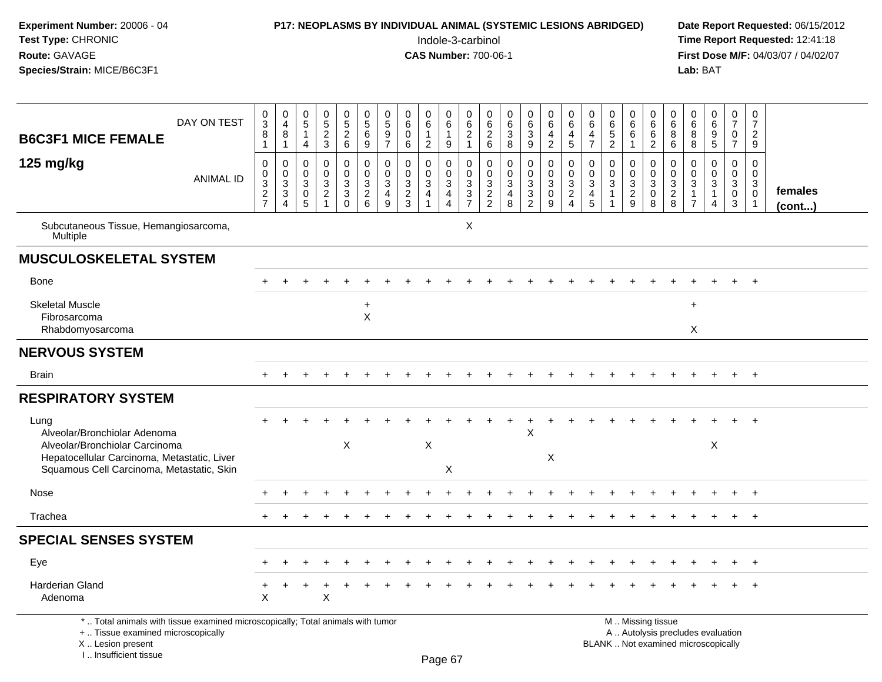DAY ON TEST**B6C3F1 MICE FEMALE**0 3 8 10 4 8 10 5 1 40 5 2 30 5 2 60 5 6 90 5 9 70 6 0 60 6 1 20 6 1 90 6 2 10 6 2 60 6 3 80 6 3 90 6 4 20 6 4 50 6 4 70 6 5 20 6 6 10 6 6 20 6 8 60 6 8 80 6 9 50 7 0 70 7 2 9**125 mg/kg**ANIMAL ID0 0 3 2 70 0 3 3 40 0 3 0 50 0 3 2 10 0 3 3 00 0 3 2 60 0 3 4 90 0 3 2 3 $\Omega$  0 3 4 1 $\Omega$  0 3 4 40 0 3 3 70 0 3 2 20 0 3 4 80 0 3 3 20 0 3 0 90 0 3 2 4 $\Omega$  0 3 4 50 0 3 1 10 0 3 2 90 0 3 0 80 0 3 2 80 0 3 1 7 $\Omega$  0 3 1 4 $\Omega$  0 3 0 3 $\Omega$  0 3 0 1**females (cont...)**Subcutaneous Tissue, Hemangiosarcoma,MultipleX**MUSCULOSKELETAL SYSTEM**Bone $e$  + <sup>+</sup> <sup>+</sup> <sup>+</sup> <sup>+</sup> <sup>+</sup> <sup>+</sup> <sup>+</sup> <sup>+</sup> <sup>+</sup> <sup>+</sup> <sup>+</sup> <sup>+</sup> <sup>+</sup> <sup>+</sup> <sup>+</sup> <sup>+</sup> <sup>+</sup> <sup>+</sup> <sup>+</sup> <sup>+</sup> <sup>+</sup> <sup>+</sup> <sup>+</sup> <sup>+</sup> Skeletal Muscle <sup>+</sup> <sup>+</sup> Fibrosarcomaa  $\lambda$ Rhabdomyosarcomaa and the contract of the contract of the contract of the contract of the contract of the contract of the contract of the contract of the contract of the contract of the contract of the contract of the contract of the cont **NERVOUS SYSTEM**Brainn  $+$  <sup>+</sup> <sup>+</sup> <sup>+</sup> <sup>+</sup> <sup>+</sup> <sup>+</sup> <sup>+</sup> <sup>+</sup> <sup>+</sup> <sup>+</sup> <sup>+</sup> <sup>+</sup> <sup>+</sup> <sup>+</sup> <sup>+</sup> <sup>+</sup> <sup>+</sup> <sup>+</sup> <sup>+</sup> <sup>+</sup> <sup>+</sup> <sup>+</sup> <sup>+</sup> <sup>+</sup> **RESPIRATORY SYSTEM**Lungng<br>Alveolar/Bronchiolar Adenoma <sup>+</sup> <sup>+</sup> <sup>+</sup> <sup>+</sup> <sup>+</sup> <sup>+</sup> <sup>+</sup> <sup>+</sup> <sup>+</sup> <sup>+</sup> <sup>+</sup> <sup>+</sup> <sup>+</sup> <sup>+</sup> <sup>+</sup> <sup>+</sup> <sup>+</sup> <sup>+</sup> <sup>+</sup> <sup>+</sup> <sup>+</sup> <sup>+</sup> <sup>+</sup> <sup>+</sup> a  $X$ Alveolar/Bronchiolar Carcinomaa X  $X$  X  $X$ Hepatocellular Carcinoma, Metastatic, Liver $\mathsf{r}$  x Squamous Cell Carcinoma, Metastatic, Skin $\mathsf{R}$ Nose $e$  + <sup>+</sup> <sup>+</sup> <sup>+</sup> <sup>+</sup> <sup>+</sup> <sup>+</sup> <sup>+</sup> <sup>+</sup> <sup>+</sup> <sup>+</sup> <sup>+</sup> <sup>+</sup> <sup>+</sup> <sup>+</sup> <sup>+</sup> <sup>+</sup> <sup>+</sup> <sup>+</sup> <sup>+</sup> <sup>+</sup> <sup>+</sup> <sup>+</sup> <sup>+</sup> <sup>+</sup> **Experiment Number:** 20006 - 04**P17: NEOPLASMS BY INDIVIDUAL ANIMAL (SYSTEMIC LESIONS ABRIDGED)** Date Report Requested: 06/15/2012<br>12:41:18 Time Report Requested: 12:41:18 **Test Type:** CHRONIC Indole-3-carbinol **Time Report Requested:** 12:41:18 **Route:** GAVAGE**First Dose M/F:** 04/03/07 / 04/02/07<br>**Lab:** BAT **Species/Strain:** MICE/B6C3F1**Lab:** BAT

#### **SPECIAL SENSES SYSTEM**

Trachea

| ________________ |  |  |  |  |  |  |  |  |  |  |  |  |  |  |  |
|------------------|--|--|--|--|--|--|--|--|--|--|--|--|--|--|--|
| Eve              |  |  |  |  |  |  |  |  |  |  |  |  |  |  |  |
| Harderian Gland  |  |  |  |  |  |  |  |  |  |  |  |  |  |  |  |

<sup>+</sup> <sup>+</sup> <sup>+</sup> <sup>+</sup> <sup>+</sup> <sup>+</sup> <sup>+</sup> <sup>+</sup> <sup>+</sup> <sup>+</sup> <sup>+</sup> <sup>+</sup> <sup>+</sup> <sup>+</sup> <sup>+</sup> <sup>+</sup> <sup>+</sup> <sup>+</sup> <sup>+</sup> <sup>+</sup> <sup>+</sup> <sup>+</sup> <sup>+</sup> <sup>+</sup>

M .. Missing tissue

\* .. Total animals with tissue examined microscopically; Total animals with tumor

+ .. Tissue examined microscopically

a  $+$ 

 Lesion present BLANK .. Not examined microscopicallyX .. Lesion present

I .. Insufficient tissue

y the contract of the contract of the contract of the contract of the contract of  $\mathsf A$  . Autolysis precludes evaluation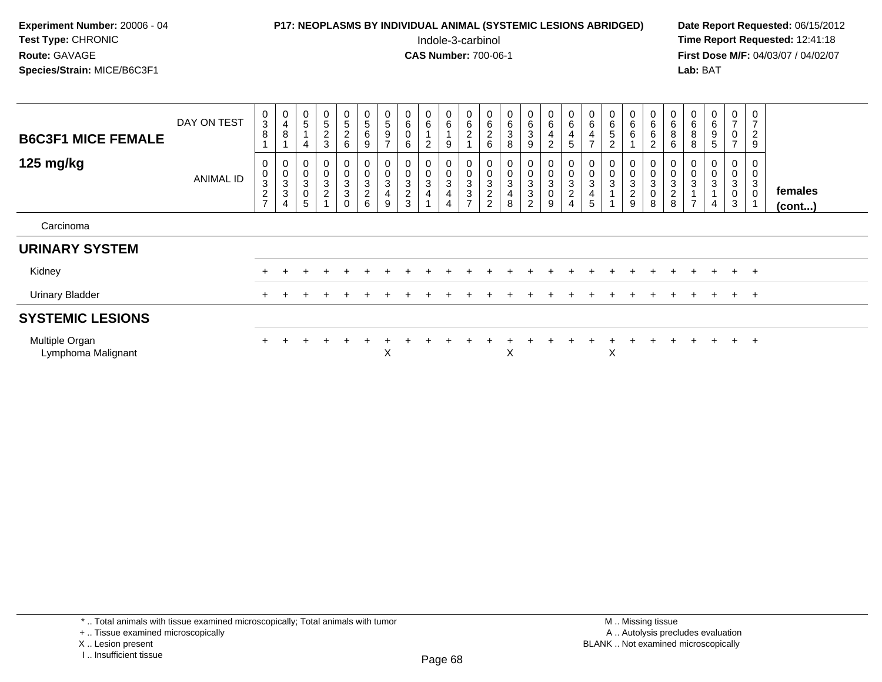# **P17: NEOPLASMS BY INDIVIDUAL ANIMAL (SYSTEMIC LESIONS ABRIDGED)** Date Report Requested: 06/15/2012<br>Indole-3-carbinol **Time Report Requested:** 12:41:18

| <b>B6C3F1 MICE FEMALE</b><br>125 mg/kg | DAY ON TEST<br><b>ANIMAL ID</b> | $\mathbf 0$<br>$\ensuremath{\mathsf{3}}$<br>$\, 8$<br>0<br>$_{3}^{\rm 0}$<br>$\overline{2}$<br>$\overline{7}$ | 0<br>4<br>8<br>0<br>$\pmb{0}$<br>$\sqrt{3}$<br>$\sqrt{3}$<br>4 | 0<br>$5\,$<br>4<br>0<br>$\pmb{0}$<br>3<br>$\mathbf 0$<br>5 | 0<br>$\mathbf 5$<br>$\frac{2}{3}$<br>0<br>0<br>$\ensuremath{\mathsf{3}}$<br>$\boldsymbol{2}$ | 0<br>$\,$ 5 $\,$<br>$\frac{2}{6}$<br>0<br>$_{3}^{\rm 0}$<br>$\mathbf{3}$<br>$\Omega$ | 0<br>$\begin{array}{c} 5 \\ 6 \\ 9 \end{array}$<br>$0003$<br>$26$ | 0<br>$\sqrt{5}$<br>$\boldsymbol{9}$<br>$\overline{z}$<br>$\begin{smallmatrix}0\0\0\3\end{smallmatrix}$<br>$\overline{4}$<br>9 | $\,6$<br>$\pmb{0}$<br>6<br>$\pmb{0}$<br>$\ensuremath{\mathsf{3}}$<br>2<br>3 | 6<br>$\overline{2}$<br>0<br>3<br>4 | $\mathbf 0$<br>6<br>$\overline{A}$<br>9<br>0<br>$\pmb{0}$<br>$\ensuremath{\mathsf{3}}$<br>4 | 0<br>$\,6\,$<br>$\sqrt{2}$<br>0<br>$\mathbf 0$<br>$\sqrt{3}$<br>3<br>$\rightarrow$ | 0<br>$\begin{array}{c} 6 \\ 2 \\ 6 \end{array}$<br>0<br>$_{3}^{\rm 0}$<br>$\boldsymbol{2}$<br>$\overline{2}$ | $\begin{matrix} 0 \\ 6 \\ 3 \end{matrix}$<br>8<br>$\begin{smallmatrix} 0\\0\\3 \end{smallmatrix}$<br>$\overline{\mathbf{4}}$<br>8 | 0<br>6<br>3<br>9<br>0<br>0<br>3<br>3<br>$\overline{2}$ | 0<br>6<br>$\overline{4}$<br>$\overline{c}$<br>0<br>$_{3}^{\rm 0}$<br>$\mathbf 0$<br>9 | 0<br>6<br>$\overline{\mathbf{4}}$<br>$\sqrt{5}$<br>0<br>$\frac{0}{3}$<br>$\boldsymbol{2}$ | 6<br>4<br>0<br>3<br>4<br>5 | 0<br>$\begin{array}{c} 6 \\ 5 \end{array}$<br>$\overline{c}$<br>0<br>$_{3}^{\rm 0}$ | $0$<br>6<br>6<br>$\begin{smallmatrix} 0\\0\\3 \end{smallmatrix}$<br>$\sqrt{2}$<br>9 | 0<br>$\begin{array}{c} 6 \\ 6 \end{array}$<br>$\overline{2}$<br>$\begin{smallmatrix} 0\\0\\3 \end{smallmatrix}$<br>$\mathbf 0$<br>8 | 0<br>6<br>8<br>6<br>0<br>$\,0\,$<br>$\ensuremath{\mathsf{3}}$<br>$\overline{c}$<br>8 | 6<br>$\bf 8$<br>8<br>0<br>3<br>$\overline{ }$ | 0<br>$\frac{6}{9}$<br>5<br>$\mathbf 0$<br>$\pmb{0}$<br>$\mathbf{3}$<br>4 | 0<br>$\overline{ }$<br>0<br>$\overline{ }$<br>0<br>0<br>3<br>0<br>3 | 0<br>$\overline{ }$<br>$\overline{2}$<br>9<br>0<br>$\pmb{0}$<br>$\sqrt{3}$<br>$\mathbf 0$ | females<br>$($ cont $)$ |
|----------------------------------------|---------------------------------|---------------------------------------------------------------------------------------------------------------|----------------------------------------------------------------|------------------------------------------------------------|----------------------------------------------------------------------------------------------|--------------------------------------------------------------------------------------|-------------------------------------------------------------------|-------------------------------------------------------------------------------------------------------------------------------|-----------------------------------------------------------------------------|------------------------------------|---------------------------------------------------------------------------------------------|------------------------------------------------------------------------------------|--------------------------------------------------------------------------------------------------------------|-----------------------------------------------------------------------------------------------------------------------------------|--------------------------------------------------------|---------------------------------------------------------------------------------------|-------------------------------------------------------------------------------------------|----------------------------|-------------------------------------------------------------------------------------|-------------------------------------------------------------------------------------|-------------------------------------------------------------------------------------------------------------------------------------|--------------------------------------------------------------------------------------|-----------------------------------------------|--------------------------------------------------------------------------|---------------------------------------------------------------------|-------------------------------------------------------------------------------------------|-------------------------|
| Carcinoma                              |                                 |                                                                                                               |                                                                |                                                            |                                                                                              |                                                                                      |                                                                   |                                                                                                                               |                                                                             |                                    |                                                                                             |                                                                                    |                                                                                                              |                                                                                                                                   |                                                        |                                                                                       |                                                                                           |                            |                                                                                     |                                                                                     |                                                                                                                                     |                                                                                      |                                               |                                                                          |                                                                     |                                                                                           |                         |
| <b>URINARY SYSTEM</b>                  |                                 |                                                                                                               |                                                                |                                                            |                                                                                              |                                                                                      |                                                                   |                                                                                                                               |                                                                             |                                    |                                                                                             |                                                                                    |                                                                                                              |                                                                                                                                   |                                                        |                                                                                       |                                                                                           |                            |                                                                                     |                                                                                     |                                                                                                                                     |                                                                                      |                                               |                                                                          |                                                                     |                                                                                           |                         |
| Kidney                                 |                                 |                                                                                                               |                                                                |                                                            |                                                                                              |                                                                                      |                                                                   |                                                                                                                               |                                                                             |                                    |                                                                                             |                                                                                    |                                                                                                              |                                                                                                                                   |                                                        |                                                                                       |                                                                                           |                            |                                                                                     |                                                                                     |                                                                                                                                     |                                                                                      |                                               |                                                                          | $+$                                                                 | $+$                                                                                       |                         |
| <b>Urinary Bladder</b>                 |                                 | $+$                                                                                                           |                                                                |                                                            |                                                                                              |                                                                                      |                                                                   |                                                                                                                               |                                                                             |                                    |                                                                                             |                                                                                    |                                                                                                              |                                                                                                                                   |                                                        |                                                                                       |                                                                                           |                            |                                                                                     |                                                                                     |                                                                                                                                     |                                                                                      |                                               | $+$                                                                      | $+$ $+$                                                             |                                                                                           |                         |
| <b>SYSTEMIC LESIONS</b>                |                                 |                                                                                                               |                                                                |                                                            |                                                                                              |                                                                                      |                                                                   |                                                                                                                               |                                                                             |                                    |                                                                                             |                                                                                    |                                                                                                              |                                                                                                                                   |                                                        |                                                                                       |                                                                                           |                            |                                                                                     |                                                                                     |                                                                                                                                     |                                                                                      |                                               |                                                                          |                                                                     |                                                                                           |                         |
| Multiple Organ<br>Lymphoma Malignant   |                                 | $+$                                                                                                           |                                                                |                                                            | $+$                                                                                          | $+$                                                                                  |                                                                   | $\div$<br>X                                                                                                                   |                                                                             |                                    |                                                                                             |                                                                                    |                                                                                                              | X                                                                                                                                 | $\ddot{}$                                              |                                                                                       |                                                                                           | $\pm$                      | $\pm$<br>X                                                                          | $\pm$                                                                               |                                                                                                                                     |                                                                                      | $+$                                           | $+$                                                                      | $+$                                                                 | $+$                                                                                       |                         |

I .. Insufficient tissue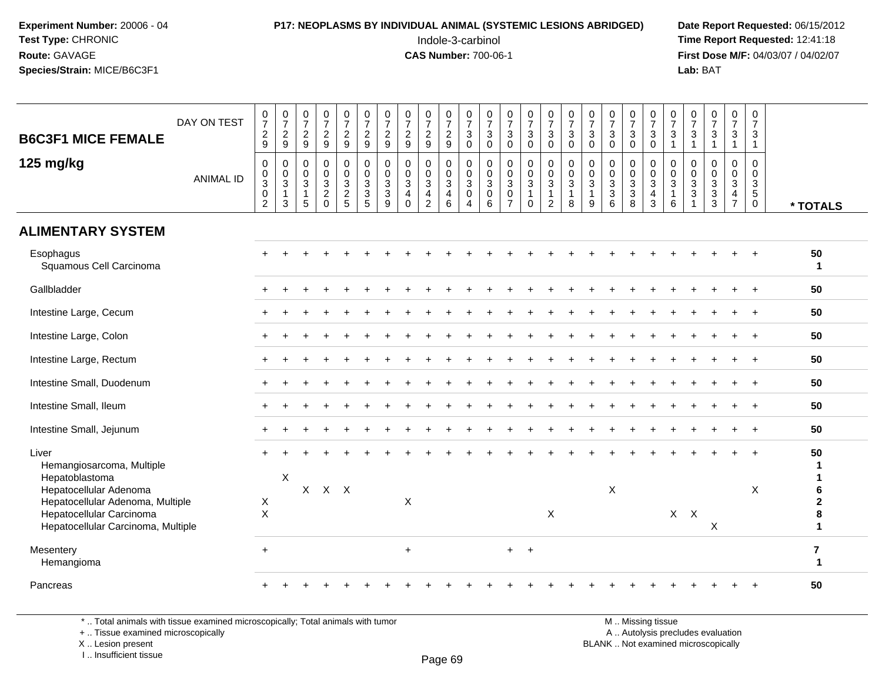### **P17: NEOPLASMS BY INDIVIDUAL ANIMAL (SYSTEMIC LESIONS ABRIDGED)** Date Report Requested: 06/15/2012<br>Indole-3-carbinol **Time Report Requested:** 12:41:18

 Indole-3-carbinol **Time Report Requested:** 12:41:18 **First Dose M/F:** 04/03/07 / 04/02/07<br>Lab: BAT **Lab:** BAT

| <b>B6C3F1 MICE FEMALE</b><br>125 mg/kg                                                                                       | DAY ON TEST<br><b>ANIMAL ID</b> | $\begin{array}{c} 0 \\ 7 \end{array}$<br>$\frac{2}{9}$<br>$\pmb{0}$<br>$\frac{0}{3}$<br>$\overline{2}$ | $\begin{array}{c} 0 \\ 7 \end{array}$<br>$\overline{c}$<br>9<br>0<br>$\mathbf 0$<br>$\overline{3}$<br>$\mathbf{1}$<br>3 | $\frac{0}{7}$<br>$\overline{c}$<br>9<br>$\boldsymbol{0}$<br>$\mathbf 0$<br>$\overline{3}$<br>$\mathbf{1}$<br>5 | $\frac{0}{7}$<br>$\overline{a}$<br>9<br>0<br>0<br>$\overline{3}$<br>$\overline{2}$<br>$\Omega$ | $\begin{array}{c} 0 \\ 7 \end{array}$<br>$\overline{a}$<br>9<br>$\pmb{0}$<br>$\mathsf{O}\xspace$<br>$\frac{3}{2}$ | $\frac{0}{7}$<br>$\overline{c}$<br>9<br>$\mathbf 0$<br>$\overline{0}$<br>3<br>$\frac{3}{5}$ | $\frac{0}{7}$<br>$\overline{c}$<br>$\overline{9}$<br>0<br>0<br>$\mathbf{3}$<br>$\mathbf{3}$<br>9 | $\begin{array}{c} 0 \\ 7 \end{array}$<br>$\overline{c}$<br>$9\,$<br>$\mathbf 0$<br>$\frac{0}{3}$<br>$\overline{4}$<br>$\Omega$ | $\frac{0}{7}$<br>$\overline{c}$<br>$\overline{9}$<br>0<br>0<br>$\overline{3}$<br>4<br>$\overline{c}$ | $\begin{array}{c} 0 \\ 7 \end{array}$<br>$\sqrt{2}$<br>9<br>$\pmb{0}$<br>$\frac{0}{3}$<br>$\overline{a}$<br>6 | $\frac{0}{7}$<br>$\sqrt{3}$<br>$\mathbf 0$<br>0<br>0<br>3<br>$\mathbf 0$<br>4 | $\frac{0}{7}$<br>$\ensuremath{\mathsf{3}}$<br>$\mathbf 0$<br>$\mathbf 0$<br>$\mathbf 0$<br>$\overline{3}$<br>$\mathbf 0$<br>$6\phantom{1}6$ | $\frac{0}{7}$<br>$\mathbf{3}$<br>$\Omega$<br>0<br>0<br>$\overline{3}$<br>$\mathsf{O}$<br>$\overline{7}$ | $\frac{0}{7}$<br>$\mathbf{3}$<br>$\mathbf 0$<br>0<br>$\frac{0}{3}$<br>$\mathbf{1}$<br>0 | $\frac{0}{7}$<br>$\ensuremath{\mathsf{3}}$<br>$\mathbf 0$<br>$\mathbf 0$<br>$\pmb{0}$<br>$\overline{3}$<br>$\mathbf{1}$<br>$\overline{2}$ | $\begin{array}{c} 0 \\ 7 \end{array}$<br>$\mathbf 3$<br>$\mathbf 0$<br>$\mathbf 0$<br>$\mathbf 0$<br>$\overline{3}$<br>$\overline{1}$<br>8 | $\frac{0}{7}$<br>$\mathbf{3}$<br>$\Omega$<br>$\mathbf 0$<br>$\mathbf 0$<br>$\overline{3}$<br>$\mathbf{1}$<br>9 | $\frac{0}{7}$<br>3<br>$\Omega$<br>0<br>$\mathbf 0$<br>$\overline{3}$<br>3<br>6 | $\frac{0}{7}$<br>$\mathbf{3}$<br>$\mathbf 0$<br>$\mathbf 0$<br>$\frac{0}{3}$<br>8 | $\frac{0}{7}$<br>3<br>$\mathbf 0$<br>0<br>0<br>3<br>4<br>3 | 0<br>$\overline{7}$<br>$\mathbf{3}$<br>$\mathbf{1}$<br>0<br>0<br>$\overline{3}$<br>$\mathbf{1}$<br>6 | $\begin{array}{c} 0 \\ 7 \end{array}$<br>$\sqrt{3}$<br>0<br>0<br>$\overline{3}$<br>$\mathbf{3}$ | $\begin{smallmatrix}0\\7\end{smallmatrix}$<br>$\ensuremath{\mathsf{3}}$<br>$\mathbf{1}$<br>0<br>$\mathbf 0$<br>$\frac{3}{3}$ | $\begin{smallmatrix}0\\7\end{smallmatrix}$<br>$\mathbf{3}$<br>$\overline{1}$<br>$\mathbf 0$<br>$\mathbf 0$<br>$\overline{3}$<br>$\overline{4}$<br>$\overline{7}$ | $\pmb{0}$<br>$\overline{7}$<br>3<br>$\mathbf{1}$<br>$\mathbf 0$<br>$\mathbf 0$<br>3<br>5<br>$\mathbf 0$ | * TOTALS                              |
|------------------------------------------------------------------------------------------------------------------------------|---------------------------------|--------------------------------------------------------------------------------------------------------|-------------------------------------------------------------------------------------------------------------------------|----------------------------------------------------------------------------------------------------------------|------------------------------------------------------------------------------------------------|-------------------------------------------------------------------------------------------------------------------|---------------------------------------------------------------------------------------------|--------------------------------------------------------------------------------------------------|--------------------------------------------------------------------------------------------------------------------------------|------------------------------------------------------------------------------------------------------|---------------------------------------------------------------------------------------------------------------|-------------------------------------------------------------------------------|---------------------------------------------------------------------------------------------------------------------------------------------|---------------------------------------------------------------------------------------------------------|-----------------------------------------------------------------------------------------|-------------------------------------------------------------------------------------------------------------------------------------------|--------------------------------------------------------------------------------------------------------------------------------------------|----------------------------------------------------------------------------------------------------------------|--------------------------------------------------------------------------------|-----------------------------------------------------------------------------------|------------------------------------------------------------|------------------------------------------------------------------------------------------------------|-------------------------------------------------------------------------------------------------|------------------------------------------------------------------------------------------------------------------------------|------------------------------------------------------------------------------------------------------------------------------------------------------------------|---------------------------------------------------------------------------------------------------------|---------------------------------------|
| <b>ALIMENTARY SYSTEM</b>                                                                                                     |                                 |                                                                                                        |                                                                                                                         |                                                                                                                |                                                                                                |                                                                                                                   |                                                                                             |                                                                                                  |                                                                                                                                |                                                                                                      |                                                                                                               |                                                                               |                                                                                                                                             |                                                                                                         |                                                                                         |                                                                                                                                           |                                                                                                                                            |                                                                                                                |                                                                                |                                                                                   |                                                            |                                                                                                      |                                                                                                 |                                                                                                                              |                                                                                                                                                                  |                                                                                                         |                                       |
| Esophagus<br>Squamous Cell Carcinoma                                                                                         |                                 |                                                                                                        |                                                                                                                         |                                                                                                                |                                                                                                |                                                                                                                   |                                                                                             |                                                                                                  |                                                                                                                                |                                                                                                      |                                                                                                               |                                                                               |                                                                                                                                             |                                                                                                         |                                                                                         |                                                                                                                                           |                                                                                                                                            |                                                                                                                |                                                                                |                                                                                   |                                                            |                                                                                                      |                                                                                                 |                                                                                                                              |                                                                                                                                                                  |                                                                                                         | 50<br>$\mathbf 1$                     |
| Gallbladder                                                                                                                  |                                 |                                                                                                        |                                                                                                                         |                                                                                                                |                                                                                                |                                                                                                                   |                                                                                             |                                                                                                  |                                                                                                                                |                                                                                                      |                                                                                                               |                                                                               |                                                                                                                                             |                                                                                                         |                                                                                         |                                                                                                                                           |                                                                                                                                            |                                                                                                                |                                                                                |                                                                                   |                                                            |                                                                                                      |                                                                                                 |                                                                                                                              |                                                                                                                                                                  |                                                                                                         | 50                                    |
| Intestine Large, Cecum                                                                                                       |                                 |                                                                                                        |                                                                                                                         |                                                                                                                |                                                                                                |                                                                                                                   |                                                                                             |                                                                                                  |                                                                                                                                |                                                                                                      |                                                                                                               |                                                                               |                                                                                                                                             |                                                                                                         |                                                                                         |                                                                                                                                           |                                                                                                                                            |                                                                                                                |                                                                                |                                                                                   |                                                            |                                                                                                      |                                                                                                 |                                                                                                                              |                                                                                                                                                                  |                                                                                                         | 50                                    |
| Intestine Large, Colon                                                                                                       |                                 |                                                                                                        |                                                                                                                         |                                                                                                                |                                                                                                |                                                                                                                   |                                                                                             |                                                                                                  |                                                                                                                                |                                                                                                      |                                                                                                               |                                                                               |                                                                                                                                             |                                                                                                         |                                                                                         |                                                                                                                                           |                                                                                                                                            |                                                                                                                |                                                                                |                                                                                   |                                                            |                                                                                                      |                                                                                                 |                                                                                                                              |                                                                                                                                                                  |                                                                                                         | 50                                    |
| Intestine Large, Rectum                                                                                                      |                                 |                                                                                                        |                                                                                                                         |                                                                                                                |                                                                                                |                                                                                                                   |                                                                                             |                                                                                                  |                                                                                                                                |                                                                                                      |                                                                                                               |                                                                               |                                                                                                                                             |                                                                                                         |                                                                                         |                                                                                                                                           |                                                                                                                                            |                                                                                                                |                                                                                |                                                                                   |                                                            |                                                                                                      |                                                                                                 |                                                                                                                              |                                                                                                                                                                  | $\ddot{}$                                                                                               | 50                                    |
| Intestine Small, Duodenum                                                                                                    |                                 |                                                                                                        |                                                                                                                         |                                                                                                                |                                                                                                |                                                                                                                   |                                                                                             |                                                                                                  |                                                                                                                                |                                                                                                      |                                                                                                               |                                                                               |                                                                                                                                             |                                                                                                         |                                                                                         |                                                                                                                                           |                                                                                                                                            |                                                                                                                |                                                                                |                                                                                   |                                                            |                                                                                                      |                                                                                                 |                                                                                                                              |                                                                                                                                                                  |                                                                                                         | 50                                    |
| Intestine Small, Ileum                                                                                                       |                                 |                                                                                                        |                                                                                                                         |                                                                                                                |                                                                                                |                                                                                                                   |                                                                                             |                                                                                                  |                                                                                                                                |                                                                                                      |                                                                                                               |                                                                               |                                                                                                                                             |                                                                                                         |                                                                                         |                                                                                                                                           |                                                                                                                                            |                                                                                                                |                                                                                |                                                                                   |                                                            |                                                                                                      |                                                                                                 |                                                                                                                              |                                                                                                                                                                  | $\ddot{}$                                                                                               | 50                                    |
| Intestine Small, Jejunum                                                                                                     |                                 |                                                                                                        |                                                                                                                         |                                                                                                                |                                                                                                |                                                                                                                   |                                                                                             |                                                                                                  |                                                                                                                                |                                                                                                      |                                                                                                               |                                                                               |                                                                                                                                             |                                                                                                         |                                                                                         |                                                                                                                                           |                                                                                                                                            |                                                                                                                |                                                                                |                                                                                   |                                                            |                                                                                                      |                                                                                                 |                                                                                                                              |                                                                                                                                                                  |                                                                                                         | 50                                    |
| Liver<br>Hemangiosarcoma, Multiple<br>Hepatoblastoma                                                                         |                                 |                                                                                                        | $\boldsymbol{\mathsf{X}}$                                                                                               |                                                                                                                |                                                                                                |                                                                                                                   |                                                                                             |                                                                                                  |                                                                                                                                |                                                                                                      |                                                                                                               |                                                                               |                                                                                                                                             |                                                                                                         |                                                                                         |                                                                                                                                           |                                                                                                                                            |                                                                                                                |                                                                                |                                                                                   |                                                            |                                                                                                      |                                                                                                 |                                                                                                                              |                                                                                                                                                                  | $+$                                                                                                     | 50<br>1<br>1                          |
| Hepatocellular Adenoma<br>Hepatocellular Adenoma, Multiple<br>Hepatocellular Carcinoma<br>Hepatocellular Carcinoma, Multiple |                                 | X<br>$\mathsf X$                                                                                       |                                                                                                                         |                                                                                                                | $X$ $X$ $X$                                                                                    |                                                                                                                   |                                                                                             |                                                                                                  | X                                                                                                                              |                                                                                                      |                                                                                                               |                                                                               |                                                                                                                                             |                                                                                                         |                                                                                         | X                                                                                                                                         |                                                                                                                                            |                                                                                                                | X                                                                              |                                                                                   |                                                            |                                                                                                      | $X$ $X$                                                                                         | X                                                                                                                            |                                                                                                                                                                  | X                                                                                                       | 6<br>$\mathbf 2$<br>8<br>$\mathbf{1}$ |
| Mesentery<br>Hemangioma                                                                                                      |                                 | $+$                                                                                                    |                                                                                                                         |                                                                                                                |                                                                                                |                                                                                                                   |                                                                                             |                                                                                                  | $\ddot{}$                                                                                                                      |                                                                                                      |                                                                                                               |                                                                               |                                                                                                                                             | $+$                                                                                                     | $+$                                                                                     |                                                                                                                                           |                                                                                                                                            |                                                                                                                |                                                                                |                                                                                   |                                                            |                                                                                                      |                                                                                                 |                                                                                                                              |                                                                                                                                                                  |                                                                                                         | $\overline{7}$<br>$\mathbf{1}$        |
| Pancreas                                                                                                                     |                                 |                                                                                                        |                                                                                                                         |                                                                                                                |                                                                                                |                                                                                                                   |                                                                                             |                                                                                                  |                                                                                                                                |                                                                                                      |                                                                                                               |                                                                               |                                                                                                                                             |                                                                                                         |                                                                                         |                                                                                                                                           |                                                                                                                                            |                                                                                                                |                                                                                |                                                                                   |                                                            |                                                                                                      |                                                                                                 |                                                                                                                              |                                                                                                                                                                  |                                                                                                         | 50                                    |

\* .. Total animals with tissue examined microscopically; Total animals with tumor

+ .. Tissue examined microscopically

X .. Lesion present

I .. Insufficient tissue

 M .. Missing tissuey the contract of the contract of the contract of the contract of the contract of  $\mathsf A$  . Autolysis precludes evaluation

Lesion present BLANK .. Not examined microscopically

Page 69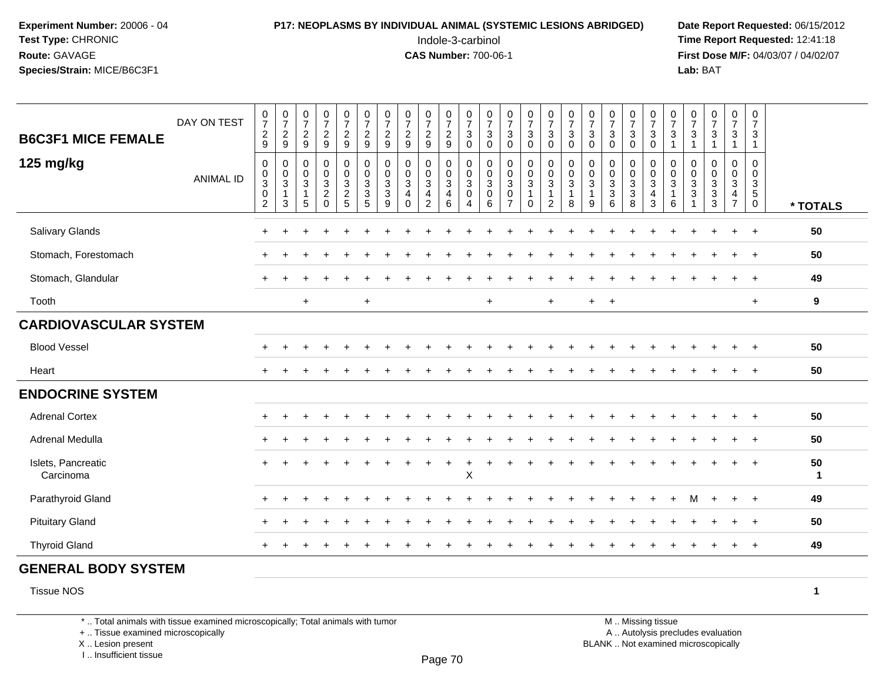### **P17: NEOPLASMS BY INDIVIDUAL ANIMAL (SYSTEMIC LESIONS ABRIDGED)** Date Report Requested: 06/15/2012<br>Indole-3-carbinol **Time Report Requested:** 12:41:18

 Indole-3-carbinol **Time Report Requested:** 12:41:18 **First Dose M/F:** 04/03/07 / 04/02/07<br>Lab: BAT **Lab:** BAT

| <b>B6C3F1 MICE FEMALE</b>       | DAY ON TEST      | $\frac{0}{7}$<br>$\frac{2}{9}$                                                         | $\frac{0}{7}$<br>$\frac{2}{9}$                                                            | $\frac{0}{7}$<br>$\frac{2}{9}$                        | $\frac{0}{7}$<br>$\frac{2}{9}$                                            | $\frac{0}{7}$<br>$\frac{2}{9}$ | $\begin{array}{c} 0 \\ 7 \end{array}$<br>$\frac{2}{9}$                                             | $\pmb{0}$<br>$\overline{7}$<br>$\frac{2}{9}$          | $\frac{0}{7}$<br>$\frac{2}{9}$                                          | $\frac{0}{7}$<br>$\frac{2}{9}$                  | $\begin{array}{c} 0 \\ 7 \end{array}$<br>$\frac{2}{9}$ | $\pmb{0}$<br>$\overline{7}$<br>$\mathbf{3}$<br>$\mathbf 0$                   | $\pmb{0}$<br>$\boldsymbol{7}$<br>$\mathsf 3$<br>$\mathbf 0$                              | $\frac{0}{7}$<br>$\sqrt{3}$<br>$\mathbf 0$                    | $\frac{0}{7}$<br>$\mathbf{3}$<br>$\mathbf 0$ | $\frac{0}{7}$<br>$_{0}^{3}$                                          | $\begin{array}{c} 0 \\ 7 \end{array}$<br>$\sqrt{3}$<br>$\mathbf 0$ | $\frac{0}{7}$<br>$\mathbf{3}$<br>$\mathbf 0$                       | $\frac{0}{7}$<br>$\sqrt{3}$<br>$\mathbf 0$        | $\frac{0}{7}$<br>$\mathbf{3}$<br>$\mathbf 0$                     | $\frac{0}{7}$<br>$_0^3$                                        | $\frac{0}{7}$<br>$\sqrt{3}$<br>$\overline{1}$                          | $\frac{0}{7}$<br>$\mathbf{3}$<br>$\overline{1}$ | $\frac{0}{7}$<br>$\sqrt{3}$<br>$\mathbf{1}$                              | 0<br>$\boldsymbol{7}$<br>$\mathbf{3}$<br>1      | 0<br>$\boldsymbol{7}$<br>$\mathfrak{S}$<br>$\overline{1}$                |                    |
|---------------------------------|------------------|----------------------------------------------------------------------------------------|-------------------------------------------------------------------------------------------|-------------------------------------------------------|---------------------------------------------------------------------------|--------------------------------|----------------------------------------------------------------------------------------------------|-------------------------------------------------------|-------------------------------------------------------------------------|-------------------------------------------------|--------------------------------------------------------|------------------------------------------------------------------------------|------------------------------------------------------------------------------------------|---------------------------------------------------------------|----------------------------------------------|----------------------------------------------------------------------|--------------------------------------------------------------------|--------------------------------------------------------------------|---------------------------------------------------|------------------------------------------------------------------|----------------------------------------------------------------|------------------------------------------------------------------------|-------------------------------------------------|--------------------------------------------------------------------------|-------------------------------------------------|--------------------------------------------------------------------------|--------------------|
| 125 mg/kg                       | <b>ANIMAL ID</b> | $\mathbf 0$<br>$\pmb{0}$<br>$\ensuremath{\mathsf{3}}$<br>$\mathbf 0$<br>$\overline{2}$ | $\boldsymbol{0}$<br>$\pmb{0}$<br>$\ensuremath{\mathsf{3}}$<br>$\mathbf{1}$<br>$\mathsf 3$ | 0<br>$\mathbf 0$<br>$\mathbf{3}$<br>$\mathbf{1}$<br>5 | 0<br>$\mathsf{O}\xspace$<br>$\mathbf{3}$<br>$\overline{c}$<br>$\mathbf 0$ | $0003$<br>$25$                 | $\pmb{0}$<br>$\pmb{0}$<br>$\ensuremath{\mathsf{3}}$<br>$\ensuremath{\mathsf{3}}$<br>$\overline{5}$ | 0<br>$\mathbf 0$<br>$\sqrt{3}$<br>$\sqrt{3}$<br>$9\,$ | $\mathbf 0$<br>$\mathbf 0$<br>$\mathbf 3$<br>$\overline{4}$<br>$\Omega$ | 0<br>0<br>3<br>$\overline{4}$<br>$\overline{2}$ | 0<br>$\overline{0}$<br>3<br>$\overline{4}$<br>6        | 0<br>$\pmb{0}$<br>$\ensuremath{\mathsf{3}}$<br>$\mathbf 0$<br>$\overline{4}$ | $\mathbf 0$<br>$\mathbf 0$<br>$\ensuremath{\mathsf{3}}$<br>$\mathbf 0$<br>$6\phantom{1}$ | 0<br>$\mathbf 0$<br>$\sqrt{3}$<br>$\pmb{0}$<br>$\overline{7}$ | 0<br>$\mathbf 0$<br>3<br>0                   | $_{\rm 0}^{\rm 0}$<br>$\mathbf{3}$<br>$\mathbf{1}$<br>$\overline{2}$ | $\pmb{0}$<br>$\pmb{0}$<br>$\sqrt{3}$<br>$\mathbf{1}$<br>8          | 0<br>$\pmb{0}$<br>$\ensuremath{\mathsf{3}}$<br>$\overline{1}$<br>9 | 0<br>$\mathbf 0$<br>$\sqrt{3}$<br>$\sqrt{3}$<br>6 | 0<br>$\mathbf 0$<br>$\mathbf{3}$<br>$\sqrt{3}$<br>$\overline{8}$ | 0<br>$_{3}^{\rm 0}$<br>$\overline{\mathbf{4}}$<br>$\mathbf{3}$ | 0<br>$\pmb{0}$<br>$\ensuremath{\mathsf{3}}$<br>$\mathbf{1}$<br>$\,6\,$ | $\mathbf 0$<br>$\pmb{0}$<br>$\frac{3}{3}$       | $\mathbf 0$<br>$\mathbf 0$<br>$\sqrt{3}$<br>$\sqrt{3}$<br>$\overline{3}$ | 0<br>0<br>3<br>$\overline{4}$<br>$\overline{7}$ | $\mathbf 0$<br>0<br>$\ensuremath{\mathsf{3}}$<br>$5\,$<br>$\overline{0}$ | * TOTALS           |
| Salivary Glands                 |                  | $\pm$                                                                                  |                                                                                           |                                                       |                                                                           |                                |                                                                                                    |                                                       |                                                                         |                                                 |                                                        |                                                                              |                                                                                          |                                                               |                                              |                                                                      |                                                                    |                                                                    |                                                   |                                                                  |                                                                |                                                                        |                                                 |                                                                          | $\ddot{}$                                       | $+$                                                                      | 50                 |
| Stomach, Forestomach            |                  |                                                                                        |                                                                                           |                                                       |                                                                           |                                |                                                                                                    |                                                       |                                                                         |                                                 |                                                        |                                                                              |                                                                                          |                                                               |                                              |                                                                      |                                                                    |                                                                    |                                                   |                                                                  |                                                                |                                                                        |                                                 |                                                                          |                                                 |                                                                          | 50                 |
| Stomach, Glandular              |                  | $\ddot{}$                                                                              |                                                                                           |                                                       |                                                                           |                                |                                                                                                    |                                                       |                                                                         |                                                 |                                                        |                                                                              |                                                                                          |                                                               |                                              |                                                                      |                                                                    |                                                                    |                                                   |                                                                  |                                                                |                                                                        |                                                 |                                                                          |                                                 | $\ddot{}$                                                                | 49                 |
| Tooth                           |                  |                                                                                        |                                                                                           | $\ddot{}$                                             |                                                                           |                                | $+$                                                                                                |                                                       |                                                                         |                                                 |                                                        |                                                                              | $+$                                                                                      |                                                               |                                              | $+$                                                                  |                                                                    | $+$ $+$                                                            |                                                   |                                                                  |                                                                |                                                                        |                                                 |                                                                          |                                                 | $+$                                                                      | 9                  |
| <b>CARDIOVASCULAR SYSTEM</b>    |                  |                                                                                        |                                                                                           |                                                       |                                                                           |                                |                                                                                                    |                                                       |                                                                         |                                                 |                                                        |                                                                              |                                                                                          |                                                               |                                              |                                                                      |                                                                    |                                                                    |                                                   |                                                                  |                                                                |                                                                        |                                                 |                                                                          |                                                 |                                                                          |                    |
| <b>Blood Vessel</b>             |                  | ÷                                                                                      |                                                                                           |                                                       |                                                                           |                                |                                                                                                    |                                                       |                                                                         |                                                 |                                                        |                                                                              |                                                                                          |                                                               |                                              |                                                                      |                                                                    |                                                                    |                                                   |                                                                  |                                                                |                                                                        |                                                 |                                                                          |                                                 | $\overline{ }$                                                           | 50                 |
| Heart                           |                  |                                                                                        |                                                                                           |                                                       |                                                                           |                                |                                                                                                    |                                                       |                                                                         |                                                 |                                                        |                                                                              |                                                                                          |                                                               |                                              |                                                                      |                                                                    |                                                                    |                                                   |                                                                  |                                                                |                                                                        |                                                 |                                                                          |                                                 |                                                                          | 50                 |
| <b>ENDOCRINE SYSTEM</b>         |                  |                                                                                        |                                                                                           |                                                       |                                                                           |                                |                                                                                                    |                                                       |                                                                         |                                                 |                                                        |                                                                              |                                                                                          |                                                               |                                              |                                                                      |                                                                    |                                                                    |                                                   |                                                                  |                                                                |                                                                        |                                                 |                                                                          |                                                 |                                                                          |                    |
| <b>Adrenal Cortex</b>           |                  |                                                                                        |                                                                                           |                                                       |                                                                           |                                |                                                                                                    |                                                       |                                                                         |                                                 |                                                        |                                                                              |                                                                                          |                                                               |                                              |                                                                      |                                                                    |                                                                    |                                                   |                                                                  |                                                                |                                                                        |                                                 |                                                                          |                                                 |                                                                          | 50                 |
| Adrenal Medulla                 |                  |                                                                                        |                                                                                           |                                                       |                                                                           |                                |                                                                                                    |                                                       |                                                                         |                                                 |                                                        |                                                                              |                                                                                          |                                                               |                                              |                                                                      |                                                                    |                                                                    |                                                   |                                                                  |                                                                |                                                                        |                                                 |                                                                          |                                                 |                                                                          | 50                 |
| Islets, Pancreatic<br>Carcinoma |                  | $\ddot{}$                                                                              |                                                                                           |                                                       |                                                                           |                                |                                                                                                    |                                                       |                                                                         |                                                 |                                                        | $\sf X$                                                                      |                                                                                          |                                                               |                                              |                                                                      |                                                                    |                                                                    |                                                   |                                                                  |                                                                |                                                                        |                                                 |                                                                          |                                                 | $\ddot{}$                                                                | 50<br>$\mathbf{1}$ |
| Parathyroid Gland               |                  | $\div$                                                                                 |                                                                                           |                                                       |                                                                           |                                |                                                                                                    |                                                       |                                                                         |                                                 |                                                        |                                                                              |                                                                                          |                                                               |                                              |                                                                      |                                                                    |                                                                    |                                                   |                                                                  |                                                                |                                                                        | м                                               |                                                                          | $\ddot{}$                                       | $^{+}$                                                                   | 49                 |
| <b>Pituitary Gland</b>          |                  | $+$                                                                                    |                                                                                           |                                                       |                                                                           |                                |                                                                                                    |                                                       |                                                                         |                                                 |                                                        |                                                                              |                                                                                          |                                                               |                                              |                                                                      |                                                                    |                                                                    |                                                   |                                                                  |                                                                |                                                                        |                                                 |                                                                          |                                                 |                                                                          | 50                 |
| <b>Thyroid Gland</b>            |                  | $+$                                                                                    |                                                                                           |                                                       |                                                                           |                                |                                                                                                    |                                                       |                                                                         |                                                 |                                                        |                                                                              |                                                                                          |                                                               |                                              |                                                                      |                                                                    |                                                                    |                                                   |                                                                  |                                                                | $\div$                                                                 |                                                 |                                                                          | $\ddot{}$                                       | $+$                                                                      | 49                 |
| <b>GENERAL BODY SYSTEM</b>      |                  |                                                                                        |                                                                                           |                                                       |                                                                           |                                |                                                                                                    |                                                       |                                                                         |                                                 |                                                        |                                                                              |                                                                                          |                                                               |                                              |                                                                      |                                                                    |                                                                    |                                                   |                                                                  |                                                                |                                                                        |                                                 |                                                                          |                                                 |                                                                          |                    |
|                                 |                  |                                                                                        |                                                                                           |                                                       |                                                                           |                                |                                                                                                    |                                                       |                                                                         |                                                 |                                                        |                                                                              |                                                                                          |                                                               |                                              |                                                                      |                                                                    |                                                                    |                                                   |                                                                  |                                                                |                                                                        |                                                 |                                                                          |                                                 |                                                                          |                    |

Tissue NOS**<sup>1</sup>**

\* .. Total animals with tissue examined microscopically; Total animals with tumor

+ .. Tissue examined microscopically

X .. Lesion present

I .. Insufficient tissue

 M .. Missing tissuey the contract of the contract of the contract of the contract of the contract of  $\mathsf A$  . Autolysis precludes evaluation Lesion present BLANK .. Not examined microscopically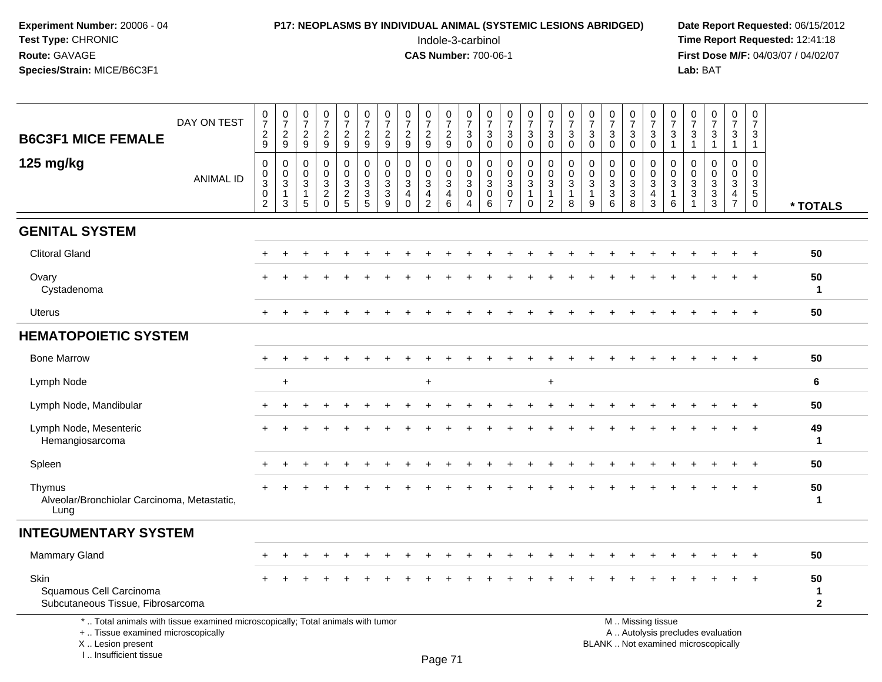I .. Insufficient tissue

# **P17: NEOPLASMS BY INDIVIDUAL ANIMAL (SYSTEMIC LESIONS ABRIDGED)** Date Report Requested: 06/15/2012<br>Indole-3-carbinol **Time Report Requested:** 12:41:18

 Indole-3-carbinol **Time Report Requested:** 12:41:18 **First Dose M/F:** 04/03/07 / 04/02/07<br>Lab: BAT **Lab:** BAT

| DAY ON TEST<br><b>B6C3F1 MICE FEMALE</b>                                                                                                                                                                                                   | $\frac{0}{7}$<br>$\frac{2}{9}$                                               | $\frac{0}{7}$<br>$\overline{2}$<br>$9\,$                         | 0<br>$\overline{7}$<br>$\overline{2}$<br>9        | $\frac{0}{7}$<br>$\overline{c}$<br>$9\,$               | $\frac{0}{7}$<br>$\frac{2}{9}$                                 | $\begin{array}{c} 0 \\ 7 \end{array}$<br>$\overline{c}$<br>$9\,$ | $\boldsymbol{0}$<br>$\boldsymbol{7}$<br>$\overline{2}$<br>$\boldsymbol{9}$ | $\frac{0}{7}$<br>$\frac{2}{9}$                               | $\frac{0}{7}$<br>$\frac{2}{9}$                  | 0<br>$\overline{7}$<br>$\frac{2}{9}$                       | 0<br>$\overline{7}$<br>3<br>$\mathbf 0$              | 0<br>$\overline{7}$<br>$\sqrt{3}$<br>$\mathbf 0$               | $\frac{0}{7}$<br>$\mathbf{3}$<br>$\mathbf 0$ | $\frac{0}{7}$<br>$_{\rm 0}^3$                               | $\begin{array}{c} 0 \\ 7 \end{array}$<br>$\ensuremath{\mathsf{3}}$<br>$\mathbf 0$ | 0<br>$\overline{7}$<br>$\sqrt{3}$<br>$\pmb{0}$    | $\begin{array}{c} 0 \\ 7 \end{array}$<br>$\mathbf{3}$<br>$\mathbf 0$ | $\frac{0}{7}$<br>$_0^3$                                        | 0<br>$\overline{7}$<br>$\sqrt{3}$<br>$\mathbf 0$           | 0<br>$\overline{7}$<br>3<br>$\mathbf 0$           | 0<br>$\overline{7}$<br>3<br>$\overline{1}$                   | $\frac{0}{7}$<br>$\ensuremath{\mathsf{3}}$<br>$\mathbf{1}$ | $\frac{0}{7}$<br>3<br>$\mathbf{1}$         | $\begin{array}{c} 0 \\ 7 \end{array}$<br>$\mathbf{3}$<br>$\mathbf{1}$ | 0<br>$\overline{7}$<br>3<br>-1                 |                          |
|--------------------------------------------------------------------------------------------------------------------------------------------------------------------------------------------------------------------------------------------|------------------------------------------------------------------------------|------------------------------------------------------------------|---------------------------------------------------|--------------------------------------------------------|----------------------------------------------------------------|------------------------------------------------------------------|----------------------------------------------------------------------------|--------------------------------------------------------------|-------------------------------------------------|------------------------------------------------------------|------------------------------------------------------|----------------------------------------------------------------|----------------------------------------------|-------------------------------------------------------------|-----------------------------------------------------------------------------------|---------------------------------------------------|----------------------------------------------------------------------|----------------------------------------------------------------|------------------------------------------------------------|---------------------------------------------------|--------------------------------------------------------------|------------------------------------------------------------|--------------------------------------------|-----------------------------------------------------------------------|------------------------------------------------|--------------------------|
| 125 mg/kg<br><b>ANIMAL ID</b>                                                                                                                                                                                                              | $\mathbf 0$<br>$\boldsymbol{0}$<br>$\sqrt{3}$<br>$\pmb{0}$<br>$\overline{2}$ | $\mathbf{0}$<br>$\mathbf 0$<br>3<br>$\mathbf{1}$<br>$\mathbf{3}$ | $\Omega$<br>$\mathbf 0$<br>3<br>$\mathbf{1}$<br>5 | 0<br>$\mathbf 0$<br>3<br>$\overline{c}$<br>$\mathbf 0$ | 0<br>$\mathbf 0$<br>$\ensuremath{\mathsf{3}}$<br>$\frac{2}{5}$ | 0<br>0<br>3<br>3<br>$\overline{5}$                               | 0<br>$\mathbf 0$<br>3<br>$\ensuremath{\mathsf{3}}$<br>$\overline{9}$       | 0<br>$\mathsf{O}\xspace$<br>$\mathbf{3}$<br>4<br>$\mathbf 0$ | 0<br>$\mathbf 0$<br>$\sqrt{3}$<br>$\frac{4}{2}$ | 0<br>$\mathbf 0$<br>3<br>$\overline{4}$<br>$6\phantom{1}6$ | $\Omega$<br>$\mathbf{0}$<br>3<br>0<br>$\overline{4}$ | $\Omega$<br>$\mathbf 0$<br>3<br>$\mathbf 0$<br>$6\phantom{1}6$ | 0<br>0<br>3<br>0<br>$\overline{7}$           | 0<br>$\pmb{0}$<br>$\sqrt{3}$<br>$\mathbf{1}$<br>$\mathbf 0$ | 0<br>0<br>3<br>$\mathbf{1}$<br>$\overline{2}$                                     | $\Omega$<br>$\mathbf 0$<br>3<br>$\mathbf{1}$<br>8 | 0<br>$\mathbf 0$<br>3<br>$\mathbf{1}$<br>9                           | 0<br>$\mathbf 0$<br>$\ensuremath{\mathsf{3}}$<br>$\frac{3}{6}$ | $\Omega$<br>$\mathbf 0$<br>$\mathbf{3}$<br>$\sqrt{3}$<br>8 | $\Omega$<br>$\mathbf 0$<br>3<br>4<br>$\mathbf{3}$ | $\Omega$<br>$\Omega$<br>3<br>$\mathbf{1}$<br>$6\phantom{1}6$ | 0<br>$\mathbf 0$<br>3<br>$\sqrt{3}$<br>1                   | 0<br>$\mathbf 0$<br>$\mathbf{3}$<br>$_3^3$ | $\Omega$<br>$\mathbf 0$<br>3<br>4<br>$\overline{7}$                   | $\Omega$<br>0<br>3<br>5<br>$\mathsf{O}\xspace$ | * TOTALS                 |
| <b>GENITAL SYSTEM</b>                                                                                                                                                                                                                      |                                                                              |                                                                  |                                                   |                                                        |                                                                |                                                                  |                                                                            |                                                              |                                                 |                                                            |                                                      |                                                                |                                              |                                                             |                                                                                   |                                                   |                                                                      |                                                                |                                                            |                                                   |                                                              |                                                            |                                            |                                                                       |                                                |                          |
| <b>Clitoral Gland</b>                                                                                                                                                                                                                      |                                                                              |                                                                  |                                                   |                                                        |                                                                |                                                                  |                                                                            |                                                              |                                                 |                                                            |                                                      |                                                                |                                              |                                                             |                                                                                   |                                                   |                                                                      |                                                                |                                                            |                                                   |                                                              |                                                            |                                            |                                                                       |                                                | 50                       |
| Ovary<br>Cystadenoma                                                                                                                                                                                                                       |                                                                              |                                                                  |                                                   |                                                        |                                                                |                                                                  |                                                                            |                                                              |                                                 |                                                            |                                                      |                                                                |                                              |                                                             |                                                                                   |                                                   |                                                                      |                                                                |                                                            |                                                   |                                                              |                                                            |                                            |                                                                       |                                                | 50<br>$\mathbf 1$        |
| <b>Uterus</b>                                                                                                                                                                                                                              |                                                                              |                                                                  |                                                   |                                                        |                                                                |                                                                  |                                                                            |                                                              |                                                 |                                                            |                                                      |                                                                |                                              |                                                             |                                                                                   |                                                   |                                                                      |                                                                |                                                            |                                                   |                                                              |                                                            |                                            |                                                                       |                                                | 50                       |
| <b>HEMATOPOIETIC SYSTEM</b>                                                                                                                                                                                                                |                                                                              |                                                                  |                                                   |                                                        |                                                                |                                                                  |                                                                            |                                                              |                                                 |                                                            |                                                      |                                                                |                                              |                                                             |                                                                                   |                                                   |                                                                      |                                                                |                                                            |                                                   |                                                              |                                                            |                                            |                                                                       |                                                |                          |
| <b>Bone Marrow</b>                                                                                                                                                                                                                         |                                                                              |                                                                  |                                                   |                                                        |                                                                |                                                                  |                                                                            |                                                              |                                                 |                                                            |                                                      |                                                                |                                              |                                                             |                                                                                   |                                                   |                                                                      |                                                                |                                                            |                                                   |                                                              |                                                            |                                            |                                                                       |                                                | 50                       |
| Lymph Node                                                                                                                                                                                                                                 |                                                                              | +                                                                |                                                   |                                                        |                                                                |                                                                  |                                                                            |                                                              | $\ddot{}$                                       |                                                            |                                                      |                                                                |                                              |                                                             | $\ddot{}$                                                                         |                                                   |                                                                      |                                                                |                                                            |                                                   |                                                              |                                                            |                                            |                                                                       |                                                | 6                        |
| Lymph Node, Mandibular                                                                                                                                                                                                                     |                                                                              |                                                                  |                                                   |                                                        |                                                                |                                                                  |                                                                            |                                                              |                                                 |                                                            |                                                      |                                                                |                                              |                                                             |                                                                                   |                                                   |                                                                      |                                                                |                                                            |                                                   |                                                              |                                                            |                                            |                                                                       |                                                | 50                       |
| Lymph Node, Mesenteric<br>Hemangiosarcoma                                                                                                                                                                                                  |                                                                              |                                                                  |                                                   |                                                        |                                                                |                                                                  |                                                                            |                                                              |                                                 |                                                            |                                                      |                                                                |                                              |                                                             |                                                                                   |                                                   |                                                                      |                                                                |                                                            |                                                   |                                                              |                                                            |                                            |                                                                       | $\pm$                                          | 49<br>$\mathbf 1$        |
| Spleen                                                                                                                                                                                                                                     |                                                                              |                                                                  |                                                   |                                                        |                                                                |                                                                  |                                                                            |                                                              |                                                 |                                                            |                                                      |                                                                |                                              |                                                             |                                                                                   |                                                   |                                                                      |                                                                |                                                            |                                                   |                                                              |                                                            |                                            |                                                                       | $\ddot{}$                                      | 50                       |
| Thymus<br>Alveolar/Bronchiolar Carcinoma, Metastatic,<br>Lung                                                                                                                                                                              |                                                                              |                                                                  |                                                   |                                                        |                                                                |                                                                  |                                                                            |                                                              |                                                 |                                                            |                                                      |                                                                |                                              |                                                             |                                                                                   |                                                   |                                                                      |                                                                |                                                            |                                                   |                                                              |                                                            |                                            |                                                                       | $\ddot{}$                                      | 50                       |
| <b>INTEGUMENTARY SYSTEM</b>                                                                                                                                                                                                                |                                                                              |                                                                  |                                                   |                                                        |                                                                |                                                                  |                                                                            |                                                              |                                                 |                                                            |                                                      |                                                                |                                              |                                                             |                                                                                   |                                                   |                                                                      |                                                                |                                                            |                                                   |                                                              |                                                            |                                            |                                                                       |                                                |                          |
| Mammary Gland                                                                                                                                                                                                                              |                                                                              |                                                                  |                                                   |                                                        |                                                                |                                                                  |                                                                            |                                                              |                                                 |                                                            |                                                      |                                                                |                                              |                                                             |                                                                                   |                                                   |                                                                      |                                                                |                                                            |                                                   |                                                              |                                                            |                                            |                                                                       |                                                | 50                       |
| <b>Skin</b><br>Squamous Cell Carcinoma<br>Subcutaneous Tissue, Fibrosarcoma                                                                                                                                                                |                                                                              |                                                                  |                                                   |                                                        |                                                                |                                                                  |                                                                            |                                                              |                                                 |                                                            |                                                      |                                                                |                                              |                                                             |                                                                                   |                                                   |                                                                      |                                                                |                                                            |                                                   |                                                              |                                                            |                                            |                                                                       |                                                | 50<br>-1<br>$\mathbf{2}$ |
| *  Total animals with tissue examined microscopically; Total animals with tumor<br>M  Missing tissue<br>+  Tissue examined microscopically<br>A  Autolysis precludes evaluation<br>BLANK  Not examined microscopically<br>X Lesion present |                                                                              |                                                                  |                                                   |                                                        |                                                                |                                                                  |                                                                            |                                                              |                                                 |                                                            |                                                      |                                                                |                                              |                                                             |                                                                                   |                                                   |                                                                      |                                                                |                                                            |                                                   |                                                              |                                                            |                                            |                                                                       |                                                |                          |

Page 71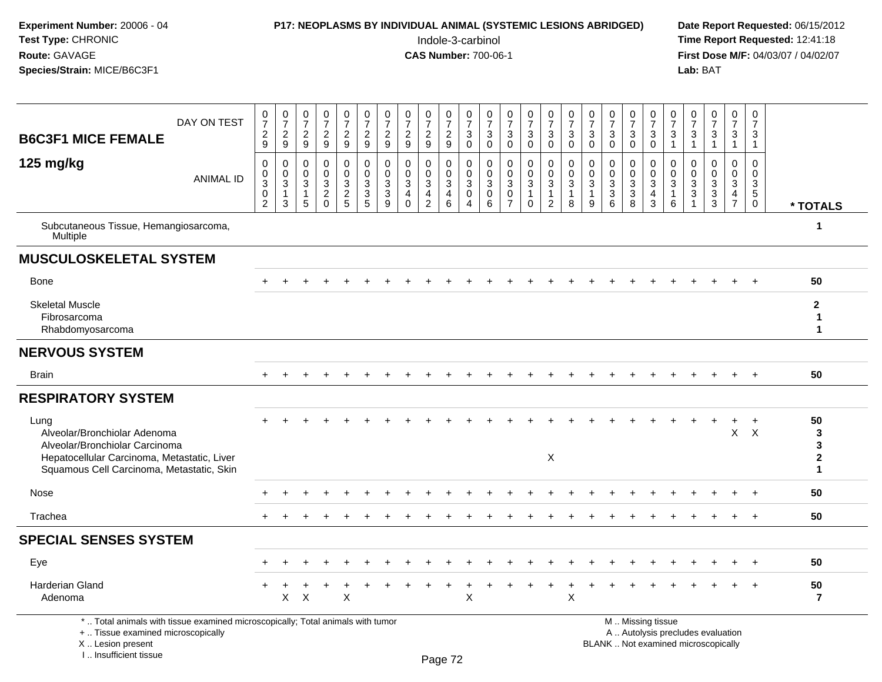| Experiment Number: 20006 - 04<br>Test Type: CHRONIC<br>Route: GAVAGE<br>Species/Strain: MICE/B6C3F1                                                                | <b>P17: NEOPLASMS BY INDIVIDUAL ANIMAL (SYSTEMIC LESIONS ABRIDGED)</b><br>Date Report Requested: 06/15/2012<br>Time Report Requested: 12:41:18<br>Indole-3-carbinol<br><b>CAS Number: 700-06-1</b><br>First Dose M/F: 04/03/07 / 04/02/07<br>Lab: BAT |                                                                                  |                                      |                                |                                                      |                                                   |                                                     |                                                |                                                           |                                               |                                      |                                                             |                                                  |                                                               |                                              |                                                                             |                                         |                                               |                                         |                                                     |                                                   |                                          |                                            |                                                      |                                                         |                                          |                                   |
|--------------------------------------------------------------------------------------------------------------------------------------------------------------------|-------------------------------------------------------------------------------------------------------------------------------------------------------------------------------------------------------------------------------------------------------|----------------------------------------------------------------------------------|--------------------------------------|--------------------------------|------------------------------------------------------|---------------------------------------------------|-----------------------------------------------------|------------------------------------------------|-----------------------------------------------------------|-----------------------------------------------|--------------------------------------|-------------------------------------------------------------|--------------------------------------------------|---------------------------------------------------------------|----------------------------------------------|-----------------------------------------------------------------------------|-----------------------------------------|-----------------------------------------------|-----------------------------------------|-----------------------------------------------------|---------------------------------------------------|------------------------------------------|--------------------------------------------|------------------------------------------------------|---------------------------------------------------------|------------------------------------------|-----------------------------------|
| <b>B6C3F1 MICE FEMALE</b>                                                                                                                                          | DAY ON TEST                                                                                                                                                                                                                                           | $\frac{0}{7}$<br>$\boldsymbol{2}$<br>9                                           | $\frac{0}{7}$<br>$\overline{c}$<br>9 | $\frac{0}{7}$<br>$\frac{2}{9}$ | $\frac{0}{7}$<br>$\overline{c}$<br>9                 | $\frac{0}{7}$<br>$\frac{2}{9}$                    | $\frac{0}{7}$<br>$\frac{2}{9}$                      | 0<br>$\overline{7}$<br>$\overline{c}$<br>$9\,$ | 0<br>$\overline{7}$<br>$\boldsymbol{2}$<br>9              | 0<br>$\overline{7}$<br>$\overline{c}$<br>9    | 0<br>$\overline{7}$<br>$\frac{2}{9}$ | $\frac{0}{7}$<br>$\ensuremath{\mathsf{3}}$<br>$\mathbf 0$   | 0<br>$\overline{7}$<br>$\sqrt{3}$<br>$\mathbf 0$ | $\frac{0}{7}$<br>$\sqrt{3}$<br>$\mathbf 0$                    | $\frac{0}{7}$<br>$\mathbf{3}$<br>$\mathbf 0$ | $\frac{0}{7}$<br>$\sqrt{3}$<br>$\mathbf 0$                                  | 0<br>$\overline{7}$<br>3<br>$\mathbf 0$ | 0<br>$\overline{7}$<br>$\sqrt{3}$<br>$\Omega$ | $\frac{0}{7}$<br>$\sqrt{3}$<br>$\Omega$ | 0<br>$\overline{7}$<br>$\sqrt{3}$<br>$\mathbf 0$    | 0<br>$\overline{7}$<br>$\sqrt{3}$<br>$\mathbf{0}$ | 0<br>$\overline{7}$<br>3<br>$\mathbf{1}$ | 0<br>$\overline{7}$<br>3<br>$\overline{1}$ | $\frac{0}{7}$<br>3<br>$\mathbf{1}$                   | 0<br>$\overline{7}$<br>3<br>$\mathbf{1}$                | 0<br>$\overline{7}$<br>3<br>$\mathbf{1}$ |                                   |
| 125 mg/kg                                                                                                                                                          | <b>ANIMAL ID</b>                                                                                                                                                                                                                                      | $\mathbf 0$<br>$\,0\,$<br>$\ensuremath{\mathsf{3}}$<br>$\,0\,$<br>$\overline{2}$ | 0<br>0<br>$\mathbf{3}$<br>3          | 0<br>$\Omega$<br>3<br>1<br>5   | 0<br>0<br>$\ensuremath{\mathsf{3}}$<br>$\frac{2}{0}$ | 0<br>$\mathbf 0$<br>$\mathbf{3}$<br>$\frac{2}{5}$ | 0<br>$\mathbf 0$<br>$\overline{3}$<br>$\frac{3}{5}$ | $\Omega$<br>$\mathbf 0$<br>3<br>3<br>9         | $\mathbf 0$<br>$\mathbf 0$<br>$\sqrt{3}$<br>4<br>$\Omega$ | 0<br>0<br>$\mathbf{3}$<br>4<br>$\overline{2}$ | 0<br>0<br>$\sqrt{3}$<br>4<br>6       | 0<br>$\pmb{0}$<br>$\ensuremath{\mathsf{3}}$<br>$\,0\,$<br>4 | $\Omega$<br>0<br>3<br>0<br>6                     | 0<br>$\mathbf 0$<br>$\sqrt{3}$<br>$\pmb{0}$<br>$\overline{7}$ | 0<br>0<br>$\mathbf{3}$<br>1<br>0             | $\mathbf 0$<br>$\mathbf 0$<br>$\mathbf{3}$<br>$\mathbf 1$<br>$\overline{c}$ | $\Omega$<br>$\mathbf 0$<br>3<br>8       | $\Omega$<br>$\Omega$<br>3<br>1<br>9           | 0<br>0<br>$\sqrt{3}$<br>$\sqrt{3}$<br>6 | 0<br>$\mathbf 0$<br>$\sqrt{3}$<br>$\mathbf{3}$<br>8 | 0<br>$\mathbf 0$<br>$\mathbf{3}$<br>4<br>3        | $\Omega$<br>$\Omega$<br>3<br>1<br>6      | $\Omega$<br>$\Omega$<br>3<br>3             | 0<br>0<br>$\ensuremath{\mathsf{3}}$<br>$\frac{3}{3}$ | $\mathbf 0$<br>0<br>$\mathbf{3}$<br>4<br>$\overline{7}$ | 0<br>0<br>3<br>$\sqrt{5}$<br>$\mathbf 0$ | * TOTALS                          |
| Subcutaneous Tissue, Hemangiosarcoma,<br>Multiple                                                                                                                  |                                                                                                                                                                                                                                                       |                                                                                  |                                      |                                |                                                      |                                                   |                                                     |                                                |                                                           |                                               |                                      |                                                             |                                                  |                                                               |                                              |                                                                             |                                         |                                               |                                         |                                                     |                                                   |                                          |                                            |                                                      |                                                         |                                          | 1                                 |
| <b>MUSCULOSKELETAL SYSTEM</b>                                                                                                                                      |                                                                                                                                                                                                                                                       |                                                                                  |                                      |                                |                                                      |                                                   |                                                     |                                                |                                                           |                                               |                                      |                                                             |                                                  |                                                               |                                              |                                                                             |                                         |                                               |                                         |                                                     |                                                   |                                          |                                            |                                                      |                                                         |                                          |                                   |
| Bone                                                                                                                                                               |                                                                                                                                                                                                                                                       |                                                                                  |                                      |                                |                                                      |                                                   |                                                     |                                                |                                                           |                                               |                                      |                                                             |                                                  |                                                               |                                              |                                                                             |                                         |                                               |                                         |                                                     |                                                   |                                          |                                            |                                                      |                                                         | $\overline{+}$                           | 50                                |
| <b>Skeletal Muscle</b><br>Fibrosarcoma<br>Rhabdomyosarcoma                                                                                                         |                                                                                                                                                                                                                                                       |                                                                                  |                                      |                                |                                                      |                                                   |                                                     |                                                |                                                           |                                               |                                      |                                                             |                                                  |                                                               |                                              |                                                                             |                                         |                                               |                                         |                                                     |                                                   |                                          |                                            |                                                      |                                                         |                                          | 2<br>$\mathbf{1}$<br>1            |
| <b>NERVOUS SYSTEM</b>                                                                                                                                              |                                                                                                                                                                                                                                                       |                                                                                  |                                      |                                |                                                      |                                                   |                                                     |                                                |                                                           |                                               |                                      |                                                             |                                                  |                                                               |                                              |                                                                             |                                         |                                               |                                         |                                                     |                                                   |                                          |                                            |                                                      |                                                         |                                          |                                   |
| <b>Brain</b>                                                                                                                                                       |                                                                                                                                                                                                                                                       |                                                                                  |                                      |                                |                                                      |                                                   |                                                     |                                                |                                                           |                                               |                                      |                                                             |                                                  |                                                               |                                              |                                                                             |                                         |                                               |                                         |                                                     |                                                   |                                          |                                            |                                                      |                                                         | $+$                                      | 50                                |
| <b>RESPIRATORY SYSTEM</b>                                                                                                                                          |                                                                                                                                                                                                                                                       |                                                                                  |                                      |                                |                                                      |                                                   |                                                     |                                                |                                                           |                                               |                                      |                                                             |                                                  |                                                               |                                              |                                                                             |                                         |                                               |                                         |                                                     |                                                   |                                          |                                            |                                                      |                                                         |                                          |                                   |
| Lung<br>Alveolar/Bronchiolar Adenoma<br>Alveolar/Bronchiolar Carcinoma<br>Hepatocellular Carcinoma, Metastatic, Liver<br>Squamous Cell Carcinoma, Metastatic, Skin |                                                                                                                                                                                                                                                       |                                                                                  |                                      |                                |                                                      |                                                   |                                                     |                                                |                                                           |                                               |                                      |                                                             |                                                  |                                                               |                                              | X                                                                           |                                         |                                               |                                         |                                                     |                                                   |                                          |                                            |                                                      | $\ddot{}$<br>$\mathsf{X}^-$                             | $\ddot{}$<br>$\mathsf{X}$                | 50<br>3<br>3<br>$\mathbf{2}$<br>1 |
| Nose                                                                                                                                                               |                                                                                                                                                                                                                                                       |                                                                                  |                                      |                                |                                                      |                                                   |                                                     |                                                |                                                           |                                               |                                      |                                                             |                                                  |                                                               |                                              |                                                                             |                                         |                                               |                                         |                                                     |                                                   |                                          |                                            |                                                      |                                                         | $\ddot{}$                                | 50                                |
| Trachea                                                                                                                                                            |                                                                                                                                                                                                                                                       |                                                                                  |                                      |                                |                                                      |                                                   |                                                     |                                                |                                                           |                                               |                                      |                                                             |                                                  |                                                               |                                              |                                                                             |                                         |                                               |                                         |                                                     |                                                   |                                          |                                            |                                                      |                                                         |                                          | 50                                |
| <b>SPECIAL SENSES SYSTEM</b>                                                                                                                                       |                                                                                                                                                                                                                                                       |                                                                                  |                                      |                                |                                                      |                                                   |                                                     |                                                |                                                           |                                               |                                      |                                                             |                                                  |                                                               |                                              |                                                                             |                                         |                                               |                                         |                                                     |                                                   |                                          |                                            |                                                      |                                                         |                                          |                                   |
| Eye                                                                                                                                                                |                                                                                                                                                                                                                                                       |                                                                                  |                                      |                                |                                                      |                                                   |                                                     |                                                |                                                           |                                               |                                      |                                                             |                                                  |                                                               |                                              |                                                                             |                                         |                                               |                                         |                                                     |                                                   |                                          |                                            |                                                      |                                                         |                                          | 50                                |
| <b>Harderian Gland</b><br>Adenoma                                                                                                                                  |                                                                                                                                                                                                                                                       |                                                                                  | Χ                                    | Χ                              |                                                      | X                                                 |                                                     |                                                |                                                           |                                               |                                      | X                                                           |                                                  |                                                               |                                              |                                                                             | X                                       |                                               |                                         |                                                     |                                                   |                                          |                                            |                                                      |                                                         |                                          | 50<br>7                           |
|                                                                                                                                                                    | *  Total animals with tissue examined microscopically; Total animals with tumor<br>+  Tissue examined microscopically                                                                                                                                 |                                                                                  |                                      |                                |                                                      |                                                   |                                                     |                                                |                                                           |                                               |                                      |                                                             |                                                  |                                                               |                                              | M  Missing tissue<br>A  Autolysis precludes evaluation                      |                                         |                                               |                                         |                                                     |                                                   |                                          |                                            |                                                      |                                                         |                                          |                                   |

 Lesion present BLANK .. Not examined microscopicallyX ..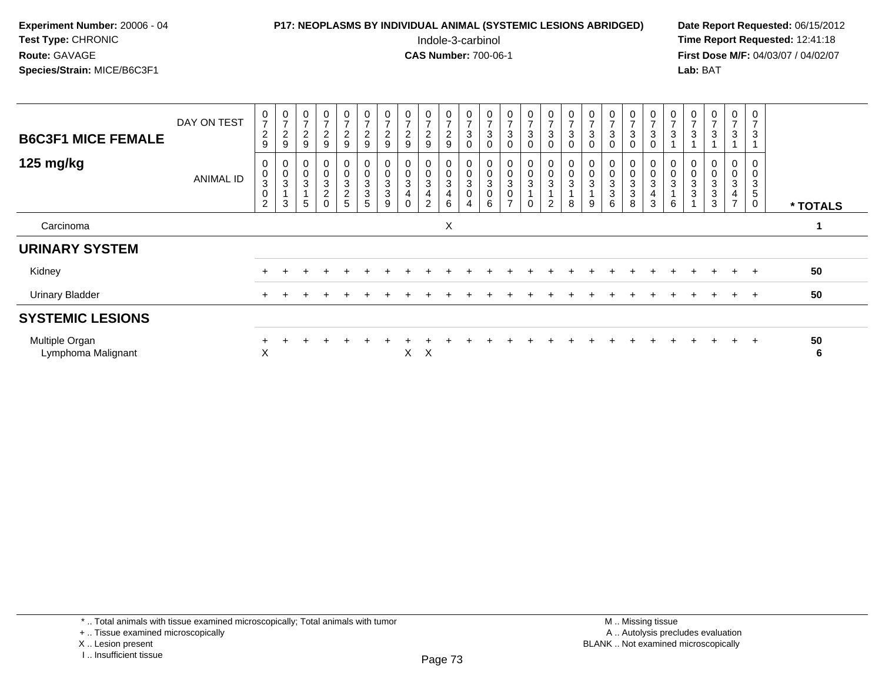### **P17: NEOPLASMS BY INDIVIDUAL ANIMAL (SYSTEMIC LESIONS ABRIDGED)** Date Report Requested: 06/15/2012<br>Indole-3-carbinol **Time Report Requested:** 12:41:18

 Indole-3-carbinol **Time Report Requested:** 12:41:18 **First Dose M/F:** 04/03/07 / 04/02/07<br>Lab: BAT **Lab:** BAT

| <b>B6C3F1 MICE FEMALE</b><br>125 mg/kg | DAY ON TEST<br>ANIMAL ID | $\frac{0}{7}$<br>$\overline{c}$<br>$9\,$<br>0<br>$\pmb{0}$<br>$\ensuremath{\mathsf{3}}$<br>$\pmb{0}$<br>2 | $\frac{0}{7}$<br>$\frac{2}{9}$<br>0<br>$\,0\,$<br>$\sqrt{3}$<br>3 | 0<br>$\overline{7}$<br>$\sqrt{2}$<br>9<br>0<br>$\pmb{0}$<br>3<br>1<br>5 | $\mathbf 0$<br>$\overline{ }$<br>$\frac{2}{9}$<br>0<br>$\mathbf 0$<br>3<br>$\overline{2}$<br>$\overline{0}$ | 0<br>$\overline{7}$<br>$\overline{c}$<br>9<br>0<br>$\ensuremath{\mathsf{3}}$<br>$\overline{c}$<br>5 | $\boldsymbol{0}$<br>$\overline{ }$<br>$\sqrt{2}$<br>$9\,$<br>0<br>$\mathbf 0$<br>$\sqrt{3}$<br>$\ensuremath{\mathsf{3}}$<br>5 | $\boldsymbol{2}$<br>$\boldsymbol{9}$<br>0<br>$\sqrt{3}$<br>$\sqrt{3}$<br>9 | 0<br>$\overline{ }$<br>$\frac{2}{9}$<br>0<br>$\pmb{0}$<br>$\sqrt{3}$<br>4<br>$\mathbf 0$ | $\frac{0}{7}$<br>$\frac{2}{9}$<br>0<br>0<br>3<br>4<br>2 | 0<br>$\overline{ }$<br>$\boldsymbol{2}$<br>$\boldsymbol{9}$<br>0<br>$\ensuremath{\mathsf{3}}$<br>4<br>6 | $\overline{ }$<br>3<br>$\mathbf 0$<br>0<br>$\ensuremath{\mathsf{3}}$<br>$\mathbf 0$ | $\frac{0}{7}$<br>$\mathbf 3$<br>$\boldsymbol{0}$<br>0<br>$\sqrt{3}$<br>0<br>6 | 0<br>$\rightarrow$<br>$\ensuremath{\mathsf{3}}$<br>0<br>0<br>0<br>$\mathsf 3$<br>$\boldsymbol{0}$<br>$\rightarrow$ | $\frac{0}{7}$<br>$\sqrt{3}$<br>$\mathsf 0$<br>0<br>$_{3}^{\rm 0}$<br>$\mathbf 0$ | $\frac{0}{7}$<br>$\ensuremath{\mathsf{3}}$<br>$\pmb{0}$<br>0<br>$_{3}^{\rm 0}$<br>1<br>$\overline{c}$ | 0<br>$\overline{ }$<br>3<br>0<br>0<br>$\pmb{0}$<br>3<br>8 | $\overline{7}$<br>$\mathsf 3$<br>$\mathbf 0$<br>$\boldsymbol{0}$<br>$\mathbf{3}$<br>9 | 0<br>$\overline{ }$<br>$\sqrt{3}$<br>$\mathbf 0$<br>0<br>$\pmb{0}$<br>$\ensuremath{\mathsf{3}}$<br>3<br>6 | $\frac{0}{7}$<br>$\sqrt{3}$<br>0<br>0<br>0<br>3<br>3<br>8 | 0<br>$\overline{ }$<br>$\ensuremath{\mathsf{3}}$<br>$\mathsf 0$<br>0<br>$\pmb{0}$<br>$\sqrt{3}$<br>4<br>3 | 0<br>$\overline{ }$<br>3<br>0<br>$\pmb{0}$<br>$\sqrt{3}$<br>6 | 0<br>$\overline{7}$<br>3<br>0<br>$\boldsymbol{0}$<br>$\sqrt{3}$<br>$\ensuremath{\mathsf{3}}$ | 0<br>$\overline{ }$<br>3<br>0<br>$\pmb{0}$<br>3<br>$\sqrt{3}$<br>3 | $\pmb{0}$<br>$\overline{7}$<br>$\ensuremath{\mathsf{3}}$<br>0<br>$\boldsymbol{0}$<br>$\ensuremath{\mathsf{3}}$<br>4<br>$\overline{ }$ | 0<br>7<br>3<br>0<br>0<br>3<br>5<br>0 | * TOTALS |
|----------------------------------------|--------------------------|-----------------------------------------------------------------------------------------------------------|-------------------------------------------------------------------|-------------------------------------------------------------------------|-------------------------------------------------------------------------------------------------------------|-----------------------------------------------------------------------------------------------------|-------------------------------------------------------------------------------------------------------------------------------|----------------------------------------------------------------------------|------------------------------------------------------------------------------------------|---------------------------------------------------------|---------------------------------------------------------------------------------------------------------|-------------------------------------------------------------------------------------|-------------------------------------------------------------------------------|--------------------------------------------------------------------------------------------------------------------|----------------------------------------------------------------------------------|-------------------------------------------------------------------------------------------------------|-----------------------------------------------------------|---------------------------------------------------------------------------------------|-----------------------------------------------------------------------------------------------------------|-----------------------------------------------------------|-----------------------------------------------------------------------------------------------------------|---------------------------------------------------------------|----------------------------------------------------------------------------------------------|--------------------------------------------------------------------|---------------------------------------------------------------------------------------------------------------------------------------|--------------------------------------|----------|
| Carcinoma                              |                          |                                                                                                           |                                                                   |                                                                         |                                                                                                             |                                                                                                     |                                                                                                                               |                                                                            |                                                                                          |                                                         | X                                                                                                       |                                                                                     |                                                                               |                                                                                                                    |                                                                                  |                                                                                                       |                                                           |                                                                                       |                                                                                                           |                                                           |                                                                                                           |                                                               |                                                                                              |                                                                    |                                                                                                                                       |                                      |          |
| <b>URINARY SYSTEM</b>                  |                          |                                                                                                           |                                                                   |                                                                         |                                                                                                             |                                                                                                     |                                                                                                                               |                                                                            |                                                                                          |                                                         |                                                                                                         |                                                                                     |                                                                               |                                                                                                                    |                                                                                  |                                                                                                       |                                                           |                                                                                       |                                                                                                           |                                                           |                                                                                                           |                                                               |                                                                                              |                                                                    |                                                                                                                                       |                                      |          |
| Kidney                                 |                          |                                                                                                           |                                                                   |                                                                         |                                                                                                             |                                                                                                     |                                                                                                                               |                                                                            |                                                                                          |                                                         |                                                                                                         |                                                                                     |                                                                               |                                                                                                                    |                                                                                  |                                                                                                       |                                                           |                                                                                       |                                                                                                           |                                                           |                                                                                                           |                                                               |                                                                                              |                                                                    |                                                                                                                                       | $+$                                  | 50       |
| <b>Urinary Bladder</b>                 |                          |                                                                                                           |                                                                   |                                                                         |                                                                                                             |                                                                                                     |                                                                                                                               |                                                                            |                                                                                          |                                                         |                                                                                                         |                                                                                     |                                                                               |                                                                                                                    |                                                                                  |                                                                                                       |                                                           |                                                                                       |                                                                                                           |                                                           |                                                                                                           |                                                               |                                                                                              |                                                                    | $+$                                                                                                                                   | $+$                                  | 50       |
| <b>SYSTEMIC LESIONS</b>                |                          |                                                                                                           |                                                                   |                                                                         |                                                                                                             |                                                                                                     |                                                                                                                               |                                                                            |                                                                                          |                                                         |                                                                                                         |                                                                                     |                                                                               |                                                                                                                    |                                                                                  |                                                                                                       |                                                           |                                                                                       |                                                                                                           |                                                           |                                                                                                           |                                                               |                                                                                              |                                                                    |                                                                                                                                       |                                      |          |
| Multiple Organ<br>Lymphoma Malignant   |                          | X                                                                                                         |                                                                   |                                                                         |                                                                                                             |                                                                                                     |                                                                                                                               |                                                                            | X.                                                                                       | Χ                                                       |                                                                                                         |                                                                                     |                                                                               |                                                                                                                    |                                                                                  |                                                                                                       |                                                           |                                                                                       |                                                                                                           |                                                           |                                                                                                           |                                                               |                                                                                              | $\div$                                                             | $+$                                                                                                                                   | $+$                                  | 50<br>6  |

I .. Insufficient tissue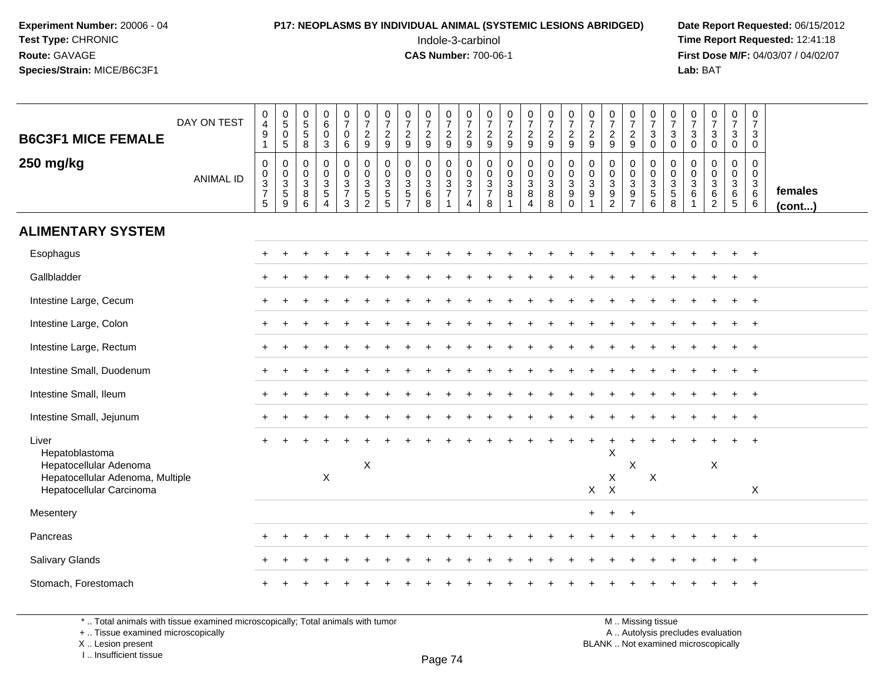# **P17: NEOPLASMS BY INDIVIDUAL ANIMAL (SYSTEMIC LESIONS ABRIDGED)** Date Report Requested: 06/15/2012<br>Indole-3-carbinol **Time Report Requested:** 12:41:18

 Indole-3-carbinol **Time Report Requested:** 12:41:18 **First Dose M/F:** 04/03/07 / 04/02/07<br>Lab: BAT **Lab:** BAT

| <b>B6C3F1 MICE FEMALE</b>                                                                                         | DAY ON TEST      | $\pmb{0}$<br>$\overline{4}$<br>$\boldsymbol{9}$<br>$\mathbf{1}$ | $\begin{array}{c} 0 \\ 5 \end{array}$<br>$\mathbf 0$<br>$\overline{5}$   | $\begin{smallmatrix}0\0\0\end{smallmatrix}$<br>$\sqrt{5}$<br>8        | $_{6}^{\rm 0}$<br>$\mathbf 0$<br>3                     | $\begin{array}{c} 0 \\ 7 \end{array}$<br>$\mathbf 0$<br>6 | $\begin{smallmatrix}0\\7\end{smallmatrix}$<br>$\frac{2}{9}$ | $\begin{array}{c} 0 \\ 7 \end{array}$<br>$\frac{2}{9}$     | $\begin{matrix} 0 \\ 7 \end{matrix}$<br>$\overline{2}$<br>9               | $\frac{0}{7}$<br>$\overline{\mathbf{c}}$<br>$9\,$ | $\frac{0}{7}$<br>$\frac{2}{9}$               | $\begin{array}{c} 0 \\ 7 \end{array}$<br>$\boldsymbol{2}$<br>9                            | 0<br>$\overline{7}$<br>$\overline{a}$<br>9                   | $\begin{array}{c} 0 \\ 7 \end{array}$<br>$\frac{2}{9}$ | $\begin{smallmatrix}0\\7\end{smallmatrix}$<br>$\sqrt{2}$<br>9         | $\frac{0}{7}$<br>$\overline{a}$<br>9                  | $\frac{0}{7}$<br>$\overline{c}$<br>9                             | $\frac{0}{7}$<br>$\sqrt{2}$<br>9                             | $\begin{array}{c} 0 \\ 7 \end{array}$<br>$\sqrt{2}$<br>9                       | $\pmb{0}$<br>$\overline{7}$<br>$\frac{2}{9}$                                   | $\frac{0}{7}$<br>$\mathbf 3$<br>$\Omega$             | 0<br>$\overline{7}$<br>$\mathbf{3}$<br>$\mathbf 0$            | $\begin{array}{c} 0 \\ 7 \end{array}$<br>$\ensuremath{\mathsf{3}}$<br>$\mathbf 0$ | $\begin{smallmatrix}0\\7\end{smallmatrix}$<br>$\mathbf{3}$<br>$\mathbf 0$ | $\frac{0}{7}$<br>$\mathbf{3}$<br>$\overline{0}$     | $\pmb{0}$<br>$\overline{7}$<br>3<br>$\mathbf 0$                     |                   |
|-------------------------------------------------------------------------------------------------------------------|------------------|-----------------------------------------------------------------|--------------------------------------------------------------------------|-----------------------------------------------------------------------|--------------------------------------------------------|-----------------------------------------------------------|-------------------------------------------------------------|------------------------------------------------------------|---------------------------------------------------------------------------|---------------------------------------------------|----------------------------------------------|-------------------------------------------------------------------------------------------|--------------------------------------------------------------|--------------------------------------------------------|-----------------------------------------------------------------------|-------------------------------------------------------|------------------------------------------------------------------|--------------------------------------------------------------|--------------------------------------------------------------------------------|--------------------------------------------------------------------------------|------------------------------------------------------|---------------------------------------------------------------|-----------------------------------------------------------------------------------|---------------------------------------------------------------------------|-----------------------------------------------------|---------------------------------------------------------------------|-------------------|
| 250 mg/kg                                                                                                         | <b>ANIMAL ID</b> | $\mathbf 0$<br>$\,0\,$<br>$\frac{3}{7}$<br>$\sqrt{5}$           | $\mathbf 0$<br>$\mathbf 0$<br>$\sqrt{3}$<br>$\sqrt{5}$<br>$\overline{9}$ | $\mathsf{O}\xspace$<br>$\pmb{0}$<br>$\sqrt{3}$<br>8<br>$6\phantom{1}$ | $\mathbf 0$<br>$\mathbf 0$<br>3<br>5<br>$\overline{A}$ | $\pmb{0}$<br>$\pmb{0}$<br>$\frac{3}{7}$<br>$\mathbf{3}$   | $\mathbf 0$<br>$\pmb{0}$<br>$\frac{3}{2}$                   | $\mathbf 0$<br>$\mathbf 0$<br>$\mathbf 3$<br>$\frac{5}{5}$ | $\mathbf 0$<br>$\mathbf 0$<br>$\mathbf 3$<br>$\sqrt{5}$<br>$\overline{7}$ | 0<br>$\mathbf 0$<br>$\mathbf{3}$<br>6<br>8        | $\pmb{0}$<br>$\frac{0}{3}$<br>$\overline{1}$ | 0<br>$\mathsf{O}\xspace$<br>$\ensuremath{\mathsf{3}}$<br>$\overline{7}$<br>$\overline{4}$ | 0<br>0<br>$\ensuremath{\mathsf{3}}$<br>$\boldsymbol{7}$<br>8 | $\mathbf 0$<br>$\frac{0}{3}$<br>$\, 8$                 | 0<br>$\mathsf{O}\xspace$<br>$\mathbf{3}$<br>$\bf 8$<br>$\overline{4}$ | $\pmb{0}$<br>$\mathbf 0$<br>$\sqrt{3}$<br>$\, 8$<br>8 | 0<br>$\mathbf 0$<br>$\mathbf{3}$<br>$\boldsymbol{9}$<br>$\Omega$ | $\mathbf 0$<br>$\mathbf 0$<br>$\sqrt{3}$<br>$\boldsymbol{9}$ | $\mathsf{O}\xspace$<br>$\pmb{0}$<br>$\ensuremath{\mathsf{3}}$<br>$\frac{9}{2}$ | $\mathbf 0$<br>$\mathbf 0$<br>$\sqrt{3}$<br>$\boldsymbol{9}$<br>$\overline{7}$ | $\boldsymbol{0}$<br>$\frac{0}{3}$<br>$6\phantom{1}6$ | $\mathbf 0$<br>$\mathbf 0$<br>$\mathbf{3}$<br>$\sqrt{5}$<br>8 | $\mathbf 0$<br>$\mathbf 0$<br>$\sqrt{3}$<br>$\,6$<br>1                            | 0<br>$\mathsf{O}\xspace$<br>$\mathbf{3}$<br>$\,6\,$<br>$\overline{2}$     | $\mathsf 0$<br>$\mathsf{O}\xspace$<br>$\frac{3}{6}$ | 0<br>$\mathbf 0$<br>$\ensuremath{\mathsf{3}}$<br>$\,6\,$<br>$\,6\,$ | females<br>(cont) |
| <b>ALIMENTARY SYSTEM</b>                                                                                          |                  |                                                                 |                                                                          |                                                                       |                                                        |                                                           |                                                             |                                                            |                                                                           |                                                   |                                              |                                                                                           |                                                              |                                                        |                                                                       |                                                       |                                                                  |                                                              |                                                                                |                                                                                |                                                      |                                                               |                                                                                   |                                                                           |                                                     |                                                                     |                   |
| Esophagus                                                                                                         |                  |                                                                 |                                                                          |                                                                       |                                                        |                                                           |                                                             |                                                            |                                                                           |                                                   |                                              |                                                                                           |                                                              |                                                        |                                                                       |                                                       |                                                                  |                                                              |                                                                                |                                                                                |                                                      |                                                               |                                                                                   |                                                                           | ÷                                                   | $^{+}$                                                              |                   |
| Gallbladder                                                                                                       |                  |                                                                 |                                                                          |                                                                       |                                                        |                                                           |                                                             |                                                            |                                                                           |                                                   |                                              |                                                                                           |                                                              |                                                        |                                                                       |                                                       |                                                                  |                                                              |                                                                                |                                                                                |                                                      |                                                               |                                                                                   |                                                                           |                                                     | $\ddot{}$                                                           |                   |
| Intestine Large, Cecum                                                                                            |                  |                                                                 |                                                                          |                                                                       |                                                        |                                                           |                                                             |                                                            |                                                                           |                                                   |                                              |                                                                                           |                                                              |                                                        |                                                                       |                                                       |                                                                  |                                                              |                                                                                |                                                                                |                                                      |                                                               |                                                                                   |                                                                           |                                                     | $\ddot{}$                                                           |                   |
| Intestine Large, Colon                                                                                            |                  |                                                                 |                                                                          |                                                                       |                                                        |                                                           |                                                             |                                                            |                                                                           |                                                   |                                              |                                                                                           |                                                              |                                                        |                                                                       |                                                       |                                                                  |                                                              |                                                                                |                                                                                |                                                      |                                                               |                                                                                   |                                                                           |                                                     |                                                                     |                   |
| Intestine Large, Rectum                                                                                           |                  |                                                                 |                                                                          |                                                                       |                                                        |                                                           |                                                             |                                                            |                                                                           |                                                   |                                              |                                                                                           |                                                              |                                                        |                                                                       |                                                       |                                                                  |                                                              |                                                                                |                                                                                |                                                      |                                                               |                                                                                   |                                                                           | $\pm$                                               | $\overline{+}$                                                      |                   |
| Intestine Small, Duodenum                                                                                         |                  |                                                                 |                                                                          |                                                                       |                                                        |                                                           |                                                             |                                                            |                                                                           |                                                   |                                              |                                                                                           |                                                              |                                                        |                                                                       |                                                       |                                                                  |                                                              |                                                                                |                                                                                |                                                      |                                                               |                                                                                   |                                                                           |                                                     | $^{+}$                                                              |                   |
| Intestine Small, Ileum                                                                                            |                  | $\ddot{}$                                                       |                                                                          |                                                                       |                                                        |                                                           |                                                             |                                                            |                                                                           |                                                   |                                              |                                                                                           |                                                              |                                                        |                                                                       |                                                       |                                                                  |                                                              |                                                                                |                                                                                |                                                      |                                                               |                                                                                   |                                                                           |                                                     | $\overline{+}$                                                      |                   |
| Intestine Small, Jejunum                                                                                          |                  |                                                                 |                                                                          |                                                                       |                                                        |                                                           |                                                             |                                                            |                                                                           |                                                   |                                              |                                                                                           |                                                              |                                                        |                                                                       |                                                       |                                                                  |                                                              |                                                                                |                                                                                |                                                      |                                                               |                                                                                   |                                                                           |                                                     | $\ddot{}$                                                           |                   |
| Liver<br>Hepatoblastoma<br>Hepatocellular Adenoma<br>Hepatocellular Adenoma, Multiple<br>Hepatocellular Carcinoma |                  | $+$                                                             | $\ddot{}$                                                                |                                                                       | $\div$<br>$\pmb{\times}$                               |                                                           | X                                                           |                                                            |                                                                           |                                                   |                                              |                                                                                           |                                                              |                                                        |                                                                       |                                                       | $\ddot{}$                                                        | $\ddot{}$<br>$X$ $X$                                         | $\ddot{}$<br>$\pmb{\times}$<br>X                                               | $\div$<br>X                                                                    | $\times$                                             |                                                               |                                                                                   | $\ddot{}$<br>X                                                            | $\ddot{}$                                           | $\overline{+}$<br>X                                                 |                   |
| Mesentery                                                                                                         |                  |                                                                 |                                                                          |                                                                       |                                                        |                                                           |                                                             |                                                            |                                                                           |                                                   |                                              |                                                                                           |                                                              |                                                        |                                                                       |                                                       |                                                                  | $+$                                                          | $\ddot{}$                                                                      | $^{+}$                                                                         |                                                      |                                                               |                                                                                   |                                                                           |                                                     |                                                                     |                   |
| Pancreas                                                                                                          |                  |                                                                 |                                                                          |                                                                       |                                                        |                                                           |                                                             |                                                            |                                                                           |                                                   |                                              |                                                                                           |                                                              |                                                        |                                                                       |                                                       |                                                                  |                                                              |                                                                                |                                                                                |                                                      |                                                               |                                                                                   |                                                                           |                                                     |                                                                     |                   |
| Salivary Glands                                                                                                   |                  |                                                                 |                                                                          |                                                                       |                                                        |                                                           |                                                             |                                                            |                                                                           |                                                   |                                              |                                                                                           |                                                              |                                                        |                                                                       |                                                       |                                                                  |                                                              |                                                                                |                                                                                |                                                      |                                                               |                                                                                   |                                                                           |                                                     | $\ddot{}$                                                           |                   |
| Stomach, Forestomach                                                                                              |                  |                                                                 |                                                                          |                                                                       |                                                        |                                                           |                                                             |                                                            |                                                                           |                                                   |                                              |                                                                                           |                                                              |                                                        |                                                                       |                                                       |                                                                  |                                                              |                                                                                |                                                                                |                                                      |                                                               |                                                                                   |                                                                           |                                                     |                                                                     |                   |

\* .. Total animals with tissue examined microscopically; Total animals with tumor

+ .. Tissue examined microscopically

X .. Lesion present

I .. Insufficient tissue

M .. Missing tissue y the contract of the contract of the contract of the contract of the contract of  $\mathsf A$  . Autolysis precludes evaluation

Lesion present BLANK .. Not examined microscopically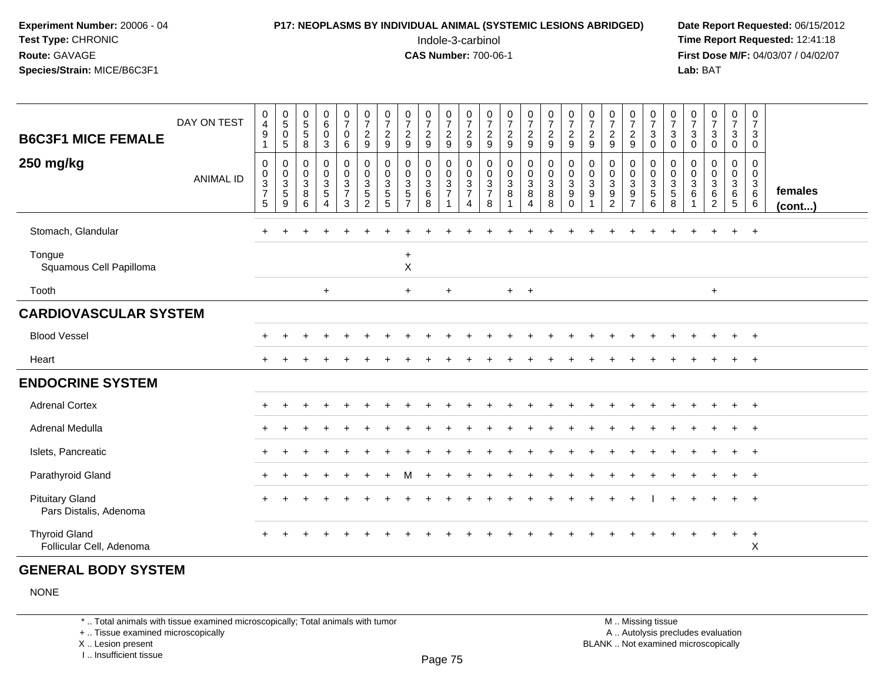### **P17: NEOPLASMS BY INDIVIDUAL ANIMAL (SYSTEMIC LESIONS ABRIDGED)** Date Report Requested: 06/15/2012<br>Indole-3-carbinol **Time Report Requested:** 12:41:18

 Indole-3-carbinol **Time Report Requested:** 12:41:18 **First Dose M/F:** 04/03/07 / 04/02/07<br>Lab: BAT **Lab:** BAT

| <b>B6C3F1 MICE FEMALE</b><br>250 mg/kg           | DAY ON TEST<br><b>ANIMAL ID</b> | 0<br>4<br>9<br>$\mathbf{1}$<br>$\mathbf 0$<br>0<br>$\ensuremath{\mathsf{3}}$<br>$\overline{7}$<br>5 | $\begin{smallmatrix}0\0\5\end{smallmatrix}$<br>$\mathsf{O}\xspace$<br>$\overline{5}$<br>$\mathbf 0$<br>$_{3}^{\rm 0}$<br>$\sqrt{5}$<br>9 | $\begin{smallmatrix}0\0\5\end{smallmatrix}$<br>$\sqrt{5}$<br>$\bf 8$<br>$\pmb{0}$<br>$\pmb{0}$<br>$\overline{3}$<br>$\bf 8$<br>6 | $\begin{array}{c} 0 \\ 6 \end{array}$<br>$\pmb{0}$<br>$\ensuremath{\mathsf{3}}$<br>$\pmb{0}$<br>$\pmb{0}$<br>$\ensuremath{\mathsf{3}}$<br>$\,$ 5 $\,$<br>$\overline{4}$ | $\frac{0}{7}$<br>$\mathbf 0$<br>6<br>$\begin{smallmatrix} 0\\0 \end{smallmatrix}$<br>$\sqrt{3}$<br>$\overline{7}$<br>3 | 0<br>$\overline{7}$<br>$\overline{2}$<br>9<br>0<br>0<br>$\mathbf{3}$<br>$\sqrt{5}$<br>$\overline{2}$ | 0<br>$\overline{7}$<br>$\overline{2}$<br>9<br>$\mathbf 0$<br>0<br>$\mathbf{3}$<br>$\sqrt{5}$<br>5 | $\frac{0}{7}$<br>$\sqrt{2}$<br>$\boldsymbol{9}$<br>0<br>$\mathbf 0$<br>$\mathsf 3$<br>$\sqrt{5}$<br>$\overline{ }$ | $\frac{0}{7}$<br>$\frac{2}{9}$<br>$\mathbf 0$<br>$\boldsymbol{0}$<br>$\mathbf 3$<br>6<br>8 | $\frac{0}{7}$<br>$\frac{2}{9}$<br>$\pmb{0}$<br>$\boldsymbol{0}$<br>$\mathbf 3$<br>$\overline{7}$<br>$\mathbf{1}$ | 0<br>$\overline{7}$<br>$\frac{2}{9}$<br>0<br>0<br>$\ensuremath{\mathsf{3}}$<br>$\overline{7}$<br>4 | 0<br>$\boldsymbol{7}$<br>$\frac{2}{9}$<br>0<br>0<br>$\ensuremath{\mathsf{3}}$<br>$\overline{7}$<br>8 | $\frac{0}{7}$<br>$\frac{2}{9}$<br>$\pmb{0}$<br>$\pmb{0}$<br>$\overline{3}$<br>$\bf 8$ | $\frac{0}{7}$<br>$\frac{2}{9}$<br>$\pmb{0}$<br>$_{3}^{\rm 0}$<br>$\bf8$<br>$\overline{4}$ | $\frac{0}{7}$<br>$\overline{2}$<br>$9\,$<br>$\begin{smallmatrix} 0\\0 \end{smallmatrix}$<br>$\mathbf{3}$<br>8<br>8 | 0<br>$\overline{7}$<br>$\overline{2}$<br>9<br>0<br>0<br>$\mathbf{3}$<br>9<br>$\Omega$ | 0<br>$\boldsymbol{7}$<br>$\overline{2}$<br>$9\,$<br>$\mathbf 0$<br>0<br>$\mathbf{3}$<br>$\boldsymbol{9}$ | $\frac{0}{7}$<br>$\frac{2}{9}$<br>0<br>$\pmb{0}$<br>$\sqrt{3}$<br>$\frac{9}{2}$ | $\frac{0}{7}$<br>$\frac{2}{9}$<br>$\mathbf 0$<br>$\boldsymbol{0}$<br>$\mathbf 3$<br>$\frac{9}{7}$ | $\frac{0}{7}$<br>$\mathbf{3}$<br>$\mathbf 0$<br>0<br>$\boldsymbol{0}$<br>$\mathbf{3}$<br>$\overline{5}$<br>6 | 0<br>$\overline{7}$<br>3<br>0<br>0<br>0<br>3<br>5<br>8 | 0<br>$\overline{7}$<br>3<br>0<br>0<br>0<br>$\mathbf{3}$<br>6 | $\frac{0}{7}$<br>$\sqrt{3}$<br>$\pmb{0}$<br>0<br>$\pmb{0}$<br>$\sqrt{3}$<br>$\,6$<br>$\overline{2}$ | $\frac{0}{7}$<br>$\mathbf{3}$<br>$\mathbf 0$<br>0<br>$\mathbf 0$<br>$\sqrt{3}$<br>$6\phantom{.}6$<br>$5\phantom{.0}$ | $\mathbf 0$<br>$\overline{7}$<br>$\mathbf{3}$<br>$\mathbf 0$<br>0<br>$\overline{0}$<br>$\mathbf{3}$<br>$6\phantom{1}6$<br>6 | females      |
|--------------------------------------------------|---------------------------------|-----------------------------------------------------------------------------------------------------|------------------------------------------------------------------------------------------------------------------------------------------|----------------------------------------------------------------------------------------------------------------------------------|-------------------------------------------------------------------------------------------------------------------------------------------------------------------------|------------------------------------------------------------------------------------------------------------------------|------------------------------------------------------------------------------------------------------|---------------------------------------------------------------------------------------------------|--------------------------------------------------------------------------------------------------------------------|--------------------------------------------------------------------------------------------|------------------------------------------------------------------------------------------------------------------|----------------------------------------------------------------------------------------------------|------------------------------------------------------------------------------------------------------|---------------------------------------------------------------------------------------|-------------------------------------------------------------------------------------------|--------------------------------------------------------------------------------------------------------------------|---------------------------------------------------------------------------------------|----------------------------------------------------------------------------------------------------------|---------------------------------------------------------------------------------|---------------------------------------------------------------------------------------------------|--------------------------------------------------------------------------------------------------------------|--------------------------------------------------------|--------------------------------------------------------------|-----------------------------------------------------------------------------------------------------|----------------------------------------------------------------------------------------------------------------------|-----------------------------------------------------------------------------------------------------------------------------|--------------|
|                                                  |                                 |                                                                                                     |                                                                                                                                          |                                                                                                                                  |                                                                                                                                                                         |                                                                                                                        |                                                                                                      |                                                                                                   |                                                                                                                    |                                                                                            |                                                                                                                  |                                                                                                    |                                                                                                      |                                                                                       |                                                                                           |                                                                                                                    |                                                                                       |                                                                                                          |                                                                                 |                                                                                                   |                                                                                                              |                                                        |                                                              |                                                                                                     |                                                                                                                      |                                                                                                                             | $($ cont $)$ |
| Stomach, Glandular                               |                                 |                                                                                                     |                                                                                                                                          |                                                                                                                                  |                                                                                                                                                                         |                                                                                                                        |                                                                                                      |                                                                                                   |                                                                                                                    |                                                                                            |                                                                                                                  |                                                                                                    |                                                                                                      |                                                                                       |                                                                                           |                                                                                                                    |                                                                                       |                                                                                                          |                                                                                 |                                                                                                   |                                                                                                              |                                                        |                                                              |                                                                                                     | $\ddot{}$                                                                                                            | $+$                                                                                                                         |              |
| Tongue<br>Squamous Cell Papilloma                |                                 |                                                                                                     |                                                                                                                                          |                                                                                                                                  |                                                                                                                                                                         |                                                                                                                        |                                                                                                      |                                                                                                   | $\ddot{}$<br>$\mathsf X$                                                                                           |                                                                                            |                                                                                                                  |                                                                                                    |                                                                                                      |                                                                                       |                                                                                           |                                                                                                                    |                                                                                       |                                                                                                          |                                                                                 |                                                                                                   |                                                                                                              |                                                        |                                                              |                                                                                                     |                                                                                                                      |                                                                                                                             |              |
| Tooth                                            |                                 |                                                                                                     |                                                                                                                                          |                                                                                                                                  | $+$                                                                                                                                                                     |                                                                                                                        |                                                                                                      |                                                                                                   | $\ddot{}$                                                                                                          |                                                                                            | $\ddot{}$                                                                                                        |                                                                                                    |                                                                                                      | $+$                                                                                   | $+$                                                                                       |                                                                                                                    |                                                                                       |                                                                                                          |                                                                                 |                                                                                                   |                                                                                                              |                                                        |                                                              | $+$                                                                                                 |                                                                                                                      |                                                                                                                             |              |
| <b>CARDIOVASCULAR SYSTEM</b>                     |                                 |                                                                                                     |                                                                                                                                          |                                                                                                                                  |                                                                                                                                                                         |                                                                                                                        |                                                                                                      |                                                                                                   |                                                                                                                    |                                                                                            |                                                                                                                  |                                                                                                    |                                                                                                      |                                                                                       |                                                                                           |                                                                                                                    |                                                                                       |                                                                                                          |                                                                                 |                                                                                                   |                                                                                                              |                                                        |                                                              |                                                                                                     |                                                                                                                      |                                                                                                                             |              |
| <b>Blood Vessel</b>                              |                                 |                                                                                                     |                                                                                                                                          |                                                                                                                                  |                                                                                                                                                                         |                                                                                                                        |                                                                                                      |                                                                                                   |                                                                                                                    |                                                                                            |                                                                                                                  |                                                                                                    |                                                                                                      |                                                                                       |                                                                                           |                                                                                                                    |                                                                                       |                                                                                                          |                                                                                 |                                                                                                   |                                                                                                              |                                                        |                                                              |                                                                                                     | $\pm$                                                                                                                | $+$                                                                                                                         |              |
| Heart                                            |                                 |                                                                                                     |                                                                                                                                          |                                                                                                                                  |                                                                                                                                                                         |                                                                                                                        |                                                                                                      |                                                                                                   |                                                                                                                    |                                                                                            |                                                                                                                  |                                                                                                    |                                                                                                      |                                                                                       |                                                                                           |                                                                                                                    |                                                                                       |                                                                                                          |                                                                                 |                                                                                                   |                                                                                                              |                                                        |                                                              |                                                                                                     | $\pm$                                                                                                                | $+$                                                                                                                         |              |
| <b>ENDOCRINE SYSTEM</b>                          |                                 |                                                                                                     |                                                                                                                                          |                                                                                                                                  |                                                                                                                                                                         |                                                                                                                        |                                                                                                      |                                                                                                   |                                                                                                                    |                                                                                            |                                                                                                                  |                                                                                                    |                                                                                                      |                                                                                       |                                                                                           |                                                                                                                    |                                                                                       |                                                                                                          |                                                                                 |                                                                                                   |                                                                                                              |                                                        |                                                              |                                                                                                     |                                                                                                                      |                                                                                                                             |              |
| <b>Adrenal Cortex</b>                            |                                 |                                                                                                     |                                                                                                                                          |                                                                                                                                  |                                                                                                                                                                         |                                                                                                                        |                                                                                                      |                                                                                                   |                                                                                                                    |                                                                                            |                                                                                                                  |                                                                                                    |                                                                                                      |                                                                                       |                                                                                           |                                                                                                                    |                                                                                       |                                                                                                          |                                                                                 |                                                                                                   |                                                                                                              |                                                        |                                                              |                                                                                                     |                                                                                                                      | $^{+}$                                                                                                                      |              |
| Adrenal Medulla                                  |                                 |                                                                                                     |                                                                                                                                          |                                                                                                                                  |                                                                                                                                                                         |                                                                                                                        |                                                                                                      |                                                                                                   |                                                                                                                    |                                                                                            |                                                                                                                  |                                                                                                    |                                                                                                      |                                                                                       |                                                                                           |                                                                                                                    |                                                                                       |                                                                                                          |                                                                                 |                                                                                                   |                                                                                                              |                                                        |                                                              |                                                                                                     |                                                                                                                      | $+$                                                                                                                         |              |
| Islets, Pancreatic                               |                                 | $\ddot{}$                                                                                           |                                                                                                                                          |                                                                                                                                  |                                                                                                                                                                         |                                                                                                                        |                                                                                                      |                                                                                                   |                                                                                                                    |                                                                                            |                                                                                                                  |                                                                                                    |                                                                                                      |                                                                                       |                                                                                           |                                                                                                                    |                                                                                       |                                                                                                          |                                                                                 |                                                                                                   |                                                                                                              |                                                        |                                                              |                                                                                                     | $\ddot{}$                                                                                                            | $+$                                                                                                                         |              |
| Parathyroid Gland                                |                                 | $\ddot{}$                                                                                           |                                                                                                                                          |                                                                                                                                  |                                                                                                                                                                         |                                                                                                                        |                                                                                                      |                                                                                                   |                                                                                                                    |                                                                                            |                                                                                                                  |                                                                                                    |                                                                                                      |                                                                                       |                                                                                           |                                                                                                                    |                                                                                       |                                                                                                          |                                                                                 |                                                                                                   |                                                                                                              |                                                        |                                                              |                                                                                                     |                                                                                                                      | $+$                                                                                                                         |              |
| <b>Pituitary Gland</b><br>Pars Distalis, Adenoma |                                 |                                                                                                     |                                                                                                                                          |                                                                                                                                  |                                                                                                                                                                         |                                                                                                                        |                                                                                                      |                                                                                                   |                                                                                                                    |                                                                                            |                                                                                                                  |                                                                                                    |                                                                                                      |                                                                                       |                                                                                           |                                                                                                                    |                                                                                       |                                                                                                          |                                                                                 |                                                                                                   |                                                                                                              |                                                        |                                                              |                                                                                                     |                                                                                                                      | $^{+}$                                                                                                                      |              |
| <b>Thyroid Gland</b><br>Follicular Cell, Adenoma |                                 |                                                                                                     |                                                                                                                                          |                                                                                                                                  |                                                                                                                                                                         |                                                                                                                        |                                                                                                      |                                                                                                   |                                                                                                                    |                                                                                            |                                                                                                                  |                                                                                                    |                                                                                                      |                                                                                       |                                                                                           |                                                                                                                    |                                                                                       |                                                                                                          |                                                                                 |                                                                                                   |                                                                                                              |                                                        |                                                              |                                                                                                     | $+$                                                                                                                  | $+$<br>$\boldsymbol{\mathsf{X}}$                                                                                            |              |

#### **GENERAL BODY SYSTEM**

NONE

\* .. Total animals with tissue examined microscopically; Total animals with tumor

+ .. Tissue examined microscopically

X .. Lesion present

I .. Insufficient tissue

 M .. Missing tissuey the contract of the contract of the contract of the contract of the contract of  $\mathsf A$  . Autolysis precludes evaluation Lesion present BLANK .. Not examined microscopically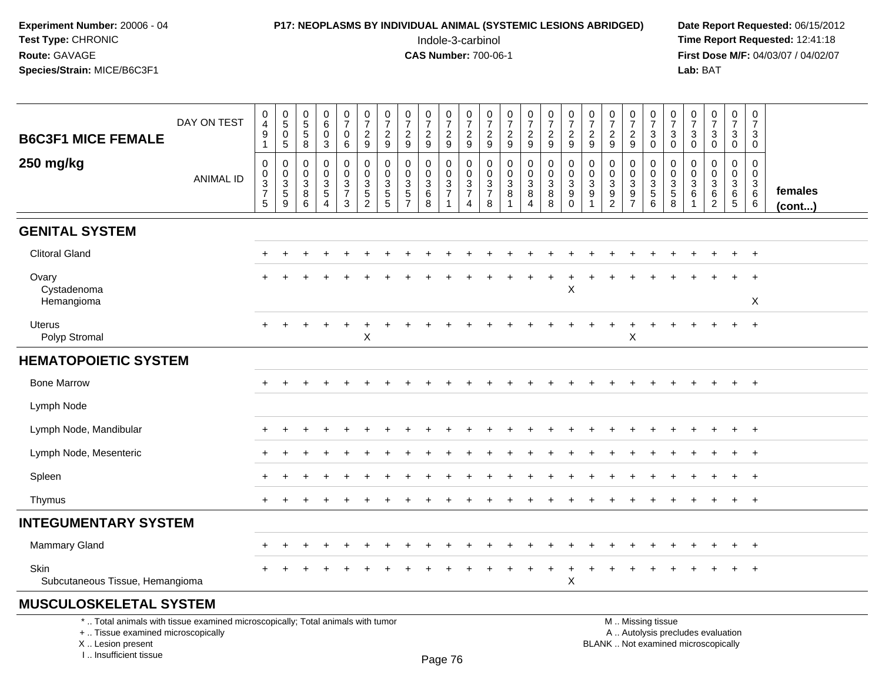# **P17: NEOPLASMS BY INDIVIDUAL ANIMAL (SYSTEMIC LESIONS ABRIDGED)** Date Report Requested: 06/15/2012<br>Indole-3-carbinol **Time Report Requested:** 12:41:18

 Indole-3-carbinol **Time Report Requested:** 12:41:18 **First Dose M/F:** 04/03/07 / 04/02/07<br>Lab: BAT **Lab:** BAT

| <b>B6C3F1 MICE FEMALE</b>                                                                                             | DAY ON TEST      | 0<br>$\overline{\mathbf{4}}$<br>$\boldsymbol{9}$<br>$\mathbf{1}$                    | $\begin{array}{c} 0 \\ 5 \end{array}$<br>$\pmb{0}$<br>5        | $\begin{array}{c} 0 \\ 5 \\ 5 \end{array}$<br>8 | $_{6}^{\rm 0}$<br>$\pmb{0}$<br>$\mathbf{3}$ | $\frac{0}{7}$<br>$0\over 6$                  | $\frac{0}{7}$<br>$\frac{2}{9}$                            | $\frac{0}{7}$<br>$\sqrt{2}$<br>9                 | $\begin{array}{c} 0 \\ 7 \end{array}$<br>$\sqrt{2}$<br>9  | $\frac{0}{7}$<br>$\frac{2}{9}$             | $\begin{array}{c} 0 \\ 7 \end{array}$<br>$\frac{2}{9}$                          | $\frac{0}{7}$<br>$\frac{2}{9}$                                       | $\frac{0}{7}$<br>$\frac{2}{9}$                                  | $\frac{0}{7}$<br>$\overline{\mathbf{c}}$<br>9                | $\frac{0}{7}$<br>$\frac{2}{9}$     | $\frac{0}{7}$<br>$\frac{2}{9}$                 | $\begin{smallmatrix}0\\7\end{smallmatrix}$<br>$\overline{\mathbf{c}}$<br>9 | $\frac{0}{7}$<br>$\overline{c}$<br>9 | $\frac{0}{7}$<br>$\frac{2}{9}$                                 | $\frac{0}{7}$<br>$\frac{2}{9}$                                 | $\frac{0}{7}$<br>$\sqrt{3}$<br>$\overline{0}$                             | 0<br>$\overline{7}$<br>3<br>$\mathbf 0$                                        | $\begin{smallmatrix}0\\7\end{smallmatrix}$<br>$\ensuremath{\mathsf{3}}$<br>0 | $\frac{0}{7}$<br>$\ensuremath{\mathsf{3}}$<br>$\pmb{0}$        | $\mathbf 0$<br>$\overline{7}$<br>$\ensuremath{\mathsf{3}}$<br>$\mathbf 0$ | $\mathbf 0$<br>$\overline{7}$<br>$\mathbf{3}$<br>$\mathbf 0$ |                   |
|-----------------------------------------------------------------------------------------------------------------------|------------------|-------------------------------------------------------------------------------------|----------------------------------------------------------------|-------------------------------------------------|---------------------------------------------|----------------------------------------------|-----------------------------------------------------------|--------------------------------------------------|-----------------------------------------------------------|--------------------------------------------|---------------------------------------------------------------------------------|----------------------------------------------------------------------|-----------------------------------------------------------------|--------------------------------------------------------------|------------------------------------|------------------------------------------------|----------------------------------------------------------------------------|--------------------------------------|----------------------------------------------------------------|----------------------------------------------------------------|---------------------------------------------------------------------------|--------------------------------------------------------------------------------|------------------------------------------------------------------------------|----------------------------------------------------------------|---------------------------------------------------------------------------|--------------------------------------------------------------|-------------------|
| 250 mg/kg                                                                                                             | <b>ANIMAL ID</b> | $\mathbf 0$<br>0<br>$\ensuremath{\mathsf{3}}$<br>$\boldsymbol{7}$<br>$\overline{5}$ | 0<br>$\mathbf 0$<br>$\ensuremath{\mathsf{3}}$<br>$\frac{5}{9}$ | 0<br>0<br>$\sqrt{3}$<br>$^8_6$                  | 0<br>0<br>$\sqrt{3}$<br>5<br>$\overline{4}$ | 0<br>$\mathbf 0$<br>3<br>$\overline{7}$<br>3 | $\mathbf 0$<br>$\mathbf 0$<br>$\sqrt{3}$<br>$\frac{5}{2}$ | $\mathbf 0$<br>$\mathbf 0$<br>3<br>$\frac{5}{5}$ | $\mathbf 0$<br>$\mathbf 0$<br>$\sqrt{3}$<br>$\frac{5}{7}$ | 0<br>$\mathbf 0$<br>$\mathbf{3}$<br>$^6_8$ | $\mathbf 0$<br>0<br>$\ensuremath{\mathsf{3}}$<br>$\overline{7}$<br>$\mathbf{1}$ | $\mathbf 0$<br>0<br>$\ensuremath{\mathsf{3}}$<br>$\overline{7}$<br>4 | $\mathbf 0$<br>$\mathbf 0$<br>$\sqrt{3}$<br>$\overline{7}$<br>8 | $\mathbf 0$<br>$\mathbf 0$<br>$\ensuremath{\mathsf{3}}$<br>8 | 0<br>0<br>3<br>8<br>$\overline{A}$ | 0<br>$\mathbf 0$<br>$\overline{3}$<br>$_{8}^8$ | $\mathbf 0$<br>$\mathbf 0$<br>3<br>$_{0}^{9}$                              | 0<br>$\mathbf 0$<br>3<br>9           | $\mathbf 0$<br>0<br>$\ensuremath{\mathsf{3}}$<br>$\frac{9}{2}$ | 0<br>$\mathbf 0$<br>$\ensuremath{\mathsf{3}}$<br>$\frac{9}{7}$ | 0<br>$\mathbf 0$<br>$\mathbf{3}$<br>$\begin{array}{c} 5 \\ 6 \end{array}$ | 0<br>$\mathbf 0$<br>$\ensuremath{\mathsf{3}}$<br>$\,$ 5 $\,$<br>$\overline{8}$ | 0<br>$\Omega$<br>3<br>6                                                      | $\mathbf 0$<br>0<br>$\ensuremath{\mathsf{3}}$<br>$\frac{6}{2}$ | $\mathbf 0$<br>$\mathbf 0$<br>$\ensuremath{\mathsf{3}}$<br>$\frac{6}{5}$  | $\mathbf 0$<br>0<br>$\mathbf{3}$<br>$\,6\,$<br>6             | females<br>(cont) |
| <b>GENITAL SYSTEM</b>                                                                                                 |                  |                                                                                     |                                                                |                                                 |                                             |                                              |                                                           |                                                  |                                                           |                                            |                                                                                 |                                                                      |                                                                 |                                                              |                                    |                                                |                                                                            |                                      |                                                                |                                                                |                                                                           |                                                                                |                                                                              |                                                                |                                                                           |                                                              |                   |
| <b>Clitoral Gland</b>                                                                                                 |                  |                                                                                     |                                                                |                                                 |                                             |                                              |                                                           |                                                  |                                                           |                                            |                                                                                 |                                                                      |                                                                 |                                                              |                                    |                                                |                                                                            |                                      |                                                                |                                                                |                                                                           |                                                                                |                                                                              |                                                                |                                                                           | $\ddot{}$                                                    |                   |
| Ovary<br>Cystadenoma<br>Hemangioma                                                                                    |                  |                                                                                     |                                                                |                                                 |                                             |                                              |                                                           |                                                  |                                                           |                                            |                                                                                 |                                                                      |                                                                 |                                                              |                                    |                                                | X                                                                          |                                      |                                                                |                                                                |                                                                           |                                                                                |                                                                              |                                                                |                                                                           | X                                                            |                   |
| <b>Uterus</b><br>Polyp Stromal                                                                                        |                  |                                                                                     |                                                                |                                                 |                                             |                                              | $\boldsymbol{\mathsf{X}}$                                 |                                                  |                                                           |                                            |                                                                                 |                                                                      |                                                                 |                                                              |                                    |                                                |                                                                            |                                      |                                                                | $\mathsf X$                                                    |                                                                           |                                                                                |                                                                              |                                                                |                                                                           | $+$                                                          |                   |
| <b>HEMATOPOIETIC SYSTEM</b>                                                                                           |                  |                                                                                     |                                                                |                                                 |                                             |                                              |                                                           |                                                  |                                                           |                                            |                                                                                 |                                                                      |                                                                 |                                                              |                                    |                                                |                                                                            |                                      |                                                                |                                                                |                                                                           |                                                                                |                                                                              |                                                                |                                                                           |                                                              |                   |
| <b>Bone Marrow</b>                                                                                                    |                  |                                                                                     |                                                                |                                                 |                                             |                                              |                                                           |                                                  |                                                           |                                            |                                                                                 |                                                                      |                                                                 |                                                              |                                    |                                                |                                                                            |                                      |                                                                |                                                                |                                                                           |                                                                                |                                                                              |                                                                |                                                                           | $+$                                                          |                   |
| Lymph Node                                                                                                            |                  |                                                                                     |                                                                |                                                 |                                             |                                              |                                                           |                                                  |                                                           |                                            |                                                                                 |                                                                      |                                                                 |                                                              |                                    |                                                |                                                                            |                                      |                                                                |                                                                |                                                                           |                                                                                |                                                                              |                                                                |                                                                           |                                                              |                   |
| Lymph Node, Mandibular                                                                                                |                  |                                                                                     |                                                                |                                                 |                                             |                                              |                                                           |                                                  |                                                           |                                            |                                                                                 |                                                                      |                                                                 |                                                              |                                    |                                                |                                                                            |                                      |                                                                |                                                                |                                                                           |                                                                                |                                                                              |                                                                | $\ddot{}$                                                                 | $+$                                                          |                   |
| Lymph Node, Mesenteric                                                                                                |                  |                                                                                     |                                                                |                                                 |                                             |                                              |                                                           |                                                  |                                                           |                                            |                                                                                 |                                                                      |                                                                 |                                                              |                                    |                                                |                                                                            |                                      |                                                                |                                                                |                                                                           |                                                                                |                                                                              |                                                                |                                                                           | $\ddot{}$                                                    |                   |
| Spleen                                                                                                                |                  |                                                                                     |                                                                |                                                 |                                             |                                              |                                                           |                                                  |                                                           |                                            |                                                                                 |                                                                      |                                                                 |                                                              |                                    |                                                |                                                                            |                                      |                                                                |                                                                |                                                                           |                                                                                |                                                                              |                                                                |                                                                           | $\div$                                                       |                   |
| Thymus                                                                                                                |                  |                                                                                     |                                                                |                                                 |                                             |                                              |                                                           |                                                  |                                                           |                                            |                                                                                 |                                                                      |                                                                 |                                                              |                                    |                                                |                                                                            |                                      |                                                                |                                                                |                                                                           |                                                                                |                                                                              |                                                                | $\pm$                                                                     | $+$                                                          |                   |
| <b>INTEGUMENTARY SYSTEM</b>                                                                                           |                  |                                                                                     |                                                                |                                                 |                                             |                                              |                                                           |                                                  |                                                           |                                            |                                                                                 |                                                                      |                                                                 |                                                              |                                    |                                                |                                                                            |                                      |                                                                |                                                                |                                                                           |                                                                                |                                                                              |                                                                |                                                                           |                                                              |                   |
| Mammary Gland                                                                                                         |                  |                                                                                     |                                                                |                                                 |                                             |                                              |                                                           |                                                  |                                                           |                                            |                                                                                 |                                                                      |                                                                 |                                                              |                                    |                                                |                                                                            |                                      |                                                                |                                                                |                                                                           |                                                                                |                                                                              |                                                                |                                                                           | $\overline{ }$                                               |                   |
| Skin<br>Subcutaneous Tissue, Hemangioma                                                                               |                  |                                                                                     |                                                                |                                                 |                                             |                                              |                                                           |                                                  |                                                           |                                            |                                                                                 |                                                                      |                                                                 |                                                              |                                    |                                                | $\sf X$                                                                    |                                      |                                                                |                                                                |                                                                           |                                                                                |                                                                              |                                                                |                                                                           |                                                              |                   |
| <b>MUSCULOSKELETAL SYSTEM</b>                                                                                         |                  |                                                                                     |                                                                |                                                 |                                             |                                              |                                                           |                                                  |                                                           |                                            |                                                                                 |                                                                      |                                                                 |                                                              |                                    |                                                |                                                                            |                                      |                                                                |                                                                |                                                                           |                                                                                |                                                                              |                                                                |                                                                           |                                                              |                   |
| *  Total animals with tissue examined microscopically; Total animals with tumor<br>+  Tissue examined microscopically |                  |                                                                                     |                                                                |                                                 |                                             |                                              |                                                           |                                                  |                                                           |                                            |                                                                                 |                                                                      |                                                                 |                                                              |                                    |                                                |                                                                            |                                      |                                                                |                                                                | M  Missing tissue                                                         |                                                                                |                                                                              | A  Autolysis precludes evaluation                              |                                                                           |                                                              |                   |

X .. Lesion present

I .. Insufficient tissue

Lesion present BLANK .. Not examined microscopically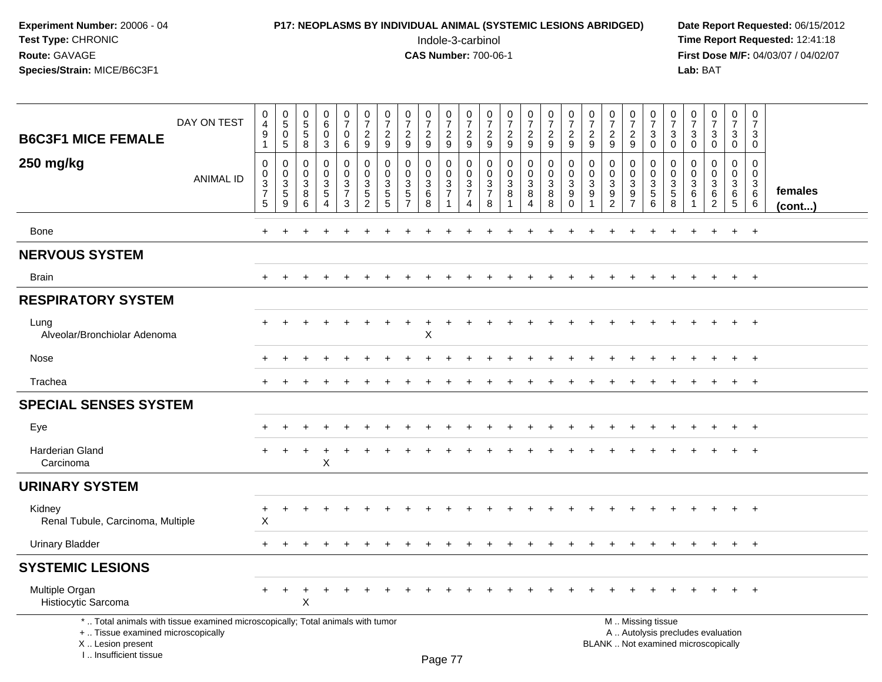## **P17: NEOPLASMS BY INDIVIDUAL ANIMAL (SYSTEMIC LESIONS ABRIDGED)** Date Report Requested: 06/15/2012<br>Indole-3-carbinol **Time Report Requested:** 12:41:18

 Indole-3-carbinol **Time Report Requested:** 12:41:18 **First Dose M/F:** 04/03/07 / 04/02/07<br>Lab: BAT **Lab:** BAT

| DAY ON TEST<br><b>B6C3F1 MICE FEMALE</b>                                                                                                                            | $\pmb{0}$<br>$\overline{\mathbf{4}}$<br>9<br>1                     | $\pmb{0}$<br>$\sqrt{5}$<br>$\mathbf 0$<br>$\sqrt{5}$ | $\,0\,$<br>$\sqrt{5}$<br>5<br>8 | $\pmb{0}$<br>$6\overline{6}$<br>$\mathbf 0$<br>3 | $\pmb{0}$<br>$\overline{7}$<br>0<br>6                  | $\pmb{0}$<br>$\overline{7}$<br>$\boldsymbol{2}$<br>9                     | $\pmb{0}$<br>$\overline{7}$<br>$\overline{2}$<br>9  | $\pmb{0}$<br>$\overline{7}$<br>$\sqrt{2}$<br>9                            | $\pmb{0}$<br>$\overline{7}$<br>$\overline{c}$<br>9 | 0<br>$\overline{7}$<br>$\overline{a}$<br>9          | $\,0\,$<br>$\overline{7}$<br>$\overline{c}$<br>9                    | 0<br>$\overline{7}$<br>$\overline{2}$<br>9          | $\pmb{0}$<br>$\overline{7}$<br>$\overline{c}$<br>$\overline{9}$ | $\pmb{0}$<br>$\overline{7}$<br>$\sqrt{2}$<br>9       | $\pmb{0}$<br>$\overline{7}$<br>$\overline{2}$<br>9 | $\frac{0}{7}$<br>$\overline{a}$<br>9   | $\pmb{0}$<br>$\overline{7}$<br>$\overline{2}$<br>9 | $\frac{0}{7}$<br>$\overline{c}$<br>$9\,$                                         | $\pmb{0}$<br>$\overline{7}$<br>$\overline{c}$<br>$9\,$  | $\mathbf 0$<br>$\overline{7}$<br>$\sqrt{3}$<br>$\mathbf 0$ | $\pmb{0}$<br>$\overline{7}$<br>3<br>$\mathbf 0$ | 0<br>$\overline{7}$<br>3<br>$\mathbf 0$ | $\frac{0}{7}$<br>3<br>$\mathbf 0$                                        | $\pmb{0}$<br>$\overline{7}$<br>3<br>$\mathbf 0$                            | $\mathbf 0$<br>$\overline{7}$<br>$\mathbf{3}$<br>$\mathbf 0$ |                         |
|---------------------------------------------------------------------------------------------------------------------------------------------------------------------|--------------------------------------------------------------------|------------------------------------------------------|---------------------------------|--------------------------------------------------|--------------------------------------------------------|--------------------------------------------------------------------------|-----------------------------------------------------|---------------------------------------------------------------------------|----------------------------------------------------|-----------------------------------------------------|---------------------------------------------------------------------|-----------------------------------------------------|-----------------------------------------------------------------|------------------------------------------------------|----------------------------------------------------|----------------------------------------|----------------------------------------------------|----------------------------------------------------------------------------------|---------------------------------------------------------|------------------------------------------------------------|-------------------------------------------------|-----------------------------------------|--------------------------------------------------------------------------|----------------------------------------------------------------------------|--------------------------------------------------------------|-------------------------|
| 250 mg/kg<br><b>ANIMAL ID</b>                                                                                                                                       | 0<br>$\pmb{0}$<br>$\ensuremath{\mathsf{3}}$<br>$\overline{7}$<br>5 | 0<br>$\mathbf 0$<br>$\sqrt{3}$<br>5<br>9             | 0<br>$\Omega$<br>3<br>8<br>6    | 0<br>0<br>3<br>5<br>$\boldsymbol{\Lambda}$       | $\mathbf 0$<br>$\mathbf 0$<br>3<br>$\overline{7}$<br>3 | $\mathbf 0$<br>$\mathbf 0$<br>$\sqrt{3}$<br>$\sqrt{5}$<br>$\overline{2}$ | 0<br>$\mathbf 0$<br>$\mathbf 3$<br>$\,$ 5 $\,$<br>5 | $\mathbf 0$<br>$\mathbf{0}$<br>$\sqrt{3}$<br>$\sqrt{5}$<br>$\overline{7}$ | 0<br>$\mathbf 0$<br>3<br>$\,6$<br>8                | 0<br>$\mathbf 0$<br>$\frac{3}{7}$<br>$\overline{1}$ | $\mathbf 0$<br>$\mathbf 0$<br>3<br>$\overline{7}$<br>$\overline{4}$ | $\mathbf 0$<br>$\Omega$<br>3<br>$\overline{7}$<br>8 | $\mathbf 0$<br>$\mathbf 0$<br>$\sqrt{3}$<br>8                   | $\mathbf 0$<br>$\mathbf 0$<br>$\mathbf{3}$<br>8<br>4 | 0<br>$\mathbf 0$<br>3<br>8<br>8                    | 0<br>$\mathbf 0$<br>3<br>9<br>$\Omega$ | $\mathbf 0$<br>$\Omega$<br>3<br>9                  | $\mathbf 0$<br>$\mathbf 0$<br>$\ensuremath{\mathsf{3}}$<br>$\boldsymbol{9}$<br>2 | 0<br>$\mathbf 0$<br>$\mathbf{3}$<br>9<br>$\overline{7}$ | 0<br>$\Omega$<br>$\mathbf{3}$<br>5<br>6                    | 0<br>$\Omega$<br>3<br>$5\phantom{.0}$<br>8      | 0<br>$\Omega$<br>3<br>6                 | $\mathbf 0$<br>$\mathbf 0$<br>$\sqrt{3}$<br>$\,6\,$<br>$\overline{2}$    | $\mathbf 0$<br>$\mathbf 0$<br>$\mathbf{3}$<br>$6\phantom{a}$<br>$\sqrt{5}$ | 0<br>$\mathbf 0$<br>3<br>6<br>6                              | females<br>$($ cont $)$ |
| <b>Bone</b>                                                                                                                                                         | $\ddot{}$                                                          |                                                      |                                 |                                                  |                                                        |                                                                          |                                                     |                                                                           |                                                    |                                                     |                                                                     |                                                     |                                                                 |                                                      |                                                    |                                        |                                                    |                                                                                  |                                                         |                                                            |                                                 |                                         | $\ddot{}$                                                                | $\ddot{}$                                                                  | $+$                                                          |                         |
| <b>NERVOUS SYSTEM</b>                                                                                                                                               |                                                                    |                                                      |                                 |                                                  |                                                        |                                                                          |                                                     |                                                                           |                                                    |                                                     |                                                                     |                                                     |                                                                 |                                                      |                                                    |                                        |                                                    |                                                                                  |                                                         |                                                            |                                                 |                                         |                                                                          |                                                                            |                                                              |                         |
| <b>Brain</b>                                                                                                                                                        | $\pm$                                                              |                                                      |                                 |                                                  |                                                        |                                                                          |                                                     |                                                                           |                                                    |                                                     |                                                                     |                                                     |                                                                 |                                                      |                                                    |                                        |                                                    |                                                                                  | $\pm$                                                   |                                                            |                                                 | $\pm$                                   | $+$                                                                      | $+$                                                                        | $+$                                                          |                         |
| <b>RESPIRATORY SYSTEM</b>                                                                                                                                           |                                                                    |                                                      |                                 |                                                  |                                                        |                                                                          |                                                     |                                                                           |                                                    |                                                     |                                                                     |                                                     |                                                                 |                                                      |                                                    |                                        |                                                    |                                                                                  |                                                         |                                                            |                                                 |                                         |                                                                          |                                                                            |                                                              |                         |
| Lung<br>Alveolar/Bronchiolar Adenoma                                                                                                                                |                                                                    |                                                      |                                 |                                                  |                                                        |                                                                          |                                                     | $\pm$                                                                     | $\ddot{}$<br>Χ                                     |                                                     |                                                                     |                                                     |                                                                 |                                                      |                                                    |                                        |                                                    |                                                                                  |                                                         |                                                            |                                                 |                                         |                                                                          | $\ddot{}$                                                                  | $+$                                                          |                         |
| Nose                                                                                                                                                                |                                                                    |                                                      |                                 |                                                  |                                                        |                                                                          |                                                     |                                                                           |                                                    |                                                     |                                                                     |                                                     |                                                                 |                                                      |                                                    |                                        |                                                    |                                                                                  |                                                         |                                                            |                                                 |                                         |                                                                          |                                                                            | $^{+}$                                                       |                         |
| Trachea                                                                                                                                                             | $\ddot{}$                                                          |                                                      |                                 |                                                  |                                                        |                                                                          |                                                     |                                                                           |                                                    |                                                     |                                                                     |                                                     |                                                                 |                                                      |                                                    |                                        |                                                    |                                                                                  |                                                         |                                                            |                                                 | $\ddot{}$                               | $\pm$                                                                    | $+$                                                                        | $+$                                                          |                         |
| <b>SPECIAL SENSES SYSTEM</b>                                                                                                                                        |                                                                    |                                                      |                                 |                                                  |                                                        |                                                                          |                                                     |                                                                           |                                                    |                                                     |                                                                     |                                                     |                                                                 |                                                      |                                                    |                                        |                                                    |                                                                                  |                                                         |                                                            |                                                 |                                         |                                                                          |                                                                            |                                                              |                         |
| Eye                                                                                                                                                                 |                                                                    |                                                      |                                 |                                                  |                                                        |                                                                          |                                                     |                                                                           |                                                    |                                                     |                                                                     |                                                     |                                                                 |                                                      |                                                    |                                        |                                                    |                                                                                  |                                                         |                                                            |                                                 |                                         |                                                                          | $\ddot{}$                                                                  | $+$                                                          |                         |
| <b>Harderian Gland</b><br>Carcinoma                                                                                                                                 |                                                                    |                                                      |                                 | ÷<br>X                                           |                                                        |                                                                          |                                                     |                                                                           |                                                    |                                                     |                                                                     |                                                     |                                                                 |                                                      |                                                    |                                        |                                                    |                                                                                  |                                                         |                                                            |                                                 |                                         |                                                                          | $+$                                                                        | $+$                                                          |                         |
| <b>URINARY SYSTEM</b>                                                                                                                                               |                                                                    |                                                      |                                 |                                                  |                                                        |                                                                          |                                                     |                                                                           |                                                    |                                                     |                                                                     |                                                     |                                                                 |                                                      |                                                    |                                        |                                                    |                                                                                  |                                                         |                                                            |                                                 |                                         |                                                                          |                                                                            |                                                              |                         |
| Kidney<br>Renal Tubule, Carcinoma, Multiple                                                                                                                         | $^{+}$<br>$\boldsymbol{\mathsf{X}}$                                | +                                                    |                                 |                                                  |                                                        |                                                                          |                                                     |                                                                           |                                                    |                                                     |                                                                     |                                                     |                                                                 |                                                      |                                                    |                                        |                                                    |                                                                                  | $\div$                                                  |                                                            |                                                 |                                         | $\overline{+}$                                                           | $+$                                                                        | $+$                                                          |                         |
| <b>Urinary Bladder</b>                                                                                                                                              | $\pm$                                                              |                                                      |                                 |                                                  |                                                        |                                                                          |                                                     |                                                                           |                                                    |                                                     |                                                                     |                                                     |                                                                 |                                                      |                                                    |                                        |                                                    |                                                                                  |                                                         |                                                            |                                                 |                                         | $\overline{+}$                                                           | $+$                                                                        | $+$                                                          |                         |
| <b>SYSTEMIC LESIONS</b>                                                                                                                                             |                                                                    |                                                      |                                 |                                                  |                                                        |                                                                          |                                                     |                                                                           |                                                    |                                                     |                                                                     |                                                     |                                                                 |                                                      |                                                    |                                        |                                                    |                                                                                  |                                                         |                                                            |                                                 |                                         |                                                                          |                                                                            |                                                              |                         |
| Multiple Organ<br>Histiocytic Sarcoma                                                                                                                               | $\ddot{}$                                                          | $\ddot{}$                                            | $\ddot{}$<br>X                  | ÷.                                               | ÷.                                                     |                                                                          |                                                     |                                                                           |                                                    |                                                     |                                                                     |                                                     |                                                                 |                                                      |                                                    |                                        |                                                    |                                                                                  |                                                         |                                                            |                                                 |                                         |                                                                          | $+$                                                                        | $+$                                                          |                         |
| *  Total animals with tissue examined microscopically; Total animals with tumor<br>+  Tissue examined microscopically<br>X  Lesion present<br>I Insufficient tissue |                                                                    |                                                      |                                 |                                                  |                                                        |                                                                          |                                                     |                                                                           |                                                    | <b>Dogo</b> 77                                      |                                                                     |                                                     |                                                                 |                                                      |                                                    |                                        |                                                    |                                                                                  |                                                         | M  Missing tissue                                          |                                                 |                                         | A  Autolysis precludes evaluation<br>BLANK  Not examined microscopically |                                                                            |                                                              |                         |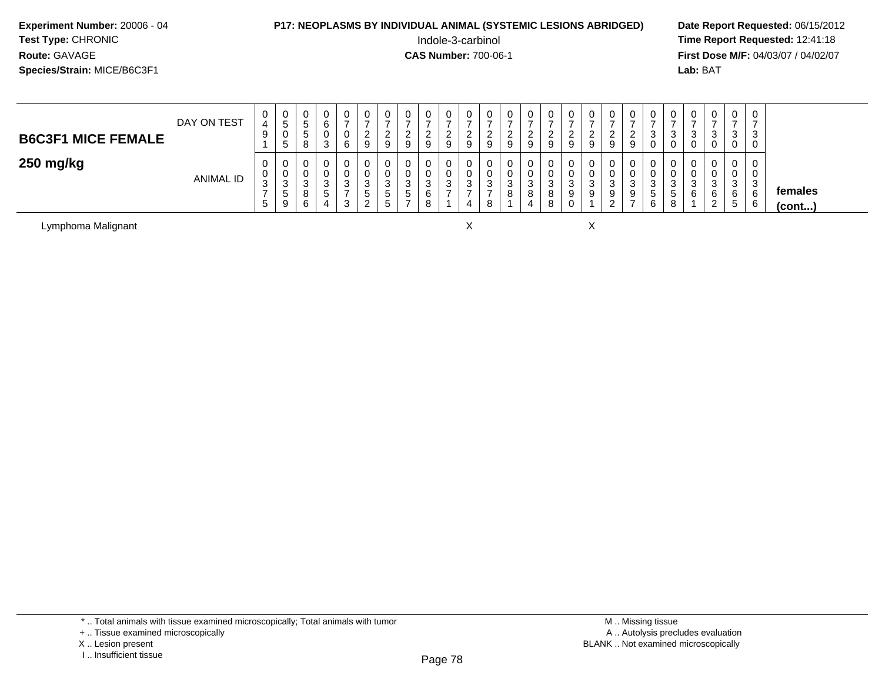### **P17: NEOPLASMS BY INDIVIDUAL ANIMAL (SYSTEMIC LESIONS ABRIDGED)** Date Report Requested: 06/15/2012<br>Indole-3-carbinol **Time Report Requested:** 12:41:18

 Indole-3-carbinol **Time Report Requested:** 12:41:18 **First Dose M/F:** 04/03/07 / 04/02/07<br>Lab: BAT **Lab:** BAT

| <b>B6C3F1 MICE FEMALE</b> | DAY ON TEST      | 0<br>4<br>9                       | v<br>N<br>J       | ັ            | υ<br>b      | U<br>0<br>6 | 0<br>-<br><u>_</u><br>9            | U<br>ົ<br>9                                 | υ<br>-<br>9 |   | U<br>ົ<br>9      | U<br><u>.</u><br>9 | -9            | ◡<br>У           | v<br>a<br>÷      | U<br>9           | U<br><u>.</u><br>9 | 0<br>ົ<br><u>_</u><br>9           | 0<br>ົ<br>9                       | 0<br><sup>o</sup><br>ບ<br>0            |   | U<br>د                | υ                       | 0<br>3<br>0                      | U<br>ົ<br>J<br>U       |                         |
|---------------------------|------------------|-----------------------------------|-------------------|--------------|-------------|-------------|------------------------------------|---------------------------------------------|-------------|---|------------------|--------------------|---------------|------------------|------------------|------------------|--------------------|-----------------------------------|-----------------------------------|----------------------------------------|---|-----------------------|-------------------------|----------------------------------|------------------------|-------------------------|
| 250 mg/kg                 | <b>ANIMAL ID</b> | 0<br>0<br>C<br>ັບ<br><sub>5</sub> | J<br>∽<br>ູບ<br>9 | ت<br>o<br>ิด | u<br>J<br>N | O<br>3<br>3 | 3<br>$\mathbf{p}$<br>ົ<br><u>_</u> | U<br>U<br>3<br>$\mathbf{p}$<br><sub>5</sub> | ບ<br>∽<br>ັ | ు | v<br>υ<br>ົ<br>ۍ | っ<br>J             | -3<br>$\circ$ | ◡<br>◡<br>ັ<br>o | ີ<br>J<br>8<br>4 | u<br>u<br>N<br>9 | U<br>υ<br>3<br>9   | 0<br>0<br>3<br>9<br>ົ<br><u>_</u> | 0<br>0<br>3<br>9<br>$\rightarrow$ | 0<br>0<br><sup>o</sup><br>ບ<br>C.<br>6 | G | 0<br>◡<br>ົ<br>ۍ<br>6 | U<br>າ<br>6<br><u>.</u> | 0<br>0<br>3<br>6<br><sub>5</sub> | U<br>v<br>J.<br>6<br>6 | females<br>$($ cont $)$ |

Lymphoma Malignantt and the set of the set of the set of the set of the set of the set of the set of the set of the set of the s

 $\mathsf{x}$  x

<sup>\* ..</sup> Total animals with tissue examined microscopically; Total animals with tumor

<sup>+ ..</sup> Tissue examined microscopically

X .. Lesion present

I .. Insufficient tissue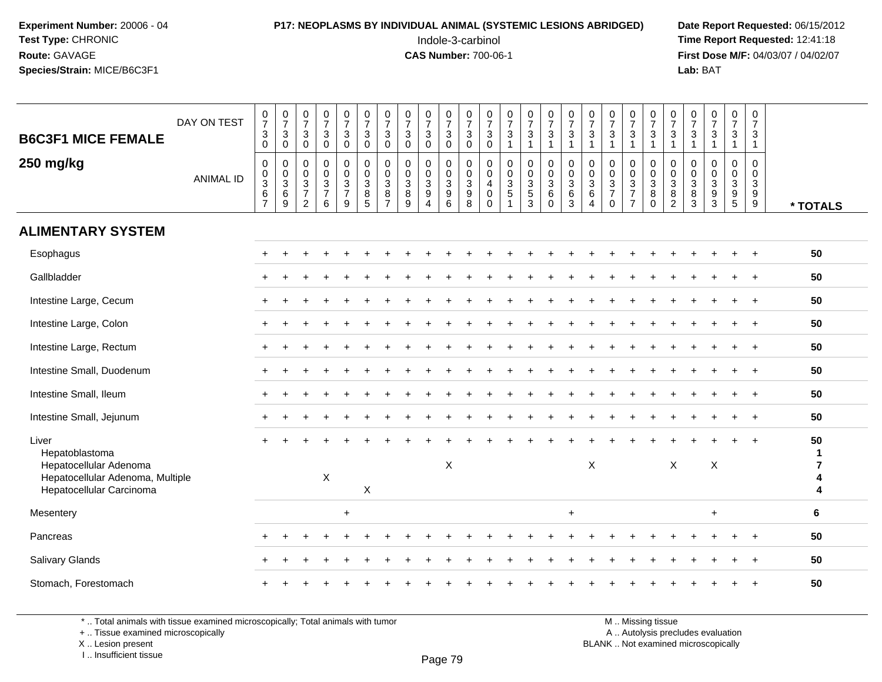### **P17: NEOPLASMS BY INDIVIDUAL ANIMAL (SYSTEMIC LESIONS ABRIDGED)** Date Report Requested: 06/15/2012<br>Indole-3-carbinol **Time Report Requested:** 12:41:18

 Indole-3-carbinol **Time Report Requested:** 12:41:18 **First Dose M/F:** 04/03/07 / 04/02/07<br>Lab: BAT **Lab:** BAT

| <b>B6C3F1 MICE FEMALE</b><br>250 mg/kg                                                                            | DAY ON TEST<br><b>ANIMAL ID</b> | $\frac{0}{7}$<br>$\sqrt{3}$<br>$\mathbf 0$<br>$\mathbf 0$<br>$_{3}^{\rm 0}$<br>$\,6\,$<br>$\overline{7}$ | $\frac{0}{7}$<br>$\mathbf{3}$<br>$\mathbf 0$<br>$\boldsymbol{0}$<br>$\boldsymbol{0}$<br>$\sqrt{3}$<br>$\,6\,$<br>9 | $\frac{0}{7}$<br>$\mathsf 3$<br>$\mathbf 0$<br>$\mathsf{O}\xspace$<br>$\mathsf 0$<br>$\mathbf{3}$<br>$\overline{7}$<br>$\overline{2}$ | $\frac{0}{7}$<br>$\mathbf{3}$<br>$\mathbf 0$<br>$\mathbf 0$<br>$\boldsymbol{0}$<br>3<br>$\overline{7}$<br>6 | $\begin{array}{c} 0 \\ 7 \end{array}$<br>$\mathbf{3}$<br>0<br>$\pmb{0}$<br>$\mathsf{O}\xspace$<br>$\ensuremath{\mathsf{3}}$<br>$\overline{7}$<br>9 | $\frac{0}{7}$<br>$\sqrt{3}$<br>$\mathbf 0$<br>$\mathbf 0$<br>$\pmb{0}$<br>$\overline{3}$<br>$\, 8$<br>$\sqrt{5}$ | $\frac{0}{7}$<br>3<br>$\mathbf 0$<br>$\mathbf 0$<br>$\mathbf 0$<br>$\sqrt{3}$<br>$\bf 8$<br>$\overline{7}$ | $\frac{0}{7}$<br>$\mathbf{3}$<br>$\overline{0}$<br>$\mathbf 0$<br>$\mathbf 0$<br>$\mathbf{3}$<br>8<br>9 | $\frac{0}{7}$<br>$\mathbf{3}$<br>$\Omega$<br>0<br>$\mathbf 0$<br>$\mathbf{3}$<br>9<br>4 | $\begin{array}{c} 0 \\ 7 \end{array}$<br>$\mathsf 3$<br>$\mathbf 0$<br>$\mathbf 0$<br>$\mathbf 0$<br>$\sqrt{3}$<br>$\boldsymbol{9}$<br>6 | $\frac{0}{7}$<br>$\ensuremath{\mathsf{3}}$<br>$\mathbf 0$<br>$\pmb{0}$<br>$\mathbf 0$<br>$\mathbf{3}$<br>$\boldsymbol{9}$<br>8 | $\begin{array}{c} 0 \\ 7 \end{array}$<br>3<br>$\mathbf 0$<br>$\mathbf 0$<br>$\mathbf 0$<br>$\overline{4}$<br>0<br>$\mathbf{0}$ | $\frac{0}{7}$<br>3<br>-1<br>$\mathbf 0$<br>$\mathbf 0$<br>$\mathbf 3$<br>5<br>-1 | $\begin{array}{c} 0 \\ 7 \end{array}$<br>$\mathbf{3}$<br>$\mathbf{1}$<br>$\pmb{0}$<br>$\pmb{0}$<br>$\ensuremath{\mathsf{3}}$<br>$\sqrt{5}$<br>$\mathbf{3}$ | $\frac{0}{7}$<br>$\mathbf{3}$<br>$\mathbf{1}$<br>$\mathbf 0$<br>$\mathsf{O}\xspace$<br>$\mathsf 3$<br>6<br>$\Omega$ | $\frac{0}{7}$<br>3<br>$\mathbf{1}$<br>0<br>$\pmb{0}$<br>3<br>$\,6\,$<br>3 | $\frac{0}{7}$<br>$\mathbf{3}$<br>$\overline{1}$<br>$\mathbf 0$<br>0<br>$\sqrt{3}$<br>$\,6$<br>4 | $\frac{0}{7}$<br>$\mathsf 3$<br>$\mathbf 0$<br>$\pmb{0}$<br>$\overline{3}$<br>$\overline{7}$<br>$\mathbf{0}$ | $\frac{0}{7}$<br>3<br>$\overline{\mathbf{1}}$<br>$\mathbf 0$<br>$\mathbf 0$<br>$\ensuremath{\mathsf{3}}$<br>$\overline{7}$<br>$\overline{7}$ | $\frac{0}{7}$<br>$\mathbf 3$<br>$\overline{1}$<br>$\mathbf 0$<br>$\mathbf 0$<br>$\overline{3}$<br>$\,8\,$<br>$\Omega$ | 0<br>$\overline{7}$<br>$\mathbf{3}$<br>$\mathbf 1$<br>$\mathbf 0$<br>$\pmb{0}$<br>$\mathbf{3}$<br>8<br>2 | $\frac{0}{7}$<br>3<br>$\overline{1}$<br>0<br>$\mathbf 0$<br>$\mathbf{3}$<br>8<br>3 | $\frac{0}{7}$<br>$\mathbf{3}$<br>$\mathbf{1}$<br>$\mathsf 0$<br>$\pmb{0}$<br>$\overline{3}$<br>$\boldsymbol{9}$<br>3 | $\begin{array}{c} 0 \\ 7 \end{array}$<br>$\mathbf{3}$<br>$\mathbf{1}$<br>$\mathbf 0$<br>$\mathbf 0$<br>$\mathsf 3$<br>$\boldsymbol{9}$<br>$\sqrt{5}$ | 0<br>$\overline{7}$<br>3<br>$\overline{1}$<br>$\Omega$<br>$\mathbf 0$<br>$\mathbf{3}$<br>9<br>9 | * TOTALS               |
|-------------------------------------------------------------------------------------------------------------------|---------------------------------|----------------------------------------------------------------------------------------------------------|--------------------------------------------------------------------------------------------------------------------|---------------------------------------------------------------------------------------------------------------------------------------|-------------------------------------------------------------------------------------------------------------|----------------------------------------------------------------------------------------------------------------------------------------------------|------------------------------------------------------------------------------------------------------------------|------------------------------------------------------------------------------------------------------------|---------------------------------------------------------------------------------------------------------|-----------------------------------------------------------------------------------------|------------------------------------------------------------------------------------------------------------------------------------------|--------------------------------------------------------------------------------------------------------------------------------|--------------------------------------------------------------------------------------------------------------------------------|----------------------------------------------------------------------------------|------------------------------------------------------------------------------------------------------------------------------------------------------------|---------------------------------------------------------------------------------------------------------------------|---------------------------------------------------------------------------|-------------------------------------------------------------------------------------------------|--------------------------------------------------------------------------------------------------------------|----------------------------------------------------------------------------------------------------------------------------------------------|-----------------------------------------------------------------------------------------------------------------------|----------------------------------------------------------------------------------------------------------|------------------------------------------------------------------------------------|----------------------------------------------------------------------------------------------------------------------|------------------------------------------------------------------------------------------------------------------------------------------------------|-------------------------------------------------------------------------------------------------|------------------------|
| <b>ALIMENTARY SYSTEM</b>                                                                                          |                                 |                                                                                                          |                                                                                                                    |                                                                                                                                       |                                                                                                             |                                                                                                                                                    |                                                                                                                  |                                                                                                            |                                                                                                         |                                                                                         |                                                                                                                                          |                                                                                                                                |                                                                                                                                |                                                                                  |                                                                                                                                                            |                                                                                                                     |                                                                           |                                                                                                 |                                                                                                              |                                                                                                                                              |                                                                                                                       |                                                                                                          |                                                                                    |                                                                                                                      |                                                                                                                                                      |                                                                                                 |                        |
| Esophagus                                                                                                         |                                 |                                                                                                          |                                                                                                                    |                                                                                                                                       |                                                                                                             |                                                                                                                                                    |                                                                                                                  |                                                                                                            |                                                                                                         |                                                                                         |                                                                                                                                          |                                                                                                                                |                                                                                                                                |                                                                                  |                                                                                                                                                            |                                                                                                                     |                                                                           |                                                                                                 |                                                                                                              |                                                                                                                                              |                                                                                                                       |                                                                                                          |                                                                                    |                                                                                                                      |                                                                                                                                                      |                                                                                                 | 50                     |
| Gallbladder                                                                                                       |                                 |                                                                                                          |                                                                                                                    |                                                                                                                                       |                                                                                                             |                                                                                                                                                    |                                                                                                                  |                                                                                                            |                                                                                                         |                                                                                         |                                                                                                                                          |                                                                                                                                |                                                                                                                                |                                                                                  |                                                                                                                                                            |                                                                                                                     |                                                                           |                                                                                                 |                                                                                                              |                                                                                                                                              |                                                                                                                       |                                                                                                          |                                                                                    |                                                                                                                      |                                                                                                                                                      | $+$                                                                                             | 50                     |
| Intestine Large, Cecum                                                                                            |                                 |                                                                                                          |                                                                                                                    |                                                                                                                                       |                                                                                                             |                                                                                                                                                    |                                                                                                                  |                                                                                                            |                                                                                                         |                                                                                         |                                                                                                                                          |                                                                                                                                |                                                                                                                                |                                                                                  |                                                                                                                                                            |                                                                                                                     |                                                                           |                                                                                                 |                                                                                                              |                                                                                                                                              |                                                                                                                       |                                                                                                          |                                                                                    |                                                                                                                      |                                                                                                                                                      |                                                                                                 | 50                     |
| Intestine Large, Colon                                                                                            |                                 |                                                                                                          |                                                                                                                    |                                                                                                                                       |                                                                                                             |                                                                                                                                                    |                                                                                                                  |                                                                                                            |                                                                                                         |                                                                                         |                                                                                                                                          |                                                                                                                                |                                                                                                                                |                                                                                  |                                                                                                                                                            |                                                                                                                     |                                                                           |                                                                                                 |                                                                                                              |                                                                                                                                              |                                                                                                                       |                                                                                                          |                                                                                    |                                                                                                                      |                                                                                                                                                      |                                                                                                 | 50                     |
| Intestine Large, Rectum                                                                                           |                                 |                                                                                                          |                                                                                                                    |                                                                                                                                       |                                                                                                             |                                                                                                                                                    |                                                                                                                  |                                                                                                            |                                                                                                         |                                                                                         |                                                                                                                                          |                                                                                                                                |                                                                                                                                |                                                                                  |                                                                                                                                                            |                                                                                                                     |                                                                           |                                                                                                 |                                                                                                              |                                                                                                                                              |                                                                                                                       |                                                                                                          |                                                                                    |                                                                                                                      |                                                                                                                                                      |                                                                                                 | 50                     |
| Intestine Small, Duodenum                                                                                         |                                 |                                                                                                          |                                                                                                                    |                                                                                                                                       |                                                                                                             |                                                                                                                                                    |                                                                                                                  |                                                                                                            |                                                                                                         |                                                                                         |                                                                                                                                          |                                                                                                                                |                                                                                                                                |                                                                                  |                                                                                                                                                            |                                                                                                                     |                                                                           |                                                                                                 |                                                                                                              |                                                                                                                                              |                                                                                                                       |                                                                                                          |                                                                                    |                                                                                                                      |                                                                                                                                                      | $+$                                                                                             | 50                     |
| Intestine Small, Ileum                                                                                            |                                 |                                                                                                          |                                                                                                                    |                                                                                                                                       |                                                                                                             |                                                                                                                                                    |                                                                                                                  |                                                                                                            |                                                                                                         |                                                                                         |                                                                                                                                          |                                                                                                                                |                                                                                                                                |                                                                                  |                                                                                                                                                            |                                                                                                                     |                                                                           |                                                                                                 |                                                                                                              |                                                                                                                                              |                                                                                                                       |                                                                                                          |                                                                                    |                                                                                                                      |                                                                                                                                                      | $\ddot{}$                                                                                       | 50                     |
| Intestine Small, Jejunum                                                                                          |                                 |                                                                                                          |                                                                                                                    |                                                                                                                                       |                                                                                                             |                                                                                                                                                    |                                                                                                                  |                                                                                                            |                                                                                                         |                                                                                         |                                                                                                                                          |                                                                                                                                |                                                                                                                                |                                                                                  |                                                                                                                                                            |                                                                                                                     |                                                                           |                                                                                                 |                                                                                                              |                                                                                                                                              |                                                                                                                       |                                                                                                          |                                                                                    |                                                                                                                      |                                                                                                                                                      | $+$                                                                                             | 50                     |
| Liver<br>Hepatoblastoma<br>Hepatocellular Adenoma<br>Hepatocellular Adenoma, Multiple<br>Hepatocellular Carcinoma |                                 |                                                                                                          |                                                                                                                    |                                                                                                                                       | X                                                                                                           |                                                                                                                                                    | X                                                                                                                |                                                                                                            |                                                                                                         |                                                                                         | $\pmb{\times}$                                                                                                                           |                                                                                                                                |                                                                                                                                |                                                                                  |                                                                                                                                                            |                                                                                                                     |                                                                           | $\pmb{\times}$                                                                                  |                                                                                                              |                                                                                                                                              |                                                                                                                       | $\mathsf{X}$                                                                                             |                                                                                    | $\boldsymbol{\mathsf{X}}$                                                                                            |                                                                                                                                                      |                                                                                                 | 50<br>1<br>7<br>4<br>4 |
| Mesentery                                                                                                         |                                 |                                                                                                          |                                                                                                                    |                                                                                                                                       |                                                                                                             | $+$                                                                                                                                                |                                                                                                                  |                                                                                                            |                                                                                                         |                                                                                         |                                                                                                                                          |                                                                                                                                |                                                                                                                                |                                                                                  |                                                                                                                                                            |                                                                                                                     | $+$                                                                       |                                                                                                 |                                                                                                              |                                                                                                                                              |                                                                                                                       |                                                                                                          |                                                                                    | $+$                                                                                                                  |                                                                                                                                                      |                                                                                                 | 6                      |
| Pancreas                                                                                                          |                                 |                                                                                                          |                                                                                                                    |                                                                                                                                       |                                                                                                             |                                                                                                                                                    |                                                                                                                  |                                                                                                            |                                                                                                         |                                                                                         |                                                                                                                                          |                                                                                                                                |                                                                                                                                |                                                                                  |                                                                                                                                                            |                                                                                                                     |                                                                           |                                                                                                 |                                                                                                              |                                                                                                                                              |                                                                                                                       |                                                                                                          |                                                                                    |                                                                                                                      |                                                                                                                                                      |                                                                                                 | 50                     |
| Salivary Glands                                                                                                   |                                 |                                                                                                          |                                                                                                                    |                                                                                                                                       |                                                                                                             |                                                                                                                                                    |                                                                                                                  |                                                                                                            |                                                                                                         |                                                                                         |                                                                                                                                          |                                                                                                                                |                                                                                                                                |                                                                                  |                                                                                                                                                            |                                                                                                                     |                                                                           |                                                                                                 |                                                                                                              |                                                                                                                                              |                                                                                                                       |                                                                                                          |                                                                                    |                                                                                                                      |                                                                                                                                                      |                                                                                                 | 50                     |
| Stomach, Forestomach                                                                                              |                                 |                                                                                                          |                                                                                                                    |                                                                                                                                       |                                                                                                             |                                                                                                                                                    |                                                                                                                  |                                                                                                            |                                                                                                         |                                                                                         |                                                                                                                                          |                                                                                                                                |                                                                                                                                |                                                                                  |                                                                                                                                                            |                                                                                                                     |                                                                           |                                                                                                 |                                                                                                              |                                                                                                                                              |                                                                                                                       |                                                                                                          |                                                                                    |                                                                                                                      |                                                                                                                                                      |                                                                                                 | 50                     |

\* .. Total animals with tissue examined microscopically; Total animals with tumor

+ .. Tissue examined microscopically

X .. Lesion present

I .. Insufficient tissue

M .. Missing tissue

y the contract of the contract of the contract of the contract of the contract of  $\mathsf A$  . Autolysis precludes evaluation

Lesion present BLANK .. Not examined microscopically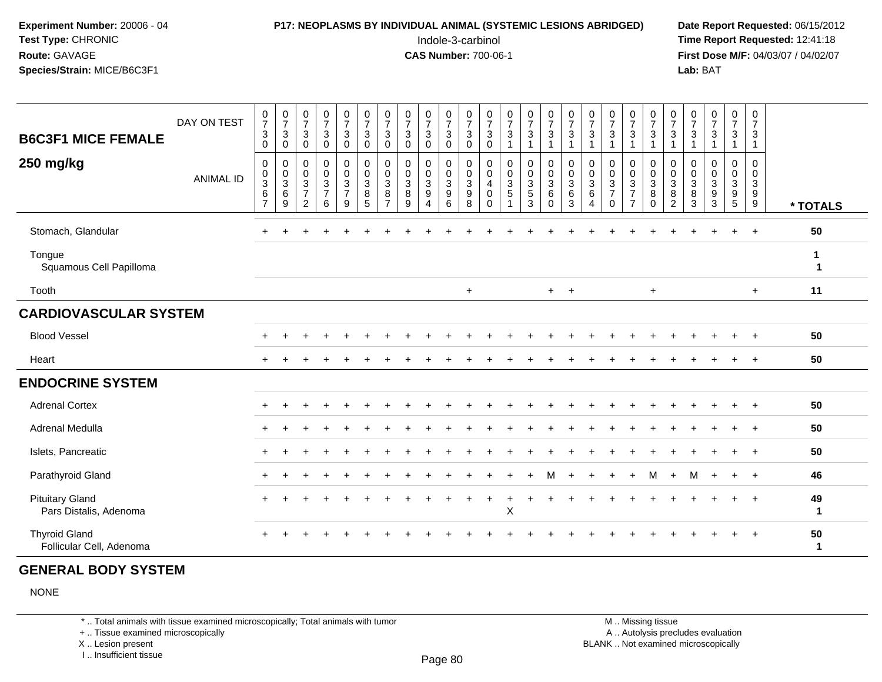### **P17: NEOPLASMS BY INDIVIDUAL ANIMAL (SYSTEMIC LESIONS ABRIDGED)** Date Report Requested: 06/15/2012<br>Indole-3-carbinol **Time Report Requested:** 12:41:18

 Indole-3-carbinol **Time Report Requested:** 12:41:18 **First Dose M/F:** 04/03/07 / 04/02/07<br>Lab: BAT **Lab:** BAT

| <b>B6C3F1 MICE FEMALE</b>                        | DAY ON TEST      | $\frac{0}{7}$<br>3<br>$\mathbf 0$                                | $\frac{0}{7}$<br>$\mathbf{3}$<br>0                                           | $\frac{0}{7}$<br>$\mathbf 3$<br>0                           | $\frac{0}{7}$<br>$\sqrt{3}$<br>$\pmb{0}$         | $\frac{0}{7}$<br>$\mathbf{3}$<br>$\pmb{0}$     | $\frac{0}{7}$<br>$\mathbf{3}$<br>$\mathbf 0$                                       | $\begin{array}{c} 0 \\ 7 \end{array}$<br>$\mathbf{3}$<br>0        | $\begin{array}{c} 0 \\ 7 \end{array}$<br>$\mathbf 3$<br>$\mathbf 0$ | $\frac{0}{7}$<br>3<br>$\mathbf 0$            | $\begin{array}{c} 0 \\ 7 \\ 3 \end{array}$<br>$\overline{0}$ | $\frac{0}{7}$<br>$\sqrt{3}$<br>$\pmb{0}$                                                       | $\frac{0}{7}$<br>$\sqrt{3}$<br>$\pmb{0}$                                   | $\frac{0}{7}$<br>$\sqrt{3}$<br>$\mathbf{1}$                                           | $\frac{0}{7}$<br>3              | $\frac{0}{7}$<br>$\mathbf{3}$<br>$\mathbf{1}$       | $\frac{0}{7}$<br>$\sqrt{3}$                                                                | $\frac{0}{7}$<br>$\mathbf 3$<br>$\overline{1}$                                     | $\frac{0}{7}$<br>$\sqrt{3}$<br>$\mathbf{1}$                              | $\frac{0}{7}$<br>$\mathbf{3}$<br>$\mathbf{1}$   | $\begin{array}{c} 0 \\ 7 \end{array}$<br>3<br>$\mathbf{1}$ | $\frac{0}{7}$<br>$\sqrt{3}$<br>1                                           | $\frac{0}{7}$<br>3<br>$\overline{1}$      | $\frac{0}{7}$<br>$\ensuremath{\mathsf{3}}$<br>$\mathbf{1}$             | $\frac{0}{7}$<br>$\mathbf{3}$<br>$\mathbf{1}$ | $\begin{array}{c} 0 \\ 7 \end{array}$<br>$\mathbf{3}$<br>$\mathbf{1}$ |          |
|--------------------------------------------------|------------------|------------------------------------------------------------------|------------------------------------------------------------------------------|-------------------------------------------------------------|--------------------------------------------------|------------------------------------------------|------------------------------------------------------------------------------------|-------------------------------------------------------------------|---------------------------------------------------------------------|----------------------------------------------|--------------------------------------------------------------|------------------------------------------------------------------------------------------------|----------------------------------------------------------------------------|---------------------------------------------------------------------------------------|---------------------------------|-----------------------------------------------------|--------------------------------------------------------------------------------------------|------------------------------------------------------------------------------------|--------------------------------------------------------------------------|-------------------------------------------------|------------------------------------------------------------|----------------------------------------------------------------------------|-------------------------------------------|------------------------------------------------------------------------|-----------------------------------------------|-----------------------------------------------------------------------|----------|
| 250 mg/kg                                        | <b>ANIMAL ID</b> | $\mathbf 0$<br>$\mathbf 0$<br>$\mathbf 3$<br>6<br>$\overline{7}$ | 0<br>$\mathbf 0$<br>$\ensuremath{\mathsf{3}}$<br>$\,6\,$<br>$\boldsymbol{9}$ | $\mathbf 0$<br>$\pmb{0}$<br>$\frac{3}{7}$<br>$\overline{2}$ | $\mathbf 0$<br>$\mathbf 0$<br>$\frac{3}{7}$<br>6 | $\pmb{0}$<br>$\mathbf 0$<br>$\frac{3}{7}$<br>9 | $\pmb{0}$<br>$\mathbf 0$<br>$\ensuremath{\mathsf{3}}$<br>$\bf 8$<br>$\overline{5}$ | $\mathbf 0$<br>$\mathbf 0$<br>$\mathbf{3}$<br>8<br>$\overline{7}$ | $\mathbf 0$<br>$\mathbf 0$<br>$\sqrt{3}$<br>8<br>9                  | 0<br>$\mathbf 0$<br>3<br>9<br>$\overline{4}$ | 0<br>$\pmb{0}$<br>$\frac{3}{9}$<br>6                         | $\,0\,$<br>$\boldsymbol{0}$<br>$\ensuremath{\mathsf{3}}$<br>$\boldsymbol{9}$<br>$\overline{8}$ | $\mathbf 0$<br>$\mathbf 0$<br>$\overline{4}$<br>$\mathbf 0$<br>$\mathbf 0$ | $\mathbf 0$<br>$\mathbf 0$<br>$\sqrt{3}$<br>$\overline{5}$<br>$\overline{\mathbf{1}}$ | 0<br>$\mathbf 0$<br>3<br>5<br>3 | 0<br>$\mathbf 0$<br>$\mathfrak{S}$<br>6<br>$\Omega$ | $\pmb{0}$<br>$\ddot{\mathbf{0}}$<br>$\ensuremath{\mathsf{3}}$<br>$\,6\,$<br>$\mathfrak{Z}$ | $\mathbf 0$<br>$\pmb{0}$<br>$\ensuremath{\mathsf{3}}$<br>$\,6\,$<br>$\overline{4}$ | $\mathbf 0$<br>$\mathbf 0$<br>$\mathbf{3}$<br>$\overline{7}$<br>$\Omega$ | 0<br>0<br>3<br>$\overline{7}$<br>$\overline{7}$ | 0<br>$\mathbf 0$<br>$\sqrt{3}$<br>8<br>$\Omega$            | 0<br>$\mathsf 0$<br>$\ensuremath{\mathsf{3}}$<br>$\bf 8$<br>$\overline{2}$ | 0<br>0<br>$\sqrt{3}$<br>8<br>$\mathbf{3}$ | 0<br>$\mathbf 0$<br>$\mathbf{3}$<br>$\boldsymbol{9}$<br>$\overline{3}$ | 0<br>0<br>$\overline{3}$<br>$\frac{9}{5}$     | 0<br>$\mathbf 0$<br>$\ensuremath{\mathsf{3}}$<br>$^9_9$               | * TOTALS |
| Stomach, Glandular                               |                  | $\div$                                                           |                                                                              |                                                             |                                                  |                                                |                                                                                    |                                                                   |                                                                     |                                              |                                                              |                                                                                                |                                                                            |                                                                                       |                                 |                                                     |                                                                                            |                                                                                    |                                                                          |                                                 |                                                            |                                                                            |                                           |                                                                        |                                               | $+$                                                                   | 50       |
| Tongue<br>Squamous Cell Papilloma                |                  |                                                                  |                                                                              |                                                             |                                                  |                                                |                                                                                    |                                                                   |                                                                     |                                              |                                                              |                                                                                                |                                                                            |                                                                                       |                                 |                                                     |                                                                                            |                                                                                    |                                                                          |                                                 |                                                            |                                                                            |                                           |                                                                        |                                               |                                                                       | 1<br>1   |
| Tooth                                            |                  |                                                                  |                                                                              |                                                             |                                                  |                                                |                                                                                    |                                                                   |                                                                     |                                              |                                                              | $\ddot{}$                                                                                      |                                                                            |                                                                                       |                                 | $+$ $+$                                             |                                                                                            |                                                                                    |                                                                          |                                                 | $\ddot{}$                                                  |                                                                            |                                           |                                                                        |                                               | $+$                                                                   | 11       |
| <b>CARDIOVASCULAR SYSTEM</b>                     |                  |                                                                  |                                                                              |                                                             |                                                  |                                                |                                                                                    |                                                                   |                                                                     |                                              |                                                              |                                                                                                |                                                                            |                                                                                       |                                 |                                                     |                                                                                            |                                                                                    |                                                                          |                                                 |                                                            |                                                                            |                                           |                                                                        |                                               |                                                                       |          |
| <b>Blood Vessel</b>                              |                  |                                                                  |                                                                              |                                                             |                                                  |                                                |                                                                                    |                                                                   |                                                                     |                                              |                                                              |                                                                                                |                                                                            |                                                                                       |                                 |                                                     |                                                                                            |                                                                                    |                                                                          |                                                 |                                                            |                                                                            |                                           |                                                                        |                                               |                                                                       | 50       |
| Heart                                            |                  |                                                                  |                                                                              |                                                             |                                                  |                                                |                                                                                    |                                                                   |                                                                     |                                              |                                                              |                                                                                                |                                                                            |                                                                                       |                                 |                                                     |                                                                                            |                                                                                    |                                                                          |                                                 |                                                            |                                                                            |                                           |                                                                        |                                               | $\ddot{}$                                                             | 50       |
| <b>ENDOCRINE SYSTEM</b>                          |                  |                                                                  |                                                                              |                                                             |                                                  |                                                |                                                                                    |                                                                   |                                                                     |                                              |                                                              |                                                                                                |                                                                            |                                                                                       |                                 |                                                     |                                                                                            |                                                                                    |                                                                          |                                                 |                                                            |                                                                            |                                           |                                                                        |                                               |                                                                       |          |
| <b>Adrenal Cortex</b>                            |                  |                                                                  |                                                                              |                                                             |                                                  |                                                |                                                                                    |                                                                   |                                                                     |                                              |                                                              |                                                                                                |                                                                            |                                                                                       |                                 |                                                     |                                                                                            |                                                                                    |                                                                          |                                                 |                                                            |                                                                            |                                           |                                                                        |                                               | $\overline{+}$                                                        | 50       |
| Adrenal Medulla                                  |                  |                                                                  |                                                                              |                                                             |                                                  |                                                |                                                                                    |                                                                   |                                                                     |                                              |                                                              |                                                                                                |                                                                            |                                                                                       |                                 |                                                     |                                                                                            |                                                                                    |                                                                          |                                                 |                                                            |                                                                            |                                           |                                                                        |                                               |                                                                       | 50       |
| Islets, Pancreatic                               |                  |                                                                  |                                                                              |                                                             |                                                  |                                                |                                                                                    |                                                                   |                                                                     |                                              |                                                              |                                                                                                |                                                                            |                                                                                       |                                 |                                                     |                                                                                            |                                                                                    |                                                                          |                                                 |                                                            |                                                                            |                                           |                                                                        |                                               | $\ddot{}$                                                             | 50       |
| Parathyroid Gland                                |                  |                                                                  |                                                                              |                                                             |                                                  |                                                |                                                                                    |                                                                   |                                                                     |                                              |                                                              |                                                                                                |                                                                            |                                                                                       |                                 | M                                                   |                                                                                            |                                                                                    |                                                                          |                                                 | м                                                          |                                                                            | M                                         |                                                                        |                                               | $\ddot{}$                                                             | 46       |
| <b>Pituitary Gland</b><br>Pars Distalis, Adenoma |                  |                                                                  |                                                                              |                                                             |                                                  |                                                |                                                                                    |                                                                   |                                                                     |                                              |                                                              |                                                                                                |                                                                            | X                                                                                     |                                 |                                                     |                                                                                            |                                                                                    |                                                                          |                                                 |                                                            |                                                                            |                                           |                                                                        |                                               | $\overline{+}$                                                        | 49<br>1  |
| <b>Thyroid Gland</b><br>Follicular Cell, Adenoma |                  |                                                                  |                                                                              |                                                             |                                                  |                                                |                                                                                    |                                                                   |                                                                     |                                              |                                                              |                                                                                                |                                                                            |                                                                                       |                                 |                                                     |                                                                                            |                                                                                    |                                                                          |                                                 |                                                            |                                                                            |                                           |                                                                        |                                               | $\ddot{}$                                                             | 50<br>1  |

#### **GENERAL BODY SYSTEM**

NONE

\* .. Total animals with tissue examined microscopically; Total animals with tumor

+ .. Tissue examined microscopically

X .. Lesion present

I .. Insufficient tissue

 M .. Missing tissuey the contract of the contract of the contract of the contract of the contract of  $\mathsf A$  . Autolysis precludes evaluation Lesion present BLANK .. Not examined microscopically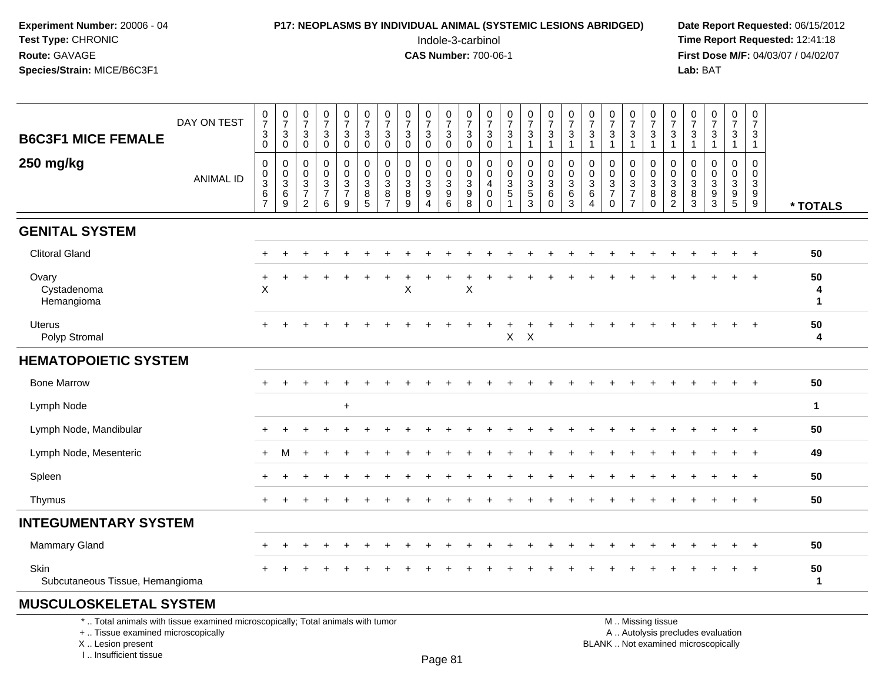### **P17: NEOPLASMS BY INDIVIDUAL ANIMAL (SYSTEMIC LESIONS ABRIDGED)** Date Report Requested: 06/15/2012<br>Indole-3-carbinol **Time Report Requested:** 12:41:18

 Indole-3-carbinol **Time Report Requested:** 12:41:18 **First Dose M/F:** 04/03/07 / 04/02/07<br>Lab: BAT **Lab:** BAT

| <b>B6C3F1 MICE FEMALE</b>                                                       | DAY ON TEST      | $\frac{0}{7}$<br>3<br>$\mathbf 0$                      | $\frac{0}{7}$<br>$\ensuremath{\mathsf{3}}$<br>$\mathbf 0$            | $\frac{0}{7}$<br>3<br>$\mathbf 0$                         | $\frac{0}{7}$<br>$\ensuremath{\mathsf{3}}$<br>$\mathbf 0$ | $\frac{0}{7}$<br>$\sqrt{3}$<br>$\pmb{0}$                                  | $\frac{0}{7}$<br>$\sqrt{3}$<br>$\mathbf 0$                            | 0<br>$\overline{7}$<br>3<br>$\mathbf 0$   | 0<br>$\overline{7}$<br>$\sqrt{3}$<br>$\mathbf 0$ | $\frac{0}{7}$<br>$\ensuremath{\mathsf{3}}$<br>$\mathbf 0$                      | $\frac{0}{7}$<br>$\ensuremath{\mathsf{3}}$<br>$\mathbf 0$                    | 0<br>$\overline{7}$<br>$\ensuremath{\mathsf{3}}$<br>$\mathbf 0$ | 0<br>$\overline{7}$<br>3<br>$\mathbf 0$          | $\frac{0}{7}$<br>$\sqrt{3}$<br>$\mathbf{1}$                           | $\frac{0}{7}$<br>$\ensuremath{\mathsf{3}}$<br>$\mathbf{1}$ | $\frac{0}{7}$<br>$\ensuremath{\mathsf{3}}$<br>$\mathbf{1}$ | $\frac{0}{7}$<br>$\mathbf{3}$<br>$\overline{1}$           | $\frac{0}{7}$<br>$\sqrt{3}$<br>$\mathbf{1}$                    | 0<br>$\overline{7}$<br>3<br>$\mathbf{1}$                      | $\frac{0}{7}$<br>$\sqrt{3}$<br>$\mathbf{1}$      | $\frac{0}{7}$<br>$\mathsf 3$<br>$\mathbf{1}$ | $\frac{0}{7}$<br>$\sqrt{3}$<br>$\mathbf{1}$                 | $\frac{0}{7}$<br>3<br>$\overline{1}$      | 0<br>$\overline{7}$<br>$\ensuremath{\mathsf{3}}$<br>$\overline{1}$ | 0<br>$\overline{7}$<br>3<br>$\mathbf{1}$     | 0<br>$\overline{7}$<br>3<br>$\mathbf{1}$                                   |                        |
|---------------------------------------------------------------------------------|------------------|--------------------------------------------------------|----------------------------------------------------------------------|-----------------------------------------------------------|-----------------------------------------------------------|---------------------------------------------------------------------------|-----------------------------------------------------------------------|-------------------------------------------|--------------------------------------------------|--------------------------------------------------------------------------------|------------------------------------------------------------------------------|-----------------------------------------------------------------|--------------------------------------------------|-----------------------------------------------------------------------|------------------------------------------------------------|------------------------------------------------------------|-----------------------------------------------------------|----------------------------------------------------------------|---------------------------------------------------------------|--------------------------------------------------|----------------------------------------------|-------------------------------------------------------------|-------------------------------------------|--------------------------------------------------------------------|----------------------------------------------|----------------------------------------------------------------------------|------------------------|
| 250 mg/kg                                                                       | <b>ANIMAL ID</b> | $\mathbf 0$<br>$\mathbf 0$<br>3<br>6<br>$\overline{7}$ | $\mathbf 0$<br>0<br>$\ensuremath{\mathsf{3}}$<br>6<br>$\overline{9}$ | $\mathbf 0$<br>0<br>3<br>$\overline{7}$<br>$\overline{2}$ | $\mathbf 0$<br>$\pmb{0}$<br>$\frac{3}{7}$<br>$\,6\,$      | 0<br>0<br>$\ensuremath{\mathsf{3}}$<br>$\overline{7}$<br>$\boldsymbol{9}$ | $\mathbf 0$<br>$\mathbf 0$<br>$\sqrt{3}$<br>$\,8\,$<br>$\overline{5}$ | 0<br>$\Omega$<br>3<br>8<br>$\overline{7}$ | $\Omega$<br>$\Omega$<br>3<br>8<br>9              | 0<br>$\mathbf 0$<br>$\mathbf{3}$<br>$\boldsymbol{9}$<br>$\boldsymbol{\Lambda}$ | 0<br>$\mathbf 0$<br>$\ensuremath{\mathsf{3}}$<br>$\boldsymbol{9}$<br>$\,6\,$ | 0<br>$\Omega$<br>$\mathbf{3}$<br>9<br>8                         | 0<br>$\Omega$<br>4<br>$\mathbf 0$<br>$\mathbf 0$ | $\mathbf 0$<br>$\mathbf 0$<br>$\ensuremath{\mathsf{3}}$<br>$\sqrt{5}$ | 0<br>$\mathbf 0$<br>$\frac{3}{5}$                          | 0<br>$\mathbf 0$<br>3<br>6<br>0                            | $\mathbf 0$<br>$\mathbf 0$<br>$\sqrt{3}$<br>$\frac{6}{3}$ | $\mathbf 0$<br>$\Omega$<br>$\mathbf{3}$<br>6<br>$\overline{4}$ | $\mathbf 0$<br>$\Omega$<br>3<br>$\overline{7}$<br>$\mathbf 0$ | 0<br>$\Omega$<br>$\frac{3}{7}$<br>$\overline{7}$ | 0<br>0<br>$\mathbf{3}$<br>$_{\rm 0}^{\rm 8}$ | 0<br>$\Omega$<br>$\begin{array}{c} 3 \\ 8 \\ 2 \end{array}$ | 0<br>$\Omega$<br>3<br>8<br>$\overline{3}$ | $\Omega$<br>$\Omega$<br>3<br>9<br>$\overline{3}$                   | $\mathbf 0$<br>0<br>3<br>9<br>$\overline{5}$ | $\Omega$<br>$\Omega$<br>$\mathbf{3}$<br>$\boldsymbol{9}$<br>$\overline{9}$ | * TOTALS               |
| <b>GENITAL SYSTEM</b>                                                           |                  |                                                        |                                                                      |                                                           |                                                           |                                                                           |                                                                       |                                           |                                                  |                                                                                |                                                                              |                                                                 |                                                  |                                                                       |                                                            |                                                            |                                                           |                                                                |                                                               |                                                  |                                              |                                                             |                                           |                                                                    |                                              |                                                                            |                        |
| <b>Clitoral Gland</b>                                                           |                  |                                                        |                                                                      |                                                           |                                                           |                                                                           |                                                                       |                                           |                                                  |                                                                                |                                                                              |                                                                 |                                                  |                                                                       |                                                            |                                                            |                                                           |                                                                |                                                               |                                                  |                                              |                                                             |                                           |                                                                    |                                              | $\ddot{}$                                                                  | 50                     |
| Ovary<br>Cystadenoma<br>Hemangioma                                              |                  | $\mathsf{X}$                                           |                                                                      |                                                           |                                                           |                                                                           |                                                                       |                                           | X                                                |                                                                                |                                                                              | $\times$                                                        |                                                  |                                                                       |                                                            |                                                            |                                                           |                                                                |                                                               |                                                  |                                              |                                                             |                                           |                                                                    |                                              |                                                                            | 50<br>4<br>$\mathbf 1$ |
| Uterus<br>Polyp Stromal                                                         |                  |                                                        |                                                                      |                                                           |                                                           |                                                                           |                                                                       |                                           |                                                  |                                                                                |                                                                              |                                                                 |                                                  | X                                                                     | $\times$                                                   |                                                            |                                                           |                                                                |                                                               |                                                  |                                              |                                                             |                                           |                                                                    |                                              |                                                                            | 50<br>4                |
| <b>HEMATOPOIETIC SYSTEM</b>                                                     |                  |                                                        |                                                                      |                                                           |                                                           |                                                                           |                                                                       |                                           |                                                  |                                                                                |                                                                              |                                                                 |                                                  |                                                                       |                                                            |                                                            |                                                           |                                                                |                                                               |                                                  |                                              |                                                             |                                           |                                                                    |                                              |                                                                            |                        |
| <b>Bone Marrow</b>                                                              |                  |                                                        |                                                                      |                                                           |                                                           |                                                                           |                                                                       |                                           |                                                  |                                                                                |                                                                              |                                                                 |                                                  |                                                                       |                                                            |                                                            |                                                           |                                                                |                                                               |                                                  |                                              |                                                             |                                           |                                                                    |                                              | $\ddot{}$                                                                  | 50                     |
| Lymph Node                                                                      |                  |                                                        |                                                                      |                                                           |                                                           | $\ddot{}$                                                                 |                                                                       |                                           |                                                  |                                                                                |                                                                              |                                                                 |                                                  |                                                                       |                                                            |                                                            |                                                           |                                                                |                                                               |                                                  |                                              |                                                             |                                           |                                                                    |                                              |                                                                            | $\mathbf{1}$           |
| Lymph Node, Mandibular                                                          |                  |                                                        |                                                                      |                                                           |                                                           |                                                                           |                                                                       |                                           |                                                  |                                                                                |                                                                              |                                                                 |                                                  |                                                                       |                                                            |                                                            |                                                           |                                                                |                                                               |                                                  |                                              |                                                             |                                           |                                                                    |                                              |                                                                            | 50                     |
| Lymph Node, Mesenteric                                                          |                  |                                                        |                                                                      |                                                           |                                                           |                                                                           |                                                                       |                                           |                                                  |                                                                                |                                                                              |                                                                 |                                                  |                                                                       |                                                            |                                                            |                                                           |                                                                |                                                               |                                                  |                                              |                                                             |                                           |                                                                    |                                              | $\overline{1}$                                                             | 49                     |
| Spleen                                                                          |                  |                                                        |                                                                      |                                                           |                                                           |                                                                           |                                                                       |                                           |                                                  |                                                                                |                                                                              |                                                                 |                                                  |                                                                       |                                                            |                                                            |                                                           |                                                                |                                                               |                                                  |                                              |                                                             |                                           |                                                                    |                                              |                                                                            | 50                     |
| Thymus                                                                          |                  |                                                        |                                                                      |                                                           |                                                           |                                                                           |                                                                       |                                           |                                                  |                                                                                |                                                                              |                                                                 |                                                  |                                                                       |                                                            |                                                            |                                                           |                                                                |                                                               |                                                  |                                              |                                                             |                                           |                                                                    |                                              | $\ddot{}$                                                                  | 50                     |
| <b>INTEGUMENTARY SYSTEM</b>                                                     |                  |                                                        |                                                                      |                                                           |                                                           |                                                                           |                                                                       |                                           |                                                  |                                                                                |                                                                              |                                                                 |                                                  |                                                                       |                                                            |                                                            |                                                           |                                                                |                                                               |                                                  |                                              |                                                             |                                           |                                                                    |                                              |                                                                            |                        |
| Mammary Gland                                                                   |                  |                                                        |                                                                      |                                                           |                                                           |                                                                           |                                                                       |                                           |                                                  |                                                                                |                                                                              |                                                                 |                                                  |                                                                       |                                                            |                                                            |                                                           |                                                                |                                                               |                                                  |                                              |                                                             |                                           |                                                                    |                                              | $\div$                                                                     | 50                     |
| Skin<br>Subcutaneous Tissue, Hemangioma                                         |                  |                                                        |                                                                      |                                                           |                                                           |                                                                           |                                                                       |                                           |                                                  |                                                                                |                                                                              |                                                                 |                                                  |                                                                       |                                                            |                                                            |                                                           |                                                                |                                                               |                                                  |                                              |                                                             |                                           |                                                                    | ÷                                            | $\ddot{}$                                                                  | 50<br>$\mathbf{1}$     |
| <b>MUSCULOSKELETAL SYSTEM</b>                                                   |                  |                                                        |                                                                      |                                                           |                                                           |                                                                           |                                                                       |                                           |                                                  |                                                                                |                                                                              |                                                                 |                                                  |                                                                       |                                                            |                                                            |                                                           |                                                                |                                                               |                                                  |                                              |                                                             |                                           |                                                                    |                                              |                                                                            |                        |
| *  Total animals with tissue examined microscopically; Total animals with tumor |                  |                                                        |                                                                      |                                                           |                                                           |                                                                           |                                                                       |                                           |                                                  |                                                                                |                                                                              |                                                                 |                                                  |                                                                       |                                                            |                                                            |                                                           |                                                                |                                                               |                                                  | M  Missing tissue                            |                                                             |                                           |                                                                    |                                              |                                                                            |                        |

+ .. Tissue examined microscopically

X .. Lesion present

I .. Insufficient tissue

 M .. Missing tissuey the contract of the contract of the contract of the contract of the contract of  $\mathsf A$  . Autolysis precludes evaluation Lesion present BLANK .. Not examined microscopically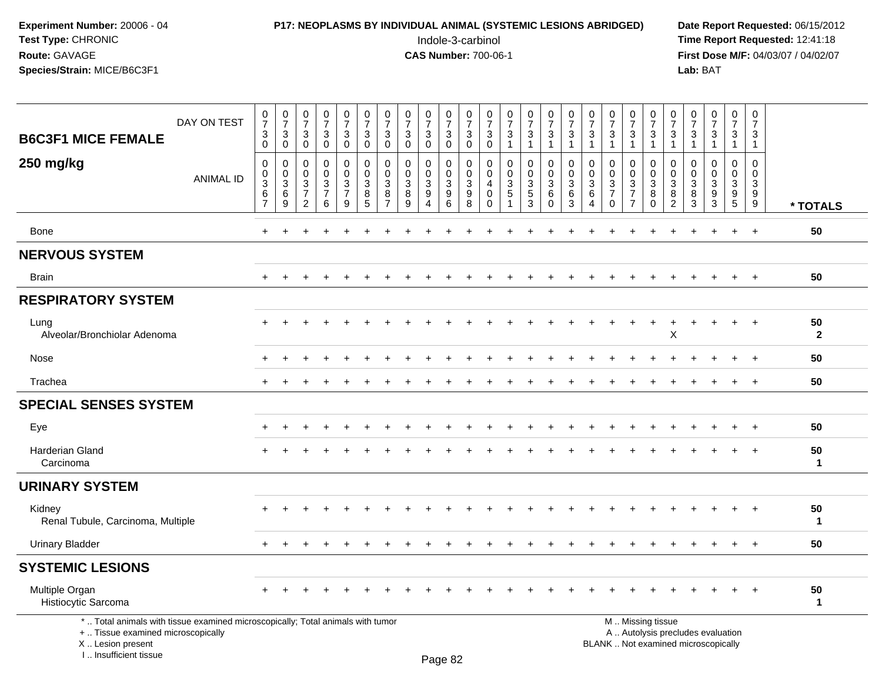## **P17: NEOPLASMS BY INDIVIDUAL ANIMAL (SYSTEMIC LESIONS ABRIDGED)** Date Report Requested: 06/15/2012<br>Indole-3-carbinol **Time Report Requested:** 12:41:18

 Indole-3-carbinol **Time Report Requested:** 12:41:18 **First Dose M/F:** 04/03/07 / 04/02/07<br>Lab: BAT **Lab:** BAT

| DAY ON TEST<br><b>B6C3F1 MICE FEMALE</b>                                                                                                                            | $\begin{smallmatrix}0\\7\end{smallmatrix}$<br>$\ensuremath{\mathsf{3}}$<br>$\mathbf 0$ | $\frac{0}{7}$<br>$\mathbf{3}$<br>$\mathbf 0$                         | $\frac{0}{7}$<br>3<br>$\mathbf 0$                                                           | $\frac{0}{7}$<br>3<br>0                                          | $\frac{0}{7}$<br>$\mathbf{3}$<br>$\mathbf 0$ | $\frac{0}{7}$<br>$\mathbf{3}$<br>$\mathbf 0$       | $\pmb{0}$<br>$\overline{7}$<br>$\mathbf{3}$<br>$\mathbf 0$         | $\begin{matrix} 0 \\ 7 \end{matrix}$<br>$\sqrt{3}$<br>$\mathbf 0$ | $\pmb{0}$<br>$\overline{7}$<br>3<br>$\mathbf 0$              | $\frac{0}{7}$<br>$\sqrt{3}$<br>$\mathbf 0$              | $\pmb{0}$<br>$\overline{7}$<br>$\sqrt{3}$<br>$\mathbf 0$ | $\pmb{0}$<br>$\overline{7}$<br>3<br>$\mathbf 0$         | $\pmb{0}$<br>$\overline{7}$<br>3<br>$\mathbf{1}$ | $\frac{0}{7}$<br>3<br>$\mathbf{1}$ | $\frac{0}{7}$<br>3<br>$\mathbf{1}$     | $\frac{0}{7}$<br>$\mathbf{3}$<br>$\overline{1}$                     | $\pmb{0}$<br>$\overline{7}$<br>3<br>$\mathbf{1}$             | $\frac{0}{7}$<br>3<br>$\overline{1}$                      | 0<br>$\overline{7}$<br>3<br>$\mathbf 1$                                    | $\frac{0}{7}$<br>$\sqrt{3}$<br>$\mathbf{1}$                    | $\pmb{0}$<br>$\overline{7}$<br>$\sqrt{3}$<br>$\overline{1}$       | $\pmb{0}$<br>$\overline{7}$<br>3<br>$\mathbf{1}$ | $\pmb{0}$<br>$\overline{7}$<br>3<br>$\mathbf{1}$ | 0<br>$\overline{7}$<br>3<br>$\mathbf{1}$                    | $\pmb{0}$<br>$\overline{7}$<br>3<br>$\mathbf{1}$                  |                      |
|---------------------------------------------------------------------------------------------------------------------------------------------------------------------|----------------------------------------------------------------------------------------|----------------------------------------------------------------------|---------------------------------------------------------------------------------------------|------------------------------------------------------------------|----------------------------------------------|----------------------------------------------------|--------------------------------------------------------------------|-------------------------------------------------------------------|--------------------------------------------------------------|---------------------------------------------------------|----------------------------------------------------------|---------------------------------------------------------|--------------------------------------------------|------------------------------------|----------------------------------------|---------------------------------------------------------------------|--------------------------------------------------------------|-----------------------------------------------------------|----------------------------------------------------------------------------|----------------------------------------------------------------|-------------------------------------------------------------------|--------------------------------------------------|--------------------------------------------------|-------------------------------------------------------------|-------------------------------------------------------------------|----------------------|
| 250 mg/kg<br><b>ANIMAL ID</b>                                                                                                                                       | 0<br>$\mathbf 0$<br>$\overline{3}$<br>6<br>$\overline{7}$                              | $\mathbf 0$<br>$\boldsymbol{0}$<br>$\sqrt{3}$<br>6<br>$\overline{9}$ | $\mathbf 0$<br>$\mathbf 0$<br>$\ensuremath{\mathsf{3}}$<br>$\overline{7}$<br>$\overline{2}$ | $\mathbf 0$<br>$\mathsf 0$<br>$\mathbf 3$<br>$\overline{7}$<br>6 | 0<br>$\mathbf 0$<br>3<br>$\overline{7}$<br>9 | $\mathbf 0$<br>$\pmb{0}$<br>$\mathbf{3}$<br>8<br>5 | $\mathbf{0}$<br>$\mathbf 0$<br>$\mathbf{3}$<br>8<br>$\overline{7}$ | 0<br>0<br>$\mathsf 3$<br>$\bf8$<br>9                              | $\Omega$<br>0<br>$\mathbf{3}$<br>9<br>$\boldsymbol{\Lambda}$ | 0<br>$\mathbf 0$<br>$\ensuremath{\mathsf{3}}$<br>9<br>6 | $\Omega$<br>$\boldsymbol{0}$<br>$\sqrt{3}$<br>$9\,$<br>8 | $\Omega$<br>$\mathbf 0$<br>4<br>$\mathbf 0$<br>$\Omega$ | $\Omega$<br>0<br>$\ensuremath{\mathsf{3}}$<br>5  | 0<br>0<br>3<br>5<br>3              | 0<br>$\mathbf 0$<br>3<br>6<br>$\Omega$ | $\mathbf 0$<br>$\pmb{0}$<br>$\mathbf{3}$<br>$\,6\,$<br>$\mathbf{3}$ | $\Omega$<br>$\mathbf 0$<br>$\sqrt{3}$<br>6<br>$\overline{4}$ | $\Omega$<br>0<br>$\sqrt{3}$<br>$\overline{7}$<br>$\Omega$ | $\Omega$<br>$\mathbf 0$<br>$\mathsf 3$<br>$\overline{7}$<br>$\overline{7}$ | 0<br>$\mathbf 0$<br>$\ensuremath{\mathsf{3}}$<br>8<br>$\Omega$ | $\Omega$<br>$\mathbf 0$<br>$\sqrt{3}$<br>$\, 8$<br>$\overline{2}$ | $\Omega$<br>$\mathbf 0$<br>3<br>8<br>3           | $\Omega$<br>$\mathbf 0$<br>3<br>9<br>3           | $\Omega$<br>0<br>3<br>$\begin{array}{c} 9 \\ 5 \end{array}$ | $\mathbf 0$<br>$\mathbf 0$<br>$\mathbf{3}$<br>9<br>$\overline{9}$ | * TOTALS             |
| <b>Bone</b>                                                                                                                                                         | $\ddot{}$                                                                              | $\ddot{}$                                                            |                                                                                             |                                                                  |                                              |                                                    |                                                                    |                                                                   |                                                              |                                                         |                                                          |                                                         |                                                  |                                    |                                        |                                                                     |                                                              |                                                           |                                                                            |                                                                |                                                                   |                                                  |                                                  | $\ddot{}$                                                   | $\overline{+}$                                                    | 50                   |
| <b>NERVOUS SYSTEM</b>                                                                                                                                               |                                                                                        |                                                                      |                                                                                             |                                                                  |                                              |                                                    |                                                                    |                                                                   |                                                              |                                                         |                                                          |                                                         |                                                  |                                    |                                        |                                                                     |                                                              |                                                           |                                                                            |                                                                |                                                                   |                                                  |                                                  |                                                             |                                                                   |                      |
| <b>Brain</b>                                                                                                                                                        | ÷                                                                                      |                                                                      |                                                                                             | $\div$                                                           | $\div$                                       |                                                    |                                                                    |                                                                   |                                                              | ÷                                                       |                                                          |                                                         |                                                  | $\div$                             | $\pm$                                  |                                                                     |                                                              |                                                           | $\pm$                                                                      | $\pm$                                                          | $\div$                                                            |                                                  |                                                  | $+$                                                         | $+$                                                               | 50                   |
| <b>RESPIRATORY SYSTEM</b>                                                                                                                                           |                                                                                        |                                                                      |                                                                                             |                                                                  |                                              |                                                    |                                                                    |                                                                   |                                                              |                                                         |                                                          |                                                         |                                                  |                                    |                                        |                                                                     |                                                              |                                                           |                                                                            |                                                                |                                                                   |                                                  |                                                  |                                                             |                                                                   |                      |
| Lung<br>Alveolar/Bronchiolar Adenoma                                                                                                                                |                                                                                        |                                                                      |                                                                                             |                                                                  |                                              |                                                    |                                                                    |                                                                   |                                                              |                                                         |                                                          |                                                         |                                                  |                                    |                                        |                                                                     |                                                              |                                                           | $\ddot{}$                                                                  | $+$                                                            | $\ddot{}$<br>X                                                    | $\ddot{}$                                        |                                                  | $\ddot{}$                                                   | $+$                                                               | 50<br>$\overline{2}$ |
| Nose                                                                                                                                                                |                                                                                        |                                                                      |                                                                                             |                                                                  |                                              |                                                    |                                                                    |                                                                   |                                                              |                                                         |                                                          |                                                         |                                                  |                                    |                                        |                                                                     |                                                              |                                                           |                                                                            |                                                                |                                                                   |                                                  |                                                  | $\div$                                                      | $\overline{+}$                                                    | 50                   |
| Trachea                                                                                                                                                             | $\div$                                                                                 |                                                                      |                                                                                             |                                                                  |                                              |                                                    |                                                                    |                                                                   |                                                              |                                                         |                                                          |                                                         |                                                  |                                    |                                        |                                                                     |                                                              |                                                           |                                                                            |                                                                |                                                                   |                                                  |                                                  |                                                             | $\overline{+}$                                                    | 50                   |
| <b>SPECIAL SENSES SYSTEM</b>                                                                                                                                        |                                                                                        |                                                                      |                                                                                             |                                                                  |                                              |                                                    |                                                                    |                                                                   |                                                              |                                                         |                                                          |                                                         |                                                  |                                    |                                        |                                                                     |                                                              |                                                           |                                                                            |                                                                |                                                                   |                                                  |                                                  |                                                             |                                                                   |                      |
| Eye                                                                                                                                                                 |                                                                                        |                                                                      |                                                                                             |                                                                  |                                              |                                                    |                                                                    |                                                                   |                                                              |                                                         |                                                          |                                                         |                                                  |                                    |                                        |                                                                     |                                                              |                                                           |                                                                            |                                                                |                                                                   |                                                  |                                                  | $\div$                                                      | $\overline{+}$                                                    | 50                   |
| Harderian Gland<br>Carcinoma                                                                                                                                        |                                                                                        |                                                                      |                                                                                             |                                                                  |                                              |                                                    |                                                                    |                                                                   |                                                              |                                                         |                                                          |                                                         |                                                  |                                    |                                        |                                                                     |                                                              |                                                           |                                                                            |                                                                |                                                                   |                                                  |                                                  |                                                             | $\ddot{}$                                                         | 50<br>$\mathbf{1}$   |
| <b>URINARY SYSTEM</b>                                                                                                                                               |                                                                                        |                                                                      |                                                                                             |                                                                  |                                              |                                                    |                                                                    |                                                                   |                                                              |                                                         |                                                          |                                                         |                                                  |                                    |                                        |                                                                     |                                                              |                                                           |                                                                            |                                                                |                                                                   |                                                  |                                                  |                                                             |                                                                   |                      |
| Kidney<br>Renal Tubule, Carcinoma, Multiple                                                                                                                         |                                                                                        |                                                                      |                                                                                             |                                                                  |                                              |                                                    |                                                                    |                                                                   |                                                              |                                                         |                                                          |                                                         |                                                  |                                    |                                        |                                                                     |                                                              |                                                           |                                                                            |                                                                |                                                                   |                                                  |                                                  | $\ddot{}$                                                   | $+$                                                               | 50<br>$\mathbf{1}$   |
| <b>Urinary Bladder</b>                                                                                                                                              | $\pm$                                                                                  |                                                                      |                                                                                             |                                                                  |                                              |                                                    |                                                                    |                                                                   |                                                              |                                                         |                                                          |                                                         |                                                  |                                    |                                        |                                                                     |                                                              |                                                           |                                                                            |                                                                |                                                                   |                                                  |                                                  | $\div$                                                      | $\overline{+}$                                                    | 50                   |
| <b>SYSTEMIC LESIONS</b>                                                                                                                                             |                                                                                        |                                                                      |                                                                                             |                                                                  |                                              |                                                    |                                                                    |                                                                   |                                                              |                                                         |                                                          |                                                         |                                                  |                                    |                                        |                                                                     |                                                              |                                                           |                                                                            |                                                                |                                                                   |                                                  |                                                  |                                                             |                                                                   |                      |
| Multiple Organ<br>Histiocytic Sarcoma                                                                                                                               |                                                                                        |                                                                      |                                                                                             |                                                                  |                                              |                                                    |                                                                    |                                                                   |                                                              |                                                         |                                                          |                                                         |                                                  |                                    |                                        |                                                                     |                                                              |                                                           |                                                                            |                                                                |                                                                   |                                                  |                                                  |                                                             | $\pm$                                                             | 50<br>$\mathbf{1}$   |
| *  Total animals with tissue examined microscopically; Total animals with tumor<br>+  Tissue examined microscopically<br>X  Lesion present<br>I Insufficient tissue |                                                                                        |                                                                      |                                                                                             |                                                                  |                                              |                                                    |                                                                    |                                                                   | $D_{200}$ 82                                                 |                                                         |                                                          |                                                         |                                                  |                                    |                                        |                                                                     |                                                              | M  Missing tissue<br>BLANK  Not examined microscopically  |                                                                            |                                                                |                                                                   |                                                  | A  Autolysis precludes evaluation                |                                                             |                                                                   |                      |